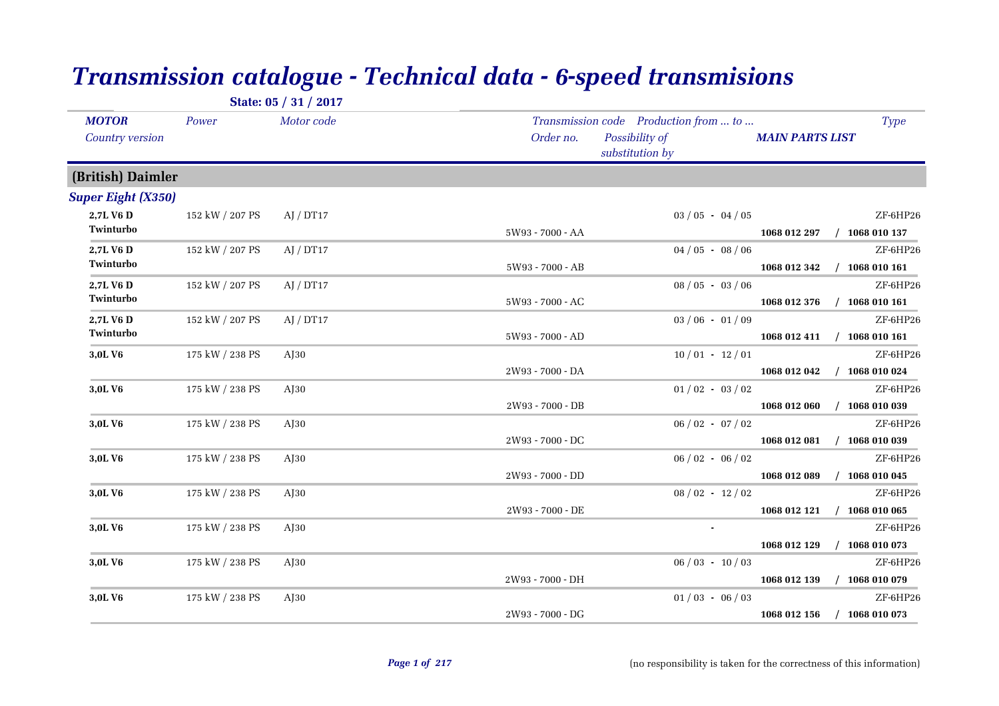|                                        |                 | State: 05 / 31 / 2017 |                                                                                         |                        |                                         |
|----------------------------------------|-----------------|-----------------------|-----------------------------------------------------------------------------------------|------------------------|-----------------------------------------|
| <b>MOTOR</b><br><b>Country version</b> | Power           | Motor code            | Transmission code Production from  to<br>Possibility of<br>Order no.<br>substitution by | <b>MAIN PARTS LIST</b> | <b>Type</b>                             |
| (British) Daimler                      |                 |                       |                                                                                         |                        |                                         |
| <b>Super Eight (X350)</b>              |                 |                       |                                                                                         |                        |                                         |
| 2,7L V6 D<br>Twinturbo                 | 152 kW / 207 PS | AJ / DT17             | $03/05 - 04/05$<br>5W93 - 7000 - AA                                                     |                        | ZF-6HP26<br>1068 012 297 / 1068 010 137 |
| 2,7L V6 D<br>Twinturbo                 | 152 kW / 207 PS | AJ / DT17             | $04/05 - 08/06$                                                                         |                        | ZF-6HP26                                |
| 2,7L V6 D                              | 152 kW / 207 PS | AI / DT17             | 5W93 - 7000 - AB<br>$08 / 05 - 03 / 06$                                                 | 1068 012 342           | $/$ 1068 010 161<br>ZF-6HP26            |
| Twinturbo                              |                 |                       | 5W93 - 7000 - AC                                                                        | 1068 012 376           | $/$ 1068 010 161                        |
| 2,7L V6 D<br>Twinturbo                 | 152 kW / 207 PS | AJ / DT17             | $03/06 - 01/09$<br>5W93 - 7000 - AD                                                     | 1068 012 411           | ZF-6HP26<br>$/$ 1068 010 161            |
| 3,0L V6                                | 175 kW / 238 PS | $A$ [30               | $10/01 - 12/01$                                                                         |                        | ZF-6HP26                                |
|                                        |                 |                       | 2W93 - 7000 - DA                                                                        | 1068 012 042           | $/$ 1068 010 024                        |
| 3,0LV6                                 | 175 kW / 238 PS | $A$ J $30$            | $01/02 - 03/02$                                                                         |                        | ZF-6HP26                                |
|                                        |                 |                       | 2W93 - 7000 - DB                                                                        | 1068 012 060           | $/$ 1068 010 039                        |
| 3,0L V6                                | 175 kW / 238 PS | $A$ [30               | $06 / 02 - 07 / 02$                                                                     |                        | ZF-6HP26                                |
|                                        |                 |                       | 2W93 - 7000 - DC                                                                        | 1068 012 081           | $/$ 1068 010 039                        |
| 3,0LV6                                 | 175 kW / 238 PS | $A$ [30               | $06/02 - 06/02$                                                                         |                        | ZF-6HP26                                |
|                                        |                 |                       | 2W93 - 7000 - DD                                                                        | 1068 012 089           | $/$ 1068 010 045                        |
| 3,0L V <sub>6</sub>                    | 175 kW / 238 PS | A <sub>I30</sub>      | $08/02 - 12/02$<br>2W93 - 7000 - DE                                                     | 1068 012 121           | ZF-6HP26<br>$/$ 1068 010 065            |
| 3,0LV6                                 | 175 kW / 238 PS | $A$ [30               |                                                                                         |                        | ZF-6HP26                                |
|                                        |                 |                       |                                                                                         | 1068 012 129           | $/$ 1068 010 073                        |
| 3,0L V <sub>6</sub>                    | 175 kW / 238 PS | AJ30                  | $06/03 - 10/03$                                                                         |                        | ZF-6HP26                                |
|                                        |                 |                       | 2W93 - 7000 - DH                                                                        | 1068 012 139           | $/$ 1068 010 079                        |
| 3,0L V6                                | 175 kW / 238 PS | $A$ [30               | $01/03 - 06/03$                                                                         |                        | ZF-6HP26                                |
|                                        |                 |                       | 2W93 - 7000 - DG                                                                        | 1068 012 156           | $/$ 1068 010 073                        |

## *Transmission catalogue - Technical data - 6-speed transmisions*

*Page 1 of 217*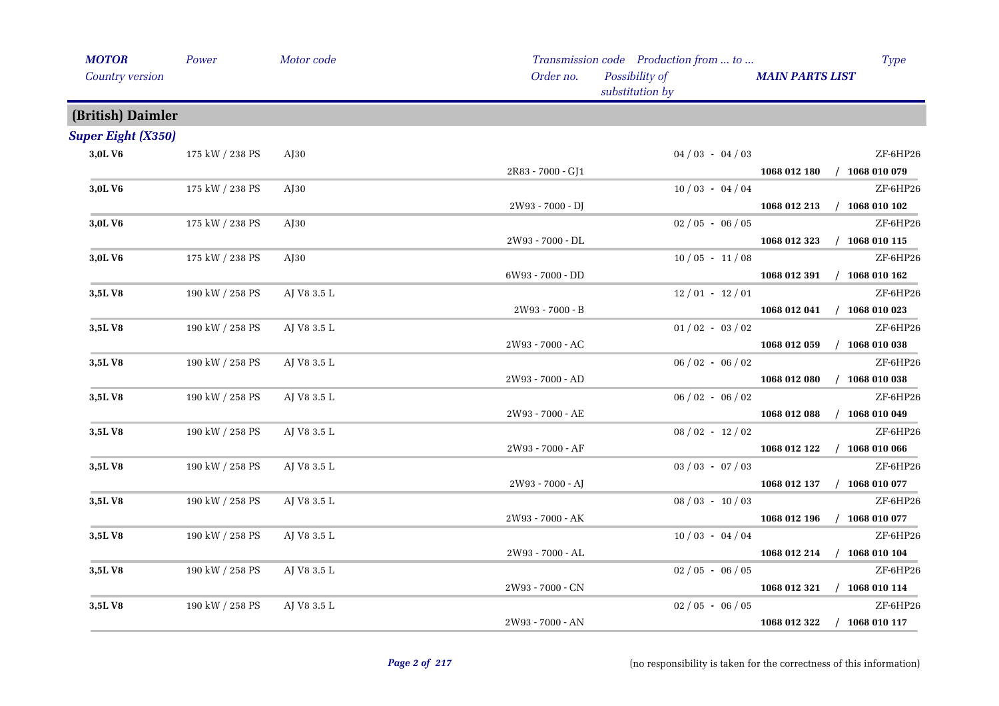| <b>MOTOR</b>                    | Power           | Motor code  |                   | Transmission code Production from  to | <b>Type</b>                      |
|---------------------------------|-----------------|-------------|-------------------|---------------------------------------|----------------------------------|
| Country version                 |                 | Order no.   |                   | Possibility of<br>substitution by     | <b>MAIN PARTS LIST</b>           |
| (British) Daimler               |                 |             |                   |                                       |                                  |
| <b>Super Eight (X350)</b>       |                 |             |                   |                                       |                                  |
| 3,0LV6                          | 175 kW / 238 PS | $A$ J $30$  |                   | $04/03 - 04/03$                       | ZF-6HP26                         |
|                                 |                 |             | 2R83 - 7000 - GJ1 |                                       | 1068 012 180 / 1068 010 079      |
| 3,0LV6                          | 175 kW / 238 PS | $A$ [30     |                   | $10/03 - 04/04$                       | ZF-6HP26                         |
|                                 |                 |             | 2W93 - 7000 - DJ  |                                       | 1068 012 213 / 1068 010 102      |
| 3,0L V6                         | 175 kW / 238 PS | $A$ J $30$  |                   | $02/05 - 06/05$                       | ZF-6HP26                         |
|                                 |                 |             | 2W93 - 7000 - DL  |                                       | $/$ 1068 010 115<br>1068 012 323 |
| 3,0LV6                          | 175 kW / 238 PS | AJ30        |                   | $10/05 - 11/08$                       | ZF-6HP26                         |
|                                 |                 |             | 6W93 - 7000 - DD  |                                       | 1068 012 391 / 1068 010 162      |
| 3,5LV8                          | 190 kW / 258 PS | AJ V8 3.5 L |                   | $12/01 - 12/01$                       | ZF-6HP26                         |
|                                 |                 |             | 2W93 - 7000 - B   |                                       | 1068 012 041 / 1068 010 023      |
| 3,5LV8                          | 190 kW / 258 PS | AJ V8 3.5 L |                   | $01/02 - 03/02$                       | ZF-6HP26                         |
|                                 |                 |             | 2W93 - 7000 - AC  |                                       | $/$ 1068 010 038<br>1068 012 059 |
| 3,5LV8                          | 190 kW / 258 PS | AJ V8 3.5 L |                   | $06/02 - 06/02$                       | ZF-6HP26                         |
|                                 |                 |             | 2W93 - 7000 - AD  |                                       | 1068 012 080<br>$/$ 1068 010 038 |
| 3,5LV8                          | 190 kW / 258 PS | AJ V8 3.5 L |                   | $06/02 - 06/02$                       | ZF-6HP26                         |
|                                 |                 |             | 2W93 - 7000 - AE  |                                       | $/$ 1068 010 049<br>1068 012 088 |
| 3,5LV8                          | 190 kW / 258 PS | AJ V8 3.5 L |                   | $08/02 - 12/02$                       | ZF-6HP26                         |
|                                 |                 |             | 2W93 - 7000 - AF  |                                       | $/$ 1068 010 066<br>1068 012 122 |
| 3,5LV8                          | 190 kW / 258 PS | AJ V8 3.5 L |                   | $03 / 03 - 07 / 03$                   | ZF-6HP26                         |
|                                 |                 |             | 2W93 - 7000 - AJ  |                                       | 1068 012 137 / 1068 010 077      |
| 3,5LV8                          | 190 kW / 258 PS | AJ V8 3.5 L |                   | $08 / 03 - 10 / 03$                   | ZF-6HP26                         |
|                                 |                 |             | 2W93 - 7000 - AK  |                                       | $/$ 1068 010 077<br>1068 012 196 |
| 3,5LV8                          | 190 kW / 258 PS | AJ V8 3.5 L |                   | $10/03 - 04/04$                       | ZF-6HP26                         |
|                                 |                 |             | 2W93 - 7000 - AL  |                                       | $/$ 1068 010 104<br>1068 012 214 |
| $3,\!5\mathrm{L}\, \mathrm{V}8$ | 190 kW / 258 PS | AJ V8 3.5 L |                   | $02/05 - 06/05$                       | ZF-6HP26                         |
|                                 |                 |             | 2W93 - 7000 - CN  |                                       | 1068 012 321 / 1068 010 114      |
| 3,5LV8                          | 190 kW / 258 PS | AJ V8 3.5 L |                   | $02/05 - 06/05$                       | ZF-6HP26                         |
|                                 |                 |             | 2W93 - 7000 - AN  |                                       | $/$ 1068 010 117<br>1068 012 322 |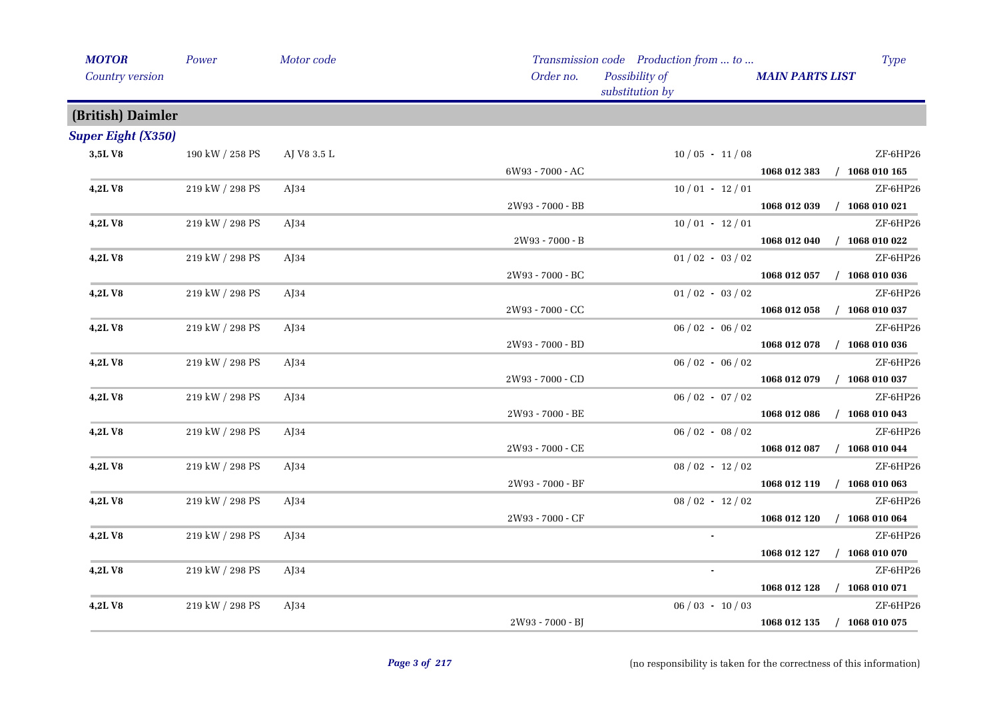| <b>MOTOR</b>              | Power           | Motor code       |                  | Transmission code Production from  to |                        | <b>Type</b>      |
|---------------------------|-----------------|------------------|------------------|---------------------------------------|------------------------|------------------|
| Country version           |                 |                  | Order no.        | Possibility of<br>substitution by     | <b>MAIN PARTS LIST</b> |                  |
| (British) Daimler         |                 |                  |                  |                                       |                        |                  |
| <b>Super Eight (X350)</b> |                 |                  |                  |                                       |                        |                  |
| 3,5LV8                    | 190 kW / 258 PS | AJ V8 3.5 L      |                  | $10/05 - 11/08$                       |                        | ZF-6HP26         |
|                           |                 |                  | 6W93 - 7000 - AC |                                       | 1068 012 383           | $/$ 1068 010 165 |
| 4,2LV8                    | 219 kW / 298 PS | A <sub>134</sub> |                  | $10/01 - 12/01$                       |                        | ZF-6HP26         |
|                           |                 |                  | 2W93 - 7000 - BB |                                       | 1068 012 039           | $/$ 1068 010 021 |
| 4,2LV8                    | 219 kW / 298 PS | $A$ [34          |                  | $10/01 - 12/01$                       |                        | ZF-6HP26         |
|                           |                 |                  | 2W93 - 7000 - B  |                                       | 1068 012 040           | $/$ 1068 010 022 |
| 4,2LV8                    | 219 kW / 298 PS | $A$ J $34$       |                  | $01/02 - 03/02$                       |                        | ZF-6HP26         |
|                           |                 |                  | 2W93 - 7000 - BC |                                       | 1068 012 057           | $/$ 1068 010 036 |
| 4,2LV8                    | 219 kW / 298 PS | AJ34             |                  | $01/02 - 03/02$                       |                        | ZF-6HP26         |
|                           |                 |                  | 2W93 - 7000 - CC |                                       | 1068 012 058           | $/$ 1068 010 037 |
| 4,2LV8                    | 219 kW / 298 PS | $A$ J $34$       |                  | $06 / 02 - 06 / 02$                   |                        | ZF-6HP26         |
|                           |                 |                  | 2W93 - 7000 - BD |                                       | 1068 012 078           | $/$ 1068 010 036 |
| 4,2LV8                    | 219 kW / 298 PS | $A$ [34          |                  | $06/02 - 06/02$                       |                        | ZF-6HP26         |
|                           |                 |                  | 2W93 - 7000 - CD |                                       | 1068 012 079           | $/$ 1068 010 037 |
| 4,2LV8                    | 219 kW / 298 PS | A <sub>134</sub> |                  | $06 / 02 - 07 / 02$                   |                        | ZF-6HP26         |
|                           |                 |                  | 2W93 - 7000 - BE |                                       | 1068 012 086           | $/$ 1068 010 043 |
| 4,2LV8                    | 219 kW / 298 PS | $A$ [34          |                  | $06/02 - 08/02$                       |                        | ZF-6HP26         |
|                           |                 |                  | 2W93 - 7000 - CE |                                       | 1068 012 087           | $/$ 1068 010 044 |
| 4,2LV8                    | 219 kW / 298 PS | $A$ J $34$       |                  | $08/02 - 12/02$                       |                        | ZF-6HP26         |
|                           |                 |                  | 2W93 - 7000 - BF |                                       | 1068 012 119           | $/$ 1068 010 063 |
| 4,2LV8                    | 219 kW / 298 PS | AJ34             |                  | $08 / 02 - 12 / 02$                   |                        | ZF-6HP26         |
|                           |                 |                  | 2W93 - 7000 - CF |                                       | 1068 012 120           | $/$ 1068 010 064 |
| 4,2LV8                    | 219 kW / 298 PS | $A$ [34          |                  | $\sim$                                |                        | ZF-6HP26         |
|                           |                 |                  |                  |                                       | 1068 012 127           | $/$ 1068 010 070 |
| 4,2LV8                    | 219 kW / 298 PS | $A$ [34          |                  |                                       |                        | ZF-6HP26         |
|                           |                 |                  |                  |                                       | 1068 012 128           | $/$ 1068 010 071 |
| 4,2LV8                    | 219 kW / 298 PS | AJ34             |                  | $06/03 - 10/03$                       |                        | ZF-6HP26         |
|                           |                 |                  | 2W93 - 7000 - BJ |                                       | 1068 012 135           | $/$ 1068 010 075 |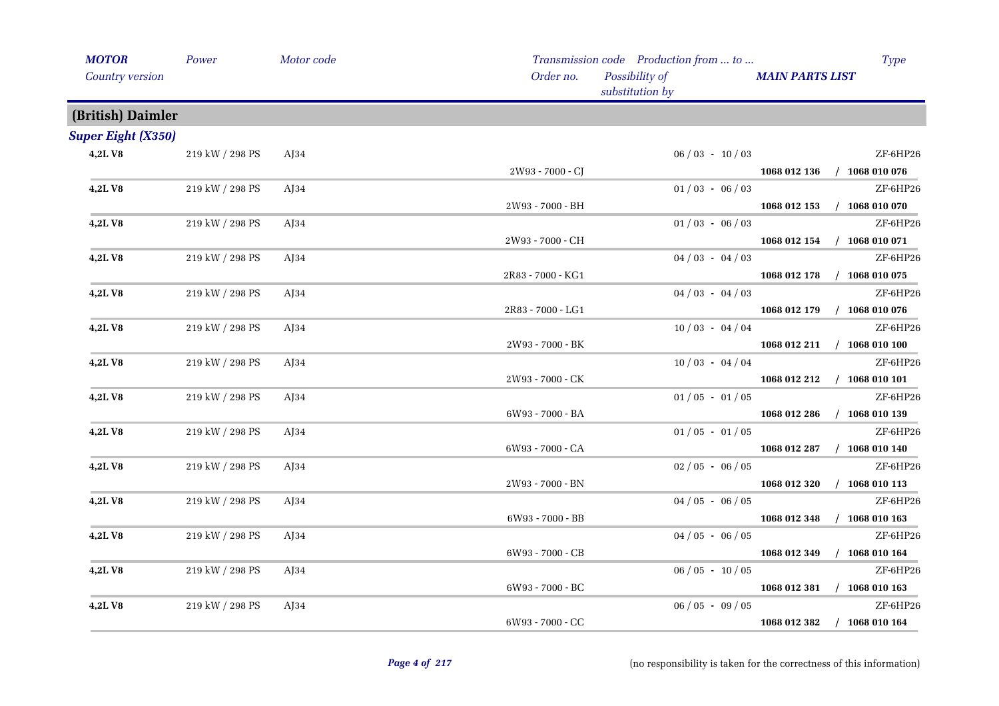| <b>MOTOR</b>              | Power           | Motor code       |                   | Transmission code Production from  to | Type                             |
|---------------------------|-----------------|------------------|-------------------|---------------------------------------|----------------------------------|
| Country version           |                 | Order no.        |                   | Possibility of<br>substitution by     | <b>MAIN PARTS LIST</b>           |
| (British) Daimler         |                 |                  |                   |                                       |                                  |
| <b>Super Eight (X350)</b> |                 |                  |                   |                                       |                                  |
| 4,2LV8                    | 219 kW / 298 PS | $A$ [34          |                   | $06/03 - 10/03$                       | ZF-6HP26                         |
|                           |                 |                  | 2W93 - 7000 - CJ  |                                       | 1068 012 136 / 1068 010 076      |
| 4,2LV8                    | 219 kW / 298 PS | A <sub>134</sub> |                   | $01/03 - 06/03$                       | ZF-6HP26                         |
|                           |                 |                  | 2W93 - 7000 - BH  |                                       | 1068 012 153 / 1068 010 070      |
| 4,2LV8                    | 219 kW / 298 PS | $A$ J $34$       |                   | $01/03 - 06/03$                       | ZF-6HP26                         |
|                           |                 |                  | 2W93 - 7000 - CH  |                                       | 1068 012 154 / 1068 010 071      |
| 4,2LV8                    | 219 kW / 298 PS | AJ34             |                   | $04/03 - 04/03$                       | ZF-6HP26                         |
|                           |                 |                  | 2R83 - 7000 - KG1 |                                       | 1068 012 178 / 1068 010 075      |
| 4,2LV8                    | 219 kW / 298 PS | $A$ [34          |                   | $04/03 - 04/03$                       | ZF-6HP26                         |
|                           |                 |                  | 2R83 - 7000 - LG1 |                                       | 1068 012 179 / 1068 010 076      |
| 4,2LV8                    | 219 kW / 298 PS | $A$ J $34$       |                   | $10/03 - 04/04$                       | ZF-6HP26                         |
|                           |                 |                  | 2W93 - 7000 - BK  |                                       | 1068 012 211 / 1068 010 100      |
| 4,2LV8                    | 219 kW / 298 PS | $A$ J $34$       |                   | $10/03 - 04/04$                       | ZF-6HP26                         |
|                           |                 |                  | 2W93 - 7000 - CK  |                                       | 1068 012 212 / 1068 010 101      |
| 4,2LV8                    | 219 kW / 298 PS | $A$ [34          |                   | $01/05 - 01/05$                       | ZF-6HP26                         |
|                           |                 |                  | 6W93 - 7000 - BA  |                                       | 1068 012 286 / 1068 010 139      |
| 4,2LV8                    | 219 kW / 298 PS | $A$ [34          |                   | $01/05 - 01/05$                       | ZF-6HP26                         |
|                           |                 |                  | 6W93 - 7000 - CA  |                                       | 1068 012 287 / 1068 010 140      |
| 4,2LV8                    | 219 kW / 298 PS | $A$ [34          |                   | $02/05 - 06/05$                       | ZF-6HP26                         |
|                           |                 |                  | 2W93 - 7000 - BN  |                                       | 1068 012 320 / 1068 010 113      |
| 4,2LV8                    | 219 kW / 298 PS | AJ34             |                   | $04/05 - 06/05$                       | ZF-6HP26                         |
|                           |                 |                  | 6W93 - 7000 - BB  |                                       | 1068 012 348<br>$/$ 1068 010 163 |
| 4,2LV8                    | 219 kW / 298 PS | $A$ [34          |                   | $04/05 - 06/05$                       | ZF-6HP26                         |
|                           |                 |                  | 6W93 - 7000 - CB  |                                       | $/$ 1068 010 164<br>1068 012 349 |
| 4,2LV8                    | 219 kW / 298 PS | $A$ J $34$       |                   | $06/05 - 10/05$                       | ZF-6HP26                         |
|                           |                 |                  | 6W93 - 7000 - BC  |                                       | 1068 012 381 / 1068 010 163      |
| 4,2LV8                    | 219 kW / 298 PS | $A$ J $34$       |                   | $06/05 - 09/05$                       | ZF-6HP26                         |
|                           |                 |                  | 6W93 - 7000 - CC  |                                       | 1068 012 382 / 1068 010 164      |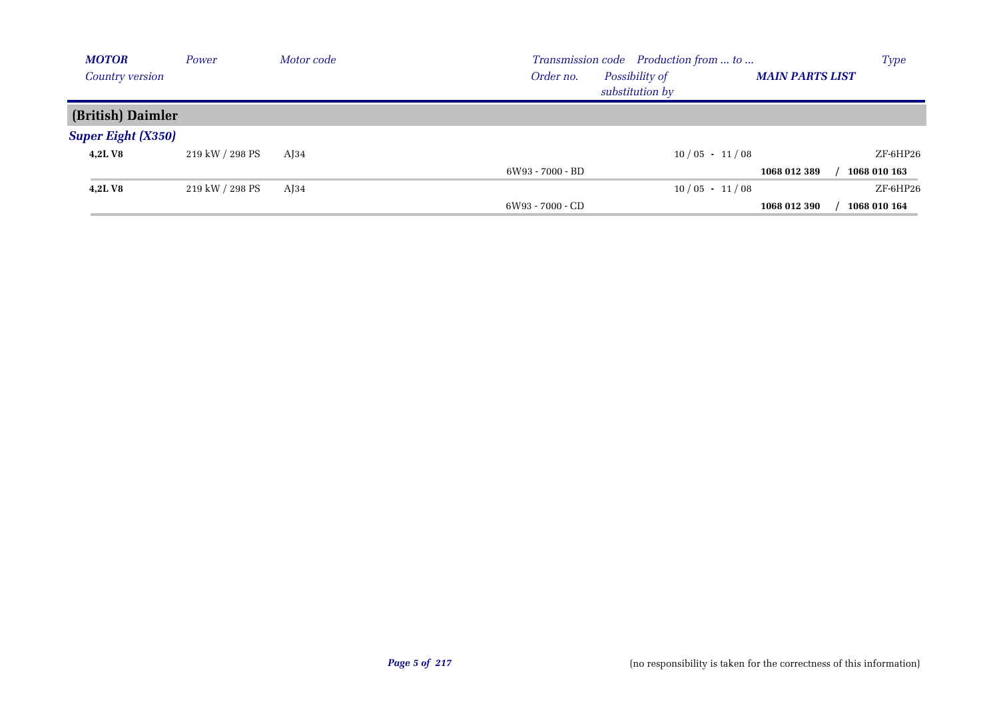| <b>MOTOR</b>              | Power           | Motor code       | Transmission code Production from  to                                    | <b>Type</b>  |
|---------------------------|-----------------|------------------|--------------------------------------------------------------------------|--------------|
| <b>Country version</b>    |                 |                  | Possibility of<br>Order no.<br><b>MAIN PARTS LIST</b><br>substitution by |              |
| (British) Daimler         |                 |                  |                                                                          |              |
| <b>Super Eight (X350)</b> |                 |                  |                                                                          |              |
| <b>4,2LV8</b>             | 219 kW / 298 PS | A <sub>134</sub> | $10/05 - 11/08$                                                          | ZF-6HP26     |
|                           |                 |                  | 6W93 - 7000 - BD<br>1068 012 389                                         | 1068 010 163 |
| <b>4,2LV8</b>             | 219 kW / 298 PS | $A$ [34          | $10/05 - 11/08$                                                          | $ZF$ -6HP26  |
|                           |                 |                  | 6W93 - 7000 - CD<br>1068 012 390                                         | 1068 010 164 |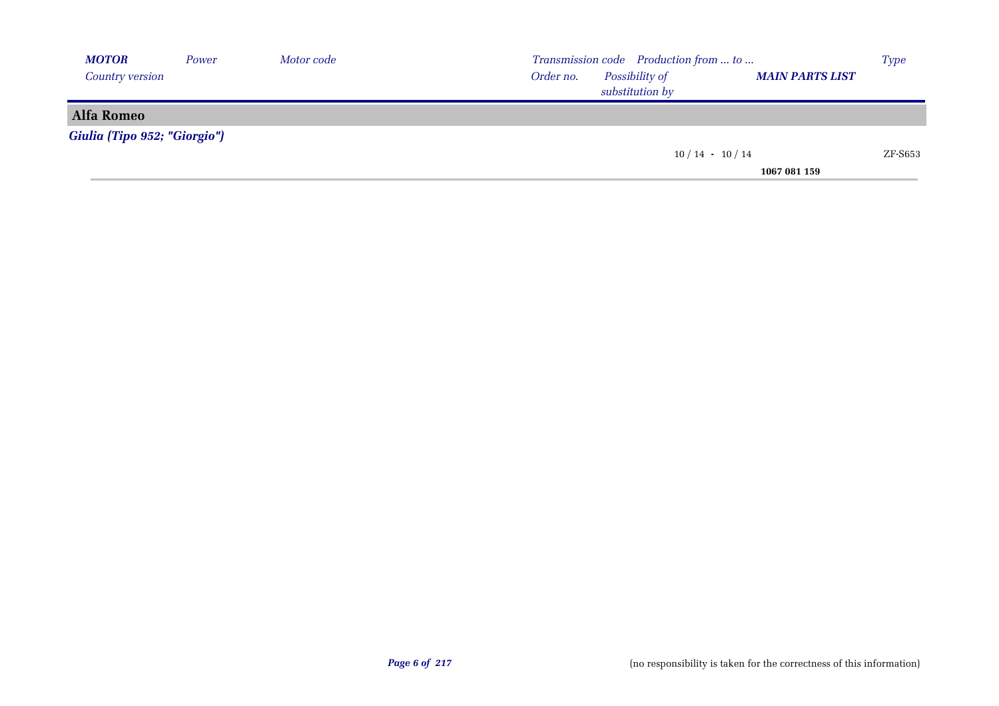| <b>MOTOR</b>                 | Power | Motor code | Transmission code Production from  to                 | <b>Type</b> |
|------------------------------|-------|------------|-------------------------------------------------------|-------------|
| Country version              |       |            | Possibility of<br>Order no.<br><b>MAIN PARTS LIST</b> |             |
|                              |       |            | substitution by                                       |             |
| Alfa Romeo                   |       |            |                                                       |             |
| Giulia (Tipo 952; "Giorgio") |       |            |                                                       |             |
|                              |       |            | $10/14 - 10/14$                                       | ZF-S653     |
|                              |       |            | 1067 081 159                                          |             |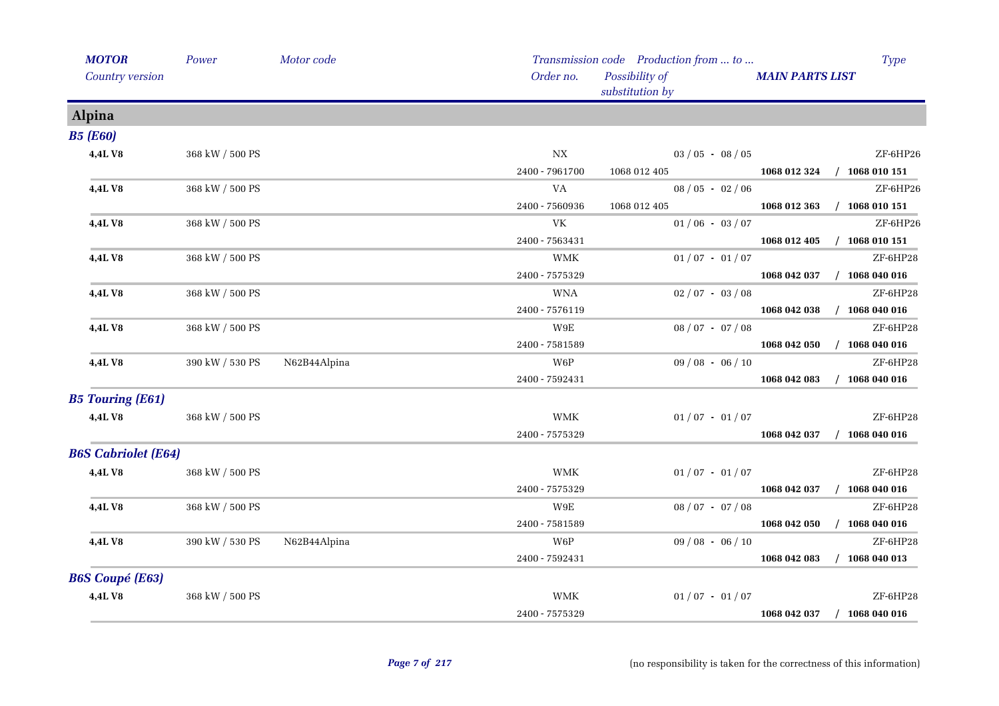| <b>MOTOR</b>               | Power           | Motor code   |                           | Transmission code Production from  to | <b>Type</b>                      |
|----------------------------|-----------------|--------------|---------------------------|---------------------------------------|----------------------------------|
| Country version            |                 |              | Order no.                 | Possibility of<br>substitution by     | <b>MAIN PARTS LIST</b>           |
| <b>Alpina</b>              |                 |              |                           |                                       |                                  |
| <b>B5 (E60)</b>            |                 |              |                           |                                       |                                  |
| 4,4LV8                     | 368 kW / 500 PS |              | $_{\rm{NX}}$              | $03 / 05 - 08 / 05$                   | ZF-6HP26                         |
|                            |                 |              | 2400 - 7961700            | 1068 012 405                          | 1068 012 324 / 1068 010 151      |
| 4,4L V8                    | 368 kW / 500 PS |              | VA                        | $08/05 - 02/06$                       | ZF-6HP26                         |
|                            |                 |              | 2400 - 7560936            | 1068 012 405                          | 1068 012 363<br>$/$ 1068 010 151 |
| 4,4LV8                     | 368 kW / 500 PS |              | VK                        | $01/06 - 03/07$                       | ZF-6HP26                         |
|                            |                 |              | 2400 - 7563431            |                                       | $/$ 1068 010 151<br>1068 012 405 |
| 4,4LV8                     | 368 kW / 500 PS |              | <b>WMK</b>                | $01/07 - 01/07$                       | ZF-6HP28                         |
|                            |                 |              | 2400 - 7575329            |                                       | 1068 042 037<br>$/$ 1068 040 016 |
| 4,4L V8                    | 368 kW / 500 PS |              | <b>WNA</b>                | $02/07 - 03/08$                       | ZF-6HP28                         |
|                            |                 |              | 2400 - 7576119            |                                       | $/$ 1068 040 016<br>1068 042 038 |
| 4,4L V8                    | 368 kW / 500 PS |              | W9E                       | $08/07 - 07/08$                       | ZF-6HP28                         |
|                            |                 |              | 2400 - 7581589            |                                       | $/$ 1068 040 016<br>1068 042 050 |
| 4,4L V8                    | 390 kW / 530 PS | N62B44Alpina | W6P                       | $09/08 - 06/10$                       | ZF-6HP28                         |
|                            |                 |              | 2400 - 7592431            |                                       | $/$ 1068 040 016<br>1068 042 083 |
| <b>B5 Touring (E61)</b>    |                 |              |                           |                                       |                                  |
| 4,4LV8                     | 368 kW / 500 PS |              | <b>WMK</b>                | $01/07 - 01/07$                       | ZF-6HP28                         |
|                            |                 |              | 2400 - 7575329            |                                       | $/$ 1068 040 016<br>1068 042 037 |
| <b>B6S Cabriolet (E64)</b> |                 |              |                           |                                       |                                  |
| 4,4LV8                     | 368 kW / 500 PS |              | <b>WMK</b>                | $01/07 - 01/07$                       | ZF-6HP28                         |
|                            |                 |              | 2400 - 7575329            |                                       | 1068 042 037 / 1068 040 016      |
| 4,4LV8                     | 368 kW / 500 PS |              | $\,$ W9E                  | $08 / 07 - 07 / 08$                   | ZF-6HP28                         |
|                            |                 |              | 2400 - 7581589            |                                       | 1068 042 050<br>$/$ 1068 040 016 |
| <b>4,4LV8</b>              | 390 kW / 530 PS | N62B44Alpina | W6P                       | $09/08 - 06/10$                       | ZF-6HP28                         |
|                            |                 |              | 2400 - 7592431            |                                       | $/$ 1068 040 013<br>1068 042 083 |
| <b>B6S Coupé (E63)</b>     |                 |              |                           |                                       |                                  |
| 4,4LV8                     | 368 kW / 500 PS |              | $\ensuremath{\text{WMK}}$ | $01/07 - 01/07$                       | ZF-6HP28                         |
| <b>Contract Contract</b>   |                 |              | 2400 - 7575329            |                                       | 1068 042 037<br>$/$ 1068 040 016 |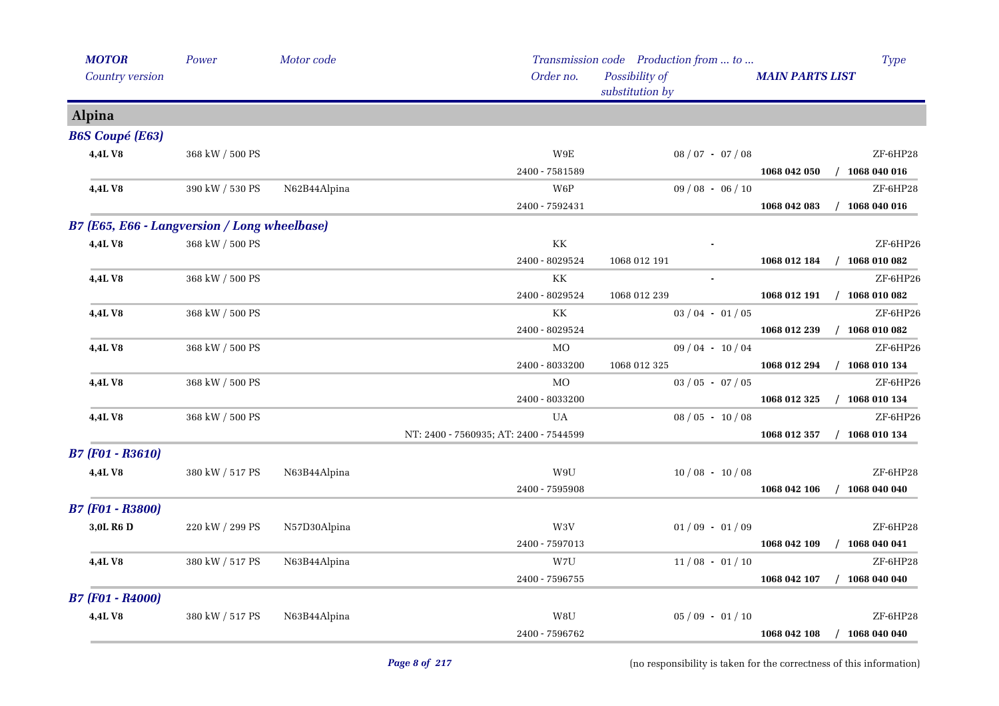| Country version         |                                              |              | Order no.                              | Possibility of      | <b>MAIN PARTS LIST</b>           |
|-------------------------|----------------------------------------------|--------------|----------------------------------------|---------------------|----------------------------------|
|                         |                                              |              |                                        | substitution by     |                                  |
| <b>Alpina</b>           |                                              |              |                                        |                     |                                  |
| <b>B6S Coupé (E63)</b>  |                                              |              |                                        |                     |                                  |
| 4,4LV8                  | 368 kW / 500 PS                              |              | $_{\rm W9E}$                           | $08 / 07 - 07 / 08$ | ZF-6HP28                         |
|                         |                                              |              | 2400 - 7581589                         |                     | $/$ 1068 040 016<br>1068 042 050 |
| <b>4,4L V8</b>          | 390 kW / 530 PS                              | N62B44Alpina | W6P                                    | $09/08 - 06/10$     | ZF-6HP28                         |
|                         |                                              |              | 2400 - 7592431                         |                     | 1068 042 083<br>$/$ 1068 040 016 |
|                         | B7 (E65, E66 - Langversion / Long wheelbase) |              |                                        |                     |                                  |
| 4,4L V8                 | 368 kW / 500 PS                              |              | KК                                     |                     | ZF-6HP26                         |
|                         |                                              |              | 2400 - 8029524                         | 1068 012 191        | $/$ 1068 010 082<br>1068 012 184 |
| 4,4LV8                  | 368 kW / 500 PS                              |              | KK                                     | $\sim$              | ZF-6HP26                         |
|                         |                                              |              | 2400 - 8029524                         | 1068 012 239        | $/$ 1068 010 082<br>1068 012 191 |
| 4,4LV8                  | 368 kW / 500 PS                              |              | KК                                     | $03 / 04 - 01 / 05$ | ZF-6HP26                         |
|                         |                                              |              | 2400 - 8029524                         |                     | 1068 012 239<br>$/$ 1068 010 082 |
| <b>4,4L V8</b>          | 368 kW / 500 PS                              |              | MO                                     | $09/04 - 10/04$     | ZF-6HP26                         |
|                         |                                              |              | 2400 - 8033200                         | 1068 012 325        | 1068 012 294<br>$/$ 1068 010 134 |
| 4,4LV8                  | $368$ kW $\!/$ 500 PS                        |              | MO                                     | $03 / 05 - 07 / 05$ | ZF-6HP26                         |
|                         |                                              |              | 2400 - 8033200                         |                     | $/$ 1068 010 134<br>1068 012 325 |
| 4,4L V8                 | 368 kW / 500 PS                              |              | UA                                     | $08/05 - 10/08$     | ZF-6HP26                         |
|                         |                                              |              | NT: 2400 - 7560935; AT: 2400 - 7544599 |                     | 1068 012 357<br>$/$ 1068 010 134 |
| <b>B7 (F01 - R3610)</b> |                                              |              |                                        |                     |                                  |
| 4,4L V8                 | 380 kW / 517 PS                              | N63B44Alpina | W9U                                    | $10/08 - 10/08$     | ZF-6HP28                         |
|                         |                                              |              | 2400 - 7595908                         |                     | 1068 042 106<br>$/$ 1068 040 040 |
| <b>B7 (F01 - R3800)</b> |                                              |              |                                        |                     |                                  |
| 3,0L R <sub>6</sub> D   | 220 kW / 299 PS                              | N57D30Alpina | W3V                                    | $01/09 - 01/09$     | ZF-6HP28                         |
|                         |                                              |              | 2400 - 7597013                         |                     | $/$ 1068 040 041<br>1068 042 109 |
| <b>4,4LV8</b>           | 380 kW / 517 PS                              | N63B44Alpina | W7U                                    | $11/08 - 01/10$     | ZF-6HP28                         |
|                         |                                              |              | 2400 - 7596755                         |                     | $/$ 1068 040 040<br>1068 042 107 |
| <b>B7 (F01 - R4000)</b> |                                              |              |                                        |                     |                                  |
| 4,4LV8                  | 380 kW / 517 PS                              | N63B44Alpina | W8U                                    | $05/09 - 01/10$     | ZF-6HP28                         |
|                         |                                              |              | 2400 - 7596762                         |                     | 1068 042 108<br>$/$ 1068 040 040 |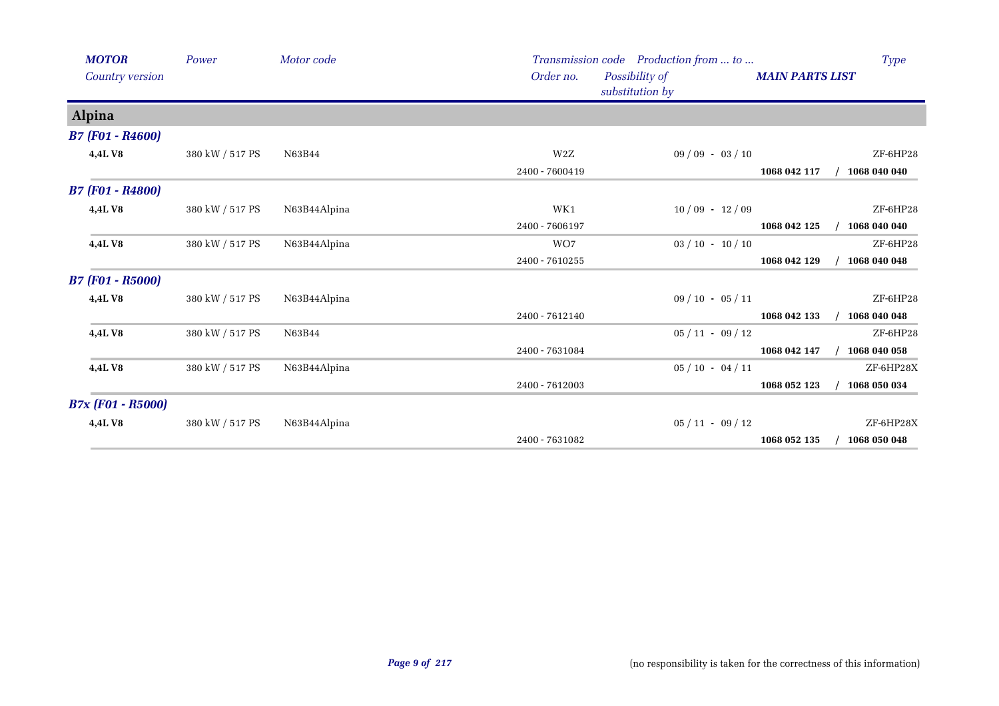| <b>MOTOR</b>             | Power           | Motor code   |                | Transmission code Production from  to |              | <b>Type</b>            |  |  |
|--------------------------|-----------------|--------------|----------------|---------------------------------------|--------------|------------------------|--|--|
| Country version          |                 |              | Order no.      | Possibility of<br>substitution by     |              | <b>MAIN PARTS LIST</b> |  |  |
| <b>Alpina</b>            |                 |              |                |                                       |              |                        |  |  |
| <b>B7 (F01 - R4600)</b>  |                 |              |                |                                       |              |                        |  |  |
| 4,4LV8                   | 380 kW / 517 PS | N63B44       | W2Z            | $09/09 - 03/10$                       |              | ZF-6HP28               |  |  |
|                          |                 |              | 2400 - 7600419 |                                       | 1068 042 117 | 1068 040 040           |  |  |
| <b>B7 (F01 - R4800)</b>  |                 |              |                |                                       |              |                        |  |  |
| 4,4L V8                  | 380 kW / 517 PS | N63B44Alpina | WK1            | $10/09 - 12/09$                       |              | ZF-6HP28               |  |  |
|                          |                 |              | 2400 - 7606197 |                                       | 1068 042 125 | 1068 040 040           |  |  |
| 4,4LV8                   | 380 kW / 517 PS | N63B44Alpina | WO7            | $03 / 10 - 10 / 10$                   |              | ZF-6HP28               |  |  |
|                          |                 |              | 2400 - 7610255 |                                       | 1068 042 129 | 1068 040 048           |  |  |
| <b>B7 (F01 - R5000)</b>  |                 |              |                |                                       |              |                        |  |  |
| 4,4LV8                   | 380 kW / 517 PS | N63B44Alpina |                | $09/10 - 05/11$                       |              | ZF-6HP28               |  |  |
|                          |                 |              | 2400 - 7612140 |                                       | 1068 042 133 | 1068 040 048           |  |  |
| 4,4LV8                   | 380 kW / 517 PS | N63B44       |                | $05/11 - 09/12$                       |              | $ZF-6HP28$             |  |  |
|                          |                 |              | 2400 - 7631084 |                                       | 1068 042 147 | 1068 040 058           |  |  |
| 4,4LV8                   | 380 kW / 517 PS | N63B44Alpina |                | $05/10 - 04/11$                       |              | ZF-6HP28X              |  |  |
|                          |                 |              | 2400 - 7612003 |                                       | 1068 052 123 | 1068 050 034           |  |  |
| <b>B7x (F01 - R5000)</b> |                 |              |                |                                       |              |                        |  |  |
| 4,4L V8                  | 380 kW / 517 PS | N63B44Alpina |                | $05/11 - 09/12$                       |              | ZF-6HP28X              |  |  |
|                          |                 |              | 2400 - 7631082 |                                       | 1068 052 135 | 1068 050 048           |  |  |
|                          |                 |              |                |                                       |              |                        |  |  |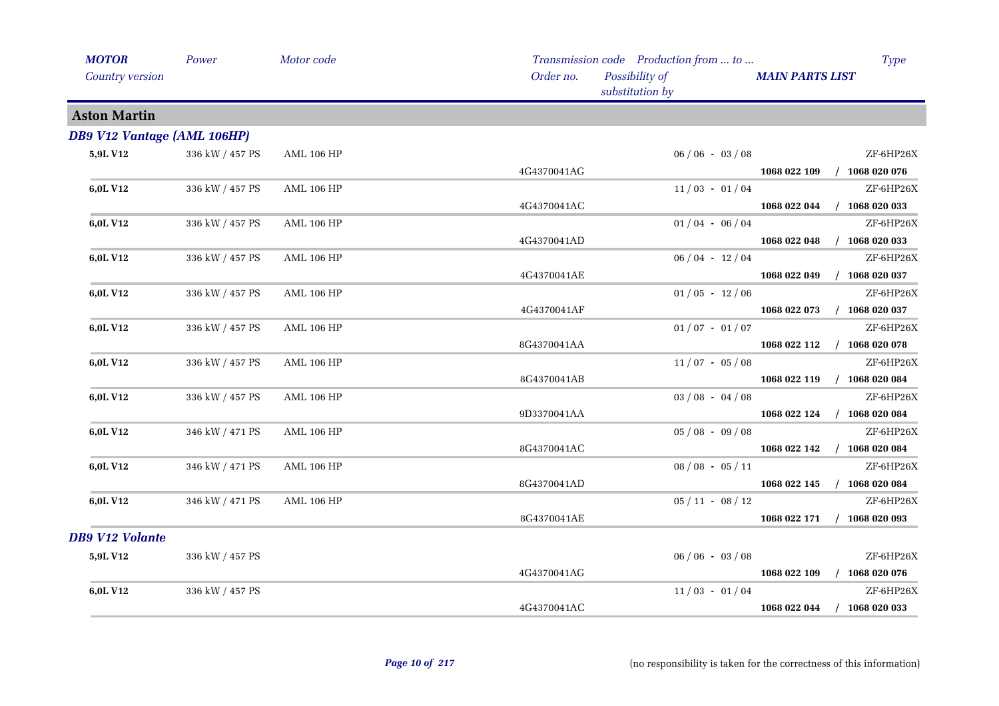| <b>MOTOR</b>                       | Power           | Motor code        |             | Transmission code Production from  to |                        | <b>Type</b>                 |
|------------------------------------|-----------------|-------------------|-------------|---------------------------------------|------------------------|-----------------------------|
| Country version                    |                 |                   | Order no.   | Possibility of<br>substitution by     | <b>MAIN PARTS LIST</b> |                             |
| <b>Aston Martin</b>                |                 |                   |             |                                       |                        |                             |
| <b>DB9 V12 Vantage (AML 106HP)</b> |                 |                   |             |                                       |                        |                             |
| 5,9L V12                           | 336 kW / 457 PS | <b>AML 106 HP</b> |             | $06/06 - 03/08$                       |                        | ZF-6HP26X                   |
|                                    |                 |                   | 4G4370041AG |                                       | 1068 022 109           | $/$ 1068 020 076            |
| 6,0L V12                           | 336 kW / 457 PS | <b>AML 106 HP</b> |             | $11/03 - 01/04$                       |                        | ZF-6HP26X                   |
|                                    |                 |                   | 4G4370041AC |                                       | 1068 022 044           | $/$ 1068 020 033            |
| 6,0L V12                           | 336 kW / 457 PS | <b>AML 106 HP</b> |             | $01/04 - 06/04$                       |                        | ZF-6HP26X                   |
|                                    |                 |                   | 4G4370041AD |                                       | 1068 022 048           | $/$ 1068 020 033            |
| 6,0L V12                           | 336 kW / 457 PS | <b>AML 106 HP</b> |             | $06/04 - 12/04$                       |                        | ZF-6HP26X                   |
|                                    |                 |                   | 4G4370041AE |                                       | 1068 022 049           | $/$ 1068 020 037            |
| 6,0L V12                           | 336 kW / 457 PS | <b>AML 106 HP</b> |             | $01/05 - 12/06$                       |                        | ZF-6HP26X                   |
|                                    |                 |                   | 4G4370041AF |                                       | 1068 022 073           | $/$ 1068 020 037            |
| 6,0L V12                           | 336 kW / 457 PS | <b>AML 106 HP</b> |             | $01/07 - 01/07$                       |                        | ZF-6HP26X                   |
|                                    |                 |                   | 8G4370041AA |                                       |                        | 1068 022 112 / 1068 020 078 |
| 6,0L V12                           | 336 kW / 457 PS | <b>AML 106 HP</b> |             | $11/07 - 05/08$                       |                        | ZF-6HP26X                   |
|                                    |                 |                   | 8G4370041AB |                                       |                        | 1068 022 119 / 1068 020 084 |
| 6,0L V12                           | 336 kW / 457 PS | <b>AML 106 HP</b> |             | $03 / 08 - 04 / 08$                   |                        | ZF-6HP26X                   |
|                                    |                 |                   | 9D3370041AA |                                       |                        | 1068 022 124 / 1068 020 084 |
| 6,0L V12                           | 346 kW / 471 PS | <b>AML 106 HP</b> |             | $05/08 - 09/08$                       |                        | ZF-6HP26X                   |
|                                    |                 |                   | 8G4370041AC |                                       | 1068 022 142           | $/$ 1068 020 084            |
| 6,0L V12                           | 346 kW / 471 PS | <b>AML 106 HP</b> |             | $08 / 08 - 05 / 11$                   |                        | ZF-6HP26X                   |
|                                    |                 |                   | 8G4370041AD |                                       | 1068 022 145           | $/$ 1068 020 084            |
| 6,0L V12                           | 346 kW / 471 PS | <b>AML 106 HP</b> |             | $05/11 - 08/12$                       |                        | ZF-6HP26X                   |
|                                    |                 |                   | 8G4370041AE |                                       | 1068 022 171           | $/$ 1068 020 093            |
| <b>DB9 V12 Volante</b>             |                 |                   |             |                                       |                        |                             |
| 5,9L V12                           | 336 kW / 457 PS |                   |             | $06/06 - 03/08$                       |                        | ZF-6HP26X                   |
|                                    |                 |                   | 4G4370041AG |                                       | 1068 022 109           | $/$ 1068 020 076            |
| 6,0L V12                           | 336 kW / 457 PS |                   |             | $11/03 - 01/04$                       |                        | ZF-6HP26X                   |
|                                    |                 |                   | 4G4370041AC |                                       | 1068 022 044           | $/$ 1068 020 033            |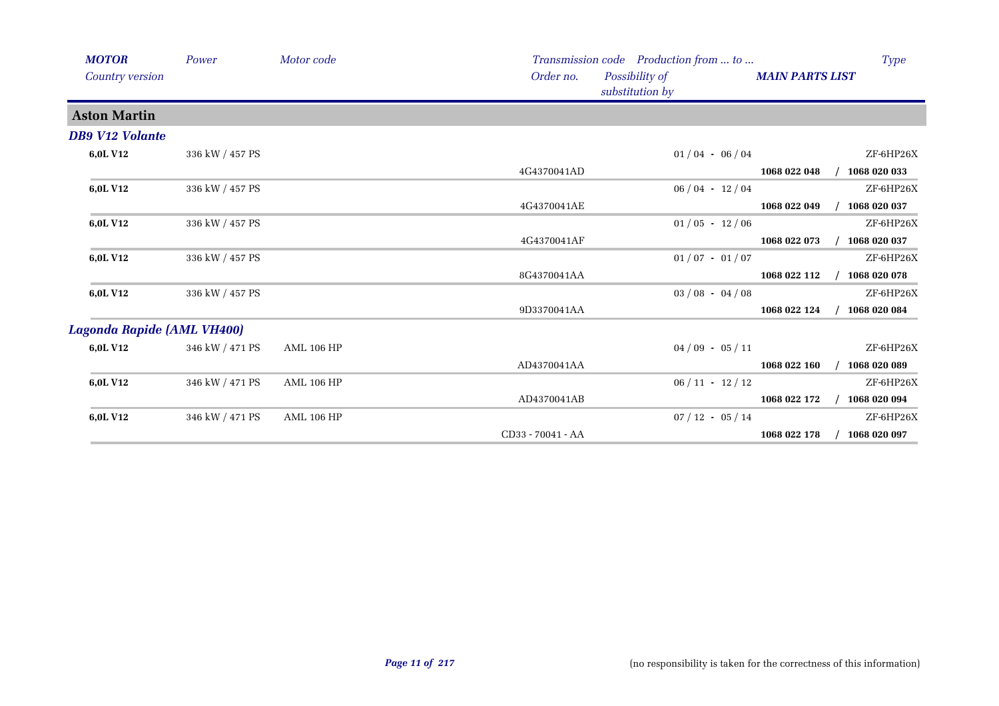| <b>MOTOR</b>               | Power           | Motor code        |                   | Transmission code Production from  to |                     |                        | <b>Type</b>  |
|----------------------------|-----------------|-------------------|-------------------|---------------------------------------|---------------------|------------------------|--------------|
| Country version            |                 |                   | Order no.         | Possibility of<br>substitution by     |                     | <b>MAIN PARTS LIST</b> |              |
| <b>Aston Martin</b>        |                 |                   |                   |                                       |                     |                        |              |
| <b>DB9 V12 Volante</b>     |                 |                   |                   |                                       |                     |                        |              |
| 6,0L V12                   | 336 kW / 457 PS |                   |                   |                                       | $01/04 - 06/04$     |                        | ZF-6HP26X    |
|                            |                 |                   | 4G4370041AD       |                                       |                     | 1068 022 048           | 1068 020 033 |
| 6,0L V12                   | 336 kW / 457 PS |                   |                   |                                       | $06/04 - 12/04$     |                        | ZF-6HP26X    |
|                            |                 |                   | 4G4370041AE       |                                       |                     | 1068 022 049           | 1068 020 037 |
| 6,0L V12                   | 336 kW / 457 PS |                   |                   |                                       | $01/05 - 12/06$     |                        | ZF-6HP26X    |
|                            |                 |                   | 4G4370041AF       |                                       |                     | 1068 022 073           | 1068 020 037 |
| 6,0L V12                   | 336 kW / 457 PS |                   |                   |                                       | $01/07 - 01/07$     |                        | ZF-6HP26X    |
|                            |                 |                   | 8G4370041AA       |                                       |                     | 1068 022 112           | 1068 020 078 |
| 6,0L V12                   | 336 kW / 457 PS |                   |                   |                                       | $03/08 - 04/08$     |                        | ZF-6HP26X    |
|                            |                 |                   | 9D3370041AA       |                                       |                     | 1068 022 124           | 1068 020 084 |
| Lagonda Rapide (AML VH400) |                 |                   |                   |                                       |                     |                        |              |
| 6,0L V12                   | 346 kW / 471 PS | <b>AML 106 HP</b> |                   |                                       | $04/09 - 05/11$     |                        | ZF-6HP26X    |
|                            |                 |                   | AD4370041AA       |                                       |                     | 1068 022 160           | 1068 020 089 |
| 6,0L V12                   | 346 kW / 471 PS | <b>AML 106 HP</b> |                   |                                       | $06 / 11 - 12 / 12$ |                        | ZF-6HP26X    |
|                            |                 |                   | AD4370041AB       |                                       |                     | 1068 022 172           | 1068 020 094 |
| 6,0L V12                   | 346 kW / 471 PS | <b>AML 106 HP</b> |                   |                                       | $07/12 - 05/14$     |                        | ZF-6HP26X    |
|                            |                 |                   | CD33 - 70041 - AA |                                       |                     | 1068 022 178           | 1068 020 097 |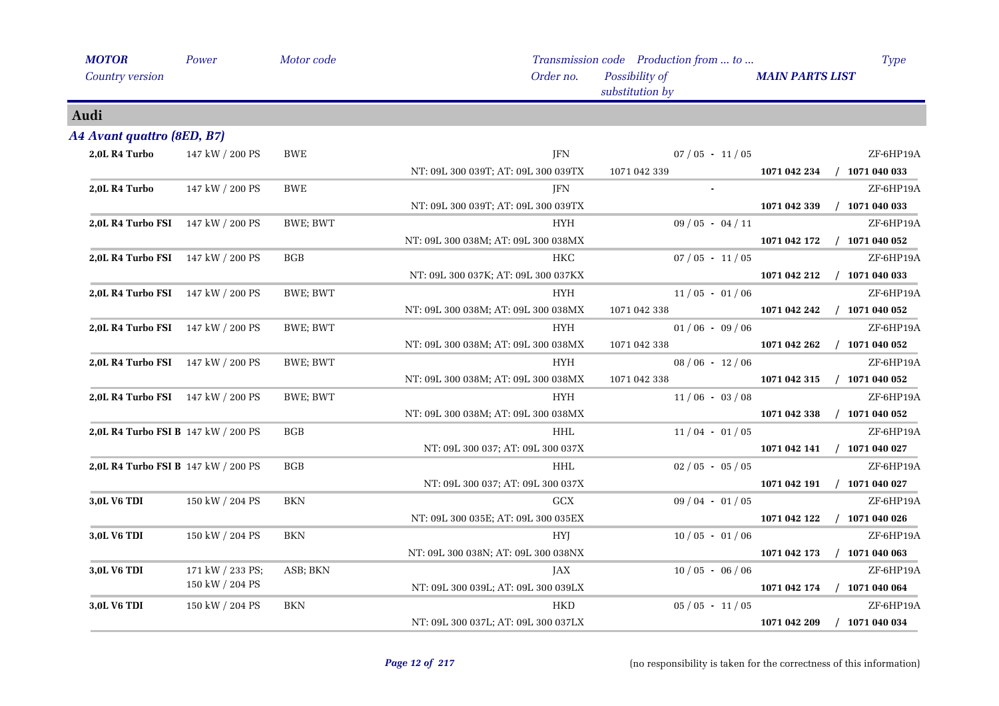| <b>MOTOR</b>                             | Power            | Motor code   |                                     | Transmission code Production from  to |                        | Type                        |
|------------------------------------------|------------------|--------------|-------------------------------------|---------------------------------------|------------------------|-----------------------------|
| <b>Country version</b>                   |                  |              | Order no.                           | Possibility of<br>substitution by     | <b>MAIN PARTS LIST</b> |                             |
| Audi                                     |                  |              |                                     |                                       |                        |                             |
| A4 Avant quattro (8ED, B7)               |                  |              |                                     |                                       |                        |                             |
| 2,0L R4 Turbo                            | 147 kW / 200 PS  | BWE          | JFN                                 | $07/05 - 11/05$                       |                        | ZF-6HP19A                   |
|                                          |                  |              | NT: 09L 300 039T; AT: 09L 300 039TX | 1071 042 339                          | 1071 042 234           | $/$ 1071 040 033            |
| 2,0L R4 Turbo                            | 147 kW / 200 PS  | <b>BWE</b>   | <b>JFN</b>                          |                                       |                        | ZF-6HP19A                   |
|                                          |                  |              | NT: 09L 300 039T; AT: 09L 300 039TX |                                       | 1071 042 339           | $/$ 1071 040 033            |
| <b>2,0L R4 Turbo FSI</b> 147 kW / 200 PS |                  | BWE; BWT     | HYH                                 | $09/05 - 04/11$                       |                        | ZF-6HP19A                   |
|                                          |                  |              | NT: 09L 300 038M; AT: 09L 300 038MX |                                       | 1071 042 172           | $/$ 1071 040 052            |
| 2,0L R4 Turbo FSI 147 kW / 200 PS        |                  | $_{\rm BGB}$ | HKC                                 | $07/05 - 11/05$                       |                        | ZF-6HP19A                   |
|                                          |                  |              | NT: 09L 300 037K; AT: 09L 300 037KX |                                       | 1071 042 212           | $/$ 1071 040 033            |
| 2,0L R4 Turbo FSI 147 kW / 200 PS        |                  | BWE; BWT     | <b>HYH</b>                          | $11/05 - 01/06$                       |                        | ZF-6HP19A                   |
|                                          |                  |              | NT: 09L 300 038M; AT: 09L 300 038MX | 1071 042 338                          | 1071 042 242           | $/$ 1071 040 052            |
| 2,0L R4 Turbo FSI 147 kW / 200 PS        |                  | BWE; BWT     | <b>HYH</b>                          | $01/06 - 09/06$                       |                        | ZF-6HP19A                   |
|                                          |                  |              | NT: 09L 300 038M; AT: 09L 300 038MX | 1071 042 338                          | 1071 042 262           | $/$ 1071 040 052            |
| 2,0L R4 Turbo FSI 147 kW / 200 PS        |                  | BWE; BWT     | HYH                                 | $08/06 - 12/06$                       |                        | ZF-6HP19A                   |
|                                          |                  |              | NT: 09L 300 038M; AT: 09L 300 038MX | 1071 042 338                          | 1071 042 315           | $/$ 1071 040 052            |
| 2,0L R4 Turbo FSI 147 kW / 200 PS        |                  | BWE; BWT     | <b>HYH</b>                          | $11/06 - 03/08$                       |                        | ZF-6HP19A                   |
|                                          |                  |              | NT: 09L 300 038M; AT: 09L 300 038MX |                                       | 1071 042 338           | $/$ 1071 040 052            |
| 2,0L R4 Turbo FSI B 147 kW / 200 PS      |                  | <b>BGB</b>   | HHL                                 | $11/04 - 01/05$                       |                        | ZF-6HP19A                   |
|                                          |                  |              | NT: 09L 300 037; AT: 09L 300 037X   |                                       |                        | 1071 042 141 / 1071 040 027 |
| 2,0L R4 Turbo FSI B 147 kW / 200 PS      |                  | <b>BGB</b>   | <b>HHL</b>                          | $02/05 - 05/05$                       |                        | ZF-6HP19A                   |
|                                          |                  |              | NT: 09L 300 037; AT: 09L 300 037X   |                                       | 1071 042 191           | $/$ 1071 040 027            |
| <b>3,0L V6 TDI</b>                       | 150 kW / 204 PS  | <b>BKN</b>   | <b>GCX</b>                          | $09/04 - 01/05$                       |                        | ZF-6HP19A                   |
|                                          |                  |              | NT: 09L 300 035E; AT: 09L 300 035EX |                                       | 1071 042 122           | $/$ 1071 040 026            |
| 3,0L V6 TDI                              | 150 kW / 204 PS  | <b>BKN</b>   | <b>HYJ</b>                          | $10/05 - 01/06$                       |                        | ZF-6HP19A                   |
|                                          |                  |              | NT: 09L 300 038N; AT: 09L 300 038NX |                                       | 1071 042 173           | $/$ 1071 040 063            |
| 3,0L V6 TDI                              | 171 kW / 233 PS; | ASB; BKN     | JAX                                 | $10/05 - 06/06$                       |                        | ZF-6HP19A                   |
|                                          | 150 kW / 204 PS  |              | NT: 09L 300 039L; AT: 09L 300 039LX |                                       |                        | 1071 042 174 / 1071 040 064 |
| 3,0L V6 TDI                              | 150 kW / 204 PS  | ${\rm BKN}$  | HKD                                 | $05/05 - 11/05$                       |                        | ZF-6HP19A                   |
|                                          |                  |              | NT: 09L 300 037L; AT: 09L 300 037LX |                                       | 1071 042 209           | $/$ 1071 040 034            |
|                                          |                  |              |                                     |                                       |                        |                             |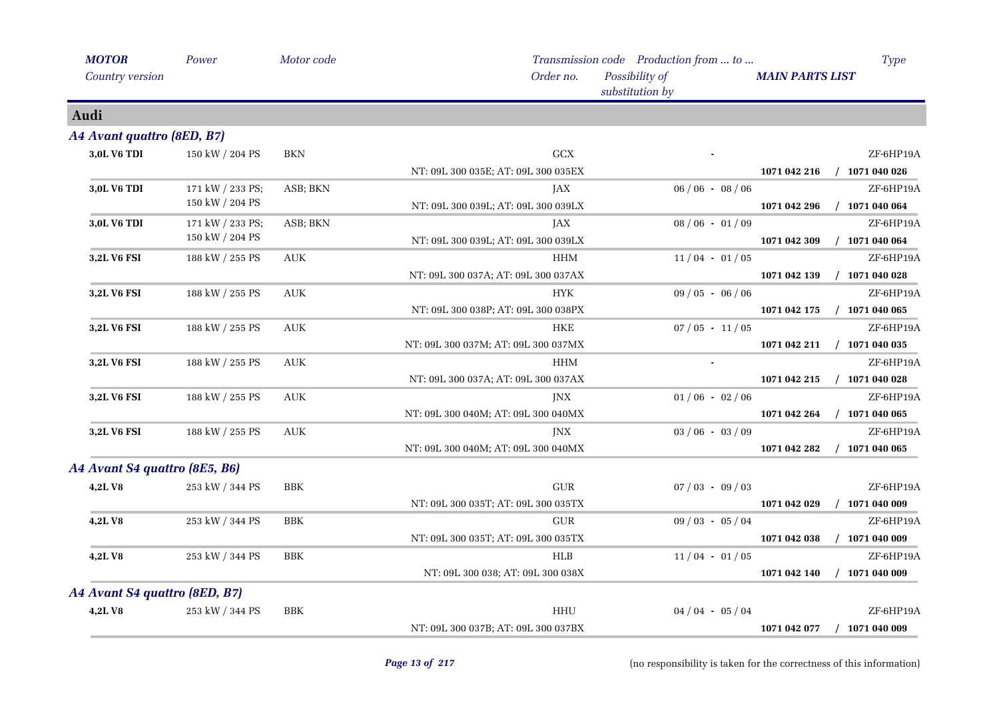| <b>MOTOR</b>                  | Power            | Motor code                       |                                     | Transmission code Production from  to | <b>Type</b>                      |
|-------------------------------|------------------|----------------------------------|-------------------------------------|---------------------------------------|----------------------------------|
| Country version               |                  |                                  | Order no.                           | Possibility of<br>substitution by     | <b>MAIN PARTS LIST</b>           |
| Audi                          |                  |                                  |                                     |                                       |                                  |
| A4 Avant quattro (8ED, B7)    |                  |                                  |                                     |                                       |                                  |
| 3,0L V6 TDI                   | 150 kW / 204 PS  | BKN                              | GCX                                 |                                       | ZF-6HP19A                        |
|                               |                  |                                  | NT: 09L 300 035E; AT: 09L 300 035EX |                                       | $/$ 1071 040 026<br>1071 042 216 |
| 3,0L V6 TDI                   | 171 kW / 233 PS; | ASB; BKN                         | JAX                                 | $06 / 06 - 08 / 06$                   | ZF-6HP19A                        |
|                               | 150 kW / 204 PS  |                                  | NT: 09L 300 039L; AT: 09L 300 039LX |                                       | $/$ 1071 040 064<br>1071 042 296 |
| 3,0L V6 TDI                   | 171 kW / 233 PS; | ASB; BKN                         | JAX                                 | $08/06 - 01/09$                       | ZF-6HP19A                        |
|                               | 150 kW / 204 PS  |                                  | NT: 09L 300 039L; AT: 09L 300 039LX |                                       | $/$ 1071 040 064<br>1071 042 309 |
| 3,2L V6 FSI                   | 188 kW / 255 PS  | $\mathbf{A}\mathbf{U}\mathbf{K}$ | $\rm HHM$                           | $11/04 - 01/05$                       | ZF-6HP19A                        |
|                               |                  |                                  | NT: 09L 300 037A; AT: 09L 300 037AX |                                       | 1071 042 139<br>$/$ 1071 040 028 |
| 3,2L V6 FSI                   | 188 kW / 255 PS  | <b>AUK</b>                       | <b>HYK</b>                          | $09/05 - 06/06$                       | ZF-6HP19A                        |
|                               |                  |                                  | NT: 09L 300 038P; AT: 09L 300 038PX |                                       | $/$ 1071 040 065<br>1071 042 175 |
| <b>3,2L V6 FSI</b>            | 188 kW / 255 PS  | <b>AUK</b>                       | HKE                                 | $07/05 - 11/05$                       | ZF-6HP19A                        |
|                               |                  |                                  | NT: 09L 300 037M; AT: 09L 300 037MX |                                       | $/$ 1071 040 035<br>1071 042 211 |
| 3,2L V6 FSI                   | 188 kW / 255 PS  | <b>AUK</b>                       | <b>HHM</b>                          |                                       | ZF-6HP19A                        |
|                               |                  |                                  | NT: 09L 300 037A; AT: 09L 300 037AX |                                       | $/$ 1071 040 028<br>1071 042 215 |
| 3,2L V6 FSI                   | 188 kW / 255 PS  | <b>AUK</b>                       | JNX                                 | $01/06 - 02/06$                       | ZF-6HP19A                        |
|                               |                  |                                  | NT: 09L 300 040M; AT: 09L 300 040MX |                                       | 1071 042 264<br>$/$ 1071 040 065 |
| 3,2L V6 FSI                   | 188 kW / 255 PS  | <b>AUK</b>                       | <b>JNX</b>                          | $03/06 - 03/09$                       | ZF-6HP19A                        |
|                               |                  |                                  | NT: 09L 300 040M; AT: 09L 300 040MX |                                       | $/$ 1071 040 065<br>1071 042 282 |
| A4 Avant S4 quattro (8E5, B6) |                  |                                  |                                     |                                       |                                  |
| 4,2LV8                        | 253 kW / 344 PS  | BBK                              | <b>GUR</b>                          | $07/03 - 09/03$                       | ZF-6HP19A                        |
|                               |                  |                                  | NT: 09L 300 035T; AT: 09L 300 035TX |                                       | $/$ 1071 040 009<br>1071 042 029 |
| 4,2LV8                        | 253 kW / 344 PS  | <b>BBK</b>                       | <b>GUR</b>                          | $09/03 - 05/04$                       | ZF-6HP19A                        |
|                               |                  |                                  | NT: 09L 300 035T; AT: 09L 300 035TX |                                       | $/$ 1071 040 009<br>1071 042 038 |
| 4,2LV8                        | 253 kW / 344 PS  | <b>BBK</b>                       | <b>HLB</b>                          | $11/04 - 01/05$                       | ZF-6HP19A                        |
|                               |                  |                                  | NT: 09L 300 038; AT: 09L 300 038X   |                                       | $/$ 1071 040 009<br>1071 042 140 |
| A4 Avant S4 quattro (8ED, B7) |                  |                                  |                                     |                                       |                                  |
| 4,2LV8                        | 253 kW / 344 PS  | $_{\rm BBK}$                     | <b>HHU</b>                          | $04/04 - 05/04$                       | ZF-6HP19A                        |
|                               |                  |                                  | NT: 09L 300 037B; AT: 09L 300 037BX |                                       | $/$ 1071 040 009<br>1071 042 077 |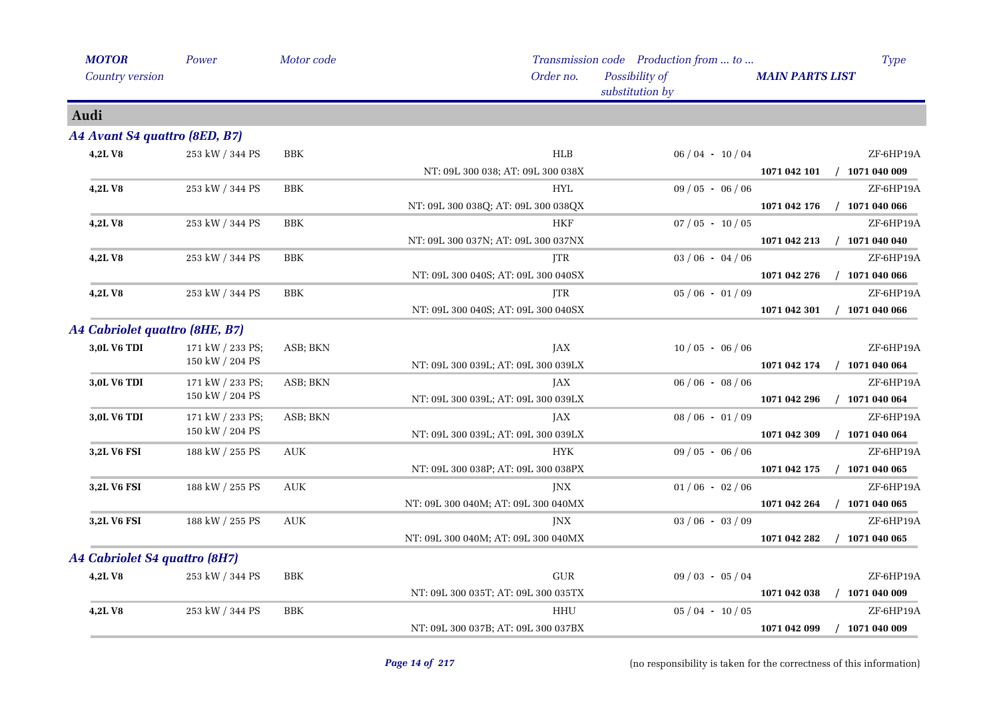| <b>MOTOR</b>                   | Power            | Motor code   |                                     | Transmission code Production from  to | <b>Type</b>                      |            |                 |           |
|--------------------------------|------------------|--------------|-------------------------------------|---------------------------------------|----------------------------------|------------|-----------------|-----------|
| Country version                |                  |              | Order no.                           | Possibility of<br>substitution by     | <b>MAIN PARTS LIST</b>           |            |                 |           |
| Audi                           |                  |              |                                     |                                       |                                  |            |                 |           |
| A4 Avant S4 quattro (8ED, B7)  |                  |              |                                     |                                       |                                  |            |                 |           |
| 4,2LV8                         | 253 kW / 344 PS  | $_{\rm BBK}$ | <b>HLB</b>                          | $06/04 - 10/04$                       | ZF-6HP19A                        |            |                 |           |
|                                |                  |              | NT: 09L 300 038; AT: 09L 300 038X   |                                       | $/$ 1071 040 009<br>1071 042 101 |            |                 |           |
| 4,2LV8                         | 253 kW / 344 PS  | <b>BBK</b>   | <b>HYL</b>                          | $09/05 - 06/06$                       | ZF-6HP19A                        |            |                 |           |
|                                |                  |              | NT: 09L 300 038Q; AT: 09L 300 038QX |                                       | $/$ 1071 040 066<br>1071 042 176 |            |                 |           |
| 4,2LV8                         | 253 kW / 344 PS  | <b>BBK</b>   | HKF                                 | $07/05 - 10/05$                       | ZF-6HP19A                        |            |                 |           |
|                                |                  |              | NT: 09L 300 037N; AT: 09L 300 037NX |                                       | $/$ 1071 040 040<br>1071 042 213 |            |                 |           |
| 4,2LV8                         | 253 kW / 344 PS  | <b>BBK</b>   | JTR                                 | $03/06 - 04/06$                       | ZF-6HP19A                        |            |                 |           |
|                                |                  |              | NT: 09L 300 040S; AT: 09L 300 040SX |                                       | 1071 042 276<br>$/$ 1071 040 066 |            |                 |           |
| 4,2LV8                         | 253 kW / 344 PS  |              |                                     |                                       | <b>BBK</b>                       | <b>JTR</b> | $05/06 - 01/09$ | ZF-6HP19A |
|                                |                  |              | NT: 09L 300 040S; AT: 09L 300 040SX |                                       | $/$ 1071 040 066<br>1071 042 301 |            |                 |           |
| A4 Cabriolet quattro (8HE, B7) |                  |              |                                     |                                       |                                  |            |                 |           |
| 3,0L V6 TDI                    | 171 kW / 233 PS; | ASB; BKN     | JAX                                 | $10/05 - 06/06$                       | ZF-6HP19A                        |            |                 |           |
|                                | 150 kW / 204 PS  |              | NT: 09L 300 039L; AT: 09L 300 039LX |                                       | $/$ 1071 040 064<br>1071 042 174 |            |                 |           |
| 3,0L V6 TDI                    | 171 kW / 233 PS; |              | ASB; BKN                            | JAX                                   | $06 / 06 - 08 / 06$              | ZF-6HP19A  |                 |           |
|                                | 150 kW / 204 PS  |              | NT: 09L 300 039L; AT: 09L 300 039LX |                                       | $/$ 1071 040 064<br>1071 042 296 |            |                 |           |
| 3,0L V6 TDI                    | 171 kW / 233 PS; |              | ASB; BKN                            | JAX                                   | $08/06 - 01/09$                  | ZF-6HP19A  |                 |           |
|                                | 150 kW / 204 PS  |              | NT: 09L 300 039L; AT: 09L 300 039LX |                                       | $/$ 1071 040 064<br>1071 042 309 |            |                 |           |
| 3,2L V6 FSI                    | 188 kW / 255 PS  | <b>AUK</b>   | <b>HYK</b>                          | $09/05 - 06/06$                       | ZF-6HP19A                        |            |                 |           |
|                                |                  |              | NT: 09L 300 038P; AT: 09L 300 038PX |                                       | 1071 042 175<br>$/$ 1071 040 065 |            |                 |           |
| 3,2L V6 FSI                    | 188 kW / 255 PS  | <b>AUK</b>   | <b>JNX</b>                          | $01/06 - 02/06$                       | ZF-6HP19A                        |            |                 |           |
|                                |                  |              | NT: 09L 300 040M; AT: 09L 300 040MX |                                       | $/$ 1071 040 065<br>1071 042 264 |            |                 |           |
| 3,2L V6 FSI                    | 188 kW / 255 PS  | <b>AUK</b>   | JNX                                 | $03/06 - 03/09$                       | ZF-6HP19A                        |            |                 |           |
|                                |                  |              | NT: 09L 300 040M; AT: 09L 300 040MX |                                       | 1071 042 282<br>$/$ 1071 040 065 |            |                 |           |
| A4 Cabriolet S4 quattro (8H7)  |                  |              |                                     |                                       |                                  |            |                 |           |
| 4,2LV8                         | 253 kW / 344 PS  | <b>BBK</b>   | ${\rm GUR}$                         | $09/03 - 05/04$                       | ZF-6HP19A                        |            |                 |           |
|                                |                  |              | NT: 09L 300 035T; AT: 09L 300 035TX |                                       | $/$ 1071 040 009<br>1071 042 038 |            |                 |           |
| 4,2LV8                         | 253 kW / 344 PS  | $_{\rm BBK}$ | HHU                                 | $05/04 - 10/05$                       | ZF-6HP19A                        |            |                 |           |
|                                |                  |              | NT: 09L 300 037B; AT: 09L 300 037BX |                                       | 1071 042 099<br>$/$ 1071 040 009 |            |                 |           |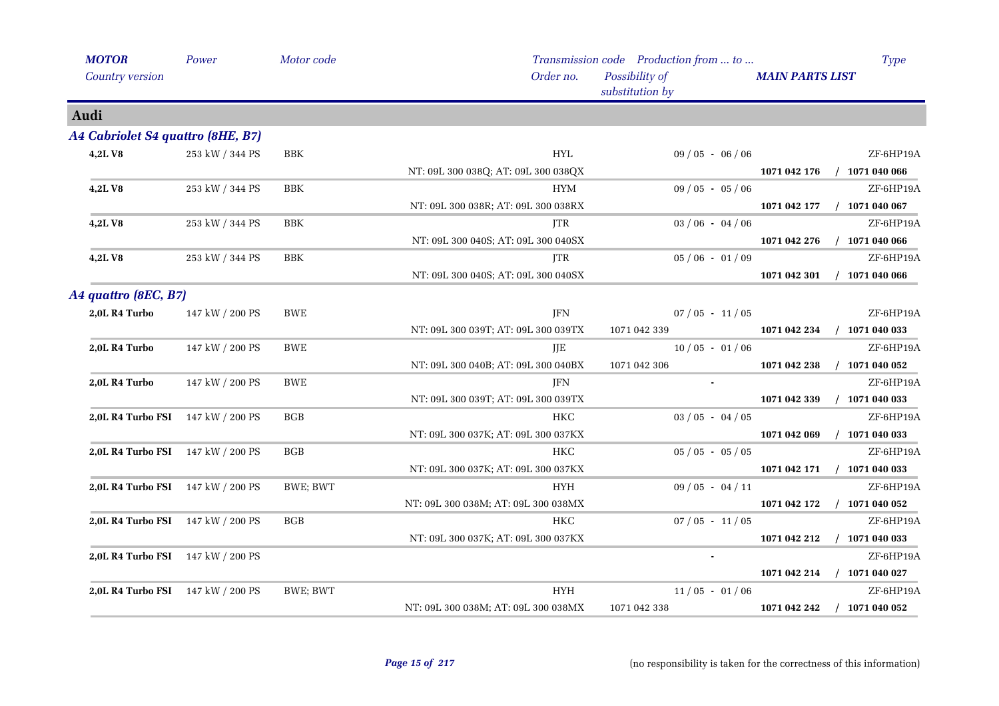| <b>MOTOR</b>                      | Power                             | Motor code |                                     | Transmission code Production from  to | Type                             |
|-----------------------------------|-----------------------------------|------------|-------------------------------------|---------------------------------------|----------------------------------|
| Country version                   |                                   |            | Order no.                           | Possibility of<br>substitution by     | <b>MAIN PARTS LIST</b>           |
| Audi                              |                                   |            |                                     |                                       |                                  |
| A4 Cabriolet S4 quattro (8HE, B7) |                                   |            |                                     |                                       |                                  |
| 4,2LV8                            | 253 kW / 344 PS                   | <b>BBK</b> | HYL                                 | $09/05 - 06/06$                       | ZF-6HP19A                        |
|                                   |                                   |            | NT: 09L 300 038Q; AT: 09L 300 038QX |                                       | $/$ 1071 040 066<br>1071 042 176 |
| 4,2LV8                            | 253 kW / 344 PS                   | <b>BBK</b> | <b>HYM</b>                          | $09/05 - 05/06$                       | ZF-6HP19A                        |
|                                   |                                   |            | NT: 09L 300 038R; AT: 09L 300 038RX |                                       | $/$ 1071 040 067<br>1071 042 177 |
| 4,2LV8                            | 253 kW / 344 PS                   | <b>BBK</b> | <b>ITR</b>                          | $03/06 - 04/06$                       | ZF-6HP19A                        |
|                                   |                                   |            | NT: 09L 300 040S; AT: 09L 300 040SX |                                       | 1071 042 276<br>$/$ 1071 040 066 |
| 4,2LV8                            | 253 kW / 344 PS                   | <b>BBK</b> | <b>JTR</b>                          | $05/06 - 01/09$                       | ZF-6HP19A                        |
|                                   |                                   |            | NT: 09L 300 040S; AT: 09L 300 040SX |                                       | $/$ 1071 040 066<br>1071 042 301 |
| A4 quattro (8EC, B7)              |                                   |            |                                     |                                       |                                  |
| 2,0L R4 Turbo                     | 147 kW / 200 PS                   | BWE        | JFN                                 | $07/05 - 11/05$                       | ZF-6HP19A                        |
|                                   |                                   |            | NT: 09L 300 039T; AT: 09L 300 039TX | 1071 042 339                          | $/$ 1071 040 033<br>1071 042 234 |
| 2,0L R4 Turbo                     | 147 kW / 200 PS                   | <b>BWE</b> | JJE                                 | $10/05 - 01/06$                       | ZF-6HP19A                        |
|                                   |                                   |            | NT: 09L 300 040B; AT: 09L 300 040BX | 1071 042 306                          | $/$ 1071 040 052<br>1071 042 238 |
| 2,0L R4 Turbo                     | 147 kW / 200 PS                   | <b>BWE</b> | JFN                                 |                                       | ZF-6HP19A                        |
|                                   |                                   |            | NT: 09L 300 039T; AT: 09L 300 039TX |                                       | $/$ 1071 040 033<br>1071 042 339 |
|                                   | 2,0L R4 Turbo FSI 147 kW / 200 PS | BGB        | HKC                                 | $03/05 - 04/05$                       | ZF-6HP19A                        |
|                                   |                                   |            | NT: 09L 300 037K; AT: 09L 300 037KX |                                       | 1071 042 069<br>$/$ 1071 040 033 |
|                                   | 2,0L R4 Turbo FSI 147 kW / 200 PS | BGB        | HKC                                 | $05/05 - 05/05$                       | ZF-6HP19A                        |
|                                   |                                   |            | NT: 09L 300 037K; AT: 09L 300 037KX |                                       | 1071 042 171 / 1071 040 033      |
|                                   | 2,0L R4 Turbo FSI 147 kW / 200 PS | BWE; BWT   | <b>HYH</b>                          | $09/05 - 04/11$                       | ZF-6HP19A                        |
|                                   |                                   |            | NT: 09L 300 038M; AT: 09L 300 038MX |                                       | $/$ 1071 040 052<br>1071 042 172 |
|                                   | 2,0L R4 Turbo FSI 147 kW / 200 PS | <b>BGB</b> | HKC                                 | $07/05 - 11/05$                       | ZF-6HP19A                        |
|                                   |                                   |            | NT: 09L 300 037K; AT: 09L 300 037KX |                                       | $/$ 1071 040 033<br>1071 042 212 |
|                                   | 2,0L R4 Turbo FSI 147 kW / 200 PS |            |                                     |                                       | ZF-6HP19A                        |
|                                   |                                   |            |                                     |                                       | 1071 042 214<br>$/$ 1071 040 027 |
|                                   | 2,0L R4 Turbo FSI 147 kW / 200 PS | BWE; BWT   | <b>HYH</b>                          | $11/05 - 01/06$                       | ZF-6HP19A                        |
|                                   |                                   |            | NT: 09L 300 038M; AT: 09L 300 038MX | 1071 042 338                          | 1071 042 242<br>$/$ 1071 040 052 |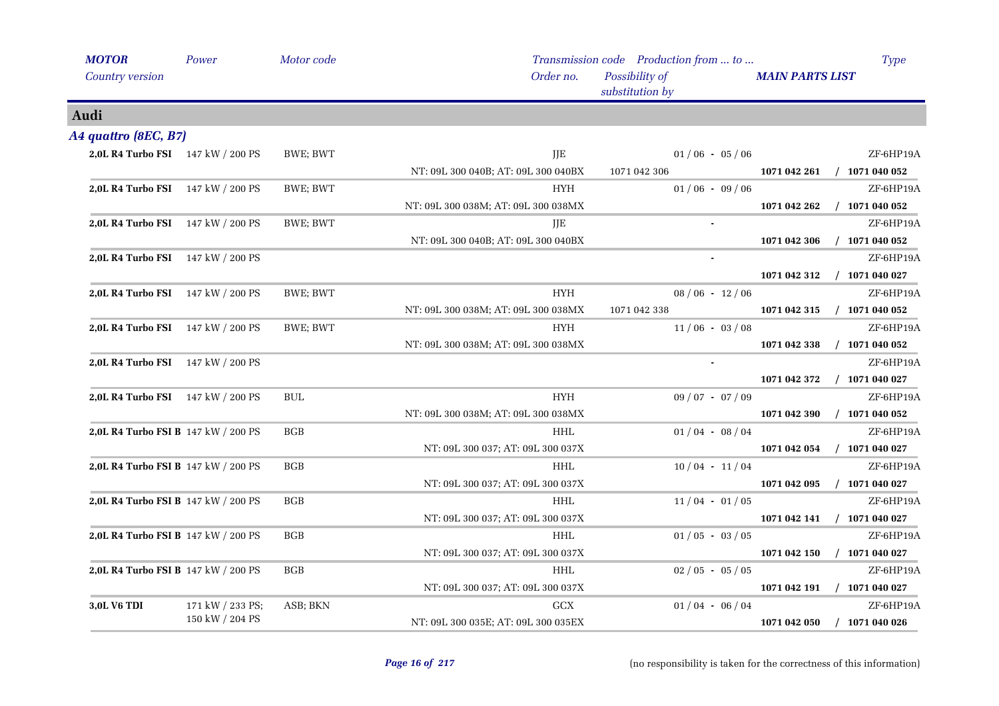| <b>MOTOR</b>                             | Power            | Motor code |                                     | Transmission code Production from  to | <b>Type</b>                      |
|------------------------------------------|------------------|------------|-------------------------------------|---------------------------------------|----------------------------------|
| Country version                          |                  |            | Order no.                           | Possibility of<br>substitution by     | <b>MAIN PARTS LIST</b>           |
| Audi                                     |                  |            |                                     |                                       |                                  |
| A4 quattro (8EC, B7)                     |                  |            |                                     |                                       |                                  |
| 2,0L R4 Turbo FSI 147 kW / 200 PS        |                  | BWE; BWT   | JJE                                 | $01/06 - 05/06$                       | ZF-6HP19A                        |
|                                          |                  |            | NT: 09L 300 040B; AT: 09L 300 040BX | 1071 042 306                          | $/$ 1071 040 052<br>1071 042 261 |
| <b>2,0L R4 Turbo FSI</b> 147 kW / 200 PS |                  | BWE; BWT   | <b>HYH</b>                          | $01/06 - 09/06$                       | ZF-6HP19A                        |
|                                          |                  |            | NT: 09L 300 038M; AT: 09L 300 038MX |                                       | 1071 042 262<br>$/$ 1071 040 052 |
| 2,0L R4 Turbo FSI 147 kW / 200 PS        |                  | BWE; BWT   | JJE                                 |                                       | ZF-6HP19A                        |
|                                          |                  |            | NT: 09L 300 040B; AT: 09L 300 040BX |                                       | $/$ 1071 040 052<br>1071 042 306 |
| 2,0L R4 Turbo FSI 147 kW / 200 PS        |                  |            |                                     |                                       | ZF-6HP19A                        |
|                                          |                  |            |                                     |                                       | 1071 042 312<br>$/$ 1071 040 027 |
| 2,0L R4 Turbo FSI 147 kW / 200 PS        |                  | BWE; BWT   | <b>HYH</b>                          | $08/06 - 12/06$                       | ZF-6HP19A                        |
|                                          |                  |            | NT: 09L 300 038M; AT: 09L 300 038MX | 1071 042 338                          | 1071 042 315<br>$/$ 1071 040 052 |
| 2,0L R4 Turbo FSI 147 kW / 200 PS        |                  | BWE; BWT   | <b>HYH</b>                          | $11/06 - 03/08$                       | ZF-6HP19A                        |
|                                          |                  |            | NT: 09L 300 038M; AT: 09L 300 038MX |                                       | $/$ 1071 040 052<br>1071 042 338 |
| <b>2,0L R4 Turbo FSI</b> 147 kW / 200 PS |                  |            |                                     |                                       | ZF-6HP19A                        |
|                                          |                  |            |                                     |                                       | $/$ 1071 040 027<br>1071 042 372 |
| 2,0L R4 Turbo FSI 147 kW / 200 PS        |                  | <b>BUL</b> | <b>HYH</b>                          | $09/07 - 07/09$                       | ZF-6HP19A                        |
|                                          |                  |            | NT: 09L 300 038M; AT: 09L 300 038MX |                                       | 1071 042 390<br>$/$ 1071 040 052 |
| 2,0L R4 Turbo FSI B 147 kW / 200 PS      |                  | <b>BGB</b> | <b>HHL</b>                          | $01/04 - 08/04$                       | ZF-6HP19A                        |
|                                          |                  |            | NT: 09L 300 037; AT: 09L 300 037X   |                                       | 1071 042 054<br>$/$ 1071 040 027 |
| 2,0L R4 Turbo FSI B 147 kW / 200 PS      |                  | <b>BGB</b> | <b>HHL</b>                          | $10/04 - 11/04$                       | ZF-6HP19A                        |
|                                          |                  |            | NT: 09L 300 037; AT: 09L 300 037X   |                                       | 1071 042 095<br>$/$ 1071 040 027 |
| 2,0L R4 Turbo FSI B 147 kW / 200 PS      |                  | BGB        | <b>HHL</b>                          | $11/04 - 01/05$                       | ZF-6HP19A                        |
|                                          |                  |            | NT: 09L 300 037; AT: 09L 300 037X   |                                       | $/$ 1071 040 027<br>1071 042 141 |
| 2,0L R4 Turbo FSI B 147 kW / 200 PS      |                  | <b>BGB</b> | <b>HHL</b>                          | $01/05 - 03/05$                       | ZF-6HP19A                        |
|                                          |                  |            | NT: 09L 300 037; AT: 09L 300 037X   |                                       | $/$ 1071 040 027<br>1071 042 150 |
| 2,0L R4 Turbo FSI B 147 kW / 200 PS      |                  | <b>BGB</b> | <b>HHL</b>                          | $02/05 - 05/05$                       | ZF-6HP19A                        |
|                                          |                  |            | NT: 09L 300 037; AT: 09L 300 037X   |                                       | 1071 042 191<br>$/$ 1071 040 027 |
| 3,0L V6 TDI                              | 171 kW / 233 PS; | ASB; BKN   | GCX                                 | $01/04 - 06/04$                       | ZF-6HP19A                        |
|                                          | 150 kW / 204 PS  |            | NT: 09L 300 035E; AT: 09L 300 035EX |                                       | 1071 042 050<br>$/$ 1071 040 026 |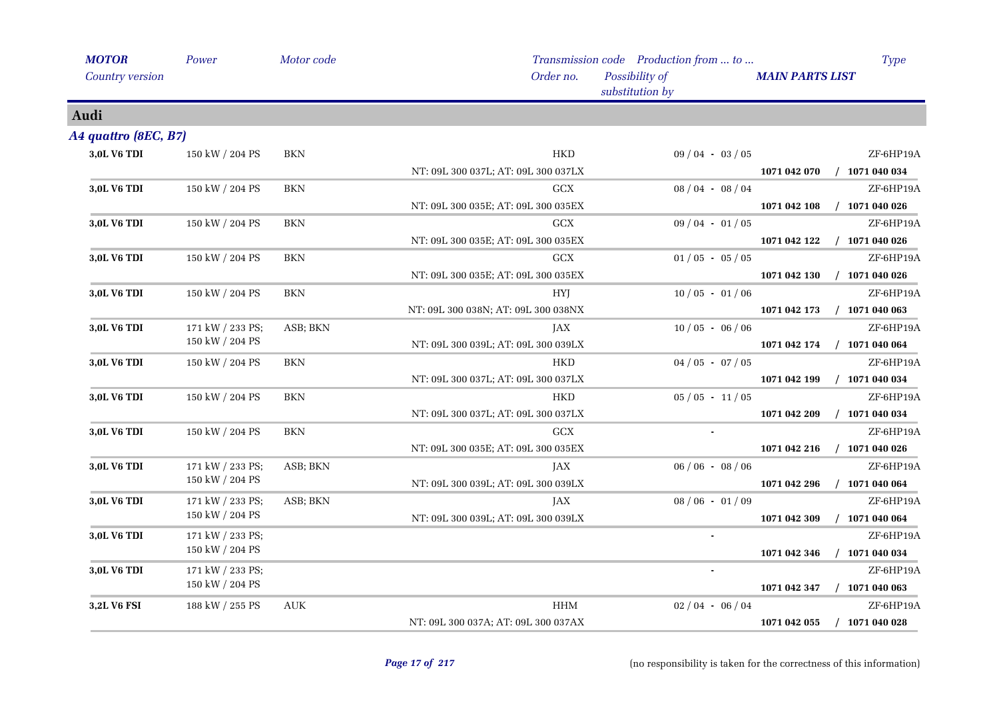| <b>MOTOR</b>           | Power            | Motor code |                                     | Transmission code Production from  to | Type                             |
|------------------------|------------------|------------|-------------------------------------|---------------------------------------|----------------------------------|
| <b>Country version</b> |                  |            | Order no.                           | Possibility of<br>substitution by     | <b>MAIN PARTS LIST</b>           |
| Audi                   |                  |            |                                     |                                       |                                  |
| A4 quattro (8EC, B7)   |                  |            |                                     |                                       |                                  |
| 3,0L V6 TDI            | 150 kW / 204 PS  | <b>BKN</b> | <b>HKD</b>                          | $09/04 - 03/05$                       | ZF-6HP19A                        |
|                        |                  |            | NT: 09L 300 037L; AT: 09L 300 037LX |                                       | 1071 042 070<br>$/$ 1071 040 034 |
| 3,0L V6 TDI            | 150 kW / 204 PS  | <b>BKN</b> | <b>GCX</b>                          | $08/04 - 08/04$                       | ZF-6HP19A                        |
|                        |                  |            | NT: 09L 300 035E; AT: 09L 300 035EX |                                       | $/$ 1071 040 026<br>1071 042 108 |
| 3,0L V6 TDI            | 150 kW / 204 PS  | <b>BKN</b> | <b>GCX</b>                          | $09/04 - 01/05$                       | ZF-6HP19A                        |
|                        |                  |            | NT: 09L 300 035E; AT: 09L 300 035EX |                                       | $/$ 1071 040 026<br>1071 042 122 |
| 3,0L V6 TDI            | 150 kW / 204 PS  | <b>BKN</b> | GCX                                 | $01/05 - 05/05$                       | ZF-6HP19A                        |
|                        |                  |            | NT: 09L 300 035E; AT: 09L 300 035EX |                                       | 1071 042 130<br>$/$ 1071 040 026 |
| 3,0L V6 TDI            | 150 kW / 204 PS  | BKN        | <b>HYI</b>                          | $10/05 - 01/06$                       | ZF-6HP19A                        |
|                        |                  |            | NT: 09L 300 038N; AT: 09L 300 038NX |                                       | 1071 042 173<br>$/$ 1071 040 063 |
| 3,0L V6 TDI            | 171 kW / 233 PS; | ASB; BKN   | JAX                                 | $10/05 - 06/06$                       | ZF-6HP19A                        |
|                        | 150 kW / 204 PS  |            | NT: 09L 300 039L; AT: 09L 300 039LX |                                       | $/$ 1071 040 064<br>1071 042 174 |
| 3,0L V6 TDI            | 150 kW / 204 PS  | BKN        | HKD                                 | $04/05 - 07/05$                       | ZF-6HP19A                        |
|                        |                  |            | NT: 09L 300 037L; AT: 09L 300 037LX |                                       | $/$ 1071 040 034<br>1071 042 199 |
| 3,0L V6 TDI            | 150 kW / 204 PS  | <b>BKN</b> | <b>HKD</b>                          | $05/05 - 11/05$                       | ZF-6HP19A                        |
|                        |                  |            | NT: 09L 300 037L; AT: 09L 300 037LX |                                       | $/$ 1071 040 034<br>1071 042 209 |
| 3,0L V6 TDI            | 150 kW / 204 PS  | <b>BKN</b> | <b>GCX</b>                          |                                       | ZF-6HP19A                        |
|                        |                  |            | NT: 09L 300 035E; AT: 09L 300 035EX |                                       | 1071 042 216<br>$/$ 1071 040 026 |
| 3,0L V6 TDI            | 171 kW / 233 PS; | ASB; BKN   | JAX                                 | $06/06 - 08/06$                       | ZF-6HP19A                        |
|                        | 150 kW / 204 PS  |            | NT: 09L 300 039L; AT: 09L 300 039LX |                                       | $/$ 1071 040 064<br>1071 042 296 |
| 3,0L V6 TDI            | 171 kW / 233 PS; | ASB; BKN   | JAX                                 | $08/06 - 01/09$                       | ZF-6HP19A                        |
|                        | 150 kW / 204 PS  |            | NT: 09L 300 039L; AT: 09L 300 039LX |                                       | 1071 042 309<br>$/$ 1071 040 064 |
| 3,0L V6 TDI            | 171 kW / 233 PS; |            |                                     | $\blacksquare$                        | ZF-6HP19A                        |
|                        | 150 kW / 204 PS  |            |                                     |                                       | 1071 042 346<br>$/$ 1071 040 034 |
| 3,0L V6 TDI            | 171 kW / 233 PS; |            |                                     |                                       | ZF-6HP19A                        |
|                        | 150 kW / 204 PS  |            |                                     |                                       | $/$ 1071 040 063<br>1071 042 347 |
| 3,2L V6 FSI            | 188 kW / 255 PS  | <b>AUK</b> | <b>HHM</b>                          | $02/04 - 06/04$                       | ZF-6HP19A                        |
|                        |                  |            | NT: 09L 300 037A; AT: 09L 300 037AX |                                       | 1071 042 055<br>$/$ 1071 040 028 |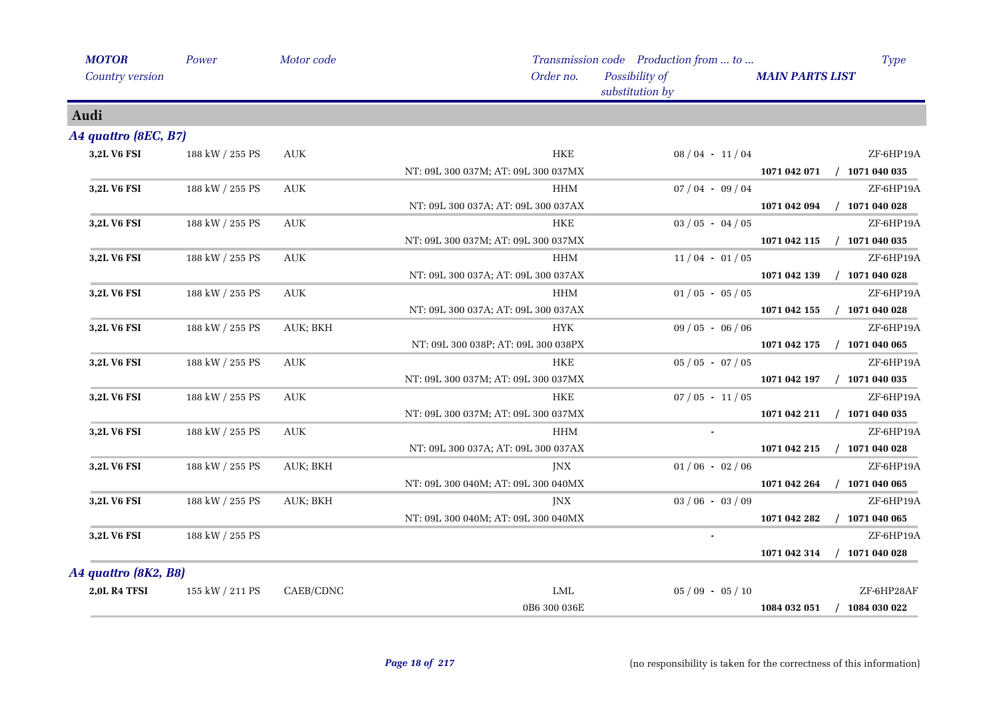| <b>MOTOR</b>         | Power           | Motor code                       |                                     | Transmission code Production from  to | <b>Type</b>                      |
|----------------------|-----------------|----------------------------------|-------------------------------------|---------------------------------------|----------------------------------|
| Country version      |                 |                                  | Order no.                           | Possibility of<br>substitution by     | <b>MAIN PARTS LIST</b>           |
| Audi                 |                 |                                  |                                     |                                       |                                  |
| A4 quattro (8EC, B7) |                 |                                  |                                     |                                       |                                  |
| 3,2L V6 FSI          | 188 kW / 255 PS | <b>AUK</b>                       | <b>HKE</b>                          | $08/04 - 11/04$                       | ZF-6HP19A                        |
|                      |                 |                                  | NT: 09L 300 037M; AT: 09L 300 037MX |                                       | $/$ 1071 040 035<br>1071 042 071 |
| 3,2L V6 FSI          | 188 kW / 255 PS | AUK                              | HHM                                 | $07/04 - 09/04$                       | ZF-6HP19A                        |
|                      |                 |                                  | NT: 09L 300 037A; AT: 09L 300 037AX |                                       | $/$ 1071 040 028<br>1071 042 094 |
| 3,2L V6 FSI          | 188 kW / 255 PS | <b>AUK</b>                       | <b>HKE</b>                          | $03 / 05 - 04 / 05$                   | ZF-6HP19A                        |
|                      |                 |                                  | NT: 09L 300 037M; AT: 09L 300 037MX |                                       | 1071 042 115<br>$/$ 1071 040 035 |
| 3,2L V6 FSI          | 188 kW / 255 PS | <b>AUK</b>                       | HHM                                 | $11/04 - 01/05$                       | ZF-6HP19A                        |
|                      |                 |                                  | NT: 09L 300 037A; AT: 09L 300 037AX |                                       | $/$ 1071 040 028<br>1071 042 139 |
| 3,2L V6 FSI          | 188 kW / 255 PS | AUK                              | <b>HHM</b>                          | $01/05 - 05/05$                       | ZF-6HP19A                        |
|                      |                 |                                  | NT: 09L 300 037A; AT: 09L 300 037AX |                                       | $/$ 1071 040 028<br>1071 042 155 |
| 3,2L V6 FSI          | 188 kW / 255 PS | AUK; BKH                         | <b>HYK</b>                          | $09/05 - 06/06$                       | ZF-6HP19A                        |
|                      |                 |                                  | NT: 09L 300 038P; AT: 09L 300 038PX |                                       | 1071 042 175<br>$/$ 1071 040 065 |
| 3,2L V6 FSI          | 188 kW / 255 PS | AUK                              | HKE                                 | $05 / 05 - 07 / 05$                   | ZF-6HP19A                        |
|                      |                 |                                  | NT: 09L 300 037M; AT: 09L 300 037MX |                                       | $/$ 1071 040 035<br>1071 042 197 |
| 3,2L V6 FSI          | 188 kW / 255 PS | $\mathbf{A}\mathbf{U}\mathbf{K}$ | <b>HKE</b>                          | $07/05 - 11/05$                       | ZF-6HP19A                        |
|                      |                 |                                  | NT: 09L 300 037M; AT: 09L 300 037MX |                                       | $/$ 1071 040 035<br>1071 042 211 |
| 3,2L V6 FSI          | 188 kW / 255 PS | AUK                              | <b>HHM</b>                          | $\bullet$                             | ZF-6HP19A                        |
|                      |                 |                                  | NT: 09L 300 037A; AT: 09L 300 037AX |                                       | 1071 042 215<br>$/$ 1071 040 028 |
| 3,2L V6 FSI          | 188 kW / 255 PS | AUK; BKH                         | <b>INX</b>                          | $01/06 - 02/06$                       | ZF-6HP19A                        |
|                      |                 |                                  | NT: 09L 300 040M; AT: 09L 300 040MX |                                       | $/$ 1071 040 065<br>1071 042 264 |
| 3,2L V6 FSI          | 188 kW / 255 PS | AUK; BKH                         | JNX                                 | $03/06 - 03/09$                       | ZF-6HP19A                        |
|                      |                 |                                  | NT: 09L 300 040M; AT: 09L 300 040MX |                                       | $/$ 1071 040 065<br>1071 042 282 |
| 3,2L V6 FSI          | 188 kW / 255 PS |                                  |                                     |                                       | ZF-6HP19A                        |
|                      |                 |                                  |                                     |                                       | $/$ 1071 040 028<br>1071 042 314 |
| A4 quattro (8K2, B8) |                 |                                  |                                     |                                       |                                  |
| <b>2,0L R4 TFSI</b>  | 155 kW / 211 PS | CAEB/CDNC                        | LML                                 | $05/09 - 05/10$                       | ZF-6HP28AF                       |
|                      |                 |                                  | 0B6 300 036E                        |                                       | $/$ 1084 030 022<br>1084 032 051 |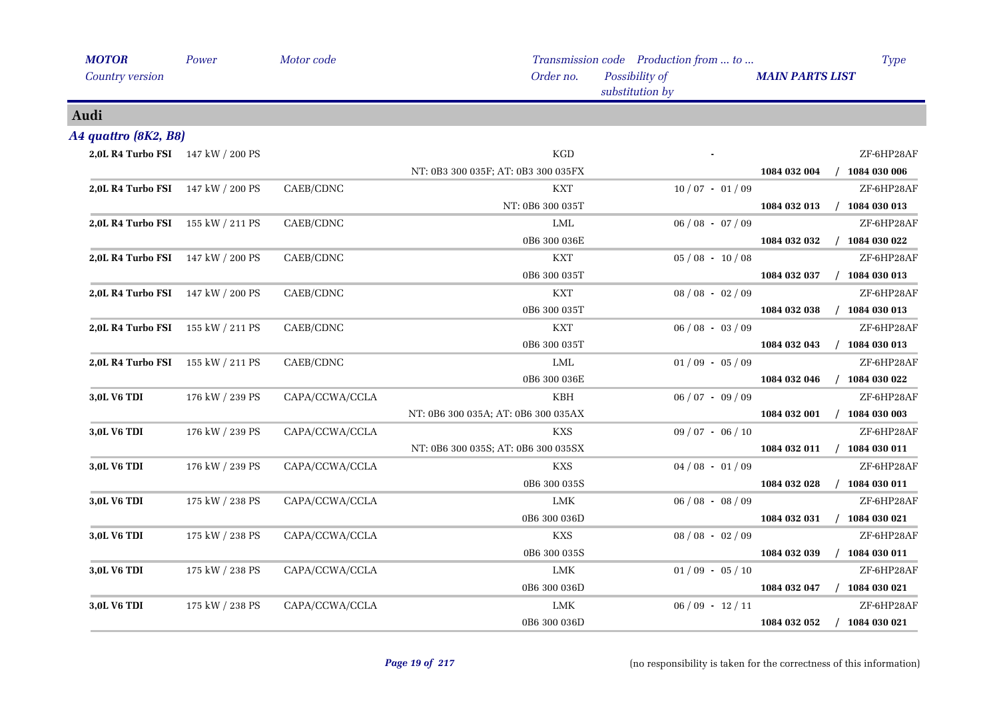| <b>MOTOR</b>                      | Power           | Motor code     |                                     | Transmission code Production from  to | <b>Type</b>                      |
|-----------------------------------|-----------------|----------------|-------------------------------------|---------------------------------------|----------------------------------|
| Country version                   |                 |                | Order no.                           | Possibility of<br>substitution by     | <b>MAIN PARTS LIST</b>           |
| Audi                              |                 |                |                                     |                                       |                                  |
| A4 quattro (8K2, B8)              |                 |                |                                     |                                       |                                  |
| 2,0L R4 Turbo FSI 147 kW / 200 PS |                 |                | KGD                                 |                                       | ZF-6HP28AF                       |
|                                   |                 |                | NT: 0B3 300 035F; AT: 0B3 300 035FX |                                       | 1084 032 004<br>$/$ 1084 030 006 |
| 2,0L R4 Turbo FSI 147 kW / 200 PS |                 | CAEB/CDNC      | <b>KXT</b>                          | $10/07 - 01/09$                       | ZF-6HP28AF                       |
|                                   |                 |                | NT: 0B6 300 035T                    |                                       | $/$ 1084 030 013<br>1084 032 013 |
| 2,0L R4 Turbo FSI 155 kW / 211 PS |                 | CAEB/CDNC      | LML                                 | $06/08 - 07/09$                       | ZF-6HP28AF                       |
|                                   |                 |                | 0B6 300 036E                        |                                       | $/$ 1084 030 022<br>1084 032 032 |
| 2,0L R4 Turbo FSI 147 kW / 200 PS |                 | CAEB/CDNC      | <b>KXT</b>                          | $05/08 - 10/08$                       | ZF-6HP28AF                       |
|                                   |                 |                | 0B6 300 035T                        |                                       | 1084 032 037<br>$/$ 1084 030 013 |
| 2,0L R4 Turbo FSI 147 kW / 200 PS |                 | CAEB/CDNC      | <b>KXT</b>                          | $08 / 08 - 02 / 09$                   | ZF-6HP28AF                       |
|                                   |                 |                | 0B6 300 035T                        |                                       | 1084 032 038<br>$/$ 1084 030 013 |
| 2,0L R4 Turbo FSI 155 kW / 211 PS |                 | CAEB/CDNC      | <b>KXT</b>                          | $06/08 - 03/09$                       | ZF-6HP28AF                       |
|                                   |                 |                | 0B6 300 035T                        |                                       | 1084 032 043<br>$/$ 1084 030 013 |
| 2,0L R4 Turbo FSI 155 kW / 211 PS |                 | CAEB/CDNC      | LML                                 | $01/09 - 05/09$                       | ZF-6HP28AF                       |
|                                   |                 |                | 0B6 300 036E                        |                                       | $/$ 1084 030 022<br>1084 032 046 |
| 3,0L V6 TDI                       | 176 kW / 239 PS | CAPA/CCWA/CCLA | KBH                                 | $06/07 - 09/09$                       | ZF-6HP28AF                       |
|                                   |                 |                | NT: 0B6 300 035A; AT: 0B6 300 035AX |                                       | $/$ 1084 030 003<br>1084 032 001 |
| 3,0L V6 TDI                       | 176 kW / 239 PS | CAPA/CCWA/CCLA | <b>KXS</b>                          | $09/07 - 06/10$                       | ZF-6HP28AF                       |
|                                   |                 |                | NT: 0B6 300 035S; AT: 0B6 300 035SX |                                       | $/$ 1084 030 011<br>1084 032 011 |
| 3,0L V6 TDI                       | 176 kW / 239 PS | CAPA/CCWA/CCLA | KXS                                 | $04/08 - 01/09$                       | ZF-6HP28AF                       |
|                                   |                 |                | 0B6 300 035S                        |                                       | 1084 032 028<br>$/$ 1084 030 011 |
| 3,0L V6 TDI                       | 175 kW / 238 PS | CAPA/CCWA/CCLA | LMK                                 | $06/08 - 08/09$                       | ZF-6HP28AF                       |
|                                   |                 |                | 0B6 300 036D                        |                                       | 1084 032 031<br>$/$ 1084 030 021 |
| 3,0L V6 TDI                       | 175 kW / 238 PS | CAPA/CCWA/CCLA | KXS                                 | $08/08 - 02/09$                       | ZF-6HP28AF                       |
|                                   |                 |                | 0B6 300 035S                        |                                       | 1084 032 039<br>$/$ 1084 030 011 |
| 3,0L V6 TDI                       | 175 kW / 238 PS | CAPA/CCWA/CCLA | LMK                                 | $01/09 - 05/10$                       | ZF-6HP28AF                       |
|                                   |                 |                | 0B6 300 036D                        |                                       | 1084 032 047<br>$/$ 1084 030 021 |
| 3,0L V6 TDI                       | 175 kW / 238 PS | CAPA/CCWA/CCLA | LMK                                 | $06/09 - 12/11$                       | ZF-6HP28AF                       |
|                                   |                 |                | 0B6 300 036D                        |                                       | $/$ 1084 030 021<br>1084 032 052 |
|                                   |                 |                |                                     |                                       |                                  |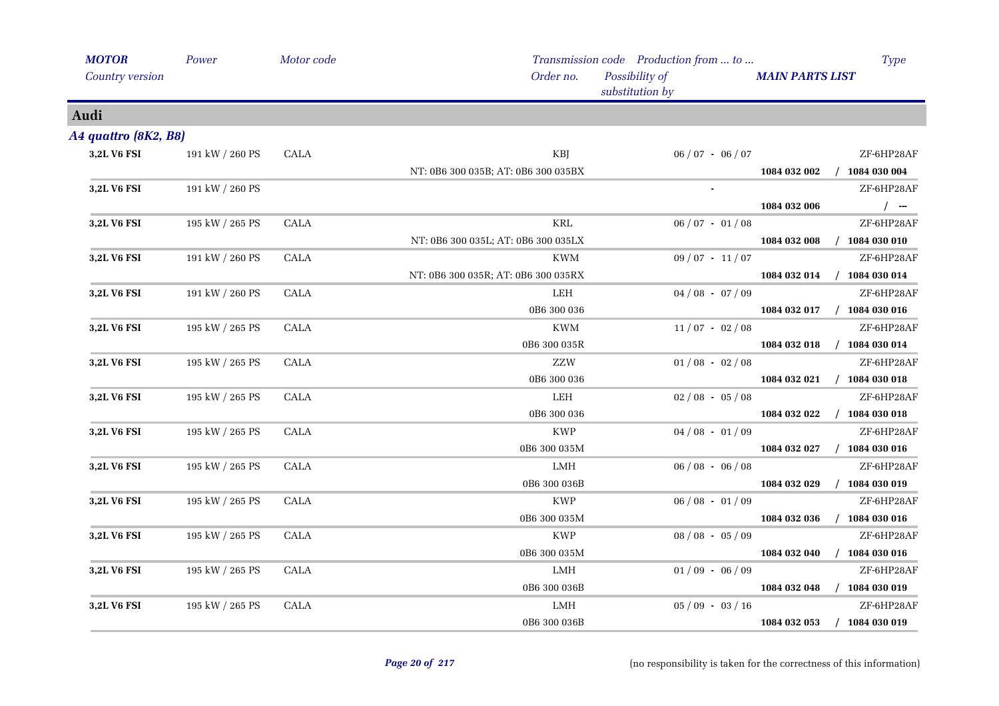| <b>MOTOR</b>         | Power           | Motor code  |                                     | Transmission code Production from  to | <b>Type</b>                      |
|----------------------|-----------------|-------------|-------------------------------------|---------------------------------------|----------------------------------|
| Country version      |                 |             | Order no.                           | Possibility of<br>substitution by     | <b>MAIN PARTS LIST</b>           |
| Audi                 |                 |             |                                     |                                       |                                  |
| A4 quattro (8K2, B8) |                 |             |                                     |                                       |                                  |
| 3,2L V6 FSI          | 191 kW / 260 PS | <b>CALA</b> | KBJ                                 | $06/07 - 06/07$                       | ZF-6HP28AF                       |
|                      |                 |             | NT: 0B6 300 035B; AT: 0B6 300 035BX |                                       | 1084 032 002<br>$/$ 1084 030 004 |
| 3,2L V6 FSI          | 191 kW / 260 PS |             |                                     |                                       | ZF-6HP28AF                       |
|                      |                 |             |                                     |                                       | $/$ -<br>1084 032 006            |
| 3,2L V6 FSI          | 195 kW / 265 PS | <b>CALA</b> | <b>KRL</b>                          | $06/07 - 01/08$                       | ZF-6HP28AF                       |
|                      |                 |             | NT: 0B6 300 035L; AT: 0B6 300 035LX |                                       | 1084 032 008 / 1084 030 010      |
| 3,2L V6 FSI          | 191 kW / 260 PS | <b>CALA</b> | KWM                                 | $09/07 - 11/07$                       | ZF-6HP28AF                       |
|                      |                 |             | NT: 0B6 300 035R; AT: 0B6 300 035RX |                                       | $/$ 1084 030 014<br>1084 032 014 |
| 3,2L V6 FSI          | 191 kW / 260 PS | CALA        | LEH                                 | $04/08 - 07/09$                       | ZF-6HP28AF                       |
|                      |                 |             | 0B6 300 036                         |                                       | 1084 032 017 / 1084 030 016      |
| 3,2L V6 FSI          | 195 kW / 265 PS | <b>CALA</b> | <b>KWM</b>                          | $11/07 - 02/08$                       | ZF-6HP28AF                       |
|                      |                 |             | 0B6 300 035R                        |                                       | 1084 032 018 / 1084 030 014      |
| 3,2L V6 FSI          | 195 kW / 265 PS | <b>CALA</b> | ZZW                                 | $01/08 - 02/08$                       | ZF-6HP28AF                       |
|                      |                 |             | 0B6 300 036                         |                                       | 1084 032 021 / 1084 030 018      |
| 3,2L V6 FSI          | 195 kW / 265 PS | <b>CALA</b> | LEH                                 | $02/08 - 05/08$                       | ZF-6HP28AF                       |
|                      |                 |             | 0B6 300 036                         |                                       | 1084 032 022<br>$/$ 1084 030 018 |
| 3,2L V6 FSI          | 195 kW / 265 PS | <b>CALA</b> | <b>KWP</b>                          | $04/08 - 01/09$                       | ZF-6HP28AF                       |
|                      |                 |             | 0B6 300 035M                        |                                       | $/$ 1084 030 016<br>1084 032 027 |
| 3,2L V6 FSI          | 195 kW / 265 PS | <b>CALA</b> | LMH                                 | $06/08 - 06/08$                       | ZF-6HP28AF                       |
|                      |                 |             | 0B6 300 036B                        |                                       | 1084 032 029<br>$/$ 1084 030 019 |
| 3,2L V6 FSI          | 195 kW / 265 PS | <b>CALA</b> | <b>KWP</b>                          | $06/08 - 01/09$                       | ZF-6HP28AF                       |
|                      |                 |             | 0B6 300 035M                        |                                       | 1084 032 036<br>$/$ 1084 030 016 |
| 3,2L V6 FSI          | 195 kW / 265 PS | CALA        | <b>KWP</b>                          | $08/08 - 05/09$                       | ZF-6HP28AF                       |
|                      |                 |             | 0B6 300 035M                        |                                       | $/$ 1084 030 016<br>1084 032 040 |
| 3,2L V6 FSI          | 195 kW / 265 PS | CALA        | LMH                                 | $01/09 - 06/09$                       | ZF-6HP28AF                       |
|                      |                 |             | 0B6 300 036B                        |                                       | 1084 032 048<br>$/$ 1084 030 019 |
| 3,2L V6 FSI          | 195 kW / 265 PS | <b>CALA</b> | LMH                                 | $05/09 - 03/16$                       | ZF-6HP28AF                       |
|                      |                 |             | 0B6 300 036B                        |                                       | 1084 032 053<br>$/$ 1084 030 019 |
|                      |                 |             |                                     |                                       |                                  |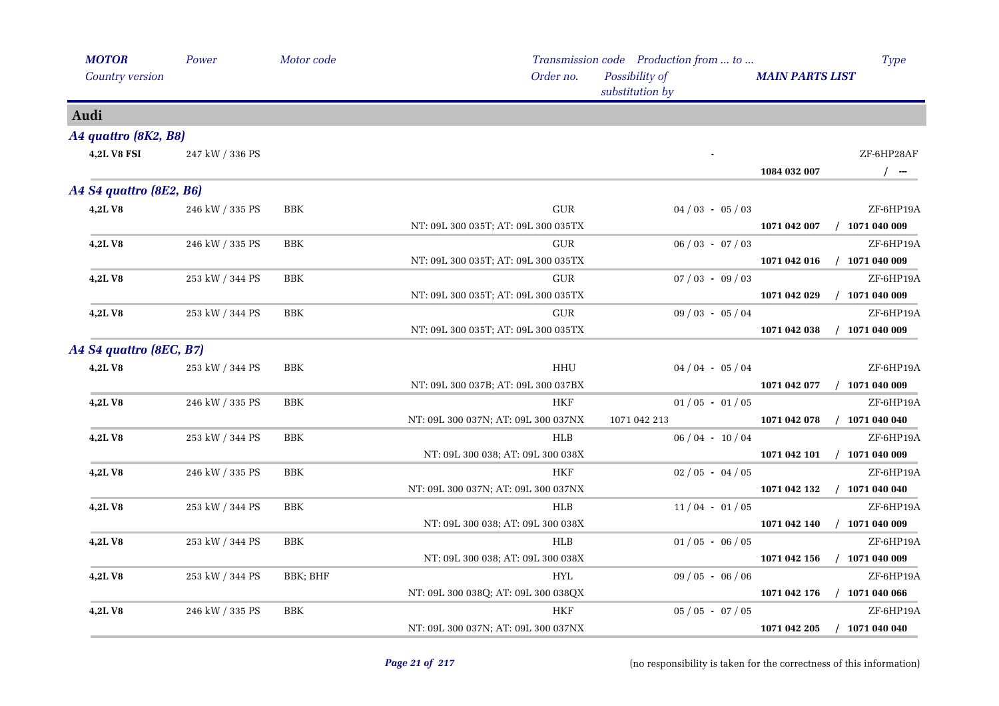| <b>MOTOR</b>            | Power           | Motor code   |                                     | Transmission code Production from  to | Type                                |
|-------------------------|-----------------|--------------|-------------------------------------|---------------------------------------|-------------------------------------|
| Country version         |                 |              | Order no.                           | Possibility of<br>substitution by     | <b>MAIN PARTS LIST</b>              |
| Audi                    |                 |              |                                     |                                       |                                     |
| A4 quattro (8K2, B8)    |                 |              |                                     |                                       |                                     |
| <b>4,2L V8 FSI</b>      | 247 kW / 336 PS |              |                                     |                                       | ZF-6HP28AF<br>1084 032 007<br>$/$ - |
| A4 S4 quattro (8E2, B6) |                 |              |                                     |                                       |                                     |
| 4,2LV8                  | 246 kW / 335 PS | BBK          | ${\rm GUR}$                         | $04/03 - 05/03$                       | ZF-6HP19A                           |
|                         |                 |              | NT: 09L 300 035T; AT: 09L 300 035TX |                                       | 1071 042 007<br>$/$ 1071 040 009    |
| 4,2LV8                  | 246 kW / 335 PS | BBK          | GUR                                 | $06 / 03 - 07 / 03$                   | ZF-6HP19A                           |
|                         |                 |              | NT: 09L 300 035T; AT: 09L 300 035TX |                                       | $/$ 1071 040 009<br>1071 042 016    |
| 4,2LV8                  | 253 kW / 344 PS | <b>BBK</b>   | <b>GUR</b>                          | $07/03 - 09/03$                       | ZF-6HP19A                           |
|                         |                 |              | NT: 09L 300 035T; AT: 09L 300 035TX |                                       | 1071 042 029<br>$/$ 1071 040 009    |
| 4,2LV8                  | 253 kW / 344 PS | ${\rm BBK}$  | ${\rm GUR}$                         | $09/03 - 05/04$                       | ZF-6HP19A                           |
|                         |                 |              | NT: 09L 300 035T; AT: 09L 300 035TX |                                       | 1071 042 038<br>$/$ 1071 040 009    |
| A4 S4 quattro (8EC, B7) |                 |              |                                     |                                       |                                     |
| 4,2LV8                  | 253 kW / 344 PS | BBK          | HHU                                 | $04/04 - 05/04$                       | ZF-6HP19A                           |
|                         |                 |              | NT: 09L 300 037B; AT: 09L 300 037BX |                                       | $/$ 1071 040 009<br>1071 042 077    |
| 4,2LV8                  | 246 kW / 335 PS | <b>BBK</b>   | <b>HKF</b>                          | $01/05 - 01/05$                       | ZF-6HP19A                           |
|                         |                 |              | NT: 09L 300 037N; AT: 09L 300 037NX | 1071 042 213                          | $/$ 1071 040 040<br>1071 042 078    |
| 4,2LV8                  | 253 kW / 344 PS | BBK          | HLB                                 | $06/04 - 10/04$                       | ZF-6HP19A                           |
|                         |                 |              | NT: 09L 300 038; AT: 09L 300 038X   |                                       | 1071 042 101 / 1071 040 009         |
| 4,2LV8                  | 246 kW / 335 PS | <b>BBK</b>   | <b>HKF</b>                          | $02/05 - 04/05$                       | ZF-6HP19A                           |
|                         |                 |              | NT: 09L 300 037N; AT: 09L 300 037NX |                                       | 1071 042 132 / 1071 040 040         |
| <b>4,2LV8</b>           | 253 kW / 344 PS | $_{\rm BBK}$ | <b>HLB</b>                          | $11/04 - 01/05$                       | ZF-6HP19A                           |
|                         |                 |              | NT: 09L 300 038; AT: 09L 300 038X   |                                       | $/$ 1071 040 009<br>1071 042 140    |
| 4,2LV8                  | 253 kW / 344 PS | <b>BBK</b>   | <b>HLB</b>                          | $01/05 - 06/05$                       | ZF-6HP19A                           |
|                         |                 |              | NT: 09L 300 038; AT: 09L 300 038X   |                                       | 1071 042 156<br>$/$ 1071 040 009    |
| 4,2LV8                  | 253 kW / 344 PS | BBK; BHF     | ${\rm HYL}$                         | $09/05 - 06/06$                       | ZF-6HP19A                           |
|                         |                 |              | NT: 09L 300 038Q; AT: 09L 300 038QX |                                       | $/$ 1071 040 066<br>1071 042 176    |
| 4,2LV8                  | 246 kW / 335 PS | BBK          | <b>HKF</b>                          | $05 / 05 - 07 / 05$                   | ZF-6HP19A                           |
|                         |                 |              | NT: 09L 300 037N; AT: 09L 300 037NX |                                       | 1071 042 205<br>$/$ 1071 040 040    |
|                         |                 |              |                                     |                                       |                                     |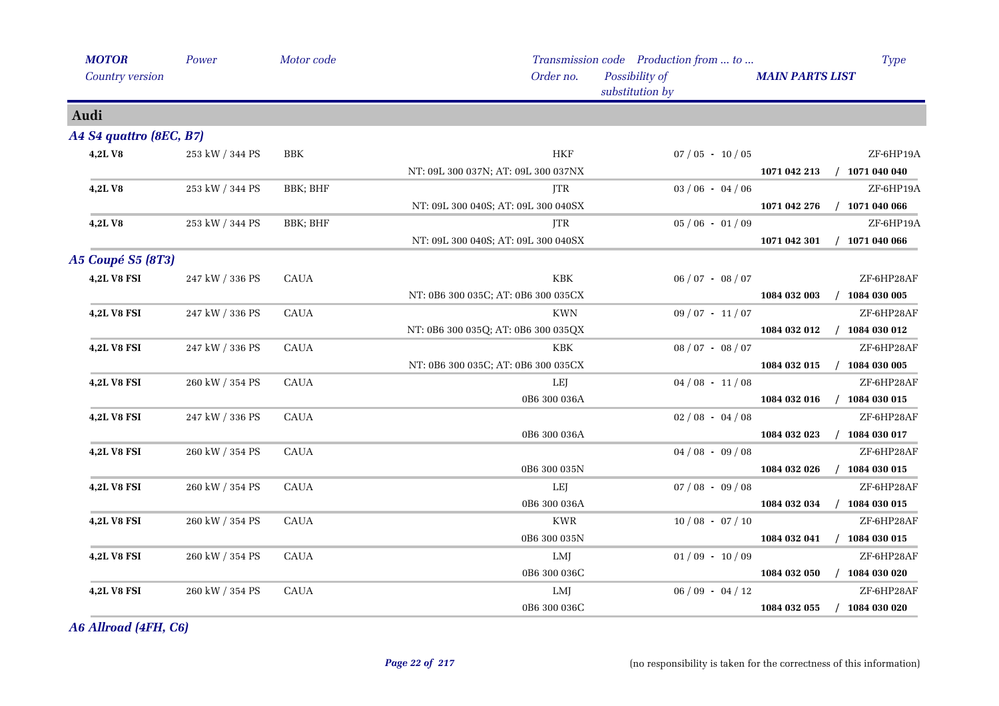| <b>MOTOR</b>             | Power           | Motor code   |                                     | Transmission code Production from  to | Type                             |
|--------------------------|-----------------|--------------|-------------------------------------|---------------------------------------|----------------------------------|
| Country version          |                 |              | Order no.                           | Possibility of<br>substitution by     | <b>MAIN PARTS LIST</b>           |
| Audi                     |                 |              |                                     |                                       |                                  |
| A4 S4 quattro (8EC, B7)  |                 |              |                                     |                                       |                                  |
| 4,2LV8                   | 253 kW / 344 PS | BBK          | <b>HKF</b>                          | $07/05 - 10/05$                       | ZF-6HP19A                        |
|                          |                 |              | NT: 09L 300 037N; AT: 09L 300 037NX |                                       | 1071 042 213<br>$/$ 1071 040 040 |
| 4,2LV8                   | 253 kW / 344 PS | BBK; BHF     | <b>ITR</b>                          | $03/06 - 04/06$                       | ZF-6HP19A                        |
|                          |                 |              | NT: 09L 300 040S; AT: 09L 300 040SX |                                       | 1071 042 276<br>$/$ 1071 040 066 |
| 4,2LV8                   | 253 kW / 344 PS | BBK; BHF     | <b>JTR</b>                          | $05/06 - 01/09$                       | ZF-6HP19A                        |
|                          |                 |              | NT: 09L 300 040S; AT: 09L 300 040SX |                                       | 1071 042 301<br>$/$ 1071 040 066 |
| <b>A5 Coupé S5 (8T3)</b> |                 |              |                                     |                                       |                                  |
| <b>4,2L V8 FSI</b>       | 247 kW / 336 PS | <b>CAUA</b>  | KBK                                 | $06 / 07 - 08 / 07$                   | ZF-6HP28AF                       |
|                          |                 |              | NT: 0B6 300 035C; AT: 0B6 300 035CX |                                       | 1084 032 003<br>$/$ 1084 030 005 |
| <b>4,2L V8 FSI</b>       | 247 kW / 336 PS | ${\rm CAUA}$ | <b>KWN</b>                          | $09/07 - 11/07$                       | ZF-6HP28AF                       |
|                          |                 |              | NT: 0B6 300 035Q; AT: 0B6 300 035QX |                                       | 1084 032 012<br>$/$ 1084 030 012 |
| 4,2L V8 FSI              | 247 kW / 336 PS | <b>CAUA</b>  | KBK                                 | $08 / 07 - 08 / 07$                   | ZF-6HP28AF                       |
|                          |                 |              | NT: 0B6 300 035C; AT: 0B6 300 035CX |                                       | 1084 032 015<br>$/$ 1084 030 005 |
| 4,2L V8 FSI              | 260 kW / 354 PS | <b>CAUA</b>  | LEJ                                 | $04/08 - 11/08$                       | ZF-6HP28AF                       |
|                          |                 |              | 0B6 300 036A                        |                                       | 1084 032 016<br>$/$ 1084 030 015 |
| <b>4,2L V8 FSI</b>       | 247 kW / 336 PS | <b>CAUA</b>  |                                     | $02/08 - 04/08$                       | ZF-6HP28AF                       |
|                          |                 |              | 0B6 300 036A                        |                                       | $/$ 1084 030 017<br>1084 032 023 |
| 4,2L V8 FSI              | 260 kW / 354 PS | <b>CAUA</b>  |                                     | $04/08 - 09/08$                       | ZF-6HP28AF                       |
|                          |                 |              | 0B6 300 035N                        |                                       | 1084 032 026<br>$/$ 1084 030 015 |
| 4,2L V8 FSI              | 260 kW / 354 PS | <b>CAUA</b>  | LEJ                                 | $07/08 - 09/08$                       | ZF-6HP28AF                       |
|                          |                 |              | 0B6 300 036A                        |                                       | 1084 032 034<br>$/$ 1084 030 015 |
| 4,2L V8 FSI              | 260 kW / 354 PS | <b>CAUA</b>  | <b>KWR</b>                          | $10/08 - 07/10$                       | ZF-6HP28AF                       |
|                          |                 |              | 0B6 300 035N                        |                                       | 1084 032 041<br>$/$ 1084 030 015 |
| <b>4,2L V8 FSI</b>       | 260 kW / 354 PS | <b>CAUA</b>  | LMJ                                 | $01/09 - 10/09$                       | ZF-6HP28AF                       |
|                          |                 |              | 0B6 300 036C                        |                                       | 1084 032 050<br>$/$ 1084 030 020 |
| 4,2L V8 FSI              | 260 kW / 354 PS | <b>CAUA</b>  | LMJ                                 | $06/09 - 04/12$                       | ZF-6HP28AF                       |
|                          |                 |              | 0B6 300 036C                        |                                       | $/$ 1084 030 020<br>1084 032 055 |
|                          |                 |              |                                     |                                       |                                  |

*A6 Allroad (4FH, C6)*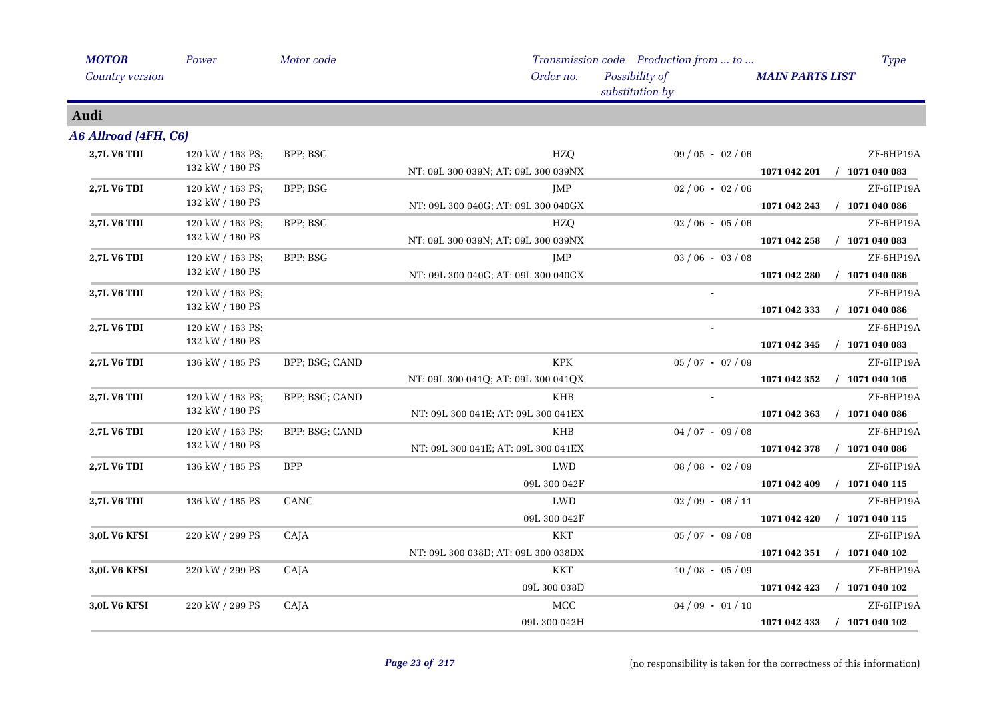| <b>MOTOR</b>         | Power            | Motor code     |                                     | Transmission code Production from  to | <b>Type</b>                      |
|----------------------|------------------|----------------|-------------------------------------|---------------------------------------|----------------------------------|
| Country version      |                  |                | Order no.                           | Possibility of<br>substitution by     | <b>MAIN PARTS LIST</b>           |
| Audi                 |                  |                |                                     |                                       |                                  |
| A6 Allroad (4FH, C6) |                  |                |                                     |                                       |                                  |
| 2,7L V6 TDI          | 120 kW / 163 PS; | BPP; BSG       | <b>HZQ</b>                          | $09/05 - 02/06$                       | ZF-6HP19A                        |
|                      | 132 kW / 180 PS  |                | NT: 09L 300 039N; AT: 09L 300 039NX |                                       | $/$ 1071 040 083<br>1071 042 201 |
| 2,7L V6 TDI          | 120 kW / 163 PS; | BPP; BSG       | JMP                                 | $02/06 - 02/06$                       | ZF-6HP19A                        |
|                      | 132 kW / 180 PS  |                | NT: 09L 300 040G; AT: 09L 300 040GX |                                       | $/$ 1071 040 086<br>1071 042 243 |
| <b>2,7L V6 TDI</b>   | 120 kW / 163 PS; | BPP; BSG       | HZQ                                 | $02/06 - 05/06$                       | ZF-6HP19A                        |
|                      | 132 kW / 180 PS  |                | NT: 09L 300 039N; AT: 09L 300 039NX |                                       | $/$ 1071 040 083<br>1071 042 258 |
| 2,7L V6 TDI          | 120 kW / 163 PS; | BPP; BSG       | JMP                                 | $03/06 - 03/08$                       | ZF-6HP19A                        |
|                      | 132 kW / 180 PS  |                | NT: 09L 300 040G; AT: 09L 300 040GX |                                       | $/$ 1071 040 086<br>1071 042 280 |
| 2,7L V6 TDI          | 120 kW / 163 PS; |                |                                     |                                       | ZF-6HP19A                        |
|                      | 132 kW / 180 PS  |                |                                     |                                       | 1071 042 333<br>$/$ 1071 040 086 |
| 2,7L V6 TDI          | 120 kW / 163 PS; |                |                                     | $\blacksquare$                        | ZF-6HP19A                        |
|                      | 132 kW / 180 PS  |                |                                     |                                       | 1071 042 345<br>$/$ 1071 040 083 |
| <b>2,7L V6 TDI</b>   | 136 kW / 185 PS  | BPP; BSG; CAND | <b>KPK</b>                          | $05 / 07 - 07 / 09$                   | ZF-6HP19A                        |
|                      |                  |                | NT: 09L 300 041Q; AT: 09L 300 041QX |                                       | $/$ 1071 040 105<br>1071 042 352 |
| 2,7L V6 TDI          | 120 kW / 163 PS; | BPP; BSG; CAND | $\mathbf{K}\mathbf{H}\mathbf{B}$    | $\blacksquare$                        | ZF-6HP19A                        |
|                      | 132 kW / 180 PS  |                | NT: 09L 300 041E; AT: 09L 300 041EX |                                       | $/$ 1071 040 086<br>1071 042 363 |
| 2,7L V6 TDI          | 120 kW / 163 PS; | BPP; BSG; CAND | <b>KHB</b>                          | $04/07 - 09/08$                       | ZF-6HP19A                        |
|                      | 132 kW / 180 PS  |                | NT: 09L 300 041E; AT: 09L 300 041EX |                                       | 1071 042 378<br>$/$ 1071 040 086 |
| 2,7L V6 TDI          | 136 kW / 185 PS  | <b>BPP</b>     | LWD                                 | $08/08 - 02/09$                       | ZF-6HP19A                        |
|                      |                  |                | 09L 300 042F                        |                                       | 1071 042 409<br>$/$ 1071 040 115 |
| 2,7L V6 TDI          | 136 kW / 185 PS  | CANC           | LWD                                 | $02/09 - 08/11$                       | ZF-6HP19A                        |
|                      |                  |                | 09L 300 042F                        |                                       | $/$ 1071 040 115<br>1071 042 420 |
| <b>3,0L V6 KFSI</b>  | 220 kW / 299 PS  | CAJA           | <b>KKT</b>                          | $05/07 - 09/08$                       | ZF-6HP19A                        |
|                      |                  |                | NT: 09L 300 038D; AT: 09L 300 038DX |                                       | $/$ 1071 040 102<br>1071 042 351 |
| <b>3,0L V6 KFSI</b>  | 220 kW / 299 PS  | CAJA           | <b>KKT</b>                          | $10/08 - 05/09$                       | ZF-6HP19A                        |
|                      |                  |                | 09L 300 038D                        |                                       | 1071 042 423<br>$/$ 1071 040 102 |
| <b>3,0L V6 KFSI</b>  | 220 kW / 299 PS  | CAJA           | <b>MCC</b>                          | $04/09 - 01/10$                       | ZF-6HP19A                        |
|                      |                  |                | 09L 300 042H                        |                                       | $/$ 1071 040 102<br>1071 042 433 |
|                      |                  |                |                                     |                                       |                                  |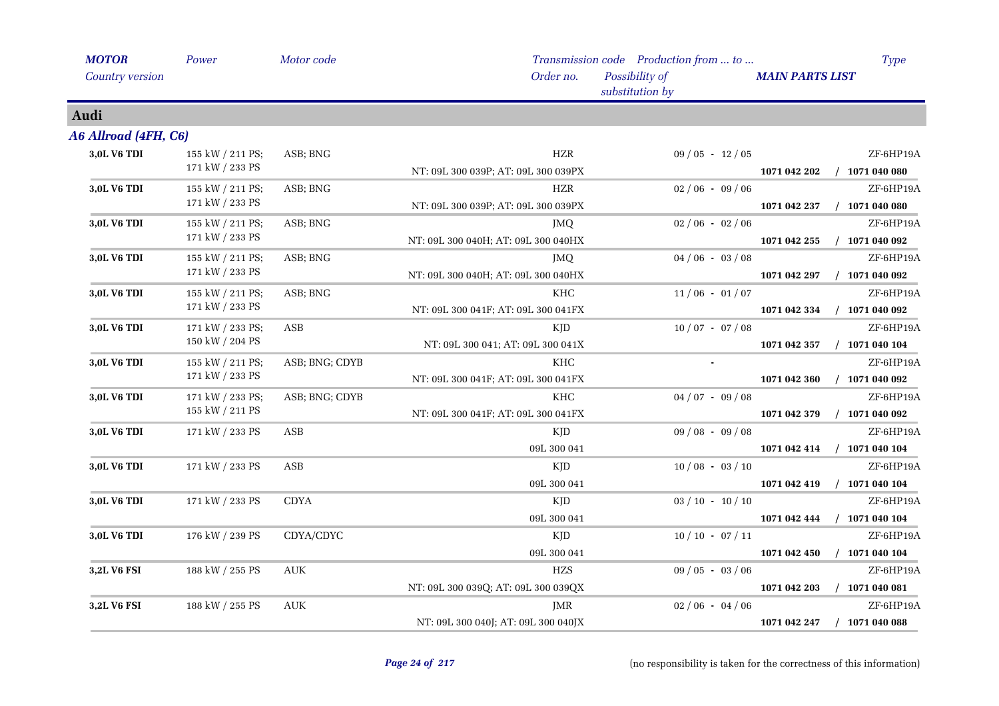| <b>MOTOR</b>         | Power            | Motor code                       |                                     | Transmission code Production from  to | <b>Type</b>                      |
|----------------------|------------------|----------------------------------|-------------------------------------|---------------------------------------|----------------------------------|
| Country version      |                  |                                  | Order no.                           | Possibility of<br>substitution by     | <b>MAIN PARTS LIST</b>           |
| Audi                 |                  |                                  |                                     |                                       |                                  |
| A6 Allroad (4FH, C6) |                  |                                  |                                     |                                       |                                  |
| 3,0L V6 TDI          | 155 kW / 211 PS; | ASB; BNG                         | <b>HZR</b>                          | $09/05 - 12/05$                       | ZF-6HP19A                        |
|                      | 171 kW / 233 PS  |                                  | NT: 09L 300 039P; AT: 09L 300 039PX |                                       | $/$ 1071 040 080<br>1071 042 202 |
| 3,0L V6 TDI          | 155 kW / 211 PS; | ASB; BNG                         | HZR                                 | $02/06 - 09/06$                       | ZF-6HP19A                        |
|                      | 171 kW / 233 PS  |                                  | NT: 09L 300 039P; AT: 09L 300 039PX |                                       | $/$ 1071 040 080<br>1071 042 237 |
| 3,0L V6 TDI          | 155 kW / 211 PS; | ASB; BNG                         | JMQ                                 | $02/06 - 02/06$                       | ZF-6HP19A                        |
|                      | 171 kW / 233 PS  |                                  | NT: 09L 300 040H; AT: 09L 300 040HX |                                       | $/$ 1071 040 092<br>1071 042 255 |
| 3,0L V6 TDI          | 155 kW / 211 PS; | ASB; BNG                         | JMQ.                                | $04/06 - 03/08$                       | ZF-6HP19A                        |
|                      | 171 kW / 233 PS  |                                  | NT: 09L 300 040H; AT: 09L 300 040HX |                                       | 1071 042 297<br>$/$ 1071 040 092 |
| 3,0L V6 TDI          | 155 kW / 211 PS; | ASB; BNG                         | <b>KHC</b>                          | $11/06 - 01/07$                       | ZF-6HP19A                        |
|                      | 171 kW / 233 PS  |                                  | NT: 09L 300 041F; AT: 09L 300 041FX |                                       | 1071 042 334<br>$/$ 1071 040 092 |
| 3,0L V6 TDI          | 171 kW / 233 PS; | $\mathbf{ASB}$                   | <b>KJD</b>                          | $10/07 - 07/08$                       | ZF-6HP19A                        |
|                      | 150 kW / 204 PS  |                                  | NT: 09L 300 041; AT: 09L 300 041X   |                                       | $/$ 1071 040 104<br>1071 042 357 |
| 3,0L V6 TDI          | 155 kW / 211 PS; | ASB; BNG; CDYB                   | <b>KHC</b>                          |                                       | ZF-6HP19A                        |
|                      | 171 kW / 233 PS  |                                  | NT: 09L 300 041F; AT: 09L 300 041FX |                                       | 1071 042 360<br>$/$ 1071 040 092 |
| 3,0L V6 TDI          | 171 kW / 233 PS; | ASB; BNG; CDYB                   | KHC                                 | $04/07 - 09/08$                       | ZF-6HP19A                        |
|                      | 155 kW / 211 PS  |                                  | NT: 09L 300 041F; AT: 09L 300 041FX |                                       | 1071 042 379<br>$/$ 1071 040 092 |
| 3,0L V6 TDI          | 171 kW / 233 PS  | ASB                              | KJD                                 | $09/08 - 09/08$                       | ZF-6HP19A                        |
|                      |                  |                                  | 09L 300 041                         |                                       | 1071 042 414 / 1071 040 104      |
| 3,0L V6 TDI          | 171 kW / 233 PS  | ASB                              | KJD                                 | $10/08 - 03/10$                       | ZF-6HP19A                        |
|                      |                  |                                  | 09L 300 041                         |                                       | 1071 042 419<br>$/$ 1071 040 104 |
| 3,0L V6 TDI          | 171 kW / 233 PS  | <b>CDYA</b>                      | KJD                                 | $03 / 10 - 10 / 10$                   | ZF-6HP19A                        |
|                      |                  |                                  | 09L 300 041                         |                                       | $/$ 1071 040 104<br>1071 042 444 |
| 3,0L V6 TDI          | 176 kW / 239 PS  | CDYA/CDYC                        | KJD                                 | $10/10 - 07/11$                       | ZF-6HP19A                        |
|                      |                  |                                  | 09L 300 041                         |                                       | $/$ 1071 040 104<br>1071 042 450 |
| 3,2L V6 FSI          | 188 kW / 255 PS  | <b>AUK</b>                       | <b>HZS</b>                          | $09/05 - 03/06$                       | ZF-6HP19A                        |
|                      |                  |                                  | NT: 09L 300 039Q; AT: 09L 300 039QX |                                       | $/$ 1071 040 081<br>1071 042 203 |
| 3,2L V6 FSI          | 188 kW / 255 PS  | $\mathbf{A}\mathbf{U}\mathbf{K}$ | JMR                                 | $02/06 - 04/06$                       | ZF-6HP19A                        |
|                      |                  |                                  | NT: 09L 300 040J; AT: 09L 300 040JX |                                       | 1071 042 247<br>$/$ 1071 040 088 |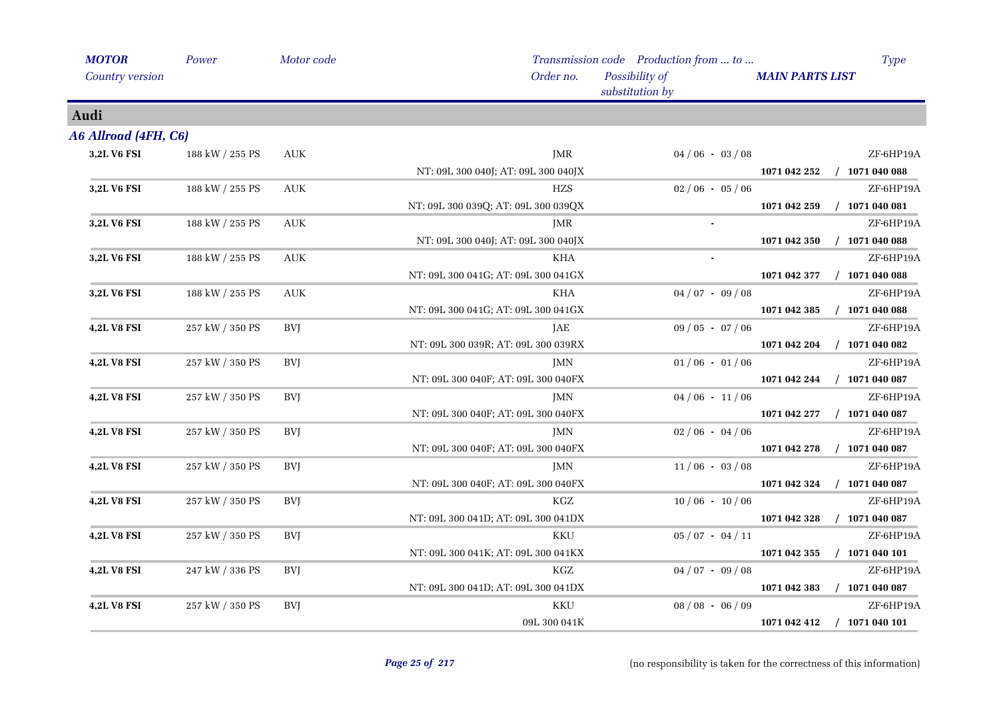| <b>MOTOR</b>         | Power           | Motor code                       |                                     | Transmission code Production from  to |                        | <b>Type</b>      |
|----------------------|-----------------|----------------------------------|-------------------------------------|---------------------------------------|------------------------|------------------|
| Country version      |                 |                                  | Order no.                           | Possibility of<br>substitution by     | <b>MAIN PARTS LIST</b> |                  |
| Audi                 |                 |                                  |                                     |                                       |                        |                  |
| A6 Allroad (4FH, C6) |                 |                                  |                                     |                                       |                        |                  |
| 3,2L V6 FSI          | 188 kW / 255 PS | <b>AUK</b>                       | JMR                                 | $04/06 - 03/08$                       |                        | ZF-6HP19A        |
|                      |                 |                                  | NT: 09L 300 040J; AT: 09L 300 040JX |                                       | 1071 042 252           | $/$ 1071 040 088 |
| 3,2L V6 FSI          | 188 kW / 255 PS | <b>AUK</b>                       | <b>HZS</b>                          | $02/06 - 05/06$                       |                        | ZF-6HP19A        |
|                      |                 |                                  | NT: 09L 300 039Q; AT: 09L 300 039QX |                                       | 1071 042 259           | $/$ 1071 040 081 |
| 3,2L V6 FSI          | 188 kW / 255 PS | <b>AUK</b>                       | JMR                                 |                                       |                        | ZF-6HP19A        |
|                      |                 |                                  | NT: 09L 300 040J; AT: 09L 300 040JX |                                       | 1071 042 350           | $/$ 1071 040 088 |
| 3,2L V6 FSI          | 188 kW / 255 PS | <b>AUK</b>                       | <b>KHA</b>                          |                                       |                        | ZF-6HP19A        |
|                      |                 |                                  | NT: 09L 300 041G; AT: 09L 300 041GX |                                       | 1071 042 377           | $/$ 1071 040 088 |
| 3,2L V6 FSI          | 188 kW / 255 PS | $\mathbf{A}\mathbf{U}\mathbf{K}$ | KHA                                 | $04/07 - 09/08$                       |                        | ZF-6HP19A        |
|                      |                 |                                  | NT: 09L 300 041G; AT: 09L 300 041GX |                                       | 1071 042 385           | $/$ 1071 040 088 |
| 4,2L V8 FSI          | 257 kW / 350 PS | <b>BVJ</b>                       | JAE                                 | $09/05 - 07/06$                       |                        | ZF-6HP19A        |
|                      |                 |                                  | NT: 09L 300 039R; AT: 09L 300 039RX |                                       | 1071 042 204           | $/$ 1071 040 082 |
| 4,2L V8 FSI          | 257 kW / 350 PS | <b>BVJ</b>                       | JMN                                 | $01/06 - 01/06$                       |                        | ZF-6HP19A        |
|                      |                 |                                  | NT: 09L 300 040F; AT: 09L 300 040FX |                                       | 1071 042 244           | $/$ 1071 040 087 |
| <b>4,2L V8 FSI</b>   | 257 kW / 350 PS | BVJ                              | JMN                                 | $04/06 - 11/06$                       |                        | ZF-6HP19A        |
|                      |                 |                                  | NT: 09L 300 040F; AT: 09L 300 040FX |                                       | 1071 042 277           | $/$ 1071 040 087 |
| 4,2L V8 FSI          | 257 kW / 350 PS | <b>BVJ</b>                       | JMN                                 | $02/06 - 04/06$                       |                        | ZF-6HP19A        |
|                      |                 |                                  | NT: 09L 300 040F; AT: 09L 300 040FX |                                       | 1071 042 278           | $/$ 1071 040 087 |
| 4,2L V8 FSI          | 257 kW / 350 PS | <b>BVJ</b>                       | JMN                                 | $11/06 - 03/08$                       |                        | ZF-6HP19A        |
|                      |                 |                                  | NT: 09L 300 040F; AT: 09L 300 040FX |                                       | 1071 042 324           | $/$ 1071 040 087 |
| 4,2L V8 FSI          | 257 kW / 350 PS | <b>BVJ</b>                       | KGZ                                 | $10/06 - 10/06$                       |                        | ZF-6HP19A        |
|                      |                 |                                  | NT: 09L 300 041D; AT: 09L 300 041DX |                                       | 1071 042 328           | $/$ 1071 040 087 |
| <b>4,2L V8 FSI</b>   | 257 kW / 350 PS | BVJ                              | <b>KKU</b>                          | $05/07 - 04/11$                       |                        | ZF-6HP19A        |
|                      |                 |                                  | NT: 09L 300 041K; AT: 09L 300 041KX |                                       | 1071 042 355           | $/$ 1071 040 101 |
| <b>4,2L V8 FSI</b>   | 247 kW / 336 PS | <b>BVJ</b>                       | KGZ                                 | $04/07 - 09/08$                       |                        | ZF-6HP19A        |
|                      |                 |                                  | NT: 09L 300 041D; AT: 09L 300 041DX |                                       | 1071 042 383           | $/$ 1071 040 087 |
| 4,2L V8 FSI          | 257 kW / 350 PS | BVJ                              | KKU                                 | $08/08 - 06/09$                       |                        | ZF-6HP19A        |
|                      |                 |                                  | 09L 300 041K                        |                                       | 1071 042 412           | $/$ 1071 040 101 |
|                      |                 |                                  |                                     |                                       |                        |                  |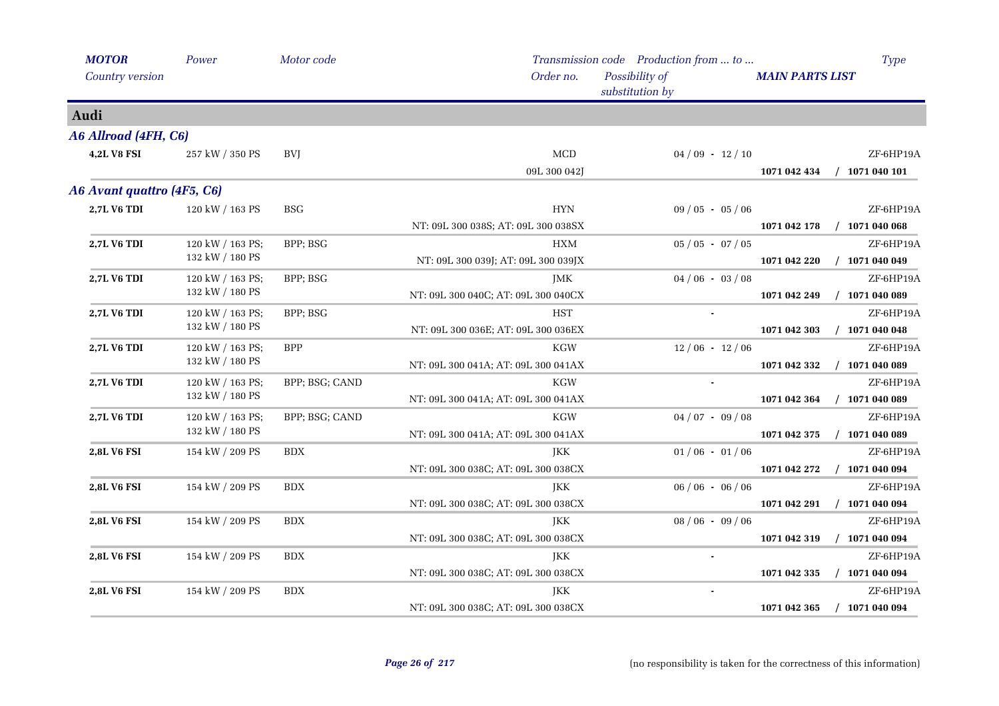| <b>MOTOR</b>               | Power            | Motor code           |                                     | Transmission code Production from  to |                                  | <b>Type</b> |
|----------------------------|------------------|----------------------|-------------------------------------|---------------------------------------|----------------------------------|-------------|
| <b>Country version</b>     |                  |                      | Order no.                           | Possibility of<br>substitution by     | <b>MAIN PARTS LIST</b>           |             |
| Audi                       |                  |                      |                                     |                                       |                                  |             |
| A6 Allroad (4FH, C6)       |                  |                      |                                     |                                       |                                  |             |
| <b>4,2L V8 FSI</b>         | 257 kW / 350 PS  | <b>BVJ</b>           | <b>MCD</b>                          | $04/09 - 12/10$                       |                                  | ZF-6HP19A   |
|                            |                  |                      | 09L 300 042J                        |                                       | 1071 042 434<br>$/$ 1071 040 101 |             |
| A6 Avant quattro (4F5, C6) |                  |                      |                                     |                                       |                                  |             |
| 2,7L V6 TDI                | 120 kW / 163 PS  | <b>BSG</b>           | ${\rm HYN}$                         | $09/05 - 05/06$                       |                                  | ZF-6HP19A   |
|                            |                  |                      | NT: 09L 300 038S; AT: 09L 300 038SX |                                       | $/$ 1071 040 068<br>1071 042 178 |             |
| 2,7L V6 TDI                | 120 kW / 163 PS; | BPP; BSG             | HXM                                 | $05 / 05 - 07 / 05$                   |                                  | ZF-6HP19A   |
|                            | 132 kW / 180 PS  |                      | NT: 09L 300 039J; AT: 09L 300 039JX |                                       | $/$ 1071 040 049<br>1071 042 220 |             |
| 2,7L V6 TDI                | 120 kW / 163 PS; | BPP; BSG             | JMK                                 | $04/06 - 03/08$                       |                                  | ZF-6HP19A   |
|                            | 132 kW / 180 PS  |                      | NT: 09L 300 040C; AT: 09L 300 040CX |                                       | $/$ 1071 040 089<br>1071 042 249 |             |
| 2,7L V6 TDI                | 120 kW / 163 PS; | BPP; BSG             | <b>HST</b>                          |                                       |                                  | ZF-6HP19A   |
|                            | 132 kW / 180 PS  |                      | NT: 09L 300 036E; AT: 09L 300 036EX |                                       | 1071 042 303<br>$/$ 1071 040 048 |             |
| 2,7L V6 TDI                | 120 kW / 163 PS; | <b>BPP</b>           | <b>KGW</b>                          | $12/06 - 12/06$                       |                                  | ZF-6HP19A   |
|                            | 132 kW / 180 PS  |                      | NT: 09L 300 041A; AT: 09L 300 041AX |                                       | $/$ 1071 040 089<br>1071 042 332 |             |
| 2,7L V6 TDI                | 120 kW / 163 PS; | BPP; BSG; CAND       | <b>KGW</b>                          |                                       |                                  | ZF-6HP19A   |
|                            | 132 kW / 180 PS  |                      | NT: 09L 300 041A; AT: 09L 300 041AX |                                       | $/$ 1071 040 089<br>1071 042 364 |             |
| 2,7L V6 TDI                | 120 kW / 163 PS; | BPP; BSG; CAND       | KGW                                 | $04/07 - 09/08$                       |                                  | ZF-6HP19A   |
|                            | 132 kW / 180 PS  |                      | NT: 09L 300 041A; AT: 09L 300 041AX |                                       | $/$ 1071 040 089<br>1071 042 375 |             |
| 2,8L V6 FSI                | 154 kW / 209 PS  | $\operatorname{BDX}$ | JKK                                 | $01/06 - 01/06$                       |                                  | ZF-6HP19A   |
|                            |                  |                      | NT: 09L 300 038C; AT: 09L 300 038CX |                                       | 1071 042 272<br>$/$ 1071 040 094 |             |
| 2,8L V6 FSI                | 154 kW / 209 PS  | BDX                  | JKK                                 | $06 / 06 - 06 / 06$                   |                                  | ZF-6HP19A   |
|                            |                  |                      | NT: 09L 300 038C; AT: 09L 300 038CX |                                       | $/$ 1071 040 094<br>1071 042 291 |             |
| <b>2,8L V6 FSI</b>         | 154 kW / 209 PS  | <b>BDX</b>           | JKK                                 | $08/06 - 09/06$                       |                                  | ZF-6HP19A   |
|                            |                  |                      | NT: 09L 300 038C; AT: 09L 300 038CX |                                       | 1071 042 319<br>$/$ 1071 040 094 |             |
| 2,8L V6 FSI                | 154 kW / 209 PS  | <b>BDX</b>           | JKK                                 |                                       |                                  | ZF-6HP19A   |
|                            |                  |                      | NT: 09L 300 038C; AT: 09L 300 038CX |                                       | 1071 042 335<br>$/$ 1071 040 094 |             |
| 2,8L V6 FSI                | 154 kW / 209 PS  | <b>BDX</b>           | JKK                                 |                                       |                                  | ZF-6HP19A   |
|                            |                  |                      | NT: 09L 300 038C; AT: 09L 300 038CX |                                       | 1071 042 365<br>$/$ 1071 040 094 |             |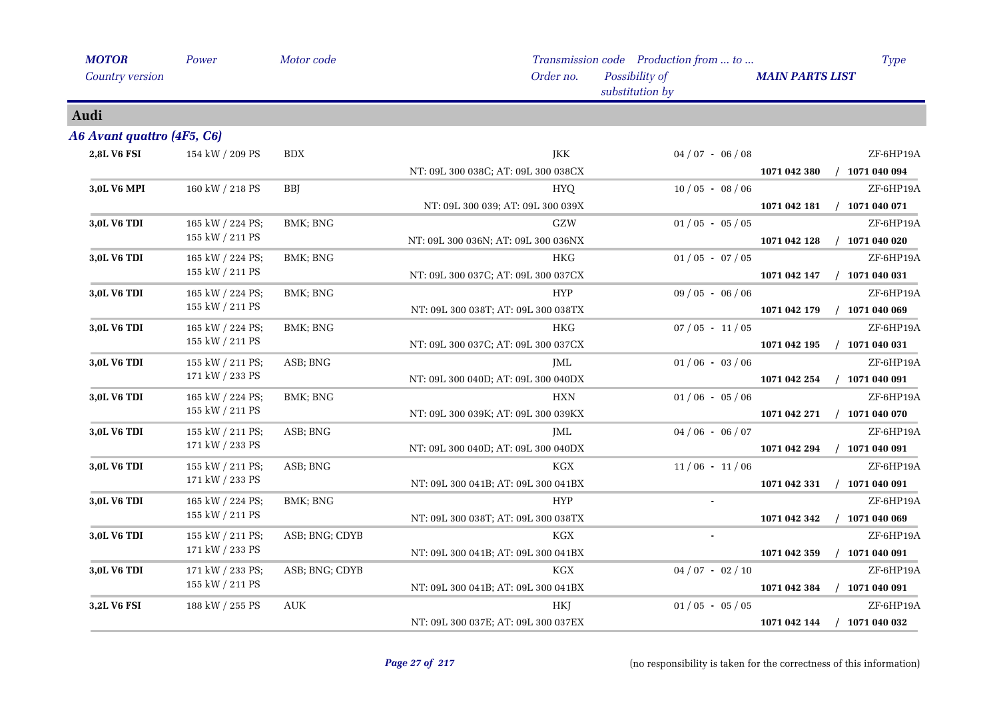| <b>MOTOR</b>               | Power            | Motor code     |                                     | Transmission code Production from  to | Type                             |
|----------------------------|------------------|----------------|-------------------------------------|---------------------------------------|----------------------------------|
| <b>Country version</b>     |                  |                | Order no.                           | Possibility of<br>substitution by     | <b>MAIN PARTS LIST</b>           |
| Audi                       |                  |                |                                     |                                       |                                  |
| A6 Avant quattro (4F5, C6) |                  |                |                                     |                                       |                                  |
| 2,8L V6 FSI                | 154 kW / 209 PS  | <b>BDX</b>     | JKK                                 | $04/07 - 06/08$                       | ZF-6HP19A                        |
|                            |                  |                | NT: 09L 300 038C; AT: 09L 300 038CX |                                       | 1071 042 380<br>$/$ 1071 040 094 |
| <b>3,0L V6 MPI</b>         | 160 kW / 218 PS  | <b>BBI</b>     | <b>HYQ</b>                          | $10/05 - 08/06$                       | ZF-6HP19A                        |
|                            |                  |                | NT: 09L 300 039; AT: 09L 300 039X   |                                       | 1071 042 181<br>$/$ 1071 040 071 |
| 3,0L V6 TDI                | 165 kW / 224 PS; | BMK; BNG       | ${\rm GZW}$                         | $01/05 - 05/05$                       | ZF-6HP19A                        |
|                            | 155 kW / 211 PS  |                | NT: 09L 300 036N; AT: 09L 300 036NX |                                       | 1071 042 128<br>$/$ 1071 040 020 |
| 3,0L V6 TDI                | 165 kW / 224 PS; | BMK; BNG       | <b>HKG</b>                          | $01/05 - 07/05$                       | ZF-6HP19A                        |
|                            | 155 kW / 211 PS  |                | NT: 09L 300 037C; AT: 09L 300 037CX |                                       | $/$ 1071 040 031<br>1071 042 147 |
| 3,0L V6 TDI                | 165 kW / 224 PS; | BMK; BNG       | <b>HYP</b>                          | $09/05 - 06/06$                       | ZF-6HP19A                        |
|                            | 155 kW / 211 PS  |                | NT: 09L 300 038T; AT: 09L 300 038TX |                                       | $/$ 1071 040 069<br>1071 042 179 |
| 3,0L V6 TDI                | 165 kW / 224 PS; | BMK; BNG       | <b>HKG</b>                          | $07/05 - 11/05$                       | ZF-6HP19A                        |
|                            | 155 kW / 211 PS  |                | NT: 09L 300 037C; AT: 09L 300 037CX |                                       | $/$ 1071 040 031<br>1071 042 195 |
| 3,0L V6 TDI                | 155 kW / 211 PS; | ASB; BNG       | JML                                 | $01/06 - 03/06$                       | ZF-6HP19A                        |
|                            | 171 kW / 233 PS  |                | NT: 09L 300 040D; AT: 09L 300 040DX |                                       | $/$ 1071 040 091<br>1071 042 254 |
| 3,0L V6 TDI                | 165 kW / 224 PS; | BMK; BNG       | <b>HXN</b>                          | $01/06 - 05/06$                       | ZF-6HP19A                        |
|                            | 155 kW / 211 PS  |                | NT: 09L 300 039K; AT: 09L 300 039KX |                                       | 1071 042 271<br>$/$ 1071 040 070 |
| 3,0L V6 TDI                | 155 kW / 211 PS; | ASB; BNG       | JML                                 | $04/06 - 06/07$                       | ZF-6HP19A                        |
|                            | 171 kW / 233 PS  |                | NT: 09L 300 040D; AT: 09L 300 040DX |                                       | 1071 042 294<br>$/$ 1071 040 091 |
| 3,0L V6 TDI                | 155 kW / 211 PS; | ASB; BNG       | <b>KGX</b>                          | $11/06 - 11/06$                       | ZF-6HP19A                        |
|                            | 171 kW / 233 PS  |                | NT: 09L 300 041B; AT: 09L 300 041BX |                                       | $/$ 1071 040 091<br>1071 042 331 |
| 3,0L V6 TDI                | 165 kW / 224 PS; | BMK; BNG       | <b>HYP</b>                          |                                       | ZF-6HP19A                        |
|                            | 155 kW / 211 PS  |                | NT: 09L 300 038T; AT: 09L 300 038TX |                                       | $/$ 1071 040 069<br>1071 042 342 |
| 3,0L V6 TDI                | 155 kW / 211 PS; | ASB; BNG; CDYB | <b>KGX</b>                          |                                       | ZF-6HP19A                        |
|                            | 171 kW / 233 PS  |                | NT: 09L 300 041B; AT: 09L 300 041BX |                                       | 1071 042 359<br>$/$ 1071 040 091 |
| 3,0L V6 TDI                | 171 kW / 233 PS; | ASB; BNG; CDYB | <b>KGX</b>                          | $04/07 - 02/10$                       | ZF-6HP19A                        |
|                            | 155 kW / 211 PS  |                | NT: 09L 300 041B; AT: 09L 300 041BX |                                       | $/$ 1071 040 091<br>1071 042 384 |
| 3,2L V6 FSI                | 188 kW / 255 PS  | <b>AUK</b>     | HKJ                                 | $01/05 - 05/05$                       | ZF-6HP19A                        |
|                            |                  |                | NT: 09L 300 037E; AT: 09L 300 037EX |                                       | $/$ 1071 040 032<br>1071 042 144 |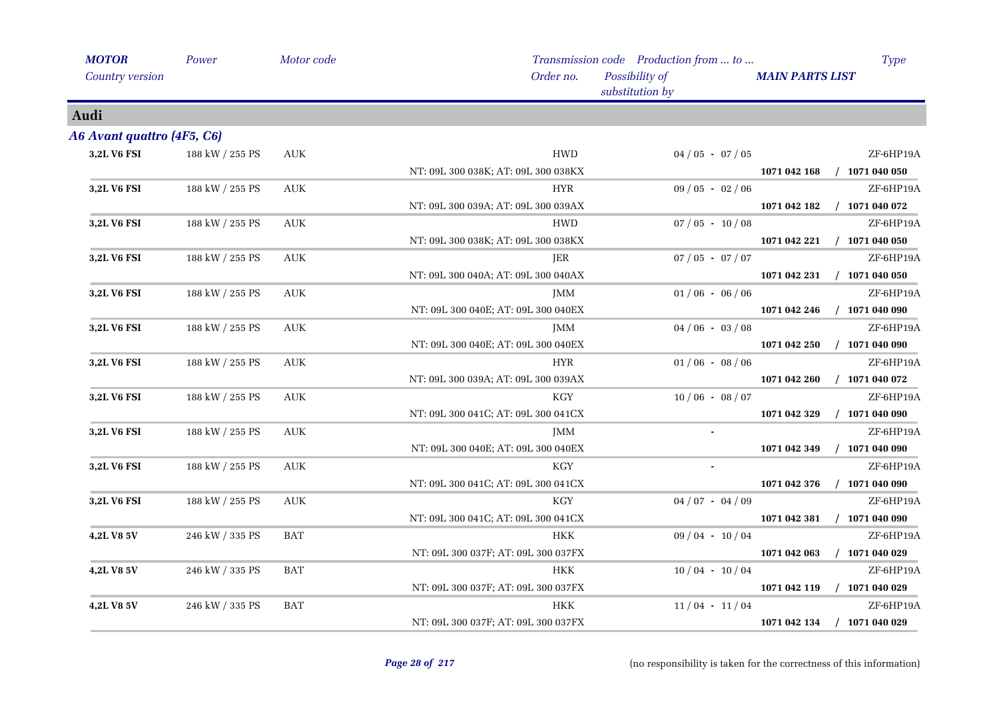| <b>MOTOR</b>               | Power           | Motor code                       |                                     | Transmission code Production from  to | Type                             |
|----------------------------|-----------------|----------------------------------|-------------------------------------|---------------------------------------|----------------------------------|
| Country version            |                 |                                  | Order no.                           | Possibility of<br>substitution by     | <b>MAIN PARTS LIST</b>           |
| Audi                       |                 |                                  |                                     |                                       |                                  |
| A6 Avant quattro (4F5, C6) |                 |                                  |                                     |                                       |                                  |
| 3,2L V6 FSI                | 188 kW / 255 PS | <b>AUK</b>                       | <b>HWD</b>                          | $04/05 - 07/05$                       | ZF-6HP19A                        |
|                            |                 |                                  | NT: 09L 300 038K; AT: 09L 300 038KX |                                       | 1071 042 168<br>$/$ 1071 040 050 |
| <b>3,2L V6 FSI</b>         | 188 kW / 255 PS | <b>AUK</b>                       | <b>HYR</b>                          | $09/05 - 02/06$                       | ZF-6HP19A                        |
|                            |                 |                                  | NT: 09L 300 039A; AT: 09L 300 039AX |                                       | 1071 042 182<br>$/$ 1071 040 072 |
| 3,2L V6 FSI                | 188 kW / 255 PS | <b>AUK</b>                       | HWD                                 | $07/05 - 10/08$                       | ZF-6HP19A                        |
|                            |                 |                                  | NT: 09L 300 038K; AT: 09L 300 038KX |                                       | $/$ 1071 040 050<br>1071 042 221 |
| 3,2L V6 FSI                | 188 kW / 255 PS | <b>AUK</b>                       | JER                                 | $07/05 - 07/07$                       | ZF-6HP19A                        |
|                            |                 |                                  | NT: 09L 300 040A; AT: 09L 300 040AX |                                       | 1071 042 231<br>$/$ 1071 040 050 |
| 3,2L V6 FSI                | 188 kW / 255 PS | AUK                              | <b>JMM</b>                          | $01/06 - 06/06$                       | ZF-6HP19A                        |
|                            |                 |                                  | NT: 09L 300 040E; AT: 09L 300 040EX |                                       | 1071 042 246<br>$/$ 1071 040 090 |
| 3,2L V6 FSI                | 188 kW / 255 PS | AUK                              | <b>JMM</b>                          | $04/06 - 03/08$                       | ZF-6HP19A                        |
|                            |                 |                                  | NT: 09L 300 040E; AT: 09L 300 040EX |                                       | $/$ 1071 040 090<br>1071 042 250 |
| 3,2L V6 FSI                | 188 kW / 255 PS | AUK                              | HYR                                 | $01/06 - 08/06$                       | ZF-6HP19A                        |
|                            |                 |                                  | NT: 09L 300 039A; AT: 09L 300 039AX |                                       | 1071 042 260<br>$/$ 1071 040 072 |
| 3,2L V6 FSI                | 188 kW / 255 PS | <b>AUK</b>                       | $\rm KGY$                           | $10/06 - 08/07$                       | ZF-6HP19A                        |
|                            |                 |                                  | NT: 09L 300 041C; AT: 09L 300 041CX |                                       | 1071 042 329<br>$/$ 1071 040 090 |
| 3,2L V6 FSI                | 188 kW / 255 PS | AUK                              | <b>JMM</b>                          |                                       | ZF-6HP19A                        |
|                            |                 |                                  | NT: 09L 300 040E; AT: 09L 300 040EX |                                       | $/$ 1071 040 090<br>1071 042 349 |
| 3,2L V6 FSI                | 188 kW / 255 PS | $\mathbf{A}\mathbf{U}\mathbf{K}$ | KGY                                 |                                       | ZF-6HP19A                        |
|                            |                 |                                  | NT: 09L 300 041C; AT: 09L 300 041CX |                                       | 1071 042 376<br>$/$ 1071 040 090 |
| 3,2L V6 FSI                | 188 kW / 255 PS | $\mathbf{A}\mathbf{U}\mathbf{K}$ | KGY                                 | $04/07 - 04/09$                       | ZF-6HP19A                        |
|                            |                 |                                  | NT: 09L 300 041C; AT: 09L 300 041CX |                                       | 1071 042 381<br>$/$ 1071 040 090 |
| 4,2L V8 5V                 | 246 kW / 335 PS | <b>BAT</b>                       | <b>HKK</b>                          | $09/04 - 10/04$                       | ZF-6HP19A                        |
|                            |                 |                                  | NT: 09L 300 037F; AT: 09L 300 037FX |                                       | 1071 042 063<br>$/$ 1071 040 029 |
| 4,2L V8 5V                 | 246 kW / 335 PS | <b>BAT</b>                       | <b>HKK</b>                          | $10/04 - 10/04$                       | ZF-6HP19A                        |
|                            |                 |                                  | NT: 09L 300 037F; AT: 09L 300 037FX |                                       | 1071 042 119<br>$/$ 1071 040 029 |
| 4,2L V8 5V                 | 246 kW / 335 PS | <b>BAT</b>                       | HKK                                 | $11/04 - 11/04$                       | ZF-6HP19A                        |
|                            |                 |                                  | NT: 09L 300 037F; AT: 09L 300 037FX |                                       | 1071 042 134<br>$/$ 1071 040 029 |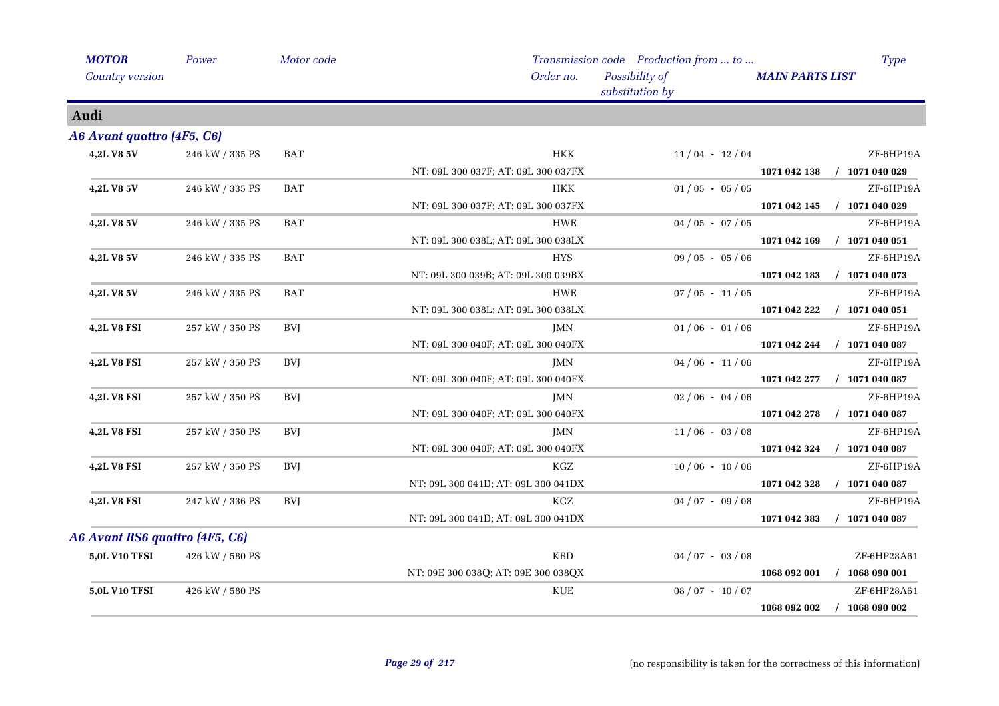| <b>MOTOR</b>                   | Power           | Motor code |                                     | Transmission code Production from  to | Type                             |
|--------------------------------|-----------------|------------|-------------------------------------|---------------------------------------|----------------------------------|
| Country version                |                 |            | Order no.                           | Possibility of<br>substitution by     | <b>MAIN PARTS LIST</b>           |
| Audi                           |                 |            |                                     |                                       |                                  |
| A6 Avant quattro (4F5, C6)     |                 |            |                                     |                                       |                                  |
| 4,2L V8 5V                     | 246 kW / 335 PS | BAT        | <b>HKK</b>                          | $11/04 - 12/04$                       | ZF-6HP19A                        |
|                                |                 |            | NT: 09L 300 037F; AT: 09L 300 037FX |                                       | $/$ 1071 040 029<br>1071 042 138 |
| 4,2L V8 5V                     | 246 kW / 335 PS | <b>BAT</b> | HKK                                 | $01/05 - 05/05$                       | ZF-6HP19A                        |
|                                |                 |            | NT: 09L 300 037F; AT: 09L 300 037FX |                                       | $/$ 1071 040 029<br>1071 042 145 |
| 4,2L V8 5V                     | 246 kW / 335 PS | <b>BAT</b> | <b>HWE</b>                          | $04/05 - 07/05$                       | ZF-6HP19A                        |
|                                |                 |            | NT: 09L 300 038L; AT: 09L 300 038LX |                                       | 1071 042 169<br>$/$ 1071 040 051 |
| <b>4,2L V8 5V</b>              | 246 kW / 335 PS | <b>BAT</b> | <b>HYS</b>                          | $09/05 - 05/06$                       | ZF-6HP19A                        |
|                                |                 |            | NT: 09L 300 039B; AT: 09L 300 039BX |                                       | 1071 042 183<br>$/$ 1071 040 073 |
| 4,2L V8 5V                     | 246 kW / 335 PS | <b>BAT</b> | HWE                                 | $07/05 - 11/05$                       | ZF-6HP19A                        |
|                                |                 |            | NT: 09L 300 038L; AT: 09L 300 038LX |                                       | $/$ 1071 040 051<br>1071 042 222 |
| <b>4,2L V8 FSI</b>             | 257 kW / 350 PS | <b>BVJ</b> | JMN                                 | $01/06 - 01/06$                       | ZF-6HP19A                        |
|                                |                 |            | NT: 09L 300 040F; AT: 09L 300 040FX |                                       | $/$ 1071 040 087<br>1071 042 244 |
| 4,2L V8 FSI                    | 257 kW / 350 PS | <b>BVI</b> | JMN                                 | $04/06 - 11/06$                       | ZF-6HP19A                        |
|                                |                 |            | NT: 09L 300 040F; AT: 09L 300 040FX |                                       | 1071 042 277<br>$/$ 1071 040 087 |
| <b>4,2L V8 FSI</b>             | 257 kW / 350 PS | <b>BVJ</b> | JMN                                 | $02/06 - 04/06$                       | ZF-6HP19A                        |
|                                |                 |            | NT: 09L 300 040F; AT: 09L 300 040FX |                                       | $/$ 1071 040 087<br>1071 042 278 |
| <b>4,2L V8 FSI</b>             | 257 kW / 350 PS | <b>BVJ</b> | JMN                                 | $11/06 - 03/08$                       | ZF-6HP19A                        |
|                                |                 |            | NT: 09L 300 040F; AT: 09L 300 040FX |                                       | $/$ 1071 040 087<br>1071 042 324 |
| <b>4,2L V8 FSI</b>             | 257 kW / 350 PS | BVJ        | KGZ                                 | $10/06 - 10/06$                       | ZF-6HP19A                        |
|                                |                 |            | NT: 09L 300 041D; AT: 09L 300 041DX |                                       | $/$ 1071 040 087<br>1071 042 328 |
| <b>4,2L V8 FSI</b>             | 247 kW / 336 PS | <b>BVJ</b> | KGZ                                 | $04/07 - 09/08$                       | ZF-6HP19A                        |
|                                |                 |            | NT: 09L 300 041D; AT: 09L 300 041DX |                                       | $/$ 1071 040 087<br>1071 042 383 |
| A6 Avant RS6 quattro (4F5, C6) |                 |            |                                     |                                       |                                  |
| <b>5,0L V10 TFSI</b>           | 426 kW / 580 PS |            | <b>KBD</b>                          | $04/07 - 03/08$                       | ZF-6HP28A61                      |
|                                |                 |            | NT: 09E 300 038Q; AT: 09E 300 038QX |                                       | 1068 092 001<br>$/$ 1068 090 001 |
| <b>5,0L V10 TFSI</b>           | 426 kW / 580 PS |            | <b>KUE</b>                          | $08/07 - 10/07$                       | ZF-6HP28A61                      |
|                                |                 |            |                                     |                                       | $/$ 1068 090 002<br>1068 092 002 |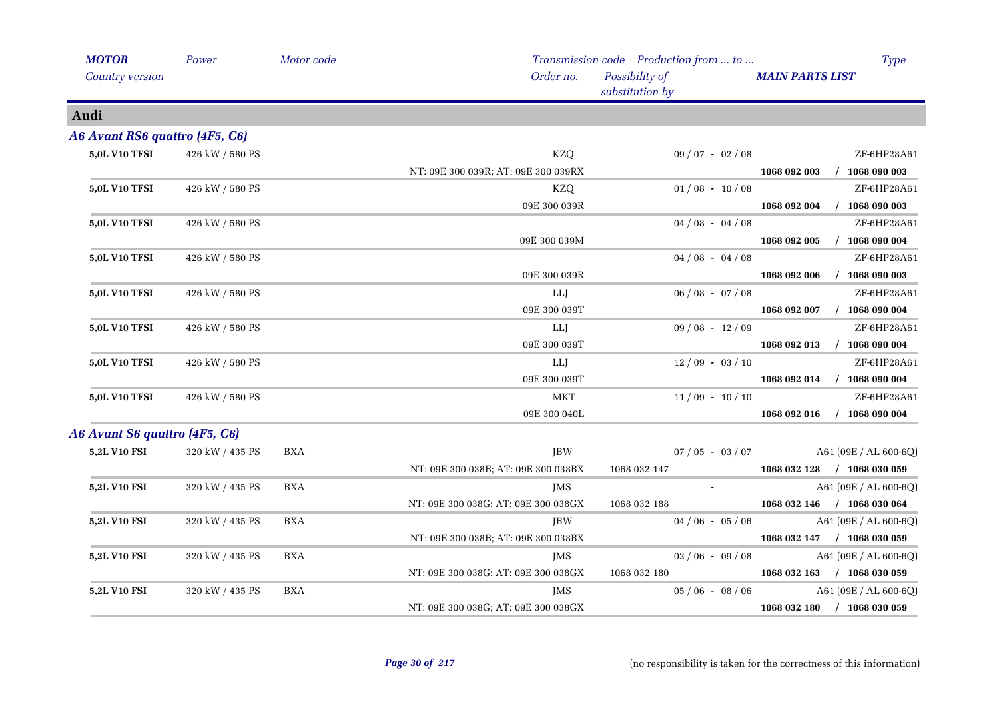| <b>MOTOR</b>                   | Power           | Motor code |                                     | Transmission code Production from  to | <b>Type</b>                      |
|--------------------------------|-----------------|------------|-------------------------------------|---------------------------------------|----------------------------------|
| <b>Country version</b>         |                 |            | Order no.                           | Possibility of<br>substitution by     | <b>MAIN PARTS LIST</b>           |
| Audi                           |                 |            |                                     |                                       |                                  |
| A6 Avant RS6 quattro (4F5, C6) |                 |            |                                     |                                       |                                  |
| <b>5,0L V10 TFSI</b>           | 426 kW / 580 PS |            | <b>KZQ</b>                          | $09/07 - 02/08$                       | ZF-6HP28A61                      |
|                                |                 |            | NT: 09E 300 039R; AT: 09E 300 039RX |                                       | 1068 092 003 / 1068 090 003      |
| <b>5,0L V10 TFSI</b>           | 426 kW / 580 PS |            | KZQ                                 | $01/08 - 10/08$                       | ZF-6HP28A61                      |
|                                |                 |            | 09E 300 039R                        |                                       | 1068 092 004 / 1068 090 003      |
| <b>5,0L V10 TFSI</b>           | 426 kW / 580 PS |            |                                     | $04/08 - 04/08$                       | ZF-6HP28A61                      |
|                                |                 |            | 09E 300 039M                        |                                       | $/$ 1068 090 004<br>1068 092 005 |
| <b>5,0L V10 TFSI</b>           | 426 kW / 580 PS |            |                                     | $04/08 - 04/08$                       | ZF-6HP28A61                      |
|                                |                 |            | 09E 300 039R                        |                                       | 1068 092 006 / 1068 090 003      |
| <b>5,0L V10 TFSI</b>           | 426 kW / 580 PS |            | LLJ                                 | $06/08 - 07/08$                       | ZF-6HP28A61                      |
|                                |                 |            | 09E 300 039T                        |                                       | 1068 092 007 / 1068 090 004      |
| <b>5,0L V10 TFSI</b>           | 426 kW / 580 PS |            | LLJ                                 | $09/08 - 12/09$                       | ZF-6HP28A61                      |
|                                |                 |            | 09E 300 039T                        |                                       | 1068 092 013 / 1068 090 004      |
| <b>5,0L V10 TFSI</b>           | 426 kW / 580 PS |            | LLJ                                 | $12/09 - 03/10$                       | ZF-6HP28A61                      |
|                                |                 |            | 09E 300 039T                        |                                       | 1068 092 014 / 1068 090 004      |
| <b>5,0L V10 TFSI</b>           | 426 kW / 580 PS |            | <b>MKT</b>                          | $11/09 - 10/10$                       | ZF-6HP28A61                      |
|                                |                 |            | 09E 300 040L                        |                                       | 1068 092 016<br>$/$ 1068 090 004 |
| A6 Avant S6 quattro (4F5, C6)  |                 |            |                                     |                                       |                                  |
| 5,2L V10 FSI                   | 320 kW / 435 PS | <b>BXA</b> | JBW                                 | $07/05 - 03/07$                       | $A61 (09E / AL 600-6Q)$          |
|                                |                 |            | NT: 09E 300 038B; AT: 09E 300 038BX | 1068 032 147                          | 1068 032 128 / 1068 030 059      |
| 5,2L V10 FSI                   | 320 kW / 435 PS | <b>BXA</b> | <b>IMS</b>                          | $\sim$                                | A61 (09E / AL 600-6Q)            |
|                                |                 |            | NT: 09E 300 038G; AT: 09E 300 038GX | 1068 032 188                          | 1068 032 146 / 1068 030 064      |
| <b>5,2L V10 FSI</b>            | 320 kW / 435 PS | <b>BXA</b> | JBW                                 | $04/06 - 05/06$                       | A61 (09E / AL 600-6Q)            |
|                                |                 |            | NT: 09E 300 038B; AT: 09E 300 038BX |                                       | 1068 032 147 / 1068 030 059      |
| 5,2L V10 FSI                   | 320 kW / 435 PS | <b>BXA</b> | JMS                                 | $02/06 - 09/08$                       | A61 (09E / AL 600-6Q)            |
|                                |                 |            | NT: 09E 300 038G; AT: 09E 300 038GX | 1068 032 180                          | 1068 032 163 / 1068 030 059      |
| 5,2L V10 FSI                   | 320 kW / 435 PS | <b>BXA</b> | JMS                                 | $05/06 - 08/06$                       | A61 (09E / AL 600-6Q)            |
|                                |                 |            | NT: 09E 300 038G; AT: 09E 300 038GX |                                       | 1068 032 180 / 1068 030 059      |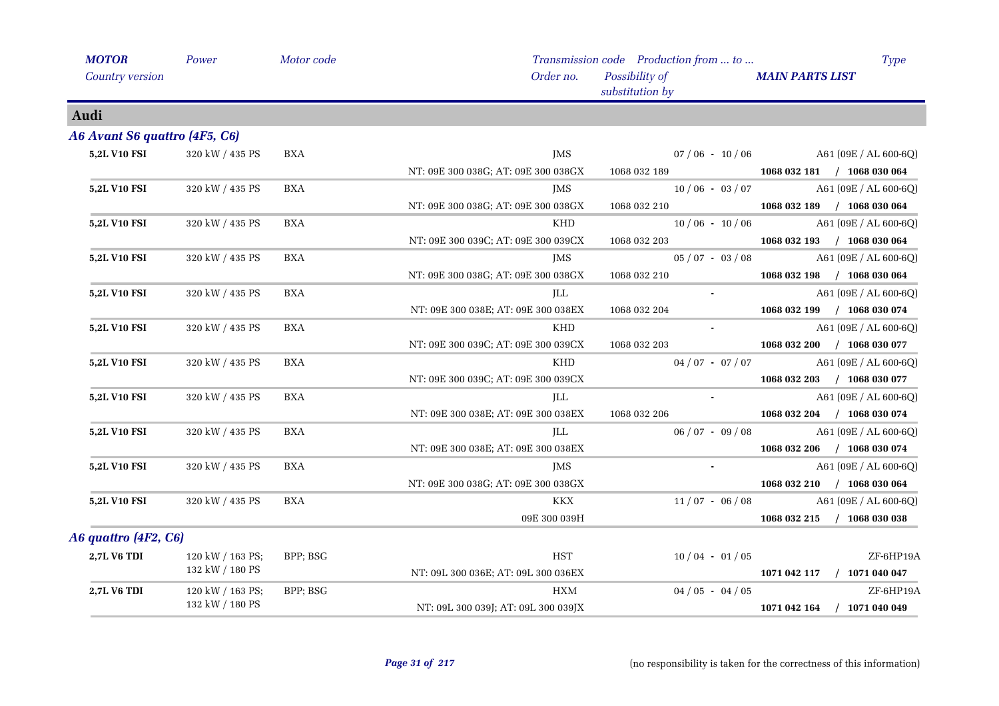| <b>MOTOR</b>                  | Power            | Motor code |                                     | Transmission code Production from  to | <b>Type</b>                 |
|-------------------------------|------------------|------------|-------------------------------------|---------------------------------------|-----------------------------|
| Country version               |                  |            | Order no.                           | Possibility of<br>substitution by     | <b>MAIN PARTS LIST</b>      |
| Audi                          |                  |            |                                     |                                       |                             |
| A6 Avant S6 quattro (4F5, C6) |                  |            |                                     |                                       |                             |
| 5,2L V10 FSI                  | 320 kW / 435 PS  | <b>BXA</b> | JMS                                 | $07/06 - 10/06$                       | A61 (09E / AL 600-6Q)       |
|                               |                  |            | NT: 09E 300 038G; AT: 09E 300 038GX | 1068 032 189                          | 1068 032 181 / 1068 030 064 |
| <b>5,2L V10 FSI</b>           | 320 kW / 435 PS  | BXA        | JMS                                 | $10/06 - 03/07$                       | A61 (09E / AL 600-6Q)       |
|                               |                  |            | NT: 09E 300 038G; AT: 09E 300 038GX | 1068 032 210                          | 1068 032 189 / 1068 030 064 |
| 5,2L V10 FSI                  | 320 kW / 435 PS  | <b>BXA</b> | <b>KHD</b>                          | $10/06 - 10/06$                       | A61 (09E / AL 600-6Q)       |
|                               |                  |            | NT: 09E 300 039C; AT: 09E 300 039CX | 1068 032 203                          | 1068 032 193 / 1068 030 064 |
| 5,2L V10 FSI                  | 320 kW / 435 PS  | <b>BXA</b> | JMS                                 | $05/07 - 03/08$                       | A61 (09E / AL 600-6Q)       |
|                               |                  |            | NT: 09E 300 038G; AT: 09E 300 038GX | 1068 032 210                          | 1068 032 198 / 1068 030 064 |
| <b>5,2L V10 FSI</b>           | 320 kW / 435 PS  | <b>BXA</b> | JLL                                 |                                       | A61 (09E / AL 600-6Q)       |
|                               |                  |            | NT: 09E 300 038E; AT: 09E 300 038EX | 1068 032 204                          | 1068 032 199 / 1068 030 074 |
| 5,2L V10 FSI                  | 320 kW / 435 PS  | <b>BXA</b> | <b>KHD</b>                          |                                       | A61 (09E / AL 600-6Q)       |
|                               |                  |            | NT: 09E 300 039C; AT: 09E 300 039CX | 1068 032 203                          | 1068 032 200 / 1068 030 077 |
| 5,2L V10 FSI                  | 320 kW / 435 PS  | <b>BXA</b> | <b>KHD</b>                          | $04/07 - 07/07$                       | A61 (09E / AL 600-6Q)       |
|                               |                  |            | NT: 09E 300 039C; AT: 09E 300 039CX |                                       | 1068 032 203 / 1068 030 077 |
| <b>5,2L V10 FSI</b>           | 320 kW / 435 PS  | <b>BXA</b> | JLL                                 |                                       | A61 (09E / AL 600-6Q)       |
|                               |                  |            | NT: 09E 300 038E; AT: 09E 300 038EX | 1068 032 206                          | 1068 032 204 / 1068 030 074 |
| 5,2L V10 FSI                  | 320 kW / 435 PS  | <b>BXA</b> | ILL                                 | $06/07 - 09/08$                       | A61 (09E / AL 600-6Q)       |
|                               |                  |            | NT: 09E 300 038E; AT: 09E 300 038EX |                                       | 1068 032 206 / 1068 030 074 |
| 5,2L V10 FSI                  | 320 kW / 435 PS  | <b>BXA</b> | <b>IMS</b>                          |                                       | A61 (09E / AL 600-6Q)       |
|                               |                  |            | NT: 09E 300 038G; AT: 09E 300 038GX |                                       | 1068 032 210 / 1068 030 064 |
| <b>5,2L V10 FSI</b>           | 320 kW / 435 PS  | <b>BXA</b> | <b>KKX</b>                          | $11/07 - 06/08$                       | A61 (09E / AL 600-6Q)       |
|                               |                  |            | 09E 300 039H                        |                                       | 1068 032 215 / 1068 030 038 |
| A6 quattro (4F2, C6)          |                  |            |                                     |                                       |                             |
| <b>2,7L V6 TDI</b>            | 120 kW / 163 PS; | BPP; BSG   | <b>HST</b>                          | $10/04 - 01/05$                       | ZF-6HP19A                   |
|                               | 132 kW / 180 PS  |            | NT: 09L 300 036E; AT: 09L 300 036EX |                                       | 1071 042 117 / 1071 040 047 |
| 2,7L V6 TDI                   | 120 kW / 163 PS; | BPP; BSG   | <b>HXM</b>                          | $04/05 - 04/05$                       | ZF-6HP19A                   |
|                               | 132 kW / 180 PS  |            | NT: 09L 300 039J; AT: 09L 300 039JX |                                       | 1071 042 164 / 1071 040 049 |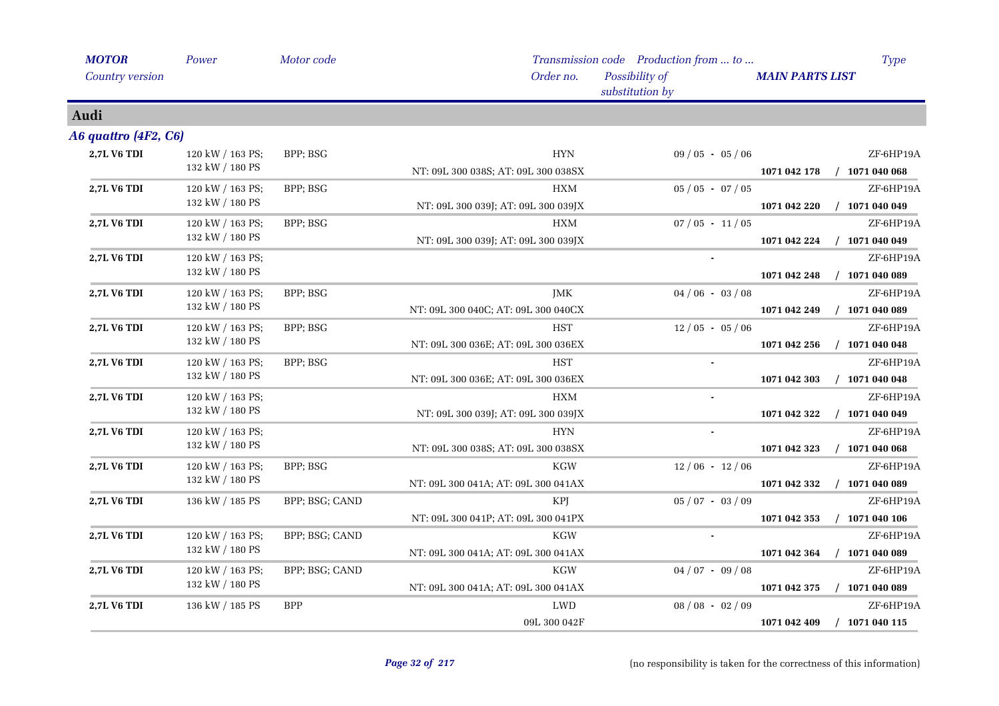| <b>MOTOR</b>         | Power            | Motor code     |                                     | Transmission code Production from  to | <b>Type</b>                      |
|----------------------|------------------|----------------|-------------------------------------|---------------------------------------|----------------------------------|
| Country version      |                  |                | Order no.                           | Possibility of<br>substitution by     | <b>MAIN PARTS LIST</b>           |
| Audi                 |                  |                |                                     |                                       |                                  |
| A6 quattro (4F2, C6) |                  |                |                                     |                                       |                                  |
| 2,7L V6 TDI          | 120 kW / 163 PS; | BPP; BSG       | <b>HYN</b>                          | $09/05 - 05/06$                       | ZF-6HP19A                        |
|                      | 132 kW / 180 PS  |                | NT: 09L 300 038S; AT: 09L 300 038SX |                                       | $/$ 1071 040 068<br>1071 042 178 |
| <b>2,7L V6 TDI</b>   | 120 kW / 163 PS; | BPP; BSG       | <b>HXM</b>                          | $05 / 05 - 07 / 05$                   | ZF-6HP19A                        |
|                      | 132 kW / 180 PS  |                | NT: 09L 300 039J; AT: 09L 300 039JX |                                       | 1071 042 220<br>$/$ 1071 040 049 |
| <b>2,7L V6 TDI</b>   | 120 kW / 163 PS; | BPP; BSG       | HXM                                 | $07/05 - 11/05$                       | ZF-6HP19A                        |
|                      | 132 kW / 180 PS  |                | NT: 09L 300 039J; AT: 09L 300 039JX |                                       | $/$ 1071 040 049<br>1071 042 224 |
| 2,7L V6 TDI          | 120 kW / 163 PS; |                |                                     |                                       | ZF-6HP19A                        |
|                      | 132 kW / 180 PS  |                |                                     |                                       | 1071 042 248<br>$/$ 1071 040 089 |
| 2,7L V6 TDI          | 120 kW / 163 PS; | BPP; BSG       | <b>JMK</b>                          | $04/06 - 03/08$                       | ZF-6HP19A                        |
|                      | 132 kW / 180 PS  |                | NT: 09L 300 040C; AT: 09L 300 040CX |                                       | $/$ 1071 040 089<br>1071 042 249 |
| 2,7L V6 TDI          | 120 kW / 163 PS; | BPP; BSG       | <b>HST</b>                          | $12/05 - 05/06$                       | ZF-6HP19A                        |
|                      | 132 kW / 180 PS  |                | NT: 09L 300 036E; AT: 09L 300 036EX |                                       | $/$ 1071 040 048<br>1071 042 256 |
| <b>2,7L V6 TDI</b>   | 120 kW / 163 PS; | BPP; BSG       | <b>HST</b>                          |                                       | ZF-6HP19A                        |
|                      | 132 kW / 180 PS  |                | NT: 09L 300 036E; AT: 09L 300 036EX |                                       | $/$ 1071 040 048<br>1071 042 303 |
| 2,7L V6 TDI          | 120 kW / 163 PS; |                | <b>HXM</b>                          | $\blacksquare$                        | ZF-6HP19A                        |
|                      | 132 kW / 180 PS  |                | NT: 09L 300 039J; AT: 09L 300 039JX |                                       | $/$ 1071 040 049<br>1071 042 322 |
| 2,7L V6 TDI          | 120 kW / 163 PS; |                | <b>HYN</b>                          |                                       | ZF-6HP19A                        |
|                      | 132 kW / 180 PS  |                | NT: 09L 300 038S; AT: 09L 300 038SX |                                       | $/$ 1071 040 068<br>1071 042 323 |
| 2,7L V6 TDI          | 120 kW / 163 PS; | BPP; BSG       | KGW                                 | $12/06 - 12/06$                       | ZF-6HP19A                        |
|                      | 132 kW / 180 PS  |                | NT: 09L 300 041A; AT: 09L 300 041AX |                                       | 1071 042 332<br>$/$ 1071 040 089 |
| 2,7L V6 TDI          | 136 kW / 185 PS  | BPP; BSG; CAND | KPJ                                 | $05/07 - 03/09$                       | ZF-6HP19A                        |
|                      |                  |                | NT: 09L 300 041P; AT: 09L 300 041PX |                                       | $/$ 1071 040 106<br>1071 042 353 |
| <b>2,7L V6 TDI</b>   | 120 kW / 163 PS; | BPP; BSG; CAND | KGW                                 |                                       | ZF-6HP19A                        |
|                      | 132 kW / 180 PS  |                | NT: 09L 300 041A; AT: 09L 300 041AX |                                       | 1071 042 364<br>$/$ 1071 040 089 |
| 2,7L V6 TDI          | 120 kW / 163 PS; | BPP; BSG; CAND | <b>KGW</b>                          | $04/07 - 09/08$                       | ZF-6HP19A                        |
|                      | 132 kW / 180 PS  |                | NT: 09L 300 041A; AT: 09L 300 041AX |                                       | $/$ 1071 040 089<br>1071 042 375 |
| 2,7L V6 TDI          | 136 kW / 185 PS  | <b>BPP</b>     | LWD                                 | $08/08 - 02/09$                       | ZF-6HP19A                        |
|                      |                  |                | 09L 300 042F                        |                                       | $/$ 1071 040 115<br>1071 042 409 |
|                      |                  |                |                                     |                                       |                                  |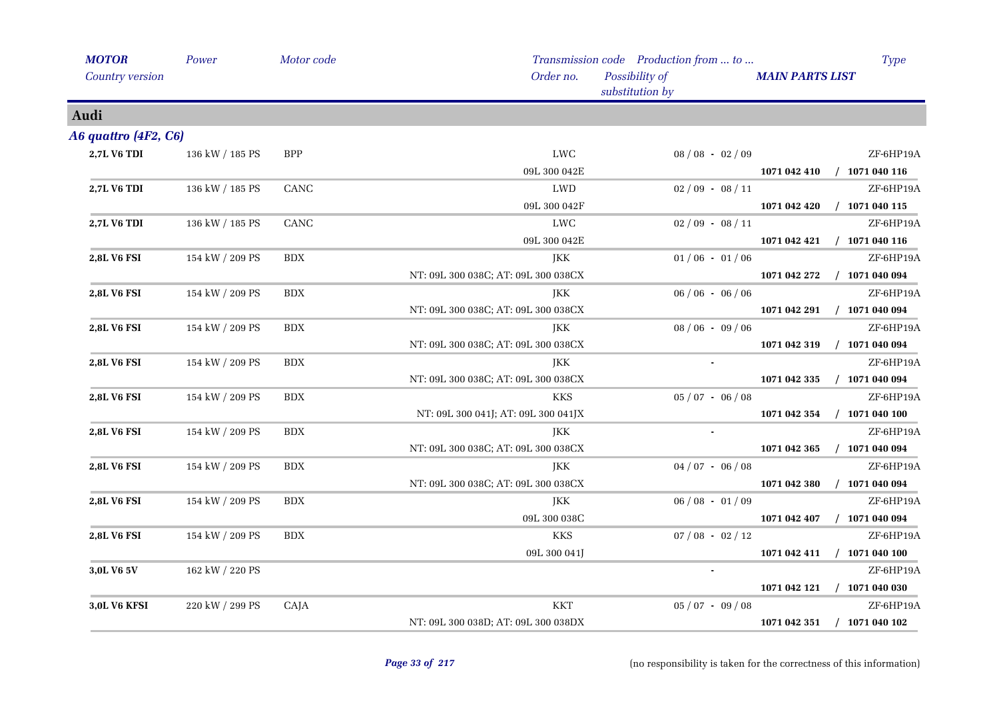| <b>MOTOR</b>         | Power           | Motor code |                                     | Transmission code Production from  to |                        | <b>Type</b>                 |
|----------------------|-----------------|------------|-------------------------------------|---------------------------------------|------------------------|-----------------------------|
| Country version      |                 |            | Order no.                           | Possibility of<br>substitution by     | <b>MAIN PARTS LIST</b> |                             |
| Audi                 |                 |            |                                     |                                       |                        |                             |
| A6 quattro (4F2, C6) |                 |            |                                     |                                       |                        |                             |
| 2,7L V6 TDI          | 136 kW / 185 PS | <b>BPP</b> | <b>LWC</b>                          | $08/08 - 02/09$                       |                        | ZF-6HP19A                   |
|                      |                 |            | 09L 300 042E                        |                                       |                        | 1071 042 410 / 1071 040 116 |
| 2,7L V6 TDI          | 136 kW / 185 PS | CANC       | LWD                                 | $02/09 - 08/11$                       |                        | ZF-6HP19A                   |
|                      |                 |            | 09L 300 042F                        |                                       | 1071 042 420           | $/$ 1071 040 115            |
| <b>2,7L V6 TDI</b>   | 136 kW / 185 PS | CANC       | LWC                                 | $02/09 - 08/11$                       |                        | ZF-6HP19A                   |
|                      |                 |            | 09L 300 042E                        |                                       |                        | 1071 042 421 / 1071 040 116 |
| 2,8L V6 FSI          | 154 kW / 209 PS | <b>BDX</b> | JKK                                 | $01/06 - 01/06$                       |                        | ZF-6HP19A                   |
|                      |                 |            | NT: 09L 300 038C; AT: 09L 300 038CX |                                       | 1071 042 272           | $/$ 1071 040 094            |
| 2,8L V6 FSI          | 154 kW / 209 PS | <b>BDX</b> | <b>JKK</b>                          | $06/06 - 06/06$                       |                        | ZF-6HP19A                   |
|                      |                 |            | NT: 09L 300 038C; AT: 09L 300 038CX |                                       |                        | 1071 042 291 / 1071 040 094 |
| 2,8L V6 FSI          | 154 kW / 209 PS | <b>BDX</b> | JKK                                 | $08/06 - 09/06$                       |                        | ZF-6HP19A                   |
|                      |                 |            | NT: 09L 300 038C; AT: 09L 300 038CX |                                       | 1071 042 319           | $/$ 1071 040 094            |
| 2,8L V6 FSI          | 154 kW / 209 PS | <b>BDX</b> | JKK                                 |                                       |                        | ZF-6HP19A                   |
|                      |                 |            | NT: 09L 300 038C; AT: 09L 300 038CX |                                       | 1071 042 335           | $/$ 1071 040 094            |
| <b>2,8L V6 FSI</b>   | 154 kW / 209 PS | <b>BDX</b> | <b>KKS</b>                          | $05/07 - 06/08$                       |                        | ZF-6HP19A                   |
|                      |                 |            | NT: 09L 300 041J; AT: 09L 300 041JX |                                       | 1071 042 354           | $/$ 1071 040 100            |
| 2,8L V6 FSI          | 154 kW / 209 PS | <b>BDX</b> | <b>JKK</b>                          |                                       |                        | ZF-6HP19A                   |
|                      |                 |            | NT: 09L 300 038C; AT: 09L 300 038CX |                                       | 1071 042 365           | $/$ 1071 040 094            |
| 2,8L V6 FSI          | 154 kW / 209 PS | <b>BDX</b> | JKK                                 | $04/07 - 06/08$                       |                        | ZF-6HP19A                   |
|                      |                 |            | NT: 09L 300 038C; AT: 09L 300 038CX |                                       | 1071 042 380           | $/$ 1071 040 094            |
| <b>2,8L V6 FSI</b>   | 154 kW / 209 PS | <b>BDX</b> | JKK                                 | $06/08 - 01/09$                       |                        | ZF-6HP19A                   |
|                      |                 |            | 09L 300 038C                        |                                       | 1071 042 407           | $/$ 1071 040 094            |
| 2,8L V6 FSI          | 154 kW / 209 PS | <b>BDX</b> | KKS                                 | $07/08 - 02/12$                       |                        | ZF-6HP19A                   |
|                      |                 |            | 09L 300 041J                        |                                       | 1071 042 411           | $/$ 1071 040 100            |
| 3,0L V6 5V           | 162 kW / 220 PS |            |                                     |                                       |                        | ZF-6HP19A                   |
|                      |                 |            |                                     |                                       |                        | 1071 042 121 / 1071 040 030 |
| 3,0L V6 KFSI         | 220 kW / 299 PS | CAJA       | <b>KKT</b>                          | $05/07 - 09/08$                       |                        | ZF-6HP19A                   |
|                      |                 |            | NT: 09L 300 038D; AT: 09L 300 038DX |                                       | 1071 042 351           | $/$ 1071 040 102            |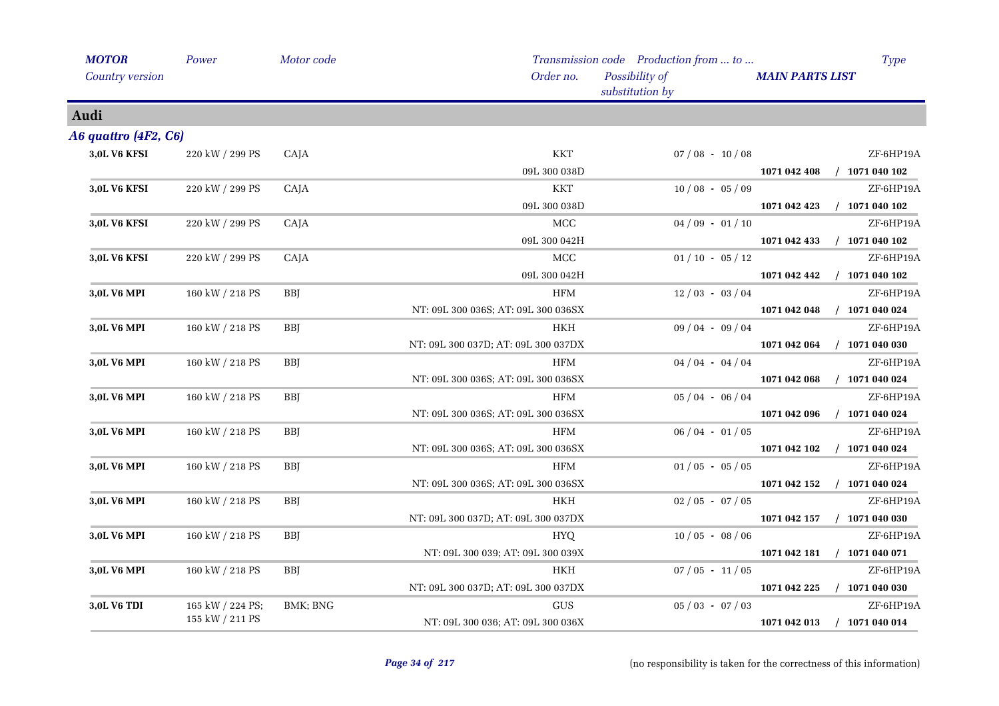| <b>MOTOR</b>         | Power            | Motor code |                                     | Transmission code Production from  to |                        | <b>Type</b>      |
|----------------------|------------------|------------|-------------------------------------|---------------------------------------|------------------------|------------------|
| Country version      |                  |            | Order no.                           | Possibility of<br>substitution by     | <b>MAIN PARTS LIST</b> |                  |
| Audi                 |                  |            |                                     |                                       |                        |                  |
| A6 quattro (4F2, C6) |                  |            |                                     |                                       |                        |                  |
| 3,0L V6 KFSI         | 220 kW / 299 PS  | CAJA       | <b>KKT</b>                          | $07/08 - 10/08$                       |                        | ZF-6HP19A        |
|                      |                  |            | 09L 300 038D                        |                                       | 1071 042 408           | $/$ 1071 040 102 |
| <b>3,0L V6 KFSI</b>  | 220 kW / 299 PS  | CAJA       | <b>KKT</b>                          | $10/08 - 05/09$                       |                        | ZF-6HP19A        |
|                      |                  |            | 09L 300 038D                        |                                       | 1071 042 423           | $/$ 1071 040 102 |
| <b>3,0L V6 KFSI</b>  | 220 kW / 299 PS  | CAJA       | MCC                                 | $04/09 - 01/10$                       |                        | ZF-6HP19A        |
|                      |                  |            | 09L 300 042H                        |                                       | 1071 042 433           | $/$ 1071 040 102 |
| 3,0L V6 KFSI         | 220 kW / 299 PS  | CAJA       | $\rm MCC$                           | $01/10 - 05/12$                       |                        | ZF-6HP19A        |
|                      |                  |            | 09L 300 042H                        |                                       | 1071 042 442           | $/$ 1071 040 102 |
| 3,0L V6 MPI          | 160 kW / 218 PS  | <b>BBJ</b> | <b>HFM</b>                          | $12/03 - 03/04$                       |                        | ZF-6HP19A        |
|                      |                  |            | NT: 09L 300 036S; AT: 09L 300 036SX |                                       | 1071 042 048           | $/$ 1071 040 024 |
| 3,0L V6 MPI          | 160 kW / 218 PS  | <b>BBJ</b> | <b>HKH</b>                          | $09/04 - 09/04$                       |                        | ZF-6HP19A        |
|                      |                  |            | NT: 09L 300 037D; AT: 09L 300 037DX |                                       | 1071 042 064           | $/$ 1071 040 030 |
| 3,0L V6 MPI          | 160 kW / 218 PS  | <b>BBJ</b> | HFM                                 | $04/04 - 04/04$                       |                        | ZF-6HP19A        |
|                      |                  |            | NT: 09L 300 036S; AT: 09L 300 036SX |                                       | 1071 042 068           | $/$ 1071 040 024 |
| 3,0L V6 MPI          | 160 kW / 218 PS  | <b>BBI</b> | <b>HFM</b>                          | $05/04 - 06/04$                       |                        | ZF-6HP19A        |
|                      |                  |            | NT: 09L 300 036S; AT: 09L 300 036SX |                                       | 1071 042 096           | $/$ 1071 040 024 |
| 3,0L V6 MPI          | 160 kW / 218 PS  | <b>BBJ</b> | <b>HFM</b>                          | $06/04 - 01/05$                       |                        | ZF-6HP19A        |
|                      |                  |            | NT: 09L 300 036S; AT: 09L 300 036SX |                                       | 1071 042 102           | $/$ 1071 040 024 |
| 3,0L V6 MPI          | 160 kW / 218 PS  | <b>BBJ</b> | <b>HFM</b>                          | $01/05 - 05/05$                       |                        | ZF-6HP19A        |
|                      |                  |            | NT: 09L 300 036S; AT: 09L 300 036SX |                                       | 1071 042 152           | $/$ 1071 040 024 |
| 3,0L V6 MPI          | 160 kW / 218 PS  | <b>BBJ</b> | HKH                                 | $02/05 - 07/05$                       |                        | ZF-6HP19A        |
|                      |                  |            | NT: 09L 300 037D; AT: 09L 300 037DX |                                       | 1071 042 157           | $/$ 1071 040 030 |
| 3,0L V6 MPI          | 160 kW / 218 PS  | <b>BBJ</b> | <b>HYQ</b>                          | $10/05 - 08/06$                       |                        | ZF-6HP19A        |
|                      |                  |            | NT: 09L 300 039; AT: 09L 300 039X   |                                       | 1071 042 181           | $/$ 1071 040 071 |
| 3,0L V6 MPI          | 160 kW / 218 PS  | BBJ        | HKH                                 | $07/05 - 11/05$                       |                        | ZF-6HP19A        |
|                      |                  |            | NT: 09L 300 037D; AT: 09L 300 037DX |                                       | 1071 042 225           | $/$ 1071 040 030 |
| 3,0L V6 TDI          | 165 kW / 224 PS; | BMK; BNG   | <b>GUS</b>                          | $05/03 - 07/03$                       |                        | ZF-6HP19A        |
|                      | 155 kW / 211 PS  |            | NT: 09L 300 036; AT: 09L 300 036X   |                                       | 1071 042 013           | $/$ 1071 040 014 |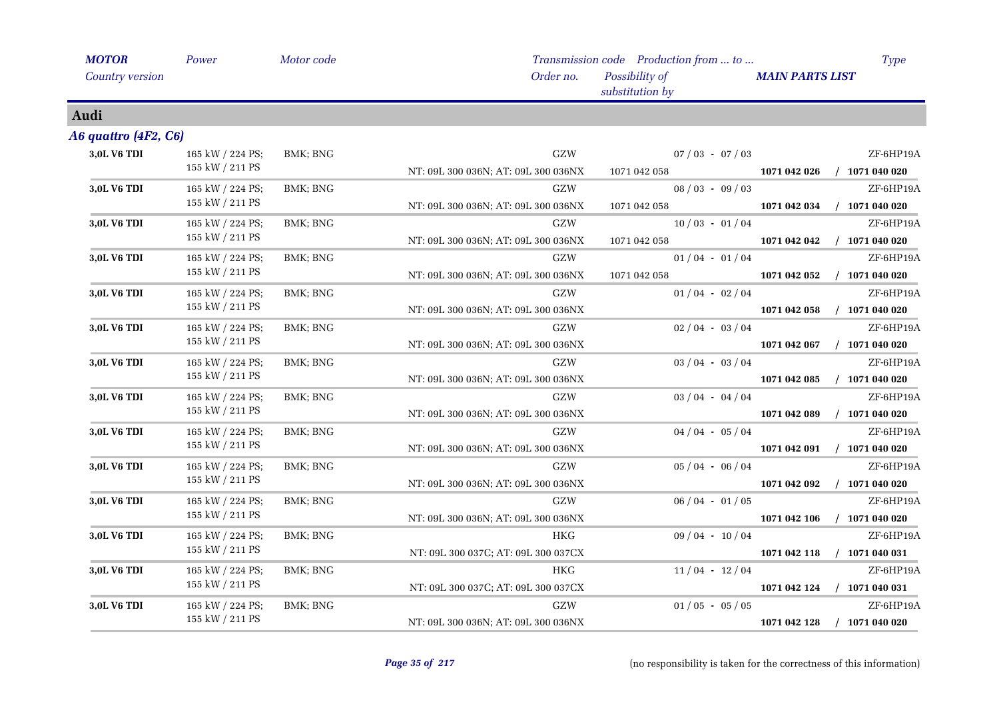| <b>MOTOR</b>           | Power                 | Motor code |                                     | Transmission code Production from  to | <b>Type</b>                      |
|------------------------|-----------------------|------------|-------------------------------------|---------------------------------------|----------------------------------|
| <b>Country version</b> |                       |            | Order no.                           | Possibility of<br>substitution by     | <b>MAIN PARTS LIST</b>           |
| Audi                   |                       |            |                                     |                                       |                                  |
| A6 quattro (4F2, C6)   |                       |            |                                     |                                       |                                  |
| 3,0L V6 TDI            | 165 kW / 224 PS;      | BMK; BNG   | ${\rm GZW}$                         | $07/03 - 07/03$                       | ZF-6HP19A                        |
|                        | 155 kW / 211 PS       |            | NT: 09L 300 036N; AT: 09L 300 036NX | 1071 042 058                          | $/$ 1071 040 020<br>1071 042 026 |
| 3,0L V6 TDI            | 165 kW / 224 PS;      | BMK; BNG   | GZW                                 | $08/03 - 09/03$                       | ZF-6HP19A                        |
|                        | 155 kW / 211 PS       |            | NT: 09L 300 036N; AT: 09L 300 036NX | 1071 042 058                          | $/$ 1071 040 020<br>1071 042 034 |
| 3,0L V6 TDI            | 165 kW / 224 PS;      | BMK; BNG   | GZW                                 | $10/03 - 01/04$                       | ZF-6HP19A                        |
|                        | 155 kW / 211 PS       |            | NT: 09L 300 036N; AT: 09L 300 036NX | 1071 042 058                          | $/$ 1071 040 020<br>1071 042 042 |
| 3,0L V6 TDI            | 165 kW / 224 PS;      | BMK; BNG   | GZW                                 | $01/04 - 01/04$                       | ZF-6HP19A                        |
|                        | 155 kW / 211 PS       |            | NT: 09L 300 036N; AT: 09L 300 036NX | 1071 042 058                          | $/$ 1071 040 020<br>1071 042 052 |
| 3,0L V6 TDI            | 165 kW / 224 PS;      | BMK; BNG   | GZW                                 | $01/04 - 02/04$                       | ZF-6HP19A                        |
|                        | 155 kW / 211 PS       |            | NT: 09L 300 036N; AT: 09L 300 036NX |                                       | $/$ 1071 040 020<br>1071 042 058 |
| 3,0L V6 TDI            | 165 kW / 224 PS;      | BMK; BNG   | GZW                                 | $02/04 - 03/04$                       | ZF-6HP19A                        |
|                        | 155 kW / 211 PS       |            | NT: 09L 300 036N; AT: 09L 300 036NX |                                       | $/$ 1071 040 020<br>1071 042 067 |
| 3,0L V6 TDI            | 165 kW / 224 PS;      | BMK; BNG   | GZW                                 | $03 / 04 - 03 / 04$                   | ZF-6HP19A                        |
|                        | 155 kW / 211 PS       |            | NT: 09L 300 036N; AT: 09L 300 036NX |                                       | $/$ 1071 040 020<br>1071 042 085 |
| 3,0L V6 TDI            | 165 kW / 224 PS;      | BMK; BNG   | GZW                                 | $03/04 - 04/04$                       | ZF-6HP19A                        |
|                        | 155 kW / 211 PS       |            | NT: 09L 300 036N; AT: 09L 300 036NX |                                       | $/$ 1071 040 020<br>1071 042 089 |
| 3,0L V6 TDI            | 165 kW / 224 PS;      | BMK; BNG   | GZW                                 | $04/04 - 05/04$                       | ZF-6HP19A                        |
|                        | $155$ kW $\!/$ 211 PS |            | NT: 09L 300 036N; AT: 09L 300 036NX |                                       | $/$ 1071 040 020<br>1071 042 091 |
| 3,0L V6 TDI            | 165 kW / 224 PS;      | BMK; BNG   | GZW                                 | $05/04 - 06/04$                       | ZF-6HP19A                        |
|                        | 155 kW / 211 PS       |            | NT: 09L 300 036N; AT: 09L 300 036NX |                                       | 1071 042 092<br>$/$ 1071 040 020 |
| <b>3,0L V6 TDI</b>     | 165 kW / 224 PS;      | BMK; BNG   | GZW                                 | $06/04 - 01/05$                       | ZF-6HP19A                        |
|                        | 155 kW / 211 PS       |            | NT: 09L 300 036N; AT: 09L 300 036NX |                                       | 1071 042 106<br>$/$ 1071 040 020 |
| 3,0L V6 TDI            | 165 kW / 224 PS;      | BMK; BNG   | <b>HKG</b>                          | $09/04 - 10/04$                       | ZF-6HP19A                        |
|                        | 155 kW / 211 PS       |            | NT: 09L 300 037C; AT: 09L 300 037CX |                                       | $/$ 1071 040 031<br>1071 042 118 |
| 3,0L V6 TDI            | 165 kW / 224 PS;      | BMK; BNG   | <b>HKG</b>                          | $11/04 - 12/04$                       | ZF-6HP19A                        |
|                        | 155 kW / 211 PS       |            | NT: 09L 300 037C; AT: 09L 300 037CX |                                       | 1071 042 124<br>$/$ 1071 040 031 |
| 3,0L V6 TDI            | 165 kW / 224 PS;      | BMK; BNG   | GZW                                 | $01/05 - 05/05$                       | ZF-6HP19A                        |
|                        | 155 kW / 211 PS       |            | NT: 09L 300 036N; AT: 09L 300 036NX |                                       | $/$ 1071 040 020<br>1071 042 128 |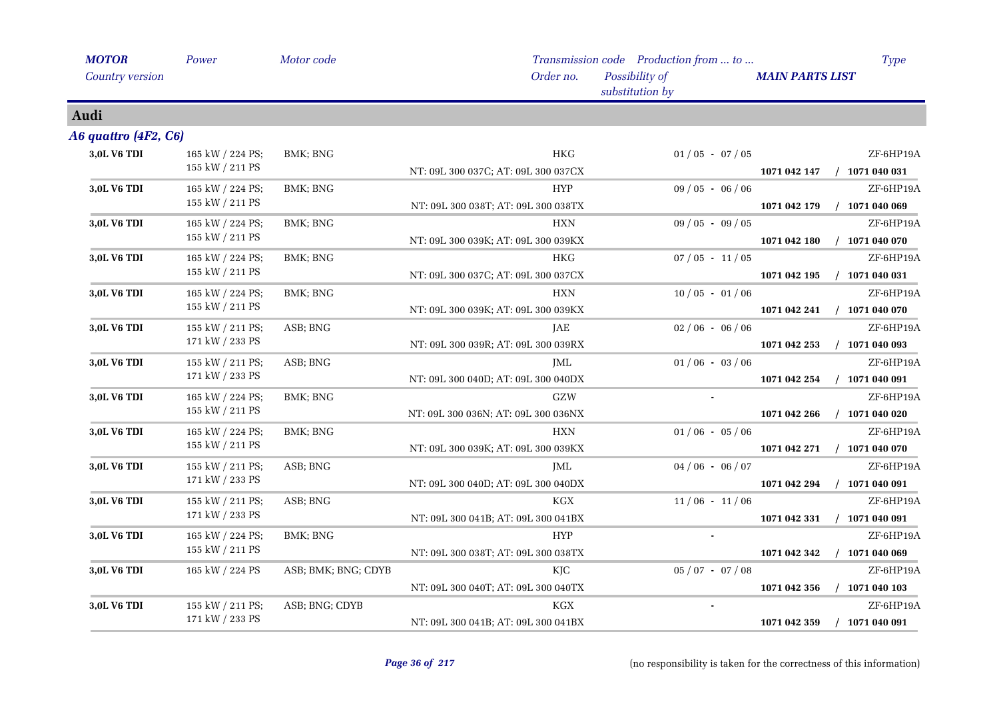| <b>MOTOR</b>           | Power            | Motor code          |                                     | Transmission code Production from  to | Type                             |
|------------------------|------------------|---------------------|-------------------------------------|---------------------------------------|----------------------------------|
| <b>Country version</b> |                  |                     | Order no.                           | Possibility of<br>substitution by     | <b>MAIN PARTS LIST</b>           |
| Audi                   |                  |                     |                                     |                                       |                                  |
| A6 quattro (4F2, C6)   |                  |                     |                                     |                                       |                                  |
| 3,0L V6 TDI            | 165 kW / 224 PS; | BMK; BNG            | <b>HKG</b>                          | $01/05 - 07/05$                       | ZF-6HP19A                        |
|                        | 155 kW / 211 PS  |                     | NT: 09L 300 037C; AT: 09L 300 037CX |                                       | 1071 042 147<br>$/$ 1071 040 031 |
| 3,0L V6 TDI            | 165 kW / 224 PS; | BMK; BNG            | <b>HYP</b>                          | $09/05 - 06/06$                       | ZF-6HP19A                        |
|                        | 155 kW / 211 PS  |                     | NT: 09L 300 038T; AT: 09L 300 038TX |                                       | 1071 042 179<br>$/$ 1071 040 069 |
| 3,0L V6 TDI            | 165 kW / 224 PS; | BMK; BNG            | HXN                                 | $09/05 - 09/05$                       | ZF-6HP19A                        |
|                        | 155 kW / 211 PS  |                     | NT: 09L 300 039K; AT: 09L 300 039KX |                                       | 1071 042 180<br>$/$ 1071 040 070 |
| 3,0L V6 TDI            | 165 kW / 224 PS; | BMK; BNG            | <b>HKG</b>                          | $07/05 - 11/05$                       | ZF-6HP19A                        |
|                        | 155 kW / 211 PS  |                     | NT: 09L 300 037C; AT: 09L 300 037CX |                                       | $/$ 1071 040 031<br>1071 042 195 |
| 3,0L V6 TDI            | 165 kW / 224 PS; | BMK; BNG            | <b>HXN</b>                          | $10/05 - 01/06$                       | ZF-6HP19A                        |
|                        | 155 kW / 211 PS  |                     | NT: 09L 300 039K; AT: 09L 300 039KX |                                       | $/$ 1071 040 070<br>1071 042 241 |
| 3,0L V6 TDI            | 155 kW / 211 PS; | ASB; BNG            | JAE                                 | $02/06 - 06/06$                       | ZF-6HP19A                        |
|                        | 171 kW / 233 PS  |                     | NT: 09L 300 039R; AT: 09L 300 039RX |                                       | 1071 042 253<br>$/$ 1071 040 093 |
| 3,0L V6 TDI            | 155 kW / 211 PS; | ASB; BNG            | JML                                 | $01/06 - 03/06$                       | ZF-6HP19A                        |
|                        | 171 kW / 233 PS  |                     | NT: 09L 300 040D; AT: 09L 300 040DX |                                       | $/$ 1071 040 091<br>1071 042 254 |
| 3,0L V6 TDI            | 165 kW / 224 PS; | BMK; BNG            | GZW                                 |                                       | ZF-6HP19A                        |
|                        | 155 kW / 211 PS  |                     | NT: 09L 300 036N; AT: 09L 300 036NX |                                       | 1071 042 266<br>$/$ 1071 040 020 |
| 3,0L V6 TDI            | 165 kW / 224 PS; | BMK; BNG            | <b>HXN</b>                          | $01/06 - 05/06$                       | ZF-6HP19A                        |
|                        | 155 kW / 211 PS  |                     | NT: 09L 300 039K; AT: 09L 300 039KX |                                       | 1071 042 271<br>$/$ 1071 040 070 |
| 3,0L V6 TDI            | 155 kW / 211 PS; | ASB; BNG            | JML                                 | $04/06 - 06/07$                       | ZF-6HP19A                        |
|                        | 171 kW / 233 PS  |                     | NT: 09L 300 040D; AT: 09L 300 040DX |                                       | $/$ 1071 040 091<br>1071 042 294 |
| 3,0L V6 TDI            | 155 kW / 211 PS; | ASB; BNG            | KGX                                 | $11/06 - 11/06$                       | ZF-6HP19A                        |
|                        | 171 kW / 233 PS  |                     | NT: 09L 300 041B; AT: 09L 300 041BX |                                       | $/$ 1071 040 091<br>1071 042 331 |
| 3,0L V6 TDI            | 165 kW / 224 PS; | BMK; BNG            | <b>HYP</b>                          |                                       | ZF-6HP19A                        |
|                        | 155 kW / 211 PS  |                     | NT: 09L 300 038T; AT: 09L 300 038TX |                                       | $/$ 1071 040 069<br>1071 042 342 |
| 3,0L V6 TDI            | 165 kW / 224 PS  | ASB; BMK; BNG; CDYB | KJC                                 | $05 / 07 - 07 / 08$                   | ZF-6HP19A                        |
|                        |                  |                     | NT: 09L 300 040T; AT: 09L 300 040TX |                                       | $/$ 1071 040 103<br>1071 042 356 |
| 3,0L V6 TDI            | 155 kW / 211 PS; | ASB; BNG; CDYB      | KGX                                 |                                       | ZF-6HP19A                        |
|                        | 171 kW / 233 PS  |                     | NT: 09L 300 041B; AT: 09L 300 041BX |                                       | $/$ 1071 040 091<br>1071 042 359 |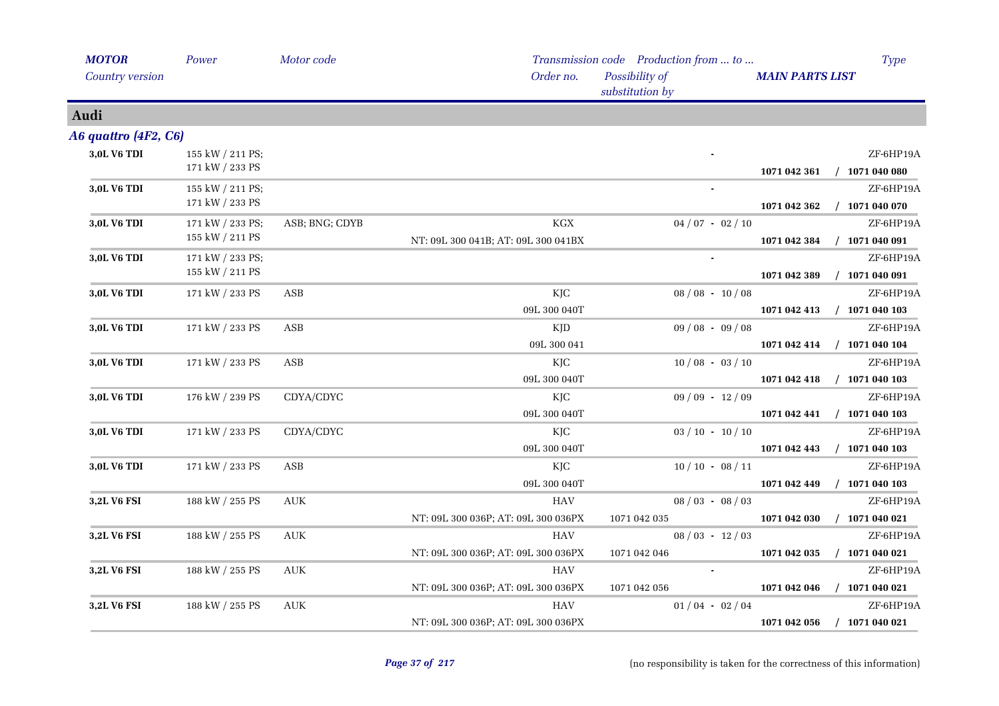| Power                               | Motor code     |                                            |                                                                                                                                                                                                                                         | <b>Type</b>                                                                                                                                                                                                                                                                             |
|-------------------------------------|----------------|--------------------------------------------|-----------------------------------------------------------------------------------------------------------------------------------------------------------------------------------------------------------------------------------------|-----------------------------------------------------------------------------------------------------------------------------------------------------------------------------------------------------------------------------------------------------------------------------------------|
|                                     |                | Order no.                                  | Possibility of<br>substitution by                                                                                                                                                                                                       | <b>MAIN PARTS LIST</b>                                                                                                                                                                                                                                                                  |
|                                     |                |                                            |                                                                                                                                                                                                                                         |                                                                                                                                                                                                                                                                                         |
| A6 quattro (4F2, C6)                |                |                                            |                                                                                                                                                                                                                                         |                                                                                                                                                                                                                                                                                         |
| 155 kW / 211 PS;<br>171 kW / 233 PS |                |                                            |                                                                                                                                                                                                                                         | ZF-6HP19A<br>$/$ 1071 040 080<br>1071 042 361                                                                                                                                                                                                                                           |
| 155 kW / 211 PS;<br>171 kW / 233 PS |                |                                            |                                                                                                                                                                                                                                         | ZF-6HP19A<br>$/$ 1071 040 070<br>1071 042 362                                                                                                                                                                                                                                           |
| 171 kW / 233 PS;<br>155 kW / 211 PS | ASB; BNG; CDYB | $\rm KGX$                                  |                                                                                                                                                                                                                                         | ZF-6HP19A<br>$/$ 1071 040 091<br>1071 042 384                                                                                                                                                                                                                                           |
| 171 kW / 233 PS;<br>155 kW / 211 PS |                |                                            |                                                                                                                                                                                                                                         | ZF-6HP19A<br>1071 042 389<br>$/$ 1071 040 091                                                                                                                                                                                                                                           |
| 171 kW / 233 PS                     | ASB            | KJC<br>09L 300 040T                        |                                                                                                                                                                                                                                         | ZF-6HP19A<br>$/$ 1071 040 103<br>1071 042 413                                                                                                                                                                                                                                           |
| 171 kW / 233 PS                     | ASB            | KJD                                        |                                                                                                                                                                                                                                         | ZF-6HP19A<br>1071 042 414<br>$/$ 1071 040 104                                                                                                                                                                                                                                           |
| 171 kW / 233 PS                     | ASB            | КJС                                        |                                                                                                                                                                                                                                         | ZF-6HP19A<br>$/$ 1071 040 103<br>1071 042 418                                                                                                                                                                                                                                           |
| 176 kW / 239 PS                     | CDYA/CDYC      | КJС                                        |                                                                                                                                                                                                                                         | ZF-6HP19A<br>1071 042 441<br>$/$ 1071 040 103                                                                                                                                                                                                                                           |
| 171 kW / 233 PS                     | CDYA/CDYC      | KJC                                        |                                                                                                                                                                                                                                         | ZF-6HP19A<br>$/$ 1071 040 103<br>1071 042 443                                                                                                                                                                                                                                           |
| 171 kW / 233 PS                     | ASB            | KJC                                        |                                                                                                                                                                                                                                         | ZF-6HP19A<br>$/$ 1071 040 103<br>1071 042 449                                                                                                                                                                                                                                           |
| 188 kW / 255 PS                     | <b>AUK</b>     | <b>HAV</b>                                 |                                                                                                                                                                                                                                         | ZF-6HP19A<br>$/$ 1071 040 021<br>1071 042 030                                                                                                                                                                                                                                           |
| 188 kW / 255 PS                     | <b>AUK</b>     | <b>HAV</b>                                 |                                                                                                                                                                                                                                         | ZF-6HP19A<br>$/$ 1071 040 021<br>1071 042 035                                                                                                                                                                                                                                           |
| 188 kW / 255 PS                     | AUK            | HAV                                        |                                                                                                                                                                                                                                         | ZF-6HP19A<br>$/$ 1071 040 021<br>1071 042 046                                                                                                                                                                                                                                           |
| 188 kW / 255 PS                     | <b>AUK</b>     | HAV<br>NT: 09L 300 036P; AT: 09L 300 036PX |                                                                                                                                                                                                                                         | ZF-6HP19A<br>$/$ 1071 040 021<br>1071 042 056                                                                                                                                                                                                                                           |
|                                     |                |                                            | NT: 09L 300 041B; AT: 09L 300 041BX<br>09L 300 041<br>09L 300 040T<br>09L 300 040T<br>09L 300 040T<br>09L 300 040T<br>NT: 09L 300 036P; AT: 09L 300 036PX<br>NT: 09L 300 036P; AT: 09L 300 036PX<br>NT: 09L 300 036P; AT: 09L 300 036PX | Transmission code Production from  to<br>$04/07 - 02/10$<br>$08/08 - 10/08$<br>$09/08 - 09/08$<br>$10/08 - 03/10$<br>$09/09 - 12/09$<br>$03 / 10 - 10 / 10$<br>$10/10 - 08/11$<br>$08/03 - 08/03$<br>1071 042 035<br>$08/03 - 12/03$<br>1071 042 046<br>1071 042 056<br>$01/04 - 02/04$ |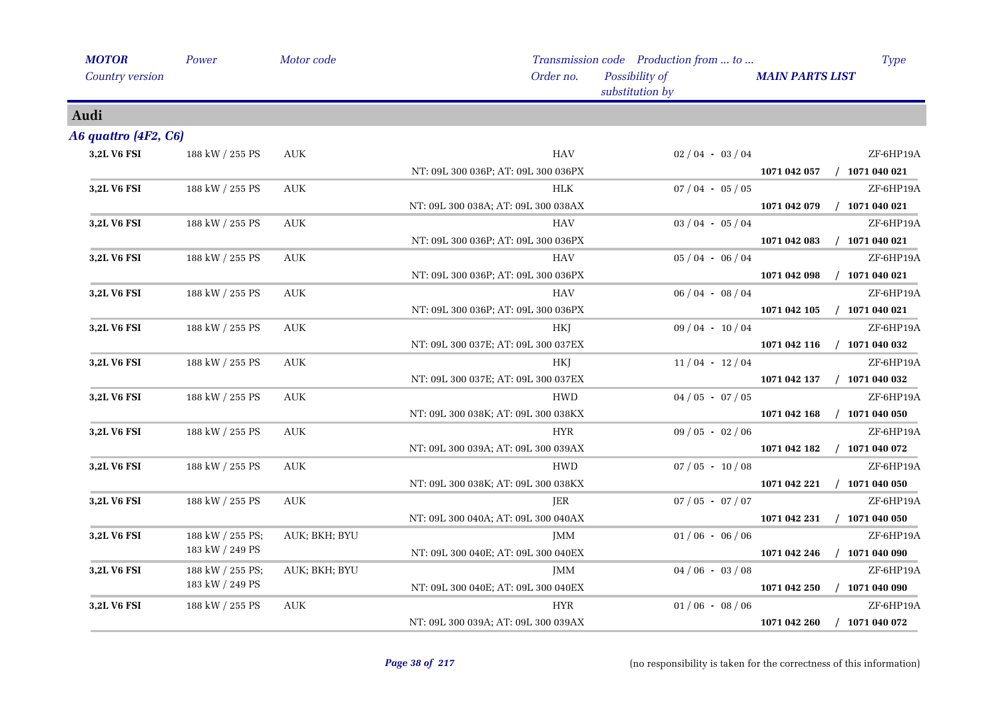| <b>MOTOR</b>         | Power            | Motor code                       |                                     | Transmission code Production from  to | <b>Type</b>                      |
|----------------------|------------------|----------------------------------|-------------------------------------|---------------------------------------|----------------------------------|
| Country version      |                  |                                  | Order no.                           | Possibility of<br>substitution by     | <b>MAIN PARTS LIST</b>           |
| Audi                 |                  |                                  |                                     |                                       |                                  |
| A6 quattro (4F2, C6) |                  |                                  |                                     |                                       |                                  |
| 3,2L V6 FSI          | 188 kW / 255 PS  | <b>AUK</b>                       | <b>HAV</b>                          | $02/04 - 03/04$                       | ZF-6HP19A                        |
|                      |                  |                                  | NT: 09L 300 036P; AT: 09L 300 036PX |                                       | $/$ 1071 040 021<br>1071 042 057 |
| <b>3,2L V6 FSI</b>   | 188 kW / 255 PS  | <b>AUK</b>                       | HLK                                 | $07/04 - 05/05$                       | ZF-6HP19A                        |
|                      |                  |                                  | NT: 09L 300 038A; AT: 09L 300 038AX |                                       | $/$ 1071 040 021<br>1071 042 079 |
| 3,2L V6 FSI          | 188 kW / 255 PS  | <b>AUK</b>                       | HAV                                 | $03/04 - 05/04$                       | ZF-6HP19A                        |
|                      |                  |                                  | NT: 09L 300 036P; AT: 09L 300 036PX |                                       | $/$ 1071 040 021<br>1071 042 083 |
| 3,2L V6 FSI          | 188 kW / 255 PS  | <b>AUK</b>                       | <b>HAV</b>                          | $05/04 - 06/04$                       | ZF-6HP19A                        |
|                      |                  |                                  | NT: 09L 300 036P; AT: 09L 300 036PX |                                       | 1071 042 098<br>$/$ 1071 040 021 |
| 3,2L V6 FSI          | 188 kW / 255 PS  | AUK                              | <b>HAV</b>                          | $06/04 - 08/04$                       | ZF-6HP19A                        |
|                      |                  |                                  | NT: 09L 300 036P; AT: 09L 300 036PX |                                       | 1071 042 105<br>$/$ 1071 040 021 |
| 3,2L V6 FSI          | 188 kW / 255 PS  | $\mathbf{A}\mathbf{U}\mathbf{K}$ | <b>HKJ</b>                          | $09/04 - 10/04$                       | ZF-6HP19A                        |
|                      |                  |                                  | NT: 09L 300 037E; AT: 09L 300 037EX |                                       | $/$ 1071 040 032<br>1071 042 116 |
| 3,2L V6 FSI          | 188 kW / 255 PS  | AUK                              | HKJ                                 | $11/04 - 12/04$                       | ZF-6HP19A                        |
|                      |                  |                                  | NT: 09L 300 037E; AT: 09L 300 037EX |                                       | $/$ 1071 040 032<br>1071 042 137 |
| 3,2L V6 FSI          | 188 kW / 255 PS  | <b>AUK</b>                       | <b>HWD</b>                          | $04/05 - 07/05$                       | ZF-6HP19A                        |
|                      |                  |                                  | NT: 09L 300 038K; AT: 09L 300 038KX |                                       | 1071 042 168<br>$/$ 1071 040 050 |
| 3,2L V6 FSI          | 188 kW / 255 PS  | $\mathbf{A}\mathbf{U}\mathbf{K}$ | <b>HYR</b>                          | $09/05 - 02/06$                       | ZF-6HP19A                        |
|                      |                  |                                  | NT: 09L 300 039A; AT: 09L 300 039AX |                                       | 1071 042 182<br>$/$ 1071 040 072 |
| 3,2L V6 FSI          | 188 kW / 255 PS  | $\mathbf{A}\mathbf{U}\mathbf{K}$ | <b>HWD</b>                          | $07/05 - 10/08$                       | ZF-6HP19A                        |
|                      |                  |                                  | NT: 09L 300 038K; AT: 09L 300 038KX |                                       | $/$ 1071 040 050<br>1071 042 221 |
| 3,2L V6 FSI          | 188 kW / 255 PS  | AUK                              | JER                                 | $07 / 05 - 07 / 07$                   | ZF-6HP19A                        |
|                      |                  |                                  | NT: 09L 300 040A; AT: 09L 300 040AX |                                       | 1071 042 231<br>$/$ 1071 040 050 |
| 3,2L V6 FSI          | 188 kW / 255 PS; | AUK; BKH; BYU                    | JMM                                 | $01/06 - 06/06$                       | ZF-6HP19A                        |
|                      | 183 kW / 249 PS  |                                  | NT: 09L 300 040E; AT: 09L 300 040EX |                                       | 1071 042 246<br>$/$ 1071 040 090 |
| 3,2L V6 FSI          | 188 kW / 255 PS; | AUK; BKH; BYU                    | JMM                                 | $04/06 - 03/08$                       | ZF-6HP19A                        |
|                      | 183 kW / 249 PS  |                                  | NT: 09L 300 040E; AT: 09L 300 040EX |                                       | $/$ 1071 040 090<br>1071 042 250 |
| 3,2L V6 FSI          | 188 kW / 255 PS  | <b>AUK</b>                       | <b>HYR</b>                          | $01/06 - 08/06$                       | ZF-6HP19A                        |
|                      |                  |                                  | NT: 09L 300 039A; AT: 09L 300 039AX |                                       | $/$ 1071 040 072<br>1071 042 260 |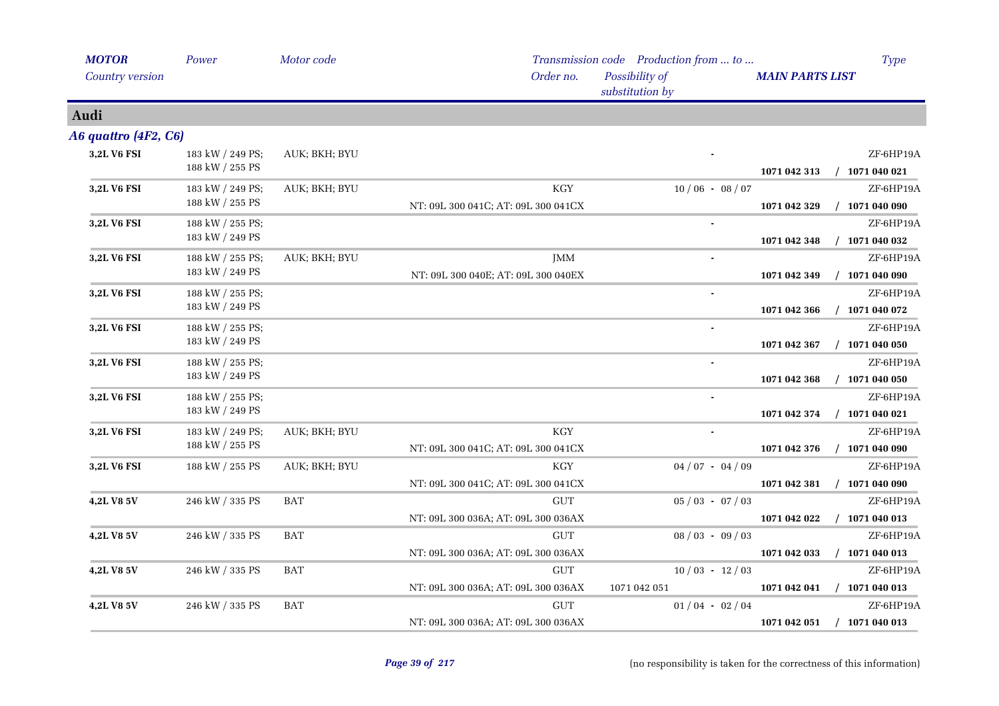| <b>MOTOR</b>         | Power                               | Motor code    |                                                                    | Transmission code Production from  to | <b>Type</b>                                   |
|----------------------|-------------------------------------|---------------|--------------------------------------------------------------------|---------------------------------------|-----------------------------------------------|
| Country version      |                                     |               | Order no.                                                          | Possibility of<br>substitution by     | <b>MAIN PARTS LIST</b>                        |
| Audi                 |                                     |               |                                                                    |                                       |                                               |
| A6 quattro (4F2, C6) |                                     |               |                                                                    |                                       |                                               |
| 3,2L V6 FSI          | 183 kW / 249 PS;<br>188 kW / 255 PS | AUK; BKH; BYU |                                                                    |                                       | ZF-6HP19A<br>$/$ 1071 040 021<br>1071 042 313 |
| 3,2L V6 FSI          | 183 kW / 249 PS;<br>188 kW / 255 PS | AUK; BKH; BYU | <b>KGY</b><br>NT: 09L 300 041C; AT: 09L 300 041CX                  | $10/06 - 08/07$                       | ZF-6HP19A<br>$/$ 1071 040 090<br>1071 042 329 |
| 3,2L V6 FSI          | 188 kW / 255 PS;<br>183 kW / 249 PS |               |                                                                    |                                       | ZF-6HP19A<br>1071 042 348<br>$/$ 1071 040 032 |
| 3,2L V6 FSI          | 188 kW / 255 PS;<br>183 kW / 249 PS | AUK; BKH; BYU | JMM<br>NT: 09L 300 040E; AT: 09L 300 040EX                         |                                       | ZF-6HP19A<br>1071 042 349<br>$/$ 1071 040 090 |
| 3,2L V6 FSI          | 188 kW / 255 PS;<br>183 kW / 249 PS |               |                                                                    |                                       | ZF-6HP19A<br>1071 042 366<br>$/$ 1071 040 072 |
| 3,2L V6 FSI          | 188 kW / 255 PS;<br>183 kW / 249 PS |               |                                                                    | $\blacksquare$                        | ZF-6HP19A<br>$/$ 1071 040 050<br>1071 042 367 |
| 3,2L V6 FSI          | 188 kW / 255 PS;<br>183 kW / 249 PS |               |                                                                    |                                       | ZF-6HP19A<br>$/$ 1071 040 050<br>1071 042 368 |
| 3,2L V6 FSI          | 188 kW / 255 PS;<br>183 kW / 249 PS |               |                                                                    | $\blacksquare$                        | ZF-6HP19A<br>1071 040 021<br>1071 042 374     |
| 3,2L V6 FSI          | 183 kW / 249 PS;<br>188 kW / 255 PS | AUK; BKH; BYU | KGY<br>NT: 09L 300 041C; AT: 09L 300 041CX                         |                                       | ZF-6HP19A<br>1071 042 376<br>$/$ 1071 040 090 |
| 3,2L V6 FSI          | 188 kW / 255 PS                     | AUK; BKH; BYU | <b>KGY</b><br>NT: 09L 300 041C; AT: 09L 300 041CX                  | $04/07 - 04/09$                       | ZF-6HP19A<br>$/$ 1071 040 090<br>1071 042 381 |
| 4,2L V8 5V           | 246 kW / 335 PS                     | <b>BAT</b>    | <b>GUT</b><br>NT: 09L 300 036A; AT: 09L 300 036AX                  | $05/03 - 07/03$                       | ZF-6HP19A<br>$/$ 1071 040 013<br>1071 042 022 |
| 4,2L V8 5V           | 246 kW / 335 PS                     | <b>BAT</b>    | $\ensuremath{\mathrm{GUT}}$<br>NT: 09L 300 036A; AT: 09L 300 036AX | $08/03 - 09/03$                       | ZF-6HP19A<br>$/$ 1071 040 013<br>1071 042 033 |
| <b>4,2L V8 5V</b>    | 246 kW / 335 PS                     | BAT           | <b>GUT</b><br>NT: 09L 300 036A; AT: 09L 300 036AX                  | $10/03 - 12/03$<br>1071 042 051       | ZF-6HP19A<br>$/$ 1071 040 013<br>1071 042 041 |
| 4,2L V8 5V           | 246 kW / 335 PS                     | <b>BAT</b>    | <b>GUT</b>                                                         | $01/04 - 02/04$                       | ZF-6HP19A                                     |
|                      |                                     |               | NT: 09L 300 036A; AT: 09L 300 036AX                                |                                       | $/$ 1071 040 013<br>1071 042 051              |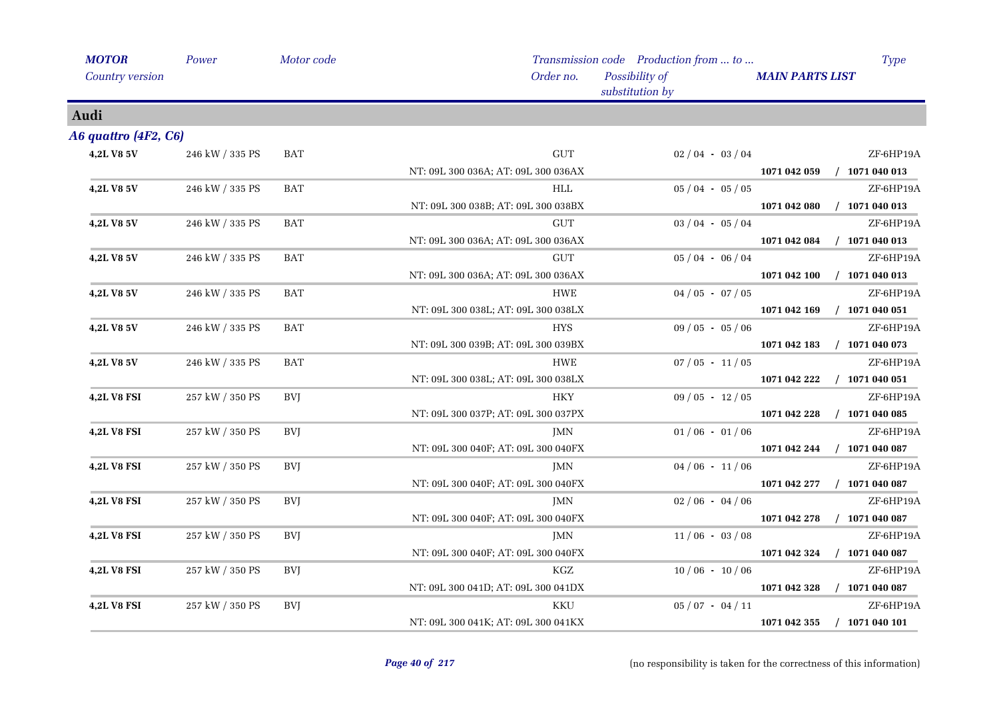| <b>MOTOR</b>         | Power           | Motor code |                                     | Transmission code Production from  to |                        | Type             |
|----------------------|-----------------|------------|-------------------------------------|---------------------------------------|------------------------|------------------|
| Country version      |                 |            | Order no.                           | Possibility of<br>substitution by     | <b>MAIN PARTS LIST</b> |                  |
| Audi                 |                 |            |                                     |                                       |                        |                  |
| A6 quattro (4F2, C6) |                 |            |                                     |                                       |                        |                  |
| 4,2L V8 5V           | 246 kW / 335 PS | BAT        | $\ensuremath{\mathrm{GUT}}$         | $02/04 - 03/04$                       |                        | ZF-6HP19A        |
|                      |                 |            | NT: 09L 300 036A; AT: 09L 300 036AX |                                       | 1071 042 059           | $/$ 1071 040 013 |
| 4,2L V8 5V           | 246 kW / 335 PS | <b>BAT</b> | HLL                                 | $05/04 - 05/05$                       |                        | ZF-6HP19A        |
|                      |                 |            | NT: 09L 300 038B; AT: 09L 300 038BX |                                       | 1071 042 080           | $/$ 1071 040 013 |
| 4,2L V8 5V           | 246 kW / 335 PS | <b>BAT</b> | <b>GUT</b>                          | $03 / 04 - 05 / 04$                   |                        | ZF-6HP19A        |
|                      |                 |            | NT: 09L 300 036A; AT: 09L 300 036AX |                                       | 1071 042 084           | $/$ 1071 040 013 |
| 4,2L V8 5V           | 246 kW / 335 PS | <b>BAT</b> | <b>GUT</b>                          | $05/04 - 06/04$                       |                        | ZF-6HP19A        |
|                      |                 |            | NT: 09L 300 036A; AT: 09L 300 036AX |                                       | 1071 042 100           | $/$ 1071 040 013 |
| 4,2L V8 5V           | 246 kW / 335 PS | <b>BAT</b> | <b>HWE</b>                          | $04/05 - 07/05$                       |                        | ZF-6HP19A        |
|                      |                 |            | NT: 09L 300 038L; AT: 09L 300 038LX |                                       | 1071 042 169           | $/$ 1071 040 051 |
| 4,2L V8 5V           | 246 kW / 335 PS | <b>BAT</b> | <b>HYS</b>                          | $09/05 - 05/06$                       |                        | ZF-6HP19A        |
|                      |                 |            | NT: 09L 300 039B; AT: 09L 300 039BX |                                       | 1071 042 183           | $/$ 1071 040 073 |
| 4,2L V8 5V           | 246 kW / 335 PS | <b>BAT</b> | HWE                                 | $07/05 - 11/05$                       |                        | ZF-6HP19A        |
|                      |                 |            | NT: 09L 300 038L; AT: 09L 300 038LX |                                       | 1071 042 222           | $/$ 1071 040 051 |
| 4,2L V8 FSI          | 257 kW / 350 PS | <b>BVI</b> | <b>HKY</b>                          | $09/05 - 12/05$                       |                        | ZF-6HP19A        |
|                      |                 |            | NT: 09L 300 037P; AT: 09L 300 037PX |                                       | 1071 042 228           | $/$ 1071 040 085 |
| <b>4,2L V8 FSI</b>   | 257 kW / 350 PS | BVJ        | JMN                                 | $01/06 - 01/06$                       |                        | ZF-6HP19A        |
|                      |                 |            | NT: 09L 300 040F; AT: 09L 300 040FX |                                       | 1071 042 244           | $/$ 1071 040 087 |
| 4,2L V8 FSI          | 257 kW / 350 PS | <b>BVJ</b> | JMN                                 | $04/06 - 11/06$                       |                        | ZF-6HP19A        |
|                      |                 |            | NT: 09L 300 040F; AT: 09L 300 040FX |                                       | 1071 042 277           | $/$ 1071 040 087 |
| <b>4,2L V8 FSI</b>   | 257 kW / 350 PS | BVJ        | JMN                                 | $02/06 - 04/06$                       |                        | ZF-6HP19A        |
|                      |                 |            | NT: 09L 300 040F; AT: 09L 300 040FX |                                       | 1071 042 278           | $/$ 1071 040 087 |
| <b>4,2L V8 FSI</b>   | 257 kW / 350 PS | BVJ        | JMN                                 | $11/06 - 03/08$                       |                        | ZF-6HP19A        |
|                      |                 |            | NT: 09L 300 040F; AT: 09L 300 040FX |                                       | 1071 042 324           | $/$ 1071 040 087 |
| <b>4,2L V8 FSI</b>   | 257 kW / 350 PS | BVJ        | KGZ                                 | $10/06 - 10/06$                       |                        | ZF-6HP19A        |
|                      |                 |            | NT: 09L 300 041D; AT: 09L 300 041DX |                                       | 1071 042 328           | $/$ 1071 040 087 |
| <b>4,2L V8 FSI</b>   | 257 kW / 350 PS | <b>BVJ</b> | KKU                                 | $05/07 - 04/11$                       |                        | ZF-6HP19A        |
|                      |                 |            | NT: 09L 300 041K; AT: 09L 300 041KX |                                       | 1071 042 355           | $/$ 1071 040 101 |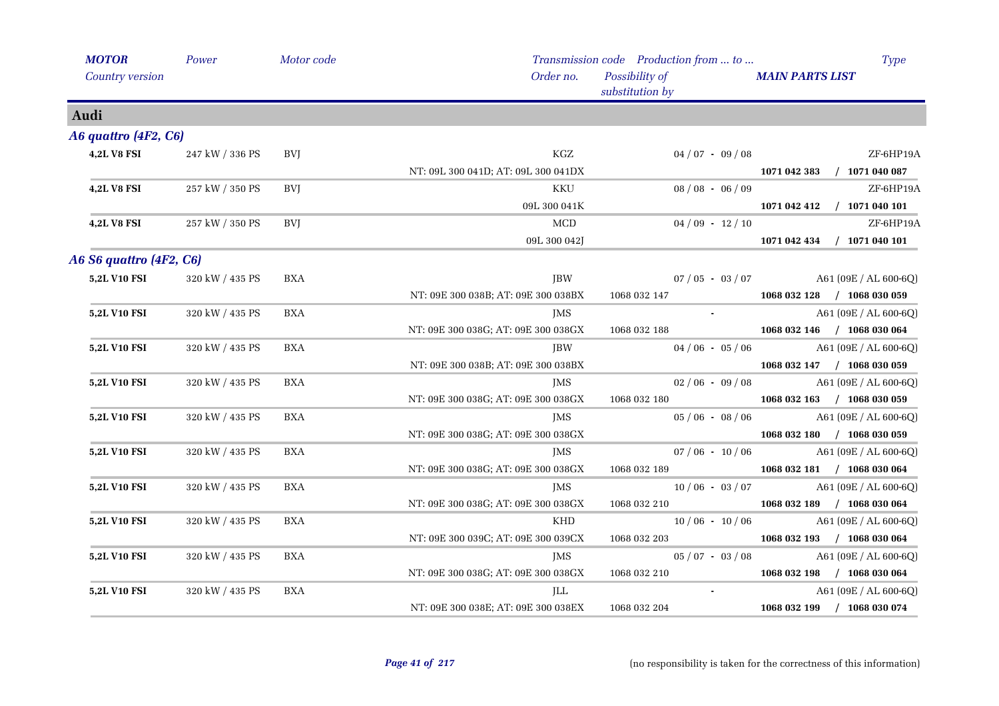| <b>MOTOR</b>            | Power           | Motor code |                                     | Transmission code Production from  to | <b>Type</b>                      |
|-------------------------|-----------------|------------|-------------------------------------|---------------------------------------|----------------------------------|
| Country version         |                 |            | Order no.                           | Possibility of<br>substitution by     | <b>MAIN PARTS LIST</b>           |
| Audi                    |                 |            |                                     |                                       |                                  |
| A6 quattro (4F2, C6)    |                 |            |                                     |                                       |                                  |
| <b>4,2L V8 FSI</b>      | 247 kW / 336 PS | BVJ        | $\rm KGZ$                           | $04/07 - 09/08$                       | ZF-6HP19A                        |
|                         |                 |            | NT: 09L 300 041D; AT: 09L 300 041DX |                                       | 1071 042 383 / 1071 040 087      |
| <b>4,2L V8 FSI</b>      | 257 kW / 350 PS | <b>BVI</b> | <b>KKU</b>                          | $08/08 - 06/09$                       | ZF-6HP19A                        |
|                         |                 |            | 09L 300 041K                        |                                       | 1071 042 412<br>$/$ 1071 040 101 |
| <b>4,2L V8 FSI</b>      | 257 kW / 350 PS | <b>BVI</b> | <b>MCD</b>                          | $04/09 - 12/10$                       | ZF-6HP19A                        |
|                         |                 |            | 09L 300 042J                        |                                       | 1071 042 434 / 1071 040 101      |
| A6 S6 quattro (4F2, C6) |                 |            |                                     |                                       |                                  |
| 5,2L V10 FSI            | 320 kW / 435 PS | <b>BXA</b> | JBW                                 | $07/05 - 03/07$                       | A61 (09E / AL 600-6Q)            |
|                         |                 |            | NT: 09E 300 038B; AT: 09E 300 038BX | 1068 032 147                          | 1068 032 128 / 1068 030 059      |
| 5,2L V10 FSI            | 320 kW / 435 PS | <b>BXA</b> | JMS                                 | $\sim$ 10 $\pm$                       | A61 (09E / AL 600-6Q)            |
|                         |                 |            | NT: 09E 300 038G; AT: 09E 300 038GX | 1068 032 188                          | 1068 032 146 / 1068 030 064      |
| 5,2L V10 FSI            | 320 kW / 435 PS | BXA        | <b>JBW</b>                          | $04/06 - 05/06$                       | A61 (09E / AL 600-6Q)            |
|                         |                 |            | NT: 09E 300 038B; AT: 09E 300 038BX |                                       | 1068 032 147 / 1068 030 059      |
| 5,2L V10 FSI            | 320 kW / 435 PS | <b>BXA</b> | <b>JMS</b>                          | $02/06 - 09/08$                       | A61 (09E / AL 600-6Q)            |
|                         |                 |            | NT: 09E 300 038G; AT: 09E 300 038GX | 1068 032 180                          | 1068 032 163 / 1068 030 059      |
| 5,2L V10 FSI            | 320 kW / 435 PS | <b>BXA</b> | JMS                                 | $05/06 - 08/06$                       | A61 (09E / AL 600-6Q)            |
|                         |                 |            | NT: 09E 300 038G; AT: 09E 300 038GX |                                       | 1068 032 180 / 1068 030 059      |
| 5,2L V10 FSI            | 320 kW / 435 PS | BXA        | JMS                                 | $07/06 - 10/06$                       | A61 (09E / AL 600-6Q)            |
|                         |                 |            | NT: 09E 300 038G; AT: 09E 300 038GX | 1068 032 189                          | 1068 032 181 / 1068 030 064      |
| 5,2L V10 FSI            | 320 kW / 435 PS | <b>BXA</b> | JMS                                 | $10/06 - 03/07$                       | A61 (09E / AL 600-6Q)            |
|                         |                 |            | NT: 09E 300 038G; AT: 09E 300 038GX | 1068 032 210                          | 1068 032 189 / 1068 030 064      |
| 5,2L V10 FSI            | 320 kW / 435 PS | <b>BXA</b> | KHD                                 | $10/06 - 10/06$                       | A61 (09E / AL 600-6Q)            |
|                         |                 |            | NT: 09E 300 039C; AT: 09E 300 039CX | 1068 032 203                          | 1068 032 193 / 1068 030 064      |
| 5,2L V10 FSI            | 320 kW / 435 PS | BXA        | <b>JMS</b>                          | $05/07 - 03/08$                       | A61 (09E / AL 600-6Q)            |
|                         |                 |            | NT: 09E 300 038G; AT: 09E 300 038GX | 1068 032 210                          | 1068 032 198 / 1068 030 064      |
| 5,2L V10 FSI            | 320 kW / 435 PS | <b>BXA</b> | JLL                                 |                                       | A61 (09E / AL 600-6Q)            |
|                         |                 |            | NT: 09E 300 038E; AT: 09E 300 038EX | 1068 032 204                          | 1068 032 199 / 1068 030 074      |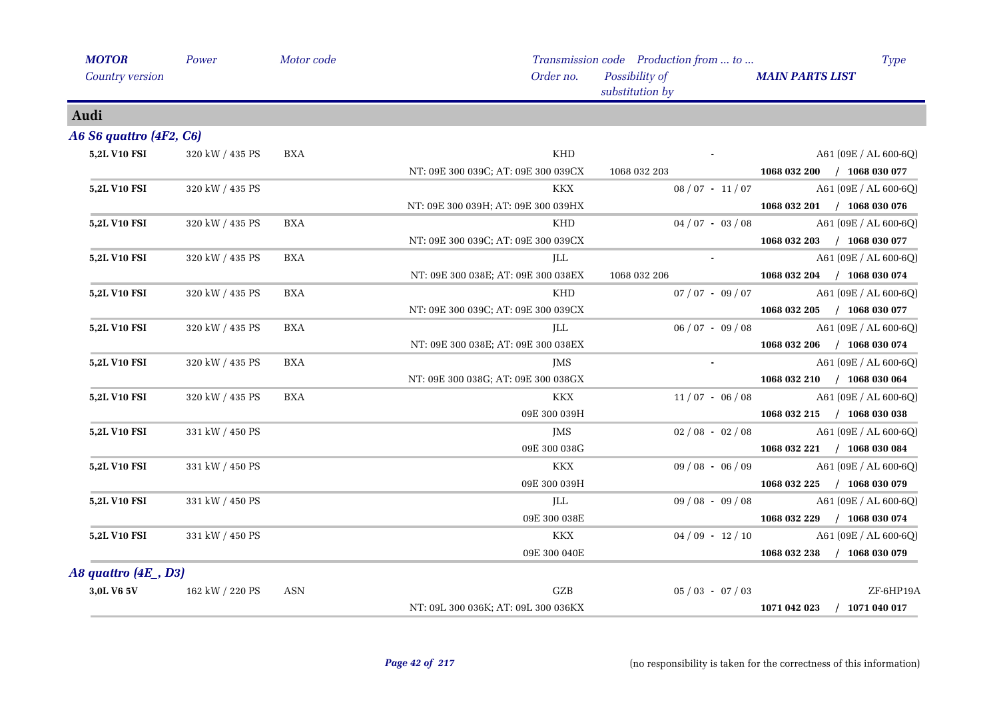| <b>MOTOR</b>            | Power           | Motor code |                                     | Transmission code Production from  to | Type                        |
|-------------------------|-----------------|------------|-------------------------------------|---------------------------------------|-----------------------------|
| Country version         |                 |            | Order no.                           | Possibility of<br>substitution by     | <b>MAIN PARTS LIST</b>      |
| Audi                    |                 |            |                                     |                                       |                             |
| A6 S6 quattro (4F2, C6) |                 |            |                                     |                                       |                             |
| 5,2L V10 FSI            | 320 kW / 435 PS | BXA        | KHD                                 |                                       | A61 (09E / AL 600-6Q)       |
|                         |                 |            | NT: 09E 300 039C; AT: 09E 300 039CX | 1068 032 203                          | 1068 032 200 / 1068 030 077 |
| 5,2L V10 FSI            | 320 kW / 435 PS |            | KKX                                 | $08/07 - 11/07$                       | A61 (09E / AL 600-6Q)       |
|                         |                 |            | NT: 09E 300 039H; AT: 09E 300 039HX |                                       | 1068 032 201 / 1068 030 076 |
| 5,2L V10 FSI            | 320 kW / 435 PS | <b>BXA</b> | <b>KHD</b>                          | $04/07 - 03/08$                       | A61 (09E / AL 600-6Q)       |
|                         |                 |            | NT: 09E 300 039C; AT: 09E 300 039CX |                                       | 1068 032 203 / 1068 030 077 |
| 5,2L V10 FSI            | 320 kW / 435 PS | <b>BXA</b> | JLL                                 | $\sim 10$                             | A61 (09E / AL 600-6Q)       |
|                         |                 |            | NT: 09E 300 038E; AT: 09E 300 038EX | 1068 032 206                          | 1068 032 204 / 1068 030 074 |
| 5,2L V10 FSI            | 320 kW / 435 PS | <b>BXA</b> | KHD                                 | $07/07 - 09/07$                       | $A61 (09E / AL 600-6Q)$     |
|                         |                 |            | NT: 09E 300 039C; AT: 09E 300 039CX |                                       | 1068 032 205 / 1068 030 077 |
| 5,2L V10 FSI            | 320 kW / 435 PS | <b>BXA</b> | ILL                                 | $06/07 - 09/08$                       | A61 (09E / AL 600-6Q)       |
|                         |                 |            | NT: 09E 300 038E; AT: 09E 300 038EX |                                       | 1068 032 206 / 1068 030 074 |
| 5,2L V10 FSI            | 320 kW / 435 PS | <b>BXA</b> | <b>JMS</b>                          |                                       | A61 (09E / AL 600-6Q)       |
|                         |                 |            | NT: 09E 300 038G; AT: 09E 300 038GX |                                       | 1068 032 210 / 1068 030 064 |
| 5,2L V10 FSI            | 320 kW / 435 PS | <b>BXA</b> | <b>KKX</b>                          | $11/07 - 06/08$                       | A61 (09E / AL 600-6Q)       |
|                         |                 |            | 09E 300 039H                        |                                       | 1068 032 215 / 1068 030 038 |
| 5,2L V10 FSI            | 331 kW / 450 PS |            | JMS                                 | $02/08 - 02/08$                       | A61 (09E / AL 600-6Q)       |
|                         |                 |            | 09E 300 038G                        |                                       | 1068 032 221 / 1068 030 084 |
| 5,2L V10 FSI            | 331 kW / 450 PS |            | KKX                                 | $09/08 - 06/09$                       | A61 (09E / AL 600-6Q)       |
|                         |                 |            | 09E 300 039H                        |                                       | 1068 032 225 / 1068 030 079 |
| 5,2L V10 FSI            | 331 kW / 450 PS |            | JLL                                 | $09/08 - 09/08$                       | A61 (09E / AL 600-6Q)       |
|                         |                 |            | 09E 300 038E                        |                                       | 1068 032 229 / 1068 030 074 |
| 5,2L V10 FSI            | 331 kW / 450 PS |            | <b>KKX</b>                          | $04/09 - 12/10$                       | A61 (09E / AL 600-6Q)       |
|                         |                 |            | 09E 300 040E                        |                                       | 1068 032 238 / 1068 030 079 |
| A8 quattro (4E _, D3)   |                 |            |                                     |                                       |                             |
| 3,0L V6 5V              | 162 kW / 220 PS | <b>ASN</b> | GZB                                 | $05/03 - 07/03$                       | ZF-6HP19A                   |
|                         |                 |            | NT: 09L 300 036K; AT: 09L 300 036KX |                                       | 1071 042 023 / 1071 040 017 |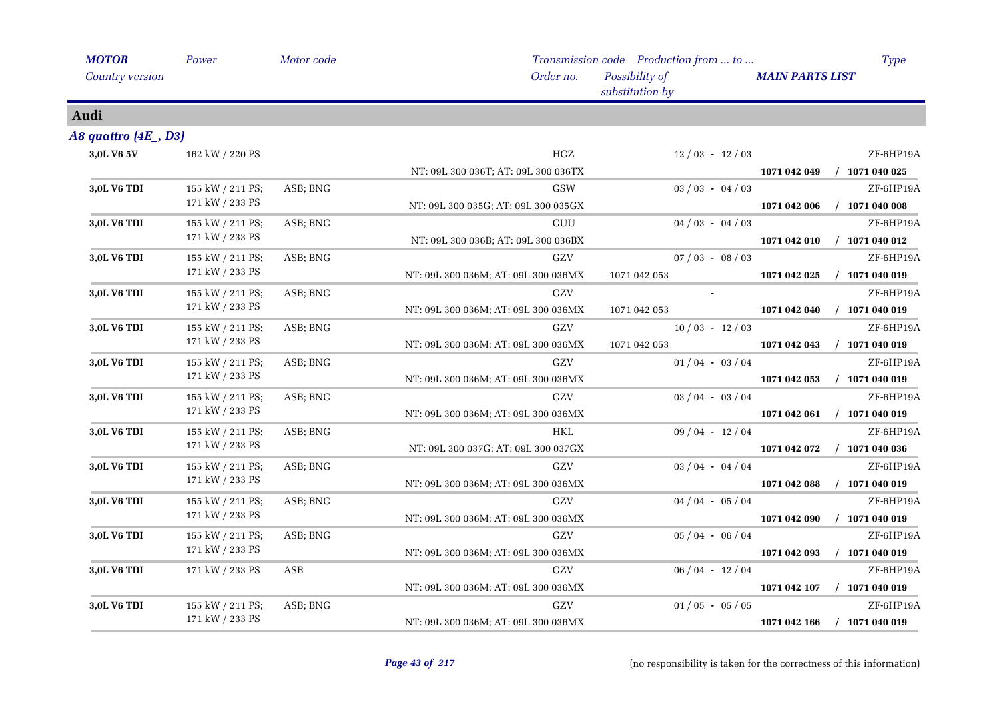| <b>MOTOR</b>         | Power            | Motor code |                                     | Transmission code Production from  to | <b>Type</b>                      |
|----------------------|------------------|------------|-------------------------------------|---------------------------------------|----------------------------------|
| Country version      |                  |            | Order no.                           | Possibility of<br>substitution by     | <b>MAIN PARTS LIST</b>           |
| Audi                 |                  |            |                                     |                                       |                                  |
| A8 quattro (4E , D3) |                  |            |                                     |                                       |                                  |
| 3,0L V6 5V           | 162 kW / 220 PS  |            | $_{\mathrm{HGZ}}$                   | $12/03 - 12/03$                       | ZF-6HP19A                        |
|                      |                  |            | NT: 09L 300 036T; AT: 09L 300 036TX |                                       | $/$ 1071 040 025<br>1071 042 049 |
| 3,0L V6 TDI          | 155 kW / 211 PS; | ASB; BNG   | <b>GSW</b>                          | $03 / 03 - 04 / 03$                   | ZF-6HP19A                        |
|                      | 171 kW / 233 PS  |            | NT: 09L 300 035G; AT: 09L 300 035GX |                                       | $/$ 1071 040 008<br>1071 042 006 |
| 3,0L V6 TDI          | 155 kW / 211 PS; | ASB; BNG   | GUU                                 | $04/03 - 04/03$                       | ZF-6HP19A                        |
|                      | 171 kW / 233 PS  |            | NT: 09L 300 036B; AT: 09L 300 036BX |                                       | $/$ 1071 040 012<br>1071 042 010 |
| 3,0L V6 TDI          | 155 kW / 211 PS; | ASB; BNG   | GZV                                 | $07/03 - 08/03$                       | ZF-6HP19A                        |
|                      | 171 kW / 233 PS  |            | NT: 09L 300 036M; AT: 09L 300 036MX | 1071 042 053                          | $/$ 1071 040 019<br>1071 042 025 |
| 3,0L V6 TDI          | 155 kW / 211 PS; | ASB; BNG   | GZV                                 |                                       | ZF-6HP19A                        |
|                      | 171 kW / 233 PS  |            | NT: 09L 300 036M; AT: 09L 300 036MX | 1071 042 053                          | 1071 042 040<br>$/$ 1071 040 019 |
| 3,0L V6 TDI          | 155 kW / 211 PS; | ASB; BNG   | GZV                                 | $10/03 - 12/03$                       | ZF-6HP19A                        |
|                      | 171 kW / 233 PS  |            | NT: 09L 300 036M; AT: 09L 300 036MX | 1071 042 053                          | $/$ 1071 040 019<br>1071 042 043 |
| 3,0L V6 TDI          | 155 kW / 211 PS; | ASB; BNG   | GZV                                 | $01/04 - 03/04$                       | ZF-6HP19A                        |
|                      | 171 kW / 233 PS  |            | NT: 09L 300 036M; AT: 09L 300 036MX |                                       | 1071 042 053<br>$/$ 1071 040 019 |
| 3,0L V6 TDI          | 155 kW / 211 PS; | ASB; BNG   | GZV                                 | $03/04 - 03/04$                       | ZF-6HP19A                        |
|                      | 171 kW / 233 PS  |            | NT: 09L 300 036M; AT: 09L 300 036MX |                                       | 1071 042 061<br>$/$ 1071 040 019 |
| 3,0L V6 TDI          | 155 kW / 211 PS; | ASB; BNG   | <b>HKL</b>                          | $09/04 - 12/04$                       | ZF-6HP19A                        |
|                      | 171 kW / 233 PS  |            | NT: 09L 300 037G; AT: 09L 300 037GX |                                       | 1071 042 072<br>$/$ 1071 040 036 |
| 3,0L V6 TDI          | 155 kW / 211 PS; | ASB; BNG   | GZV                                 | $03/04 - 04/04$                       | ZF-6HP19A                        |
|                      | 171 kW / 233 PS  |            | NT: 09L 300 036M; AT: 09L 300 036MX |                                       | $/$ 1071 040 019<br>1071 042 088 |
| 3,0L V6 TDI          | 155 kW / 211 PS; | ASB; BNG   | GZV                                 | $04/04 - 05/04$                       | ZF-6HP19A                        |
|                      | 171 kW / 233 PS  |            | NT: 09L 300 036M; AT: 09L 300 036MX |                                       | $/$ 1071 040 019<br>1071 042 090 |
| 3,0L V6 TDI          | 155 kW / 211 PS; | ASB; BNG   | ${\rm GZV}$                         | $05/04 - 06/04$                       | ZF-6HP19A                        |
|                      | 171 kW / 233 PS  |            | NT: 09L 300 036M; AT: 09L 300 036MX |                                       | $/$ 1071 040 019<br>1071 042 093 |
| 3,0L V6 TDI          | 171 kW / 233 PS  | ASB        | GZV                                 | $06/04 - 12/04$                       | ZF-6HP19A                        |
|                      |                  |            | NT: 09L 300 036M; AT: 09L 300 036MX |                                       | 1071 042 107<br>$/$ 1071 040 019 |
| 3,0L V6 TDI          | 155 kW / 211 PS; | ASB; BNG   | GZV                                 | $01/05 - 05/05$                       | ZF-6HP19A                        |
|                      | 171 kW / 233 PS  |            | NT: 09L 300 036M; AT: 09L 300 036MX |                                       | $/$ 1071 040 019<br>1071 042 166 |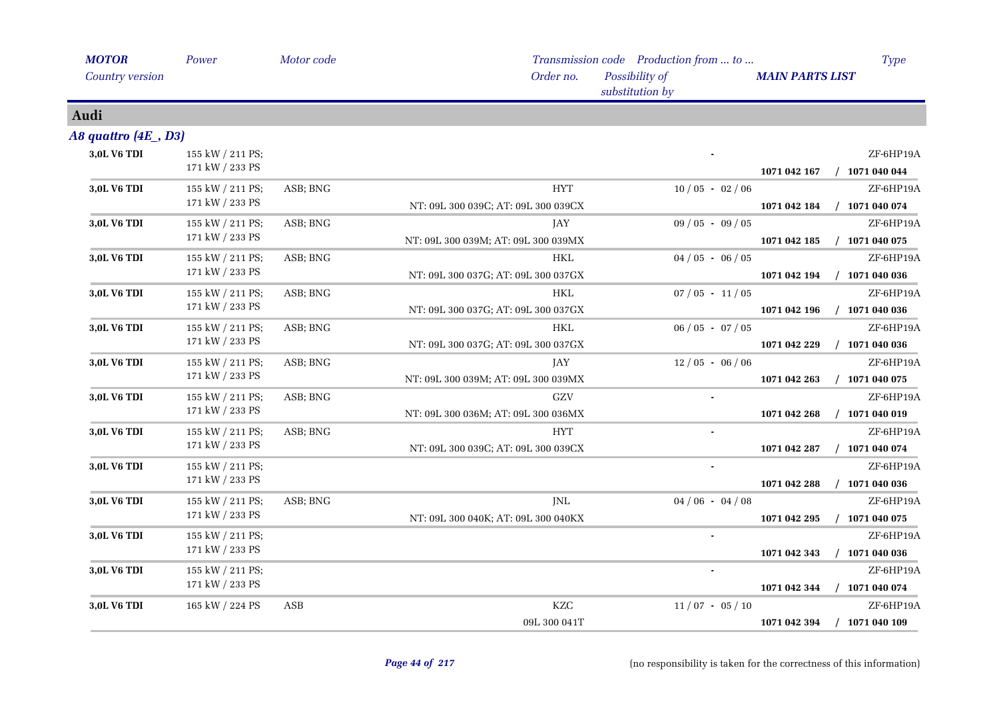| <b>MOTOR</b>           | Power                 | Motor code |                                     | Transmission code Production from  to | <b>Type</b>                      |
|------------------------|-----------------------|------------|-------------------------------------|---------------------------------------|----------------------------------|
| <b>Country version</b> |                       |            | Order no.                           | Possibility of<br>substitution by     | <b>MAIN PARTS LIST</b>           |
| Audi                   |                       |            |                                     |                                       |                                  |
| A8 quattro $(4E, D3)$  |                       |            |                                     |                                       |                                  |
| 3,0L V6 TDI            | 155 kW / 211 PS;      |            |                                     |                                       | ZF-6HP19A                        |
|                        | 171 kW / 233 PS       |            |                                     |                                       | $/$ 1071 040 044<br>1071 042 167 |
| 3,0L V6 TDI            | 155 kW / 211 PS;      | ASB; BNG   | <b>HYT</b>                          | $10/05 - 02/06$                       | ZF-6HP19A                        |
|                        | 171 kW / 233 PS       |            | NT: 09L 300 039C; AT: 09L 300 039CX |                                       | 1071 042 184<br>$/$ 1071 040 074 |
| 3,0L V6 TDI            | 155 kW / 211 PS;      | ASB; BNG   | JAY                                 | $09/05 - 09/05$                       | ZF-6HP19A                        |
|                        | 171 kW / 233 PS       |            | NT: 09L 300 039M; AT: 09L 300 039MX |                                       | 1071 042 185<br>$/$ 1071 040 075 |
| 3,0L V6 TDI            | 155 kW / 211 PS;      | ASB; BNG   | <b>HKL</b>                          | $04/05 - 06/05$                       | ZF-6HP19A                        |
|                        | 171 kW / 233 PS       |            | NT: 09L 300 037G; AT: 09L 300 037GX |                                       | 1071 042 194<br>$/$ 1071 040 036 |
| 3,0L V6 TDI            | 155 kW / 211 PS;      | ASB; BNG   | <b>HKL</b>                          | $07/05 - 11/05$                       | ZF-6HP19A                        |
|                        | 171 kW / 233 PS       |            | NT: 09L 300 037G; AT: 09L 300 037GX |                                       | 1071 042 196<br>$/$ 1071 040 036 |
| 3,0L V6 TDI            | 155 kW / 211 PS;      | ASB; BNG   | <b>HKL</b>                          | $06/05 - 07/05$                       | ZF-6HP19A                        |
|                        | 171 kW / 233 PS       |            | NT: 09L 300 037G; AT: 09L 300 037GX |                                       | 1071 042 229<br>$/$ 1071 040 036 |
| 3,0L V6 TDI            | 155 kW / 211 PS;      | ASB; BNG   | JAY                                 | $12/05 - 06/06$                       | ZF-6HP19A                        |
|                        | 171 kW / 233 PS       |            | NT: 09L 300 039M; AT: 09L 300 039MX |                                       | $/$ 1071 040 075<br>1071 042 263 |
| 3,0L V6 TDI            | 155 kW / 211 PS;      | ASB; BNG   | GZV                                 |                                       | ZF-6HP19A                        |
|                        | 171 kW / 233 PS       |            | NT: 09L 300 036M; AT: 09L 300 036MX |                                       | $/$ 1071 040 019<br>1071 042 268 |
| 3,0L V6 TDI            | 155 kW / 211 PS;      | ASB; BNG   | <b>HYT</b>                          |                                       | ZF-6HP19A                        |
|                        | 171 kW / 233 PS       |            | NT: 09L 300 039C; AT: 09L 300 039CX |                                       | $/$ 1071 040 074<br>1071 042 287 |
| 3,0L V6 TDI            | 155 kW / 211 PS;      |            |                                     |                                       | ZF-6HP19A                        |
|                        | 171 kW / 233 PS       |            |                                     |                                       | $/$ 1071 040 036<br>1071 042 288 |
| 3,0L V6 TDI            | 155 kW / 211 PS;      | ASB; BNG   | JNL                                 | $04/06 - 04/08$                       | ZF-6HP19A                        |
|                        | 171 kW / 233 PS       |            | NT: 09L 300 040K; AT: 09L 300 040KX |                                       | 1071 042 295<br>$/$ 1071 040 075 |
| 3,0L V6 TDI            | 155 kW / 211 PS;      |            |                                     |                                       | ZF-6HP19A                        |
|                        | 171 kW / 233 PS       |            |                                     |                                       | $/$ 1071 040 036<br>1071 042 343 |
| 3,0L V6 TDI            | 155 kW / 211 PS;      |            |                                     |                                       | ZF-6HP19A                        |
|                        | $171$ kW $\!/$ 233 PS |            |                                     |                                       | 1071 042 344<br>$/$ 1071 040 074 |
| 3,0L V6 TDI            | 165 kW / 224 PS       | ASB        | KZC                                 | $11/07 - 05/10$                       | ZF-6HP19A                        |
|                        |                       |            | 09L 300 041T                        |                                       | 1071 042 394<br>$/$ 1071 040 109 |
|                        |                       |            |                                     |                                       |                                  |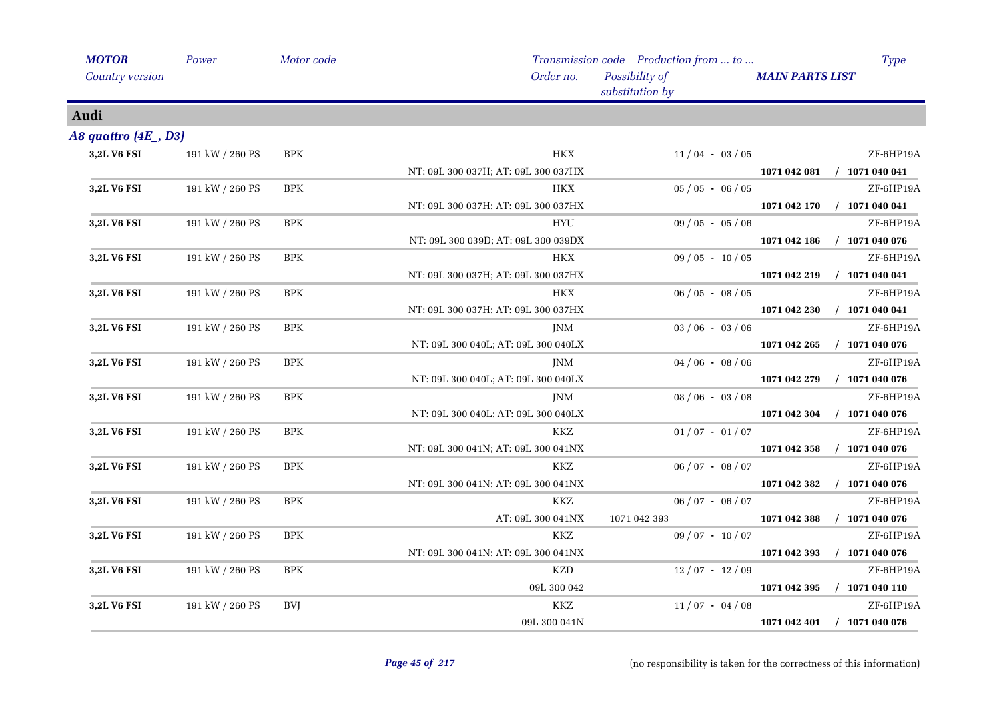| <b>MOTOR</b>         | Power           | Motor code |                                     | Transmission code Production from  to | <b>Type</b>                      |
|----------------------|-----------------|------------|-------------------------------------|---------------------------------------|----------------------------------|
| Country version      |                 |            | Order no.                           | Possibility of<br>substitution by     | <b>MAIN PARTS LIST</b>           |
| Audi                 |                 |            |                                     |                                       |                                  |
| A8 quattro (4E , D3) |                 |            |                                     |                                       |                                  |
| 3,2L V6 FSI          | 191 kW / 260 PS | <b>BPK</b> | HKX                                 | $11/04 - 03/05$                       | ZF-6HP19A                        |
|                      |                 |            | NT: 09L 300 037H; AT: 09L 300 037HX |                                       | $/$ 1071 040 041<br>1071 042 081 |
| 3,2L V6 FSI          | 191 kW / 260 PS | $\rm BPK$  | HKX                                 | $05/05 - 06/05$                       | ZF-6HP19A                        |
|                      |                 |            | NT: 09L 300 037H; AT: 09L 300 037HX |                                       | 1071 042 170<br>$/$ 1071 040 041 |
| 3,2L V6 FSI          | 191 kW / 260 PS | <b>BPK</b> | HYU                                 | $09/05 - 05/06$                       | ZF-6HP19A                        |
|                      |                 |            | NT: 09L 300 039D; AT: 09L 300 039DX |                                       | 1071 042 186<br>$/$ 1071 040 076 |
| 3,2L V6 FSI          | 191 kW / 260 PS | $\rm BPK$  | <b>HKX</b>                          | $09/05 - 10/05$                       | ZF-6HP19A                        |
|                      |                 |            | NT: 09L 300 037H; AT: 09L 300 037HX |                                       | $/$ 1071 040 041<br>1071 042 219 |
| 3,2L V6 FSI          | 191 kW / 260 PS | <b>BPK</b> | <b>HKX</b>                          | $06/05 - 08/05$                       | ZF-6HP19A                        |
|                      |                 |            | NT: 09L 300 037H; AT: 09L 300 037HX |                                       | $/$ 1071 040 041<br>1071 042 230 |
| 3,2L V6 FSI          | 191 kW / 260 PS | <b>BPK</b> | <b>JNM</b>                          | $03/06 - 03/06$                       | ZF-6HP19A                        |
|                      |                 |            | NT: 09L 300 040L; AT: 09L 300 040LX |                                       | 1071 042 265<br>$/$ 1071 040 076 |
| 3,2L V6 FSI          | 191 kW / 260 PS | $\rm BPK$  | JNM                                 | $04/06 - 08/06$                       | ZF-6HP19A                        |
|                      |                 |            | NT: 09L 300 040L; AT: 09L 300 040LX |                                       | $/$ 1071 040 076<br>1071 042 279 |
| 3,2L V6 FSI          | 191 kW / 260 PS | BPK        | JNM                                 | $08/06 - 03/08$                       | ZF-6HP19A                        |
|                      |                 |            | NT: 09L 300 040L; AT: 09L 300 040LX |                                       | $/$ 1071 040 076<br>1071 042 304 |
| 3,2L V6 FSI          | 191 kW / 260 PS | $\rm BPK$  | KKZ                                 | $01/07 - 01/07$                       | ZF-6HP19A                        |
|                      |                 |            | NT: 09L 300 041N; AT: 09L 300 041NX |                                       | $/$ 1071 040 076<br>1071 042 358 |
| 3,2L V6 FSI          | 191 kW / 260 PS | $\rm BPK$  | KKZ                                 | $06 / 07 - 08 / 07$                   | ZF-6HP19A                        |
|                      |                 |            | NT: 09L 300 041N; AT: 09L 300 041NX |                                       | $/$ 1071 040 076<br>1071 042 382 |
| 3,2L V6 FSI          | 191 kW / 260 PS | $\rm BPK$  | KKZ                                 | $06 / 07 - 06 / 07$                   | ZF-6HP19A                        |
|                      |                 |            | AT: 09L 300 041NX                   | 1071 042 393                          | 1071 042 388<br>$/$ 1071 040 076 |
| 3,2L V6 FSI          | 191 kW / 260 PS | <b>BPK</b> | KKZ                                 | $09/07 - 10/07$                       | ZF-6HP19A                        |
|                      |                 |            | NT: 09L 300 041N; AT: 09L 300 041NX |                                       | $/$ 1071 040 076<br>1071 042 393 |
| 3,2L V6 FSI          | 191 kW / 260 PS | $\rm BPK$  | <b>KZD</b>                          | $12/07 - 12/09$                       | ZF-6HP19A                        |
|                      |                 |            | 09L 300 042                         |                                       | 1071 042 395<br>$/$ 1071 040 110 |
| 3,2L V6 FSI          | 191 kW / 260 PS | BVJ        | KKZ                                 | $11/07 - 04/08$                       | ZF-6HP19A                        |
|                      |                 |            | 09L 300 041N                        |                                       | $/$ 1071 040 076<br>1071 042 401 |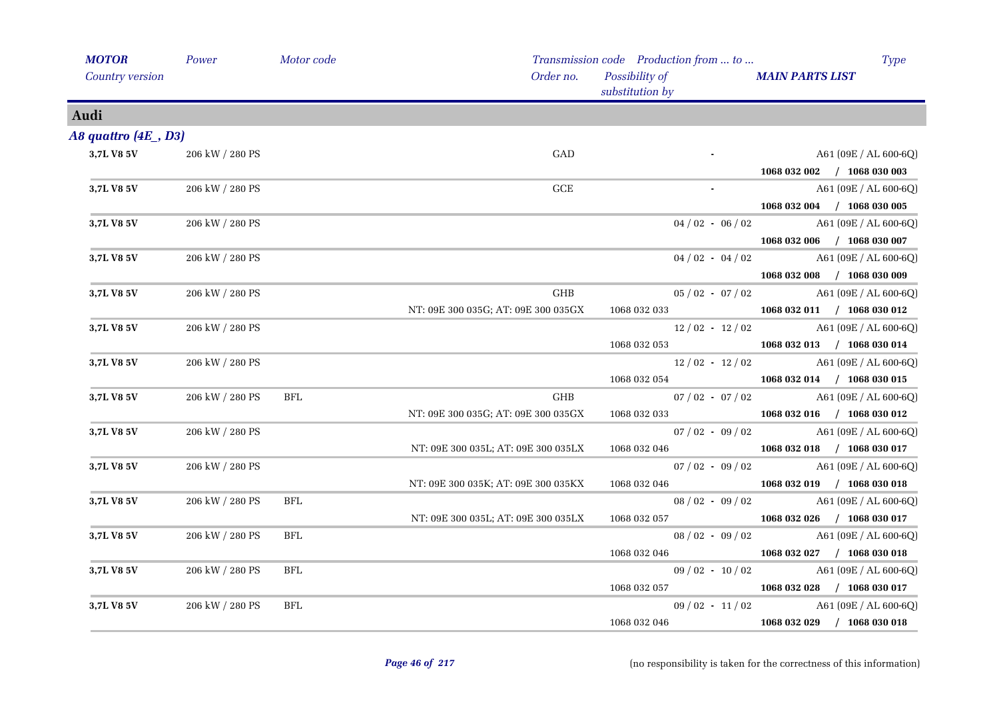| <b>MOTOR</b>            | Power           | Motor code |                                     | Transmission code Production from  to | <b>Type</b>                 |
|-------------------------|-----------------|------------|-------------------------------------|---------------------------------------|-----------------------------|
| Country version         |                 |            | Order no.                           | Possibility of<br>substitution by     | <b>MAIN PARTS LIST</b>      |
| Audi                    |                 |            |                                     |                                       |                             |
| A8 quattro $(4E_$ , D3) |                 |            |                                     |                                       |                             |
| 3,7L V8 5V              | 206 kW / 280 PS |            | GAD                                 |                                       | $A61 (09E / AL 600-6Q)$     |
|                         |                 |            |                                     |                                       | 1068 032 002 / 1068 030 003 |
| 3,7L V8 5V              | 206 kW / 280 PS |            | $_{\rm GCE}$                        |                                       | A61 (09E / AL 600-6Q)       |
|                         |                 |            |                                     |                                       | 1068 032 004 / 1068 030 005 |
| 3,7L V8 5V              | 206 kW / 280 PS |            |                                     | $04/02 - 06/02$                       | $A61(09E/AL600-6Q)$         |
|                         |                 |            |                                     |                                       | 1068 032 006 / 1068 030 007 |
| 3,7L V8 5V              | 206 kW / 280 PS |            |                                     | $04/02 - 04/02$                       | A61 (09E / AL 600-6Q)       |
|                         |                 |            |                                     |                                       | 1068 032 008 / 1068 030 009 |
| 3,7L V8 5V              | 206 kW / 280 PS |            | GHB                                 | $05/02 - 07/02$                       | $A61 (09E / AL 600-6Q)$     |
|                         |                 |            | NT: 09E 300 035G; AT: 09E 300 035GX | 1068 032 033                          | 1068 032 011 / 1068 030 012 |
| 3,7L V8 5V              | 206 kW / 280 PS |            |                                     | $12/02 - 12/02$                       | A61 (09E / AL 600-6Q)       |
|                         |                 |            |                                     | 1068 032 053                          | $1068032013$ / $1068030014$ |
| 3,7L V8 5V              | 206 kW / 280 PS |            |                                     | $12/02 - 12/02$                       | A61 (09E / AL 600-6Q)       |
|                         |                 |            |                                     | 1068 032 054                          | 1068 032 014 / 1068 030 015 |
| 3,7L V8 5V              | 206 kW / 280 PS | <b>BFL</b> | <b>GHB</b>                          | $07/02 - 07/02$                       | A61 (09E / AL 600-6Q)       |
|                         |                 |            | NT: 09E 300 035G; AT: 09E 300 035GX | 1068 032 033                          | 1068 032 016 / 1068 030 012 |
| 3,7L V8 5V              | 206 kW / 280 PS |            |                                     | $07/02 - 09/02$                       | A61 (09E / AL 600-6Q)       |
|                         |                 |            | NT: 09E 300 035L; AT: 09E 300 035LX | 1068 032 046                          | 1068 032 018 / 1068 030 017 |
| 3,7L V8 5V              | 206 kW / 280 PS |            |                                     | $07/02 - 09/02$                       | $A61 (09E / AL 600-6Q)$     |
|                         |                 |            | NT: 09E 300 035K; AT: 09E 300 035KX | 1068 032 046                          | 1068 032 019 / 1068 030 018 |
| 3,7L V8 5V              | 206 kW / 280 PS | BFL        |                                     | $08/02 - 09/02$                       | $A61 (09E / AL 600-6Q)$     |
|                         |                 |            | NT: 09E 300 035L; AT: 09E 300 035LX | 1068 032 057                          | 1068 032 026 / 1068 030 017 |
| 3,7L V8 5V              | 206 kW / 280 PS | <b>BFL</b> |                                     | $08/02 - 09/02$                       | A61 (09E / AL 600-6Q)       |
|                         |                 |            |                                     | 1068 032 046                          | 1068 032 027 / 1068 030 018 |
| 3,7L V8 5V              | 206 kW / 280 PS | BFL        |                                     | $09/02 - 10/02$                       | A61 (09E / AL 600-6Q)       |
|                         |                 |            |                                     | 1068 032 057                          | 1068 032 028 / 1068 030 017 |
| 3,7L V8 5V              | 206 kW / 280 PS | BFL        |                                     | $09/02 - 11/02$                       | A61 (09E / AL 600-6Q)       |
|                         |                 |            |                                     | 1068 032 046                          | 1068 032 029 / 1068 030 018 |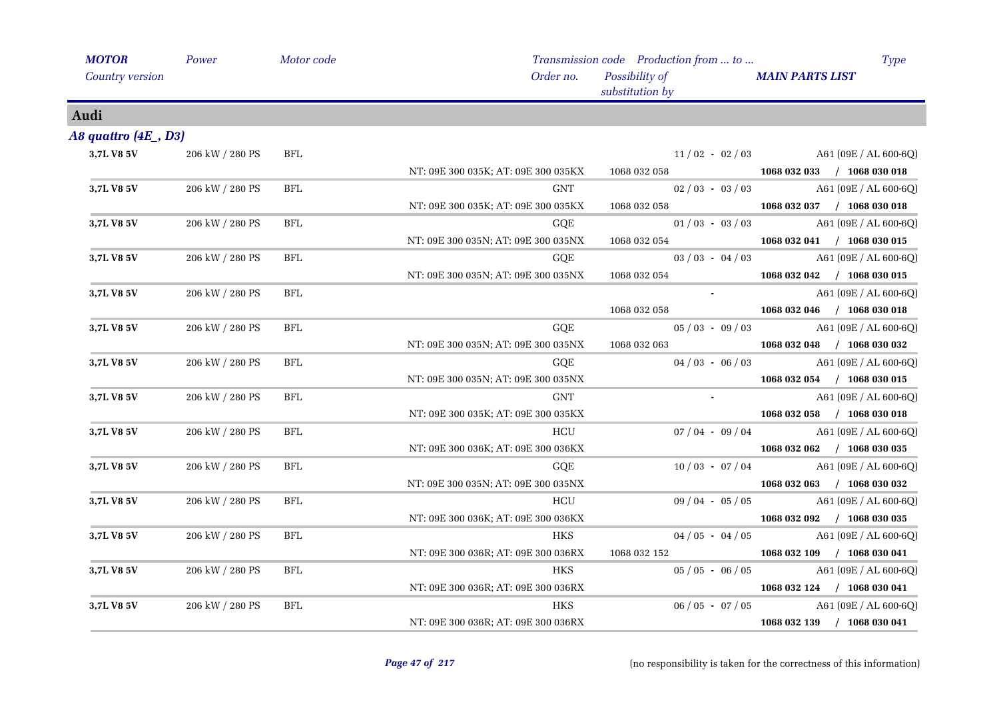| <b>MOTOR</b>            | Power           | Motor code           |                                     | Transmission code Production from  to | <b>Type</b>                 |
|-------------------------|-----------------|----------------------|-------------------------------------|---------------------------------------|-----------------------------|
| Country version         |                 |                      | Order no.                           | Possibility of<br>substitution by     | <b>MAIN PARTS LIST</b>      |
| Audi                    |                 |                      |                                     |                                       |                             |
| A8 quattro $(4E_$ , D3) |                 |                      |                                     |                                       |                             |
| 3,7L V8 5V              | 206 kW / 280 PS | <b>BFL</b>           |                                     | $11/02 - 02/03$                       | $A61(09E/AL 600-6Q)$        |
|                         |                 |                      | NT: 09E 300 035K; AT: 09E 300 035KX | 1068 032 058                          | 1068 032 033 / 1068 030 018 |
| 3,7L V8 5V              | 206 kW / 280 PS | <b>BFL</b>           | <b>GNT</b>                          | $02/03 - 03/03$                       | A61 (09E / AL 600-6Q)       |
|                         |                 |                      | NT: 09E 300 035K; AT: 09E 300 035KX | 1068 032 058                          | 1068 032 037 / 1068 030 018 |
| 3,7L V8 5V              | 206 kW / 280 PS | BFL                  | GQE                                 | $01/03 - 03/03$                       | $A61(09E/AL 600-6Q)$        |
|                         |                 |                      | NT: 09E 300 035N; AT: 09E 300 035NX | 1068 032 054                          | 1068 032 041 / 1068 030 015 |
| 3,7L V8 5V              | 206 kW / 280 PS | <b>BFL</b>           | GQE                                 | $03 / 03 - 04 / 03$                   | A61 (09E / AL 600-6Q)       |
|                         |                 |                      | NT: 09E 300 035N; AT: 09E 300 035NX | 1068 032 054                          | 1068 032 042 / 1068 030 015 |
| 3,7L V8 5V              | 206 kW / 280 PS | <b>BFL</b>           |                                     |                                       | A61 (09E / AL 600-6Q)       |
|                         |                 |                      |                                     | 1068 032 058                          | 1068 032 046 / 1068 030 018 |
| 3,7L V8 5V              | 206 kW / 280 PS | BFL                  | GQE                                 | $05/03 - 09/03$                       | A61 (09E / AL 600-6Q)       |
|                         |                 |                      | NT: 09E 300 035N; AT: 09E 300 035NX | 1068 032 063                          | 1068 032 048 / 1068 030 032 |
| 3,7L V8 5V              | 206 kW / 280 PS | BFL                  | GQE                                 | $04/03 - 06/03$                       | $A61(09E/AL 600-6Q)$        |
|                         |                 |                      | NT: 09E 300 035N; AT: 09E 300 035NX |                                       | 1068 032 054 / 1068 030 015 |
| 3,7L V8 5V              | 206 kW / 280 PS | BFL                  | <b>GNT</b>                          |                                       | A61 (09E / AL 600-6Q)       |
|                         |                 |                      | NT: 09E 300 035K; AT: 09E 300 035KX |                                       | 1068 032 058 / 1068 030 018 |
| 3,7L V8 5V              | 206 kW / 280 PS | <b>BFL</b>           | HCU                                 | $07/04 - 09/04$                       | A61 (09E / AL 600-6Q)       |
|                         |                 |                      | NT: 09E 300 036K; AT: 09E 300 036KX |                                       | 1068 032 062 / 1068 030 035 |
| 3,7L V8 5V              | 206 kW / 280 PS | BFL                  | GQE                                 | $10/03 - 07/04$                       | A61 (09E / AL 600-6Q)       |
|                         |                 |                      | NT: 09E 300 035N; AT: 09E 300 035NX |                                       | 1068 032 063 / 1068 030 032 |
| 3,7L V8 5V              | 206 kW / 280 PS | BFL                  | HCU                                 | $09/04 - 05/05$                       | $A61(09E/AL 600-6Q)$        |
|                         |                 |                      | NT: 09E 300 036K; AT: 09E 300 036KX |                                       | 1068 032 092 / 1068 030 035 |
| 3,7L V8 5V              | 206 kW / 280 PS | <b>BFL</b>           | <b>HKS</b>                          | $04/05 - 04/05$                       | A61 (09E / AL 600-6Q)       |
|                         |                 |                      | NT: 09E 300 036R; AT: 09E 300 036RX | 1068 032 152                          | 1068 032 109 / 1068 030 041 |
| 3,7L V8 5V              | 206 kW / 280 PS | BFL                  | <b>HKS</b>                          | $05/05 - 06/05$                       | $A61 (09E / AL 600-6Q)$     |
|                         |                 |                      | NT: 09E 300 036R; AT: 09E 300 036RX |                                       | 1068 032 124 / 1068 030 041 |
| 3,7L V8 5V              | 206 kW / 280 PS | $\operatorname{BFL}$ | <b>HKS</b>                          | $06/05 - 07/05$                       | A61 (09E / AL 600-6Q)       |
|                         |                 |                      | NT: 09E 300 036R; AT: 09E 300 036RX |                                       | 1068 032 139 / 1068 030 041 |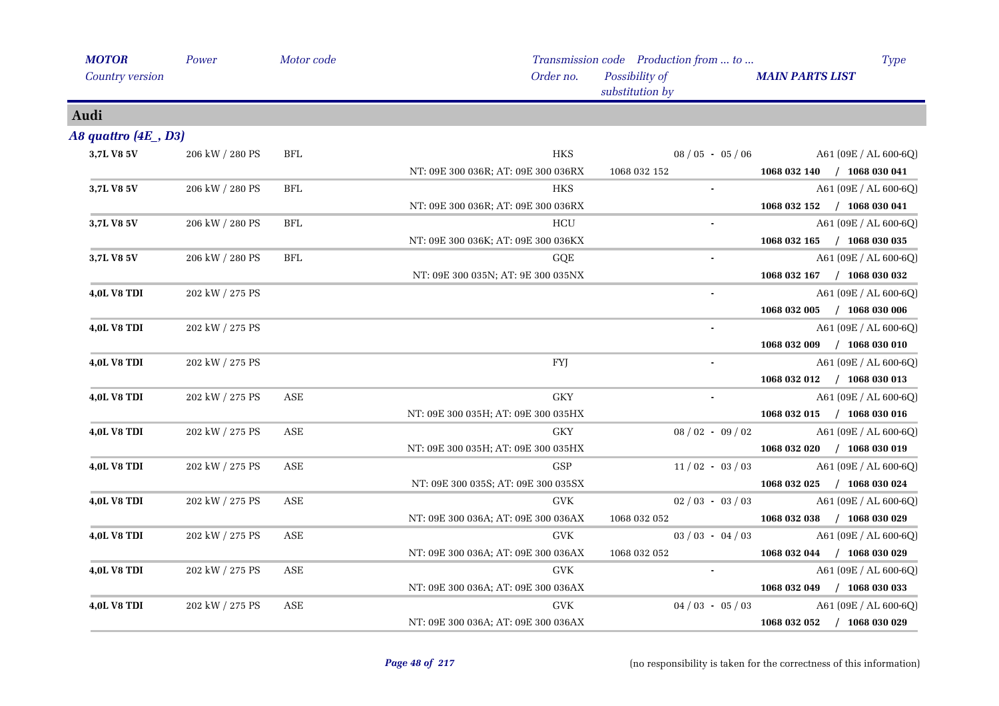| <b>MOTOR</b>          | Power           | Motor code |                                     | Transmission code Production from  to | <b>Type</b>                 |
|-----------------------|-----------------|------------|-------------------------------------|---------------------------------------|-----------------------------|
| Country version       |                 |            | Order no.                           | Possibility of<br>substitution by     | <b>MAIN PARTS LIST</b>      |
| Audi                  |                 |            |                                     |                                       |                             |
| A8 quattro $(4E, D3)$ |                 |            |                                     |                                       |                             |
| 3,7L V8 5V            | 206 kW / 280 PS | <b>BFL</b> | <b>HKS</b>                          | $08/05 - 05/06$                       | A61 (09E / AL 600-6Q)       |
|                       |                 |            | NT: 09E 300 036R; AT: 09E 300 036RX | 1068 032 152                          | 1068 032 140 / 1068 030 041 |
| 3,7L V8 5V            | 206 kW / 280 PS | <b>BFL</b> | <b>HKS</b>                          |                                       | A61 (09E / AL 600-6Q)       |
|                       |                 |            | NT: 09E 300 036R; AT: 09E 300 036RX |                                       | 1068 032 152 / 1068 030 041 |
| 3,7L V8 5V            | 206 kW / 280 PS | BFL        | HCU                                 |                                       | A61 (09E / AL 600-6Q)       |
|                       |                 |            | NT: 09E 300 036K; AT: 09E 300 036KX |                                       | 1068 032 165 / 1068 030 035 |
| 3,7L V8 5V            | 206 kW / 280 PS | <b>BFL</b> | GQE                                 |                                       | A61 (09E / AL 600-6Q)       |
|                       |                 |            | NT: 09E 300 035N; AT: 9E 300 035NX  |                                       | 1068 032 167 / 1068 030 032 |
| 4,0L V8 TDI           | 202 kW / 275 PS |            |                                     |                                       | A61 (09E / AL 600-6Q)       |
|                       |                 |            |                                     |                                       | 1068 032 005 / 1068 030 006 |
| <b>4,0L V8 TDI</b>    | 202 kW / 275 PS |            |                                     | $\blacksquare$                        | A61 (09E / AL 600-6Q)       |
|                       |                 |            |                                     |                                       | 1068 032 009 / 1068 030 010 |
| <b>4,0L V8 TDI</b>    | 202 kW / 275 PS |            | <b>FYJ</b>                          |                                       | A61 (09E / AL 600-6Q)       |
|                       |                 |            |                                     |                                       | 1068 032 012 / 1068 030 013 |
| 4,0L V8 TDI           | 202 kW / 275 PS | ASE        | ${\rm GKY}$                         |                                       | A61 (09E / AL 600-6Q)       |
|                       |                 |            | NT: 09E 300 035H; AT: 09E 300 035HX |                                       | 1068 032 015 / 1068 030 016 |
| 4,0L V8 TDI           | 202 kW / 275 PS | ASE        | <b>GKY</b>                          | $08/02 - 09/02$                       | A61 (09E / AL 600-6Q)       |
|                       |                 |            | NT: 09E 300 035H; AT: 09E 300 035HX |                                       | 1068 032 020 / 1068 030 019 |
| 4,0L V8 TDI           | 202 kW / 275 PS | ASE        | <b>GSP</b>                          | $11/02 - 03/03$                       | A61 (09E / AL 600-6Q)       |
|                       |                 |            | NT: 09E 300 035S; AT: 09E 300 035SX |                                       | 1068 032 025 / 1068 030 024 |
| <b>4,0L V8 TDI</b>    | 202 kW / 275 PS | ASE        | <b>GVK</b>                          | $02/03 - 03/03$                       | A61 (09E / AL 600-6Q)       |
|                       |                 |            | NT: 09E 300 036A; AT: 09E 300 036AX | 1068 032 052                          | 1068 032 038 / 1068 030 029 |
| <b>4,0L V8 TDI</b>    | 202 kW / 275 PS | ASE        | <b>GVK</b>                          | $03 / 03 - 04 / 03$                   | A61 (09E / AL 600-6Q)       |
|                       |                 |            | NT: 09E 300 036A; AT: 09E 300 036AX | 1068 032 052                          | 1068 032 044 / 1068 030 029 |
| <b>4,0L V8 TDI</b>    | 202 kW / 275 PS | ASE        | <b>GVK</b>                          |                                       | A61 (09E / AL 600-6Q)       |
|                       |                 |            | NT: 09E 300 036A; AT: 09E 300 036AX |                                       | 1068 032 049 / 1068 030 033 |
| <b>4,0L V8 TDI</b>    | 202 kW / 275 PS | ASE        | <b>GVK</b>                          | $04/03 - 05/03$                       | A61 (09E / AL 600-6Q)       |
|                       |                 |            | NT: 09E 300 036A; AT: 09E 300 036AX |                                       | 1068 032 052 / 1068 030 029 |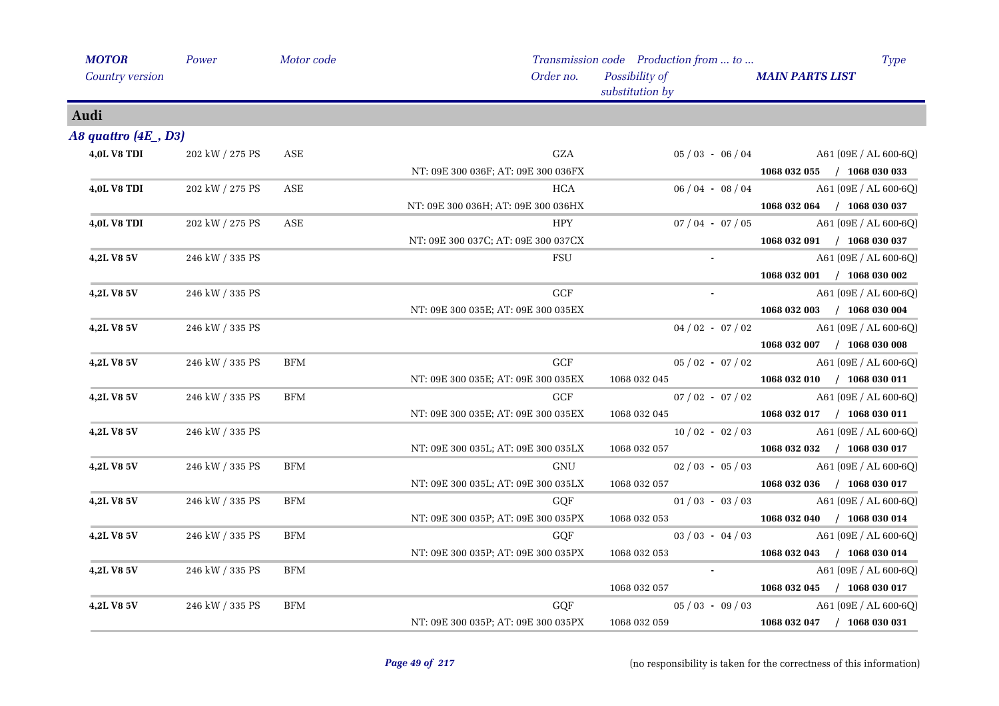| <b>MOTOR</b>        | Power           | Motor code |                                     | Transmission code Production from  to | <b>Type</b>                                |
|---------------------|-----------------|------------|-------------------------------------|---------------------------------------|--------------------------------------------|
| Country version     |                 |            | Order no.                           | Possibility of<br>substitution by     | <b>MAIN PARTS LIST</b>                     |
| Audi                |                 |            |                                     |                                       |                                            |
| A8 quattro (4E, D3) |                 |            |                                     |                                       |                                            |
| <b>4,0L V8 TDI</b>  | 202 kW / 275 PS | ASE        | GZA                                 |                                       | $05 / 03 - 06 / 04$ A61 (09E / AL 600-6Q)  |
|                     |                 |            | NT: 09E 300 036F; AT: 09E 300 036FX |                                       | 1068 032 055 / 1068 030 033                |
| <b>4,0L V8 TDI</b>  | 202 kW / 275 PS | ASE        | <b>HCA</b>                          | $06/04 - 08/04$                       | A61 (09E / AL 600-6Q)                      |
|                     |                 |            | NT: 09E 300 036H; AT: 09E 300 036HX |                                       | 1068 032 064 / 1068 030 037                |
| <b>4,0L V8 TDI</b>  | 202 kW / 275 PS | ASE        | <b>HPY</b>                          | $07/04 - 07/05$                       | A61 (09E / AL 600-6Q)                      |
|                     |                 |            | NT: 09E 300 037C; AT: 09E 300 037CX |                                       | 1068 032 091 / 1068 030 037                |
| 4,2L V8 5V          | 246 kW / 335 PS |            | FSU                                 |                                       | A61 (09E / AL 600-6Q)                      |
|                     |                 |            |                                     |                                       | 1068 032 001 / 1068 030 002                |
| 4,2L V8 5V          | 246 kW / 335 PS |            | <b>GCF</b>                          |                                       | A61 (09E / AL 600-6Q)                      |
|                     |                 |            | NT: 09E 300 035E; AT: 09E 300 035EX |                                       | 1068 032 003 / 1068 030 004                |
| <b>4,2L V8 5V</b>   | 246 kW / 335 PS |            |                                     | $04/02 - 07/02$                       | A61 (09E / AL 600-6Q)                      |
|                     |                 |            |                                     |                                       | 1068 032 007 / 1068 030 008                |
| 4,2L V8 5V          | 246 kW / 335 PS | <b>BFM</b> | $\operatorname{GCF}$                | $05/02 - 07/02$                       | A61 (09E / AL 600-6Q)                      |
|                     |                 |            | NT: 09E 300 035E; AT: 09E 300 035EX |                                       | 1068 032 045 1068 032 010 $/$ 1068 030 011 |
| 4,2L V8 5V          | 246 kW / 335 PS | <b>BFM</b> | GCF                                 | $07/02 - 07/02$                       | A61 $(09E / AL 600-6Q)$                    |
|                     |                 |            | NT: 09E 300 035E; AT: 09E 300 035EX | 1068 032 045                          | 1068 032 017 / 1068 030 011                |
| 4,2L V8 5V          | 246 kW / 335 PS |            |                                     | $10/02 - 02/03$                       | A61 (09E / AL 600-6Q)                      |
|                     |                 |            | NT: 09E 300 035L; AT: 09E 300 035LX | 1068 032 057                          | 1068 032 032 / 1068 030 017                |
| <b>4,2L V8 5V</b>   | 246 kW / 335 PS | <b>BFM</b> | GNU                                 | $02/03 - 05/03$                       | A61 (09E / AL 600-6Q)                      |
|                     |                 |            | NT: 09E 300 035L; AT: 09E 300 035LX |                                       | 1068 032 057 1068 032 036 $/$ 1068 030 017 |
| 4,2L V8 5V          | 246 kW / 335 PS | <b>BFM</b> | GQF                                 | $01/03 - 03/03$                       | A61 (09E / AL 600-6Q)                      |
|                     |                 |            | NT: 09E 300 035P; AT: 09E 300 035PX | 1068 032 053                          | 1068 032 040 / 1068 030 014                |
| 4,2L V8 5V          | 246 kW / 335 PS | <b>BFM</b> | GQF                                 | $03/03 - 04/03$                       | A61 (09E / AL 600-6Q)                      |
|                     |                 |            | NT: 09E 300 035P; AT: 09E 300 035PX | 1068 032 053                          | 1068 032 043 / 1068 030 014                |
| 4,2L V8 5V          | 246 kW / 335 PS | <b>BFM</b> |                                     |                                       | $A61 (09E / AL 600-6Q)$                    |
|                     |                 |            |                                     | 1068 032 057                          | 1068 032 045 / 1068 030 017                |
| 4,2L V8 5V          | 246 kW / 335 PS | <b>BFM</b> | GQF                                 | $05/03 - 09/03$                       | A61 (09E / AL 600-6Q)                      |
|                     |                 |            | NT: 09E 300 035P; AT: 09E 300 035PX | 1068 032 059                          | 1068 032 047 / 1068 030 031                |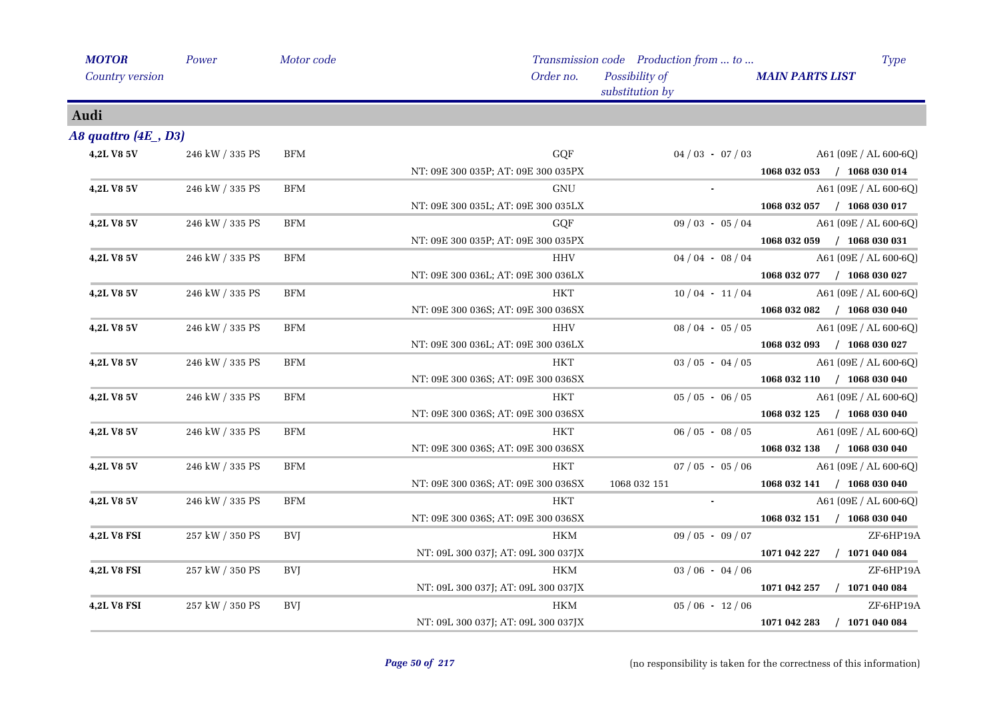| <b>MOTOR</b>            | Power           | Motor code |                                     | Transmission code Production from  to | <b>Type</b>                      |
|-------------------------|-----------------|------------|-------------------------------------|---------------------------------------|----------------------------------|
| Country version         |                 |            | Order no.                           | Possibility of<br>substitution by     | <b>MAIN PARTS LIST</b>           |
| Audi                    |                 |            |                                     |                                       |                                  |
| A8 quattro $(4E_$ , D3) |                 |            |                                     |                                       |                                  |
| 4,2L V8 5V              | 246 kW / 335 PS | <b>BFM</b> | GQF                                 | $04/03 - 07/03$                       | A61 (09E / AL 600-6Q)            |
|                         |                 |            | NT: 09E 300 035P; AT: 09E 300 035PX |                                       | 1068 032 053 / 1068 030 014      |
| 4,2L V8 5V              | 246 kW / 335 PS | <b>BFM</b> | <b>GNU</b>                          |                                       | A61 (09E / AL 600-6Q)            |
|                         |                 |            | NT: 09E 300 035L; AT: 09E 300 035LX |                                       | 1068 032 057 / 1068 030 017      |
| 4,2L V8 5V              | 246 kW / 335 PS | <b>BFM</b> | GQF                                 | $09/03 - 05/04$                       | $A61 (09E / AL 600-6Q)$          |
|                         |                 |            | NT: 09E 300 035P; AT: 09E 300 035PX |                                       | 1068 032 059 / 1068 030 031      |
| 4,2L V8 5V              | 246 kW / 335 PS | <b>BFM</b> | <b>HHV</b>                          | $04/04 - 08/04$                       | A61 (09E / AL 600-6Q)            |
|                         |                 |            | NT: 09E 300 036L; AT: 09E 300 036LX |                                       | 1068 032 077 / 1068 030 027      |
| 4,2L V8 5V              | 246 kW / 335 PS | <b>BFM</b> | HKT                                 | $10/04 - 11/04$                       | A61 (09E / AL 600-6Q)            |
|                         |                 |            | NT: 09E 300 036S; AT: 09E 300 036SX |                                       | 1068 032 082 / 1068 030 040      |
| 4,2L V8 5V              | 246 kW / 335 PS | <b>BFM</b> | HHV                                 | $08/04 - 05/05$                       | A61 (09E / AL 600-6Q)            |
|                         |                 |            | NT: 09E 300 036L; AT: 09E 300 036LX |                                       | 1068 032 093 / 1068 030 027      |
| 4,2L V8 5V              | 246 kW / 335 PS | <b>BFM</b> | HKT                                 | $03/05 - 04/05$                       | $A61 (09E / AL 600-6Q)$          |
|                         |                 |            | NT: 09E 300 036S; AT: 09E 300 036SX |                                       | 1068 032 110 / 1068 030 040      |
| 4,2L V8 5V              | 246 kW / 335 PS | <b>BFM</b> | <b>HKT</b>                          | $05 / 05 - 06 / 05$                   | A61 (09E / AL 600-6Q)            |
|                         |                 |            | NT: 09E 300 036S; AT: 09E 300 036SX |                                       | 1068 032 125 / 1068 030 040      |
| 4,2L V8 5V              | 246 kW / 335 PS | <b>BFM</b> | <b>HKT</b>                          | $06/05 - 08/05$                       | A61 (09E / AL 600-6Q)            |
|                         |                 |            | NT: 09E 300 036S; AT: 09E 300 036SX |                                       | 1068 032 138 / 1068 030 040      |
| 4,2L V8 5V              | 246 kW / 335 PS | <b>BFM</b> | HKT                                 | $07/05 - 05/06$                       | A61 (09E / AL 600-6Q)            |
|                         |                 |            | NT: 09E 300 036S; AT: 09E 300 036SX | 1068 032 151                          | 1068 032 141 / 1068 030 040      |
| 4,2L V8 5V              | 246 kW / 335 PS | <b>BFM</b> | <b>HKT</b>                          | $\sim$                                | A61 (09E / AL 600-6Q)            |
|                         |                 |            | NT: 09E 300 036S; AT: 09E 300 036SX |                                       | 1068 032 151 / 1068 030 040      |
| <b>4,2L V8 FSI</b>      | 257 kW / 350 PS | <b>BVI</b> | HKM                                 | $09/05 - 09/07$                       | ZF-6HP19A                        |
|                         |                 |            | NT: 09L 300 037J; AT: 09L 300 037JX |                                       | 1071 042 227<br>$/$ 1071 040 084 |
| <b>4,2L V8 FSI</b>      | 257 kW / 350 PS | <b>BVJ</b> | <b>HKM</b>                          | $03/06 - 04/06$                       | ZF-6HP19A                        |
|                         |                 |            | NT: 09L 300 037J; AT: 09L 300 037JX |                                       | $/$ 1071 040 084<br>1071 042 257 |
| <b>4,2L V8 FSI</b>      | 257 kW / 350 PS | <b>BVJ</b> | <b>HKM</b>                          | $05/06 - 12/06$                       | ZF-6HP19A                        |
|                         |                 |            | NT: 09L 300 037J; AT: 09L 300 037JX |                                       | 1071 042 283<br>$/$ 1071 040 084 |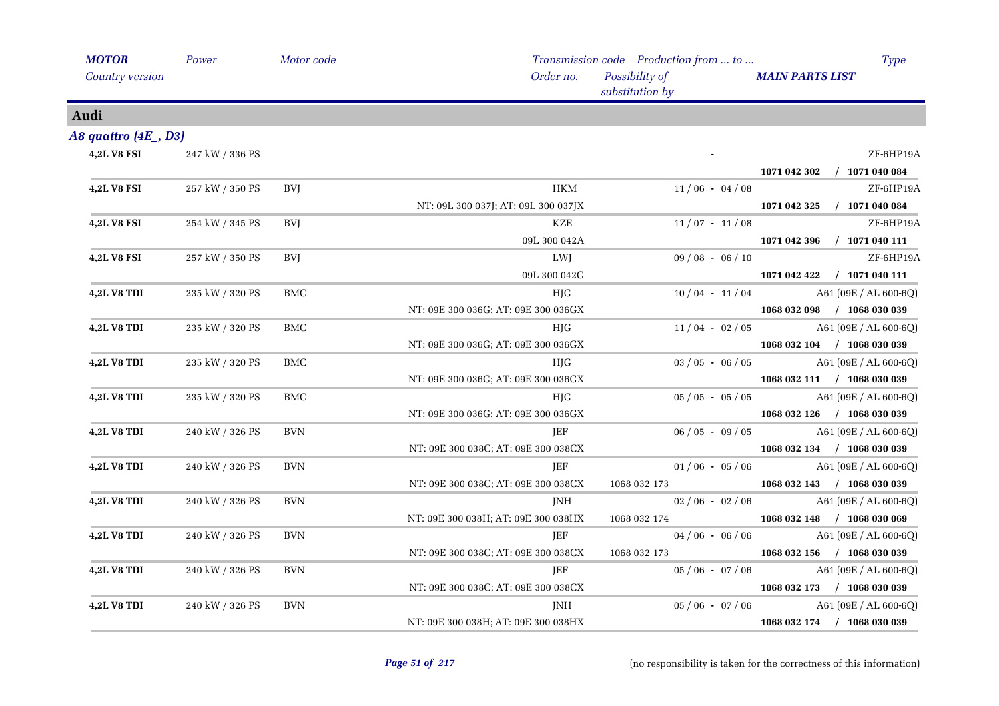| <b>MOTOR</b>        | Power           | Motor code |                                     | Transmission code Production from  to | <b>Type</b>                      |
|---------------------|-----------------|------------|-------------------------------------|---------------------------------------|----------------------------------|
| Country version     |                 |            | Order no.                           | Possibility of<br>substitution by     | <b>MAIN PARTS LIST</b>           |
| Audi                |                 |            |                                     |                                       |                                  |
| A8 quattro (4E, D3) |                 |            |                                     |                                       |                                  |
| <b>4,2L V8 FSI</b>  | 247 kW / 336 PS |            |                                     |                                       | ZF-6HP19A                        |
|                     |                 |            |                                     |                                       | $/$ 1071 040 084<br>1071 042 302 |
| <b>4,2L V8 FSI</b>  | 257 kW / 350 PS | BVJ        | <b>HKM</b>                          | $11/06 - 04/08$                       | ZF-6HP19A                        |
|                     |                 |            | NT: 09L 300 037J; AT: 09L 300 037JX |                                       | 1071 042 325<br>$/$ 1071 040 084 |
| <b>4,2L V8 FSI</b>  | 254 kW / 345 PS | BVJ        | KZE                                 | $11/07 - 11/08$                       | ZF-6HP19A                        |
|                     |                 |            | 09L 300 042A                        |                                       | $/$ 1071 040 111<br>1071 042 396 |
| <b>4,2L V8 FSI</b>  | 257 kW / 350 PS | <b>BVI</b> | LWJ                                 | $09/08 - 06/10$                       | ZF-6HP19A                        |
|                     |                 |            | 09L 300 042G                        |                                       | 1071 042 422 / 1071 040 111      |
| <b>4,2L V8 TDI</b>  | 235 kW / 320 PS | <b>BMC</b> | HJG                                 | $10/04 - 11/04$                       | A61 (09E / AL 600-6Q)            |
|                     |                 |            | NT: 09E 300 036G; AT: 09E 300 036GX |                                       | 1068 032 098 / 1068 030 039      |
| <b>4,2L V8 TDI</b>  | 235 kW / 320 PS | <b>BMC</b> | HJG                                 | $11/04 - 02/05$                       | $A61 (09E / AL 600-6Q)$          |
|                     |                 |            | NT: 09E 300 036G; AT: 09E 300 036GX |                                       | 1068 032 104 / 1068 030 039      |
| <b>4,2L V8 TDI</b>  | 235 kW / 320 PS | BMC        | HJG                                 | $03/05 - 06/05$                       | A61 (09E / AL 600-6Q)            |
|                     |                 |            | NT: 09E 300 036G; AT: 09E 300 036GX |                                       | 1068 032 111 / 1068 030 039      |
| <b>4,2L V8 TDI</b>  | 235 kW / 320 PS | BMC        | HJG                                 | $05 / 05 - 05 / 05$                   | A61 (09E / AL 600-6Q)            |
|                     |                 |            | NT: 09E 300 036G; AT: 09E 300 036GX |                                       | 1068 032 126 / 1068 030 039      |
| <b>4,2L V8 TDI</b>  | 240 kW / 326 PS | <b>BVN</b> | JEF                                 | $06/05 - 09/05$                       | $A61 (09E / AL 600-6Q)$          |
|                     |                 |            | NT: 09E 300 038C; AT: 09E 300 038CX |                                       | 1068 032 134 / 1068 030 039      |
| <b>4,2L V8 TDI</b>  | 240 kW / 326 PS | <b>BVN</b> | JEF                                 | $01/06 - 05/06$                       | A61 (09E / AL 600-6Q)            |
|                     |                 |            | NT: 09E 300 038C; AT: 09E 300 038CX | 1068 032 173                          | 1068 032 143 / 1068 030 039      |
| <b>4,2L V8 TDI</b>  | 240 kW / 326 PS | <b>BVN</b> | JNH                                 | $02/06 - 02/06$                       | A61 (09E / AL 600-6Q)            |
|                     |                 |            | NT: 09E 300 038H; AT: 09E 300 038HX | 1068 032 174                          | 1068 032 148 / 1068 030 069      |
| <b>4,2L V8 TDI</b>  | 240 kW / 326 PS | <b>BVN</b> | JEF                                 | $04/06 - 06/06$                       | A61 (09E / AL 600-6Q)            |
|                     |                 |            | NT: 09E 300 038C; AT: 09E 300 038CX | 1068 032 173                          | 1068 032 156 / 1068 030 039      |
| <b>4,2L V8 TDI</b>  | 240 kW / 326 PS | <b>BVN</b> | JEF                                 | $05/06 - 07/06$                       | $A61 (09E / AL 600-6Q)$          |
|                     |                 |            | NT: 09E 300 038C; AT: 09E 300 038CX |                                       | 1068 032 173 / 1068 030 039      |
| <b>4,2L V8 TDI</b>  | 240 kW / 326 PS | <b>BVN</b> | JNH                                 | $05/06 - 07/06$                       | A61 (09E / AL 600-6Q)            |
|                     |                 |            | NT: 09E 300 038H; AT: 09E 300 038HX |                                       | 1068 032 174 / 1068 030 039      |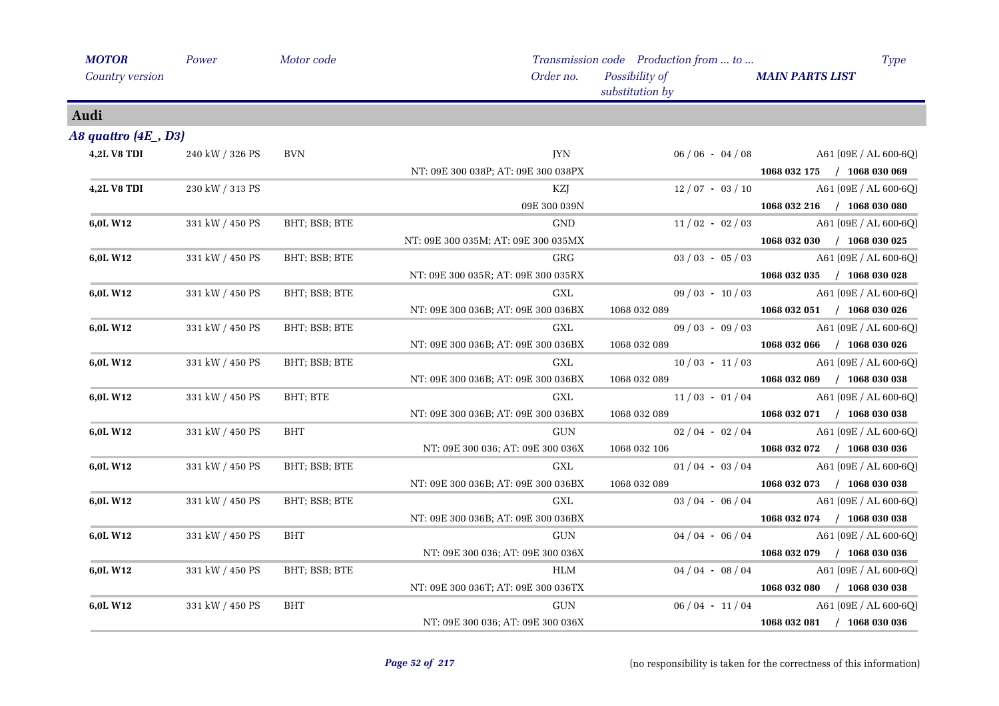| <b>MOTOR</b>           | Power           | Motor code    |                                     | Transmission code Production from  to | <b>Type</b>                 |
|------------------------|-----------------|---------------|-------------------------------------|---------------------------------------|-----------------------------|
| <b>Country version</b> |                 |               | Order no.                           | Possibility of<br>substitution by     | <b>MAIN PARTS LIST</b>      |
| Audi                   |                 |               |                                     |                                       |                             |
| A8 quattro (4E _, D3)  |                 |               |                                     |                                       |                             |
| <b>4,2L V8 TDI</b>     | 240 kW / 326 PS | <b>BVN</b>    | <b>IYN</b>                          | $06/06 - 04/08$                       | A61 (09E / AL 600-6Q)       |
|                        |                 |               | NT: 09E 300 038P; AT: 09E 300 038PX |                                       | 1068 032 175 / 1068 030 069 |
| <b>4,2L V8 TDI</b>     | 230 kW / 313 PS |               | KZJ                                 | $12/07 - 03/10$                       | A61 (09E / AL 600-6Q)       |
|                        |                 |               | 09E 300 039N                        |                                       | 1068 032 216 / 1068 030 080 |
| 6,0L W12               | 331 kW / 450 PS | BHT; BSB; BTE | GND                                 | $11/02 - 02/03$                       | A61 (09E / AL 600-6Q)       |
|                        |                 |               | NT: 09E 300 035M; AT: 09E 300 035MX |                                       | 1068 032 030 / 1068 030 025 |
| 6,0L W12               | 331 kW / 450 PS | BHT; BSB; BTE | GRG                                 | $03 / 03 - 05 / 03$                   | A61 (09E / AL 600-6Q)       |
|                        |                 |               | NT: 09E 300 035R; AT: 09E 300 035RX |                                       | 1068 032 035 / 1068 030 028 |
| 6,0L W12               | 331 kW / 450 PS | BHT; BSB; BTE | GXL                                 | $09/03 - 10/03$                       | $A61 (09E / AL 600-6Q)$     |
|                        |                 |               | NT: 09E 300 036B; AT: 09E 300 036BX | 1068 032 089                          | 1068 032 051 / 1068 030 026 |
| 6,0L W12               | 331 kW / 450 PS | BHT; BSB; BTE | $\operatorname{GXL}$                | $09/03 - 09/03$                       | A61 (09E / AL 600-6Q)       |
|                        |                 |               | NT: 09E 300 036B; AT: 09E 300 036BX | 1068 032 089                          | $1068032066$ / 1068 030 026 |
| 6,0L W12               | 331 kW / 450 PS | BHT; BSB; BTE | GXL                                 | $10/03 - 11/03$                       | A61 (09E / AL 600-6Q)       |
|                        |                 |               | NT: 09E 300 036B; AT: 09E 300 036BX | 1068 032 089                          | 1068 032 069 / 1068 030 038 |
| 6,0L W12               | 331 kW / 450 PS | BHT; BTE      | GXL                                 | $11/03 - 01/04$                       | A61 (09E / AL 600-6Q)       |
|                        |                 |               | NT: 09E 300 036B; AT: 09E 300 036BX | 1068 032 089                          | 1068 032 071 / 1068 030 038 |
| 6,0L W12               | 331 kW / 450 PS | BHT           | <b>GUN</b>                          | $02/04 - 02/04$                       | A61 (09E / AL 600-6Q)       |
|                        |                 |               | NT: 09E 300 036; AT: 09E 300 036X   | 1068 032 106                          | 1068 032 072 / 1068 030 036 |
| 6,0L W12               | 331 kW / 450 PS | BHT; BSB; BTE | GXL                                 | $01/04 - 03/04$                       | A61 (09E / AL 600-6Q)       |
|                        |                 |               | NT: 09E 300 036B; AT: 09E 300 036BX | 1068 032 089                          | $1068032073$ / $1068030038$ |
| 6,0L W12               | 331 kW / 450 PS | BHT; BSB; BTE | GXL                                 | $03/04 - 06/04$                       | A61 (09E / AL 600-6Q)       |
|                        |                 |               | NT: 09E 300 036B; AT: 09E 300 036BX |                                       | 1068 032 074 / 1068 030 038 |
| 6,0L W12               | 331 kW / 450 PS | BHT           | $\operatorname{GUN}$                | $04/04 - 06/04$                       | A61 (09E / AL 600-6Q)       |
|                        |                 |               | NT: 09E 300 036; AT: 09E 300 036X   |                                       | 1068 032 079 / 1068 030 036 |
| 6,0L W12               | 331 kW / 450 PS | BHT; BSB; BTE | HLM                                 | $04/04 - 08/04$                       | $A61 (09E / AL 600-6Q)$     |
|                        |                 |               | NT: 09E 300 036T; AT: 09E 300 036TX |                                       | 1068 032 080 / 1068 030 038 |
| 6,0L W12               | 331 kW / 450 PS | <b>BHT</b>    | GUN                                 | $06/04 - 11/04$                       | A61 (09E / AL 600-6Q)       |
|                        |                 |               | NT: 09E 300 036; AT: 09E 300 036X   |                                       | 1068 032 081 / 1068 030 036 |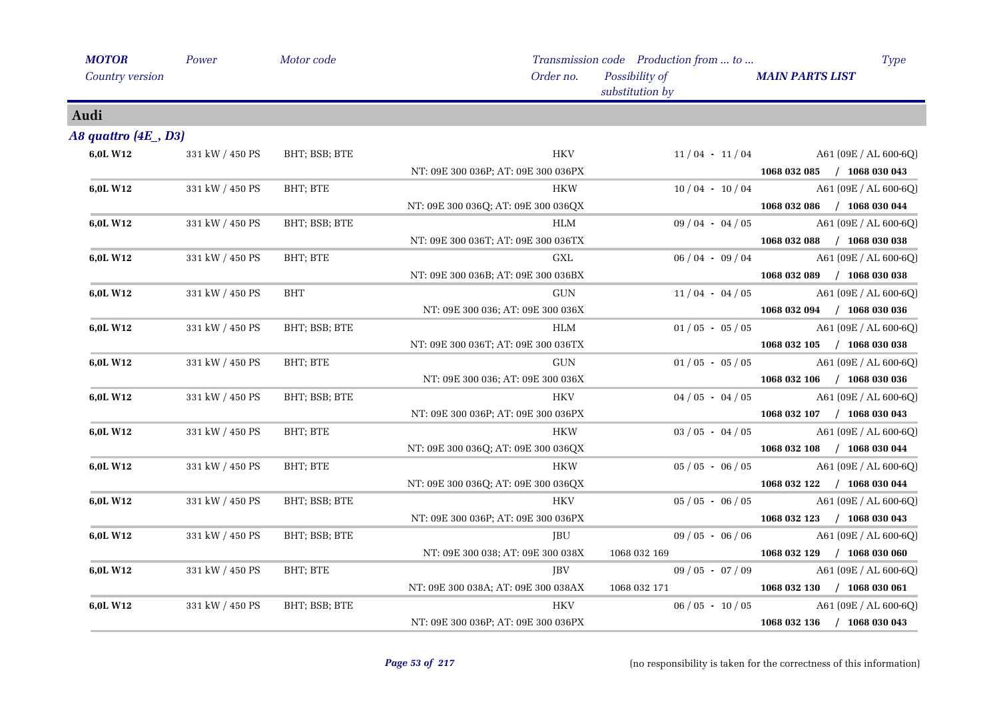| <b>MOTOR</b>            | Power           | Motor code    |                                     | Transmission code Production from  to | <b>Type</b>                 |
|-------------------------|-----------------|---------------|-------------------------------------|---------------------------------------|-----------------------------|
| <b>Country version</b>  |                 |               | Order no.                           | Possibility of<br>substitution by     | <b>MAIN PARTS LIST</b>      |
| Audi                    |                 |               |                                     |                                       |                             |
| A8 quattro $(4E_$ , D3) |                 |               |                                     |                                       |                             |
| 6,0L W12                | 331 kW / 450 PS | BHT; BSB; BTE | <b>HKV</b>                          | $11/04 - 11/04$                       | A61 (09E / AL 600-6Q)       |
|                         |                 |               | NT: 09E 300 036P; AT: 09E 300 036PX |                                       | 1068 032 085 / 1068 030 043 |
| 6,0L W12                | 331 kW / 450 PS | BHT; BTE      | <b>HKW</b>                          | $10/04 - 10/04$                       | A61 (09E / AL 600-6Q)       |
|                         |                 |               | NT: 09E 300 036Q; AT: 09E 300 036QX |                                       | 1068 032 086 / 1068 030 044 |
| 6,0L W12                | 331 kW / 450 PS | BHT; BSB; BTE | HLM                                 | $09/04 - 04/05$                       | A61 (09E / AL 600-6Q)       |
|                         |                 |               | NT: 09E 300 036T; AT: 09E 300 036TX |                                       | 1068 032 088 / 1068 030 038 |
| 6,0L W12                | 331 kW / 450 PS | BHT; BTE      | <b>GXL</b>                          | $06/04 - 09/04$                       | A61 (09E / AL 600-6Q)       |
|                         |                 |               | NT: 09E 300 036B; AT: 09E 300 036BX |                                       | 1068 032 089 / 1068 030 038 |
| 6,0L W12                | 331 kW / 450 PS | BHT           | <b>GUN</b>                          | $11/04 - 04/05$                       | A61 (09E / AL 600-6Q)       |
|                         |                 |               | NT: 09E 300 036; AT: 09E 300 036X   |                                       | 1068 032 094 / 1068 030 036 |
| 6,0L W12                | 331 kW / 450 PS | BHT; BSB; BTE | HLM                                 | $01/05 - 05/05$                       | A61 (09E / AL 600-6Q)       |
|                         |                 |               | NT: 09E 300 036T; AT: 09E 300 036TX |                                       | 1068 032 105 / 1068 030 038 |
| 6,0L W12                | 331 kW / 450 PS | BHT; BTE      | GUN                                 | $01/05 - 05/05$                       | A61 (09E / AL 600-6Q)       |
|                         |                 |               | NT: 09E 300 036; AT: 09E 300 036X   |                                       | 1068 032 106 / 1068 030 036 |
| 6,0L W12                | 331 kW / 450 PS | BHT; BSB; BTE | <b>HKV</b>                          | $04/05 - 04/05$                       | A61 (09E / AL 600-6Q)       |
|                         |                 |               | NT: 09E 300 036P; AT: 09E 300 036PX |                                       | 1068 032 107 / 1068 030 043 |
| 6,0L W12                | 331 kW / 450 PS | BHT; BTE      | <b>HKW</b>                          | $03/05 - 04/05$                       | A61 (09E / AL 600-6Q)       |
|                         |                 |               | NT: 09E 300 036Q; AT: 09E 300 036QX |                                       | 1068 032 108 / 1068 030 044 |
| 6,0L W12                | 331 kW / 450 PS | BHT; BTE      | <b>HKW</b>                          | $05/05 - 06/05$                       | A61 (09E / AL 600-6Q)       |
|                         |                 |               | NT: 09E 300 036Q; AT: 09E 300 036QX |                                       | 1068 032 122 / 1068 030 044 |
| 6,0L W12                | 331 kW / 450 PS | BHT; BSB; BTE | <b>HKV</b>                          | $05/05 - 06/05$                       | A61 (09E / AL 600-6Q)       |
|                         |                 |               | NT: 09E 300 036P; AT: 09E 300 036PX |                                       | 1068 032 123 / 1068 030 043 |
| 6,0L W12                | 331 kW / 450 PS | BHT; BSB; BTE | JBU                                 | $09/05 - 06/06$                       | A61 (09E / AL 600-6Q)       |
|                         |                 |               | NT: 09E 300 038; AT: 09E 300 038X   | 1068 032 169                          | 1068 032 129 / 1068 030 060 |
| 6,0L W12                | 331 kW / 450 PS | BHT; BTE      | JBV                                 | $09/05 - 07/09$                       | A61 (09E / AL 600-6Q)       |
|                         |                 |               | NT: 09E 300 038A; AT: 09E 300 038AX | 1068 032 171                          | 1068 032 130 / 1068 030 061 |
| 6,0L W12                | 331 kW / 450 PS | BHT; BSB; BTE | HKV                                 | $06/05 - 10/05$                       | A61 (09E / AL 600-6Q)       |
|                         |                 |               | NT: 09E 300 036P; AT: 09E 300 036PX |                                       | 1068 032 136 / 1068 030 043 |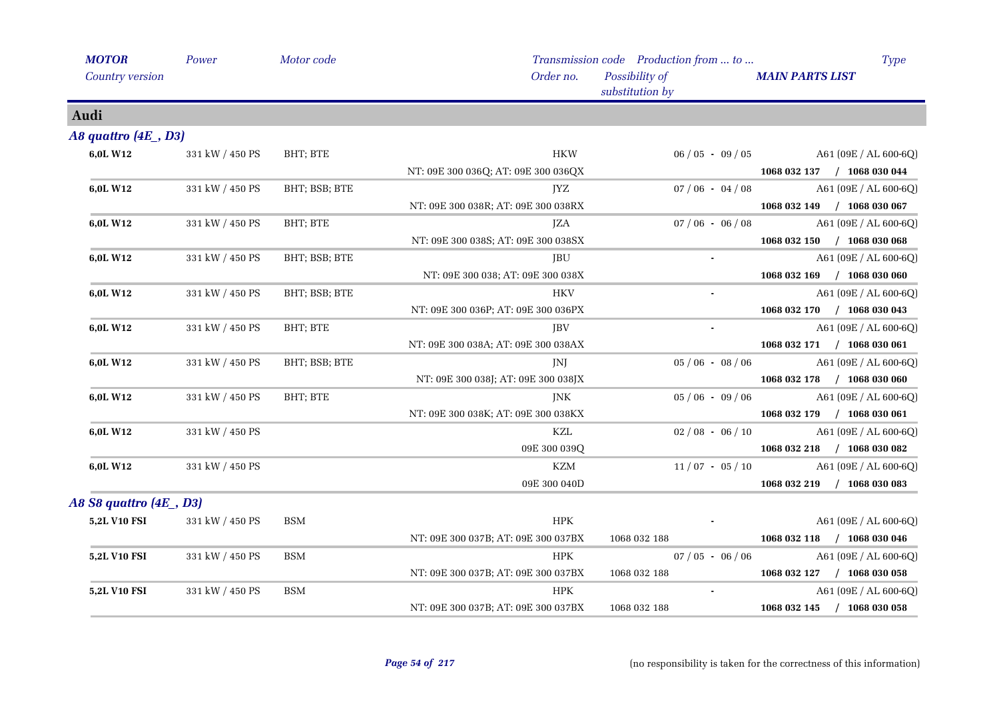| <b>MOTOR</b>              | Power                   | Motor code    |                                     | Transmission code Production from  to | Type                        |
|---------------------------|-------------------------|---------------|-------------------------------------|---------------------------------------|-----------------------------|
| Country version           |                         |               | Order no.                           | Possibility of<br>substitution by     | <b>MAIN PARTS LIST</b>      |
| Audi                      |                         |               |                                     |                                       |                             |
| $A8$ quattro $(4E_$ , D3) |                         |               |                                     |                                       |                             |
| 6,0L W12                  | 331 kW / 450 PS         | BHT; BTE      | HKW                                 | $06/05 - 09/05$                       | $A61 (09E / AL 600-6Q)$     |
|                           |                         |               | NT: 09E 300 036Q; AT: 09E 300 036QX |                                       | 1068 032 137 / 1068 030 044 |
| 6,0L W12                  | 331 kW / 450 PS         | BHT; BSB; BTE | JYZ                                 | $07/06 - 04/08$                       | A61 (09E / AL 600-6Q)       |
|                           |                         |               | NT: 09E 300 038R; AT: 09E 300 038RX |                                       | 1068 032 149 / 1068 030 067 |
| 6,0L W12                  | 331 kW / 450 PS         | BHT; BTE      | <b>JZA</b>                          | $07/06 - 06/08$                       | A61 (09E / AL 600-6Q)       |
|                           |                         |               | NT: 09E 300 038S; AT: 09E 300 038SX |                                       | 1068 032 150 / 1068 030 068 |
| 6,0L W12                  | 331 kW / 450 PS         | BHT; BSB; BTE | <b>JBU</b>                          | $\sim$                                | A61 (09E / AL 600-6Q)       |
|                           |                         |               | NT: 09E 300 038; AT: 09E 300 038X   |                                       | 1068 032 169 / 1068 030 060 |
| 6,0L W12                  | 331 kW / 450 PS         | BHT; BSB; BTE | <b>HKV</b>                          |                                       | A61 (09E / AL 600-6Q)       |
|                           |                         |               | NT: 09E 300 036P; AT: 09E 300 036PX |                                       | 1068 032 170 / 1068 030 043 |
| 6,0L W12                  | 331 kW / 450 PS         | BHT; BTE      | JBV                                 |                                       | A61 (09E / AL 600-6Q)       |
|                           |                         |               | NT: 09E 300 038A; AT: 09E 300 038AX |                                       | 1068 032 171 / 1068 030 061 |
| 6,0L W12                  | 331 kW / 450 PS         | BHT; BSB; BTE | JNJ                                 | $05/06 - 08/06$                       | A61 (09E / AL 600-6Q)       |
|                           |                         |               | NT: 09E 300 038J; AT: 09E 300 038JX |                                       | 1068 032 178 / 1068 030 060 |
| 6,0L W12                  | 331 kW / 450 PS         | BHT; BTE      | <b>JNK</b>                          | $05/06 - 09/06$                       | A61 (09E / AL 600-6Q)       |
|                           |                         |               | NT: 09E 300 038K; AT: 09E 300 038KX |                                       | 1068 032 179 / 1068 030 061 |
| 6,0L W12                  | 331 kW / 450 PS         |               | KZL                                 | $02/08 - 06/10$                       | A61 (09E / AL 600-6Q)       |
|                           |                         |               | 09E 300 039Q                        |                                       | 1068 032 218 / 1068 030 082 |
| 6,0L W12                  | 331 kW / 450 PS         |               | <b>KZM</b>                          | $11/07 - 05/10$                       | A61 (09E / AL 600-6Q)       |
|                           |                         |               | 09E 300 040D                        |                                       | 1068 032 219 / 1068 030 083 |
|                           | A8 S8 quattro (4E , D3) |               |                                     |                                       |                             |
| <b>5,2L V10 FSI</b>       | 331 kW / 450 PS         | <b>BSM</b>    | $\rm{HPK}$                          |                                       | A61 (09E / AL 600-6Q)       |
|                           |                         |               | NT: 09E 300 037B; AT: 09E 300 037BX | 1068 032 188                          | 1068 032 118 / 1068 030 046 |
| 5,2L V10 FSI              | 331 kW / 450 PS         | <b>BSM</b>    | <b>HPK</b>                          | $07/05 - 06/06$                       | A61 (09E / AL 600-6Q)       |
|                           |                         |               | NT: 09E 300 037B; AT: 09E 300 037BX | 1068 032 188                          | 1068 032 127 / 1068 030 058 |
| 5,2L V10 FSI              | 331 kW / 450 PS         | <b>BSM</b>    | <b>HPK</b>                          | $\sim$                                | A61 (09E / AL 600-6Q)       |
|                           |                         |               | NT: 09E 300 037B; AT: 09E 300 037BX | 1068 032 188                          | 1068 032 145 / 1068 030 058 |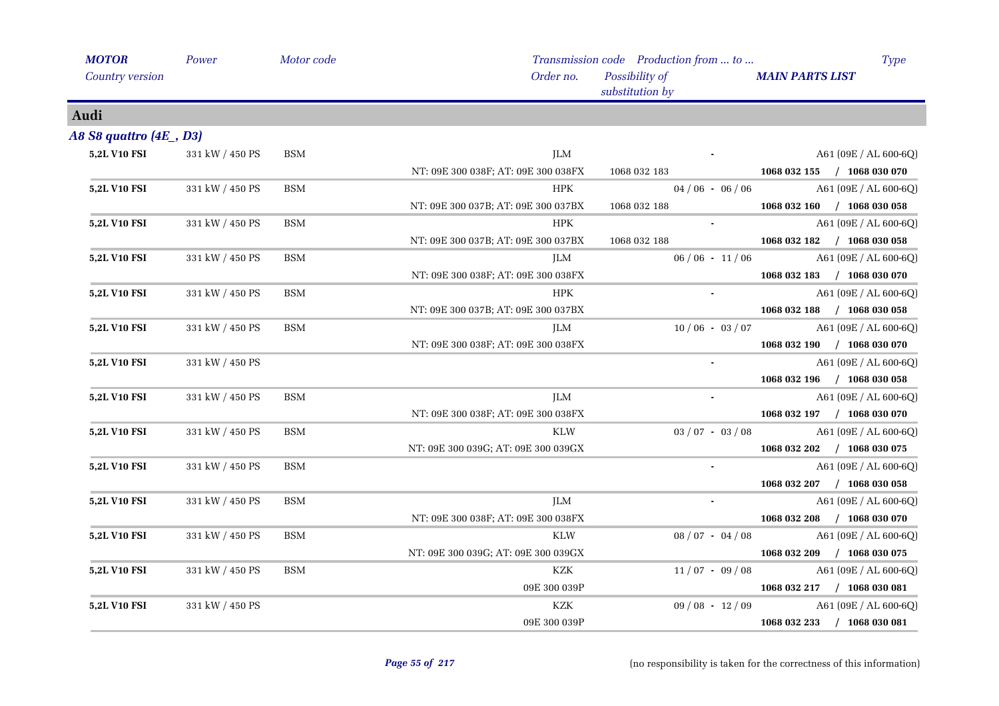| <b>MOTOR</b>             | Power           | Motor code |                                     | Transmission code Production from  to | <b>Type</b>                 |
|--------------------------|-----------------|------------|-------------------------------------|---------------------------------------|-----------------------------|
| Country version          |                 |            | Order no.                           | Possibility of<br>substitution by     | <b>MAIN PARTS LIST</b>      |
| Audi                     |                 |            |                                     |                                       |                             |
| A8 S8 quattro (4E _, D3) |                 |            |                                     |                                       |                             |
| 5,2L V10 FSI             | 331 kW / 450 PS | <b>BSM</b> | <b>JLM</b>                          |                                       | $A61 (09E / AL 600-6Q)$     |
|                          |                 |            | NT: 09E 300 038F; AT: 09E 300 038FX | 1068 032 183                          | 1068 032 155 / 1068 030 070 |
| <b>5,2L V10 FSI</b>      | 331 kW / 450 PS | <b>BSM</b> | <b>HPK</b>                          | $04/06 - 06/06$                       | A61 (09E / AL 600-6Q)       |
|                          |                 |            | NT: 09E 300 037B; AT: 09E 300 037BX | 1068 032 188                          | 1068 032 160 / 1068 030 058 |
| 5,2L V10 FSI             | 331 kW / 450 PS | <b>BSM</b> | HPK                                 | $\sim$ $-$                            | A61 (09E / AL 600-6Q)       |
|                          |                 |            | NT: 09E 300 037B; AT: 09E 300 037BX | 1068 032 188                          | 1068 032 182 / 1068 030 058 |
| 5,2L V10 FSI             | 331 kW / 450 PS | <b>BSM</b> | <b>JLM</b>                          | $06/06 - 11/06$                       | A61 (09E / AL 600-6Q)       |
|                          |                 |            | NT: 09E 300 038F; AT: 09E 300 038FX |                                       | 1068 032 183 / 1068 030 070 |
| 5,2L V10 FSI             | 331 kW / 450 PS | <b>BSM</b> | <b>HPK</b>                          |                                       | A61 (09E / AL 600-6Q)       |
|                          |                 |            | NT: 09E 300 037B; AT: 09E 300 037BX |                                       | 1068 032 188 / 1068 030 058 |
| 5,2L V10 FSI             | 331 kW / 450 PS | <b>BSM</b> | <b>JLM</b>                          | $10/06 - 03/07$                       | A61 (09E / AL 600-6Q)       |
|                          |                 |            | NT: 09E 300 038F; AT: 09E 300 038FX |                                       | 1068 032 190 / 1068 030 070 |
| <b>5,2L V10 FSI</b>      | 331 kW / 450 PS |            |                                     |                                       | A61 (09E / AL 600-6Q)       |
|                          |                 |            |                                     |                                       | 1068 032 196 / 1068 030 058 |
| <b>5,2L V10 FSI</b>      | 331 kW / 450 PS | <b>BSM</b> | <b>JLM</b>                          |                                       | A61 (09E / AL 600-6Q)       |
|                          |                 |            | NT: 09E 300 038F; AT: 09E 300 038FX |                                       | 1068 032 197 / 1068 030 070 |
| 5,2L V10 FSI             | 331 kW / 450 PS | <b>BSM</b> | <b>KLW</b>                          | $03 / 07 - 03 / 08$                   | A61 (09E / AL 600-6Q)       |
|                          |                 |            | NT: 09E 300 039G; AT: 09E 300 039GX |                                       | 1068 032 202 / 1068 030 075 |
| 5,2L V10 FSI             | 331 kW / 450 PS | <b>BSM</b> |                                     |                                       | A61 (09E / AL 600-6Q)       |
|                          |                 |            |                                     |                                       | 1068 032 207 / 1068 030 058 |
| <b>5,2L V10 FSI</b>      | 331 kW / 450 PS | <b>BSM</b> | JLM                                 |                                       | $A61 (09E / AL 600-6Q)$     |
|                          |                 |            | NT: 09E 300 038F; AT: 09E 300 038FX |                                       | 1068 032 208 / 1068 030 070 |
| 5,2L V10 FSI             | 331 kW / 450 PS | <b>BSM</b> | <b>KLW</b>                          | $08/07 - 04/08$                       | A61 (09E / AL 600-6Q)       |
|                          |                 |            | NT: 09E 300 039G; AT: 09E 300 039GX |                                       | 1068 032 209 / 1068 030 075 |
| 5,2L V10 FSI             | 331 kW / 450 PS | <b>BSM</b> | KZK                                 | $11/07 - 09/08$                       | A61 (09E / AL 600-6Q)       |
|                          |                 |            | 09E 300 039P                        |                                       | 1068 032 217 / 1068 030 081 |
| 5,2L V10 FSI             | 331 kW / 450 PS |            | <b>KZK</b>                          | $09/08 - 12/09$                       | A61 (09E / AL 600-6Q)       |
|                          |                 |            | 09E 300 039P                        |                                       | 1068 032 233 / 1068 030 081 |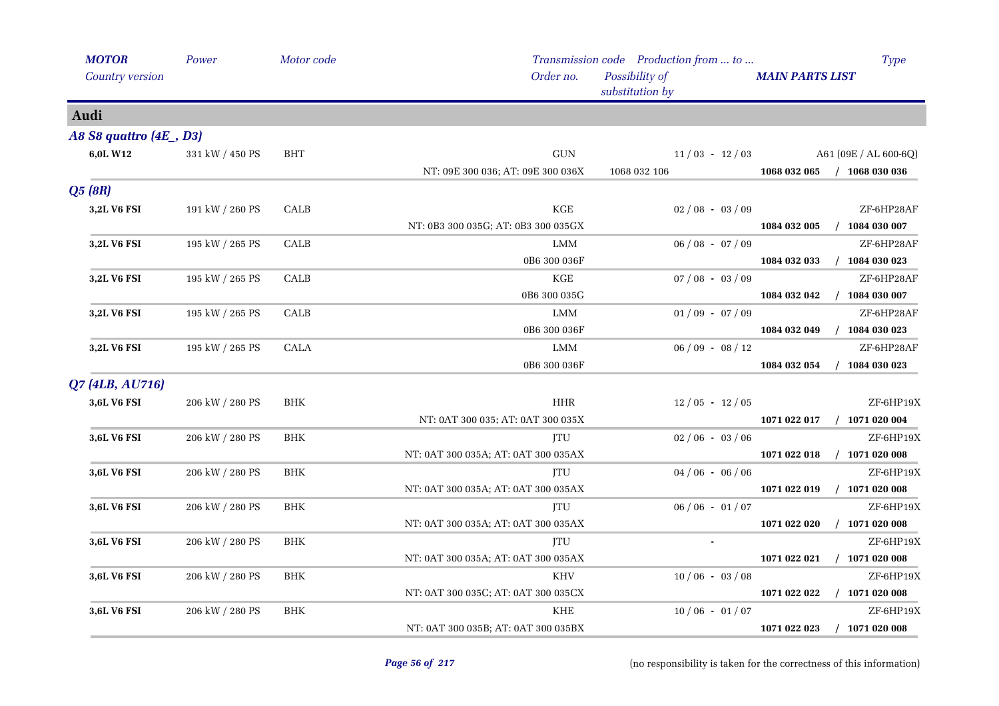| <b>MOTOR</b>            | Power           | Motor code           |                                     | Transmission code Production from  to | Type                             |
|-------------------------|-----------------|----------------------|-------------------------------------|---------------------------------------|----------------------------------|
| Country version         |                 |                      | Order no.                           | Possibility of<br>substitution by     | <b>MAIN PARTS LIST</b>           |
| Audi                    |                 |                      |                                     |                                       |                                  |
| A8 S8 quattro (4E , D3) |                 |                      |                                     |                                       |                                  |
| 6,0L W12                | 331 kW / 450 PS | <b>BHT</b>           | $\operatorname{GUN}$                | $11/03 - 12/03$                       | A61 (09E / AL 600-6Q)            |
|                         |                 |                      | NT: 09E 300 036; AT: 09E 300 036X   | 1068 032 106                          | 1068 032 065<br>$/$ 1068 030 036 |
| Q5(8R)                  |                 |                      |                                     |                                       |                                  |
| 3,2L V6 FSI             | 191 kW / 260 PS | CALB                 | $\rm KGE$                           | $02/08 - 03/09$                       | ZF-6HP28AF                       |
|                         |                 |                      | NT: 0B3 300 035G; AT: 0B3 300 035GX |                                       | $/$ 1084 030 007<br>1084 032 005 |
| 3,2L V6 FSI             | 195 kW / 265 PS | CALB                 | LMM                                 | $06/08 - 07/09$                       | ZF-6HP28AF                       |
|                         |                 |                      | 0B6 300 036F                        |                                       | $/$ 1084 030 023<br>1084 032 033 |
| 3,2L V6 FSI             | 195 kW / 265 PS | CALB                 | $\rm KGE$                           | $07/08 - 03/09$                       | ZF-6HP28AF                       |
|                         |                 |                      | 0B6 300 035G                        |                                       | 1084 032 042<br>$/$ 1084 030 007 |
| 3,2L V6 FSI             | 195 kW / 265 PS | CALB                 | LMM                                 | $01/09 - 07/09$                       | ZF-6HP28AF                       |
|                         |                 |                      | 0B6 300 036F                        |                                       | 1084 032 049<br>$/$ 1084 030 023 |
| 3,2L V6 FSI             | 195 kW / 265 PS | <b>CALA</b>          | <b>LMM</b>                          | $06/09 - 08/12$                       | ZF-6HP28AF                       |
|                         |                 |                      | 0B6 300 036F                        |                                       | $/$ 1084 030 023<br>1084 032 054 |
| Q7 (4LB, AU716)         |                 |                      |                                     |                                       |                                  |
| 3,6L V6 FSI             | 206 kW / 280 PS | <b>BHK</b>           | <b>HHR</b>                          | $12/05 - 12/05$                       | ZF-6HP19X                        |
|                         |                 |                      | NT: 0AT 300 035; AT: 0AT 300 035X   |                                       | 1071 022 017<br>$/$ 1071 020 004 |
| 3,6L V6 FSI             | 206 kW / 280 PS | BHK                  | ITU                                 | $02/06 - 03/06$                       | ZF-6HP19X                        |
|                         |                 |                      | NT: 0AT 300 035A; AT: 0AT 300 035AX |                                       | 1071 022 018<br>$/$ 1071 020 008 |
| 3,6L V6 FSI             | 206 kW / 280 PS | $\operatorname{BHK}$ | <b>ITU</b>                          | $04/06 - 06/06$                       | ZF-6HP19X                        |
|                         |                 |                      | NT: 0AT 300 035A; AT: 0AT 300 035AX |                                       | $/$ 1071 020 008<br>1071 022 019 |
| 3,6L V6 FSI             | 206 kW / 280 PS | <b>BHK</b>           | JTU                                 | $06/06 - 01/07$                       | ZF-6HP19X                        |
|                         |                 |                      | NT: 0AT 300 035A; AT: 0AT 300 035AX |                                       | $/$ 1071 020 008<br>1071 022 020 |
| 3,6L V6 FSI             | 206 kW / 280 PS | <b>BHK</b>           | JTU                                 |                                       | ZF-6HP19X                        |
|                         |                 |                      | NT: 0AT 300 035A; AT: 0AT 300 035AX |                                       | $/$ 1071 020 008<br>1071 022 021 |
| 3,6L V6 FSI             | 206 kW / 280 PS | BHK                  | <b>KHV</b>                          | $10/06 - 03/08$                       | ZF-6HP19X                        |
|                         |                 |                      | NT: 0AT 300 035C; AT: 0AT 300 035CX |                                       | 1071 022 022<br>$/$ 1071 020 008 |
| 3,6L V6 FSI             | 206 kW / 280 PS | <b>BHK</b>           | <b>KHE</b>                          | $10/06 - 01/07$                       | ZF-6HP19X                        |
|                         |                 |                      | NT: 0AT 300 035B; AT: 0AT 300 035BX |                                       | $/$ 1071 020 008<br>1071 022 023 |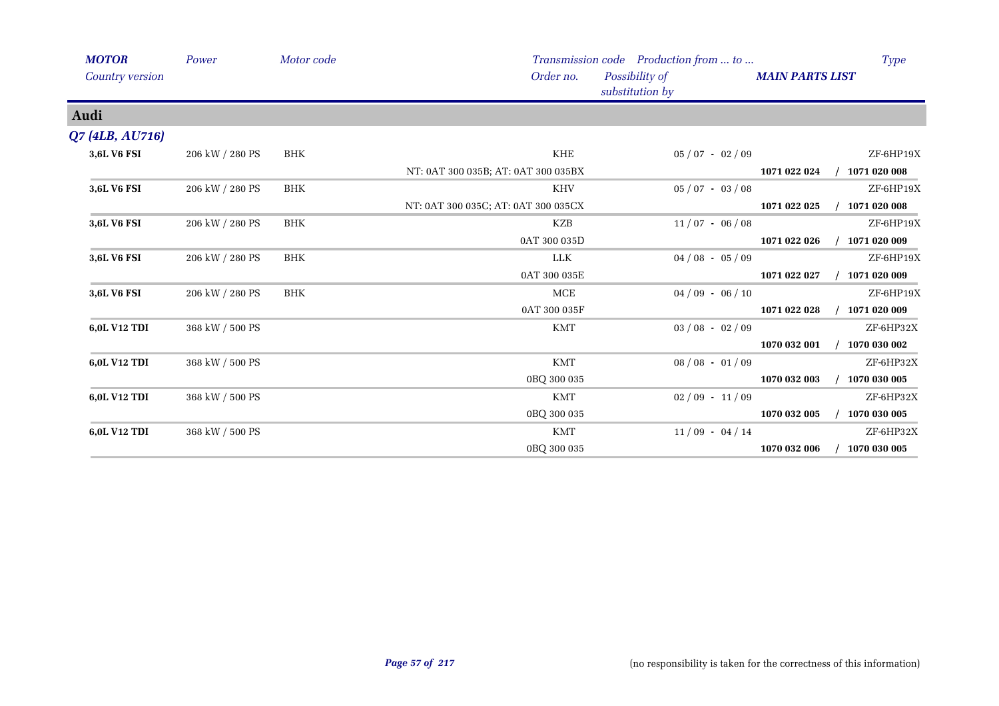| <b>MOTOR</b>    | Power           | Motor code |                                     | Transmission code Production from  to | Type                             |
|-----------------|-----------------|------------|-------------------------------------|---------------------------------------|----------------------------------|
| Country version |                 |            | Order no.                           | Possibility of<br>substitution by     | <b>MAIN PARTS LIST</b>           |
| Audi            |                 |            |                                     |                                       |                                  |
| Q7 (4LB, AU716) |                 |            |                                     |                                       |                                  |
| 3,6L V6 FSI     | 206 kW / 280 PS | <b>BHK</b> | KHE                                 | $05/07 - 02/09$                       | ZF-6HP19X                        |
|                 |                 |            | NT: 0AT 300 035B; AT: 0AT 300 035BX |                                       | $/$ 1071 020 008<br>1071 022 024 |
| 3,6L V6 FSI     | 206 kW / 280 PS | <b>BHK</b> | <b>KHV</b>                          | $05/07 - 03/08$                       | ZF-6HP19X                        |
|                 |                 |            | NT: 0AT 300 035C; AT: 0AT 300 035CX |                                       | 1071 020 008<br>1071 022 025     |
| 3,6L V6 FSI     | 206 kW / 280 PS | <b>BHK</b> | KZB                                 | $11/07 - 06/08$                       | ZF-6HP19X                        |
|                 |                 |            | 0AT 300 035D                        |                                       | 1071 020 009<br>1071 022 026     |
| 3,6L V6 FSI     | 206 kW / 280 PS | <b>BHK</b> | LLK                                 | $04/08 - 05/09$                       | ZF-6HP19X                        |
|                 |                 |            | 0AT 300 035E                        |                                       | 1071 022 027<br>1071 020 009     |
| 3,6L V6 FSI     | 206 kW / 280 PS | <b>BHK</b> | MCE                                 | $04/09 - 06/10$                       | ZF-6HP19X                        |
|                 |                 |            | 0AT 300 035F                        |                                       | 1071 022 028<br>1071 020 009     |
| 6,0L V12 TDI    | 368 kW / 500 PS |            | <b>KMT</b>                          | $03/08 - 02/09$                       | ZF-6HP32X                        |
|                 |                 |            |                                     |                                       | 1070 030 002<br>1070 032 001     |
| 6,0L V12 TDI    | 368 kW / 500 PS |            | <b>KMT</b>                          | $08 / 08 - 01 / 09$                   | ZF-6HP32X                        |
|                 |                 |            | 0BQ 300 035                         |                                       | 1070 030 005<br>1070 032 003     |
| 6,0L V12 TDI    | 368 kW / 500 PS |            | <b>KMT</b>                          | $02/09 - 11/09$                       | ZF-6HP32X                        |
|                 |                 |            | 0BQ 300 035                         |                                       | 1070 032 005<br>1070 030 005     |
| 6,0L V12 TDI    | 368 kW / 500 PS |            | <b>KMT</b>                          | $11/09 - 04/14$                       | ZF-6HP32X                        |
|                 |                 |            | 0BQ 300 035                         |                                       | 1070 032 006<br>1070 030 005     |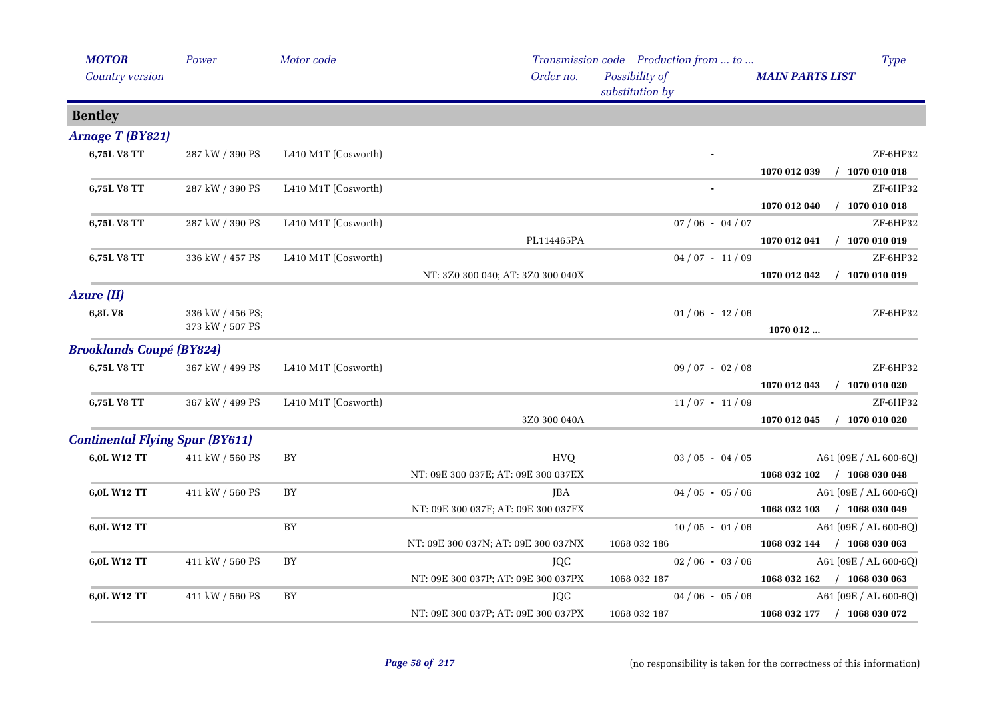| <b>MOTOR</b>                           | Power            | Motor code          |                                     | Transmission code Production from  to | <b>Type</b>                      |
|----------------------------------------|------------------|---------------------|-------------------------------------|---------------------------------------|----------------------------------|
| Country version                        |                  |                     | Order no.                           | Possibility of<br>substitution by     | <b>MAIN PARTS LIST</b>           |
| <b>Bentley</b>                         |                  |                     |                                     |                                       |                                  |
| Arnage T (BY821)                       |                  |                     |                                     |                                       |                                  |
| 6,75L V8 TT                            | 287 kW / 390 PS  | L410 M1T (Cosworth) |                                     |                                       | ZF-6HP32                         |
|                                        |                  |                     |                                     |                                       | $/$ 1070 010 018<br>1070 012 039 |
| 6,75L V8 TT                            | 287 kW / 390 PS  | L410 M1T (Cosworth) |                                     |                                       | ZF-6HP32                         |
|                                        |                  |                     |                                     |                                       | $/$ 1070 010 018<br>1070 012 040 |
| 6,75L V8 TT                            | 287 kW / 390 PS  | L410 M1T (Cosworth) |                                     | $07/06 - 04/07$                       | ZF-6HP32                         |
|                                        |                  |                     | PL114465PA                          |                                       | $/$ 1070 010 019<br>1070 012 041 |
| 6,75L V8 TT                            | 336 kW / 457 PS  | L410 M1T (Cosworth) |                                     | $04/07 - 11/09$                       | ZF-6HP32                         |
|                                        |                  |                     | NT: 3Z0 300 040; AT: 3Z0 300 040X   |                                       | 1070 012 042<br>$/$ 1070 010 019 |
| <b>Azure (II)</b>                      |                  |                     |                                     |                                       |                                  |
| 6,8LV8                                 | 336 kW / 456 PS; |                     |                                     | $01/06 - 12/06$                       | ZF-6HP32                         |
|                                        | 373 kW / 507 PS  |                     |                                     |                                       | 1070 012                         |
| <b>Brooklands Coupé (BY824)</b>        |                  |                     |                                     |                                       |                                  |
| 6,75L V8 TT                            | 367 kW / 499 PS  | L410 M1T (Cosworth) |                                     | $09/07 - 02/08$                       | ZF-6HP32                         |
|                                        |                  |                     |                                     |                                       | $/$ 1070 010 020<br>1070 012 043 |
| 6,75L V8 TT                            | 367 kW / 499 PS  | L410 M1T (Cosworth) |                                     | $11/07 - 11/09$                       | ZF-6HP32                         |
|                                        |                  |                     | 3Z0 300 040A                        |                                       | 1070 012 045<br>$/$ 1070 010 020 |
| <b>Continental Flying Spur (BY611)</b> |                  |                     |                                     |                                       |                                  |
| 6,0L W12 TT                            | 411 kW / 560 PS  | ${\rm BY}$          | <b>HVQ</b>                          | $03 / 05 - 04 / 05$                   | A61 (09E / AL 600-6Q)            |
|                                        |                  |                     | NT: 09E 300 037E; AT: 09E 300 037EX |                                       | 1068 032 102 / 1068 030 048      |
| 6,0L W12 TT                            | 411 kW / 560 PS  | ${\rm BY}$          | JBA                                 | $04/05 - 05/06$                       | A61 (09E / AL 600-6Q)            |
|                                        |                  |                     | NT: 09E 300 037F; AT: 09E 300 037FX |                                       | 1068 032 103 / 1068 030 049      |
| 6,0L W12 TT                            |                  | ${\rm BY}$          |                                     | $10/05 - 01/06$                       | A61 (09E / AL 600-6Q)            |
|                                        |                  |                     | NT: 09E 300 037N; AT: 09E 300 037NX | 1068 032 186                          | 1068 032 144 / 1068 030 063      |
| 6,0L W12 TT                            | 411 kW / 560 PS  | BY                  | JQC                                 | $02/06 - 03/06$                       | A61 (09E / AL 600-6Q)            |
|                                        |                  |                     | NT: 09E 300 037P; AT: 09E 300 037PX | 1068 032 187                          | 1068 032 162 / 1068 030 063      |
| 6,0L W12 TT                            | 411 kW / 560 PS  | ${\rm BY}$          | JQC                                 | $04/06 - 05/06$                       | A61 (09E / AL 600-6Q)            |
|                                        |                  |                     | NT: 09E 300 037P; AT: 09E 300 037PX | 1068 032 187                          | 1068 032 177 / 1068 030 072      |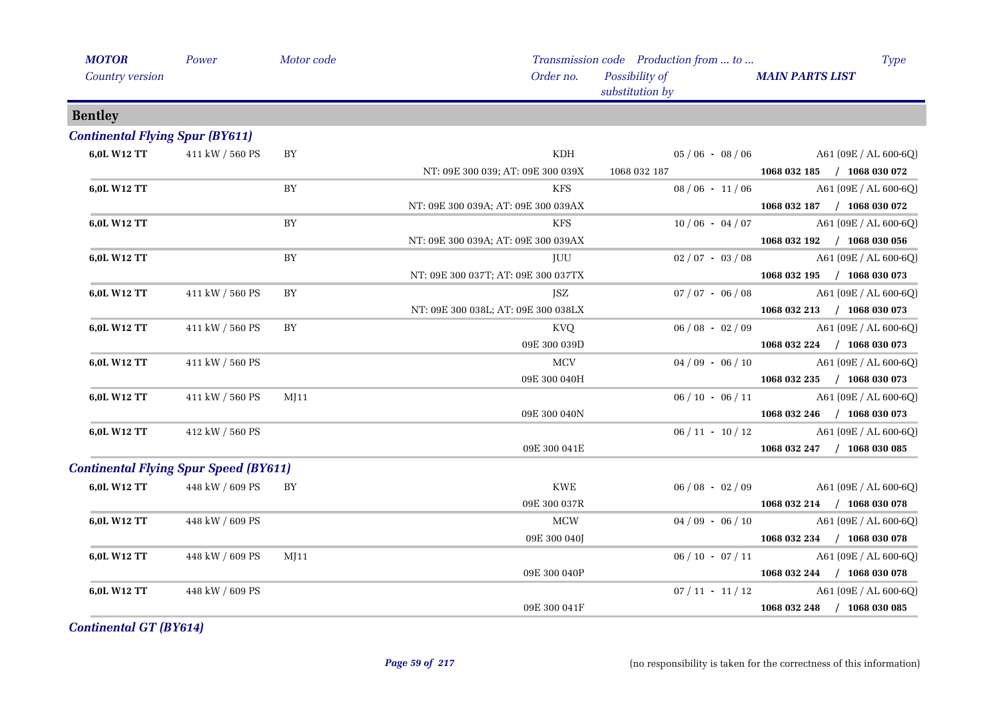| <b>MOTOR</b>                                 | Power           | Motor code |                                     | Transmission code Production from  to | <b>Type</b>                                   |
|----------------------------------------------|-----------------|------------|-------------------------------------|---------------------------------------|-----------------------------------------------|
| Country version                              |                 |            | Order no.                           | Possibility of<br>substitution by     | <b>MAIN PARTS LIST</b>                        |
| <b>Bentley</b>                               |                 |            |                                     |                                       |                                               |
| <b>Continental Flying Spur (BY611)</b>       |                 |            |                                     |                                       |                                               |
| 6,0L W12 TT                                  | 411 kW / 560 PS | ${\rm BY}$ | KDH                                 | $05/06 - 08/06$                       | A61 (09E / AL 600-6Q)                         |
|                                              |                 |            | NT: 09E 300 039; AT: 09E 300 039X   | 1068 032 187                          | $1068032185$ / $1068030072$                   |
| 6,0L W12 TT                                  |                 | BY         | KFS                                 | $08/06 - 11/06$                       | $A61 (09E / AL 600-6Q)$                       |
|                                              |                 |            | NT: 09E 300 039A; AT: 09E 300 039AX |                                       | 1068 032 187 / 1068 030 072                   |
| 6,0L W12 TT                                  |                 | BY         | <b>KFS</b>                          | $10/06 - 04/07$                       | A61 (09E / AL 600-6Q)                         |
|                                              |                 |            | NT: 09E 300 039A; AT: 09E 300 039AX |                                       | 1068 032 192 / 1068 030 056                   |
| 6,0L W12 TT                                  |                 | BY         | JUU                                 | $02/07 - 03/08$                       | A61 (09E / AL 600-6Q)                         |
|                                              |                 |            | NT: 09E 300 037T; AT: 09E 300 037TX |                                       | 1068 032 195 / 1068 030 073                   |
| 6,0L W12 TT                                  | 411 kW / 560 PS | BY         | JSZ                                 | $07/07 - 06/08$                       | A61 (09E / AL 600-6Q)                         |
|                                              |                 |            | NT: 09E 300 038L; AT: 09E 300 038LX |                                       | 1068 032 213 / 1068 030 073                   |
| 6,0L W12 TT                                  | 411 kW / 560 PS | <b>BY</b>  | KVQ                                 |                                       | $06 / 08 - 02 / 09$ A61 (09E / AL 600-6Q)     |
|                                              |                 |            | 09E 300 039D                        |                                       | 1068 032 224 / 1068 030 073                   |
| 6,0L W12 TT                                  | 411 kW / 560 PS |            | MCV                                 | $04/09 - 06/10$                       | A61 (09E / AL 600-6Q)                         |
|                                              |                 |            | 09E 300 040H                        |                                       | 1068 032 235 / 1068 030 073                   |
| 6,0L W12 TT                                  | 411 kW / 560 PS | M[11]      |                                     | $06/10 - 06/11$                       | A61 (09E / AL 600-6Q)                         |
|                                              |                 |            | 09E 300 040N                        |                                       | 1068 032 246 / 1068 030 073                   |
| 6,0L W12 TT                                  | 412 kW / 560 PS |            |                                     | $06/11 - 10/12$                       | A61 (09E / AL 600-6Q)                         |
|                                              |                 |            | 09E 300 041E                        |                                       | 1068 032 247 / 1068 030 085                   |
| <b>Continental Flying Spur Speed (BY611)</b> |                 |            |                                     |                                       |                                               |
| 6,0L W12 TT                                  | 448 kW / 609 PS | BY         | KWE                                 | $06/08 - 02/09$                       | A61 (09E / AL 600-6Q)                         |
|                                              |                 |            | 09E 300 037R                        |                                       | 1068 032 214 / 1068 030 078                   |
| 6,0L W12 TT                                  | 448 kW / 609 PS |            | <b>MCW</b>                          | $04/09 - 06/10$                       | A61 (09E / AL 600-6Q)                         |
|                                              |                 |            | 09E 300 040J                        |                                       | 1068 032 234 / 1068 030 078                   |
| 6,0L W12 TT                                  | 448 kW / 609 PS | MJ11       |                                     |                                       | $06 / 10 - 07 / 11$ A61 $(09E / AL 600 - 6Q)$ |
|                                              |                 |            | 09E 300 040P                        |                                       | 1068 032 244 / 1068 030 078                   |
| 6,0L W12 TT                                  | 448 kW / 609 PS |            |                                     | $07/11 - 11/12$                       | A61 (09E / AL 600-6Q)                         |
|                                              |                 |            | 09E 300 041F                        |                                       | 1068 032 248 / 1068 030 085                   |
|                                              |                 |            |                                     |                                       |                                               |

*Continental GT (BY614)*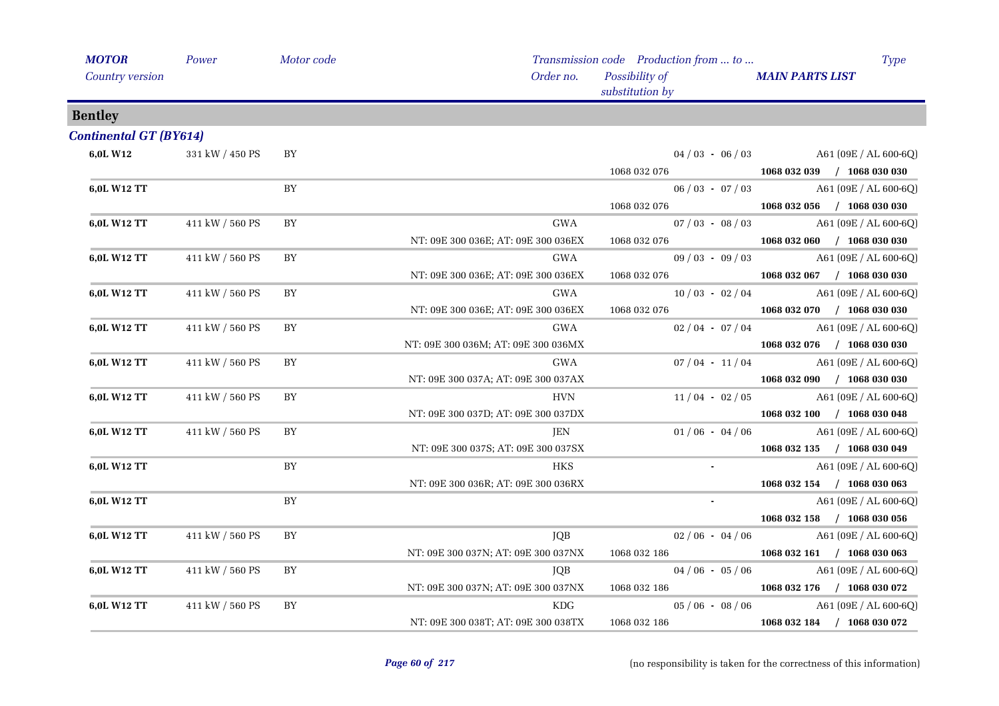| <b>MOTOR</b>                  | Power           | Motor code |                                     | Transmission code Production from  to | <b>Type</b>                           |
|-------------------------------|-----------------|------------|-------------------------------------|---------------------------------------|---------------------------------------|
| <b>Country version</b>        |                 |            | Order no.                           | Possibility of<br>substitution by     | <b>MAIN PARTS LIST</b>                |
| <b>Bentley</b>                |                 |            |                                     |                                       |                                       |
| <b>Continental GT (BY614)</b> |                 |            |                                     |                                       |                                       |
| 6,0L W12                      | 331 kW / 450 PS | BY         |                                     |                                       | $04/03 - 06/03$ A61 (09E / AL 600-6Q) |
|                               |                 |            |                                     | 1068 032 076                          | 1068 032 039 / 1068 030 030           |
| 6,0L W12 TT                   |                 | BY         |                                     | $06/03 - 07/03$                       | A61 (09E / AL 600-6Q)                 |
|                               |                 |            |                                     | 1068 032 076                          | $1068032056$ / 1068 030 030           |
| 6,0L W12 TT                   | 411 kW / 560 PS | BY         | GWA                                 | $07/03 - 08/03$                       | $A61(09E/AL 600-6Q)$                  |
|                               |                 |            | NT: 09E 300 036E; AT: 09E 300 036EX | 1068 032 076                          | $1068032060$ / $1068030030$           |
| 6,0L W12 TT                   | 411 kW / 560 PS | BY         | GWA                                 | $09/03 - 09/03$                       | A61 (09E / AL 600-6Q)                 |
|                               |                 |            | NT: 09E 300 036E; AT: 09E 300 036EX | 1068 032 076                          | 1068 032 067 / 1068 030 030           |
| 6,0L W12 TT                   | 411 kW / 560 PS | BY         | GWA                                 | $10/03 - 02/04$                       | A61 (09E / AL 600-6Q)                 |
|                               |                 |            | NT: 09E 300 036E; AT: 09E 300 036EX | 1068 032 076                          | 1068 032 070 / 1068 030 030           |
| 6,0L W12 TT                   | 411 kW / 560 PS | BY         | GWA                                 | $02 / 04 - 07 / 04$                   | A61 (09E / AL 600-6Q)                 |
|                               |                 |            | NT: 09E 300 036M; AT: 09E 300 036MX |                                       | 1068 032 076 / 1068 030 030           |
| 6,0L W12 TT                   | 411 kW / 560 PS | BY         | GWA                                 | $07/04 - 11/04$                       | $A61(09E/AL 600-6Q)$                  |
|                               |                 |            | NT: 09E 300 037A; AT: 09E 300 037AX |                                       | 1068 032 090 / 1068 030 030           |
| 6,0L W12 TT                   | 411 kW / 560 PS | BY         | <b>HVN</b>                          | $11/04 - 02/05$                       | A61 (09E / AL 600-6Q)                 |
|                               |                 |            | NT: 09E 300 037D; AT: 09E 300 037DX |                                       | 1068 032 100 / 1068 030 048           |
| 6,0L W12 TT                   | 411 kW / 560 PS | BY         | JEN                                 | $01/06 - 04/06$                       | A61 (09E / AL 600-6Q)                 |
|                               |                 |            | NT: 09E 300 037S; AT: 09E 300 037SX |                                       | 1068 032 135 / 1068 030 049           |
| 6,0L W12 TT                   |                 | BY         | <b>HKS</b>                          |                                       | A61 (09E / AL 600-6Q)                 |
|                               |                 |            | NT: 09E 300 036R; AT: 09E 300 036RX |                                       | 1068 032 154 / 1068 030 063           |
| 6,0L W12 TT                   |                 | BY         |                                     | $\sim$                                | A61 (09E / AL 600-6Q)                 |
|                               |                 |            |                                     |                                       | 1068 032 158 / 1068 030 056           |
| 6,0L W12 TT                   | 411 kW / 560 PS | BY         | <b>JQB</b>                          | $02/06 - 04/06$                       | A61 (09E / AL 600-6Q)                 |
|                               |                 |            | NT: 09E 300 037N; AT: 09E 300 037NX | 1068 032 186                          | 1068 032 161 / 1068 030 063           |
| 6,0L W12 TT                   | 411 kW / 560 PS | BY         | JQB                                 | $04/06 - 05/06$                       | $A61 (09E / AL 600-6Q)$               |
|                               |                 |            | NT: 09E 300 037N; AT: 09E 300 037NX | 1068 032 186                          | 1068 032 176 / 1068 030 072           |
| 6,0L W12 TT                   | 411 kW / 560 PS | BY         | $\rm\,KDG$                          | $05/06 - 08/06$                       | A61 (09E / AL 600-6Q)                 |
|                               |                 |            | NT: 09E 300 038T; AT: 09E 300 038TX | 1068 032 186                          | 1068 032 184 / 1068 030 072           |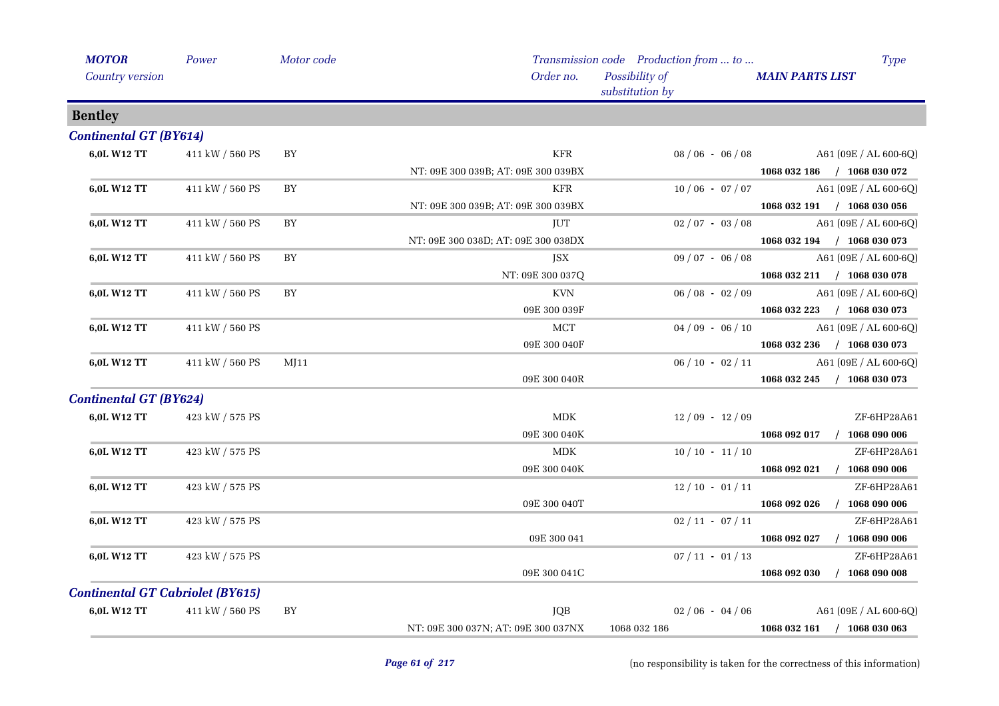| <b>MOTOR</b>                            | Power           | Motor code |                                     | Transmission code Production from  to | <b>Type</b>                      |
|-----------------------------------------|-----------------|------------|-------------------------------------|---------------------------------------|----------------------------------|
| Country version                         |                 |            | Order no.                           | Possibility of<br>substitution by     | <b>MAIN PARTS LIST</b>           |
| <b>Bentley</b>                          |                 |            |                                     |                                       |                                  |
| <b>Continental GT (BY614)</b>           |                 |            |                                     |                                       |                                  |
| 6,0L W12 TT                             | 411 kW / 560 PS | BY         | <b>KFR</b>                          | $08/06 - 06/08$                       | A61 (09E / AL 600-6Q)            |
|                                         |                 |            | NT: 09E 300 039B; AT: 09E 300 039BX |                                       | 1068 032 186 / 1068 030 072      |
| 6,0L W12 TT                             | 411 kW / 560 PS | BY         | <b>KFR</b>                          | $10/06 - 07/07$                       | A61 (09E / AL 600-6Q)            |
|                                         |                 |            | NT: 09E 300 039B; AT: 09E 300 039BX |                                       | 1068 032 191 / 1068 030 056      |
| 6,0L W12 TT                             | 411 kW / 560 PS | BY         | JUT                                 | $02/07 - 03/08$                       | A61 (09E / AL 600-6Q)            |
|                                         |                 |            | NT: 09E 300 038D; AT: 09E 300 038DX |                                       | 1068 032 194 / 1068 030 073      |
| 6,0L W12 TT                             | 411 kW / 560 PS | ${\rm BY}$ | JSX                                 | $09/07 - 06/08$                       | A61 (09E / AL 600-6Q)            |
|                                         |                 |            | NT: 09E 300 037Q                    |                                       | 1068 032 211 / 1068 030 078      |
| 6,0L W12 TT                             | 411 kW / 560 PS | BY         | <b>KVN</b>                          | $06/08 - 02/09$                       | A61 (09E / AL 600-6Q)            |
|                                         |                 |            | 09E 300 039F                        |                                       | 1068 032 223 / 1068 030 073      |
| 6,0L W12 TT                             | 411 kW / 560 PS |            | MCT                                 | $04/09 - 06/10$                       | A61 (09E / AL 600-6Q)            |
|                                         |                 |            | 09E 300 040F                        |                                       | 1068 032 236 / 1068 030 073      |
| 6,0L W12 TT                             | 411 kW / 560 PS | MJ11       |                                     | $06/10 - 02/11$                       | A61 (09E / AL 600-6Q)            |
|                                         |                 |            | 09E 300 040R                        |                                       | 1068 032 245 / 1068 030 073      |
| <b>Continental GT (BY624)</b>           |                 |            |                                     |                                       |                                  |
| 6,0L W12 TT                             | 423 kW / 575 PS |            | <b>MDK</b>                          | $12/09 - 12/09$                       | ZF-6HP28A61                      |
|                                         |                 |            | 09E 300 040K                        |                                       | 1068 092 017 / 1068 090 006      |
| 6,0L W12 TT                             | 423 kW / 575 PS |            | MDK                                 | $10/10 - 11/10$                       | ZF-6HP28A61                      |
|                                         |                 |            | 09E 300 040K                        |                                       | 1068 092 021 / 1068 090 006      |
| 6,0L W12 TT                             | 423 kW / 575 PS |            |                                     | $12/10 - 01/11$                       | ZF-6HP28A61                      |
|                                         |                 |            | 09E 300 040T                        |                                       | 1068 092 026 / 1068 090 006      |
| 6,0L W12 TT                             | 423 kW / 575 PS |            |                                     | $02 / 11 - 07 / 11$                   | ZF-6HP28A61                      |
|                                         |                 |            | 09E 300 041                         |                                       | $/$ 1068 090 006<br>1068 092 027 |
| 6,0L W12 TT                             | 423 kW / 575 PS |            |                                     | $07/11 - 01/13$                       | ZF-6HP28A61                      |
|                                         |                 |            | 09E 300 041C                        |                                       | $/$ 1068 090 008<br>1068 092 030 |
| <b>Continental GT Cabriolet (BY615)</b> |                 |            |                                     |                                       |                                  |
| 6,0L W12 TT                             | 411 kW / 560 PS | ${\rm BY}$ | <b>JQB</b>                          | $02/06 - 04/06$                       | $A61 (09E / AL 600-6Q)$          |
|                                         |                 |            | NT: 09E 300 037N; AT: 09E 300 037NX | 1068 032 186                          | 1068 032 161 / 1068 030 063      |
|                                         |                 |            |                                     |                                       |                                  |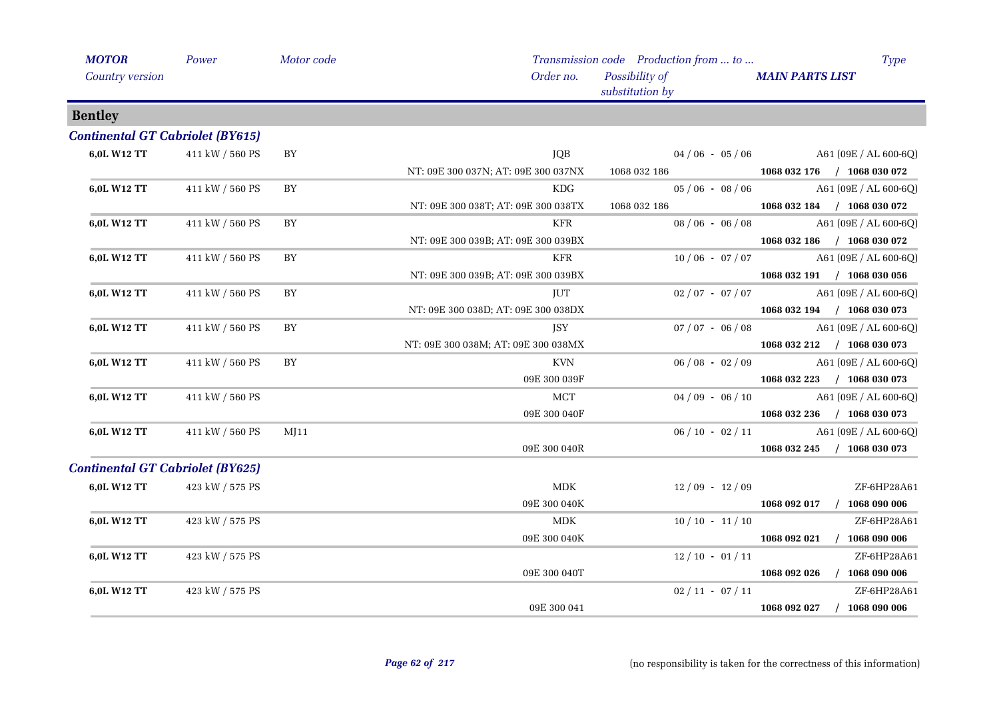| <b>MOTOR</b>                            | Power           | Motor code |                                     | Transmission code Production from  to | <b>Type</b>                      |
|-----------------------------------------|-----------------|------------|-------------------------------------|---------------------------------------|----------------------------------|
| Country version                         |                 |            | Order no.                           | Possibility of<br>substitution by     | <b>MAIN PARTS LIST</b>           |
| <b>Bentley</b>                          |                 |            |                                     |                                       |                                  |
| <b>Continental GT Cabriolet (BY615)</b> |                 |            |                                     |                                       |                                  |
| 6,0L W12 TT                             | 411 kW / 560 PS | BY         | JQB                                 | $04/06 - 05/06$                       | $A61 (09E / AL 600-6Q)$          |
|                                         |                 |            | NT: 09E 300 037N; AT: 09E 300 037NX | 1068 032 186                          | 1068 032 176 / 1068 030 072      |
| 6,0L W12 TT                             | 411 kW / 560 PS | BY         | KDG                                 | $05/06 - 08/06$                       | $A61 (09E / AL 600-6Q)$          |
|                                         |                 |            | NT: 09E 300 038T; AT: 09E 300 038TX | 1068 032 186                          | 1068 032 184 / 1068 030 072      |
| 6,0L W12 TT                             | 411 kW / 560 PS | BY         | <b>KFR</b>                          | $08/06 - 06/08$                       | A61 (09E / AL 600-6Q)            |
|                                         |                 |            | NT: 09E 300 039B; AT: 09E 300 039BX |                                       | 1068 032 186 / 1068 030 072      |
| 6,0L W12 TT                             | 411 kW / 560 PS | BY         | <b>KFR</b>                          | $10/06 - 07/07$                       | A61 (09E / AL 600-6Q)            |
|                                         |                 |            | NT: 09E 300 039B; AT: 09E 300 039BX |                                       | 1068 032 191 / 1068 030 056      |
| 6,0L W12 TT                             | 411 kW / 560 PS | BY         | <b>JUT</b>                          | $02/07 - 07/07$                       | A61 (09E / AL 600-6Q)            |
|                                         |                 |            | NT: 09E 300 038D; AT: 09E 300 038DX |                                       | 1068 032 194 / 1068 030 073      |
| 6,0L W12 TT                             | 411 kW / 560 PS | BY         | <b>JSY</b>                          | $07/07 - 06/08$                       | A61 (09E / AL 600-6Q)            |
|                                         |                 |            | NT: 09E 300 038M; AT: 09E 300 038MX |                                       | 1068 032 212 / 1068 030 073      |
| 6,0L W12 TT                             | 411 kW / 560 PS | BY         | <b>KVN</b>                          | $06/08 - 02/09$                       | A61 (09E / AL 600-6Q)            |
|                                         |                 |            | 09E 300 039F                        |                                       | 1068 032 223 / 1068 030 073      |
| 6,0L W12 TT                             | 411 kW / 560 PS |            | MCT                                 | $04/09 - 06/10$                       | A61 (09E / AL 600-6Q)            |
|                                         |                 |            | 09E 300 040F                        |                                       | 1068 032 236 / 1068 030 073      |
| 6,0L W12 TT                             | 411 kW / 560 PS | MJ11       |                                     | $06/10 - 02/11$                       | $A61 (09E / AL 600-6Q)$          |
|                                         |                 |            | 09E 300 040R                        |                                       | 1068 032 245 / 1068 030 073      |
| <b>Continental GT Cabriolet (BY625)</b> |                 |            |                                     |                                       |                                  |
| 6,0L W12 TT                             | 423 kW / 575 PS |            | <b>MDK</b>                          | $12/09 - 12/09$                       | ZF-6HP28A61                      |
|                                         |                 |            | 09E 300 040K                        |                                       | 1068 092 017 / 1068 090 006      |
| 6,0L W12 TT                             | 423 kW / 575 PS |            | MDK                                 | $10/10 - 11/10$                       | ZF-6HP28A61                      |
|                                         |                 |            | 09E 300 040K                        |                                       | 1068 092 021 / 1068 090 006      |
| 6,0L W12 TT                             | 423 kW / 575 PS |            |                                     | $12/10 - 01/11$                       | ZF-6HP28A61                      |
|                                         |                 |            | 09E 300 040T                        |                                       | 1068 092 026 / 1068 090 006      |
| 6,0L W12 TT                             | 423 kW / 575 PS |            |                                     | $02 / 11 - 07 / 11$                   | ZF-6HP28A61                      |
|                                         |                 |            | 09E 300 041                         |                                       | $/$ 1068 090 006<br>1068 092 027 |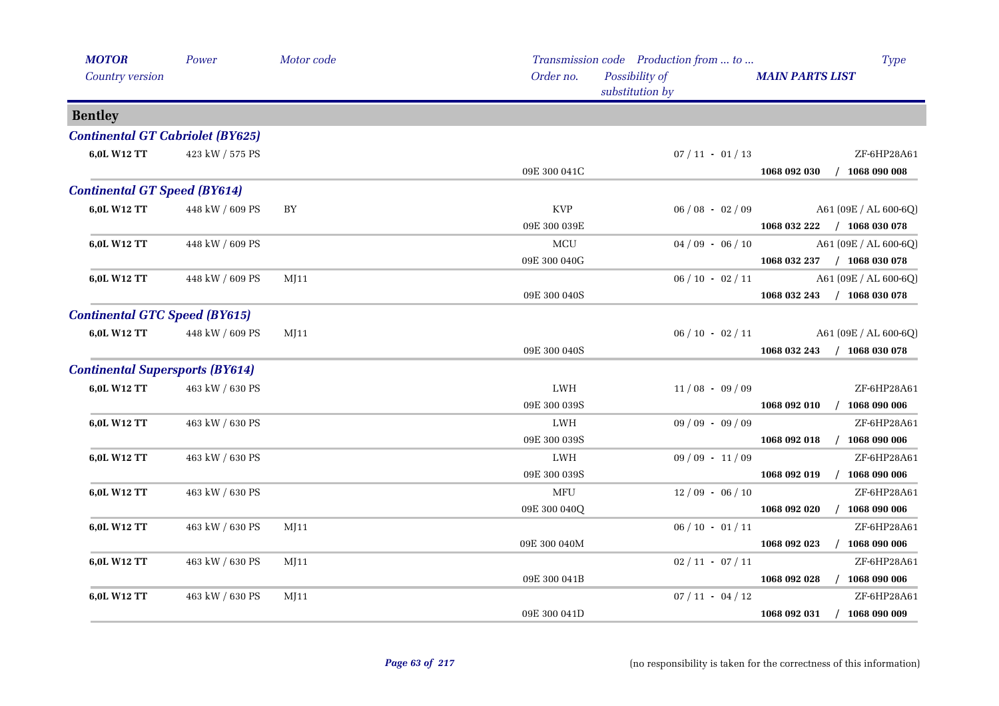| <b>MOTOR</b>                            | Power           | Motor code |              | Transmission code Production from  to | <b>Type</b>                      |
|-----------------------------------------|-----------------|------------|--------------|---------------------------------------|----------------------------------|
| Country version                         |                 |            | Order no.    | Possibility of<br>substitution by     | <b>MAIN PARTS LIST</b>           |
| <b>Bentley</b>                          |                 |            |              |                                       |                                  |
| <b>Continental GT Cabriolet (BY625)</b> |                 |            |              |                                       |                                  |
| 6,0L W12 TT                             | 423 kW / 575 PS |            |              | $07/11 - 01/13$                       | ZF-6HP28A61                      |
|                                         |                 |            | 09E 300 041C |                                       | 1068 092 030 / 1068 090 008      |
| <b>Continental GT Speed (BY614)</b>     |                 |            |              |                                       |                                  |
| 6,0L W12 TT                             | 448 kW / 609 PS | BY         | <b>KVP</b>   | $06/08 - 02/09$                       | A61 (09E / AL 600-6Q)            |
|                                         |                 |            | 09E 300 039E |                                       | 1068 032 222 / 1068 030 078      |
| 6,0L W12 TT                             | 448 kW / 609 PS |            | MCU          | $04/09 - 06/10$                       | A61 (09E / AL 600-6Q)            |
|                                         |                 |            | 09E 300 040G |                                       | 1068 032 237 / 1068 030 078      |
| 6,0L W12 TT                             | 448 kW / 609 PS | M[11]      |              | $06/10 - 02/11$                       | A61 (09E / AL 600-6Q)            |
|                                         |                 |            | 09E 300 040S |                                       | 1068 032 243 / 1068 030 078      |
| <b>Continental GTC Speed (BY615)</b>    |                 |            |              |                                       |                                  |
| 6,0L W12 TT                             | 448 kW / 609 PS | M[11]      |              | $06/10 - 02/11$                       | A61 (09E / AL 600-6Q)            |
|                                         |                 |            | 09E 300 040S |                                       | 1068 032 243 / 1068 030 078      |
| <b>Continental Supersports (BY614)</b>  |                 |            |              |                                       |                                  |
| 6,0L W12 TT                             | 463 kW / 630 PS |            | LWH          | $11/08 - 09/09$                       | ZF-6HP28A61                      |
|                                         |                 |            | 09E 300 039S |                                       | 1068 092 010 / 1068 090 006      |
| 6,0L W12 TT                             | 463 kW / 630 PS |            | LWH          | $09/09 - 09/09$                       | ZF-6HP28A61                      |
|                                         |                 |            | 09E 300 039S |                                       | 1068 092 018 / 1068 090 006      |
| 6,0L W12 TT                             | 463 kW / 630 PS |            | LWH          | $09/09 - 11/09$                       | ZF-6HP28A61                      |
|                                         |                 |            | 09E 300 039S |                                       | 1068 092 019<br>$/$ 1068 090 006 |
| 6,0L W12 TT                             | 463 kW / 630 PS |            | MFU          | $12/09 - 06/10$                       | ZF-6HP28A61                      |
|                                         |                 |            | 09E 300 040Q |                                       | 1068 092 020<br>$/$ 1068 090 006 |
| 6,0L W12 TT                             | 463 kW / 630 PS | MJ11       |              | $06/10 - 01/11$                       | ZF-6HP28A61                      |
|                                         |                 |            | 09E 300 040M |                                       | 1068 092 023<br>$/$ 1068 090 006 |
| 6,0L W12 TT                             | 463 kW / 630 PS | MJ11       |              | $02 / 11 - 07 / 11$                   | ZF-6HP28A61                      |
|                                         |                 |            | 09E 300 041B |                                       | $/$ 1068 090 006<br>1068 092 028 |
| 6,0L W12 TT                             | 463 kW / 630 PS | MJ11       |              | $07 / 11 - 04 / 12$                   | ZF-6HP28A61                      |
|                                         |                 |            | 09E 300 041D |                                       | 1068 092 031 / 1068 090 009      |
|                                         |                 |            |              |                                       |                                  |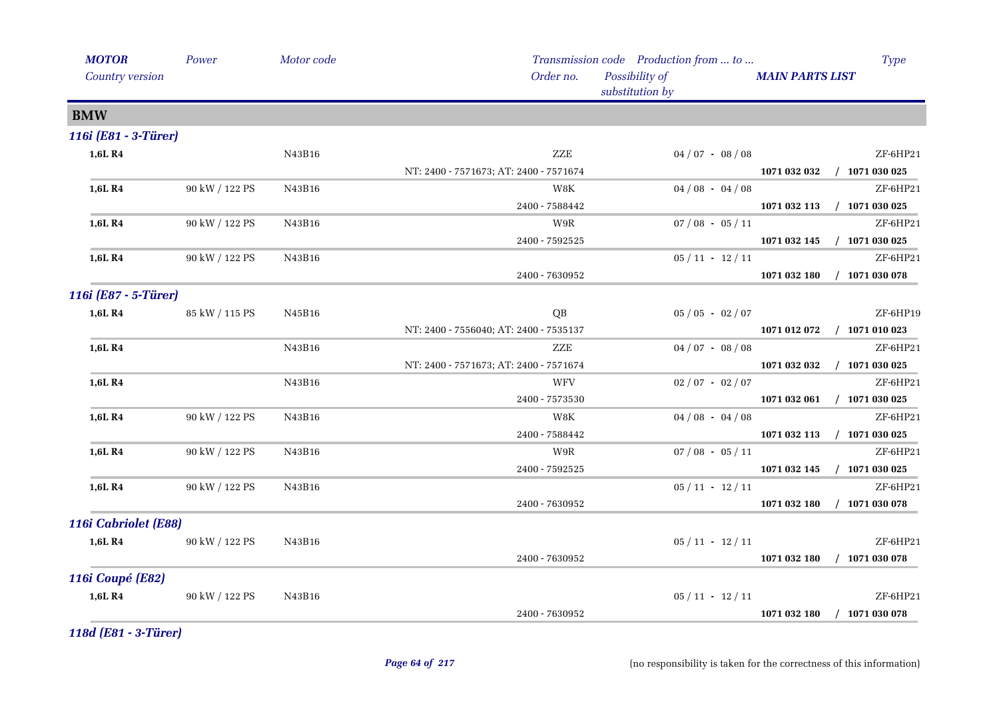| Order no.<br>Possibility of<br>Country version                |                                  |
|---------------------------------------------------------------|----------------------------------|
| substitution by                                               | <b>MAIN PARTS LIST</b>           |
| <b>BMW</b>                                                    |                                  |
| 116i (E81 - 3-Türer)                                          |                                  |
| 1,6L R4<br>ZZE<br>N43B16<br>$04/07 - 08/08$                   | ZF-6HP21                         |
| NT: 2400 - 7571673; AT: 2400 - 7571674                        | 1071 032 032 / 1071 030 025      |
| 90 kW / 122 PS<br>N43B16<br>W8K<br>$04/08 - 04/08$<br>1,6L R4 | ZF-6HP21                         |
| $2400 - 7588442$                                              | 1071 032 113 / 1071 030 025      |
| $07/08 - 05/11$<br>1,6L R4<br>90 kW / 122 PS<br>N43B16<br>W9R | ZF-6HP21                         |
| 2400 - 7592525                                                | $/$ 1071 030 025<br>1071 032 145 |
| $05/11 - 12/11$<br>1,6L R4<br>90 kW / 122 PS<br>N43B16        | ZF-6HP21                         |
| 2400 - 7630952                                                | 1071 032 180<br>$/$ 1071 030 078 |
| 116i (E87 - 5-Türer)                                          |                                  |
| 1,6L R4<br>85 kW / 115 PS<br>N45B16<br>QB<br>$05/05 - 02/07$  | ZF-6HP19                         |
| NT: 2400 - 7556040; AT: 2400 - 7535137                        | $/$ 1071 010 023<br>1071 012 072 |
| ZZE<br>1,6L R4<br>N43B16<br>$04/07 - 08/08$                   | ZF-6HP21                         |
| NT: 2400 - 7571673; AT: 2400 - 7571674                        | 1071 032 032<br>$/$ 1071 030 025 |
| 1,6L R4<br>N43B16<br>WFV<br>$02/07 - 02/07$                   | ZF-6HP21                         |
| 2400 - 7573530                                                | 1071 032 061 / 1071 030 025      |
| $04/08 - 04/08$<br>90 kW / 122 PS<br>N43B16<br>W8K<br>1,6L R4 | ZF-6HP21                         |
| 2400 - 7588442                                                | 1071 032 113 / 1071 030 025      |
| 1,6L R4<br>90 kW / 122 PS<br>N43B16<br>W9R<br>$07/08 - 05/11$ | ZF-6HP21                         |
| 2400 - 7592525                                                | $/$ 1071 030 025<br>1071 032 145 |
| 1,6L R4<br>90 kW / 122 PS<br>N43B16<br>$05/11 - 12/11$        | ZF-6HP21                         |
| 2400 - 7630952                                                | $/$ 1071 030 078<br>1071 032 180 |
| 116i Cabriolet (E88)                                          |                                  |
| $05/11 - 12/11$<br>1,6L R4<br>90 kW / 122 PS<br>N43B16        | ZF-6HP21                         |
| 2400 - 7630952                                                | 1071 032 180<br>$/$ 1071 030 078 |
| <b>116i Coupé (E82)</b>                                       |                                  |
| 1,6L R4<br>90 kW / 122 PS<br>N43B16<br>$05/11 - 12/11$        | ZF-6HP21                         |
| 2400 - 7630952                                                | $/$ 1071 030 078<br>1071 032 180 |

*118d (E81 - 3-Türer)*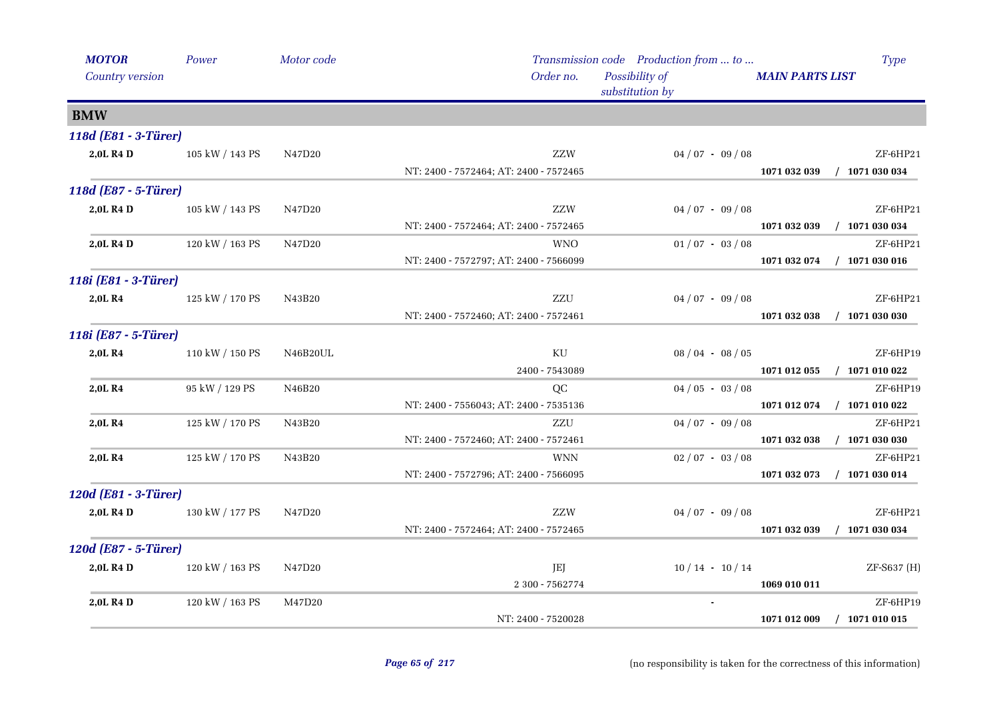| <b>MOTOR</b>          | Power           | Motor code |                                        | Transmission code Production from  to |                        | <b>Type</b>      |
|-----------------------|-----------------|------------|----------------------------------------|---------------------------------------|------------------------|------------------|
| Country version       |                 |            | Order no.                              | Possibility of<br>substitution by     | <b>MAIN PARTS LIST</b> |                  |
| <b>BMW</b>            |                 |            |                                        |                                       |                        |                  |
| 118d (E81 - 3-Türer)  |                 |            |                                        |                                       |                        |                  |
| 2,0L R4 D             | 105 kW / 143 PS | N47D20     | ZZW                                    | $04/07 - 09/08$                       |                        | ZF-6HP21         |
|                       |                 |            | NT: 2400 - 7572464; AT: 2400 - 7572465 |                                       | 1071 032 039           | $/$ 1071 030 034 |
| 118d (E87 - 5-Türer)  |                 |            |                                        |                                       |                        |                  |
| 2,0L R4 D             | 105 kW / 143 PS | N47D20     | ZZW                                    | $04/07 - 09/08$                       |                        | ZF-6HP21         |
|                       |                 |            | NT: 2400 - 7572464; AT: 2400 - 7572465 |                                       | 1071 032 039           | $/$ 1071 030 034 |
| 2,0L R4 D             | 120 kW / 163 PS | N47D20     | <b>WNO</b>                             | $01/07 - 03/08$                       |                        | ZF-6HP21         |
|                       |                 |            | NT: 2400 - 7572797; AT: 2400 - 7566099 |                                       | 1071 032 074           | $/$ 1071 030 016 |
| 118i (E81 - 3-Türer)  |                 |            |                                        |                                       |                        |                  |
| 2,0L R4               | 125 kW / 170 PS | N43B20     | ZZU                                    | $04/07 - 09/08$                       |                        | ZF-6HP21         |
|                       |                 |            | NT: 2400 - 7572460; AT: 2400 - 7572461 |                                       | 1071 032 038           | $/$ 1071 030 030 |
| 118i (E87 - 5-Türer)  |                 |            |                                        |                                       |                        |                  |
| 2,0L R4               | 110 kW / 150 PS | N46B20UL   | KU                                     | $08/04 - 08/05$                       |                        | ZF-6HP19         |
|                       |                 |            | 2400 - 7543089                         |                                       | 1071 012 055           | $/$ 1071 010 022 |
| 2,0LR4                | 95 kW / 129 PS  | N46B20     | QC                                     | $04/05 - 03/08$                       |                        | ZF-6HP19         |
|                       |                 |            | NT: 2400 - 7556043; AT: 2400 - 7535136 |                                       | 1071 012 074           | $/$ 1071 010 022 |
| 2,0LR4                | 125 kW / 170 PS | N43B20     | ZZU                                    | $04/07 - 09/08$                       |                        | ZF-6HP21         |
|                       |                 |            | NT: 2400 - 7572460; AT: 2400 - 7572461 |                                       | 1071 032 038           | $/$ 1071 030 030 |
| 2,0L R4               | 125 kW / 170 PS | N43B20     | <b>WNN</b>                             | $02/07 - 03/08$                       |                        | ZF-6HP21         |
|                       |                 |            | NT: 2400 - 7572796; AT: 2400 - 7566095 |                                       | 1071 032 073           | $/$ 1071 030 014 |
| 120d (E81 - 3-Türer)  |                 |            |                                        |                                       |                        |                  |
| 2,0L R <sub>4</sub> D | 130 kW / 177 PS | N47D20     | ZZW                                    | $04/07 - 09/08$                       |                        | ZF-6HP21         |
|                       |                 |            | NT: 2400 - 7572464; AT: 2400 - 7572465 |                                       | 1071 032 039           | $/$ 1071 030 034 |
| 120d (E87 - 5-Türer)  |                 |            |                                        |                                       |                        |                  |
| 2,0L R4 D             | 120 kW / 163 PS | N47D20     | JEJ                                    | $10/14$ - $10/14$                     |                        | ZF-S637 (H)      |
|                       |                 |            | 2 300 - 7562774                        |                                       | 1069 010 011           |                  |
| 2,0L R4 D             | 120 kW / 163 PS | M47D20     |                                        |                                       |                        | ZF-6HP19         |
|                       |                 |            | NT: 2400 - 7520028                     |                                       | 1071 012 009           | $/$ 1071 010 015 |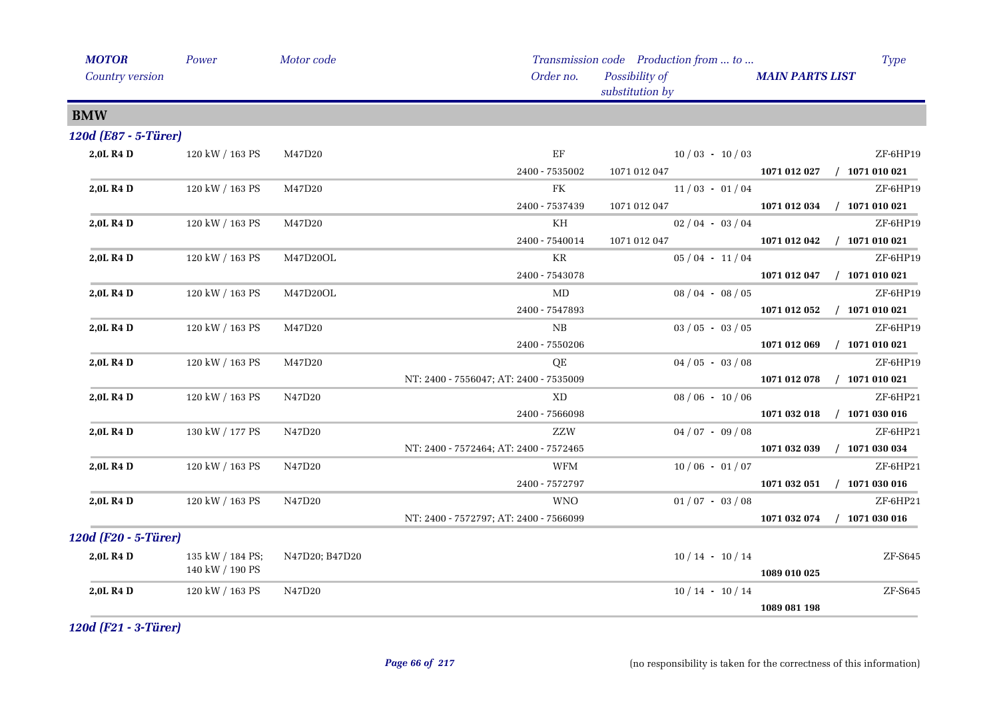| <b>MOTOR</b>         | Power            | Motor code     |                                        | Transmission code Production from  to | <b>Type</b>                      |
|----------------------|------------------|----------------|----------------------------------------|---------------------------------------|----------------------------------|
| Country version      |                  |                | Order no.                              | Possibility of<br>substitution by     | <b>MAIN PARTS LIST</b>           |
| <b>BMW</b>           |                  |                |                                        |                                       |                                  |
| 120d (E87 - 5-Türer) |                  |                |                                        |                                       |                                  |
| 2,0L R4 D            | 120 kW / 163 PS  | M47D20         | EF                                     | $10/03 - 10/03$                       | ZF-6HP19                         |
|                      |                  |                | 2400 - 7535002                         | 1071 012 047                          | 1071 012 027 / 1071 010 021      |
| 2,0L R4 D            | 120 kW / 163 PS  | M47D20         | FK                                     | $11/03 - 01/04$                       | ZF-6HP19                         |
|                      |                  |                | 2400 - 7537439                         | 1071 012 047 1071 012 034             | $/$ 1071 010 021                 |
| 2,0L R4 D            | 120 kW / 163 PS  | M47D20         | KH                                     | $02/04 - 03/04$                       | ZF-6HP19                         |
|                      |                  |                | 2400 - 7540014                         | 1071 012 047                          | 1071 012 042 / 1071 010 021      |
| 2,0L R4 D            | 120 kW / 163 PS  | M47D20OL       | KR                                     | $05/04 - 11/04$                       | ZF-6HP19                         |
|                      |                  |                | 2400 - 7543078                         |                                       | 1071 012 047 / 1071 010 021      |
| 2,0L R4 D            | 120 kW / 163 PS  | M47D20OL       | MD                                     | $08/04 - 08/05$                       | ZF-6HP19                         |
|                      |                  |                | 2400 - 7547893                         |                                       | $/$ 1071 010 021<br>1071 012 052 |
| 2,0L R4 D            | 120 kW / 163 PS  | M47D20         | NB                                     | $03/05 - 03/05$                       | ZF-6HP19                         |
|                      |                  |                | 2400 - 7550206                         |                                       | $/$ 1071 010 021<br>1071 012 069 |
| 2,0L R4 D            | 120 kW / 163 PS  | M47D20         | QE                                     | $04/05 - 03/08$                       | ZF-6HP19                         |
|                      |                  |                | NT: 2400 - 7556047; AT: 2400 - 7535009 |                                       | $/$ 1071 010 021<br>1071 012 078 |
| 2,0L R4 D            | 120 kW / 163 PS  | N47D20         | XD                                     | $08/06 - 10/06$                       | ZF-6HP21                         |
|                      |                  |                | 2400 - 7566098                         |                                       | $/$ 1071 030 016<br>1071 032 018 |
| 2,0L R4 D            | 130 kW / 177 PS  | N47D20         | ZZW                                    | $04/07 - 09/08$                       | ZF-6HP21                         |
|                      |                  |                | NT: 2400 - 7572464; AT: 2400 - 7572465 |                                       | $/$ 1071 030 034<br>1071 032 039 |
| 2,0L R4 D            | 120 kW / 163 PS  | N47D20         | <b>WFM</b>                             | $10/06 - 01/07$                       | ZF-6HP21                         |
|                      |                  |                | 2400 - 7572797                         |                                       | 1071 032 051 / 1071 030 016      |
| 2,0L R4 D            | 120 kW / 163 PS  | N47D20         | <b>WNO</b>                             | $01/07 - 03/08$                       | ZF-6HP21                         |
|                      |                  |                | NT: 2400 - 7572797; AT: 2400 - 7566099 |                                       | $/$ 1071 030 016<br>1071 032 074 |
| 120d (F20 - 5-Türer) |                  |                |                                        |                                       |                                  |
| 2,0L R4 D            | 135 kW / 184 PS; | N47D20; B47D20 |                                        | $10/14 - 10/14$                       | ZF-S645                          |
|                      | 140 kW / 190 PS  |                |                                        |                                       | 1089 010 025                     |
| 2,0L R4 D            | 120 kW / 163 PS  | N47D20         |                                        | $10/14 - 10/14$                       | $ZF-S645$                        |
|                      |                  |                |                                        |                                       | 1089 081 198                     |

*120d (F21 - 3-Türer)*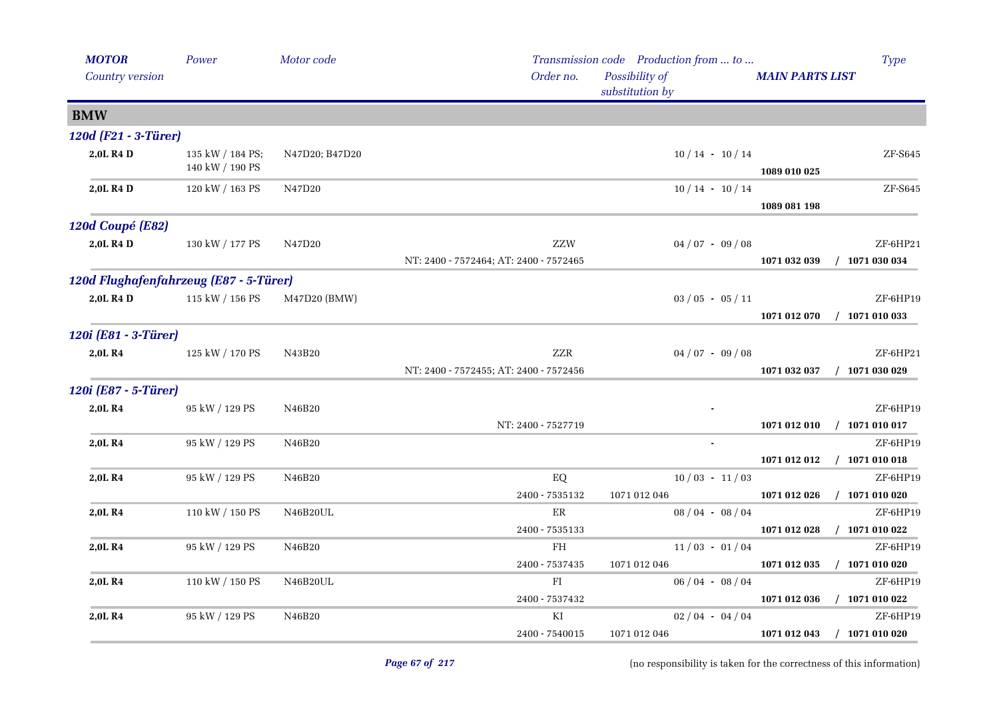| <b>MOTOR</b>                           | Power                               | Motor code     |                                               | Transmission code Production from  to |                        | <b>Type</b>                    |
|----------------------------------------|-------------------------------------|----------------|-----------------------------------------------|---------------------------------------|------------------------|--------------------------------|
| Country version                        |                                     |                | Order no.                                     | Possibility of<br>substitution by     | <b>MAIN PARTS LIST</b> |                                |
| <b>BMW</b>                             |                                     |                |                                               |                                       |                        |                                |
| 120d (F21 - 3-Türer)                   |                                     |                |                                               |                                       |                        |                                |
| 2,0L R4 D                              | 135 kW / 184 PS;<br>140 kW / 190 PS | N47D20; B47D20 |                                               | $10/14 - 10/14$                       | 1089 010 025           | $ZF-5645$                      |
| 2,0L R4 D                              | 120 kW / 163 PS                     | N47D20         |                                               | $10/14 - 10/14$                       | 1089 081 198           | ZF-S645                        |
| 120d Coupé (E82)                       |                                     |                |                                               |                                       |                        |                                |
| 2,0L R4 D                              | 130 kW / 177 PS                     | N47D20         | ZZW<br>NT: 2400 - 7572464; AT: 2400 - 7572465 | $04/07 - 09/08$                       | 1071 032 039           | ZF-6HP21<br>$/$ 1071 030 034   |
| 120d Flughafenfahrzeug (E87 - 5-Türer) |                                     |                |                                               |                                       |                        |                                |
| 2,0L R4 D                              | 115 kW / 156 PS                     | M47D20 (BMW)   |                                               | $03 / 05 - 05 / 11$                   | 1071 012 070           | ZF-6HP19<br>$/$ 1071 010 033   |
| 120i (E81 - 3-Türer)                   |                                     |                |                                               |                                       |                        |                                |
| 2,0L R4                                | 125 kW / 170 PS                     | N43B20         | ZZR<br>NT: 2400 - 7572455; AT: 2400 - 7572456 | $04/07 - 09/08$                       | 1071 032 037           | ZF-6HP21<br>$/$ 1071 030 029   |
| 120i (E87 - 5-Türer)                   |                                     |                |                                               |                                       |                        |                                |
| 2,0LR4                                 | 95 kW / 129 PS                      | N46B20         | NT: 2400 - 7527719                            |                                       | 1071 012 010           | $ZF-6HP19$<br>$/$ 1071 010 017 |
| 2,0LR4                                 | 95 kW / 129 PS                      | N46B20         |                                               |                                       |                        | ZF-6HP19                       |
|                                        |                                     |                |                                               |                                       | 1071 012 012           | $/$ 1071 010 018               |
| 2,0L R4                                | 95 kW / 129 PS                      | N46B20         | ${\rm EQ}$<br>2400 - 7535132                  | $10/03 - 11/03$<br>1071 012 046       | 1071 012 026           | ZF-6HP19<br>$/$ 1071 010 020   |
| 2,0LR4                                 | 110 kW / 150 PS                     | N46B20UL       | ER<br>2400 - 7535133                          | $08/04 - 08/04$                       | 1071 012 028           | ZF-6HP19<br>$/$ 1071 010 022   |
| 2,0LR4                                 | 95 kW / 129 PS                      | N46B20         | FH                                            | $11/03 - 01/04$                       |                        | ZF-6HP19                       |
|                                        |                                     |                | 2400 - 7537435                                | 1071 012 046                          | 1071 012 035           | $/$ 1071 010 020               |
| 2,0LR4                                 | 110 kW / 150 PS                     | N46B20UL       | FI<br>$2400 - 7537432$                        | $06/04 - 08/04$                       | 1071 012 036           | ZF-6HP19<br>$/$ 1071 010 022   |
| 2,0LR4                                 | 95 kW / 129 PS                      | N46B20         | ΚI                                            | $02/04 - 04/04$                       |                        | ZF-6HP19                       |
|                                        |                                     |                | 2400 - 7540015                                | 1071 012 046                          | 1071 012 043           | $/$ 1071 010 020               |
|                                        |                                     |                |                                               |                                       |                        |                                |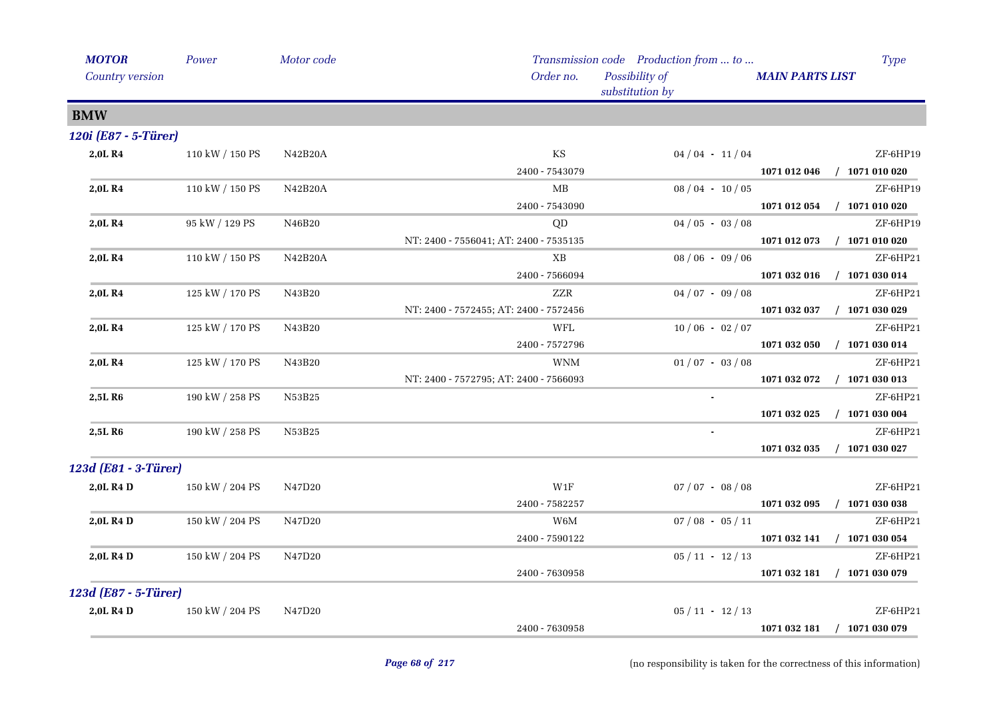| <b>MOTOR</b>         | Power           | Motor code |                                        | Transmission code Production from  to |                        | <b>Type</b>      |
|----------------------|-----------------|------------|----------------------------------------|---------------------------------------|------------------------|------------------|
| Country version      |                 |            | Order no.                              | Possibility of<br>substitution by     | <b>MAIN PARTS LIST</b> |                  |
| <b>BMW</b>           |                 |            |                                        |                                       |                        |                  |
| 120i (E87 - 5-Türer) |                 |            |                                        |                                       |                        |                  |
| 2,0LR4               | 110 kW / 150 PS | N42B20A    | $\mathbf{KS}$                          | $04/04 - 11/04$                       |                        | ZF-6HP19         |
|                      |                 |            | 2400 - 7543079                         |                                       | 1071 012 046           | $/$ 1071 010 020 |
| 2,0LR4               | 110 kW / 150 PS | N42B20A    | MB                                     | $08/04 - 10/05$                       |                        | ZF-6HP19         |
|                      |                 |            | 2400 - 7543090                         |                                       | 1071 012 054           | $/$ 1071 010 020 |
| 2,0L R4              | 95 kW / 129 PS  | N46B20     | QD                                     | $04/05 - 03/08$                       |                        | ZF-6HP19         |
|                      |                 |            | NT: 2400 - 7556041; AT: 2400 - 7535135 |                                       | 1071 012 073           | $/$ 1071 010 020 |
| 2,0LR4               | 110 kW / 150 PS | N42B20A    | XB                                     | $08/06 - 09/06$                       |                        | ZF-6HP21         |
|                      |                 |            | 2400 - 7566094                         |                                       | 1071 032 016           | $/$ 1071 030 014 |
| 2,0LR4               | 125 kW / 170 PS | N43B20     | <b>ZZR</b>                             | $04/07 - 09/08$                       |                        | ZF-6HP21         |
|                      |                 |            | NT: 2400 - 7572455; AT: 2400 - 7572456 |                                       | 1071 032 037           | $/$ 1071 030 029 |
| 2,0LR4               | 125 kW / 170 PS | N43B20     | WFL                                    | $10/06 - 02/07$                       |                        | ZF-6HP21         |
|                      |                 |            | 2400 - 7572796                         |                                       | 1071 032 050           | $/$ 1071 030 014 |
| 2,0L R4              | 125 kW / 170 PS | N43B20     | <b>WNM</b>                             | $01/07 - 03/08$                       |                        | ZF-6HP21         |
|                      |                 |            | NT: 2400 - 7572795; AT: 2400 - 7566093 |                                       | 1071 032 072           | $/$ 1071 030 013 |
| 2,5L R <sub>6</sub>  | 190 kW / 258 PS | N53B25     |                                        |                                       |                        | ZF-6HP21         |
|                      |                 |            |                                        |                                       | 1071 032 025           | $/$ 1071 030 004 |
| 2,5L R6              | 190 kW / 258 PS | N53B25     |                                        | $\bullet$                             |                        | ZF-6HP21         |
|                      |                 |            |                                        |                                       | 1071 032 035           | $/$ 1071 030 027 |
| 123d (E81 - 3-Türer) |                 |            |                                        |                                       |                        |                  |
| 2,0L R4 D            | 150 kW / 204 PS | N47D20     | W1F                                    | $07 / 07 - 08 / 08$                   |                        | ZF-6HP21         |
|                      |                 |            | 2400 - 7582257                         |                                       | 1071 032 095           | $/$ 1071 030 038 |
| 2,0L R4 D            | 150 kW / 204 PS | N47D20     | W6M                                    | $07/08 - 05/11$                       |                        | ZF-6HP21         |
|                      |                 |            | 2400 - 7590122                         |                                       | 1071 032 141           | $/$ 1071 030 054 |
| 2,0L R4 D            | 150 kW / 204 PS | N47D20     |                                        | $05/11 - 12/13$                       |                        | ZF-6HP21         |
|                      |                 |            | 2400 - 7630958                         |                                       | 1071 032 181           | $/$ 1071 030 079 |
| 123d (E87 - 5-Türer) |                 |            |                                        |                                       |                        |                  |
| 2,0L R4 D            | 150 kW / 204 PS | N47D20     |                                        | $05/11 - 12/13$                       |                        | ZF-6HP21         |
|                      |                 |            | 2400 - 7630958                         |                                       | 1071 032 181           | $/$ 1071 030 079 |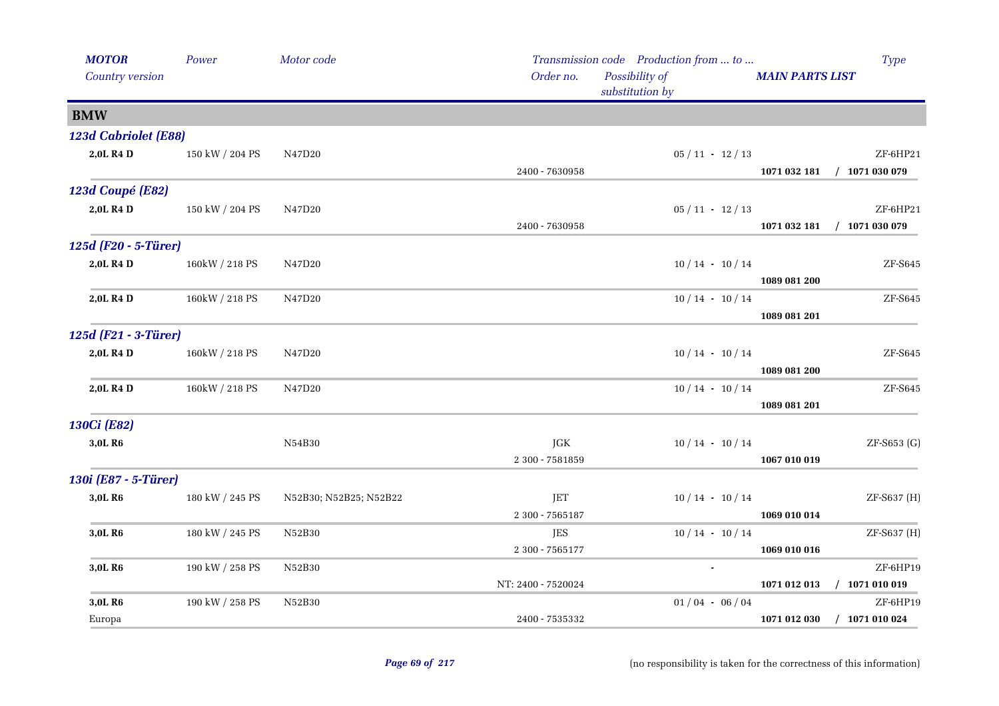| <b>MOTOR</b>          | Power           | Motor code             |                    | Transmission code Production from  to |                        | <b>Type</b>                 |
|-----------------------|-----------------|------------------------|--------------------|---------------------------------------|------------------------|-----------------------------|
| Country version       |                 |                        | Order no.          | Possibility of<br>substitution by     | <b>MAIN PARTS LIST</b> |                             |
| <b>BMW</b>            |                 |                        |                    |                                       |                        |                             |
| 123d Cabriolet (E88)  |                 |                        |                    |                                       |                        |                             |
| 2,0L R4 D             | 150 kW / 204 PS | N47D20                 |                    | $05 / 11 - 12 / 13$                   |                        | ZF-6HP21                    |
|                       |                 |                        | 2400 - 7630958     |                                       |                        | 1071 032 181 / 1071 030 079 |
| 123d Coupé (E82)      |                 |                        |                    |                                       |                        |                             |
| 2,0L R4 D             | 150 kW / 204 PS | N47D20                 |                    | $05 / 11 - 12 / 13$                   |                        | ZF-6HP21                    |
|                       |                 |                        | 2400 - 7630958     |                                       | 1071 032 181           | $/$ 1071 030 079            |
| 125d (F20 - 5-Türer)  |                 |                        |                    |                                       |                        |                             |
| 2,0L R4 D             | 160kW / 218 PS  | N47D20                 |                    | $10/14 - 10/14$                       |                        | ZF-S645                     |
|                       |                 |                        |                    |                                       | 1089 081 200           |                             |
| 2,0L R4 D             | 160kW / 218 PS  | N47D20                 |                    | $10/14 - 10/14$                       |                        | ZF-S645                     |
|                       |                 |                        |                    |                                       | 1089 081 201           |                             |
| 125d (F21 - 3-Türer)  |                 |                        |                    |                                       |                        |                             |
| 2,0L R <sub>4</sub> D | 160kW / 218 PS  | N47D20                 |                    | $10/14 - 10/14$                       |                        | ZF-S645                     |
|                       |                 |                        |                    |                                       | 1089 081 200           |                             |
| 2,0L R4 D             | 160kW / 218 PS  | N47D20                 |                    | $10/14 - 10/14$                       |                        | ZF-S645                     |
|                       |                 |                        |                    |                                       | 1089 081 201           |                             |
| 130Ci (E82)           |                 |                        |                    |                                       |                        |                             |
| 3,0L R6               |                 | N54B30                 | JGK                | $10/14 - 10/14$                       |                        | ZF-S653 (G)                 |
|                       |                 |                        | 2 300 - 7581859    |                                       | 1067 010 019           |                             |
| 130i (E87 - 5-Türer)  |                 |                        |                    |                                       |                        |                             |
| 3,0L R6               | 180 kW / 245 PS | N52B30; N52B25; N52B22 | JET                | $10/14 - 10/14$                       |                        | ZF-S637 (H)                 |
|                       |                 |                        | 2 300 - 7565187    |                                       | 1069 010 014           |                             |
| 3,0L R6               | 180 kW / 245 PS | N52B30                 | <b>JES</b>         | $10/14 - 10/14$                       |                        | ZF-S637 (H)                 |
|                       |                 |                        | 2 300 - 7565177    |                                       | 1069 010 016           |                             |
| 3,0L R6               | 190 kW / 258 PS | N52B30                 |                    |                                       |                        | ZF-6HP19                    |
|                       |                 |                        | NT: 2400 - 7520024 |                                       |                        | 1071 012 013 / 1071 010 019 |
| 3,0L R6               | 190 kW / 258 PS | N52B30                 |                    | $01/04 - 06/04$                       |                        | ZF-6HP19                    |
| Europa                |                 |                        | 2400 - 7535332     |                                       |                        | 1071 012 030 / 1071 010 024 |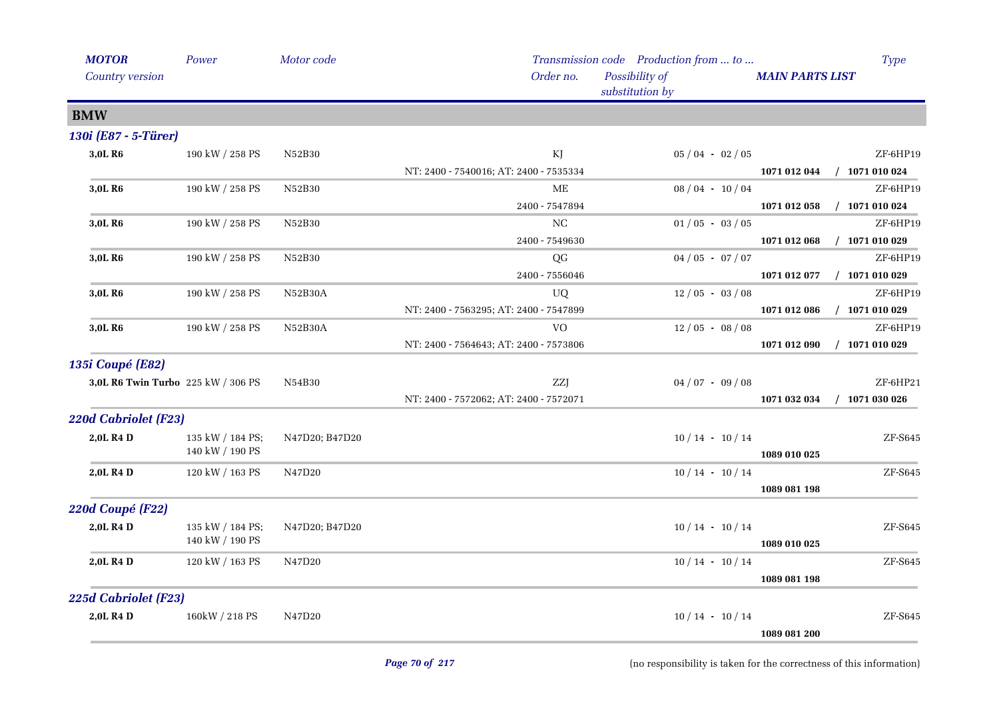| <b>MOTOR</b>                | Power                              | Motor code     |                                        | Transmission code Production from  to |                        | <b>Type</b>      |
|-----------------------------|------------------------------------|----------------|----------------------------------------|---------------------------------------|------------------------|------------------|
| Country version             |                                    |                | Order no.                              | Possibility of<br>substitution by     | <b>MAIN PARTS LIST</b> |                  |
| <b>BMW</b>                  |                                    |                |                                        |                                       |                        |                  |
| 130i (E87 - 5-Türer)        |                                    |                |                                        |                                       |                        |                  |
| 3,0L R6                     | 190 kW / 258 PS                    | N52B30         | KJ                                     | $05/04 - 02/05$                       |                        | ZF-6HP19         |
|                             |                                    |                | NT: 2400 - 7540016; AT: 2400 - 7535334 |                                       | 1071 012 044           | $/$ 1071 010 024 |
| 3,0L R6                     | 190 kW / 258 PS                    | N52B30         | ME                                     | $08/04 - 10/04$                       |                        | ZF-6HP19         |
|                             |                                    |                | 2400 - 7547894                         |                                       | 1071 012 058           | $/$ 1071 010 024 |
| 3,0L R <sub>6</sub>         | 190 kW / 258 PS                    | N52B30         | $_{\rm NC}$                            | $01/05 - 03/05$                       |                        | ZF-6HP19         |
|                             |                                    |                | 2400 - 7549630                         |                                       | 1071 012 068           | $/$ 1071 010 029 |
| 3,0L R <sub>6</sub>         | 190 kW / 258 PS                    | N52B30         | QG                                     | $04/05 - 07/07$                       |                        | ZF-6HP19         |
|                             |                                    |                | 2400 - 7556046                         |                                       | 1071 012 077           | $/$ 1071 010 029 |
| 3,0L R6                     | 190 kW / 258 PS                    | N52B30A        | UQ                                     | $12/05 - 03/08$                       |                        | ZF-6HP19         |
|                             |                                    |                | NT: 2400 - 7563295; AT: 2400 - 7547899 |                                       | 1071 012 086           | $/$ 1071 010 029 |
| 3,0L R <sub>6</sub>         | 190 kW / 258 PS                    | N52B30A        | <b>VO</b>                              | $12/05 - 08/08$                       |                        | ZF-6HP19         |
|                             |                                    |                | NT: 2400 - 7564643; AT: 2400 - 7573806 |                                       | 1071 012 090           | $/$ 1071 010 029 |
| <b>135i Coupé (E82)</b>     |                                    |                |                                        |                                       |                        |                  |
|                             | 3,0L R6 Twin Turbo 225 kW / 306 PS | N54B30         | ZZJ                                    | $04/07 - 09/08$                       |                        | ZF-6HP21         |
|                             |                                    |                | NT: 2400 - 7572062; AT: 2400 - 7572071 |                                       | 1071 032 034           | $/$ 1071 030 026 |
| <b>220d Cabriolet (F23)</b> |                                    |                |                                        |                                       |                        |                  |
| 2,0L R4 D                   | 135 kW / 184 PS;                   | N47D20; B47D20 |                                        | $10/14 - 10/14$                       |                        | ZF-S645          |
|                             | 140 kW / 190 PS                    |                |                                        |                                       | 1089 010 025           |                  |
| 2,0L R4 D                   | 120 kW / 163 PS                    | N47D20         |                                        | $10/14 - 10/14$                       |                        | ZF-S645          |
|                             |                                    |                |                                        |                                       | 1089 081 198           |                  |
| 220d Coupé (F22)            |                                    |                |                                        |                                       |                        |                  |
| 2,0L R4 D                   | 135 kW / 184 PS;                   | N47D20; B47D20 |                                        | $10/14 - 10/14$                       |                        | ZF-S645          |
|                             | 140 kW / 190 PS                    |                |                                        |                                       | 1089 010 025           |                  |
| 2,0L R4 D                   | 120 kW / 163 PS                    | N47D20         |                                        | $10/14 - 10/14$                       |                        | ZF-S645          |
|                             |                                    |                |                                        |                                       | 1089 081 198           |                  |
| 225d Cabriolet (F23)        |                                    |                |                                        |                                       |                        |                  |
| 2,0L R4 D                   | 160kW / 218 PS                     | N47D20         |                                        | $10/14 - 10/14$                       |                        | ZF-S645          |
|                             |                                    |                |                                        |                                       | 1089 081 200           |                  |

(no responsibility is taken for the correctness of this information)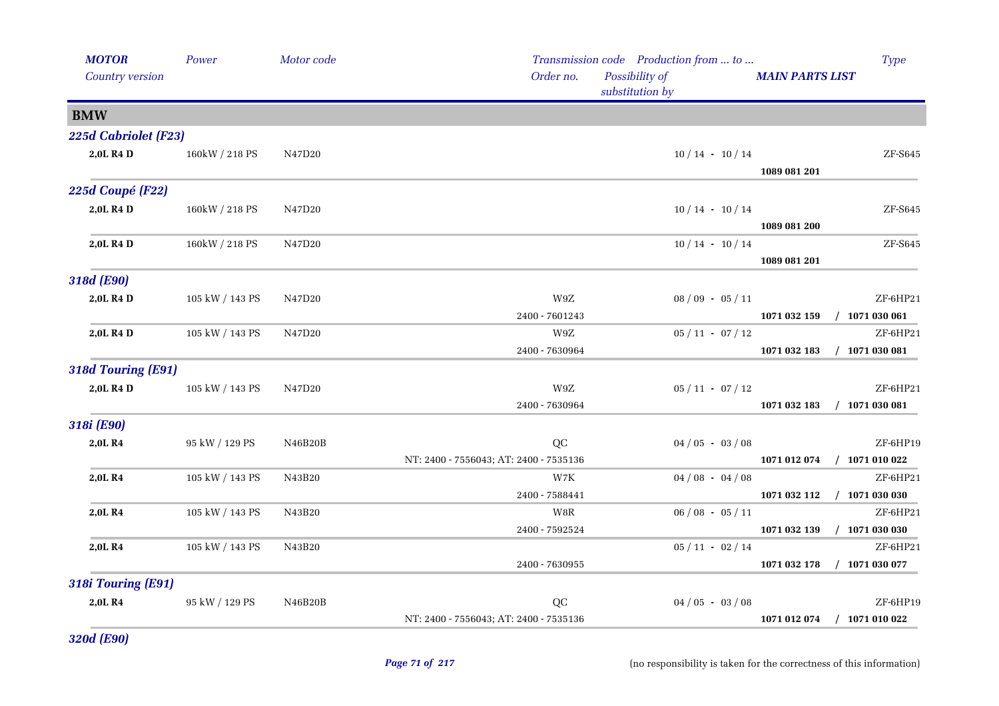| <b>MOTOR</b><br>Country version | Power                | Motor code | Order no.                                    | Transmission code Production from  to<br>Possibility of<br>substitution by | <b>MAIN PARTS LIST</b>      | <b>Type</b>                  |
|---------------------------------|----------------------|------------|----------------------------------------------|----------------------------------------------------------------------------|-----------------------------|------------------------------|
| <b>BMW</b>                      |                      |            |                                              |                                                                            |                             |                              |
| 225d Cabriolet (F23)            |                      |            |                                              |                                                                            |                             |                              |
| 2,0L R4 D                       | 160kW / 218 PS       | N47D20     |                                              | $10/14 - 10/14$                                                            | 1089 081 201                | ZF-S645                      |
| 225d Coupé (F22)                |                      |            |                                              |                                                                            |                             |                              |
| 2,0L R4 D                       | 160kW / 218 PS       | N47D20     |                                              | $10/14 - 10/14$                                                            | 1089 081 200                | ZF-S645                      |
| 2,0L R4 D                       | 160kW / 218 PS       | N47D20     |                                              | $10/14 - 10/14$                                                            | 1089 081 201                | ZF-S645                      |
| 318d (E90)                      |                      |            |                                              |                                                                            |                             |                              |
| 2,0L R4 D                       | 105 kW / 143 PS      | N47D20     | W9Z<br>2400 - 7601243                        | $08/09 - 05/11$                                                            | 1071 032 159                | ZF-6HP21<br>$/$ 1071 030 061 |
| 2,0L R4 D                       | 105 kW / 143 PS      | N47D20     | W9Z<br>2400 - 7630964                        | $05 / 11 - 07 / 12$                                                        | 1071 032 183                | ZF-6HP21<br>$/$ 1071 030 081 |
| 318d Touring (E91)              |                      |            |                                              |                                                                            |                             |                              |
| 2,0L R4 D                       | 105 kW / 143 PS      | N47D20     | W9Z<br>2400 - 7630964                        | $05 / 11 - 07 / 12$                                                        | 1071 032 183                | ZF-6HP21<br>$/$ 1071 030 081 |
| 318i (E90)                      |                      |            |                                              |                                                                            |                             |                              |
| 2,0LR4                          | $95$ kW $\!/$ 129 PS | N46B20B    | QC<br>NT: 2400 - 7556043; AT: 2400 - 7535136 | $04/05 - 03/08$                                                            | 1071 012 074                | ZF-6HP19<br>$/$ 1071 010 022 |
| 2,0LR4                          | 105 kW / 143 PS      | N43B20     | $_{\rm W2K}$<br>2400 - 7588441               | $04/08 - 04/08$                                                            | 1071 032 112                | ZF-6HP21<br>$/$ 1071 030 030 |
| 2,0L R4                         | 105 kW / 143 PS      | N43B20     | W8R<br>2400 - 7592524                        | $06/08 - 05/11$                                                            | 1071 032 139                | ZF-6HP21<br>$/$ 1071 030 030 |
| 2,0LR4                          | 105 kW / 143 PS      | N43B20     | 2400 - 7630955                               | $05 / 11 - 02 / 14$                                                        | 1071 032 178                | ZF-6HP21<br>$/$ 1071 030 077 |
| 318i Touring (E91)              |                      |            |                                              |                                                                            |                             |                              |
| 2,0LR4                          | 95 kW / 129 PS       | N46B20B    | QC<br>NT: 2400 - 7556043; AT: 2400 - 7535136 | $04/05 - 03/08$                                                            | 1071 012 074 / 1071 010 022 | ZF-6HP19                     |

*320d (E90)*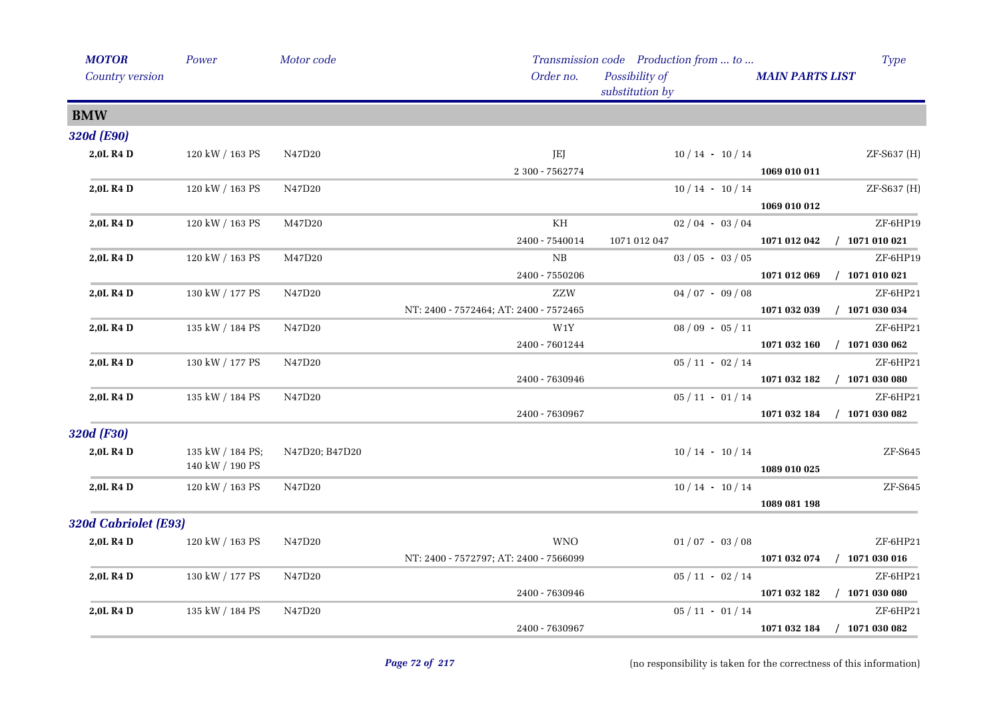| <b>MOTOR</b>         | Power            | Motor code     |                                        | Transmission code Production from  to | <b>Type</b>                                   |
|----------------------|------------------|----------------|----------------------------------------|---------------------------------------|-----------------------------------------------|
| Country version      |                  |                | Order no.                              | Possibility of<br>substitution by     | <b>MAIN PARTS LIST</b>                        |
| <b>BMW</b>           |                  |                |                                        |                                       |                                               |
| 320d (E90)           |                  |                |                                        |                                       |                                               |
| 2,0L R4 D            | 120 kW / 163 PS  | N47D20         | JEJ                                    | $10/14 - 10/14$                       | ZF-S637 (H)                                   |
|                      |                  |                | 2 300 - 7562774                        |                                       | 1069 010 011                                  |
| 2,0L R4 D            | 120 kW / 163 PS  | N47D20         |                                        | $10/14 - 10/14$                       | ZF-S637 (H)                                   |
|                      |                  |                |                                        |                                       | 1069 010 012                                  |
| 2,0L R4 D            | 120 kW / 163 PS  | M47D20         | KH                                     | $02/04 - 03/04$                       | ZF-6HP19                                      |
|                      |                  |                | 2400 - 7540014                         | 1071 012 047                          | 1071 012 042 / 1071 010 021                   |
| 2,0L R4 D            | 120 kW / 163 PS  | M47D20         | NB                                     | $03/05 - 03/05$                       | ZF-6HP19                                      |
|                      |                  |                | 2400 - 7550206                         |                                       | 1071 012 069 / 1071 010 021                   |
| 2,0L R4 D            | 130 kW / 177 PS  | N47D20         | ZZW                                    | $04/07 - 09/08$                       | ZF-6HP21                                      |
|                      |                  |                | NT: 2400 - 7572464; AT: 2400 - 7572465 |                                       | 1071 032 039 / 1071 030 034                   |
| 2,0L R4 D            | 135 kW / 184 PS  | N47D20         | W1Y                                    | $08/09 - 05/11$                       | ZF-6HP21                                      |
|                      |                  |                | 2400 - 7601244                         |                                       | 1071 032 160 / 1071 030 062                   |
| 2,0L R4 D            | 130 kW / 177 PS  | N47D20         |                                        | $05/11 - 02/14$                       | ZF-6HP21                                      |
|                      |                  |                | 2400 - 7630946                         |                                       | $1071\ 032\ 182 \quad / \quad 1071\ 030\ 080$ |
| 2,0L R4 D            | 135 kW / 184 PS  | N47D20         |                                        | $05/11 - 01/14$                       | ZF-6HP21                                      |
|                      |                  |                | 2400 - 7630967                         |                                       | 1071 032 184 / 1071 030 082                   |
| 320d (F30)           |                  |                |                                        |                                       |                                               |
| 2,0L R4 D            | 135 kW / 184 PS; | N47D20; B47D20 |                                        | $10/14 - 10/14$                       | ZF-S645                                       |
|                      | 140 kW / 190 PS  |                |                                        |                                       | 1089 010 025                                  |
| 2,0L R4 D            | 120 kW / 163 PS  | N47D20         |                                        | $10/14 - 10/14$                       | ZF-S645                                       |
|                      |                  |                |                                        |                                       | 1089 081 198                                  |
| 320d Cabriolet (E93) |                  |                |                                        |                                       |                                               |
| 2,0L R4 D            | 120 kW / 163 PS  | N47D20         | <b>WNO</b>                             | $01/07 - 03/08$                       | ZF-6HP21                                      |
|                      |                  |                | NT: 2400 - 7572797; AT: 2400 - 7566099 |                                       | 1071 032 074 / 1071 030 016                   |
| 2,0L R4 D            | 130 kW / 177 PS  | N47D20         |                                        | $05/11 - 02/14$                       | ZF-6HP21                                      |
|                      |                  |                | 2400 - 7630946                         |                                       | 1071 032 182 / 1071 030 080                   |
| 2,0L R4 D            | 135 kW / 184 PS  | N47D20         |                                        | $05/11 - 01/14$                       | ZF-6HP21                                      |
|                      |                  |                | 2400 - 7630967                         |                                       | 1071 032 184 / 1071 030 082                   |
|                      |                  |                |                                        |                                       |                                               |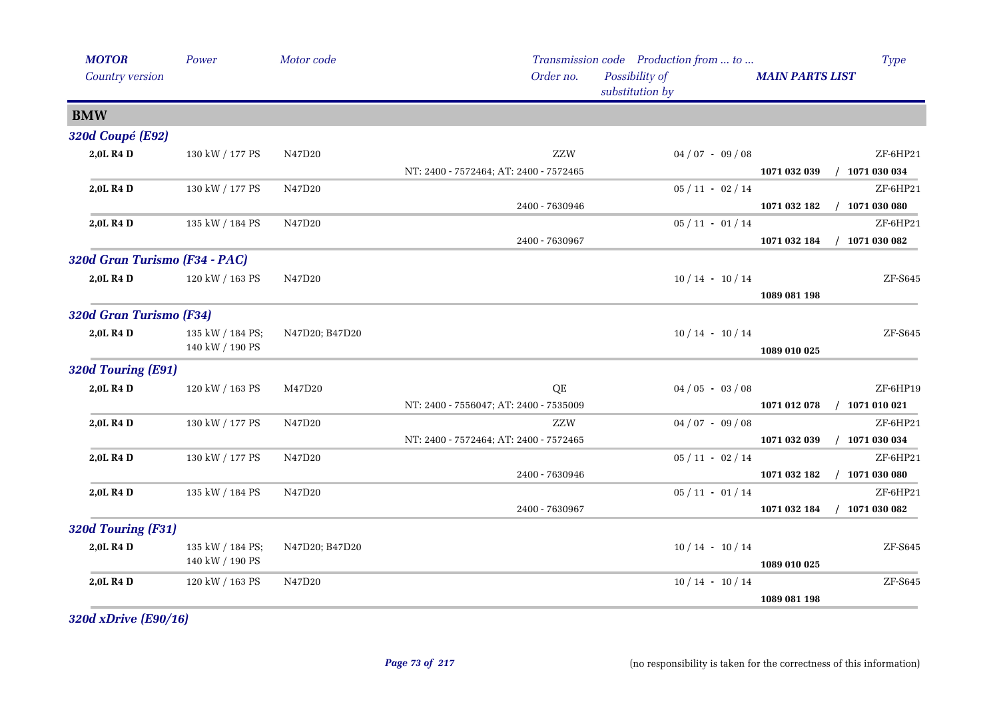| <b>MOTOR</b>                  | Power            | Motor code     |                                        | Transmission code Production from  to |                        | <b>Type</b>      |
|-------------------------------|------------------|----------------|----------------------------------------|---------------------------------------|------------------------|------------------|
| Country version               |                  |                | Order no.                              | Possibility of<br>substitution by     | <b>MAIN PARTS LIST</b> |                  |
| <b>BMW</b>                    |                  |                |                                        |                                       |                        |                  |
| 320d Coupé (E92)              |                  |                |                                        |                                       |                        |                  |
| 2,0L R4 D                     | 130 kW / 177 PS  | N47D20         | ZZW                                    | $04/07 - 09/08$                       |                        | ZF-6HP21         |
|                               |                  |                | NT: 2400 - 7572464; AT: 2400 - 7572465 |                                       | 1071 032 039           | $/$ 1071 030 034 |
| 2,0L R4 D                     | 130 kW / 177 PS  | N47D20         |                                        | $05/11 - 02/14$                       |                        | ZF-6HP21         |
|                               |                  |                | 2400 - 7630946                         |                                       | 1071 032 182           | $/$ 1071 030 080 |
| 2,0L R4 D                     | 135 kW / 184 PS  | N47D20         |                                        | $05 / 11 - 01 / 14$                   |                        | ZF-6HP21         |
|                               |                  |                | 2400 - 7630967                         |                                       | 1071 032 184           | $/$ 1071 030 082 |
| 320d Gran Turismo (F34 - PAC) |                  |                |                                        |                                       |                        |                  |
| 2,0L R4 D                     | 120 kW / 163 PS  | N47D20         |                                        | $10/14 - 10/14$                       |                        | ZF-S645          |
|                               |                  |                |                                        |                                       | 1089 081 198           |                  |
| 320d Gran Turismo (F34)       |                  |                |                                        |                                       |                        |                  |
| 2,0L R4 D                     | 135 kW / 184 PS; | N47D20; B47D20 |                                        | $10/14 - 10/14$                       |                        | ZF-S645          |
|                               | 140 kW / 190 PS  |                |                                        |                                       | 1089 010 025           |                  |
| 320d Touring (E91)            |                  |                |                                        |                                       |                        |                  |
| 2,0L R4 D                     | 120 kW / 163 PS  | M47D20         | QE                                     | $04/05 - 03/08$                       |                        | ZF-6HP19         |
|                               |                  |                | NT: 2400 - 7556047; AT: 2400 - 7535009 |                                       | 1071 012 078           | $/$ 1071 010 021 |
| 2,0L R4 D                     | 130 kW / 177 PS  | N47D20         | ZZW                                    | $04/07 - 09/08$                       |                        | ZF-6HP21         |
|                               |                  |                | NT: 2400 - 7572464; AT: 2400 - 7572465 |                                       | 1071 032 039           | $/$ 1071 030 034 |
| 2,0L R4 D                     | 130 kW / 177 PS  | N47D20         |                                        | $05 / 11 - 02 / 14$                   |                        | ZF-6HP21         |
|                               |                  |                | 2400 - 7630946                         |                                       | 1071 032 182           | $/$ 1071 030 080 |
| 2,0L R4 D                     | 135 kW / 184 PS  | N47D20         |                                        | $05 / 11 - 01 / 14$                   |                        | ZF-6HP21         |
|                               |                  |                | 2400 - 7630967                         |                                       | 1071 032 184           | $/$ 1071 030 082 |
| 320d Touring (F31)            |                  |                |                                        |                                       |                        |                  |
| 2,0L R4 D                     | 135 kW / 184 PS; | N47D20; B47D20 |                                        | $10/14 - 10/14$                       |                        | ZF-S645          |
|                               | 140 kW / 190 PS  |                |                                        |                                       | 1089 010 025           |                  |
| 2,0L R4 D                     | 120 kW / 163 PS  | N47D20         |                                        | $10/14 - 10/14$                       |                        | ZF-S645          |
|                               |                  |                |                                        |                                       | 1089 081 198           |                  |
|                               |                  |                |                                        |                                       |                        |                  |

*320d xDrive (E90/16)*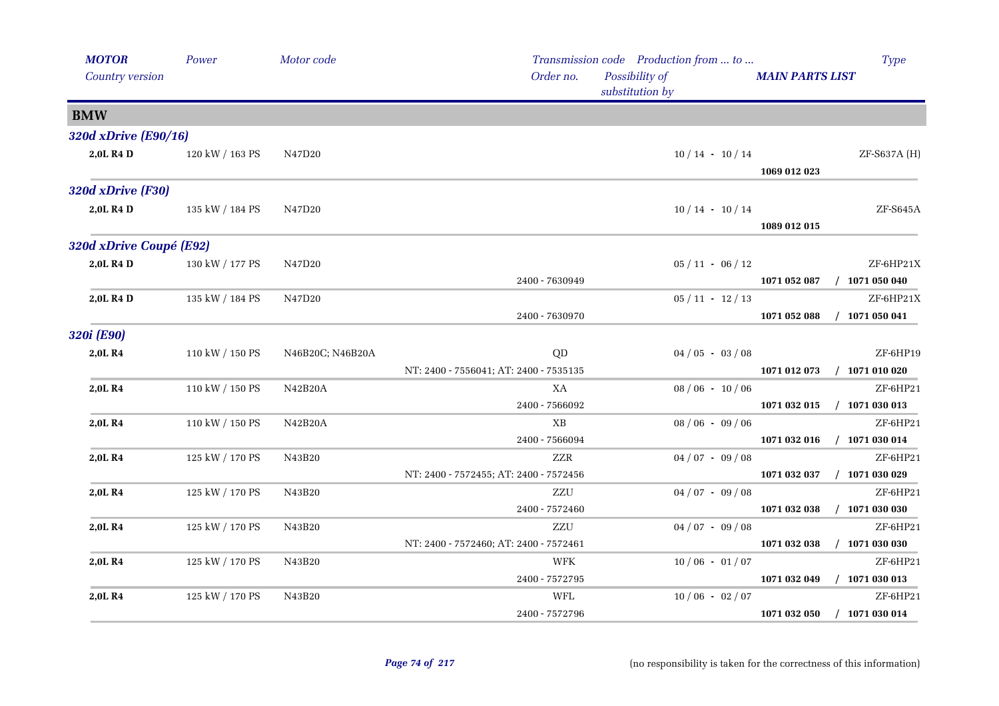| <b>MOTOR</b><br>Country version | Power           | Motor code       | Order no.                              | Transmission code Production from  to<br>Possibility of<br>substitution by | <b>Type</b><br><b>MAIN PARTS LIST</b>         |
|---------------------------------|-----------------|------------------|----------------------------------------|----------------------------------------------------------------------------|-----------------------------------------------|
| <b>BMW</b>                      |                 |                  |                                        |                                                                            |                                               |
| 320d xDrive (E90/16)            |                 |                  |                                        |                                                                            |                                               |
| 2,0L R4 D                       | 120 kW / 163 PS | N47D20           |                                        | $10/14 - 10/14$                                                            | ZF-S637A (H)<br>1069 012 023                  |
| 320d xDrive (F30)               |                 |                  |                                        |                                                                            |                                               |
| 2,0L R4 D                       | 135 kW / 184 PS | N47D20           |                                        | $10/14 - 10/14$                                                            | ZF-S645A<br>1089 012 015                      |
| 320d xDrive Coupé (E92)         |                 |                  |                                        |                                                                            |                                               |
| 2,0L R4 D                       | 130 kW / 177 PS | N47D20           | 2400 - 7630949                         | $05 / 11 - 06 / 12$                                                        | ZF-6HP21X<br>$/$ 1071 050 040<br>1071 052 087 |
| 2,0L R4 D                       | 135 kW / 184 PS | N47D20           |                                        | $05 / 11 - 12 / 13$                                                        | ZF-6HP21X                                     |
|                                 |                 |                  | 2400 - 7630970                         |                                                                            | 1071 052 088<br>$/$ 1071 050 041              |
| 320i (E90)                      |                 |                  |                                        |                                                                            |                                               |
| 2,0L R4                         | 110 kW / 150 PS | N46B20C; N46B20A | QD                                     | $04/05 - 03/08$                                                            | ZF-6HP19                                      |
|                                 |                 |                  | NT: 2400 - 7556041; AT: 2400 - 7535135 |                                                                            | $/$ 1071 010 020<br>1071 012 073              |
| 2,0L R4                         | 110 kW / 150 PS | <b>N42B20A</b>   | XA                                     | $08/06 - 10/06$                                                            | ZF-6HP21                                      |
|                                 |                 |                  | 2400 - 7566092                         |                                                                            | 1071 032 015<br>$/$ 1071 030 013              |
| 2,0LR4                          | 110 kW / 150 PS | N42B20A          | XB                                     | $08/06 - 09/06$                                                            | ZF-6HP21                                      |
|                                 |                 |                  | 2400 - 7566094                         |                                                                            | $/$ 1071 030 014<br>1071 032 016              |
| 2,0L R4                         | 125 kW / 170 PS | N43B20           | <b>ZZR</b>                             | $04/07 - 09/08$                                                            | ZF-6HP21                                      |
|                                 |                 |                  | NT: 2400 - 7572455; AT: 2400 - 7572456 |                                                                            | $/$ 1071 030 029<br>1071 032 037              |
| 2,0LR4                          | 125 kW / 170 PS | N43B20           | ZZU                                    | $04/07 - 09/08$                                                            | ZF-6HP21                                      |
|                                 |                 |                  | 2400 - 7572460                         |                                                                            | $/$ 1071 030 030<br>1071 032 038              |
| 2,0L R4                         | 125 kW / 170 PS | N43B20           | ZZU                                    | $04/07 - 09/08$                                                            | ZF-6HP21                                      |
|                                 |                 |                  | NT: 2400 - 7572460; AT: 2400 - 7572461 |                                                                            | $/$ 1071 030 030<br>1071 032 038              |
| 2,0L R4                         | 125 kW / 170 PS | N43B20           | WFK                                    | $10/06 - 01/07$                                                            | ZF-6HP21                                      |
|                                 |                 |                  | 2400 - 7572795                         |                                                                            | $/$ 1071 030 013<br>1071 032 049              |
| 2,0LR4                          | 125 kW / 170 PS | N43B20           | WFL                                    | $10/06 - 02/07$                                                            | ZF-6HP21                                      |
|                                 |                 |                  | 2400 - 7572796                         |                                                                            | $/$ 1071 030 014<br>1071 032 050              |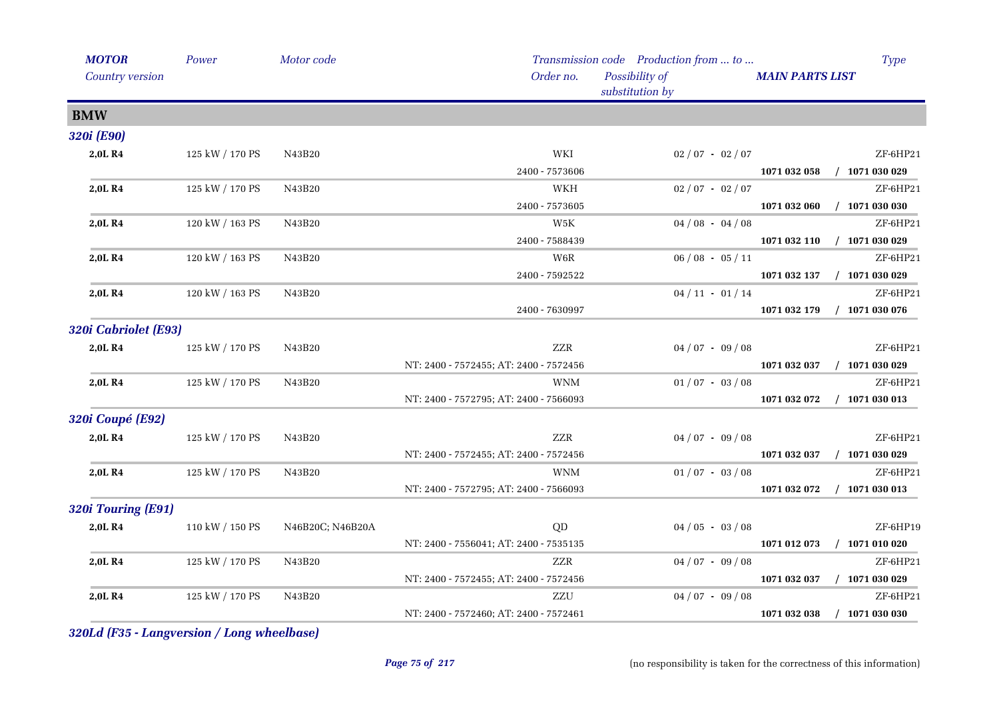| <b>MOTOR</b>            | Power           | Motor code       |                                        | Transmission code Production from  to |                        | <b>Type</b>                 |
|-------------------------|-----------------|------------------|----------------------------------------|---------------------------------------|------------------------|-----------------------------|
| Country version         |                 |                  | Order no.                              | Possibility of<br>substitution by     | <b>MAIN PARTS LIST</b> |                             |
| <b>BMW</b>              |                 |                  |                                        |                                       |                        |                             |
| 320i (E90)              |                 |                  |                                        |                                       |                        |                             |
| 2,0LR4                  | 125 kW / 170 PS | N43B20           | WKI                                    | $02/07 - 02/07$                       |                        | ZF-6HP21                    |
|                         |                 |                  | 2400 - 7573606                         |                                       |                        | 1071 032 058 / 1071 030 029 |
| 2,0L R4                 | 125 kW / 170 PS | N43B20           | WKH                                    | $02/07 - 02/07$                       |                        | ZF-6HP21                    |
|                         |                 |                  | 2400 - 7573605                         |                                       |                        | 1071 032 060 / 1071 030 030 |
| 2,0LR4                  | 120 kW / 163 PS | N43B20           | W5K                                    | $04/08 - 04/08$                       |                        | ZF-6HP21                    |
|                         |                 |                  | 2400 - 7588439                         |                                       | 1071 032 110           | $/$ 1071 030 029            |
| 2,0LR4                  | 120 kW / 163 PS | N43B20           | W6R                                    | $06/08 - 05/11$                       |                        | ZF-6HP21                    |
|                         |                 |                  | 2400 - 7592522                         |                                       |                        | 1071 032 137 / 1071 030 029 |
| 2,0L R4                 | 120 kW / 163 PS | N43B20           |                                        | $04/11 - 01/14$                       |                        | ZF-6HP21                    |
|                         |                 |                  | 2400 - 7630997                         |                                       | 1071 032 179           | $/$ 1071 030 076            |
| 320i Cabriolet (E93)    |                 |                  |                                        |                                       |                        |                             |
| 2,0L R4                 | 125 kW / 170 PS | N43B20           | ZZR                                    | $04/07 - 09/08$                       |                        | ZF-6HP21                    |
|                         |                 |                  | NT: 2400 - 7572455; AT: 2400 - 7572456 |                                       | 1071 032 037           | $/$ 1071 030 029            |
| 2,0LR4                  | 125 kW / 170 PS | N43B20           | <b>WNM</b>                             | $01/07 - 03/08$                       |                        | ZF-6HP21                    |
|                         |                 |                  | NT: 2400 - 7572795; AT: 2400 - 7566093 |                                       | 1071 032 072           | $/$ 1071 030 013            |
| <b>320i Coupé (E92)</b> |                 |                  |                                        |                                       |                        |                             |
| 2,0LR4                  | 125 kW / 170 PS | N43B20           | ZZR                                    | $04/07 - 09/08$                       |                        | ZF-6HP21                    |
|                         |                 |                  | NT: 2400 - 7572455; AT: 2400 - 7572456 |                                       | 1071 032 037           | $/$ 1071 030 029            |
| 2,0L R4                 | 125 kW / 170 PS | N43B20           | <b>WNM</b>                             | $01/07 - 03/08$                       |                        | ZF-6HP21                    |
|                         |                 |                  | NT: 2400 - 7572795; AT: 2400 - 7566093 |                                       | 1071 032 072           | $/$ 1071 030 013            |
| 320i Touring (E91)      |                 |                  |                                        |                                       |                        |                             |
| 2,0L R4                 | 110 kW / 150 PS | N46B20C; N46B20A | QD                                     | $04/05 - 03/08$                       |                        | ZF-6HP19                    |
|                         |                 |                  | NT: 2400 - 7556041; AT: 2400 - 7535135 |                                       | 1071 012 073           | $/$ 1071 010 020            |
| 2,0L R4                 | 125 kW / 170 PS | N43B20           | ZZR                                    | $04/07 - 09/08$                       |                        | ZF-6HP21                    |
|                         |                 |                  | NT: 2400 - 7572455; AT: 2400 - 7572456 |                                       | 1071 032 037           | $/$ 1071 030 029            |
| 2,0L R4                 | 125 kW / 170 PS | N43B20           | ZZU                                    | $04/07 - 09/08$                       |                        | ZF-6HP21                    |
|                         |                 |                  | NT: 2400 - 7572460; AT: 2400 - 7572461 |                                       | 1071 032 038           | $/$ 1071 030 030            |
|                         |                 |                  |                                        |                                       |                        |                             |

*320Ld (F35 - Langversion / Long wheelbase)*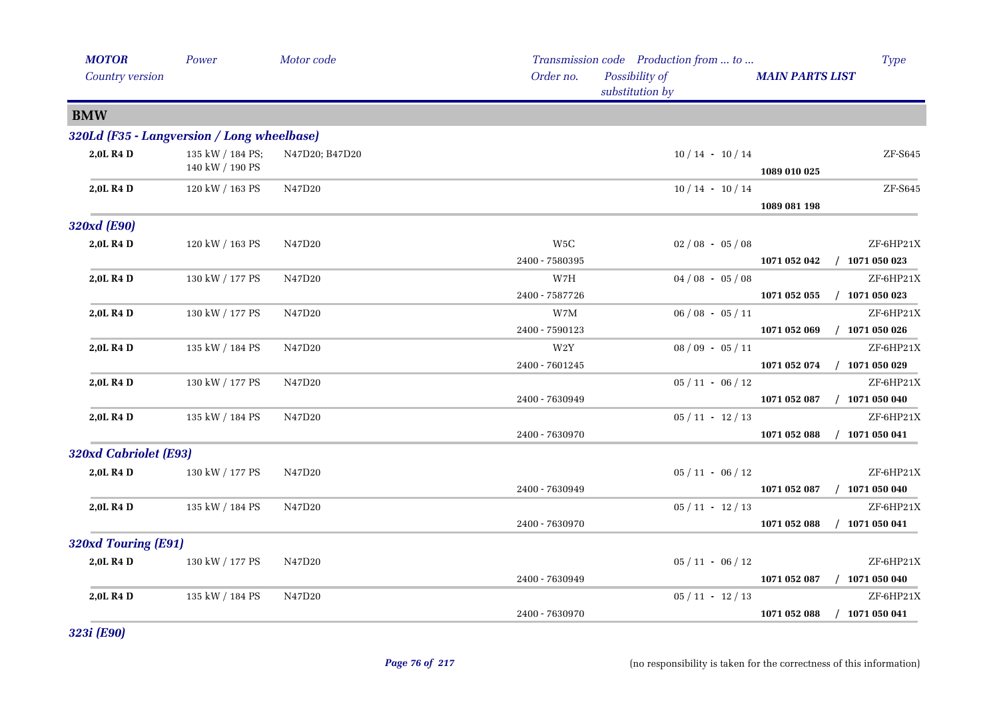| <b>MOTOR</b>                               | Power                               | Motor code     |                                    | Transmission code Production from  to |                        | <b>Type</b>                   |
|--------------------------------------------|-------------------------------------|----------------|------------------------------------|---------------------------------------|------------------------|-------------------------------|
| Country version                            |                                     |                | Order no.                          | Possibility of<br>substitution by     | <b>MAIN PARTS LIST</b> |                               |
| <b>BMW</b>                                 |                                     |                |                                    |                                       |                        |                               |
| 320Ld (F35 - Langversion / Long wheelbase) |                                     |                |                                    |                                       |                        |                               |
| 2,0L R4 D                                  | 135 kW / 184 PS;<br>140 kW / 190 PS | N47D20; B47D20 |                                    | $10/14 - 10/14$                       | 1089 010 025           | ${\rm ZF}\text{-}{\rm S645}$  |
| 2,0L R4 D                                  | 120 kW / 163 PS                     | N47D20         |                                    | $10/14 - 10/14$                       | 1089 081 198           | ZF-S645                       |
| 320xd (E90)                                |                                     |                |                                    |                                       |                        |                               |
| 2,0L R4 D                                  | 120 kW / 163 PS                     | N47D20         | W <sub>5</sub> C<br>2400 - 7580395 | $02/08 - 05/08$                       | 1071 052 042           | ZF-6HP21X<br>$/$ 1071 050 023 |
| 2,0L R4 D                                  | 130 kW / 177 PS                     | N47D20         | W7H                                | $04/08 - 05/08$                       |                        | ZF-6HP21X                     |
|                                            |                                     |                | 2400 - 7587726                     |                                       | 1071 052 055           | $/$ 1071 050 023              |
| 2,0L R4 D                                  | 130 kW / 177 PS                     | N47D20         | W7M                                | $06/08 - 05/11$                       |                        | ZF-6HP21X                     |
|                                            |                                     |                | 2400 - 7590123                     |                                       | 1071 052 069           | $/$ 1071 050 026              |
| 2,0L R4 D                                  | 135 kW / 184 PS                     | N47D20         | W2Y                                | $08/09 - 05/11$                       |                        | ZF-6HP21X                     |
|                                            |                                     |                | 2400 - 7601245                     |                                       | 1071 052 074           | $/$ 1071 050 029              |
| 2,0L R4 D                                  | 130 kW / 177 PS                     | N47D20         |                                    | $05 / 11 - 06 / 12$                   |                        | ZF-6HP21X                     |
|                                            |                                     |                | 2400 - 7630949                     |                                       | 1071 052 087           | $/$ 1071 050 040              |
| 2,0L R4 D                                  | 135 kW / 184 PS                     | N47D20         |                                    | $05/11 - 12/13$                       |                        | ZF-6HP21X                     |
|                                            |                                     |                | 2400 - 7630970                     |                                       | 1071 052 088           | $/$ 1071 050 041              |
| 320xd Cabriolet (E93)                      |                                     |                |                                    |                                       |                        |                               |
| 2,0L R4 D                                  | 130 kW / 177 PS                     | N47D20         |                                    | $05 / 11 - 06 / 12$                   |                        | ZF-6HP21X                     |
|                                            |                                     |                | 2400 - 7630949                     |                                       | 1071 052 087           | $/$ 1071 050 040              |
| 2,0L R4 D                                  | 135 kW / 184 PS                     | N47D20         |                                    | $05/11 - 12/13$                       |                        | ZF-6HP21X                     |
|                                            |                                     |                | 2400 - 7630970                     |                                       | 1071 052 088           | $/$ 1071 050 041              |
| 320xd Touring (E91)                        |                                     |                |                                    |                                       |                        |                               |
| 2,0L R4 D                                  | 130 kW / 177 PS                     | N47D20         |                                    | $05/11 - 06/12$                       |                        | ZF-6HP21X                     |
|                                            |                                     |                | 2400 - 7630949                     |                                       | 1071 052 087           | $/$ 1071 050 040              |
| 2,0L R4 D                                  | 135 kW / 184 PS                     | N47D20         |                                    | $05/11 - 12/13$                       |                        | ZF-6HP21X                     |
|                                            |                                     |                | 2400 - 7630970                     |                                       | 1071 052 088           | $/$ 1071 050 041              |

*323i (E90)*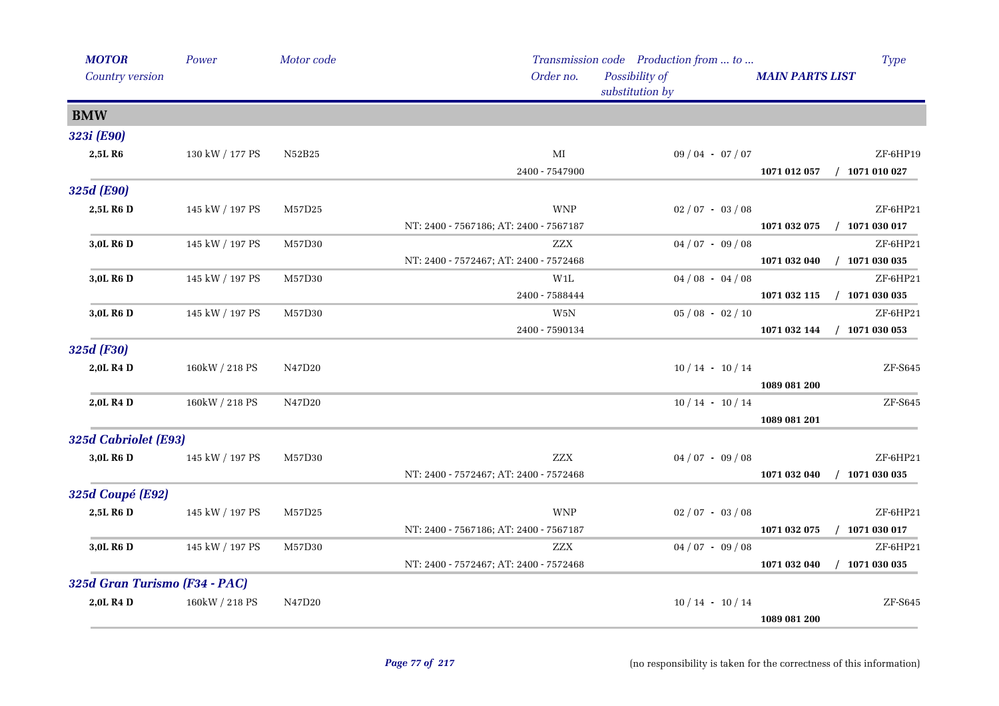| <b>MOTOR</b>                  | Power           | Motor code   |                                        | Transmission code Production from  to |                        | <b>Type</b>                  |
|-------------------------------|-----------------|--------------|----------------------------------------|---------------------------------------|------------------------|------------------------------|
| Country version               |                 |              | Order no.                              | Possibility of<br>substitution by     | <b>MAIN PARTS LIST</b> |                              |
| <b>BMW</b>                    |                 |              |                                        |                                       |                        |                              |
| 323i (E90)                    |                 |              |                                        |                                       |                        |                              |
| 2,5LR6                        | 130 kW / 177 PS | N52B25       | MI                                     | $09/04 - 07/07$                       |                        | ZF-6HP19                     |
|                               |                 |              | 2400 - 7547900                         |                                       | 1071 012 057           | $/$ 1071 010 027             |
| 325d (E90)                    |                 |              |                                        |                                       |                        |                              |
| 2,5L R6 D                     | 145 kW / 197 PS | $\rm M57D25$ | <b>WNP</b>                             | $02/07 - 03/08$                       |                        | ZF-6HP21                     |
|                               |                 |              | NT: 2400 - 7567186; AT: 2400 - 7567187 |                                       | 1071 032 075           | $/$ 1071 030 017             |
| 3,0L R <sub>6</sub> D         | 145 kW / 197 PS | M57D30       | <b>ZZX</b>                             | $04/07 - 09/08$                       |                        | ZF-6HP21                     |
|                               |                 |              | NT: 2400 - 7572467; AT: 2400 - 7572468 |                                       | 1071 032 040           | $/$ 1071 030 035             |
| 3,0L R <sub>6</sub> D         | 145 kW / 197 PS | M57D30       | W1L                                    | $04/08 - 04/08$                       |                        | ZF-6HP21                     |
|                               |                 |              | 2400 - 7588444                         |                                       | 1071 032 115           | $/$ 1071 030 035             |
| 3,0L R <sub>6</sub> D         | 145 kW / 197 PS | M57D30       | W5N                                    | $05/08 - 02/10$                       |                        | ZF-6HP21                     |
|                               |                 |              | 2400 - 7590134                         |                                       | 1071 032 144           | $/$ 1071 030 053             |
| 325d (F30)                    |                 |              |                                        |                                       |                        |                              |
| 2,0L R4 D                     | 160kW / 218 PS  | N47D20       |                                        | $10/14$ · $10/14$                     |                        | ${\rm ZF}\text{-}{\rm S645}$ |
|                               |                 |              |                                        |                                       | 1089 081 200           |                              |
| 2,0L R <sub>4</sub> D         | 160kW / 218 PS  | N47D20       |                                        | $10/14 - 10/14$                       |                        | ZF-S645                      |
|                               |                 |              |                                        |                                       | 1089 081 201           |                              |
| 325d Cabriolet (E93)          |                 |              |                                        |                                       |                        |                              |
| 3,0L R6 D                     | 145 kW / 197 PS | M57D30       | <b>ZZX</b>                             | $04/07 - 09/08$                       |                        | ZF-6HP21                     |
|                               |                 |              | NT: 2400 - 7572467; AT: 2400 - 7572468 |                                       | 1071 032 040           | $/$ 1071 030 035             |
| 325d Coupé (E92)              |                 |              |                                        |                                       |                        |                              |
| 2,5L R6 D                     | 145 kW / 197 PS | M57D25       | <b>WNP</b>                             | $02/07 - 03/08$                       |                        | ZF-6HP21                     |
|                               |                 |              | NT: 2400 - 7567186; AT: 2400 - 7567187 |                                       | 1071 032 075           | $/$ 1071 030 017             |
| 3,0L R6 D                     | 145 kW / 197 PS | M57D30       | ZZX                                    | $04/07 - 09/08$                       |                        | ZF-6HP21                     |
|                               |                 |              | NT: 2400 - 7572467; AT: 2400 - 7572468 |                                       | 1071 032 040           | $/$ 1071 030 035             |
| 325d Gran Turismo (F34 - PAC) |                 |              |                                        |                                       |                        |                              |
| 2,0L R <sub>4</sub> D         | 160kW / 218 PS  | N47D20       |                                        | $10/14 - 10/14$                       |                        | ZF-S645                      |
|                               |                 |              |                                        |                                       | 1089 081 200           |                              |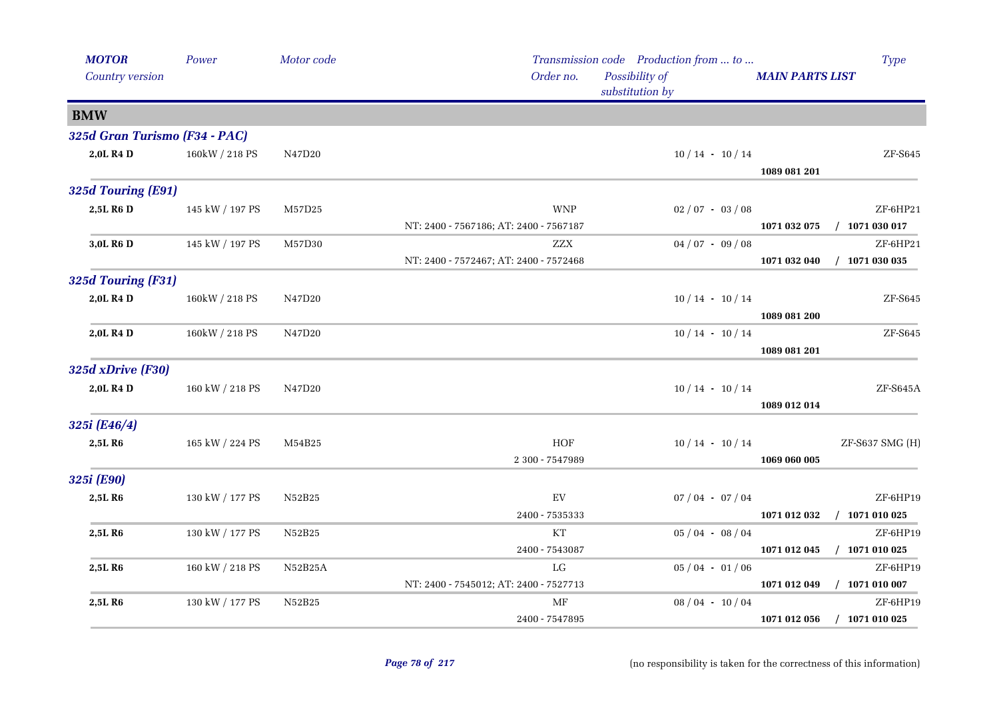| <b>MOTOR</b>                  | Power           | Motor code |                                        | Transmission code Production from  to | <b>Type</b>                      |
|-------------------------------|-----------------|------------|----------------------------------------|---------------------------------------|----------------------------------|
| Country version               |                 |            | Order no.                              | Possibility of<br>substitution by     | <b>MAIN PARTS LIST</b>           |
| <b>BMW</b>                    |                 |            |                                        |                                       |                                  |
| 325d Gran Turismo (F34 - PAC) |                 |            |                                        |                                       |                                  |
| 2,0L R <sub>4</sub> D         | 160kW / 218 PS  | N47D20     |                                        | $10/14 - 10/14$                       | ZF-S645                          |
|                               |                 |            |                                        |                                       | 1089 081 201                     |
| 325d Touring (E91)            |                 |            |                                        |                                       |                                  |
| 2,5L R6 D                     | 145 kW / 197 PS | M57D25     | <b>WNP</b>                             | $02/07 - 03/08$                       | ZF-6HP21                         |
|                               |                 |            | NT: 2400 - 7567186; AT: 2400 - 7567187 |                                       | $/$ 1071 030 017<br>1071 032 075 |
| 3,0L R6 D                     | 145 kW / 197 PS | M57D30     | <b>ZZX</b>                             | $04\; / \;07\;$ - $\;09\; / \;08$     | ZF-6HP21                         |
|                               |                 |            | NT: 2400 - 7572467; AT: 2400 - 7572468 |                                       | $/$ 1071 030 035<br>1071 032 040 |
| 325d Touring (F31)            |                 |            |                                        |                                       |                                  |
| 2,0L R4 D                     | 160kW / 218 PS  | N47D20     |                                        | $10/14 - 10/14$                       | ${\rm ZF}\text{-}{\rm S645}$     |
|                               |                 |            |                                        |                                       | 1089 081 200                     |
| 2,0L R4 D                     | 160kW / 218 PS  | N47D20     |                                        | $10/14 - 10/14$                       | ZF-S645                          |
|                               |                 |            |                                        |                                       | 1089 081 201                     |
| 325d xDrive (F30)             |                 |            |                                        |                                       |                                  |
| 2,0L R4 D                     | 160 kW / 218 PS | N47D20     |                                        | $10/14 - 10/14$                       | ZF-S645A                         |
|                               |                 |            |                                        |                                       | 1089 012 014                     |
| 325i (E46/4)                  |                 |            |                                        |                                       |                                  |
| 2,5LR6                        | 165 kW / 224 PS | M54B25     | <b>HOF</b>                             | $10/14 - 10/14$                       | ZF-S637 SMG (H)                  |
|                               |                 |            | 2 300 - 7547989                        |                                       | 1069 060 005                     |
| 325i (E90)                    |                 |            |                                        |                                       |                                  |
| 2,5LR6                        | 130 kW / 177 PS | N52B25     | $\mathop{\rm EV}\nolimits$             | $07/04 - 07/04$                       | ZF-6HP19                         |
|                               |                 |            | 2400 - 7535333                         |                                       | $/$ 1071 010 025<br>1071 012 032 |
| 2,5L R6                       | 130 kW / 177 PS | N52B25     | KT                                     | $05/04 - 08/04$                       | ZF-6HP19                         |
|                               |                 |            | 2400 - 7543087                         |                                       | $/$ 1071 010 025<br>1071 012 045 |
| 2,5L R6                       | 160 kW / 218 PS | N52B25A    | LG                                     | $05/04 - 01/06$                       | ZF-6HP19                         |
|                               |                 |            | NT: 2400 - 7545012; AT: 2400 - 7527713 |                                       | 1071 012 049<br>$/$ 1071 010 007 |
| 2,5LR6                        | 130 kW / 177 PS | N52B25     | $\operatorname{MF}$                    | $08/04 - 10/04$                       | ZF-6HP19                         |
|                               |                 |            | 2400 - 7547895                         |                                       | $/$ 1071 010 025<br>1071 012 056 |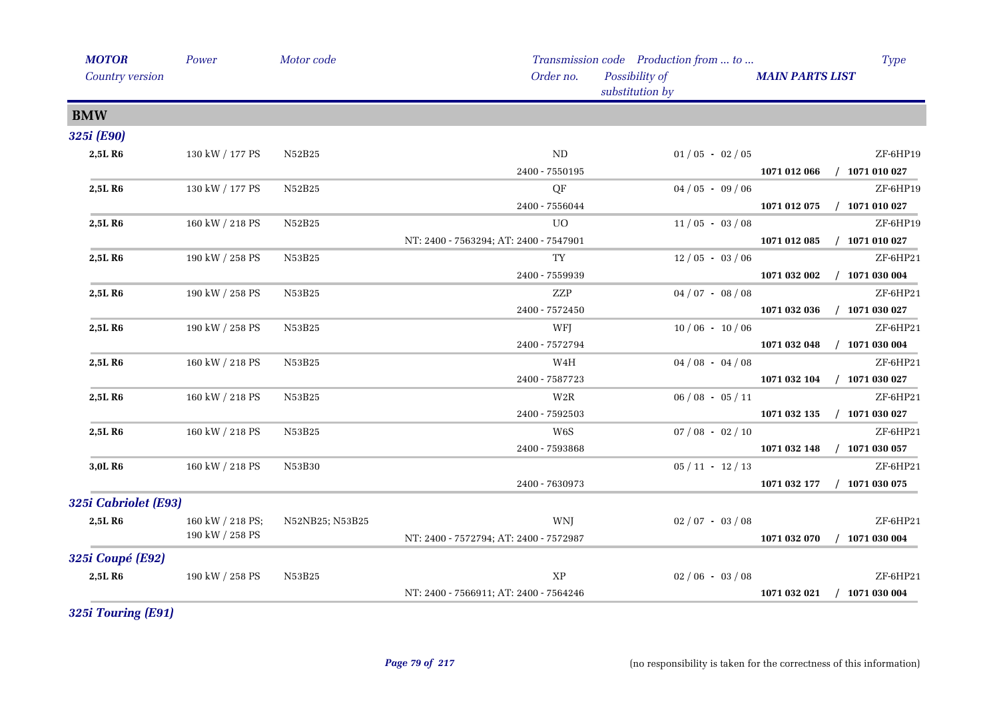| <b>MOTOR</b>            | Power            | Motor code      |                                        | Transmission code Production from  to | <b>Type</b>                      |
|-------------------------|------------------|-----------------|----------------------------------------|---------------------------------------|----------------------------------|
| Country version         |                  |                 | Order no.                              | Possibility of<br>substitution by     | <b>MAIN PARTS LIST</b>           |
| <b>BMW</b>              |                  |                 |                                        |                                       |                                  |
| 325i (E90)              |                  |                 |                                        |                                       |                                  |
| 2,5L R6                 | 130 kW / 177 PS  | N52B25          | ND                                     | $01/05 - 02/05$                       | ZF-6HP19                         |
|                         |                  |                 | 2400 - 7550195                         |                                       | $/$ 1071 010 027<br>1071 012 066 |
| 2,5L R6                 | 130 kW / 177 PS  | N52B25          | QF                                     | $04/05 - 09/06$                       | ZF-6HP19                         |
|                         |                  |                 | 2400 - 7556044                         |                                       | 1071 012 075<br>$/$ 1071 010 027 |
| 2,5L R6                 | 160 kW / 218 PS  | N52B25          | UO.                                    | $11/05 - 03/08$                       | ZF-6HP19                         |
|                         |                  |                 | NT: 2400 - 7563294; AT: 2400 - 7547901 |                                       | 1071 012 085<br>$/$ 1071 010 027 |
| 2,5L R6                 | 190 kW / 258 PS  | N53B25          | TY                                     | $12/05 - 03/06$                       | ZF-6HP21                         |
|                         |                  |                 | 2400 - 7559939                         |                                       | $/$ 1071 030 004<br>1071 032 002 |
| 2,5L R6                 | 190 kW / 258 PS  | N53B25          | ZZP                                    | $04/07 - 08/08$                       | ZF-6HP21                         |
|                         |                  |                 | 2400 - 7572450                         |                                       | $/$ 1071 030 027<br>1071 032 036 |
| 2,5L R6                 | 190 kW / 258 PS  | N53B25          | WFJ                                    | $10/06 - 10/06$                       | ZF-6HP21                         |
|                         |                  |                 | 2400 - 7572794                         |                                       | 1071 032 048<br>$/$ 1071 030 004 |
| 2,5L R6                 | 160 kW / 218 PS  | N53B25          | W4H                                    | $04/08 - 04/08$                       | ZF-6HP21                         |
|                         |                  |                 | 2400 - 7587723                         |                                       | $/$ 1071 030 027<br>1071 032 104 |
| 2,5L R6                 | 160 kW / 218 PS  | N53B25          | W2R                                    | $06/08 - 05/11$                       | ZF-6HP21                         |
|                         |                  |                 | 2400 - 7592503                         |                                       | $/$ 1071 030 027<br>1071 032 135 |
| 2,5L R6                 | 160 kW / 218 PS  | N53B25          | W6S                                    | $07/08 - 02/10$                       | ZF-6HP21                         |
|                         |                  |                 | 2400 - 7593868                         |                                       | 1071 032 148 / 1071 030 057      |
| 3,0L R6                 | 160 kW / 218 PS  | N53B30          |                                        | $05/11 - 12/13$                       | ZF-6HP21                         |
|                         |                  |                 | 2400 - 7630973                         |                                       | 1071 032 177<br>$/$ 1071 030 075 |
| 325i Cabriolet (E93)    |                  |                 |                                        |                                       |                                  |
| 2,5L R6                 | 160 kW / 218 PS; | N52NB25; N53B25 | WNJ                                    | $02/07 - 03/08$                       | ZF-6HP21                         |
|                         | 190 kW / 258 PS  |                 | NT: 2400 - 7572794; AT: 2400 - 7572987 |                                       | 1071 032 070<br>$/$ 1071 030 004 |
| <b>325i Coupé (E92)</b> |                  |                 |                                        |                                       |                                  |
| 2,5L R6                 | 190 kW / 258 PS  | N53B25          | XP                                     | $02/06 - 03/08$                       | ZF-6HP21                         |
|                         |                  |                 | NT: 2400 - 7566911; AT: 2400 - 7564246 |                                       | 1071 032 021 / 1071 030 004      |
|                         |                  |                 |                                        |                                       |                                  |

*325i Touring (E91)*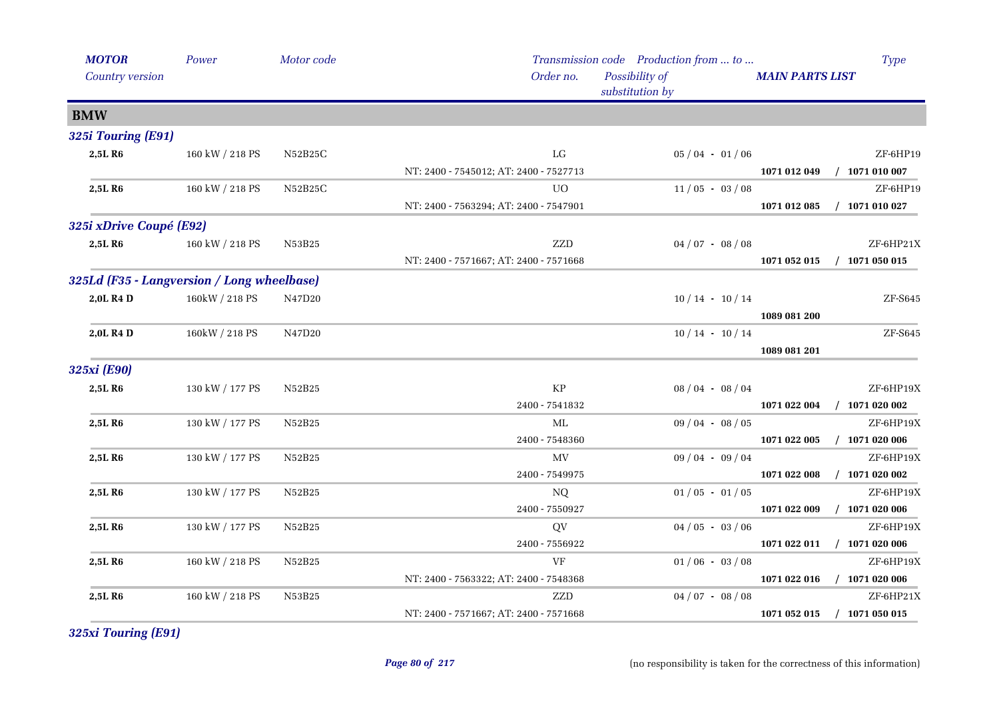| <b>MOTOR</b>            | Power                                      | Motor code     |                                        | Transmission code Production from  to | <b>Type</b>                      |
|-------------------------|--------------------------------------------|----------------|----------------------------------------|---------------------------------------|----------------------------------|
| Country version         |                                            |                | Order no.                              | Possibility of<br>substitution by     | <b>MAIN PARTS LIST</b>           |
| <b>BMW</b>              |                                            |                |                                        |                                       |                                  |
| 325i Touring (E91)      |                                            |                |                                        |                                       |                                  |
| 2,5L R6                 | 160 kW / 218 PS                            | N52B25C        | LG                                     | $05/04 - 01/06$                       | ZF-6HP19                         |
|                         |                                            |                | NT: 2400 - 7545012; AT: 2400 - 7527713 |                                       | 1071 012 049 / 1071 010 007      |
| 2,5L R6                 | 160 kW / 218 PS                            | N52B25C        | UO.                                    | $11/05 - 03/08$                       | ZF-6HP19                         |
|                         |                                            |                | NT: 2400 - 7563294; AT: 2400 - 7547901 |                                       | $/$ 1071 010 027<br>1071 012 085 |
| 325i xDrive Coupé (E92) |                                            |                |                                        |                                       |                                  |
| 2,5L R6                 | 160 kW / 218 PS                            | N53B25         | ZZD                                    | $04/07 - 08/08$                       | ZF-6HP21X                        |
|                         |                                            |                | NT: 2400 - 7571667; AT: 2400 - 7571668 |                                       | 1071 052 015<br>$/$ 1071 050 015 |
|                         | 325Ld (F35 - Langversion / Long wheelbase) |                |                                        |                                       |                                  |
| 2,0L R4 D               | 160kW / 218 PS                             | N47D20         |                                        | $10/14 - 10/14$                       | $ZF- S645$                       |
|                         |                                            |                |                                        |                                       | 1089 081 200                     |
| 2,0L R4 D               | 160kW / 218 PS                             | N47D20         |                                        | $10/14 - 10/14$                       | $ZF-S645$                        |
|                         |                                            |                |                                        |                                       | 1089 081 201                     |
| 325xi (E90)             |                                            |                |                                        |                                       |                                  |
| 2,5LR6                  | 130 kW / 177 PS                            | N52B25         | KP                                     | $08/04 - 08/04$                       | ZF-6HP19X                        |
|                         |                                            |                | 2400 - 7541832                         |                                       | $/$ 1071 020 002<br>1071 022 004 |
| 2,5L R6                 | 130 kW / 177 PS                            | N52B25         | ML                                     | $09/04 - 08/05$                       | ZF-6HP19X                        |
|                         |                                            |                | $2400 - 7548360$                       |                                       | 1071 022 005<br>$/$ 1071 020 006 |
| 2,5L R6                 | 130 kW / 177 PS                            | N52B25         | MV                                     | $09/04 - 09/04$                       | ZF-6HP19X                        |
|                         |                                            |                | 2400 - 7549975                         |                                       | $/$ 1071 020 002<br>1071 022 008 |
| 2,5L R6                 | 130 kW / 177 PS                            | N52B25         | NQ                                     | $01/05 - 01/05$                       | ZF-6HP19X                        |
|                         |                                            |                | 2400 - 7550927                         |                                       | $/$ 1071 020 006<br>1071 022 009 |
| 2,5L R <sub>6</sub>     | 130 kW / 177 PS                            | N52B25         | QV                                     | $04/05 - 03/06$                       | ZF-6HP19X                        |
|                         |                                            |                | 2400 - 7556922                         |                                       | 1071 022 011 / 1071 020 006      |
| 2,5L R6                 | 160 kW / 218 PS                            | N52B25         | VF                                     | $01/06 - 03/08$                       | ZF-6HP19X                        |
|                         |                                            |                | NT: 2400 - 7563322; AT: 2400 - 7548368 |                                       | 1071 022 016 / 1071 020 006      |
| 2,5LR6                  | 160 kW / 218 PS                            | ${\rm N53B25}$ | ZZD                                    | $04/07 - 08/08$                       | ZF-6HP21X                        |
|                         |                                            |                | NT: 2400 - 7571667; AT: 2400 - 7571668 |                                       | $/$ 1071 050 015<br>1071 052 015 |

*325xi Touring (E91)*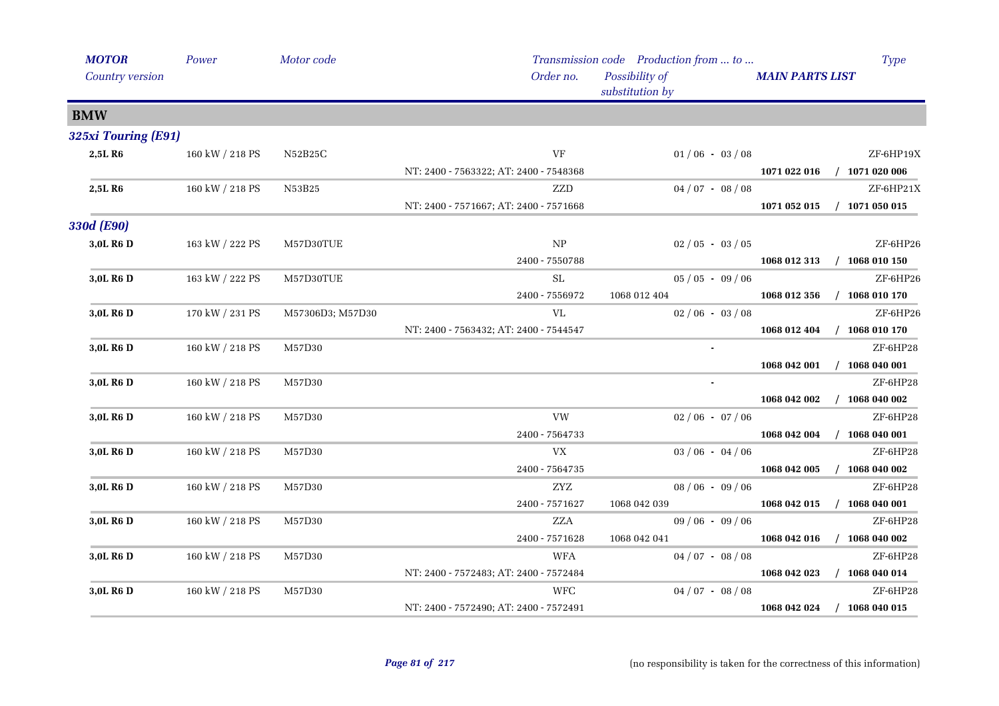| <b>MOTOR</b>          | Power                 | Motor code       |                                        | Transmission code Production from  to | <b>Type</b>                      |
|-----------------------|-----------------------|------------------|----------------------------------------|---------------------------------------|----------------------------------|
| Country version       |                       |                  | Order no.                              | Possibility of<br>substitution by     | <b>MAIN PARTS LIST</b>           |
| <b>BMW</b>            |                       |                  |                                        |                                       |                                  |
| 325xi Touring (E91)   |                       |                  |                                        |                                       |                                  |
| 2,5L R6               | $160$ kW $\!/$ 218 PS | N52B25C          | VF                                     | $01/06 - 03/08$                       | ZF-6HP19X                        |
|                       |                       |                  | NT: 2400 - 7563322; AT: 2400 - 7548368 |                                       | 1071 022 016 / 1071 020 006      |
| 2,5LR6                | 160 kW / 218 PS       | N53B25           | ZZD                                    | $04/07 - 08/08$                       | ZF-6HP21X                        |
|                       |                       |                  | NT: 2400 - 7571667; AT: 2400 - 7571668 |                                       | $/$ 1071 050 015<br>1071 052 015 |
| 330d (E90)            |                       |                  |                                        |                                       |                                  |
| 3,0L R6 D             | 163 kW / 222 PS       | M57D30TUE        | NP                                     | $02/05 - 03/05$                       | ZF-6HP26                         |
|                       |                       |                  | 2400 - 7550788                         |                                       | 1068 012 313<br>$/$ 1068 010 150 |
| 3,0L R <sub>6</sub> D | 163 kW / 222 PS       | M57D30TUE        | ${\rm SL}$                             | $05/05 - 09/06$                       | ZF-6HP26                         |
|                       |                       |                  | 2400 - 7556972                         | 1068 012 404                          | $/$ 1068 010 170<br>1068 012 356 |
| 3,0L R6 D             | 170 kW / 231 PS       | M57306D3; M57D30 | VL                                     | $02/06 - 03/08$                       | ZF-6HP26                         |
|                       |                       |                  | NT: 2400 - 7563432; AT: 2400 - 7544547 |                                       | $/$ 1068 010 170<br>1068 012 404 |
| 3,0L R6 D             | 160 kW / 218 PS       | M57D30           |                                        |                                       | ZF-6HP28                         |
|                       |                       |                  |                                        |                                       | $/$ 1068 040 001<br>1068 042 001 |
| 3,0L R6 D             | 160 kW / 218 PS       | M57D30           |                                        | $\mathbf{r}$                          | ZF-6HP28                         |
|                       |                       |                  |                                        |                                       | $/$ 1068 040 002<br>1068 042 002 |
| 3,0L R <sub>6</sub> D | 160 kW / 218 PS       | M57D30           | VW                                     | $02/06 - 07/06$                       | ZF-6HP28                         |
|                       |                       |                  | 2400 - 7564733                         |                                       | $/$ 1068 040 001<br>1068 042 004 |
| 3,0L R6 D             | 160 kW / 218 PS       | M57D30           | <b>VX</b>                              | $03/06 - 04/06$                       | ZF-6HP28                         |
|                       |                       |                  | 2400 - 7564735                         |                                       | 1068 042 005<br>$/$ 1068 040 002 |
| 3,0L R <sub>6</sub> D | 160 kW / 218 PS       | M57D30           | ZYZ                                    | $08/06 - 09/06$                       | ZF-6HP28                         |
|                       |                       |                  | 2400 - 7571627                         | 1068 042 039                          | $/$ 1068 040 001<br>1068 042 015 |
| 3,0L R6 D             | 160 kW / 218 PS       | M57D30           | ZZA                                    | $09/06 - 09/06$                       | ZF-6HP28                         |
|                       |                       |                  | 2400 - 7571628                         | 1068 042 041                          | $/$ 1068 040 002<br>1068 042 016 |
| 3,0L R6 D             | 160 kW / 218 PS       | M57D30           | <b>WFA</b>                             | $04/07 - 08/08$                       | ZF-6HP28                         |
|                       |                       |                  | NT: 2400 - 7572483; AT: 2400 - 7572484 |                                       | 1068 042 023<br>$/$ 1068 040 014 |
| 3,0L R6 D             | 160 kW / 218 PS       | M57D30           | <b>WFC</b>                             | $04/07 - 08/08$                       | ZF-6HP28                         |
|                       |                       |                  | NT: 2400 - 7572490; AT: 2400 - 7572491 |                                       | $/$ 1068 040 015<br>1068 042 024 |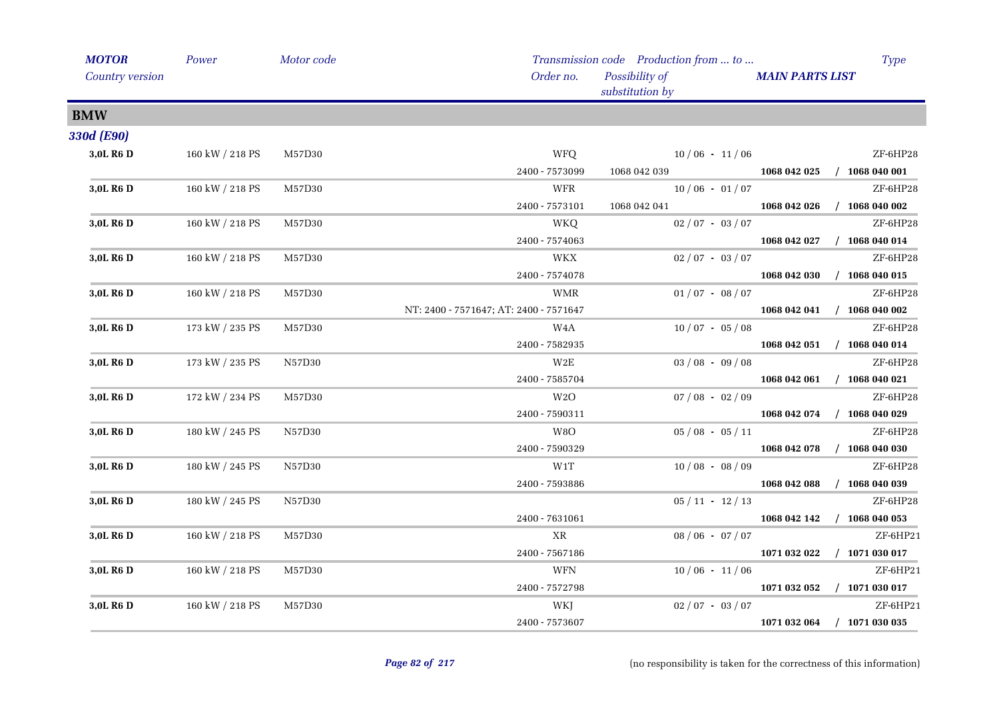| <b>MOTOR</b>           | Power           | Motor code |                                        | Transmission code Production from  to |                        | <b>Type</b>                 |
|------------------------|-----------------|------------|----------------------------------------|---------------------------------------|------------------------|-----------------------------|
| <b>Country version</b> |                 |            | Order no.                              | Possibility of<br>substitution by     | <b>MAIN PARTS LIST</b> |                             |
| <b>BMW</b>             |                 |            |                                        |                                       |                        |                             |
| 330d (E90)             |                 |            |                                        |                                       |                        |                             |
| 3,0L R6 D              | 160 kW / 218 PS | M57D30     | WFQ                                    | $10/06 - 11/06$                       |                        | ZF-6HP28                    |
|                        |                 |            | 2400 - 7573099                         | 1068 042 039                          |                        | 1068 042 025 / 1068 040 001 |
| 3,0L R6 D              | 160 kW / 218 PS | M57D30     | WFR                                    | $10/06 - 01/07$                       |                        | ZF-6HP28                    |
|                        |                 |            | $2400 - 7573101$                       | 1068 042 041                          |                        | 1068 042 026 / 1068 040 002 |
| 3,0L R <sub>6</sub> D  | 160 kW / 218 PS | M57D30     | WKQ                                    | $02/07 - 03/07$                       |                        | ZF-6HP28                    |
|                        |                 |            | 2400 - 7574063                         |                                       |                        | 1068 042 027 / 1068 040 014 |
| 3,0L R6 D              | 160 kW / 218 PS | M57D30     | WKX                                    | $02/07 - 03/07$                       |                        | ZF-6HP28                    |
|                        |                 |            | 2400 - 7574078                         |                                       |                        | 1068 042 030 / 1068 040 015 |
| 3,0L R <sub>6</sub> D  | 160 kW / 218 PS | M57D30     | <b>WMR</b>                             | $01/07 - 08/07$                       |                        | ZF-6HP28                    |
|                        |                 |            | NT: 2400 - 7571647; AT: 2400 - 7571647 |                                       |                        | 1068 042 041 / 1068 040 002 |
| 3,0L R6 D              | 173 kW / 235 PS | M57D30     | W4A                                    | $10/07 - 05/08$                       |                        | ZF-6HP28                    |
|                        |                 |            | 2400 - 7582935                         |                                       |                        | 1068 042 051 / 1068 040 014 |
| 3,0L R <sub>6</sub> D  | 173 kW / 235 PS | N57D30     | W2E                                    | $03/08 - 09/08$                       |                        | ZF-6HP28                    |
|                        |                 |            | 2400 - 7585704                         |                                       |                        | 1068 042 061 / 1068 040 021 |
| 3,0L R <sub>6</sub> D  | 172 kW / 234 PS | M57D30     | W2O                                    | $07/08 - 02/09$                       |                        | ZF-6HP28                    |
|                        |                 |            | 2400 - 7590311                         |                                       |                        | 1068 042 074 / 1068 040 029 |
| 3,0L R6 D              | 180 kW / 245 PS | N57D30     | W8O                                    | $05/08 - 05/11$                       |                        | ZF-6HP28                    |
|                        |                 |            | 2400 - 7590329                         |                                       |                        | 1068 042 078 / 1068 040 030 |
| 3,0L R <sub>6</sub> D  | 180 kW / 245 PS | N57D30     | W1T                                    | $10/08 - 08/09$                       |                        | ZF-6HP28                    |
|                        |                 |            | 2400 - 7593886                         |                                       |                        | 1068 042 088 / 1068 040 039 |
| 3,0L R6 D              | 180 kW / 245 PS | N57D30     |                                        | $05/11 - 12/13$                       |                        | ZF-6HP28                    |
|                        |                 |            | 2400 - 7631061                         |                                       |                        | 1068 042 142 / 1068 040 053 |
| 3,0L R <sub>6</sub> D  | 160 kW / 218 PS | M57D30     | XR                                     | $08/06 - 07/07$                       |                        | ZF-6HP21                    |
|                        |                 |            | 2400 - 7567186                         |                                       |                        | 1071 032 022 / 1071 030 017 |
| 3,0L R <sub>6</sub> D  | 160 kW / 218 PS | M57D30     | <b>WFN</b>                             | $10/06 - 11/06$                       |                        | ZF-6HP21                    |
|                        |                 |            | 2400 - 7572798                         |                                       |                        | 1071 032 052 / 1071 030 017 |
| 3,0L R <sub>6</sub> D  | 160 kW / 218 PS | M57D30     | WKJ                                    | $02 / 07 - 03 / 07$                   |                        | ZF-6HP21                    |
|                        |                 |            | 2400 - 7573607                         |                                       |                        | 1071 032 064 / 1071 030 035 |
|                        |                 |            |                                        |                                       |                        |                             |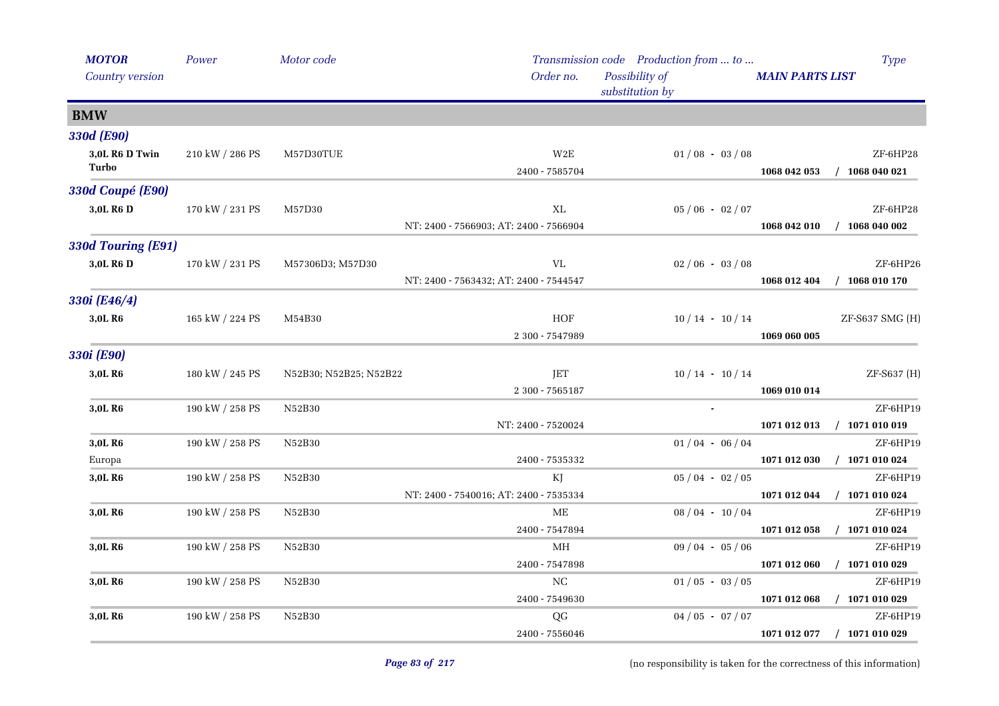| <b>MOTOR</b>            | Power           | Motor code             |                                              | Transmission code Production from  to |                        | <b>Type</b>                  |
|-------------------------|-----------------|------------------------|----------------------------------------------|---------------------------------------|------------------------|------------------------------|
| Country version         |                 |                        | Order no.                                    | Possibility of<br>substitution by     | <b>MAIN PARTS LIST</b> |                              |
| <b>BMW</b>              |                 |                        |                                              |                                       |                        |                              |
| 330d (E90)              |                 |                        |                                              |                                       |                        |                              |
| 3,0L R6 D Twin<br>Turbo | 210 kW / 286 PS | M57D30TUE              | $_{\rm W2E}$<br>2400 - 7585704               | $01/08 - 03/08$                       | 1068 042 053           | ZF-6HP28<br>$/$ 1068 040 021 |
| 330d Coupé (E90)        |                 |                        |                                              |                                       |                        |                              |
| 3,0L R6 D               | 170 kW / 231 PS | M57D30                 | XL<br>NT: 2400 - 7566903; AT: 2400 - 7566904 | $05/06 - 02/07$                       | 1068 042 010           | ZF-6HP28<br>$/$ 1068 040 002 |
| 330d Touring (E91)      |                 |                        |                                              |                                       |                        |                              |
| 3,0L R6 D               | 170 kW / 231 PS | M57306D3; M57D30       | VL<br>NT: 2400 - 7563432; AT: 2400 - 7544547 | $02/06 - 03/08$                       | 1068 012 404           | ZF-6HP26<br>$/$ 1068 010 170 |
| 330i (E46/4)            |                 |                        |                                              |                                       |                        |                              |
| 3,0L R6                 | 165 kW / 224 PS | M54B30                 | ${\rm HOF}$<br>2 300 - 7547989               | $10/14 - 10/14$                       | 1069 060 005           | ZF-S637 SMG (H)              |
| 330i (E90)              |                 |                        |                                              |                                       |                        |                              |
| 3,0L R6                 | 180 kW / 245 PS | N52B30; N52B25; N52B22 | JET<br>2 300 - 7565187                       | $10/14 - 10/14$                       | 1069 010 014           | ZF-S637 (H)                  |
| 3,0L R6                 | 190 kW / 258 PS | N52B30                 |                                              |                                       |                        | ZF-6HP19                     |
|                         |                 |                        | NT: 2400 - 7520024                           |                                       | 1071 012 013           | $/$ 1071 010 019             |
| 3,0L R6                 | 190 kW / 258 PS | N52B30                 |                                              | $01/04 - 06/04$                       |                        | ZF-6HP19                     |
| Europa                  |                 |                        | 2400 - 7535332                               |                                       | 1071 012 030           | $/$ 1071 010 024             |
| 3,0L R <sub>6</sub>     | 190 kW / 258 PS | N52B30                 | KJ<br>NT: 2400 - 7540016; AT: 2400 - 7535334 | $05/04 - 02/05$                       | 1071 012 044           | ZF-6HP19<br>$/$ 1071 010 024 |
| 3,0L R6                 | 190 kW / 258 PS | N52B30                 | МE<br>2400 - 7547894                         | $08/04 - 10/04$                       | 1071 012 058           | ZF-6HP19<br>$/$ 1071 010 024 |
| 3,0L R <sub>6</sub>     | 190 kW / 258 PS | N52B30                 | МH                                           | $09/04 - 05/06$                       |                        | ZF-6HP19                     |
|                         |                 |                        | 2400 - 7547898                               |                                       | 1071 012 060           | $/$ 1071 010 029             |
| 3,0L R <sub>6</sub>     | 190 kW / 258 PS | N52B30                 | NC                                           | $01/05 - 03/05$                       |                        | ZF-6HP19                     |
|                         |                 |                        | 2400 - 7549630                               |                                       | 1071 012 068           | $/$ 1071 010 029             |
| 3,0L R <sub>6</sub>     | 190 kW / 258 PS | N52B30                 | QG                                           | $04/05 - 07/07$                       |                        | ZF-6HP19                     |
|                         |                 |                        | 2400 - 7556046                               |                                       | 1071 012 077           | $/$ 1071 010 029             |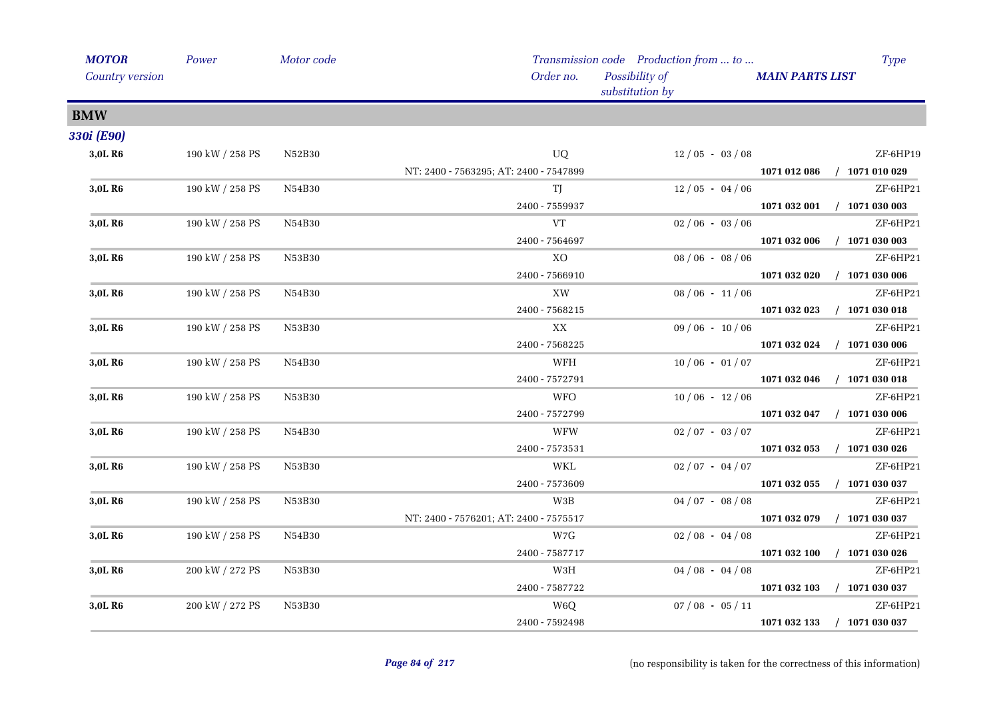| <b>MOTOR</b>        | Power           | Motor code |                                        | Transmission code Production from  to | <b>Type</b>                      |
|---------------------|-----------------|------------|----------------------------------------|---------------------------------------|----------------------------------|
| Country version     |                 |            | Order no.                              | Possibility of<br>substitution by     | <b>MAIN PARTS LIST</b>           |
| <b>BMW</b>          |                 |            |                                        |                                       |                                  |
| 330i (E90)          |                 |            |                                        |                                       |                                  |
| 3,0L R6             | 190 kW / 258 PS | N52B30     | UQ                                     | $12/05 - 03/08$                       | ZF-6HP19                         |
|                     |                 |            | NT: 2400 - 7563295; AT: 2400 - 7547899 |                                       | 1071 012 086 / 1071 010 029      |
| 3,0L R6             | 190 kW / 258 PS | N54B30     | TJ                                     | $12/05 - 04/06$                       | ZF-6HP21                         |
|                     |                 |            | 2400 - 7559937                         |                                       | $1071032001$ / $1071030003$      |
| 3,0L R <sub>6</sub> | 190 kW / 258 PS | N54B30     | VT                                     | $02/06 - 03/06$                       | ZF-6HP21                         |
|                     |                 |            | 2400 - 7564697                         |                                       | 1071 032 006<br>$/$ 1071 030 003 |
| 3,0L R6             | 190 kW / 258 PS | N53B30     | XO                                     | $08/06 - 08/06$                       | ZF-6HP21                         |
|                     |                 |            | 2400 - 7566910                         |                                       | $/$ 1071 030 006<br>1071 032 020 |
| 3,0L R6             | 190 kW / 258 PS | N54B30     | XW                                     | $08/06 - 11/06$                       | ZF-6HP21                         |
|                     |                 |            | 2400 - 7568215                         |                                       | 1071 032 023<br>$/$ 1071 030 018 |
| 3,0L R6             | 190 kW / 258 PS | N53B30     | XX                                     | $09/06 - 10/06$                       | ZF-6HP21                         |
|                     |                 |            | 2400 - 7568225                         |                                       | 1071 032 024 / 1071 030 006      |
| 3,0L R <sub>6</sub> | 190 kW / 258 PS | N54B30     | WFH                                    | $10/06 - 01/07$                       | ZF-6HP21                         |
|                     |                 |            | 2400 - 7572791                         |                                       | 1071 032 046<br>$/$ 1071 030 018 |
| 3,0L R <sub>6</sub> | 190 kW / 258 PS | N53B30     | <b>WFO</b>                             | $10/06 - 12/06$                       | ZF-6HP21                         |
|                     |                 |            | 2400 - 7572799                         |                                       | $/$ 1071 030 006<br>1071 032 047 |
| 3,0L R6             | 190 kW / 258 PS | N54B30     | <b>WFW</b>                             | $02/07 - 03/07$                       | ZF-6HP21                         |
|                     |                 |            | 2400 - 7573531                         |                                       | 1071 032 053<br>$/$ 1071 030 026 |
| 3,0L R <sub>6</sub> | 190 kW / 258 PS | N53B30     | WKL                                    | $02/07 - 04/07$                       | ZF-6HP21                         |
|                     |                 |            | 2400 - 7573609                         |                                       | $/$ 1071 030 037<br>1071 032 055 |
| 3,0L R6             | 190 kW / 258 PS | N53B30     | W3B                                    | $04/07 - 08/08$                       | ZF-6HP21                         |
|                     |                 |            | NT: 2400 - 7576201; AT: 2400 - 7575517 |                                       | $/$ 1071 030 037<br>1071 032 079 |
| 3,0L R <sub>6</sub> | 190 kW / 258 PS | N54B30     | W7G                                    | $02/08 - 04/08$                       | ZF-6HP21                         |
|                     |                 |            | 2400 - 7587717                         |                                       | 1071 032 100<br>$/$ 1071 030 026 |
| 3,0L R <sub>6</sub> | 200 kW / 272 PS | N53B30     | W3H                                    | $04/08 - 04/08$                       | ZF-6HP21                         |
|                     |                 |            | 2400 - 7587722                         |                                       | 1071 032 103<br>$/$ 1071 030 037 |
| 3,0L R <sub>6</sub> | 200 kW / 272 PS | N53B30     | W <sub>6</sub> Q                       | $07/08 - 05/11$                       | ZF-6HP21                         |
|                     |                 |            | 2400 - 7592498                         |                                       | 1071 032 133<br>$/$ 1071 030 037 |
|                     |                 |            |                                        |                                       |                                  |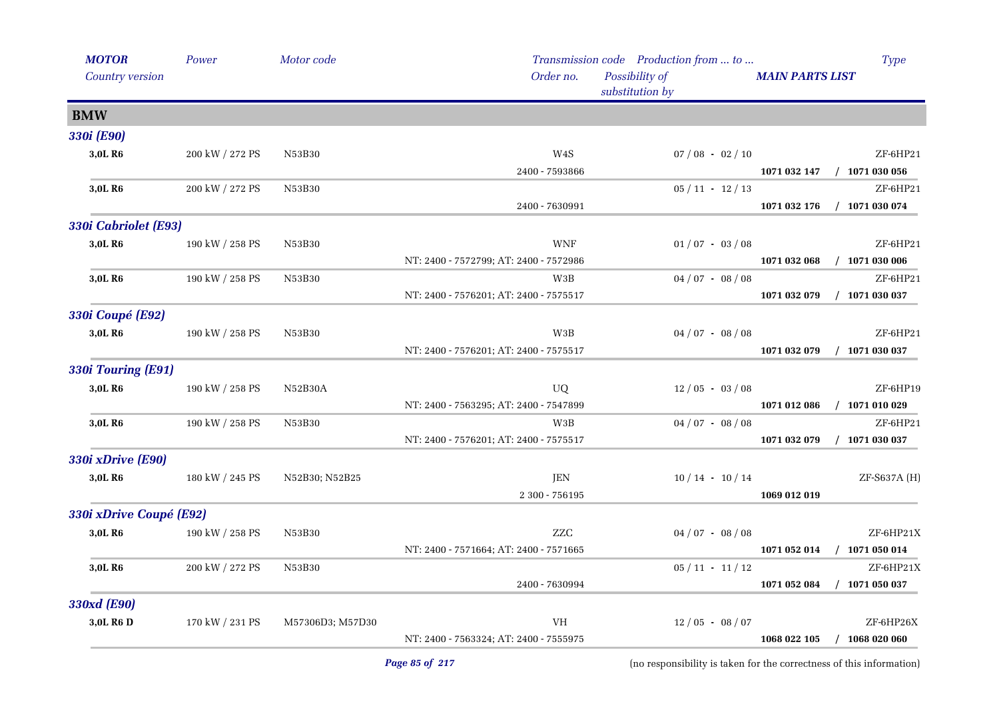| <b>MOTOR</b>            | Power                 | Motor code       |                                        | Transmission code Production from  to | Type                             |
|-------------------------|-----------------------|------------------|----------------------------------------|---------------------------------------|----------------------------------|
| Country version         |                       |                  | Order no.                              | Possibility of<br>substitution by     | <b>MAIN PARTS LIST</b>           |
| <b>BMW</b>              |                       |                  |                                        |                                       |                                  |
| 330i (E90)              |                       |                  |                                        |                                       |                                  |
| 3,0L R6                 | 200 kW / 272 PS       | N53B30           | $\,$ W4S                               | $07 / 08 - 02 / 10$                   | ZF-6HP21                         |
|                         |                       |                  | 2400 - 7593866                         |                                       | 1071 032 147<br>$/$ 1071 030 056 |
| 3,0L R6                 | 200 kW / 272 PS       | N53B30           |                                        | $05 / 11 - 12 / 13$                   | ZF-6HP21                         |
|                         |                       |                  | 2400 - 7630991                         |                                       | $/$ 1071 030 074<br>1071 032 176 |
| 330i Cabriolet (E93)    |                       |                  |                                        |                                       |                                  |
| 3,0L R6                 | 190 kW / 258 PS       | N53B30           | <b>WNF</b>                             | $01/07 - 03/08$                       | ZF-6HP21                         |
|                         |                       |                  | NT: 2400 - 7572799; AT: 2400 - 7572986 |                                       | $/$ 1071 030 006<br>1071 032 068 |
| 3,0L R <sub>6</sub>     | 190 kW / 258 PS       | N53B30           | W3B                                    | $04/07 - 08/08$                       | ZF-6HP21                         |
|                         |                       |                  | NT: 2400 - 7576201; AT: 2400 - 7575517 |                                       | 1071 032 079<br>$/$ 1071 030 037 |
| 330i Coupé (E92)        |                       |                  |                                        |                                       |                                  |
| 3,0L R6                 | 190 kW / 258 PS       | N53B30           | W3B                                    | $04/07 - 08/08$                       | ZF-6HP21                         |
|                         |                       |                  | NT: 2400 - 7576201; AT: 2400 - 7575517 |                                       | $/$ 1071 030 037<br>1071 032 079 |
| 330i Touring (E91)      |                       |                  |                                        |                                       |                                  |
| 3,0L R6                 | 190 kW / 258 PS       | N52B30A          | UQ                                     | $12/05 - 03/08$                       | ZF-6HP19                         |
|                         |                       |                  | NT: 2400 - 7563295; AT: 2400 - 7547899 |                                       | $/$ 1071 010 029<br>1071 012 086 |
| 3,0L R <sub>6</sub>     | 190 kW / 258 PS       | N53B30           | W3B                                    | $04/07 - 08/08$                       | ZF-6HP21                         |
|                         |                       |                  | NT: 2400 - 7576201; AT: 2400 - 7575517 |                                       | $/$ 1071 030 037<br>1071 032 079 |
| 330i xDrive (E90)       |                       |                  |                                        |                                       |                                  |
| 3,0L R <sub>6</sub>     | 180 kW / 245 PS       | N52B30; N52B25   | <b>JEN</b>                             | $10/14 - 10/14$                       | ZF-S637A (H)                     |
|                         |                       |                  | $2300 - 756195$                        |                                       | 1069 012 019                     |
| 330i xDrive Coupé (E92) |                       |                  |                                        |                                       |                                  |
| 3,0L R <sub>6</sub>     | $190$ kW $\!/$ 258 PS | N53B30           | ZZC                                    | $04/07 - 08/08$                       | ZF-6HP21X                        |
|                         |                       |                  | NT: 2400 - 7571664; AT: 2400 - 7571665 |                                       | 1071 052 014<br>$/$ 1071 050 014 |
| 3,0L R <sub>6</sub>     | 200 kW / 272 PS       | N53B30           |                                        | $05/11 - 11/12$                       | ZF-6HP21X                        |
|                         |                       |                  | 2400 - 7630994                         |                                       | 1071 052 084<br>$/$ 1071 050 037 |
| 330xd (E90)             |                       |                  |                                        |                                       |                                  |
| 3,0L R <sub>6</sub> D   | 170 kW / 231 PS       | M57306D3; M57D30 | VH                                     | $12/05 - 08/07$                       | ZF-6HP26X                        |
|                         |                       |                  | NT: 2400 - 7563324; AT: 2400 - 7555975 |                                       | 1068 022 105<br>$/$ 1068 020 060 |
|                         |                       |                  |                                        |                                       |                                  |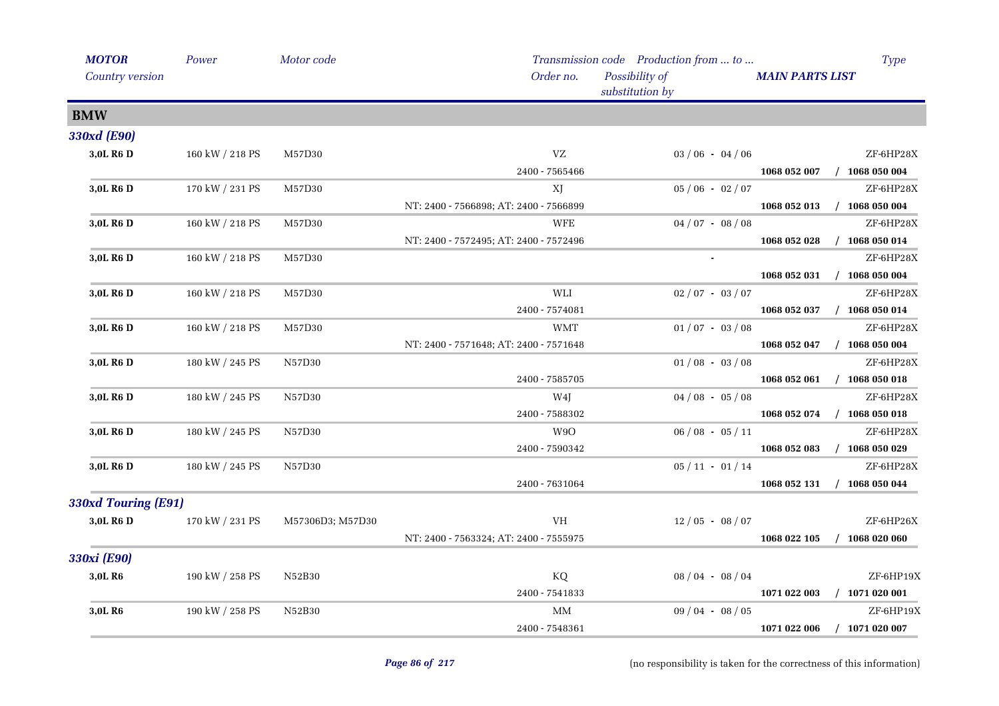| <b>MOTOR</b>          | Power           | Motor code       |                                        | Transmission code Production from  to | <b>Type</b>                      |
|-----------------------|-----------------|------------------|----------------------------------------|---------------------------------------|----------------------------------|
| Country version       |                 |                  | Order no.                              | Possibility of<br>substitution by     | <b>MAIN PARTS LIST</b>           |
| <b>BMW</b>            |                 |                  |                                        |                                       |                                  |
| 330xd (E90)           |                 |                  |                                        |                                       |                                  |
| 3,0L R6 D             | 160 kW / 218 PS | M57D30           | VZ                                     | $03/06 - 04/06$                       | ZF-6HP28X                        |
|                       |                 |                  | 2400 - 7565466                         |                                       | 1068 052 007<br>$/$ 1068 050 004 |
| 3,0L R <sub>6</sub> D | 170 kW / 231 PS | M57D30           | XJ                                     | $05/06 - 02/07$                       | ZF-6HP28X                        |
|                       |                 |                  | NT: 2400 - 7566898; AT: 2400 - 7566899 |                                       | 1068 052 013<br>$/$ 1068 050 004 |
| 3,0L R <sub>6</sub> D | 160 kW / 218 PS | M57D30           | <b>WFE</b>                             | $04/07 - 08/08$                       | ZF-6HP28X                        |
|                       |                 |                  | NT: 2400 - 7572495; AT: 2400 - 7572496 |                                       | $/$ 1068 050 014<br>1068 052 028 |
| 3,0L R <sub>6</sub> D | 160 kW / 218 PS | M57D30           |                                        | $\blacksquare$                        | ZF-6HP28X                        |
|                       |                 |                  |                                        |                                       | $/$ 1068 050 004<br>1068 052 031 |
| 3,0L R6 D             | 160 kW / 218 PS | M57D30           | WLI                                    | $02/07 - 03/07$                       | ZF-6HP28X                        |
|                       |                 |                  | 2400 - 7574081                         |                                       | 1068 052 037<br>$/$ 1068 050 014 |
| 3,0L R6 D             | 160 kW / 218 PS | M57D30           | <b>WMT</b>                             | $01/07 - 03/08$                       | ZF-6HP28X                        |
|                       |                 |                  | NT: 2400 - 7571648; AT: 2400 - 7571648 |                                       | 1068 052 047<br>$/$ 1068 050 004 |
| 3,0L R6 D             | 180 kW / 245 PS | N57D30           |                                        | $01/08 - 03/08$                       | ZF-6HP28X                        |
|                       |                 |                  | 2400 - 7585705                         |                                       | 1068 052 061<br>$/$ 1068 050 018 |
| 3,0L R <sub>6</sub> D | 180 kW / 245 PS | N57D30           | W4J                                    | $04/08 - 05/08$                       | ZF-6HP28X                        |
|                       |                 |                  | 2400 - 7588302                         |                                       | $/$ 1068 050 018<br>1068 052 074 |
| 3,0L R6 D             | 180 kW / 245 PS | N57D30           | W9O                                    | $06/08 - 05/11$                       | ZF-6HP28X                        |
|                       |                 |                  | 2400 - 7590342                         |                                       | $/$ 1068 050 029<br>1068 052 083 |
| 3,0L R6 D             | 180 kW / 245 PS | N57D30           |                                        | $05 / 11 - 01 / 14$                   | ZF-6HP28X                        |
|                       |                 |                  | 2400 - 7631064                         |                                       | 1068 052 131<br>$/$ 1068 050 044 |
| 330xd Touring (E91)   |                 |                  |                                        |                                       |                                  |
| 3,0L R6 D             | 170 kW / 231 PS | M57306D3; M57D30 | VH                                     | $12/05 - 08/07$                       | ZF-6HP26X                        |
|                       |                 |                  | NT: 2400 - 7563324; AT: 2400 - 7555975 |                                       | 1068 022 105<br>$/$ 1068 020 060 |
| 330xi (E90)           |                 |                  |                                        |                                       |                                  |
| 3,0L R6               | 190 kW / 258 PS | N52B30           | KQ                                     | $08/04 - 08/04$                       | ZF-6HP19X                        |
|                       |                 |                  | 2400 - 7541833                         |                                       | 1071 022 003<br>$/$ 1071 020 001 |
| 3,0L R <sub>6</sub>   | 190 kW / 258 PS | N52B30           | $\mbox{MM}$                            | $09/04 - 08/05$                       | ZF-6HP19X                        |
|                       |                 |                  | 2400 - 7548361                         |                                       | 1071 022 006<br>$/$ 1071 020 007 |
|                       |                 |                  |                                        |                                       |                                  |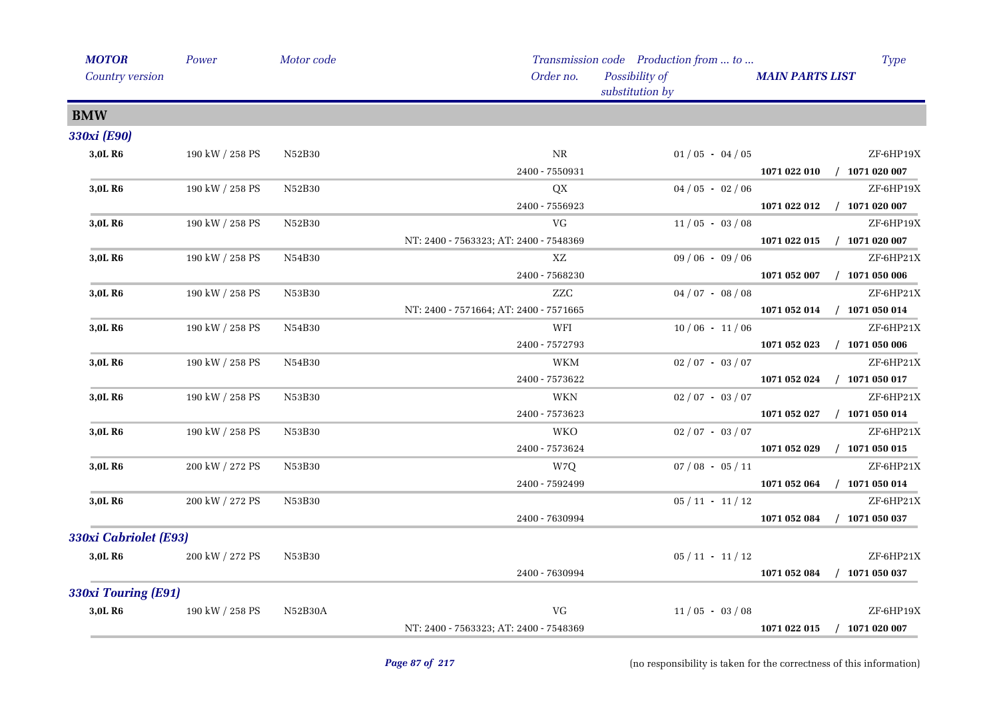| Power                 | Motor code          |                                        |                                   |                                                                                                                                                                                                                                                     | <b>Type</b>                           |
|-----------------------|---------------------|----------------------------------------|-----------------------------------|-----------------------------------------------------------------------------------------------------------------------------------------------------------------------------------------------------------------------------------------------------|---------------------------------------|
|                       |                     | Order no.                              | Possibility of<br>substitution by | <b>MAIN PARTS LIST</b>                                                                                                                                                                                                                              |                                       |
|                       |                     |                                        |                                   |                                                                                                                                                                                                                                                     |                                       |
|                       |                     |                                        |                                   |                                                                                                                                                                                                                                                     |                                       |
| 190 kW / 258 PS       | N52B30              | $\rm NR$                               |                                   |                                                                                                                                                                                                                                                     | ZF-6HP19X                             |
|                       |                     | 2400 - 7550931                         |                                   | 1071 022 010                                                                                                                                                                                                                                        | $/$ 1071 020 007                      |
| 190 kW / 258 PS       | N52B30              | QX                                     |                                   |                                                                                                                                                                                                                                                     | ZF-6HP19X                             |
|                       |                     | 2400 - 7556923                         |                                   | 1071 022 012                                                                                                                                                                                                                                        | $/$ 1071 020 007                      |
| 190 kW / 258 PS       | N52B30              | VG                                     |                                   |                                                                                                                                                                                                                                                     | ZF-6HP19X                             |
|                       |                     | NT: 2400 - 7563323; AT: 2400 - 7548369 |                                   | 1071 022 015                                                                                                                                                                                                                                        | $/$ 1071 020 007                      |
| 190 kW / 258 PS       | N54B30              | XZ                                     |                                   |                                                                                                                                                                                                                                                     | ZF-6HP21X                             |
|                       |                     | 2400 - 7568230                         |                                   | 1071 052 007                                                                                                                                                                                                                                        | $/$ 1071 050 006                      |
| 190 kW / 258 PS       | N53B30              | <b>ZZC</b>                             |                                   |                                                                                                                                                                                                                                                     | ZF-6HP21X                             |
|                       |                     | NT: 2400 - 7571664; AT: 2400 - 7571665 |                                   | 1071 052 014                                                                                                                                                                                                                                        | $/$ 1071 050 014                      |
| 190 kW / 258 PS       | N54B30              | WFI                                    |                                   |                                                                                                                                                                                                                                                     | ZF-6HP21X                             |
|                       |                     | 2400 - 7572793                         |                                   | 1071 052 023                                                                                                                                                                                                                                        | $/$ 1071 050 006                      |
| 190 kW / 258 PS       | N54B30              | <b>WKM</b>                             |                                   |                                                                                                                                                                                                                                                     | ZF-6HP21X                             |
|                       |                     | 2400 - 7573622                         |                                   | 1071 052 024                                                                                                                                                                                                                                        | $/$ 1071 050 017                      |
| 190 kW / 258 PS       | N53B30              | <b>WKN</b>                             |                                   |                                                                                                                                                                                                                                                     | ZF-6HP21X                             |
|                       |                     | 2400 - 7573623                         |                                   | 1071 052 027                                                                                                                                                                                                                                        | $/$ 1071 050 014                      |
| 190 kW / 258 PS       | N53B30              | <b>WKO</b>                             |                                   |                                                                                                                                                                                                                                                     | ZF-6HP21X                             |
|                       |                     | 2400 - 7573624                         |                                   | 1071 052 029                                                                                                                                                                                                                                        | $/$ 1071 050 015                      |
| 200 kW / 272 PS       | N53B30              | W7Q                                    |                                   |                                                                                                                                                                                                                                                     | ZF-6HP21X                             |
|                       |                     | 2400 - 7592499                         |                                   | 1071 052 064                                                                                                                                                                                                                                        | $/$ 1071 050 014                      |
| 200 kW / 272 PS       | N53B30              |                                        |                                   |                                                                                                                                                                                                                                                     | ZF-6HP21X                             |
|                       |                     | 2400 - 7630994                         |                                   | 1071 052 084                                                                                                                                                                                                                                        | $/$ 1071 050 037                      |
| 330xi Cabriolet (E93) |                     |                                        |                                   |                                                                                                                                                                                                                                                     |                                       |
| 200 kW / 272 PS       | N53B30              |                                        |                                   |                                                                                                                                                                                                                                                     | ZF-6HP21X                             |
|                       |                     | 2400 - 7630994                         |                                   | 1071 052 084                                                                                                                                                                                                                                        | $/$ 1071 050 037                      |
|                       |                     |                                        |                                   |                                                                                                                                                                                                                                                     |                                       |
| 190 kW / 258 PS       | N52B30A             | VG                                     |                                   |                                                                                                                                                                                                                                                     | ZF-6HP19X                             |
|                       |                     | NT: 2400 - 7563323; AT: 2400 - 7548369 |                                   | 1071 022 015                                                                                                                                                                                                                                        | $/$ 1071 020 007                      |
|                       | 330xi Touring (E91) |                                        |                                   | $01/05 - 04/05$<br>$04/05 - 02/06$<br>$11/05 - 03/08$<br>$09/06 - 09/06$<br>$04/07 - 08/08$<br>$10/06 - 11/06$<br>$02/07 - 03/07$<br>$02/07 - 03/07$<br>$02/07 - 03/07$<br>$07/08 - 05/11$<br>$05/11 - 11/12$<br>$05/11 - 11/12$<br>$11/05 - 03/08$ | Transmission code Production from  to |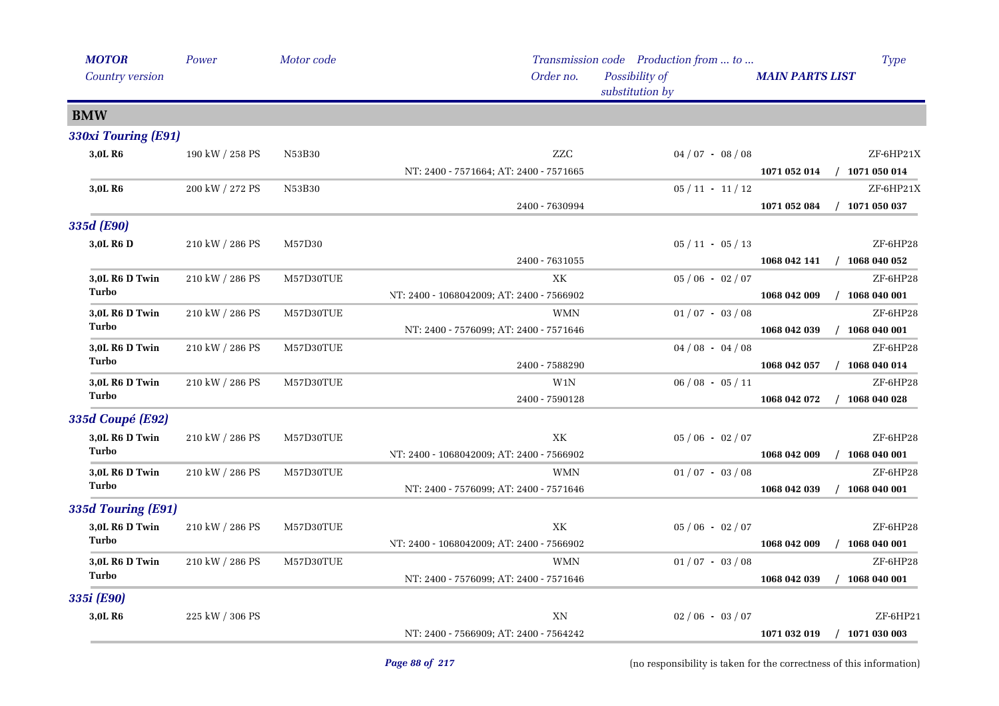| <b>MOTOR</b><br>Country version | Power                 | Motor code | Order no.                                 | Transmission code Production from  to<br>Possibility of | Type<br><b>MAIN PARTS LIST</b>   |
|---------------------------------|-----------------------|------------|-------------------------------------------|---------------------------------------------------------|----------------------------------|
|                                 |                       |            |                                           | substitution by                                         |                                  |
| <b>BMW</b>                      |                       |            |                                           |                                                         |                                  |
| 330xi Touring (E91)             |                       |            |                                           |                                                         |                                  |
| 3,0L R6                         | 190 kW / 258 PS       | N53B30     | ZZC                                       | $04/07 - 08/08$                                         | ZF-6HP21X                        |
|                                 |                       |            | NT: 2400 - 7571664; AT: 2400 - 7571665    |                                                         | 1071 052 014<br>$/$ 1071 050 014 |
| 3,0L R6                         | 200 kW / 272 PS       | N53B30     |                                           | $05/11 - 11/12$                                         | ZF-6HP21X                        |
|                                 |                       |            | 2400 - 7630994                            |                                                         | 1071 052 084<br>$/$ 1071 050 037 |
| 335d (E90)                      |                       |            |                                           |                                                         |                                  |
| 3.0L R <sub>6</sub> D           | 210 kW / 286 PS       | M57D30     |                                           | $05 / 11 - 05 / 13$                                     | ZF-6HP28                         |
|                                 |                       |            | 2400 - 7631055                            |                                                         | $/$ 1068 040 052<br>1068 042 141 |
| 3,0L R6 D Twin                  | 210 kW / 286 PS       | M57D30TUE  | XК                                        | $05/06 - 02/07$                                         | ZF-6HP28                         |
| Turbo                           |                       |            | NT: 2400 - 1068042009; AT: 2400 - 7566902 |                                                         | $/$ 1068 040 001<br>1068 042 009 |
| 3,0L R6 D Twin                  | 210 kW / 286 PS       | M57D30TUE  | <b>WMN</b>                                | $01/07 - 03/08$                                         | ZF-6HP28                         |
| Turbo                           |                       |            | NT: 2400 - 7576099; AT: 2400 - 7571646    |                                                         | 1068 042 039<br>$/$ 1068 040 001 |
| 3,0L R6 D Twin                  | 210 kW / 286 PS       | M57D30TUE  |                                           | $04/08 - 04/08$                                         | ZF-6HP28                         |
| Turbo                           |                       |            | 2400 - 7588290                            |                                                         | 1068 042 057<br>$/$ 1068 040 014 |
| 3,0L R6 D Twin                  | 210 kW / 286 PS       | M57D30TUE  | W <sub>1</sub> N                          | $06/08 - 05/11$                                         | ZF-6HP28                         |
| Turbo                           |                       |            | 2400 - 7590128                            |                                                         | 1068 042 072<br>$/$ 1068 040 028 |
| <b>335d Coupé (E92)</b>         |                       |            |                                           |                                                         |                                  |
| 3,0L R6 D Twin                  | 210 kW / 286 PS       | M57D30TUE  | XK                                        | $05/06 - 02/07$                                         | ZF-6HP28                         |
| Turbo                           |                       |            | NT: 2400 - 1068042009; AT: 2400 - 7566902 |                                                         | 1068 042 009<br>$/$ 1068 040 001 |
| 3,0L R6 D Twin                  | 210 kW / 286 PS       | M57D30TUE  | <b>WMN</b>                                | $01/07 - 03/08$                                         | ZF-6HP28                         |
| Turbo                           |                       |            | NT: 2400 - 7576099; AT: 2400 - 7571646    |                                                         | $/$ 1068 040 001<br>1068 042 039 |
| 335d Touring (E91)              |                       |            |                                           |                                                         |                                  |
| 3,0L R6 D Twin                  | $210$ kW $\!/$ 286 PS | M57D30TUE  | XK                                        | $05 / 06 - 02 / 07$                                     | ZF-6HP28                         |
| Turbo                           |                       |            | NT: 2400 - 1068042009; AT: 2400 - 7566902 |                                                         | 1068 042 009<br>$/$ 1068 040 001 |
| 3,0L R6 D Twin                  | 210 kW / 286 PS       | M57D30TUE  | <b>WMN</b>                                | $01/07 - 03/08$                                         | ZF-6HP28                         |
| Turbo                           |                       |            | NT: 2400 - 7576099; AT: 2400 - 7571646    |                                                         | $/$ 1068 040 001<br>1068 042 039 |
| 335i (E90)                      |                       |            |                                           |                                                         |                                  |
| 3,0L R6                         | 225 kW / 306 PS       |            | XN                                        | $02/06 - 03/07$                                         | ZF-6HP21                         |
|                                 |                       |            | NT: 2400 - 7566909; AT: 2400 - 7564242    |                                                         | $/$ 1071 030 003<br>1071 032 019 |
|                                 |                       |            |                                           |                                                         |                                  |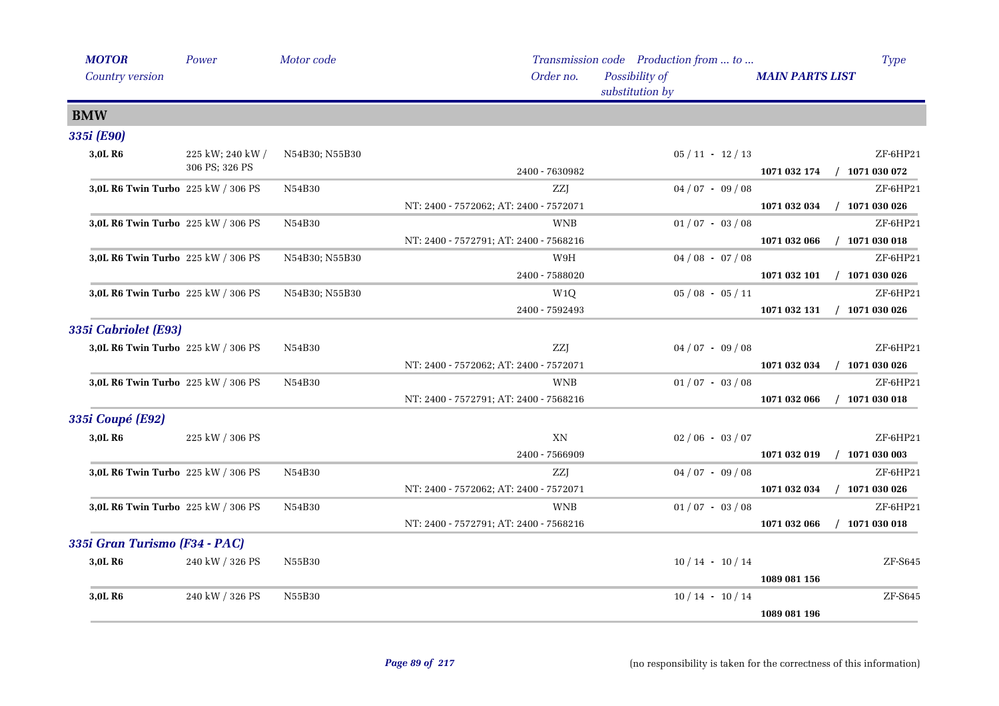| <b>MOTOR</b><br>Country version    | Power                              | Motor code     | Order no.                              | Transmission code Production from  to<br>Possibility of<br>substitution by | <b>Type</b><br><b>MAIN PARTS LIST</b>        |
|------------------------------------|------------------------------------|----------------|----------------------------------------|----------------------------------------------------------------------------|----------------------------------------------|
| <b>BMW</b>                         |                                    |                |                                        |                                                                            |                                              |
| 335i (E90)                         |                                    |                |                                        |                                                                            |                                              |
| 3,0L R6                            | 225 kW; 240 kW /<br>306 PS; 326 PS | N54B30; N55B30 | 2400 - 7630982                         | $05/11 - 12/13$                                                            | ZF-6HP21<br>$/$ 1071 030 072<br>1071 032 174 |
| 3,0L R6 Twin Turbo 225 kW / 306 PS |                                    | N54B30         | ZZJ                                    | $04/07 - 09/08$                                                            | ZF-6HP21                                     |
|                                    |                                    |                | NT: 2400 - 7572062; AT: 2400 - 7572071 |                                                                            | $/$ 1071 030 026<br>1071 032 034             |
| 3,0L R6 Twin Turbo 225 kW / 306 PS |                                    | N54B30         | <b>WNB</b>                             | $01/07 - 03/08$                                                            | $ZF-6HP21$                                   |
|                                    |                                    |                | NT: 2400 - 7572791; AT: 2400 - 7568216 |                                                                            | $/$ 1071 030 018<br>1071 032 066             |
| 3,0L R6 Twin Turbo 225 kW / 306 PS |                                    | N54B30; N55B30 | W9H                                    | $04/08 - 07/08$                                                            | ZF-6HP21                                     |
|                                    |                                    |                | 2400 - 7588020                         |                                                                            | $/$ 1071 030 026<br>1071 032 101             |
| 3,0L R6 Twin Turbo 225 kW / 306 PS |                                    | N54B30; N55B30 | W <sub>1</sub> Q                       | $05/08 - 05/11$                                                            | ZF-6HP21                                     |
|                                    |                                    |                | 2400 - 7592493                         |                                                                            | 1071 032 131<br>$/$ 1071 030 026             |
| 335i Cabriolet (E93)               |                                    |                |                                        |                                                                            |                                              |
| 3,0L R6 Twin Turbo 225 kW / 306 PS |                                    | N54B30         | <b>ZZJ</b>                             | $04/07 - 09/08$                                                            | ZF-6HP21                                     |
|                                    |                                    |                | NT: 2400 - 7572062; AT: 2400 - 7572071 |                                                                            | $/$ 1071 030 026<br>1071 032 034             |
| 3,0L R6 Twin Turbo 225 kW / 306 PS |                                    | N54B30         | <b>WNB</b>                             | $01/07 - 03/08$                                                            | ZF-6HP21                                     |
|                                    |                                    |                | NT: 2400 - 7572791; AT: 2400 - 7568216 |                                                                            | 1071 032 066<br>$/$ 1071 030 018             |
| 335i Coupé (E92)                   |                                    |                |                                        |                                                                            |                                              |
| 3,0L R6                            | 225 kW / 306 PS                    |                | XN                                     | $02/06 - 03/07$                                                            | ZF-6HP21                                     |
|                                    |                                    |                | 2400 - 7566909                         |                                                                            | $/$ 1071 030 003<br>1071 032 019             |
| 3,0L R6 Twin Turbo 225 kW / 306 PS |                                    | N54B30         | ZZJ                                    | $04/07 - 09/08$                                                            | ZF-6HP21                                     |
|                                    |                                    |                | NT: 2400 - 7572062; AT: 2400 - 7572071 |                                                                            | $/$ 1071 030 026<br>1071 032 034             |
| 3,0L R6 Twin Turbo 225 kW / 306 PS |                                    | N54B30         | <b>WNB</b>                             | $01/07 - 03/08$                                                            | ZF-6HP21                                     |
|                                    |                                    |                | NT: 2400 - 7572791; AT: 2400 - 7568216 |                                                                            | 1071 032 066<br>$/$ 1071 030 018             |
| 335i Gran Turismo (F34 - PAC)      |                                    |                |                                        |                                                                            |                                              |
| 3,0L R <sub>6</sub>                | 240 kW / 326 PS                    | N55B30         |                                        | $10/14 - 10/14$                                                            | ZF-S645                                      |
|                                    |                                    |                |                                        |                                                                            | 1089 081 156                                 |
| 3,0L R <sub>6</sub>                | 240 kW / 326 PS                    | N55B30         |                                        | $10/14 - 10/14$                                                            | $ZF-S645$                                    |
|                                    |                                    |                |                                        |                                                                            | 1089 081 196                                 |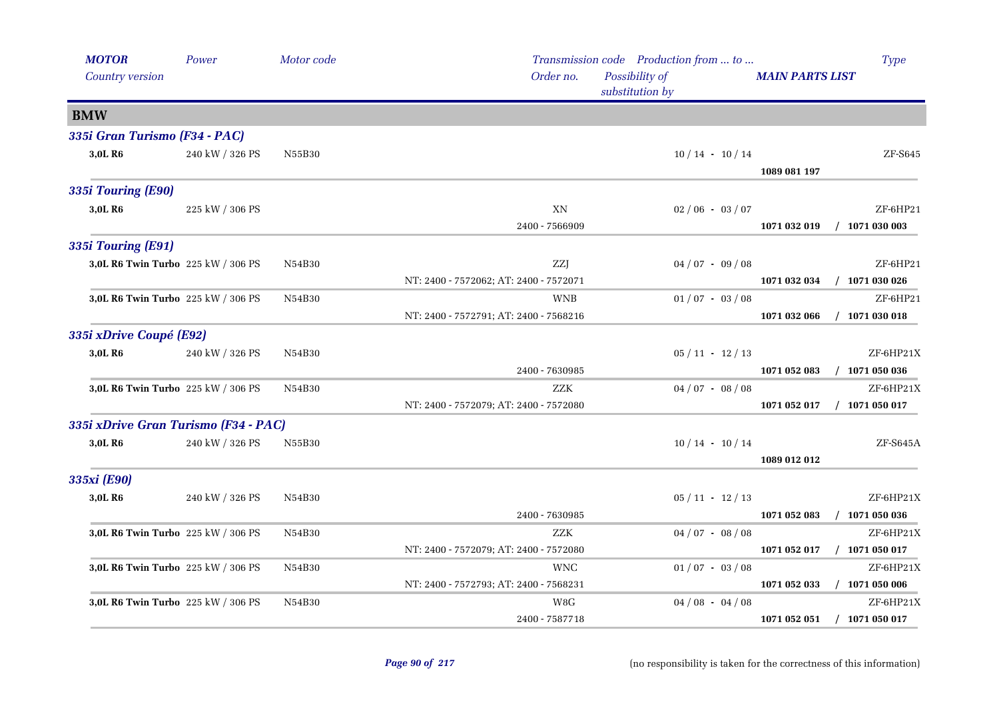| Order no.<br>Possibility of<br>Country version<br><b>MAIN PARTS LIST</b><br>substitution by<br><b>BMW</b><br>335i Gran Turismo (F34 - PAC)<br>3,0L R6<br>240 kW / 326 PS<br>N55B30<br>$10/14 - 10/14$<br>$ZF-S645$<br>1089 081 197<br>335i Touring (E90)<br>3,0L R6<br>XN<br>ZF-6HP21<br>225 kW / 306 PS<br>$02/06 - 03/07$<br>2400 - 7566909<br>$/$ 1071 030 003<br>1071 032 019<br>3,0L R6 Twin Turbo 225 kW / 306 PS<br><b>ZZJ</b><br>$04/07 - 09/08$<br>ZF-6HP21<br>N54B30<br>$/$ 1071 030 026<br>NT: 2400 - 7572062; AT: 2400 - 7572071<br>1071 032 034<br>3,0L R6 Twin Turbo 225 kW / 306 PS<br>N54B30<br><b>WNB</b><br>$01/07 - 03/08$<br>ZF-6HP21<br>NT: 2400 - 7572791; AT: 2400 - 7568216<br>$/$ 1071 030 018<br>1071 032 066<br>335i xDrive Coupé (E92)<br>3,0L R <sub>6</sub><br>240 kW / 326 PS<br>$05/11 - 12/13$<br>ZF-6HP21X<br>N54B30<br>2400 - 7630985<br>1071 052 083<br>$/$ 1071 050 036<br>3,0L R6 Twin Turbo 225 kW / 306 PS<br><b>ZZK</b><br>$04/07 - 08/08$<br>ZF-6HP21X<br>N54B30<br>NT: 2400 - 7572079; AT: 2400 - 7572080<br>$/$ 1071 050 017<br>1071 052 017<br>335i xDrive Gran Turismo (F34 - PAC)<br>240 kW / 326 PS<br>ZF-S645A<br>3,0L R <sub>6</sub><br>N55B30<br>$10/14 - 10/14$<br>1089 012 012<br>335xi (E90)<br>ZF-6HP21X<br>3,0L R <sub>6</sub><br>240 kW / 326 PS<br>$05/11 - 12/13$<br>N54B30<br>$/$ 1071 050 036<br>2400 - 7630985<br>1071 052 083<br>ZZK<br>ZF-6HP21X<br>3,0L R6 Twin Turbo 225 kW / 306 PS<br>$04/07 - 08/08$<br>N54B30<br>NT: 2400 - 7572079; AT: 2400 - 7572080<br>$/$ 1071 050 017<br>1071 052 017<br>3,0L R6 Twin Turbo 225 kW / 306 PS<br><b>WNC</b><br>$01/07 - 03/08$<br>ZF-6HP21X<br>N54B30<br>NT: 2400 - 7572793; AT: 2400 - 7568231<br>$/$ 1071 050 006<br>1071 052 033<br>3,0L R6 Twin Turbo 225 kW / 306 PS<br>$04/08 - 04/08$<br>ZF-6HP21X<br>N54B30<br>W8G | <b>MOTOR</b>       | Power | Motor code |                | Transmission code Production from  to | <b>Type</b>                      |
|--------------------------------------------------------------------------------------------------------------------------------------------------------------------------------------------------------------------------------------------------------------------------------------------------------------------------------------------------------------------------------------------------------------------------------------------------------------------------------------------------------------------------------------------------------------------------------------------------------------------------------------------------------------------------------------------------------------------------------------------------------------------------------------------------------------------------------------------------------------------------------------------------------------------------------------------------------------------------------------------------------------------------------------------------------------------------------------------------------------------------------------------------------------------------------------------------------------------------------------------------------------------------------------------------------------------------------------------------------------------------------------------------------------------------------------------------------------------------------------------------------------------------------------------------------------------------------------------------------------------------------------------------------------------------------------------------------------------------------------------------------------------------------------------------------------------------------------|--------------------|-------|------------|----------------|---------------------------------------|----------------------------------|
|                                                                                                                                                                                                                                                                                                                                                                                                                                                                                                                                                                                                                                                                                                                                                                                                                                                                                                                                                                                                                                                                                                                                                                                                                                                                                                                                                                                                                                                                                                                                                                                                                                                                                                                                                                                                                                      |                    |       |            |                |                                       |                                  |
|                                                                                                                                                                                                                                                                                                                                                                                                                                                                                                                                                                                                                                                                                                                                                                                                                                                                                                                                                                                                                                                                                                                                                                                                                                                                                                                                                                                                                                                                                                                                                                                                                                                                                                                                                                                                                                      |                    |       |            |                |                                       |                                  |
|                                                                                                                                                                                                                                                                                                                                                                                                                                                                                                                                                                                                                                                                                                                                                                                                                                                                                                                                                                                                                                                                                                                                                                                                                                                                                                                                                                                                                                                                                                                                                                                                                                                                                                                                                                                                                                      |                    |       |            |                |                                       |                                  |
|                                                                                                                                                                                                                                                                                                                                                                                                                                                                                                                                                                                                                                                                                                                                                                                                                                                                                                                                                                                                                                                                                                                                                                                                                                                                                                                                                                                                                                                                                                                                                                                                                                                                                                                                                                                                                                      |                    |       |            |                |                                       |                                  |
|                                                                                                                                                                                                                                                                                                                                                                                                                                                                                                                                                                                                                                                                                                                                                                                                                                                                                                                                                                                                                                                                                                                                                                                                                                                                                                                                                                                                                                                                                                                                                                                                                                                                                                                                                                                                                                      |                    |       |            |                |                                       |                                  |
|                                                                                                                                                                                                                                                                                                                                                                                                                                                                                                                                                                                                                                                                                                                                                                                                                                                                                                                                                                                                                                                                                                                                                                                                                                                                                                                                                                                                                                                                                                                                                                                                                                                                                                                                                                                                                                      |                    |       |            |                |                                       |                                  |
|                                                                                                                                                                                                                                                                                                                                                                                                                                                                                                                                                                                                                                                                                                                                                                                                                                                                                                                                                                                                                                                                                                                                                                                                                                                                                                                                                                                                                                                                                                                                                                                                                                                                                                                                                                                                                                      |                    |       |            |                |                                       |                                  |
|                                                                                                                                                                                                                                                                                                                                                                                                                                                                                                                                                                                                                                                                                                                                                                                                                                                                                                                                                                                                                                                                                                                                                                                                                                                                                                                                                                                                                                                                                                                                                                                                                                                                                                                                                                                                                                      |                    |       |            |                |                                       |                                  |
|                                                                                                                                                                                                                                                                                                                                                                                                                                                                                                                                                                                                                                                                                                                                                                                                                                                                                                                                                                                                                                                                                                                                                                                                                                                                                                                                                                                                                                                                                                                                                                                                                                                                                                                                                                                                                                      | 335i Touring (E91) |       |            |                |                                       |                                  |
|                                                                                                                                                                                                                                                                                                                                                                                                                                                                                                                                                                                                                                                                                                                                                                                                                                                                                                                                                                                                                                                                                                                                                                                                                                                                                                                                                                                                                                                                                                                                                                                                                                                                                                                                                                                                                                      |                    |       |            |                |                                       |                                  |
|                                                                                                                                                                                                                                                                                                                                                                                                                                                                                                                                                                                                                                                                                                                                                                                                                                                                                                                                                                                                                                                                                                                                                                                                                                                                                                                                                                                                                                                                                                                                                                                                                                                                                                                                                                                                                                      |                    |       |            |                |                                       |                                  |
|                                                                                                                                                                                                                                                                                                                                                                                                                                                                                                                                                                                                                                                                                                                                                                                                                                                                                                                                                                                                                                                                                                                                                                                                                                                                                                                                                                                                                                                                                                                                                                                                                                                                                                                                                                                                                                      |                    |       |            |                |                                       |                                  |
|                                                                                                                                                                                                                                                                                                                                                                                                                                                                                                                                                                                                                                                                                                                                                                                                                                                                                                                                                                                                                                                                                                                                                                                                                                                                                                                                                                                                                                                                                                                                                                                                                                                                                                                                                                                                                                      |                    |       |            |                |                                       |                                  |
|                                                                                                                                                                                                                                                                                                                                                                                                                                                                                                                                                                                                                                                                                                                                                                                                                                                                                                                                                                                                                                                                                                                                                                                                                                                                                                                                                                                                                                                                                                                                                                                                                                                                                                                                                                                                                                      |                    |       |            |                |                                       |                                  |
|                                                                                                                                                                                                                                                                                                                                                                                                                                                                                                                                                                                                                                                                                                                                                                                                                                                                                                                                                                                                                                                                                                                                                                                                                                                                                                                                                                                                                                                                                                                                                                                                                                                                                                                                                                                                                                      |                    |       |            |                |                                       |                                  |
|                                                                                                                                                                                                                                                                                                                                                                                                                                                                                                                                                                                                                                                                                                                                                                                                                                                                                                                                                                                                                                                                                                                                                                                                                                                                                                                                                                                                                                                                                                                                                                                                                                                                                                                                                                                                                                      |                    |       |            |                |                                       |                                  |
|                                                                                                                                                                                                                                                                                                                                                                                                                                                                                                                                                                                                                                                                                                                                                                                                                                                                                                                                                                                                                                                                                                                                                                                                                                                                                                                                                                                                                                                                                                                                                                                                                                                                                                                                                                                                                                      |                    |       |            |                |                                       |                                  |
|                                                                                                                                                                                                                                                                                                                                                                                                                                                                                                                                                                                                                                                                                                                                                                                                                                                                                                                                                                                                                                                                                                                                                                                                                                                                                                                                                                                                                                                                                                                                                                                                                                                                                                                                                                                                                                      |                    |       |            |                |                                       |                                  |
|                                                                                                                                                                                                                                                                                                                                                                                                                                                                                                                                                                                                                                                                                                                                                                                                                                                                                                                                                                                                                                                                                                                                                                                                                                                                                                                                                                                                                                                                                                                                                                                                                                                                                                                                                                                                                                      |                    |       |            |                |                                       |                                  |
|                                                                                                                                                                                                                                                                                                                                                                                                                                                                                                                                                                                                                                                                                                                                                                                                                                                                                                                                                                                                                                                                                                                                                                                                                                                                                                                                                                                                                                                                                                                                                                                                                                                                                                                                                                                                                                      |                    |       |            |                |                                       |                                  |
|                                                                                                                                                                                                                                                                                                                                                                                                                                                                                                                                                                                                                                                                                                                                                                                                                                                                                                                                                                                                                                                                                                                                                                                                                                                                                                                                                                                                                                                                                                                                                                                                                                                                                                                                                                                                                                      |                    |       |            |                |                                       |                                  |
|                                                                                                                                                                                                                                                                                                                                                                                                                                                                                                                                                                                                                                                                                                                                                                                                                                                                                                                                                                                                                                                                                                                                                                                                                                                                                                                                                                                                                                                                                                                                                                                                                                                                                                                                                                                                                                      |                    |       |            |                |                                       |                                  |
|                                                                                                                                                                                                                                                                                                                                                                                                                                                                                                                                                                                                                                                                                                                                                                                                                                                                                                                                                                                                                                                                                                                                                                                                                                                                                                                                                                                                                                                                                                                                                                                                                                                                                                                                                                                                                                      |                    |       |            |                |                                       |                                  |
|                                                                                                                                                                                                                                                                                                                                                                                                                                                                                                                                                                                                                                                                                                                                                                                                                                                                                                                                                                                                                                                                                                                                                                                                                                                                                                                                                                                                                                                                                                                                                                                                                                                                                                                                                                                                                                      |                    |       |            |                |                                       |                                  |
|                                                                                                                                                                                                                                                                                                                                                                                                                                                                                                                                                                                                                                                                                                                                                                                                                                                                                                                                                                                                                                                                                                                                                                                                                                                                                                                                                                                                                                                                                                                                                                                                                                                                                                                                                                                                                                      |                    |       |            |                |                                       |                                  |
|                                                                                                                                                                                                                                                                                                                                                                                                                                                                                                                                                                                                                                                                                                                                                                                                                                                                                                                                                                                                                                                                                                                                                                                                                                                                                                                                                                                                                                                                                                                                                                                                                                                                                                                                                                                                                                      |                    |       |            |                |                                       |                                  |
|                                                                                                                                                                                                                                                                                                                                                                                                                                                                                                                                                                                                                                                                                                                                                                                                                                                                                                                                                                                                                                                                                                                                                                                                                                                                                                                                                                                                                                                                                                                                                                                                                                                                                                                                                                                                                                      |                    |       |            |                |                                       |                                  |
|                                                                                                                                                                                                                                                                                                                                                                                                                                                                                                                                                                                                                                                                                                                                                                                                                                                                                                                                                                                                                                                                                                                                                                                                                                                                                                                                                                                                                                                                                                                                                                                                                                                                                                                                                                                                                                      |                    |       |            |                |                                       |                                  |
|                                                                                                                                                                                                                                                                                                                                                                                                                                                                                                                                                                                                                                                                                                                                                                                                                                                                                                                                                                                                                                                                                                                                                                                                                                                                                                                                                                                                                                                                                                                                                                                                                                                                                                                                                                                                                                      |                    |       |            |                |                                       |                                  |
|                                                                                                                                                                                                                                                                                                                                                                                                                                                                                                                                                                                                                                                                                                                                                                                                                                                                                                                                                                                                                                                                                                                                                                                                                                                                                                                                                                                                                                                                                                                                                                                                                                                                                                                                                                                                                                      |                    |       |            | 2400 - 7587718 |                                       | $/$ 1071 050 017<br>1071 052 051 |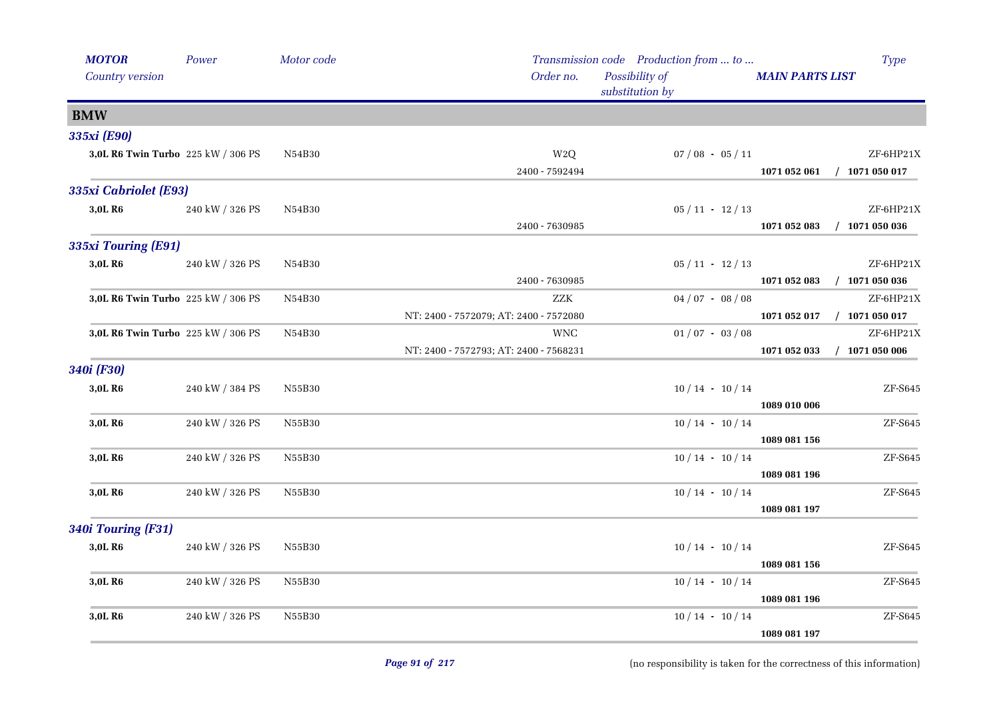| <b>MOTOR</b>                       | Power           | Motor code |                                        | Transmission code Production from  to | Type                             |
|------------------------------------|-----------------|------------|----------------------------------------|---------------------------------------|----------------------------------|
| Country version                    |                 |            | Order no.                              | Possibility of<br>substitution by     | <b>MAIN PARTS LIST</b>           |
| <b>BMW</b>                         |                 |            |                                        |                                       |                                  |
| 335xi (E90)                        |                 |            |                                        |                                       |                                  |
| 3,0L R6 Twin Turbo 225 kW / 306 PS |                 | N54B30     | W <sub>2</sub> Q                       | $07/08 - 05/11$                       | ZF-6HP21X                        |
|                                    |                 |            | 2400 - 7592494                         |                                       | 1071 052 061<br>$/$ 1071 050 017 |
| 335xi Cabriolet (E93)              |                 |            |                                        |                                       |                                  |
| 3,0L R6                            | 240 kW / 326 PS | N54B30     |                                        | $05/11 - 12/13$                       | ZF-6HP21X                        |
|                                    |                 |            | 2400 - 7630985                         |                                       | 1071 052 083<br>$/$ 1071 050 036 |
| 335xi Touring (E91)                |                 |            |                                        |                                       |                                  |
| 3,0L R6                            | 240 kW / 326 PS | N54B30     |                                        | $05/11 - 12/13$                       | ZF-6HP21X                        |
|                                    |                 |            | 2400 - 7630985                         |                                       | $/$ 1071 050 036<br>1071 052 083 |
| 3,0L R6 Twin Turbo 225 kW / 306 PS |                 | N54B30     | <b>ZZK</b>                             | $04/07 - 08/08$                       | ZF-6HP21X                        |
|                                    |                 |            | NT: 2400 - 7572079; AT: 2400 - 7572080 |                                       | 1071 052 017 / 1071 050 017      |
| 3,0L R6 Twin Turbo 225 kW / 306 PS |                 | N54B30     | <b>WNC</b>                             | $01/07 - 03/08$                       | ZF-6HP21X                        |
|                                    |                 |            | NT: 2400 - 7572793; AT: 2400 - 7568231 |                                       | $/$ 1071 050 006<br>1071 052 033 |
| 340i (F30)                         |                 |            |                                        |                                       |                                  |
| 3,0L R6                            | 240 kW / 384 PS | N55B30     |                                        | $10/14$ - $10/14$                     | ZF-S645                          |
|                                    |                 |            |                                        |                                       | 1089 010 006                     |
| 3,0L R6                            | 240 kW / 326 PS | N55B30     |                                        | $10/14 - 10/14$                       | ZF-S645                          |
|                                    |                 |            |                                        |                                       | 1089 081 156                     |
| 3,0L R6                            | 240 kW / 326 PS | N55B30     |                                        | $10/14 - 10/14$                       | ZF-S645                          |
| 3,0L R6                            | 240 kW / 326 PS | N55B30     |                                        | $10/14 - 10/14$                       | 1089 081 196<br>ZF-S645          |
|                                    |                 |            |                                        |                                       | 1089 081 197                     |
|                                    |                 |            |                                        |                                       |                                  |
| 340i Touring (F31)                 |                 |            |                                        |                                       |                                  |
| 3,0L R6                            | 240 kW / 326 PS | N55B30     |                                        | $10/14 - 10/14$                       | ZF-S645<br>1089 081 156          |
| 3,0L R6                            | 240 kW / 326 PS | N55B30     |                                        | $10/14 - 10/14$                       | ZF-S645                          |
|                                    |                 |            |                                        |                                       | 1089 081 196                     |
| 3,0L R6                            | 240 kW / 326 PS | N55B30     |                                        | $10/14 - 10/14$                       | ZF-S645                          |
|                                    |                 |            |                                        |                                       | 1089 081 197                     |
|                                    |                 |            |                                        |                                       |                                  |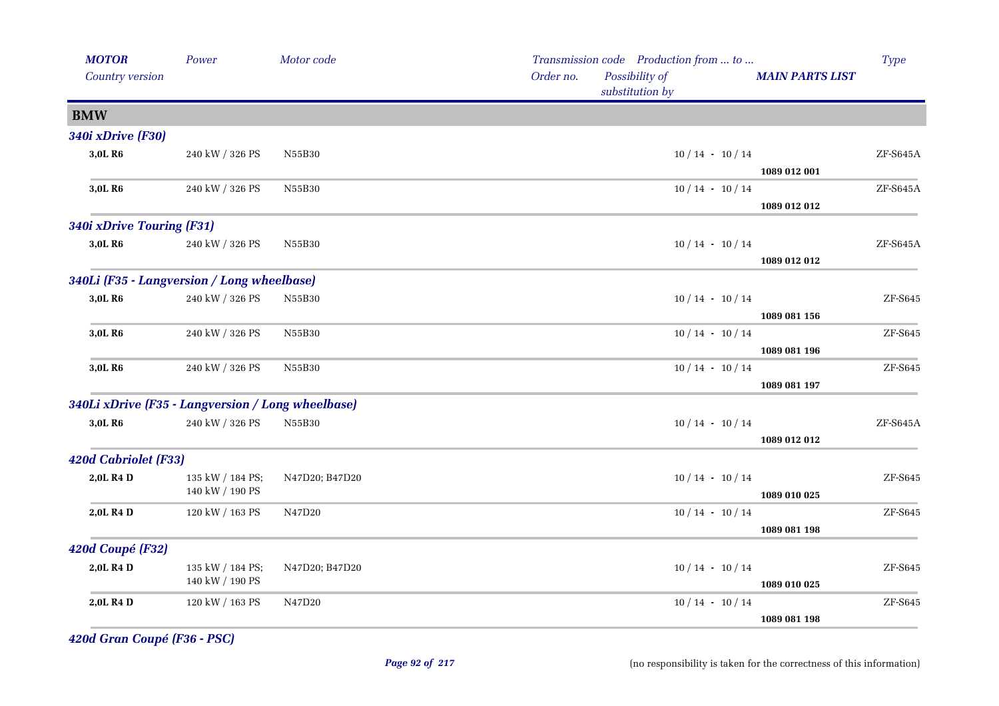| <b>MOTOR</b>                                      | Power            | Motor code     |           | Transmission code Production from  to |                        | <b>Type</b> |
|---------------------------------------------------|------------------|----------------|-----------|---------------------------------------|------------------------|-------------|
| Country version                                   |                  |                | Order no. | Possibility of<br>substitution by     | <b>MAIN PARTS LIST</b> |             |
| <b>BMW</b>                                        |                  |                |           |                                       |                        |             |
| <b>340i xDrive (F30)</b>                          |                  |                |           |                                       |                        |             |
| 3,0L R6                                           | 240 kW / 326 PS  | N55B30         |           | $10/14 - 10/14$                       |                        | $ZF- S645A$ |
|                                                   |                  |                |           |                                       | 1089 012 001           |             |
| 3,0L R <sub>6</sub>                               | 240 kW / 326 PS  | N55B30         |           | $10/14 - 10/14$                       |                        | ZF-S645A    |
|                                                   |                  |                |           |                                       | 1089 012 012           |             |
| 340i xDrive Touring (F31)                         |                  |                |           |                                       |                        |             |
| 3,0L R6                                           | 240 kW / 326 PS  | N55B30         |           | $10/14 - 10/14$                       |                        | $ZF- S645A$ |
|                                                   |                  |                |           |                                       | 1089 012 012           |             |
| 340Li (F35 - Langversion / Long wheelbase)        |                  |                |           |                                       |                        |             |
| 3,0L R6                                           | 240 kW / 326 PS  | N55B30         |           | $10/14 - 10/14$                       |                        | ZF-S645     |
|                                                   |                  |                |           |                                       | 1089 081 156           |             |
| 3,0L R6                                           | 240 kW / 326 PS  | N55B30         |           | $10/14 - 10/14$                       |                        | ZF-S645     |
|                                                   |                  |                |           |                                       | 1089 081 196           |             |
| 3,0L R6                                           | 240 kW / 326 PS  | N55B30         |           | $10/14 - 10/14$                       |                        | $ZF-$ S645  |
|                                                   |                  |                |           |                                       | 1089 081 197           |             |
| 340Li xDrive (F35 - Langversion / Long wheelbase) |                  |                |           |                                       |                        |             |
| 3,0L R6                                           | 240 kW / 326 PS  | N55B30         |           | $10/14 - 10/14$                       |                        | $ZF- S645A$ |
|                                                   |                  |                |           |                                       | 1089 012 012           |             |
| <b>420d Cabriolet (F33)</b>                       |                  |                |           |                                       |                        |             |
| 2,0L R4 D                                         | 135 kW / 184 PS; | N47D20; B47D20 |           | $10/14$ · $10/14$                     |                        | ZF-S645     |
|                                                   | 140 kW / 190 PS  |                |           |                                       | 1089 010 025           |             |
| 2,0L R4 D                                         | 120 kW / 163 PS  | N47D20         |           | $10/14$ · $10/14$                     |                        | ZF-S645     |
|                                                   |                  |                |           |                                       | 1089 081 198           |             |
| 420d Coupé (F32)                                  |                  |                |           |                                       |                        |             |
| 2,0L R4 D                                         | 135 kW / 184 PS; | N47D20; B47D20 |           | $10/14 - 10/14$                       |                        | ZF-S645     |
|                                                   | 140 kW / 190 PS  |                |           |                                       | 1089 010 025           |             |
| 2,0L R4 D                                         | 120 kW / 163 PS  | N47D20         |           | $10/14 - 10/14$                       |                        | ZF-S645     |
|                                                   |                  |                |           |                                       | 1089 081 198           |             |

*420d Gran Coupé (F36 - PSC)*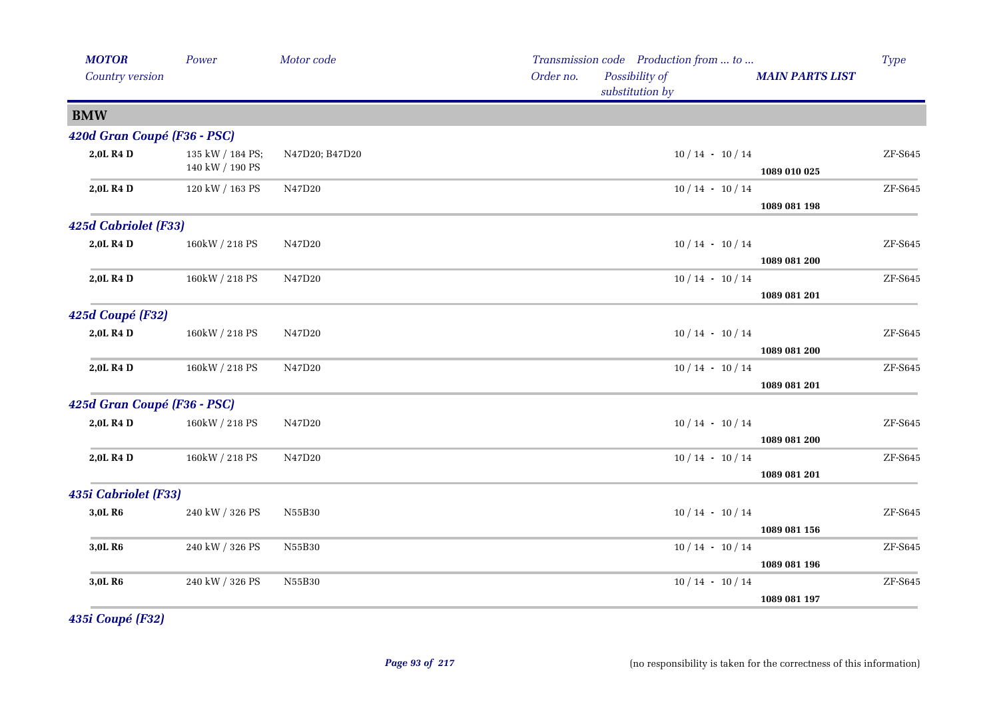| <b>MOTOR</b>                | Power                               | Motor code     |           | Transmission code Production from  to |                        | <b>Type</b>                  |
|-----------------------------|-------------------------------------|----------------|-----------|---------------------------------------|------------------------|------------------------------|
| Country version             |                                     |                | Order no. | Possibility of<br>substitution by     | <b>MAIN PARTS LIST</b> |                              |
| <b>BMW</b>                  |                                     |                |           |                                       |                        |                              |
| 420d Gran Coupé (F36 - PSC) |                                     |                |           |                                       |                        |                              |
| 2,0L R4 D                   | 135 kW / 184 PS;<br>140 kW / 190 PS | N47D20; B47D20 |           | $10/14 - 10/14$                       | 1089 010 025           | ZF-S645                      |
| 2,0L R4 D                   | 120 kW / 163 PS                     | N47D20         |           | $10/14 - 10/14$                       | 1089 081 198           | $ZF-S645$                    |
| 425d Cabriolet (F33)        |                                     |                |           |                                       |                        |                              |
| 2,0L R4 D                   | 160kW / 218 PS                      | N47D20         |           | $10/14 - 10/14$                       | 1089 081 200           | ZF-S645                      |
| 2,0L R4 D                   | 160kW / 218 PS                      | N47D20         |           | $10/14 - 10/14$                       | 1089 081 201           | ZF-S645                      |
| 425d Coupé (F32)            |                                     |                |           |                                       |                        |                              |
| 2,0L R4 D                   | 160kW / 218 PS                      | N47D20         |           | $10/14 - 10/14$                       | 1089 081 200           | ${\rm ZF}\text{-}{\rm S645}$ |
| 2,0L R4 D                   | 160kW / 218 PS                      | N47D20         |           | $10/14 - 10/14$                       | 1089 081 201           | ZF-S645                      |
| 425d Gran Coupé (F36 - PSC) |                                     |                |           |                                       |                        |                              |
| 2,0L R4 D                   | 160kW / 218 PS                      | N47D20         |           | $10/14 - 10/14$                       | 1089 081 200           | ZF-S645                      |
| 2,0L R4 D                   | 160kW / 218 PS                      | N47D20         |           | $10/14 - 10/14$                       | 1089 081 201           | ZF-S645                      |
| 435i Cabriolet (F33)        |                                     |                |           |                                       |                        |                              |
| 3,0L R6                     | 240 kW / 326 PS                     | N55B30         |           | $10/14 - 10/14$                       | 1089 081 156           | ZF-S645                      |
| 3,0L R6                     | 240 kW / 326 PS                     | N55B30         |           | $10/14 - 10/14$                       | 1089 081 196           | ZF-S645                      |
| 3,0L R6                     | 240 kW / 326 PS                     | N55B30         |           | $10/14 - 10/14$                       | 1089 081 197           | ZF-S645                      |
|                             |                                     |                |           |                                       |                        |                              |

*435i Coupé (F32)*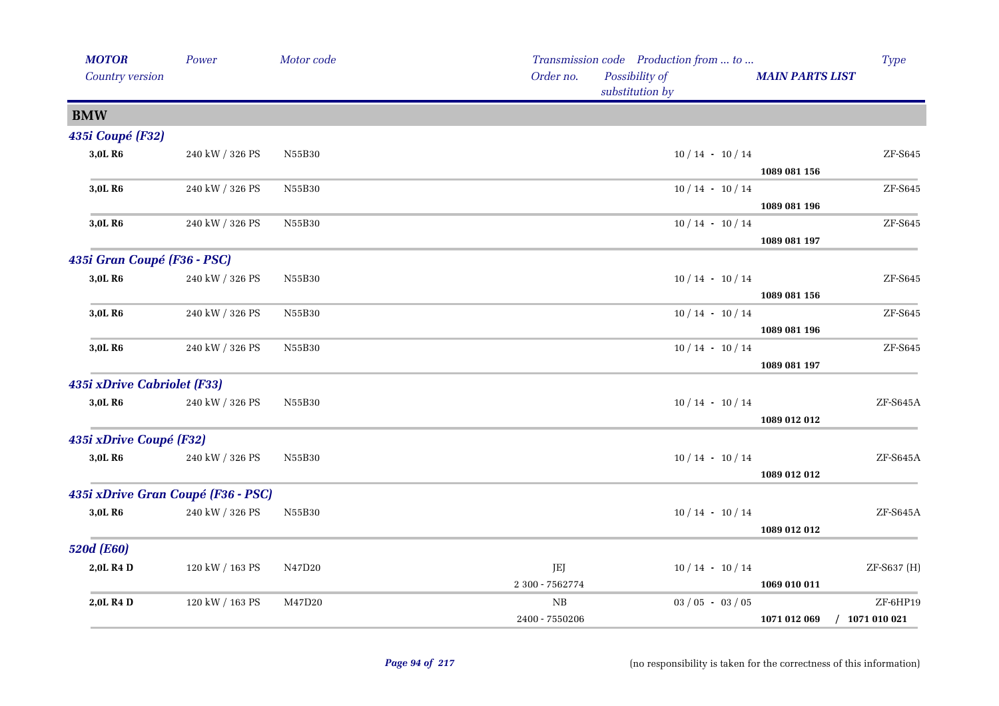| <b>MOTOR</b>                | Power                              | Motor code |                 | Transmission code Production from  to |                        | <b>Type</b>      |
|-----------------------------|------------------------------------|------------|-----------------|---------------------------------------|------------------------|------------------|
| Country version             |                                    |            | Order no.       | Possibility of<br>substitution by     | <b>MAIN PARTS LIST</b> |                  |
| <b>BMW</b>                  |                                    |            |                 |                                       |                        |                  |
| 435i Coupé (F32)            |                                    |            |                 |                                       |                        |                  |
| 3,0L R6                     | 240 kW / 326 PS                    | N55B30     |                 | $10/14 - 10/14$                       |                        | ZF-S645          |
|                             |                                    |            |                 |                                       | 1089 081 156           |                  |
| 3,0L R <sub>6</sub>         | 240 kW / 326 PS                    | N55B30     |                 | $10/14 - 10/14$                       |                        | ZF-S645          |
|                             |                                    |            |                 |                                       | 1089 081 196           |                  |
| 3,0L R6                     | 240 kW / 326 PS                    | N55B30     |                 | $10/14 - 10/14$                       |                        | ZF-S645          |
|                             |                                    |            |                 |                                       | 1089 081 197           |                  |
| 435i Gran Coupé (F36 - PSC) |                                    |            |                 |                                       |                        |                  |
| 3,0L R6                     | 240 kW / 326 PS                    | N55B30     |                 | $10/14 - 10/14$                       |                        | ZF-S645          |
|                             |                                    |            |                 |                                       | 1089 081 156           |                  |
| 3,0L R <sub>6</sub>         | 240 kW / 326 PS                    | N55B30     |                 | $10/14 - 10/14$                       |                        | ZF-S645          |
|                             |                                    |            |                 |                                       | 1089 081 196           |                  |
| 3,0L R <sub>6</sub>         | 240 kW / 326 PS                    | N55B30     |                 | $10/14 - 10/14$                       |                        | ZF-S645          |
|                             |                                    |            |                 |                                       | 1089 081 197           |                  |
| 435i xDrive Cabriolet (F33) |                                    |            |                 |                                       |                        |                  |
| 3,0L R6                     | 240 kW / 326 PS                    | N55B30     |                 | $10/14 - 10/14$                       |                        | ZF-S645A         |
|                             |                                    |            |                 |                                       | 1089 012 012           |                  |
| 435i xDrive Coupé (F32)     |                                    |            |                 |                                       |                        |                  |
| 3,0L R6                     | 240 kW / 326 PS                    | N55B30     |                 | $10/14$ · $10/14$                     |                        | ZF-S645A         |
|                             |                                    |            |                 |                                       | 1089 012 012           |                  |
|                             | 435i xDrive Gran Coupé (F36 - PSC) |            |                 |                                       |                        |                  |
| 3,0L R6                     | $240$ kW $\!/$ 326 PS              | N55B30     |                 | $10/14 - 10/14$                       |                        | ZF-S645A         |
|                             |                                    |            |                 |                                       | 1089 012 012           |                  |
| <b>520d (E60)</b>           |                                    |            |                 |                                       |                        |                  |
| 2,0L R4 D                   | 120 kW / 163 PS                    | N47D20     | JEJ             | $10/14 - 10/14$                       |                        | ZF-S637 (H)      |
|                             |                                    |            | 2 300 - 7562774 |                                       | 1069 010 011           |                  |
| 2,0L R4 D                   | 120 kW / 163 PS                    | M47D20     | $_{\rm NB}$     | $03 / 05 - 03 / 05$                   |                        | ZF-6HP19         |
|                             |                                    |            | 2400 - 7550206  |                                       | 1071 012 069           | $/$ 1071 010 021 |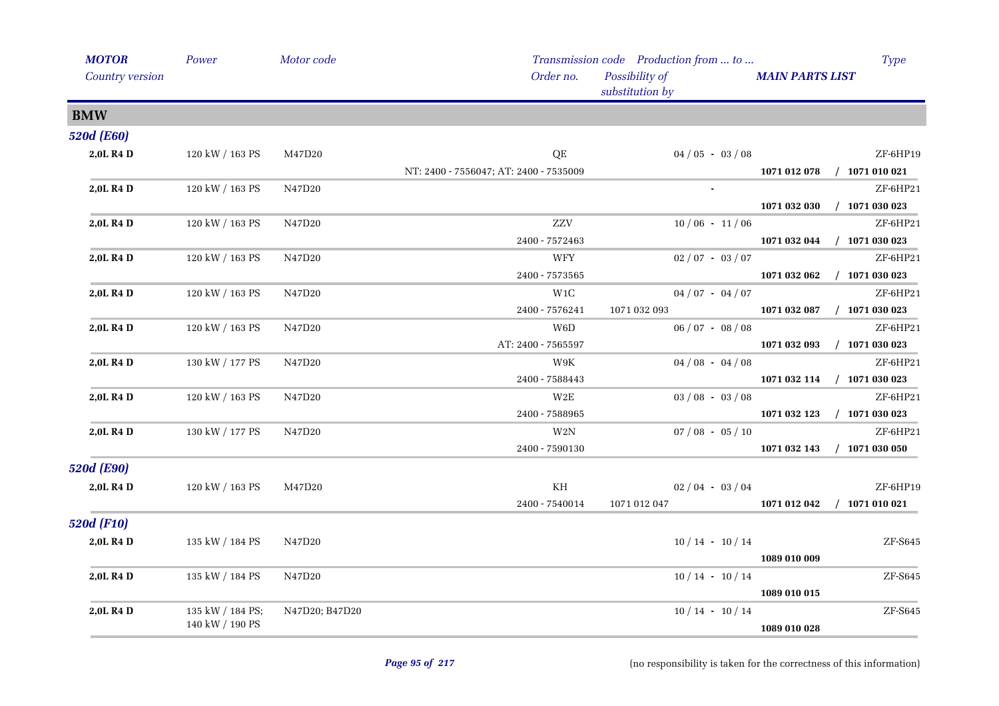| <b>MOTOR</b>      | Power            | Motor code     |                                        | Transmission code Production from  to |                             | <b>Type</b>      |
|-------------------|------------------|----------------|----------------------------------------|---------------------------------------|-----------------------------|------------------|
| Country version   |                  |                | Order no.                              | Possibility of<br>substitution by     | <b>MAIN PARTS LIST</b>      |                  |
| <b>BMW</b>        |                  |                |                                        |                                       |                             |                  |
| <b>520d (E60)</b> |                  |                |                                        |                                       |                             |                  |
| 2,0L R4 D         | 120 kW / 163 PS  | M47D20         | $\mathrm{QE}$                          | $04/05 - 03/08$                       |                             | ZF-6HP19         |
|                   |                  |                | NT: 2400 - 7556047; AT: 2400 - 7535009 |                                       | 1071 012 078                | $/$ 1071 010 021 |
| 2,0L R4 D         | 120 kW / 163 PS  | N47D20         |                                        |                                       |                             | ZF-6HP21         |
|                   |                  |                |                                        |                                       | 1071 032 030                | $/$ 1071 030 023 |
| 2,0L R4 D         | 120 kW / 163 PS  | N47D20         | ZZV                                    | $10/06 - 11/06$                       |                             | ZF-6HP21         |
|                   |                  |                | 2400 - 7572463                         |                                       | 1071 032 044                | $/$ 1071 030 023 |
| 2,0L R4 D         | 120 kW / 163 PS  | N47D20         | WFY                                    | $02 / 07 - 03 / 07$                   |                             | ZF-6HP21         |
|                   |                  |                | 2400 - 7573565                         |                                       | 1071 032 062                | $/$ 1071 030 023 |
| 2,0L R4 D         | 120 kW / 163 PS  | N47D20         | W1C                                    | $04/07 - 04/07$                       |                             | ZF-6HP21         |
|                   |                  |                | 2400 - 7576241                         | 1071 032 093                          | 1071 032 087                | $/$ 1071 030 023 |
| 2,0L R4 D         | 120 kW / 163 PS  | N47D20         | W <sub>6</sub> D                       | $06 / 07 - 08 / 08$                   |                             | ZF-6HP21         |
|                   |                  |                | AT: 2400 - 7565597                     |                                       | 1071 032 093 / 1071 030 023 |                  |
| 2,0L R4 D         | 130 kW / 177 PS  | N47D20         | W9K                                    | $04/08 - 04/08$                       |                             | ZF-6HP21         |
|                   |                  |                | 2400 - 7588443                         |                                       | 1071 032 114 / 1071 030 023 |                  |
| 2,0L R4 D         | 120 kW / 163 PS  | N47D20         | W2E                                    | $03/08 - 03/08$                       |                             | ZF-6HP21         |
|                   |                  |                | 2400 - 7588965                         |                                       | 1071 032 123                | $/$ 1071 030 023 |
| 2,0L R4 D         | 130 kW / 177 PS  | N47D20         | $\rm W2N$                              | $07/08 - 05/10$                       |                             | ZF-6HP21         |
|                   |                  |                | 2400 - 7590130                         |                                       | 1071 032 143                | $/$ 1071 030 050 |
| <b>520d (E90)</b> |                  |                |                                        |                                       |                             |                  |
| 2,0L R4 D         | 120 kW / 163 PS  | M47D20         | KH                                     | $02/04 - 03/04$                       |                             | ZF-6HP19         |
|                   |                  |                | 2400 - 7540014                         | 1071 012 047                          | 1071 012 042 / 1071 010 021 |                  |
| <b>520d (F10)</b> |                  |                |                                        |                                       |                             |                  |
| 2,0L R4 D         | 135 kW / 184 PS  | N47D20         |                                        | $10/14 - 10/14$                       |                             | ZF-S645          |
|                   |                  |                |                                        |                                       | 1089 010 009                |                  |
| 2,0L R4 D         | 135 kW / 184 PS  | N47D20         |                                        | $10/14 - 10/14$                       |                             | $ZF-$ S645       |
|                   |                  |                |                                        |                                       | 1089 010 015                |                  |
| 2,0L R4 D         | 135 kW / 184 PS; | N47D20; B47D20 |                                        | $10/14 - 10/14$                       |                             | $ZF-$ S645       |
|                   | 140 kW / 190 PS  |                |                                        |                                       | 1089 010 028                |                  |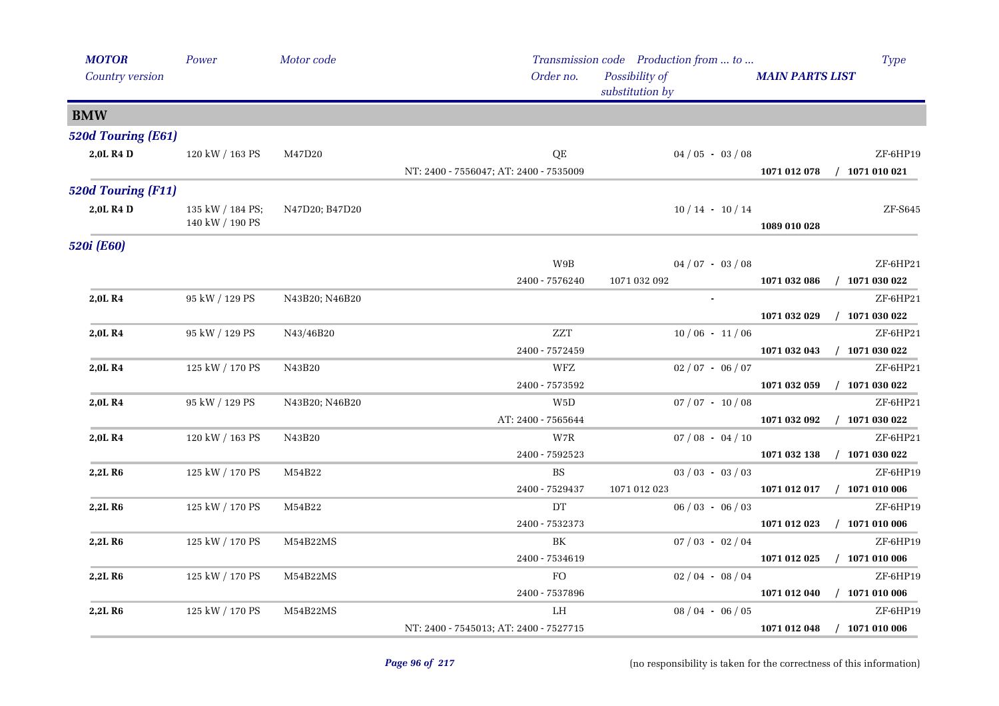| <b>MOTOR</b>              | Power                               | Motor code     |                                        | Transmission code Production from  to | <b>Type</b>                      |
|---------------------------|-------------------------------------|----------------|----------------------------------------|---------------------------------------|----------------------------------|
| Country version           |                                     |                | Order no.                              | Possibility of<br>substitution by     | <b>MAIN PARTS LIST</b>           |
| <b>BMW</b>                |                                     |                |                                        |                                       |                                  |
| <b>520d Touring (E61)</b> |                                     |                |                                        |                                       |                                  |
| 2,0L R4 D                 | 120 kW / 163 PS                     | M47D20         | QE                                     | $04/05 - 03/08$                       | ZF-6HP19                         |
|                           |                                     |                | NT: 2400 - 7556047; AT: 2400 - 7535009 |                                       | 1071 012 078<br>$/$ 1071 010 021 |
| 520d Touring (F11)        |                                     |                |                                        |                                       |                                  |
| 2,0L R4 D                 | 135 kW / 184 PS;<br>140 kW / 190 PS | N47D20; B47D20 |                                        | $10/14 - 10/14$                       | ZF-S645<br>1089 010 028          |
| 520i (E60)                |                                     |                |                                        |                                       |                                  |
|                           |                                     |                | W9B                                    | $04/07 - 03/08$                       | ZF-6HP21                         |
|                           |                                     |                | 2400 - 7576240                         | 1071 032 092                          | $/$ 1071 030 022<br>1071 032 086 |
| 2,0L R4                   | 95 kW / 129 PS                      | N43B20; N46B20 |                                        |                                       | ZF-6HP21                         |
|                           |                                     |                |                                        |                                       | 1071 032 029<br>$/$ 1071 030 022 |
| 2,0L R4                   | 95 kW / 129 PS                      | N43/46B20      | <b>ZZT</b>                             | $10/06 - 11/06$                       | ZF-6HP21                         |
|                           |                                     |                | 2400 - 7572459                         |                                       | $/$ 1071 030 022<br>1071 032 043 |
| 2,0L R4                   | 125 kW / 170 PS                     | N43B20         | WFZ                                    | $02/07 - 06/07$                       | ZF-6HP21                         |
|                           |                                     |                | 2400 - 7573592                         |                                       | 1071 032 059<br>$/$ 1071 030 022 |
| 2,0LR4                    | 95 kW / 129 PS                      | N43B20; N46B20 | W5D                                    | $07 / 07 - 10 / 08$                   | ZF-6HP21                         |
|                           |                                     |                | AT: 2400 - 7565644                     |                                       | $/$ 1071 030 022<br>1071 032 092 |
| 2,0L R4                   | 120 kW / 163 PS                     | N43B20         | W7R                                    | $07/08 - 04/10$                       | ZF-6HP21                         |
|                           |                                     |                | 2400 - 7592523                         |                                       | 1071 032 138<br>$/$ 1071 030 022 |
| 2,2L R6                   | 125 kW / 170 PS                     | M54B22         | $_{\rm BS}$                            | $03 / 03 - 03 / 03$                   | ZF-6HP19                         |
|                           |                                     |                | 2400 - 7529437                         | 1071 012 023                          | 1071 012 017 / 1071 010 006      |
| 2,2L R6                   | 125 kW / 170 PS                     | M54B22         | DT                                     | $06/03 - 06/03$                       | ZF-6HP19                         |
|                           |                                     |                | 2400 - 7532373                         |                                       | 1071 012 023<br>$/$ 1071 010 006 |
| 2,2L R <sub>6</sub>       | 125 kW / 170 PS                     | M54B22MS       | BK                                     | $07/03 - 02/04$                       | ZF-6HP19                         |
|                           |                                     |                | 2400 - 7534619                         |                                       | $/$ 1071 010 006<br>1071 012 025 |
| 2,2L R <sub>6</sub>       | 125 kW / 170 PS                     | M54B22MS       | FO                                     | $02/04 - 08/04$                       | ZF-6HP19                         |
|                           |                                     |                | 2400 - 7537896                         |                                       | 1071 012 040 / 1071 010 006      |
| 2,2L R <sub>6</sub>       | 125 kW / 170 PS                     | M54B22MS       | LH                                     | $08/04 - 06/05$                       | ZF-6HP19                         |
|                           |                                     |                | NT: 2400 - 7545013; AT: 2400 - 7527715 |                                       | 1071 012 048<br>$/$ 1071 010 006 |

j.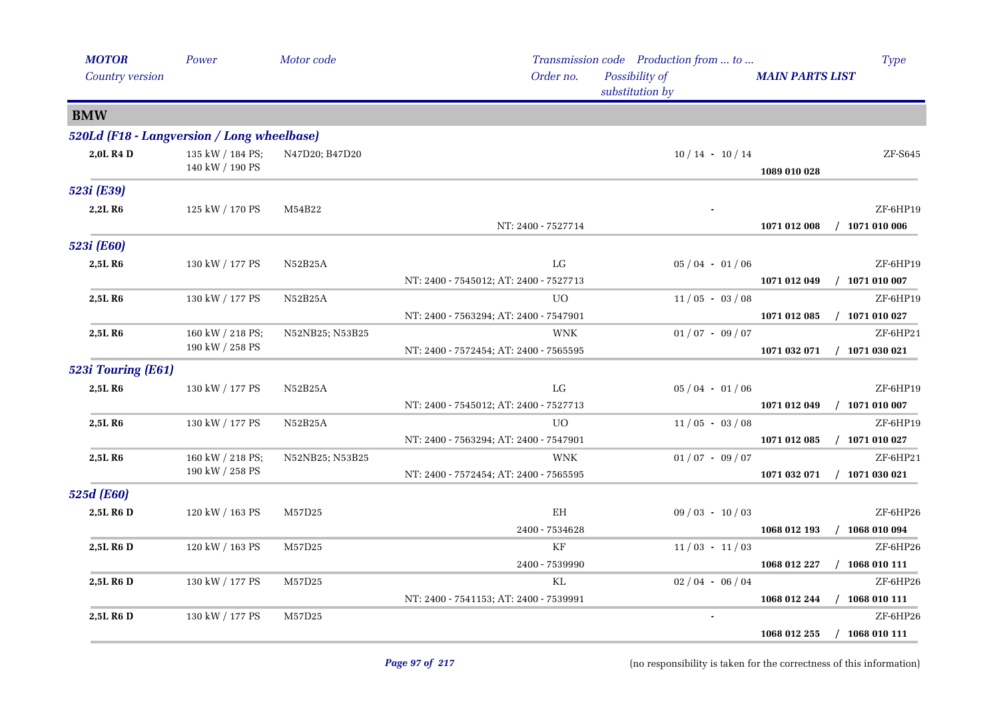| <b>MOTOR</b><br>Country version            | Power                               | Motor code      | Order no.                                            | Transmission code Production from  to<br>Possibility of<br>substitution by | <b>MAIN PARTS LIST</b> | <b>Type</b>                  |
|--------------------------------------------|-------------------------------------|-----------------|------------------------------------------------------|----------------------------------------------------------------------------|------------------------|------------------------------|
| <b>BMW</b>                                 |                                     |                 |                                                      |                                                                            |                        |                              |
| 520Ld (F18 - Langversion / Long wheelbase) |                                     |                 |                                                      |                                                                            |                        |                              |
| 2,0L R4 D                                  | 135 kW / 184 PS;<br>140 kW / 190 PS | N47D20; B47D20  |                                                      | $10/14 - 10/14$                                                            | 1089 010 028           | ZF-S645                      |
| 523i (E39)                                 |                                     |                 |                                                      |                                                                            |                        |                              |
| 2,2L R6                                    | 125 kW / 170 PS                     | M54B22          | NT: 2400 - 7527714                                   |                                                                            | 1071 012 008           | ZF-6HP19<br>$/$ 1071 010 006 |
| 523i (E60)                                 |                                     |                 |                                                      |                                                                            |                        |                              |
| 2,5L R <sub>6</sub>                        | 130 kW / 177 PS                     | N52B25A         | ${\rm LG}$                                           | $05/04 - 01/06$                                                            |                        | ZF-6HP19                     |
|                                            |                                     |                 | NT: 2400 - 7545012; AT: 2400 - 7527713               |                                                                            | 1071 012 049           | $/$ 1071 010 007             |
| 2,5L R6                                    | 130 kW / 177 PS                     | N52B25A         | UO.                                                  | $11/05 - 03/08$                                                            |                        | ZF-6HP19                     |
|                                            |                                     |                 | NT: 2400 - 7563294; AT: 2400 - 7547901               |                                                                            | 1071 012 085           | $/$ 1071 010 027             |
| 2,5L R <sub>6</sub>                        | 160 kW / 218 PS;<br>190 kW / 258 PS | N52NB25; N53B25 | <b>WNK</b><br>NT: 2400 - 7572454; AT: 2400 - 7565595 | $01/07 - 09/07$                                                            | 1071 032 071           | ZF-6HP21<br>$/$ 1071 030 021 |
| 523i Touring (E61)                         |                                     |                 |                                                      |                                                                            |                        |                              |
| 2,5L R6                                    | 130 kW / 177 PS                     | N52B25A         | ${\rm LG}$                                           | $05/04 - 01/06$                                                            |                        | ZF-6HP19                     |
|                                            |                                     |                 | NT: 2400 - 7545012; AT: 2400 - 7527713               |                                                                            | 1071 012 049           | $/$ 1071 010 007             |
| 2,5L R <sub>6</sub>                        | 130 kW / 177 PS                     | N52B25A         | UO                                                   | $11/05 - 03/08$                                                            |                        | ZF-6HP19                     |
|                                            |                                     |                 | NT: 2400 - 7563294; AT: 2400 - 7547901               |                                                                            | 1071 012 085           | $/$ 1071 010 027             |
| 2,5L R6                                    | 160 kW / 218 PS;                    | N52NB25; N53B25 | <b>WNK</b>                                           | $01/07 - 09/07$                                                            |                        | ZF-6HP21                     |
|                                            | $190$ kW $\!/$ 258 PS               |                 | NT: 2400 - 7572454; AT: 2400 - 7565595               |                                                                            | 1071 032 071           | $/$ 1071 030 021             |
| 525d (E60)                                 |                                     |                 |                                                      |                                                                            |                        |                              |
| 2,5L R6 D                                  | 120 kW / 163 PS                     | M57D25          | EH                                                   | $09/03 - 10/03$                                                            |                        | ZF-6HP26                     |
|                                            |                                     |                 | 2400 - 7534628                                       |                                                                            | 1068 012 193           | $/$ 1068 010 094             |
| 2,5L R6 D                                  | 120 kW / 163 PS                     | M57D25          | $\rm KF$                                             | $11/03 - 11/03$                                                            |                        | ZF-6HP26                     |
|                                            |                                     |                 | 2400 - 7539990                                       |                                                                            | 1068 012 227           | $/$ 1068 010 111             |
| 2,5L R6 D                                  | 130 kW / 177 PS                     | M57D25          | KL                                                   | $02/04 - 06/04$                                                            |                        | ZF-6HP26                     |
|                                            |                                     |                 | NT: 2400 - 7541153; AT: 2400 - 7539991               |                                                                            | 1068 012 244           | $/$ 1068 010 111             |
| 2,5L R6 D                                  | 130 kW / 177 PS                     | M57D25          |                                                      |                                                                            |                        | ZF-6HP26                     |
|                                            |                                     |                 |                                                      |                                                                            | 1068 012 255           | $/$ 1068 010 111             |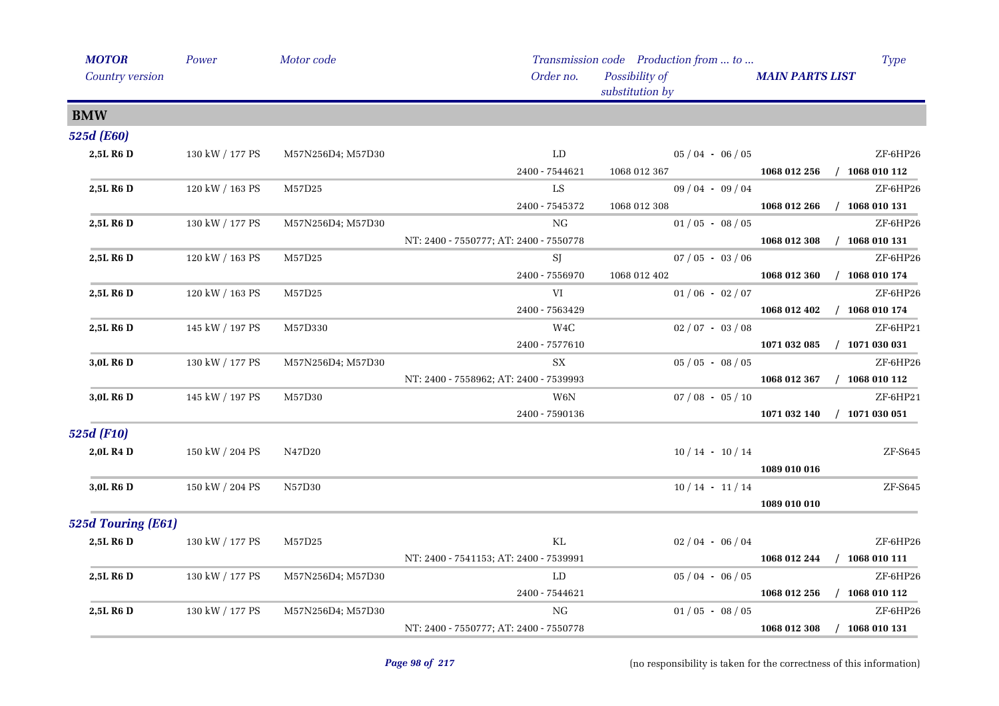| <b>MOTOR</b>          | Power           | Motor code        |                                        | Transmission code Production from  to | <b>Type</b>                      |
|-----------------------|-----------------|-------------------|----------------------------------------|---------------------------------------|----------------------------------|
| Country version       |                 |                   | Order no.                              | Possibility of<br>substitution by     | <b>MAIN PARTS LIST</b>           |
| <b>BMW</b>            |                 |                   |                                        |                                       |                                  |
| 525d (E60)            |                 |                   |                                        |                                       |                                  |
| 2,5L R6 D             | 130 kW / 177 PS | M57N256D4; M57D30 | ${\rm LD}$                             | $05/04 - 06/05$                       | ZF-6HP26                         |
|                       |                 |                   | 2400 - 7544621                         | 1068 012 367                          | 1068 012 256<br>$/$ 1068 010 112 |
| 2,5L R <sub>6</sub> D | 120 kW / 163 PS | M57D25            | ${\rm LS}$                             | $09/04 - 09/04$                       | ZF-6HP26                         |
|                       |                 |                   | 2400 - 7545372                         | 1068 012 308                          | $/$ 1068 010 131<br>1068 012 266 |
| 2,5L R <sub>6</sub> D | 130 kW / 177 PS | M57N256D4; M57D30 | $_{\rm NG}$                            | $01/05 - 08/05$                       | ZF-6HP26                         |
|                       |                 |                   | NT: 2400 - 7550777; AT: 2400 - 7550778 |                                       | $/$ 1068 010 131<br>1068 012 308 |
| 2,5L R <sub>6</sub> D | 120 kW / 163 PS | M57D25            | SJ                                     | $07/05 - 03/06$                       | ZF-6HP26                         |
|                       |                 |                   | 2400 - 7556970                         | 1068 012 402                          | $/$ 1068 010 174<br>1068 012 360 |
| 2,5L R6 D             | 120 kW / 163 PS | M57D25            | VI                                     | $01/06 - 02/07$                       | ZF-6HP26                         |
|                       |                 |                   | 2400 - 7563429                         |                                       | 1068 012 402<br>$/$ 1068 010 174 |
| 2,5L R6 D             | 145 kW / 197 PS | M57D330           | W <sub>4</sub> C                       | $02/07 - 03/08$                       | ZF-6HP21                         |
|                       |                 |                   | 2400 - 7577610                         |                                       | 1071 032 085<br>$/$ 1071 030 031 |
| 3,0L R6 D             | 130 kW / 177 PS | M57N256D4; M57D30 | ${\rm SX}$                             | $05/05 - 08/05$                       | ZF-6HP26                         |
|                       |                 |                   | NT: 2400 - 7558962; AT: 2400 - 7539993 |                                       | 1068 012 367<br>$/$ 1068 010 112 |
| 3.0L R <sub>6</sub> D | 145 kW / 197 PS | M57D30            | W6N                                    | $07/08 - 05/10$                       | ZF-6HP21                         |
|                       |                 |                   | 2400 - 7590136                         |                                       | $/$ 1071 030 051<br>1071 032 140 |
| 525d (F10)            |                 |                   |                                        |                                       |                                  |
| 2,0L R <sub>4</sub> D | 150 kW / 204 PS | N47D20            |                                        | $10/14 - 10/14$                       | ZF-S645                          |
|                       |                 |                   |                                        |                                       | 1089 010 016                     |
| 3,0L R6 D             | 150 kW / 204 PS | N57D30            |                                        | $10/14 - 11/14$                       | ZF-S645                          |
|                       |                 |                   |                                        |                                       | 1089 010 010                     |
| 525d Touring (E61)    |                 |                   |                                        |                                       |                                  |
| 2,5L R <sub>6</sub> D | 130 kW / 177 PS | M57D25            | KL                                     | $02/04 - 06/04$                       | ZF-6HP26                         |
|                       |                 |                   | NT: 2400 - 7541153; AT: 2400 - 7539991 |                                       | 1068 012 244<br>$/$ 1068 010 111 |
| 2,5L R <sub>6</sub> D | 130 kW / 177 PS | M57N256D4; M57D30 | LD                                     | $05/04 - 06/05$                       | ZF-6HP26                         |
|                       |                 |                   | 2400 - 7544621                         |                                       | 1068 012 256<br>$/$ 1068 010 112 |
| 2,5L R <sub>6</sub> D | 130 kW / 177 PS | M57N256D4; M57D30 | NG                                     | $01/05 - 08/05$                       | ZF-6HP26                         |
|                       |                 |                   | NT: 2400 - 7550777; AT: 2400 - 7550778 |                                       | 1068 012 308<br>$/$ 1068 010 131 |
|                       |                 |                   |                                        |                                       |                                  |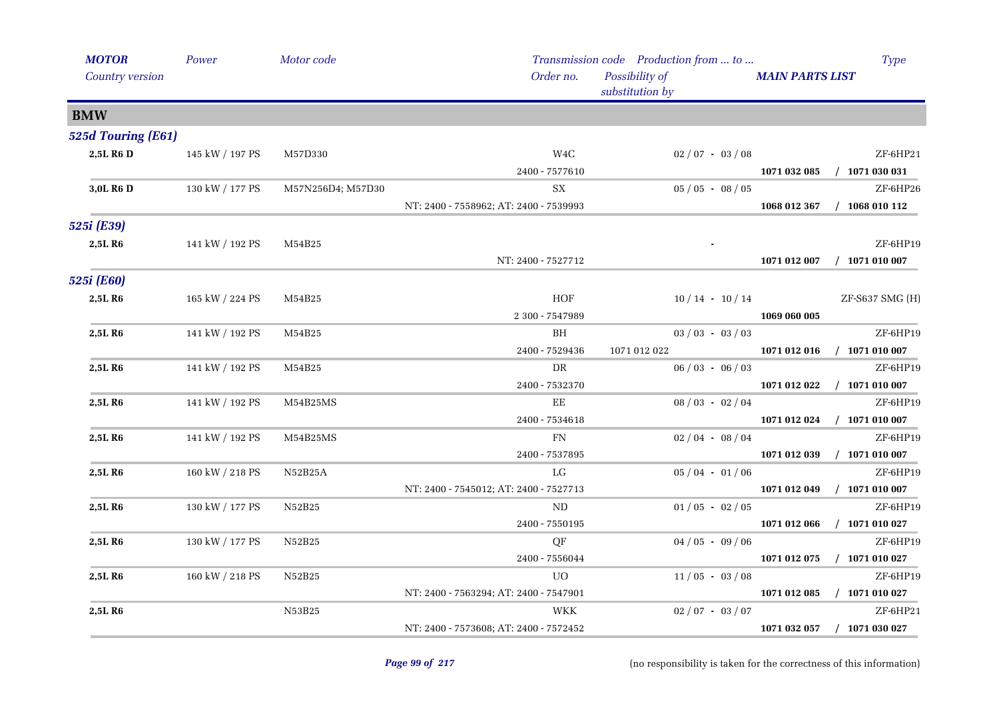| <b>MOTOR</b>        | Power           | Motor code        |                                        | Transmission code Production from  to | Type                             |
|---------------------|-----------------|-------------------|----------------------------------------|---------------------------------------|----------------------------------|
| Country version     |                 |                   | Order no.                              | Possibility of<br>substitution by     | <b>MAIN PARTS LIST</b>           |
| <b>BMW</b>          |                 |                   |                                        |                                       |                                  |
| 525d Touring (E61)  |                 |                   |                                        |                                       |                                  |
| 2,5L R6 D           | 145 kW / 197 PS | M57D330           | W <sub>4</sub> C                       | $02/07 - 03/08$                       | ZF-6HP21                         |
|                     |                 |                   | 2400 - 7577610                         |                                       | $/$ 1071 030 031<br>1071 032 085 |
| 3,0L R6 D           | 130 kW / 177 PS | M57N256D4; M57D30 | SX                                     | $05/05 - 08/05$                       | ZF-6HP26                         |
|                     |                 |                   | NT: 2400 - 7558962; AT: 2400 - 7539993 |                                       | 1068 012 367<br>$/$ 1068 010 112 |
| 525i (E39)          |                 |                   |                                        |                                       |                                  |
| 2,5L R6             | 141 kW / 192 PS | M54B25            |                                        |                                       | ZF-6HP19                         |
|                     |                 |                   | NT: 2400 - 7527712                     |                                       | 1071 012 007<br>$/$ 1071 010 007 |
| 525i (E60)          |                 |                   |                                        |                                       |                                  |
| 2,5LR6              | 165 kW / 224 PS | M54B25            | HOF                                    | $10/14 - 10/14$                       | $ZF-S637$ SMG $(H)$              |
|                     |                 |                   | 2 300 - 7547989                        |                                       | 1069 060 005                     |
| 2,5L R <sub>6</sub> | 141 kW / 192 PS | M54B25            | BH                                     | $03 / 03 - 03 / 03$                   | ZF-6HP19                         |
|                     |                 |                   | 2400 - 7529436                         | 1071 012 022                          | 1071 012 016 / 1071 010 007      |
| 2,5L R6             | 141 kW / 192 PS | M54B25            | DR                                     | $06/03 - 06/03$                       | ZF-6HP19                         |
|                     |                 |                   | 2400 - 7532370                         |                                       | $/$ 1071 010 007<br>1071 012 022 |
| 2,5L R6             | 141 kW / 192 PS | M54B25MS          | EE                                     | $08/03 - 02/04$                       | ZF-6HP19                         |
|                     |                 |                   | 2400 - 7534618                         |                                       | 1071 012 024<br>$/$ 1071 010 007 |
| 2,5L R6             | 141 kW / 192 PS | M54B25MS          | FN                                     | $02/04 - 08/04$                       | ZF-6HP19                         |
|                     |                 |                   | 2400 - 7537895                         |                                       | $/$ 1071 010 007<br>1071 012 039 |
| 2,5L R <sub>6</sub> | 160 kW / 218 PS | N52B25A           | LG                                     | $05/04 - 01/06$                       | ZF-6HP19                         |
|                     |                 |                   | NT: 2400 - 7545012; AT: 2400 - 7527713 |                                       | 1071 012 049<br>$/$ 1071 010 007 |
| 2,5L R6             | 130 kW / 177 PS | N52B25            | ND                                     | $01/05 - 02/05$                       | ZF-6HP19                         |
|                     |                 |                   | 2400 - 7550195                         |                                       | $/$ 1071 010 027<br>1071 012 066 |
| 2,5L R6             | 130 kW / 177 PS | N52B25            | QF                                     | $04/05 - 09/06$                       | ZF-6HP19                         |
|                     |                 |                   | 2400 - 7556044                         |                                       | $/$ 1071 010 027<br>1071 012 075 |
| 2,5L R6             | 160 kW / 218 PS | N52B25            | <b>UO</b>                              | $11/05 - 03/08$                       | ZF-6HP19                         |
|                     |                 |                   | NT: 2400 - 7563294; AT: 2400 - 7547901 |                                       | 1071 012 085<br>$/$ 1071 010 027 |
| 2,5L R6             |                 | N53B25            | WKK                                    | $02/07 - 03/07$                       | ZF-6HP21                         |
|                     |                 |                   | NT: 2400 - 7573608; AT: 2400 - 7572452 |                                       | 1071 032 057 / 1071 030 027      |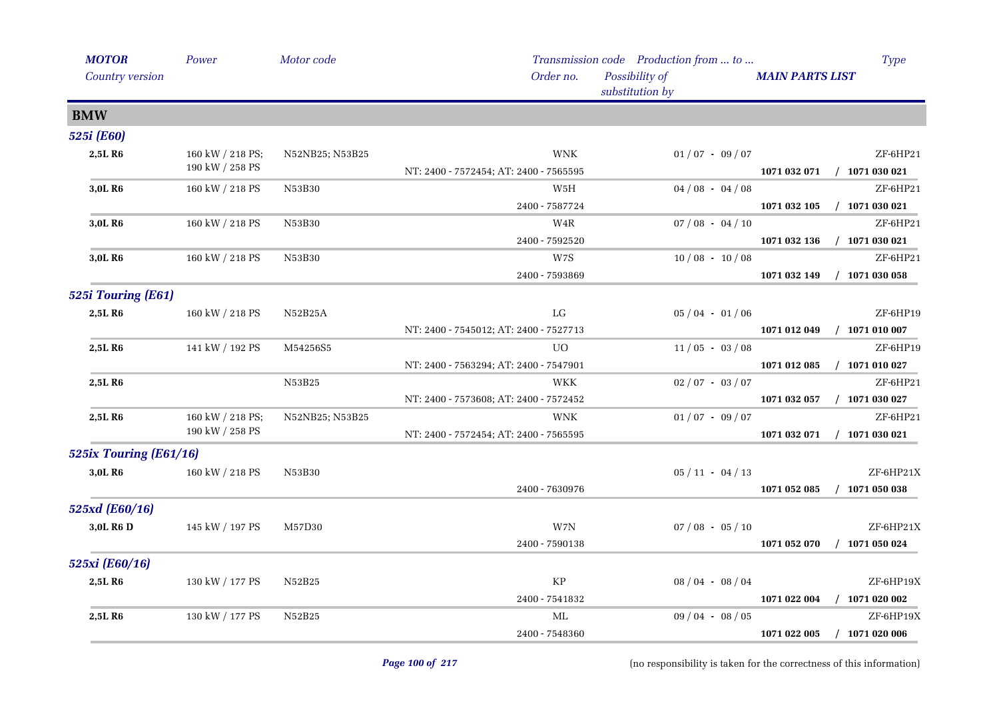| <b>MOTOR</b>           | Power            | Motor code      |                                        | Transmission code Production from  to | <b>Type</b>                      |          |
|------------------------|------------------|-----------------|----------------------------------------|---------------------------------------|----------------------------------|----------|
| Country version        |                  |                 | Order no.                              | Possibility of<br>substitution by     | <b>MAIN PARTS LIST</b>           |          |
| <b>BMW</b>             |                  |                 |                                        |                                       |                                  |          |
| 525i (E60)             |                  |                 |                                        |                                       |                                  |          |
| 2,5LR6                 | 160 kW / 218 PS; | N52NB25; N53B25 | <b>WNK</b>                             | $01/07 - 09/07$                       | ZF-6HP21                         |          |
|                        | 190 kW / 258 PS  |                 | NT: 2400 - 7572454; AT: 2400 - 7565595 |                                       | $/$ 1071 030 021<br>1071 032 071 |          |
| 3,0L R6                | 160 kW / 218 PS  | N53B30          | W5H                                    | $04/08 - 04/08$                       | ZF-6HP21                         |          |
|                        |                  |                 | 2400 - 7587724                         |                                       | $/$ 1071 030 021<br>1071 032 105 |          |
| 3,0L R <sub>6</sub>    | 160 kW / 218 PS  | N53B30          | W4R                                    | $07/08 - 04/10$                       | ZF-6HP21                         |          |
|                        |                  |                 | 2400 - 7592520                         |                                       | 1071 032 136<br>$/$ 1071 030 021 |          |
| 3,0L R <sub>6</sub>    | 160 kW / 218 PS  | N53B30          | W7S                                    | $10/08 - 10/08$                       | ZF-6HP21                         |          |
|                        |                  |                 | 2400 - 7593869                         |                                       | $/$ 1071 030 058<br>1071 032 149 |          |
| 525i Touring (E61)     |                  |                 |                                        |                                       |                                  |          |
| 2,5LR6                 | 160 kW / 218 PS  | N52B25A         | LG                                     | $05/04 - 01/06$                       | ZF-6HP19                         |          |
|                        |                  |                 | NT: 2400 - 7545012; AT: 2400 - 7527713 |                                       | 1071 012 049<br>$/$ 1071 010 007 |          |
| 2,5L R <sub>6</sub>    | 141 kW / 192 PS  | M54256S5        | UO                                     | $11/05 - 03/08$                       | ZF-6HP19                         |          |
|                        |                  |                 | NT: 2400 - 7563294; AT: 2400 - 7547901 |                                       | $/$ 1071 010 027<br>1071 012 085 |          |
| 2,5L R6                |                  | N53B25          | <b>WKK</b>                             | $02/07 - 03/07$                       | ZF-6HP21                         |          |
|                        |                  |                 | NT: 2400 - 7573608; AT: 2400 - 7572452 |                                       | $/$ 1071 030 027<br>1071 032 057 |          |
| 2,5L R <sub>6</sub>    | 160 kW / 218 PS; |                 | N52NB25; N53B25                        | <b>WNK</b>                            | $01/07 - 09/07$                  | ZF-6HP21 |
|                        | 190 kW / 258 PS  |                 | NT: 2400 - 7572454; AT: 2400 - 7565595 |                                       | $/$ 1071 030 021<br>1071 032 071 |          |
| 525ix Touring (E61/16) |                  |                 |                                        |                                       |                                  |          |
| 3,0L R6                | 160 kW / 218 PS  | N53B30          |                                        | $05 / 11 - 04 / 13$                   | ZF-6HP21X                        |          |
|                        |                  |                 | 2400 - 7630976                         |                                       | $/$ 1071 050 038<br>1071 052 085 |          |
| 525xd (E60/16)         |                  |                 |                                        |                                       |                                  |          |
| 3.0L R <sub>6</sub> D  | 145 kW / 197 PS  | M57D30          | W7N                                    | $07 / 08 - 05 / 10$                   | ZF-6HP21X                        |          |
|                        |                  |                 | 2400 - 7590138                         |                                       | 1071 052 070<br>$/$ 1071 050 024 |          |
| 525xi (E60/16)         |                  |                 |                                        |                                       |                                  |          |
| 2,5LR6                 | 130 kW / 177 PS  | N52B25          | $\rm KP$                               | $08/04 - 08/04$                       | ZF-6HP19X                        |          |
|                        |                  |                 | 2400 - 7541832                         |                                       | $/$ 1071 020 002<br>1071 022 004 |          |
| 2,5L R <sub>6</sub>    | 130 kW / 177 PS  | N52B25          | МL                                     | $09/04 - 08/05$                       | ZF-6HP19X                        |          |
|                        |                  |                 | 2400 - 7548360                         |                                       | $/$ 1071 020 006<br>1071 022 005 |          |
|                        |                  |                 |                                        |                                       |                                  |          |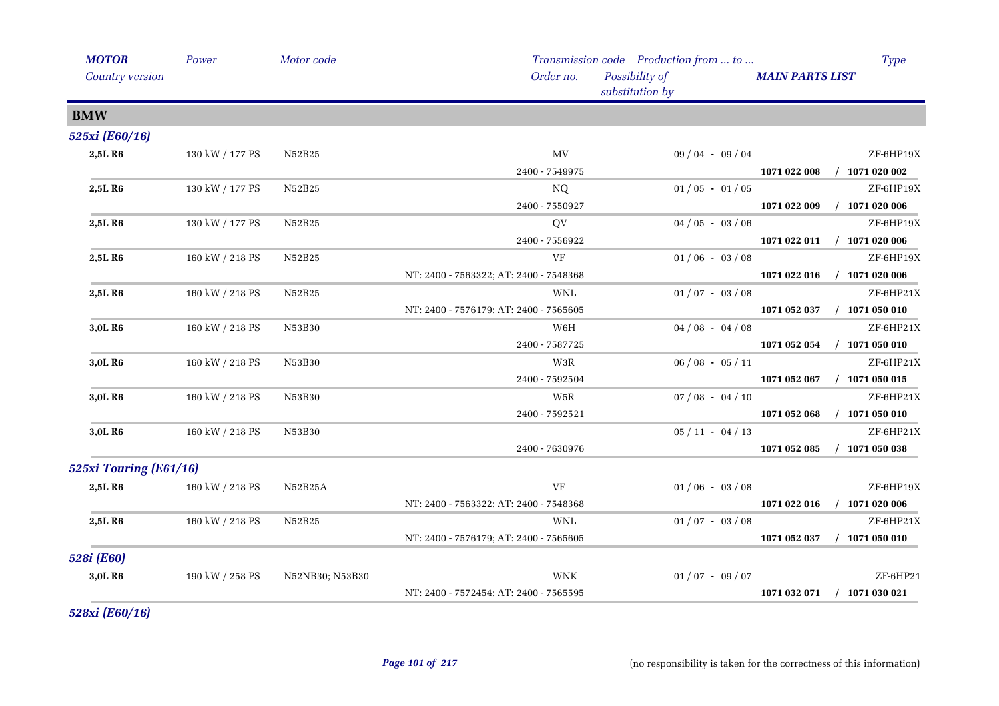| <b>MOTOR</b>           | Power           | Motor code      |                                        | Transmission code Production from  to | <b>Type</b>                      |
|------------------------|-----------------|-----------------|----------------------------------------|---------------------------------------|----------------------------------|
| Country version        |                 |                 | Order no.                              | Possibility of<br>substitution by     | <b>MAIN PARTS LIST</b>           |
| <b>BMW</b>             |                 |                 |                                        |                                       |                                  |
| 525xi (E60/16)         |                 |                 |                                        |                                       |                                  |
| 2,5L R6                | 130 kW / 177 PS | N52B25          | MV                                     | $09/04 - 09/04$                       | ZF-6HP19X                        |
|                        |                 |                 | 2400 - 7549975                         |                                       | $/$ 1071 020 002<br>1071 022 008 |
| 2,5L R6                | 130 kW / 177 PS | N52B25          | NQ                                     | $01/05 - 01/05$                       | ZF-6HP19X                        |
|                        |                 |                 | 2400 - 7550927                         |                                       | 1071 022 009<br>$/$ 1071 020 006 |
| 2,5L R6                | 130 kW / 177 PS | N52B25          | QV                                     | $04/05 - 03/06$                       | ZF-6HP19X                        |
|                        |                 |                 | 2400 - 7556922                         |                                       | 1071 022 011<br>$/$ 1071 020 006 |
| 2,5L R6                | 160 kW / 218 PS | N52B25          | VF                                     | $01/06 - 03/08$                       | ZF-6HP19X                        |
|                        |                 |                 | NT: 2400 - 7563322; AT: 2400 - 7548368 |                                       | $/$ 1071 020 006<br>1071 022 016 |
| 2,5L R6                | 160 kW / 218 PS | N52B25          | <b>WNL</b>                             | $01/07 - 03/08$                       | ZF-6HP21X                        |
|                        |                 |                 | NT: 2400 - 7576179; AT: 2400 - 7565605 |                                       | 1071 052 037<br>$/$ 1071 050 010 |
| 3,0L R6                | 160 kW / 218 PS | N53B30          | W6H                                    | $04/08 - 04/08$                       | ZF-6HP21X                        |
|                        |                 |                 | 2400 - 7587725                         |                                       | $/$ 1071 050 010<br>1071 052 054 |
| 3,0L R6                | 160 kW / 218 PS | N53B30          | W3R                                    | $06/08 - 05/11$                       | ZF-6HP21X                        |
|                        |                 |                 | 2400 - 7592504                         |                                       | $/$ 1071 050 015<br>1071 052 067 |
| 3,0L R6                | 160 kW / 218 PS | N53B30          | W <sub>5</sub> R                       | $07/08 - 04/10$                       | ZF-6HP21X                        |
|                        |                 |                 | 2400 - 7592521                         |                                       | 1071 052 068<br>$/$ 1071 050 010 |
| 3,0L R6                | 160 kW / 218 PS | N53B30          |                                        | $05 / 11 - 04 / 13$                   | ZF-6HP21X                        |
|                        |                 |                 | 2400 - 7630976                         |                                       | $/$ 1071 050 038<br>1071 052 085 |
| 525xi Touring (E61/16) |                 |                 |                                        |                                       |                                  |
| 2,5L R6                | 160 kW / 218 PS | N52B25A         | VF                                     | $01/06 - 03/08$                       | ZF-6HP19X                        |
|                        |                 |                 | NT: 2400 - 7563322; AT: 2400 - 7548368 |                                       | 1071 022 016<br>$/$ 1071 020 006 |
| 2,5L R6                | 160 kW / 218 PS | N52B25          | WNL                                    | $01/07 - 03/08$                       | ZF-6HP21X                        |
|                        |                 |                 | NT: 2400 - 7576179; AT: 2400 - 7565605 |                                       | 1071 052 037<br>$/$ 1071 050 010 |
| 528i (E60)             |                 |                 |                                        |                                       |                                  |
| 3,0L R6                | 190 kW / 258 PS | N52NB30; N53B30 | <b>WNK</b>                             | $01/07 - 09/07$                       | ZF-6HP21                         |
|                        |                 |                 | NT: 2400 - 7572454; AT: 2400 - 7565595 |                                       | $/$ 1071 030 021<br>1071 032 071 |
|                        |                 |                 |                                        |                                       |                                  |

*528xi (E60/16)*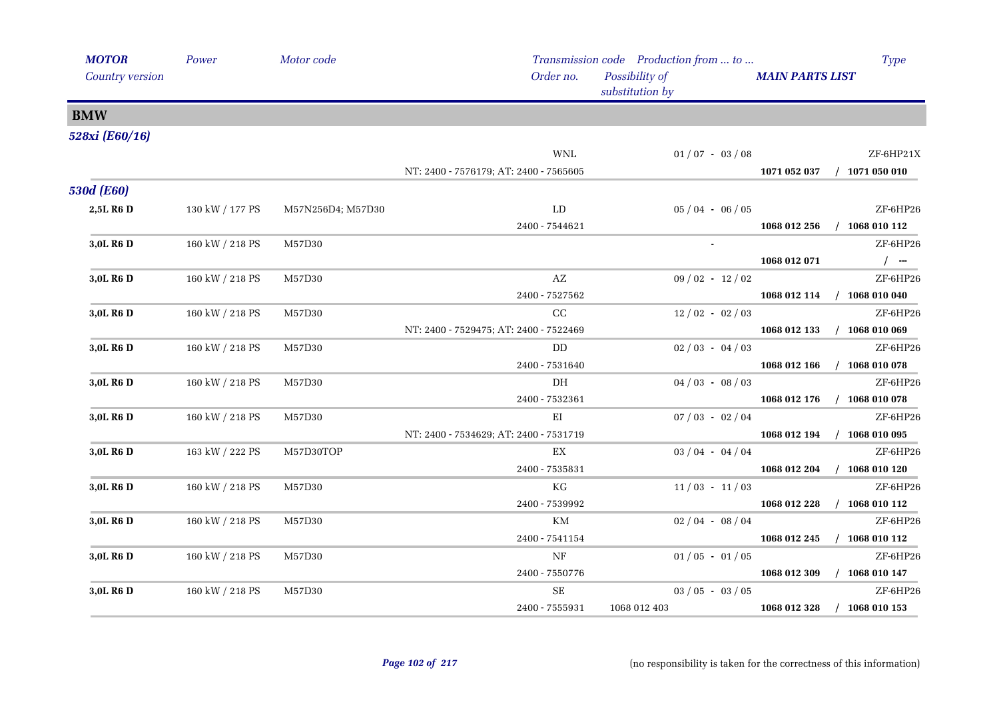| <b>MOTOR</b>           | Power           | Motor code        |                                        | Transmission code Production from  to |                             | <b>Type</b>      |
|------------------------|-----------------|-------------------|----------------------------------------|---------------------------------------|-----------------------------|------------------|
| <b>Country version</b> |                 |                   | Order no.                              | Possibility of<br>substitution by     | <b>MAIN PARTS LIST</b>      |                  |
| <b>BMW</b>             |                 |                   |                                        |                                       |                             |                  |
| 528xi (E60/16)         |                 |                   |                                        |                                       |                             |                  |
|                        |                 |                   | <b>WNL</b>                             | $01/07 - 03/08$                       |                             | ZF-6HP21X        |
|                        |                 |                   | NT: 2400 - 7576179; AT: 2400 - 7565605 |                                       | 1071 052 037 / 1071 050 010 |                  |
| <b>530d (E60)</b>      |                 |                   |                                        |                                       |                             |                  |
| 2,5L R6 D              | 130 kW / 177 PS | M57N256D4; M57D30 | ${\rm LD}$                             | $05/04 - 06/05$                       |                             | ZF-6HP26         |
|                        |                 |                   | 2400 - 7544621                         |                                       | 1068 012 256                | $/$ 1068 010 112 |
| 3,0L R <sub>6</sub> D  | 160 kW / 218 PS | M57D30            |                                        |                                       |                             | ZF-6HP26         |
|                        |                 |                   |                                        |                                       | 1068 012 071                | $/$ $-$          |
| 3,0L R6 D              | 160 kW / 218 PS | M57D30            | AZ                                     | $09/02 - 12/02$                       |                             | ZF-6HP26         |
|                        |                 |                   | 2400 - 7527562                         |                                       | 1068 012 114 / 1068 010 040 |                  |
| 3,0L R6 D              | 160 kW / 218 PS | M57D30            | CC                                     | $12/02 - 02/03$                       |                             | ZF-6HP26         |
|                        |                 |                   | NT: 2400 - 7529475; AT: 2400 - 7522469 |                                       | 1068 012 133                | $/$ 1068 010 069 |
| 3,0L R6 D              | 160 kW / 218 PS | M57D30            | DD                                     | $02/03 - 04/03$                       |                             | ZF-6HP26         |
|                        |                 |                   | $2400 - 7531640$                       |                                       | 1068 012 166                | $/$ 1068 010 078 |
| 3,0L R6 D              | 160 kW / 218 PS | M57D30            | DH                                     | $04/03 - 08/03$                       |                             | ZF-6HP26         |
|                        |                 |                   | 2400 - 7532361                         |                                       | 1068 012 176 / 1068 010 078 |                  |
| 3,0L R6 D              | 160 kW / 218 PS | M57D30            | ΕI                                     | $07/03 - 02/04$                       |                             | ZF-6HP26         |
|                        |                 |                   | NT: 2400 - 7534629; AT: 2400 - 7531719 |                                       | 1068 012 194                | $/$ 1068 010 095 |
| 3,0L R <sub>6</sub> D  | 163 kW / 222 PS | M57D30TOP         | $\mathop{\rm EX}\nolimits$             | $03/04 - 04/04$                       |                             | ZF-6HP26         |
|                        |                 |                   | 2400 - 7535831                         |                                       | 1068 012 204 / 1068 010 120 |                  |
| 3,0L R <sub>6</sub> D  | 160 kW / 218 PS | M57D30            | КG                                     | $11/03 - 11/03$                       |                             | ZF-6HP26         |
|                        |                 |                   | 2400 - 7539992                         |                                       | 1068 012 228                | $/$ 1068 010 112 |
| 3,0L R <sub>6</sub> D  | 160 kW / 218 PS | M57D30            | KM                                     | $02/04 - 08/04$                       |                             | ZF-6HP26         |
|                        |                 |                   | 2400 - 7541154                         |                                       | 1068 012 245                | $/$ 1068 010 112 |
| 3,0L R <sub>6</sub> D  | 160 kW / 218 PS | M57D30            | $\rm{NF}$                              | $01/05 - 01/05$                       |                             | ZF-6HP26         |
|                        |                 |                   | 2400 - 7550776                         |                                       | 1068 012 309                | $/$ 1068 010 147 |
| 3,0L R6 D              | 160 kW / 218 PS | M57D30            | $\rm SE$                               | $03/05 - 03/05$                       |                             | ZF-6HP26         |
|                        |                 |                   | 2400 - 7555931                         | 1068 012 403                          | 1068 012 328                | $/$ 1068 010 153 |
|                        |                 |                   |                                        |                                       |                             |                  |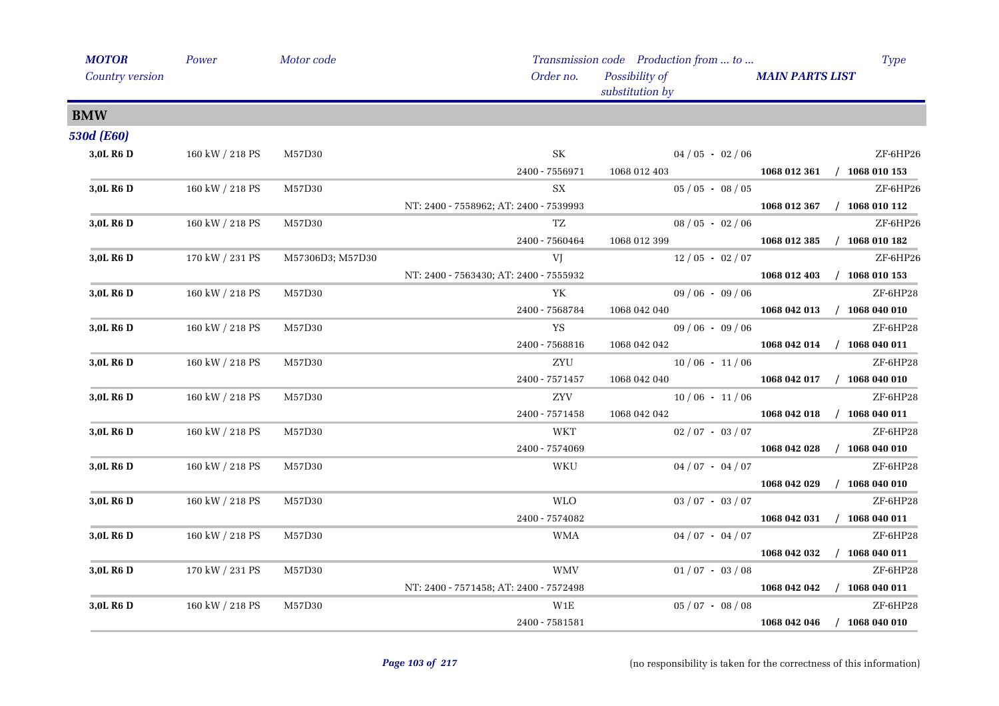| <b>MOTOR</b>          | Power           | Motor code       |                                        | Transmission code Production from  to | <b>Type</b>                      |
|-----------------------|-----------------|------------------|----------------------------------------|---------------------------------------|----------------------------------|
| Country version       |                 |                  | Order no.                              | Possibility of<br>substitution by     | <b>MAIN PARTS LIST</b>           |
| <b>BMW</b>            |                 |                  |                                        |                                       |                                  |
| <b>530d (E60)</b>     |                 |                  |                                        |                                       |                                  |
| 3.0L R <sub>6</sub> D | 160 kW / 218 PS | M57D30           | SK                                     | $04/05 - 02/06$                       | ZF-6HP26                         |
|                       |                 |                  | 2400 - 7556971                         | 1068 012 403                          | 1068 012 361 / 1068 010 153      |
| 3,0L R <sub>6</sub> D | 160 kW / 218 PS | M57D30           | SX                                     | $05 / 05 - 08 / 05$                   | ZF-6HP26                         |
|                       |                 |                  | NT: 2400 - 7558962; AT: 2400 - 7539993 |                                       | 1068 012 367 / 1068 010 112      |
| 3,0L R <sub>6</sub> D | 160 kW / 218 PS | M57D30           | TZ                                     | $08/05 - 02/06$                       | ZF-6HP26                         |
|                       |                 |                  | 2400 - 7560464                         | 1068 012 399                          | 1068 012 385<br>$/$ 1068 010 182 |
| 3,0L R6 D             | 170 kW / 231 PS | M57306D3; M57D30 | VJ                                     | $12/05 - 02/07$                       | ZF-6HP26                         |
|                       |                 |                  | NT: 2400 - 7563430; AT: 2400 - 7555932 |                                       | 1068 012 403 / 1068 010 153      |
| 3,0L R6 D             | 160 kW / 218 PS | M57D30           | YK                                     | $09/06 - 09/06$                       | ZF-6HP28                         |
|                       |                 |                  | 2400 - 7568784                         | 1068 042 040                          | 1068 042 013 / 1068 040 010      |
| 3,0L R6 D             | 160 kW / 218 PS | M57D30           | YS                                     | $09/06 - 09/06$                       | ZF-6HP28                         |
|                       |                 |                  | 2400 - 7568816                         | 1068 042 042                          | 1068 042 014 / 1068 040 011      |
| 3,0L R <sub>6</sub> D | 160 kW / 218 PS | M57D30           | ZYU                                    | $10/06 - 11/06$                       | ZF-6HP28                         |
|                       |                 |                  | 2400 - 7571457                         | 1068 042 040                          | 1068 042 017 / 1068 040 010      |
| 3,0L R <sub>6</sub> D | 160 kW / 218 PS | M57D30           | ${\rm ZYV}$                            | $10/06 - 11/06$                       | ZF-6HP28                         |
|                       |                 |                  | 2400 - 7571458                         | 1068 042 042                          | $/$ 1068 040 011<br>1068 042 018 |
| 3,0L R <sub>6</sub> D | 160 kW / 218 PS | M57D30           | <b>WKT</b>                             | $02/07 - 03/07$                       | ZF-6HP28                         |
|                       |                 |                  | 2400 - 7574069                         |                                       | 1068 042 028<br>$/$ 1068 040 010 |
| 3.0L R <sub>6</sub> D | 160 kW / 218 PS | M57D30           | WKU                                    | $04/07 - 04/07$                       | ZF-6HP28                         |
|                       |                 |                  |                                        |                                       | 1068 042 029 / 1068 040 010      |
| 3,0L R <sub>6</sub> D | 160 kW / 218 PS | M57D30           | <b>WLO</b>                             | $03 / 07 - 03 / 07$                   | ZF-6HP28                         |
|                       |                 |                  | 2400 - 7574082                         |                                       | $/$ 1068 040 011<br>1068 042 031 |
| 3,0L R <sub>6</sub> D | 160 kW / 218 PS | M57D30           | <b>WMA</b>                             | $04/07 - 04/07$                       | ZF-6HP28                         |
|                       |                 |                  |                                        |                                       | 1068 042 032<br>$/$ 1068 040 011 |
| 3,0L R <sub>6</sub> D | 170 kW / 231 PS | M57D30           | <b>WMV</b>                             | $01/07 - 03/08$                       | ZF-6HP28                         |
|                       |                 |                  | NT: 2400 - 7571458; AT: 2400 - 7572498 |                                       | 1068 042 042 / 1068 040 011      |
| 3,0L R <sub>6</sub> D | 160 kW / 218 PS | M57D30           | W1E                                    | $05 / 07 - 08 / 08$                   | ZF-6HP28                         |
|                       |                 |                  | 2400 - 7581581                         |                                       | 1068 042 046<br>$/$ 1068 040 010 |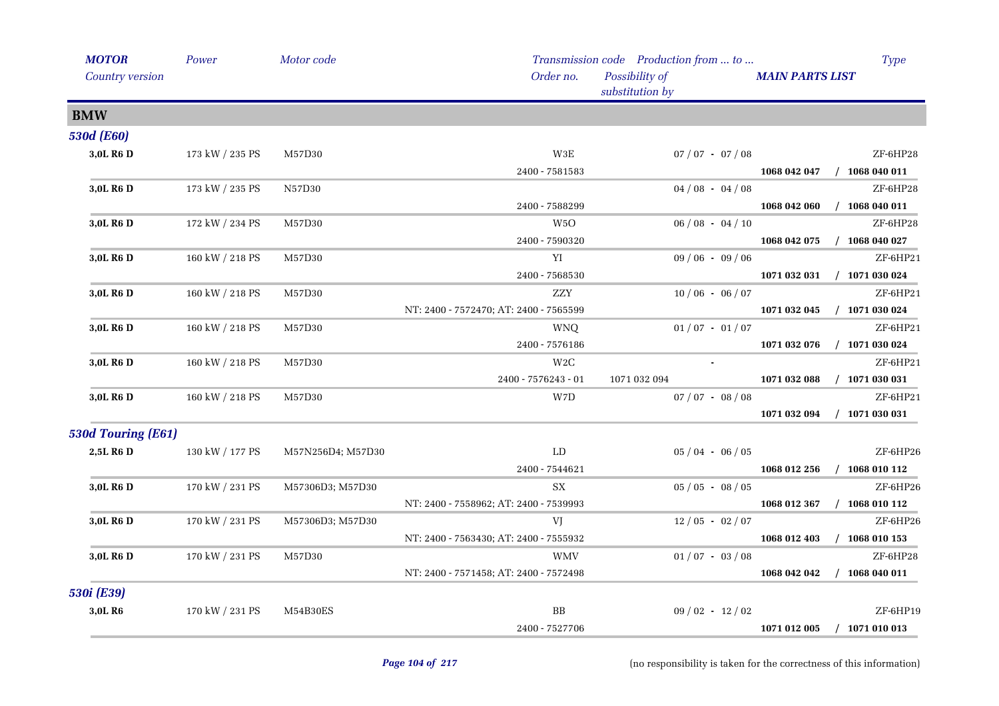| <b>MOTOR</b>          | Power           | Motor code        |                                                | Transmission code Production from  to | <b>Type</b>                      |  |
|-----------------------|-----------------|-------------------|------------------------------------------------|---------------------------------------|----------------------------------|--|
| Country version       |                 |                   | Order no.<br>Possibility of<br>substitution by |                                       | <b>MAIN PARTS LIST</b>           |  |
| <b>BMW</b>            |                 |                   |                                                |                                       |                                  |  |
| <b>530d (E60)</b>     |                 |                   |                                                |                                       |                                  |  |
| 3,0L R6 D             | 173 kW / 235 PS | M57D30            | W3E                                            | $07 / 07 - 07 / 08$                   | ZF-6HP28                         |  |
|                       |                 |                   | 2400 - 7581583                                 |                                       | 1068 042 047<br>$/$ 1068 040 011 |  |
| 3,0L R6 D             | 173 kW / 235 PS | N57D30            |                                                | $04/08 - 04/08$                       | ZF-6HP28                         |  |
|                       |                 |                   | 2400 - 7588299                                 |                                       | $/$ 1068 040 011<br>1068 042 060 |  |
| 3,0L R <sub>6</sub> D | 172 kW / 234 PS | M57D30            | W <sub>5</sub> O                               | $06/08 - 04/10$                       | ZF-6HP28                         |  |
|                       |                 |                   | 2400 - 7590320                                 |                                       | $/$ 1068 040 027<br>1068 042 075 |  |
| 3,0L R <sub>6</sub> D | 160 kW / 218 PS | M57D30            | YI                                             | $09/06 - 09/06$                       | ZF-6HP21                         |  |
|                       |                 |                   | 2400 - 7568530                                 |                                       | 1071 032 031<br>$/$ 1071 030 024 |  |
| 3,0L R <sub>6</sub> D | 160 kW / 218 PS | M57D30            | <b>ZZY</b>                                     | $10/06 - 06/07$                       | ZF-6HP21                         |  |
|                       |                 |                   | NT: 2400 - 7572470; AT: 2400 - 7565599         |                                       | 1071 032 045<br>$/$ 1071 030 024 |  |
| 3,0L R <sub>6</sub> D | 160 kW / 218 PS | M57D30            | <b>WNQ</b>                                     | $01/07 - 01/07$                       | ZF-6HP21                         |  |
|                       |                 |                   | 2400 - 7576186                                 |                                       | $/$ 1071 030 024<br>1071 032 076 |  |
| 3,0L R <sub>6</sub> D | 160 kW / 218 PS | M57D30            | W2C                                            |                                       | ZF-6HP21                         |  |
|                       |                 |                   | 2400 - 7576243 - 01                            | 1071 032 094                          | $/$ 1071 030 031<br>1071 032 088 |  |
| 3,0L R <sub>6</sub> D | 160 kW / 218 PS | M57D30            | W7D                                            | $07 / 07 - 08 / 08$                   | ZF-6HP21                         |  |
|                       |                 |                   |                                                |                                       | $/$ 1071 030 031<br>1071 032 094 |  |
| 530d Touring (E61)    |                 |                   |                                                |                                       |                                  |  |
| 2,5L R6 D             | 130 kW / 177 PS | M57N256D4; M57D30 | LD                                             | $05/04 - 06/05$                       | ZF-6HP26                         |  |
|                       |                 |                   | 2400 - 7544621                                 |                                       | 1068 010 112<br>1068 012 256     |  |
| 3,0L R <sub>6</sub> D | 170 kW / 231 PS | M57306D3; M57D30  | SX                                             | $05/05 - 08/05$                       | ZF-6HP26                         |  |
|                       |                 |                   | NT: 2400 - 7558962; AT: 2400 - 7539993         |                                       | $/$ 1068 010 112<br>1068 012 367 |  |
| 3,0L R <sub>6</sub> D | 170 kW / 231 PS | M57306D3; M57D30  | VJ                                             | $12/05 - 02/07$                       | ZF-6HP26                         |  |
|                       |                 |                   | NT: 2400 - 7563430; AT: 2400 - 7555932         |                                       | 1068 012 403<br>$/$ 1068 010 153 |  |
| 3,0L R <sub>6</sub> D | 170 kW / 231 PS | M57D30            | WMV                                            | $01/07 - 03/08$                       | ZF-6HP28                         |  |
|                       |                 |                   | NT: 2400 - 7571458; AT: 2400 - 7572498         |                                       | 1068 042 042<br>$/$ 1068 040 011 |  |
| 530i (E39)            |                 |                   |                                                |                                       |                                  |  |
| 3,0L R6               | 170 kW / 231 PS | M54B30ES          | BB                                             | $09/02 - 12/02$                       | ZF-6HP19                         |  |
|                       |                 |                   | 2400 - 7527706                                 |                                       | 1071 012 005<br>$/$ 1071 010 013 |  |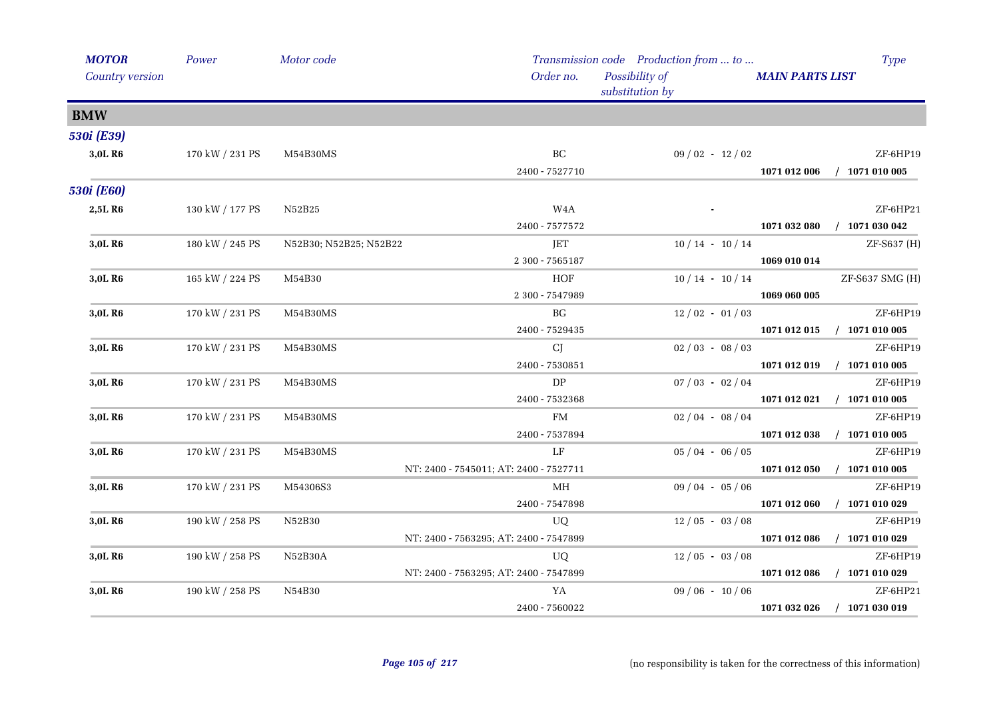| <b>MOTOR</b>        | Power           | Motor code             |                                        | Transmission code Production from  to |                        | Type             |
|---------------------|-----------------|------------------------|----------------------------------------|---------------------------------------|------------------------|------------------|
| Country version     |                 |                        | Order no.                              | Possibility of<br>substitution by     | <b>MAIN PARTS LIST</b> |                  |
| <b>BMW</b>          |                 |                        |                                        |                                       |                        |                  |
| 530i (E39)          |                 |                        |                                        |                                       |                        |                  |
| 3,0L R6             | 170 kW / 231 PS | M54B30MS               | $\operatorname{BC}$                    | $09/02 - 12/02$                       |                        | ZF-6HP19         |
|                     |                 |                        | 2400 - 7527710                         |                                       | 1071 012 006           | $/$ 1071 010 005 |
| <b>530i</b> (E60)   |                 |                        |                                        |                                       |                        |                  |
| 2,5LR6              | 130 kW / 177 PS | N52B25                 | W <sub>4</sub> A                       |                                       |                        | ZF-6HP21         |
|                     |                 |                        | 2400 - 7577572                         |                                       | 1071 032 080           | $/$ 1071 030 042 |
| 3,0L R6             | 180 kW / 245 PS | N52B30; N52B25; N52B22 | JET                                    | $10/14 - 10/14$                       |                        | ZF-S637 (H)      |
|                     |                 |                        | 2 300 - 7565187                        |                                       | 1069 010 014           |                  |
| 3,0L R6             | 165 kW / 224 PS | M54B30                 | HOF                                    | $10/14 - 10/14$                       |                        | ZF-S637 SMG (H)  |
|                     |                 |                        | 2 300 - 7547989                        |                                       | 1069 060 005           |                  |
| 3,0L R <sub>6</sub> | 170 kW / 231 PS | M54B30MS               | BG                                     | $12/02 - 01/03$                       |                        | ZF-6HP19         |
|                     |                 |                        | 2400 - 7529435                         |                                       | 1071 012 015           | $/$ 1071 010 005 |
| 3,0L R6             | 170 kW / 231 PS | M54B30MS               | <b>CJ</b>                              | $02/03 - 08/03$                       |                        | ZF-6HP19         |
|                     |                 |                        | 2400 - 7530851                         |                                       | 1071 012 019           | $/$ 1071 010 005 |
| 3,0L R6             | 170 kW / 231 PS | M54B30MS               | ${\rm DP}$                             | $07/03 - 02/04$                       |                        | ZF-6HP19         |
|                     |                 |                        | 2400 - 7532368                         |                                       | 1071 012 021           | $/$ 1071 010 005 |
| 3,0L R <sub>6</sub> | 170 kW / 231 PS | M54B30MS               | FM                                     | $02/04 - 08/04$                       |                        | ZF-6HP19         |
|                     |                 |                        | 2400 - 7537894                         |                                       | 1071 012 038           | $/$ 1071 010 005 |
| 3,0L R6             | 170 kW / 231 PS | M54B30MS               | $L_{\rm F}$                            | $05/04 - 06/05$                       |                        | ZF-6HP19         |
|                     |                 |                        | NT: 2400 - 7545011; AT: 2400 - 7527711 |                                       | 1071 012 050           | $/$ 1071 010 005 |
| 3,0L R6             | 170 kW / 231 PS | M54306S3               | MH                                     | $09/04 - 05/06$                       |                        | ZF-6HP19         |
|                     |                 |                        | 2400 - 7547898                         |                                       | 1071 012 060           | $/$ 1071 010 029 |
| 3,0L R <sub>6</sub> | 190 kW / 258 PS | N52B30                 | UQ                                     | $12/05 - 03/08$                       |                        | ZF-6HP19         |
|                     |                 |                        | NT: 2400 - 7563295; AT: 2400 - 7547899 |                                       | 1071 012 086           | $/$ 1071 010 029 |
| 3,0L R6             | 190 kW / 258 PS | N52B30A                | UQ                                     | $12/05 - 03/08$                       |                        | ZF-6HP19         |
|                     |                 |                        | NT: 2400 - 7563295; AT: 2400 - 7547899 |                                       | 1071 012 086           | $/$ 1071 010 029 |
| 3,0L R6             | 190 kW / 258 PS | N54B30                 | YA                                     | $09/06 - 10/06$                       |                        | ZF-6HP21         |
|                     |                 |                        | 2400 - 7560022                         |                                       | 1071 032 026           | $/$ 1071 030 019 |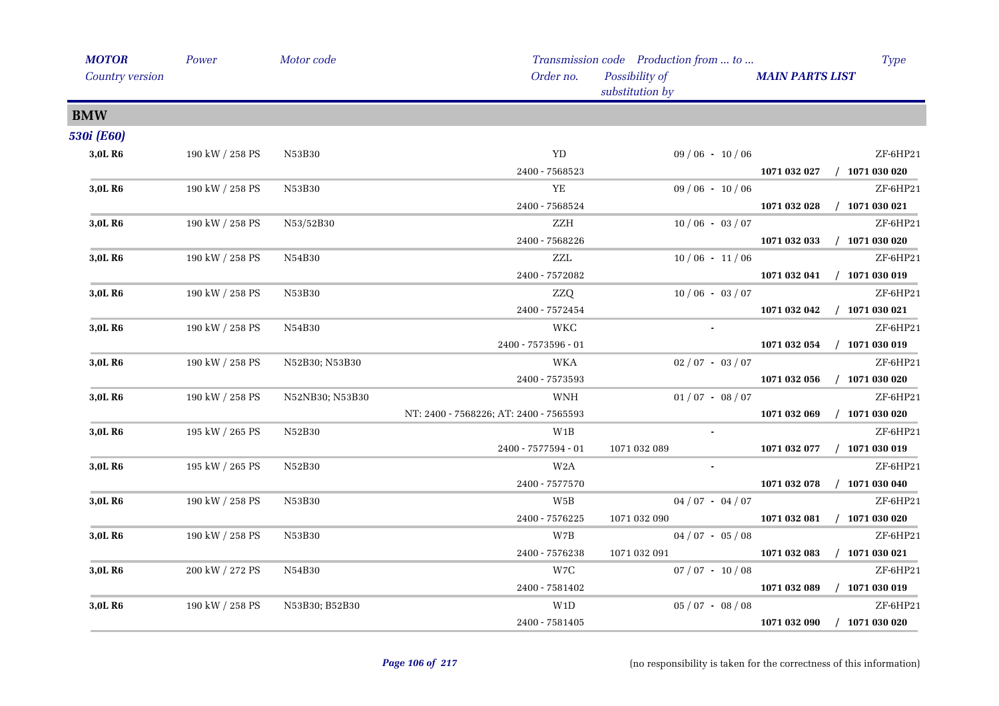| <b>MOTOR</b>        | Power               | Motor code      |                                        | Transmission code Production from  to |                        | <b>Type</b>      |
|---------------------|---------------------|-----------------|----------------------------------------|---------------------------------------|------------------------|------------------|
| Country version     |                     |                 | Order no.                              | Possibility of<br>substitution by     | <b>MAIN PARTS LIST</b> |                  |
| <b>BMW</b>          |                     |                 |                                        |                                       |                        |                  |
| <b>530i</b> (E60)   |                     |                 |                                        |                                       |                        |                  |
| 3,0L R6             | 190 kW / 258 PS     | N53B30          | YD                                     | $09/06 - 10/06$                       |                        | ZF-6HP21         |
|                     |                     |                 | 2400 - 7568523                         |                                       | 1071 032 027           | $/$ 1071 030 020 |
| 3,0L R <sub>6</sub> | 190 kW / 258 PS     | N53B30          | ${\it YE}$                             | $09/06 - 10/06$                       |                        | ZF-6HP21         |
|                     |                     |                 | 2400 - 7568524                         |                                       | 1071 032 028           | $/$ 1071 030 021 |
| 3,0L R <sub>6</sub> | 190 kW / 258 PS     | N53/52B30       | ZZH                                    | $10/06 - 03/07$                       |                        | ZF-6HP21         |
|                     |                     |                 | 2400 - 7568226                         |                                       | 1071 032 033           | $/$ 1071 030 020 |
| 3,0L R6             | $190$ kW / $258$ PS | N54B30          | $\ensuremath{\text{ZZL}}$              | $10/06 - 11/06$                       |                        | ZF-6HP21         |
|                     |                     |                 | 2400 - 7572082                         |                                       | 1071 032 041           | $/$ 1071 030 019 |
| 3,0L R6             | 190 kW / 258 PS     | N53B30          | ZZQ                                    | $10/06 - 03/07$                       |                        | ZF-6HP21         |
|                     |                     |                 | 2400 - 7572454                         |                                       | 1071 032 042           | $/$ 1071 030 021 |
| 3,0L R6             | 190 kW / 258 PS     | N54B30          | <b>WKC</b>                             | $\blacksquare$                        |                        | ZF-6HP21         |
|                     |                     |                 | 2400 - 7573596 - 01                    |                                       | 1071 032 054           | $/$ 1071 030 019 |
| 3,0L R <sub>6</sub> | 190 kW / 258 PS     | N52B30; N53B30  | <b>WKA</b>                             | $02/07 - 03/07$                       |                        | ZF-6HP21         |
|                     |                     |                 | 2400 - 7573593                         |                                       | 1071 032 056           | $/$ 1071 030 020 |
| 3,0L R6             | 190 kW / 258 PS     | N52NB30; N53B30 | WNH                                    | $01/07 - 08/07$                       |                        | ZF-6HP21         |
|                     |                     |                 | NT: 2400 - 7568226; AT: 2400 - 7565593 |                                       | 1071 032 069           | $/$ 1071 030 020 |
| 3,0L R <sub>6</sub> | 195 kW / 265 PS     | N52B30          | $_{\rm W1B}$                           |                                       |                        | ZF-6HP21         |
|                     |                     |                 | 2400 - 7577594 - 01                    | 1071 032 089                          | 1071 032 077           | $/$ 1071 030 019 |
| 3,0L R <sub>6</sub> | 195 kW / 265 PS     | N52B30          | W2A                                    |                                       |                        | ZF-6HP21         |
|                     |                     |                 | 2400 - 7577570                         |                                       | 1071 032 078           | $/$ 1071 030 040 |
| 3,0L R6             | 190 kW / 258 PS     | N53B30          | W5B                                    | $04/07 - 04/07$                       |                        | $ZF$ -6HP21      |
|                     |                     |                 | 2400 - 7576225                         | 1071 032 090                          | 1071 032 081           | $/$ 1071 030 020 |
| 3,0L R <sub>6</sub> | 190 kW / 258 PS     | N53B30          | W7B                                    | $04/07 - 05/08$                       |                        | ZF-6HP21         |
|                     |                     |                 | 2400 - 7576238                         | 1071 032 091                          | 1071 032 083           | $/$ 1071 030 021 |
| 3,0L R6             | 200 kW / 272 PS     | N54B30          | W7C                                    | $07/07 - 10/08$                       |                        | ZF-6HP21         |
|                     |                     |                 | 2400 - 7581402                         |                                       | 1071 032 089           | $/$ 1071 030 019 |
| 3,0L R <sub>6</sub> | 190 kW / 258 PS     | N53B30; B52B30  | W1D                                    | $05 / 07 - 08 / 08$                   |                        | ZF-6HP21         |
|                     |                     |                 | 2400 - 7581405                         |                                       | 1071 032 090           | $/$ 1071 030 020 |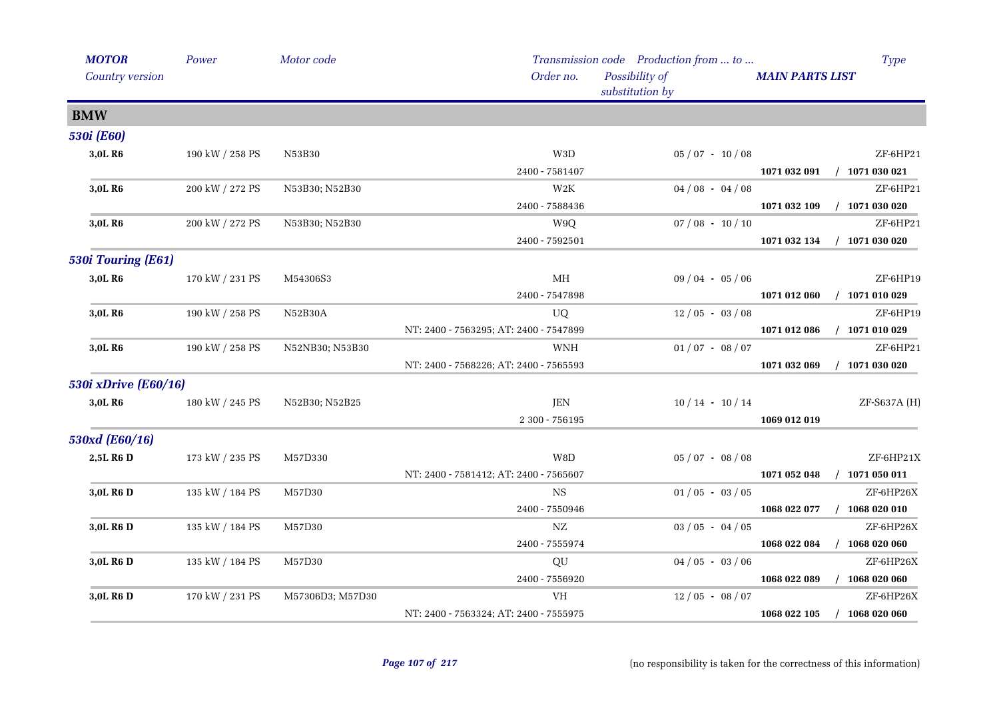| <b>MOTOR</b>          | Power           | Motor code       |                                        | Transmission code Production from  to | <b>Type</b>                      |
|-----------------------|-----------------|------------------|----------------------------------------|---------------------------------------|----------------------------------|
| Country version       |                 |                  | Order no.                              | Possibility of<br>substitution by     | <b>MAIN PARTS LIST</b>           |
| <b>BMW</b>            |                 |                  |                                        |                                       |                                  |
| <b>530i</b> (E60)     |                 |                  |                                        |                                       |                                  |
| 3,0L R6               | 190 kW / 258 PS | N53B30           | W3D                                    | $05/07 - 10/08$                       | ZF-6HP21                         |
|                       |                 |                  | 2400 - 7581407                         |                                       | 1071 032 091<br>$/$ 1071 030 021 |
| 3,0L R <sub>6</sub>   | 200 kW / 272 PS | N53B30; N52B30   | W2K                                    | $04/08 - 04/08$                       | ZF-6HP21                         |
|                       |                 |                  | 2400 - 7588436                         |                                       | 1071 032 109<br>$/$ 1071 030 020 |
| 3,0L R6               | 200 kW / 272 PS | N53B30; N52B30   | W9Q                                    | $07/08 - 10/10$                       | ZF-6HP21                         |
|                       |                 |                  | 2400 - 7592501                         |                                       | $/$ 1071 030 020<br>1071 032 134 |
| 530i Touring (E61)    |                 |                  |                                        |                                       |                                  |
| 3,0L R6               | 170 kW / 231 PS | M54306S3         | MH                                     | $09/04 - 05/06$                       | ZF-6HP19                         |
|                       |                 |                  | 2400 - 7547898                         |                                       | $/$ 1071 010 029<br>1071 012 060 |
| 3,0L R <sub>6</sub>   | 190 kW / 258 PS | N52B30A          | UQ                                     | $12/05 - 03/08$                       | ZF-6HP19                         |
|                       |                 |                  | NT: 2400 - 7563295; AT: 2400 - 7547899 |                                       | 1071 012 086<br>$/$ 1071 010 029 |
| 3,0L R <sub>6</sub>   | 190 kW / 258 PS | N52NB30; N53B30  | <b>WNH</b>                             | $01/07 - 08/07$                       | ZF-6HP21                         |
|                       |                 |                  | NT: 2400 - 7568226; AT: 2400 - 7565593 |                                       | 1071 032 069<br>$/$ 1071 030 020 |
| 530i xDrive (E60/16)  |                 |                  |                                        |                                       |                                  |
| 3,0L R6               | 180 kW / 245 PS | N52B30; N52B25   | JEN                                    | $10/14 - 10/14$                       | ZF-S637A (H)                     |
|                       |                 |                  | 2 300 - 756195                         |                                       | 1069 012 019                     |
| 530xd (E60/16)        |                 |                  |                                        |                                       |                                  |
| 2,5L R6 D             | 173 kW / 235 PS | M57D330          | $\rm W8D$                              | $05/07 - 08/08$                       | ZF-6HP21X                        |
|                       |                 |                  | NT: 2400 - 7581412; AT: 2400 - 7565607 |                                       | 1071 052 048<br>$/$ 1071 050 011 |
| 3,0L R <sub>6</sub> D | 135 kW / 184 PS | M57D30           | NS                                     | $01/05 - 03/05$                       | ZF-6HP26X                        |
|                       |                 |                  | 2400 - 7550946                         |                                       | 1068 022 077<br>$/$ 1068 020 010 |
| 3,0L R <sub>6</sub> D | 135 kW / 184 PS | M57D30           | NΖ                                     | $03/05 - 04/05$                       | ZF-6HP26X                        |
|                       |                 |                  | 2400 - 7555974                         |                                       | 1068 022 084<br>$/$ 1068 020 060 |
| 3,0L R6 D             | 135 kW / 184 PS | M57D30           | QU                                     | $04/05 - 03/06$                       | ZF-6HP26X                        |
|                       |                 |                  | 2400 - 7556920                         |                                       | 1068 022 089<br>$/$ 1068 020 060 |
| 3,0L R <sub>6</sub> D | 170 kW / 231 PS | M57306D3; M57D30 | VH                                     | $12/05 - 08/07$                       | ZF-6HP26X                        |
|                       |                 |                  | NT: 2400 - 7563324; AT: 2400 - 7555975 |                                       | 1068 022 105<br>$/$ 1068 020 060 |
|                       |                 |                  |                                        |                                       |                                  |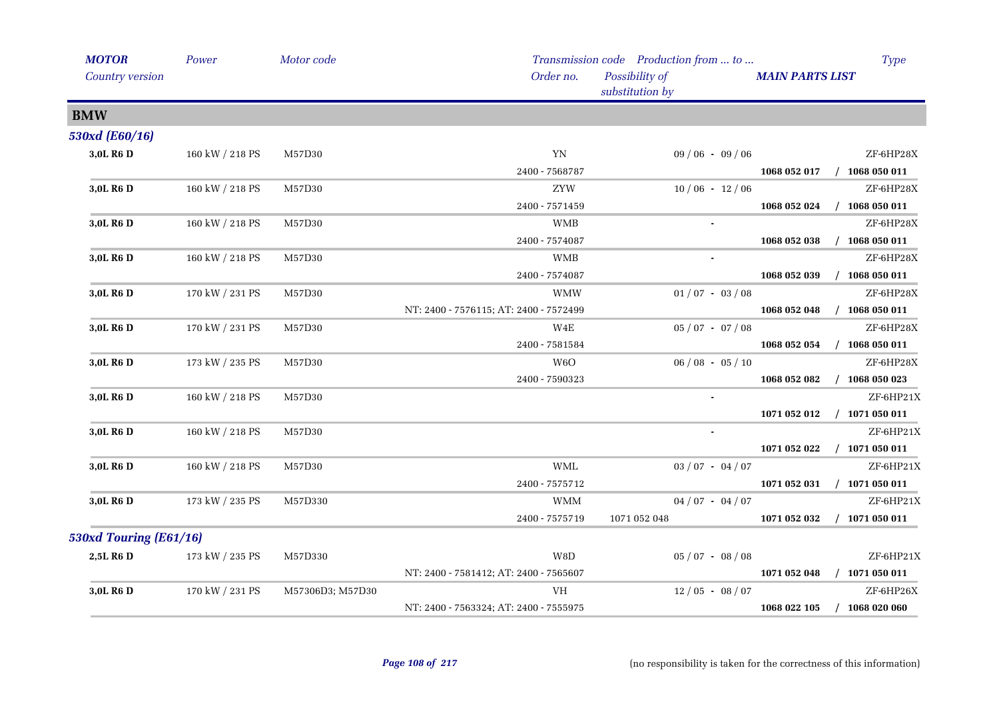| <b>MOTOR</b>           | Power           | Motor code       |                                        | Transmission code Production from  to |                        | <b>Type</b>      |
|------------------------|-----------------|------------------|----------------------------------------|---------------------------------------|------------------------|------------------|
| Country version        |                 |                  | Order no.                              | Possibility of<br>substitution by     | <b>MAIN PARTS LIST</b> |                  |
| <b>BMW</b>             |                 |                  |                                        |                                       |                        |                  |
| 530xd (E60/16)         |                 |                  |                                        |                                       |                        |                  |
| 3,0L R6 D              | 160 kW / 218 PS | M57D30           | YN                                     | $09/06 - 09/06$                       |                        | ZF-6HP28X        |
|                        |                 |                  | 2400 - 7568787                         |                                       | 1068 052 017           | $/$ 1068 050 011 |
| 3,0L R <sub>6</sub> D  | 160 kW / 218 PS | M57D30           | ZYW                                    | $10/06 - 12/06$                       |                        | ZF-6HP28X        |
|                        |                 |                  | 2400 - 7571459                         |                                       | 1068 052 024           | $/$ 1068 050 011 |
| 3,0L R6 D              | 160 kW / 218 PS | M57D30           | <b>WMB</b>                             |                                       |                        | ZF-6HP28X        |
|                        |                 |                  | 2400 - 7574087                         |                                       | 1068 052 038           | $/$ 1068 050 011 |
| 3,0L R6 D              | 160 kW / 218 PS | M57D30           | <b>WMB</b>                             |                                       |                        | ZF-6HP28X        |
|                        |                 |                  | 2400 - 7574087                         |                                       | 1068 052 039           | $/$ 1068 050 011 |
| 3,0L R <sub>6</sub> D  | 170 kW / 231 PS | M57D30           | <b>WMW</b>                             | $01/07 - 03/08$                       |                        | ZF-6HP28X        |
|                        |                 |                  | NT: 2400 - 7576115; AT: 2400 - 7572499 |                                       | 1068 052 048           | $/$ 1068 050 011 |
| 3,0L R6 D              | 170 kW / 231 PS | M57D30           | W4E                                    | $05/07 - 07/08$                       |                        | ZF-6HP28X        |
|                        |                 |                  | 2400 - 7581584                         |                                       | 1068 052 054           | $/$ 1068 050 011 |
| 3,0L R6 D              | 173 kW / 235 PS | M57D30           | W <sub>6</sub> O                       | $06/08 - 05/10$                       |                        | ZF-6HP28X        |
|                        |                 |                  | 2400 - 7590323                         |                                       | 1068 052 082           | $/$ 1068 050 023 |
| 3,0L R <sub>6</sub> D  | 160 kW / 218 PS | M57D30           |                                        |                                       |                        | ZF-6HP21X        |
|                        |                 |                  |                                        |                                       | 1071 052 012           | $/$ 1071 050 011 |
| 3,0L R6 D              | 160 kW / 218 PS | M57D30           |                                        | $\blacksquare$                        |                        | ZF-6HP21X        |
|                        |                 |                  |                                        |                                       | 1071 052 022           | $/$ 1071 050 011 |
| 3,0L R <sub>6</sub> D  | 160 kW / 218 PS | M57D30           | $\mathsf{WML}$                         | $03 / 07 - 04 / 07$                   |                        | ZF-6HP21X        |
|                        |                 |                  | 2400 - 7575712                         |                                       | 1071 052 031           | $/$ 1071 050 011 |
| 3,0L R6 D              | 173 kW / 235 PS | M57D330          | <b>WMM</b>                             | $04/07 - 04/07$                       |                        | ZF-6HP21X        |
|                        |                 |                  | 2400 - 7575719                         | 1071 052 048                          | 1071 052 032           | $/$ 1071 050 011 |
| 530xd Touring (E61/16) |                 |                  |                                        |                                       |                        |                  |
| 2,5L R6 D              | 173 kW / 235 PS | M57D330          | W8D                                    | $05/07 - 08/08$                       |                        | ZF-6HP21X        |
|                        |                 |                  | NT: 2400 - 7581412; AT: 2400 - 7565607 |                                       | 1071 052 048           | $/$ 1071 050 011 |
| 3,0L R6 D              | 170 kW / 231 PS | M57306D3; M57D30 | VH                                     | $12/05 - 08/07$                       |                        | ZF-6HP26X        |
|                        |                 |                  | NT: 2400 - 7563324; AT: 2400 - 7555975 |                                       | 1068 022 105           | $/$ 1068 020 060 |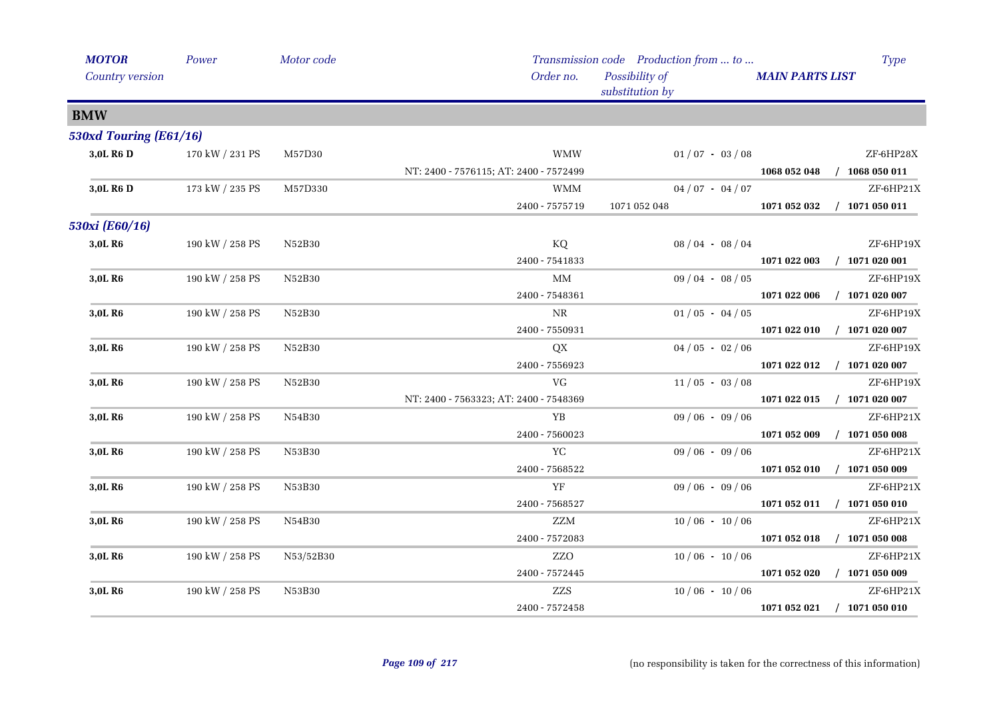| <b>MOTOR</b>           | Power           | Motor code |                                        | Transmission code Production from  to | <b>Type</b>                      |
|------------------------|-----------------|------------|----------------------------------------|---------------------------------------|----------------------------------|
| Country version        |                 |            | Order no.                              | Possibility of<br>substitution by     | <b>MAIN PARTS LIST</b>           |
| <b>BMW</b>             |                 |            |                                        |                                       |                                  |
| 530xd Touring (E61/16) |                 |            |                                        |                                       |                                  |
| 3,0L R6 D              | 170 kW / 231 PS | M57D30     | <b>WMW</b>                             | $01/07 - 03/08$                       | ZF-6HP28X                        |
|                        |                 |            | NT: 2400 - 7576115; AT: 2400 - 7572499 |                                       | 1068 052 048<br>$/$ 1068 050 011 |
| 3,0L R <sub>6</sub> D  | 173 kW / 235 PS | M57D330    | WMM                                    | $04/07 - 04/07$                       | ZF-6HP21X                        |
|                        |                 |            | 2400 - 7575719                         | 1071 052 048                          | 1071 052 032<br>$/$ 1071 050 011 |
| 530xi (E60/16)         |                 |            |                                        |                                       |                                  |
| 3,0L R6                | 190 kW / 258 PS | N52B30     | KQ                                     | $08/04 - 08/04$                       | ZF-6HP19X                        |
|                        |                 |            | 2400 - 7541833                         |                                       | $/$ 1071 020 001<br>1071 022 003 |
| 3,0L R <sub>6</sub>    | 190 kW / 258 PS | N52B30     | MM                                     | $09/04 - 08/05$                       | ZF-6HP19X                        |
|                        |                 |            | 2400 - 7548361                         |                                       | $/$ 1071 020 007<br>1071 022 006 |
| 3,0L R6                | 190 kW / 258 PS | N52B30     | NR                                     | $01/05 - 04/05$                       | ZF-6HP19X                        |
|                        |                 |            | 2400 - 7550931                         |                                       | $/$ 1071 020 007<br>1071 022 010 |
| 3,0L R6                | 190 kW / 258 PS | N52B30     | QX                                     | $04/05 - 02/06$                       | ZF-6HP19X                        |
|                        |                 |            | 2400 - 7556923                         |                                       | 1071 022 012<br>$/$ 1071 020 007 |
| 3,0L R <sub>6</sub>    | 190 kW / 258 PS | N52B30     | <b>VG</b>                              | $11/05 - 03/08$                       | ZF-6HP19X                        |
|                        |                 |            | NT: 2400 - 7563323; AT: 2400 - 7548369 |                                       | $/$ 1071 020 007<br>1071 022 015 |
| 3,0L R6                | 190 kW / 258 PS | N54B30     | YB                                     | $09/06 - 09/06$                       | ZF-6HP21X                        |
|                        |                 |            | 2400 - 7560023                         |                                       | $/$ 1071 050 008<br>1071 052 009 |
| 3,0L R6                | 190 kW / 258 PS | N53B30     | ${\it YC}$                             | $09/06 - 09/06$                       | ZF-6HP21X                        |
|                        |                 |            | 2400 - 7568522                         |                                       | 1071 052 010<br>$/$ 1071 050 009 |
| 3,0L R6                | 190 kW / 258 PS | N53B30     | YF                                     | $09/06 - 09/06$                       | ZF-6HP21X                        |
|                        |                 |            | 2400 - 7568527                         |                                       | 1071 052 011 / 1071 050 010      |
| 3,0L R6                | 190 kW / 258 PS | N54B30     | ZZM                                    | $10/06 - 10/06$                       | ZF-6HP21X                        |
|                        |                 |            | 2400 - 7572083                         |                                       | $/$ 1071 050 008<br>1071 052 018 |
| 3,0L R6                | 190 kW / 258 PS | N53/52B30  | ZZO                                    | $10/06 - 10/06$                       | ZF-6HP21X                        |
|                        |                 |            | 2400 - 7572445                         |                                       | $/$ 1071 050 009<br>1071 052 020 |
| 3,0L R6                | 190 kW / 258 PS | N53B30     | ZZS                                    | $10/06 - 10/06$                       | ZF-6HP21X                        |
|                        |                 |            | 2400 - 7572458                         |                                       | 1071 052 021<br>$/$ 1071 050 010 |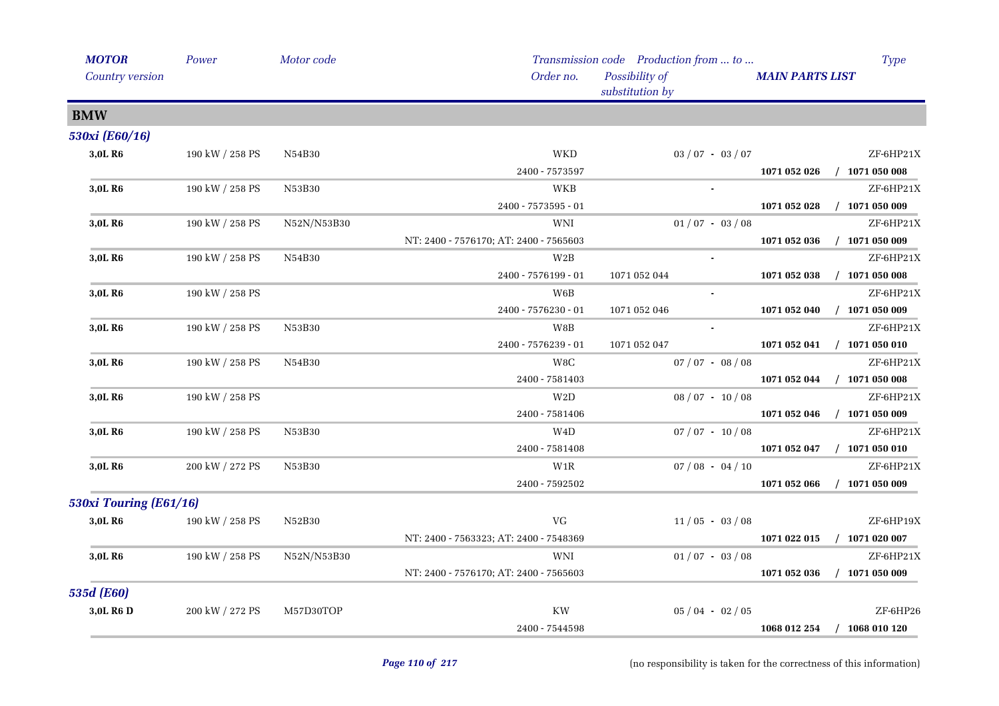| <b>MOTOR</b>           | Power           | Motor code  |                                        | Transmission code Production from  to | <b>Type</b>                      |
|------------------------|-----------------|-------------|----------------------------------------|---------------------------------------|----------------------------------|
| Country version        |                 |             | Order no.                              | Possibility of<br>substitution by     | <b>MAIN PARTS LIST</b>           |
| <b>BMW</b>             |                 |             |                                        |                                       |                                  |
| 530xi (E60/16)         |                 |             |                                        |                                       |                                  |
| 3,0L R6                | 190 kW / 258 PS | N54B30      | <b>WKD</b>                             | $03 / 07 - 03 / 07$                   | ZF-6HP21X                        |
|                        |                 |             | 2400 - 7573597                         |                                       | $/$ 1071 050 008<br>1071 052 026 |
| 3,0L R6                | 190 kW / 258 PS | N53B30      | WKB                                    |                                       | ZF-6HP21X                        |
|                        |                 |             | $2400 - 7573595 - 01$                  |                                       | 1071 052 028<br>$/$ 1071 050 009 |
| 3,0L R6                | 190 kW / 258 PS | N52N/N53B30 | WNI                                    | $01/07 - 03/08$                       | ZF-6HP21X                        |
|                        |                 |             | NT: 2400 - 7576170; AT: 2400 - 7565603 |                                       | $/$ 1071 050 009<br>1071 052 036 |
| 3,0L R6                | 190 kW / 258 PS | N54B30      | W2B                                    |                                       | ZF-6HP21X                        |
|                        |                 |             | 2400 - 7576199 - 01                    | 1071 052 044                          | $/$ 1071 050 008<br>1071 052 038 |
| 3,0L R6                | 190 kW / 258 PS |             | W6B                                    |                                       | ZF-6HP21X                        |
|                        |                 |             | 2400 - 7576230 - 01                    | 1071 052 046                          | $/$ 1071 050 009<br>1071 052 040 |
| 3,0L R6                | 190 kW / 258 PS | N53B30      | W8B                                    |                                       | ZF-6HP21X                        |
|                        |                 |             | 2400 - 7576239 - 01                    | 1071 052 047                          | 1071 052 041<br>$/$ 1071 050 010 |
| 3,0L R6                | 190 kW / 258 PS | N54B30      | W8C                                    | $07/07 - 08/08$                       | ZF-6HP21X                        |
|                        |                 |             | 2400 - 7581403                         |                                       | $/$ 1071 050 008<br>1071 052 044 |
| 3,0L R6                | 190 kW / 258 PS |             | W2D                                    | $08/07 - 10/08$                       | ZF-6HP21X                        |
|                        |                 |             | 2400 - 7581406                         |                                       | 1071 052 046<br>$/$ 1071 050 009 |
| 3,0L R6                | 190 kW / 258 PS | N53B30      | W <sub>4</sub> D                       | $07/07 - 10/08$                       | ZF-6HP21X                        |
|                        |                 |             | 2400 - 7581408                         |                                       | $/$ 1071 050 010<br>1071 052 047 |
| 3,0L R6                | 200 kW / 272 PS | N53B30      | W <sub>1</sub> R                       | $07/08 - 04/10$                       | ZF-6HP21X                        |
|                        |                 |             | 2400 - 7592502                         |                                       | 1071 052 066<br>$/$ 1071 050 009 |
| 530xi Touring (E61/16) |                 |             |                                        |                                       |                                  |
| 3,0L R <sub>6</sub>    | 190 kW / 258 PS | N52B30      | <b>VG</b>                              | $11/05 - 03/08$                       | ZF-6HP19X                        |
|                        |                 |             | NT: 2400 - 7563323; AT: 2400 - 7548369 |                                       | $/$ 1071 020 007<br>1071 022 015 |
| 3,0L R <sub>6</sub>    | 190 kW / 258 PS | N52N/N53B30 | WNI                                    | $01/07 - 03/08$                       | ZF-6HP21X                        |
|                        |                 |             | NT: 2400 - 7576170; AT: 2400 - 7565603 |                                       | $/$ 1071 050 009<br>1071 052 036 |
| 535d (E60)             |                 |             |                                        |                                       |                                  |
| 3,0L R6 D              | 200 kW / 272 PS | M57D30TOP   | <b>KW</b>                              | $05/04 - 02/05$                       | ZF-6HP26                         |
|                        |                 |             | 2400 - 7544598                         |                                       | 1068 012 254<br>$/$ 1068 010 120 |
|                        |                 |             |                                        |                                       |                                  |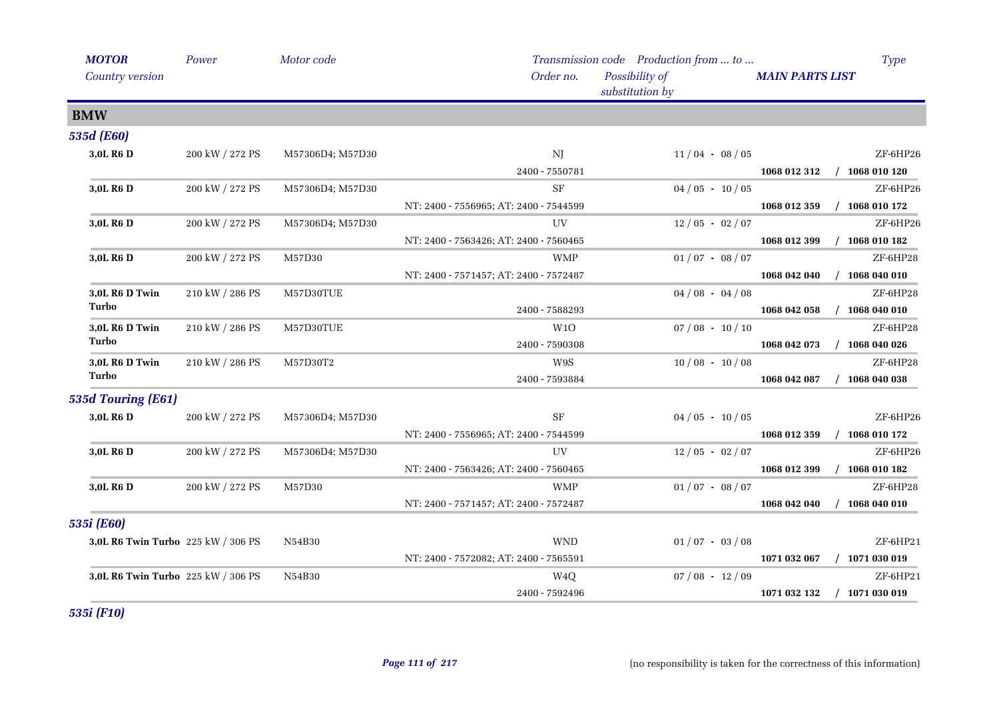| <b>MOTOR</b>                       | Power           | Motor code       |                                        | Transmission code Production from  to | <b>Type</b>                      |
|------------------------------------|-----------------|------------------|----------------------------------------|---------------------------------------|----------------------------------|
| Country version                    |                 |                  | Order no.                              | Possibility of<br>substitution by     | <b>MAIN PARTS LIST</b>           |
| <b>BMW</b>                         |                 |                  |                                        |                                       |                                  |
| 535d (E60)                         |                 |                  |                                        |                                       |                                  |
| 3,0L R6 D                          | 200 kW / 272 PS | M57306D4; M57D30 | NJ                                     | $11/04 - 08/05$                       | ZF-6HP26                         |
|                                    |                 |                  | 2400 - 7550781                         |                                       | 1068 012 312<br>$/$ 1068 010 120 |
| 3,0L R6 D                          | 200 kW / 272 PS | M57306D4; M57D30 | <b>SF</b>                              | $04/05 - 10/05$                       | ZF-6HP26                         |
|                                    |                 |                  | NT: 2400 - 7556965; AT: 2400 - 7544599 |                                       | $/$ 1068 010 172<br>1068 012 359 |
| 3,0L R6 D                          | 200 kW / 272 PS | M57306D4; M57D30 | UV                                     | $12/05 - 02/07$                       | ZF-6HP26                         |
|                                    |                 |                  | NT: 2400 - 7563426; AT: 2400 - 7560465 |                                       | $/$ 1068 010 182<br>1068 012 399 |
| 3,0L R <sub>6</sub> D              | 200 kW / 272 PS | M57D30           | <b>WMP</b>                             | $01/07 - 08/07$                       | ZF-6HP28                         |
|                                    |                 |                  | NT: 2400 - 7571457; AT: 2400 - 7572487 |                                       | $/$ 1068 040 010<br>1068 042 040 |
| 3,0L R6 D Twin                     | 210 kW / 286 PS | M57D30TUE        |                                        | $04/08 - 04/08$                       | ZF-6HP28                         |
| Turbo                              |                 |                  | 2400 - 7588293                         |                                       | $/$ 1068 040 010<br>1068 042 058 |
| 3,0L R6 D Twin                     | 210 kW / 286 PS | M57D30TUE        | W1O                                    | $07/08 - 10/10$                       | ZF-6HP28                         |
| Turbo                              |                 |                  | 2400 - 7590308                         |                                       | 1068 042 073<br>$/$ 1068 040 026 |
| 3,0L R6 D Twin                     | 210 kW / 286 PS | M57D30T2         | W9S                                    | $10/08 - 10/08$                       | ZF-6HP28                         |
| Turbo                              |                 |                  | 2400 - 7593884                         |                                       | 1068 042 087<br>$/$ 1068 040 038 |
| 535d Touring (E61)                 |                 |                  |                                        |                                       |                                  |
| 3,0L R6 D                          | 200 kW / 272 PS | M57306D4; M57D30 | <b>SF</b>                              | $04/05 - 10/05$                       | ZF-6HP26                         |
|                                    |                 |                  | NT: 2400 - 7556965; AT: 2400 - 7544599 |                                       | $/$ 1068 010 172<br>1068 012 359 |
| 3,0L R6 D                          | 200 kW / 272 PS | M57306D4; M57D30 | UV                                     | $12/05 - 02/07$                       | ZF-6HP26                         |
|                                    |                 |                  | NT: 2400 - 7563426; AT: 2400 - 7560465 |                                       | $/$ 1068 010 182<br>1068 012 399 |
| 3,0L R6 D                          | 200 kW / 272 PS | M57D30           | <b>WMP</b>                             | $01/07 - 08/07$                       | ZF-6HP28                         |
|                                    |                 |                  | NT: 2400 - 7571457; AT: 2400 - 7572487 |                                       | $/$ 1068 040 010<br>1068 042 040 |
| 535i (E60)                         |                 |                  |                                        |                                       |                                  |
| 3,0L R6 Twin Turbo 225 kW / 306 PS |                 | N54B30           | <b>WND</b>                             | $01/07 - 03/08$                       | ZF-6HP21                         |
|                                    |                 |                  | NT: 2400 - 7572082; AT: 2400 - 7565591 |                                       | $/$ 1071 030 019<br>1071 032 067 |
| 3,0L R6 Twin Turbo 225 kW / 306 PS |                 | N54B30           | W <sub>4</sub> Q                       | $07/08 - 12/09$                       | ZF-6HP21                         |
|                                    |                 |                  | 2400 - 7592496                         |                                       | 1071 032 132<br>$/$ 1071 030 019 |

*535i (F10)*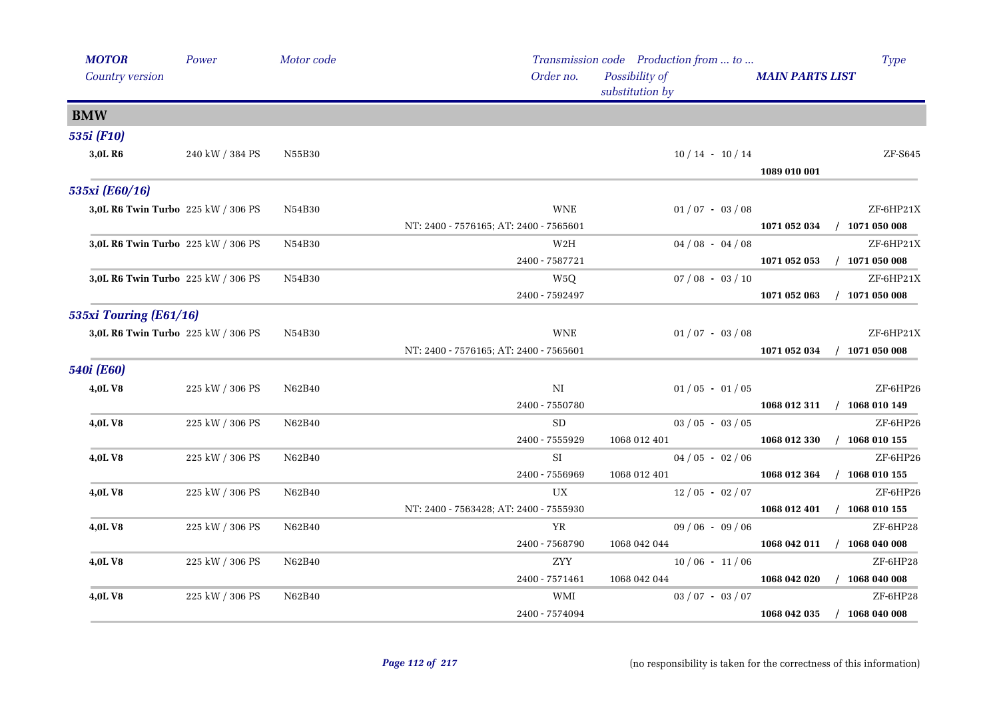| <b>MOTOR</b>                       | Power           | Motor code |                                        | Transmission code Production from  to |                                  | <b>Type</b> |
|------------------------------------|-----------------|------------|----------------------------------------|---------------------------------------|----------------------------------|-------------|
| <b>Country version</b>             |                 |            | Order no.                              | Possibility of<br>substitution by     | <b>MAIN PARTS LIST</b>           |             |
| <b>BMW</b>                         |                 |            |                                        |                                       |                                  |             |
| 535i (F10)                         |                 |            |                                        |                                       |                                  |             |
| 3,0L R6                            | 240 kW / 384 PS | N55B30     |                                        | $10/14 - 10/14$                       | 1089 010 001                     | $ZF-$ S645  |
| 535xi (E60/16)                     |                 |            |                                        |                                       |                                  |             |
| 3,0L R6 Twin Turbo 225 kW / 306 PS |                 | N54B30     | <b>WNE</b>                             | $01/07 - 03/08$                       |                                  | ZF-6HP21X   |
|                                    |                 |            | NT: 2400 - 7576165; AT: 2400 - 7565601 |                                       | 1071 052 034<br>$/$ 1071 050 008 |             |
| 3,0L R6 Twin Turbo 225 kW / 306 PS |                 | N54B30     | W <sub>2</sub> H                       | $04/08 - 04/08$                       |                                  | ZF-6HP21X   |
|                                    |                 |            | 2400 - 7587721                         |                                       | 1071 052 053<br>$/$ 1071 050 008 |             |
| 3,0L R6 Twin Turbo 225 kW / 306 PS |                 | N54B30     | W <sub>5</sub> Q                       | $07/08 - 03/10$                       |                                  | ZF-6HP21X   |
|                                    |                 |            | 2400 - 7592497                         |                                       | 1071 052 063<br>$/$ 1071 050 008 |             |
| 535xi Touring (E61/16)             |                 |            |                                        |                                       |                                  |             |
| 3,0L R6 Twin Turbo 225 kW / 306 PS |                 | N54B30     | <b>WNE</b>                             | $01/07 - 03/08$                       |                                  | ZF-6HP21X   |
|                                    |                 |            | NT: 2400 - 7576165; AT: 2400 - 7565601 |                                       | 1071 052 034<br>$/$ 1071 050 008 |             |
| <b>540i</b> (E60)                  |                 |            |                                        |                                       |                                  |             |
| 4,0LV8                             | 225 kW / 306 PS | N62B40     | NI                                     | $01/05 - 01/05$                       |                                  | ZF-6HP26    |
|                                    |                 |            | 2400 - 7550780                         |                                       | 1068 012 311 / 1068 010 149      |             |
| 4,0L V8                            | 225 kW / 306 PS | N62B40     | <b>SD</b>                              | $03 / 05 - 03 / 05$                   |                                  | ZF-6HP26    |
|                                    |                 |            | 2400 - 7555929                         | 1068 012 401                          | 1068 012 330<br>$/$ 1068 010 155 |             |
| 4,0L V8                            | 225 kW / 306 PS | N62B40     | <b>SI</b>                              | $04/05 - 02/06$                       |                                  | ZF-6HP26    |
|                                    |                 |            | 2400 - 7556969                         | 1068 012 401                          | 1068 012 364<br>$/$ 1068 010 155 |             |
| 4,0L V8                            | 225 kW / 306 PS | N62B40     | UX                                     | $12/05 - 02/07$                       |                                  | ZF-6HP26    |
|                                    |                 |            | NT: 2400 - 7563428; AT: 2400 - 7555930 |                                       | 1068 012 401<br>$/$ 1068 010 155 |             |
| 4,0LV8                             | 225 kW / 306 PS | N62B40     | YR                                     | $09/06 - 09/06$                       |                                  | ZF-6HP28    |
|                                    |                 |            | 2400 - 7568790                         | 1068 042 044                          | 1068 042 011<br>$/$ 1068 040 008 |             |
| 4,0LV8                             | 225 kW / 306 PS | N62B40     | ZYY                                    | $10/06 - 11/06$                       |                                  | ZF-6HP28    |
|                                    |                 |            | 2400 - 7571461                         | 1068 042 044                          | 1068 042 020<br>$/$ 1068 040 008 |             |
| 4,0LV8                             | 225 kW / 306 PS | N62B40     | WMI                                    | $03 / 07 - 03 / 07$                   |                                  | $ZF$ -6HP28 |
|                                    |                 |            | 2400 - 7574094                         |                                       | 1068 042 035<br>$/$ 1068 040 008 |             |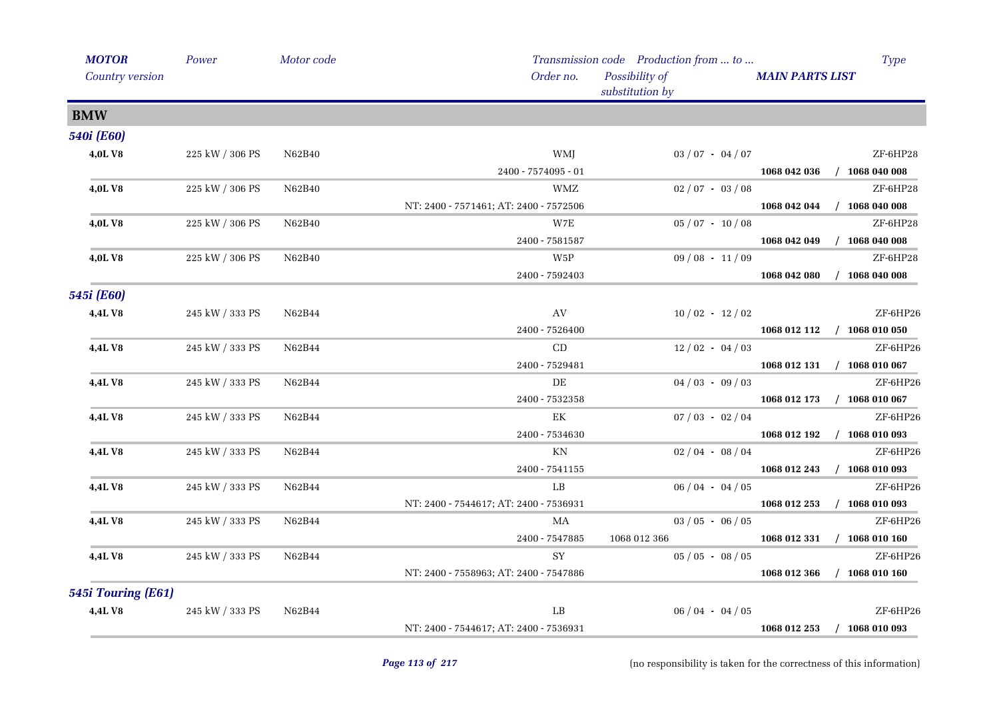| <b>MOTOR</b>       | Power                 | Motor code |                                        | Transmission code Production from  to | <b>Type</b>                      |
|--------------------|-----------------------|------------|----------------------------------------|---------------------------------------|----------------------------------|
| Country version    |                       |            | Order no.                              | Possibility of<br>substitution by     | <b>MAIN PARTS LIST</b>           |
| <b>BMW</b>         |                       |            |                                        |                                       |                                  |
| <b>540i</b> (E60)  |                       |            |                                        |                                       |                                  |
| 4,0LV8             | 225 kW / 306 PS       | N62B40     | WMJ                                    | $03 / 07 - 04 / 07$                   | ZF-6HP28                         |
|                    |                       |            | 2400 - 7574095 - 01                    |                                       | $/$ 1068 040 008<br>1068 042 036 |
| 4,0LV8             | 225 kW / 306 PS       | N62B40     | <b>WMZ</b>                             | $02/07 - 03/08$                       | ZF-6HP28                         |
|                    |                       |            | NT: 2400 - 7571461; AT: 2400 - 7572506 |                                       | $/$ 1068 040 008<br>1068 042 044 |
| <b>4,0LV8</b>      | 225 kW / 306 PS       | N62B40     | W7E                                    | $05/07 - 10/08$                       | ZF-6HP28                         |
|                    |                       |            | 2400 - 7581587                         |                                       | 1068 042 049<br>$/$ 1068 040 008 |
| <b>4,0LV8</b>      | 225 kW / 306 PS       | N62B40     | W5P                                    | $09/08 - 11/09$                       | ZF-6HP28                         |
|                    |                       |            | 2400 - 7592403                         |                                       | $/$ 1068 040 008<br>1068 042 080 |
| 545i (E60)         |                       |            |                                        |                                       |                                  |
| 4,4LV8             | 245 kW / 333 PS       | N62B44     | AV                                     | $10/02 - 12/02$                       | ZF-6HP26                         |
|                    |                       |            | 2400 - 7526400                         |                                       | 1068 012 112 / 1068 010 050      |
| 4,4L V8            | 245 kW / 333 PS       | N62B44     | CD                                     | $12/02 - 04/03$                       | ZF-6HP26                         |
|                    |                       |            | 2400 - 7529481                         |                                       | 1068 012 131 / 1068 010 067      |
| 4,4L V8            | 245 kW / 333 PS       | N62B44     | DE                                     | $04/03 - 09/03$                       | ZF-6HP26                         |
|                    |                       |            | 2400 - 7532358                         |                                       | 1068 012 173<br>$/$ 1068 010 067 |
| 4,4LV8             | 245 kW / 333 PS       | N62B44     | $\mathop{\rm EK}\nolimits$             | $07/03 - 02/04$                       | ZF-6HP26                         |
|                    |                       |            | $2400 - 7534630$                       |                                       | 1068 012 192<br>$/$ 1068 010 093 |
| 4,4L V8            | 245 kW / 333 PS       | N62B44     | ΚN                                     | $02/04 - 08/04$                       | ZF-6HP26                         |
|                    |                       |            | $2400 - 7541155$                       |                                       | $/$ 1068 010 093<br>1068 012 243 |
| 4,4L V8            | $245$ kW $\!/$ 333 PS | N62B44     | LB                                     | $06/04 - 04/05$                       | ZF-6HP26                         |
|                    |                       |            | NT: 2400 - 7544617; AT: 2400 - 7536931 |                                       | $/$ 1068 010 093<br>1068 012 253 |
| 4,4LV8             | $245$ kW $\!/$ 333 PS | N62B44     | MA                                     | $03/05 - 06/05$                       | ZF-6HP26                         |
|                    |                       |            | 2400 - 7547885                         | 1068 012 366                          | 1068 012 331<br>$/$ 1068 010 160 |
| <b>4,4LV8</b>      | 245 kW / 333 PS       | N62B44     | SY                                     | $05/05 - 08/05$                       | ZF-6HP26                         |
|                    |                       |            | NT: 2400 - 7558963; AT: 2400 - 7547886 |                                       | 1068 012 366<br>$/$ 1068 010 160 |
| 545i Touring (E61) |                       |            |                                        |                                       |                                  |
| 4,4LV8             | 245 kW / 333 PS       | N62B44     | LB                                     | $06/04 - 04/05$                       | ZF-6HP26                         |
|                    |                       |            | NT: 2400 - 7544617; AT: 2400 - 7536931 |                                       | $/$ 1068 010 093<br>1068 012 253 |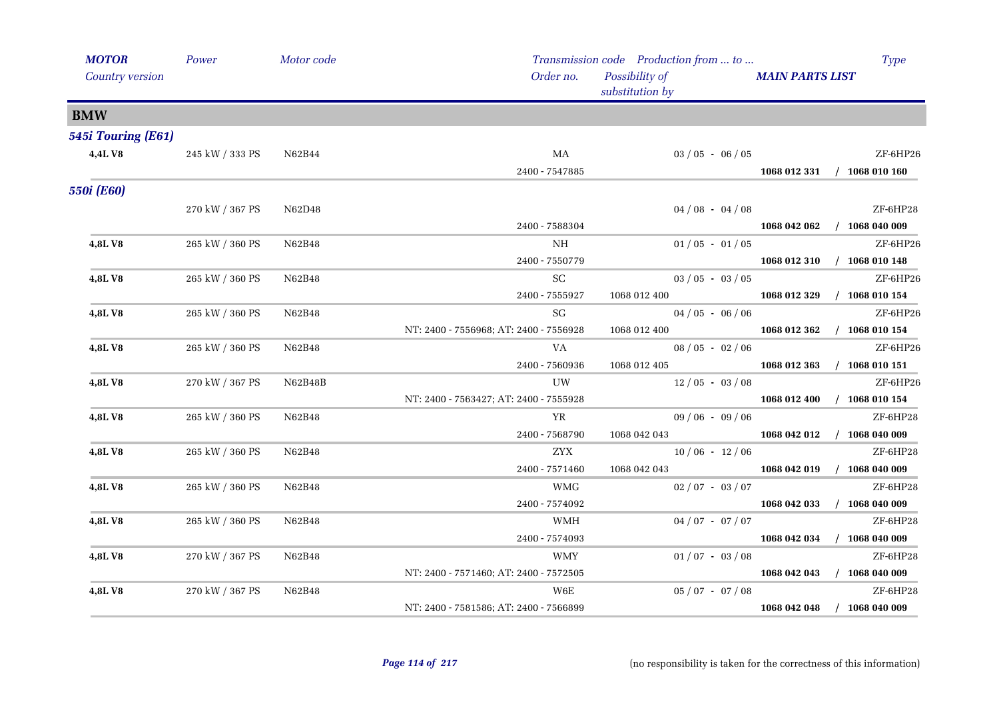| <b>MOTOR</b>       | Power           | Motor code |                                        | Transmission code Production from  to | <b>Type</b>                      |
|--------------------|-----------------|------------|----------------------------------------|---------------------------------------|----------------------------------|
| Country version    |                 |            | Order no.                              | Possibility of<br>substitution by     | <b>MAIN PARTS LIST</b>           |
| <b>BMW</b>         |                 |            |                                        |                                       |                                  |
| 545i Touring (E61) |                 |            |                                        |                                       |                                  |
| 4,4LV8             | 245 kW / 333 PS | N62B44     | MA                                     | $03/05 - 06/05$                       | ZF-6HP26                         |
|                    |                 |            | 2400 - 7547885                         |                                       | 1068 012 331 / 1068 010 160      |
| <b>550i</b> (E60)  |                 |            |                                        |                                       |                                  |
|                    | 270 kW / 367 PS | N62D48     |                                        | $04/08 - 04/08$                       | ZF-6HP28                         |
|                    |                 |            | 2400 - 7588304                         |                                       | $/$ 1068 040 009<br>1068 042 062 |
| 4,8LV8             | 265 kW / 360 PS | N62B48     | ΝH                                     | $01/05 - 01/05$                       | ZF-6HP26                         |
|                    |                 |            | 2400 - 7550779                         |                                       | 1068 012 310 / 1068 010 148      |
| 4,8LV8             | 265 kW / 360 PS | N62B48     | SC                                     | $03 / 05 - 03 / 05$                   | ZF-6HP26                         |
|                    |                 |            | 2400 - 7555927                         | 1068 012 400                          | $/$ 1068 010 154<br>1068 012 329 |
| 4,8LV8             | 265 kW / 360 PS | N62B48     | SG                                     | $04/05 - 06/06$                       | ZF-6HP26                         |
|                    |                 |            | NT: 2400 - 7556968; AT: 2400 - 7556928 | 1068 012 400                          | 1068 012 362<br>$/$ 1068 010 154 |
| 4,8LV8             | 265 kW / 360 PS | N62B48     | VA                                     | $08/05 - 02/06$                       | ZF-6HP26                         |
|                    |                 |            | 2400 - 7560936                         | 1068 012 405                          | 1068 012 363 / 1068 010 151      |
| 4,8LV8             | 270 kW / 367 PS | N62B48B    | UW                                     | $12/05 - 03/08$                       | ZF-6HP26                         |
|                    |                 |            | NT: 2400 - 7563427; AT: 2400 - 7555928 |                                       | 1068 012 400 / 1068 010 154      |
| 4,8LV8             | 265 kW / 360 PS | N62B48     | YR                                     | $09/06 - 09/06$                       | ZF-6HP28                         |
|                    |                 |            | 2400 - 7568790                         | 1068 042 043                          | 1068 042 012 / 1068 040 009      |
| 4,8LV8             | 265 kW / 360 PS | N62B48     | <b>ZYX</b>                             | $10/06 - 12/06$                       | ZF-6HP28                         |
|                    |                 |            | 2400 - 7571460                         | 1068 042 043                          | 1068 042 019 / 1068 040 009      |
| 4,8LV8             | 265 kW / 360 PS | N62B48     | WMG                                    | $02/07 - 03/07$                       | ZF-6HP28                         |
|                    |                 |            | 2400 - 7574092                         |                                       | $/$ 1068 040 009<br>1068 042 033 |
| 4,8LV8             | 265 kW / 360 PS | N62B48     | WMH                                    | $04/07 - 07/07$                       | ZF-6HP28                         |
|                    |                 |            | 2400 - 7574093                         |                                       | 1068 042 034 / 1068 040 009      |
| 4,8LV8             | 270 kW / 367 PS | N62B48     | WMY                                    | $01/07 - 03/08$                       | ZF-6HP28                         |
|                    |                 |            | NT: 2400 - 7571460; AT: 2400 - 7572505 |                                       | 1068 042 043 / 1068 040 009      |
| 4,8LV8             | 270 kW / 367 PS | N62B48     | W6E                                    | $05/07 - 07/08$                       | ZF-6HP28                         |
|                    |                 |            | NT: 2400 - 7581586; AT: 2400 - 7566899 |                                       | 1068 042 048<br>$/$ 1068 040 009 |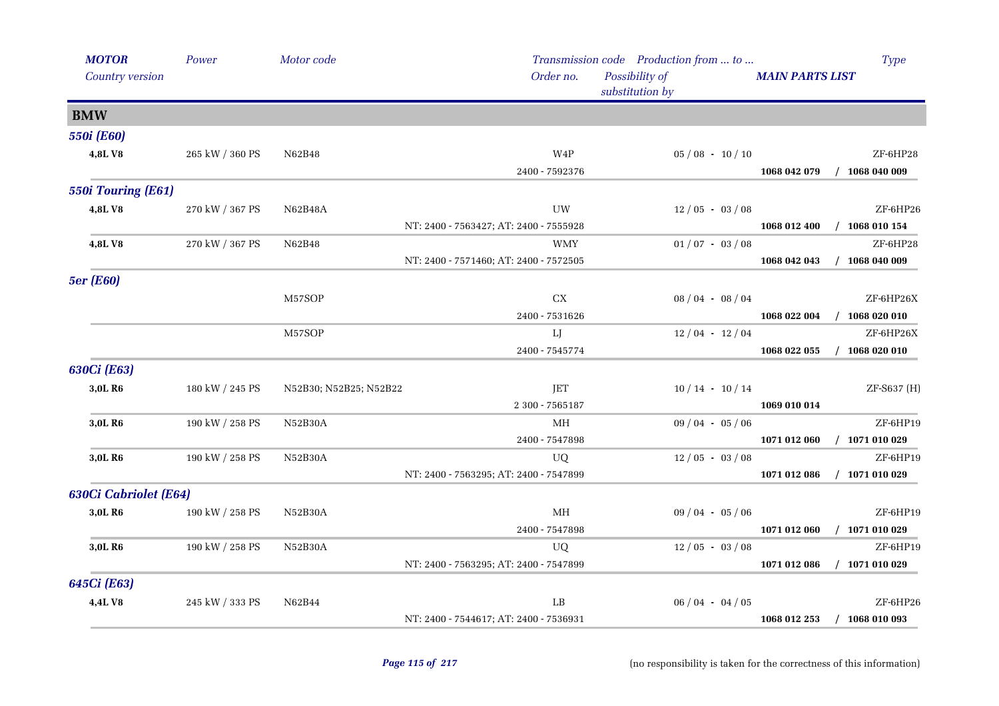| <b>MOTOR</b>          | Power           | Motor code             |                                        | Transmission code Production from  to | Type                             |
|-----------------------|-----------------|------------------------|----------------------------------------|---------------------------------------|----------------------------------|
| Country version       |                 |                        | Order no.                              | Possibility of<br>substitution by     | <b>MAIN PARTS LIST</b>           |
| <b>BMW</b>            |                 |                        |                                        |                                       |                                  |
| <b>550i</b> (E60)     |                 |                        |                                        |                                       |                                  |
| 4,8LV8                | 265 kW / 360 PS | N62B48                 | W4P                                    | $05/08 - 10/10$                       | ZF-6HP28                         |
|                       |                 |                        | 2400 - 7592376                         |                                       | $/$ 1068 040 009<br>1068 042 079 |
| 550i Touring (E61)    |                 |                        |                                        |                                       |                                  |
| 4,8LV8                | 270 kW / 367 PS | N62B48A                | UW                                     | $12/05 - 03/08$                       | ZF-6HP26                         |
|                       |                 |                        | NT: 2400 - 7563427; AT: 2400 - 7555928 |                                       | 1068 010 154<br>1068 012 400     |
| 4,8LV8                | 270 kW / 367 PS | N62B48                 | <b>WMY</b>                             | $01/07 - 03/08$                       | ZF-6HP28                         |
|                       |                 |                        | NT: 2400 - 7571460; AT: 2400 - 7572505 |                                       | $/$ 1068 040 009<br>1068 042 043 |
| <b>5er</b> (E60)      |                 |                        |                                        |                                       |                                  |
|                       |                 | M57SOP                 | CX                                     | $08/04 - 08/04$                       | ZF-6HP26X                        |
|                       |                 |                        | 2400 - 7531626                         |                                       | 1068 022 004<br>$/$ 1068 020 010 |
|                       |                 | M57SOP                 | LJ                                     | $12/04 - 12/04$                       | ZF-6HP26X                        |
|                       |                 |                        | 2400 - 7545774                         |                                       | $/$ 1068 020 010<br>1068 022 055 |
| 630Ci (E63)           |                 |                        |                                        |                                       |                                  |
| 3,0L R <sub>6</sub>   | 180 kW / 245 PS | N52B30; N52B25; N52B22 | JET                                    | $10/14 - 10/14$                       | ZF-S637 (H)                      |
|                       |                 |                        | 2 300 - 7565187                        |                                       | 1069 010 014                     |
| 3,0L R <sub>6</sub>   | 190 kW / 258 PS | N52B30A                | MH                                     | $09/04 - 05/06$                       | ZF-6HP19                         |
|                       |                 |                        | 2400 - 7547898                         |                                       | $/$ 1071 010 029<br>1071 012 060 |
| 3,0L R <sub>6</sub>   | 190 kW / 258 PS | N52B30A                | UQ                                     | $12/05 - 03/08$                       | ZF-6HP19                         |
|                       |                 |                        | NT: 2400 - 7563295; AT: 2400 - 7547899 |                                       | $/$ 1071 010 029<br>1071 012 086 |
| 630Ci Cabriolet (E64) |                 |                        |                                        |                                       |                                  |
| 3,0L R6               | 190 kW / 258 PS | N52B30A                | MH                                     | $09/04 - 05/06$                       | ZF-6HP19                         |
|                       |                 |                        | 2400 - 7547898                         |                                       | 1071 012 060<br>$/$ 1071 010 029 |
| 3,0L R <sub>6</sub>   | 190 kW / 258 PS | N52B30A                | UQ                                     | $12/05 - 03/08$                       | ZF-6HP19                         |
|                       |                 |                        | NT: 2400 - 7563295; AT: 2400 - 7547899 |                                       | 1071 012 086<br>$/$ 1071 010 029 |
| 645Ci (E63)           |                 |                        |                                        |                                       |                                  |
| 4,4LV8                | 245 kW / 333 PS | N62B44                 | LB                                     | $06/04 - 04/05$                       | ZF-6HP26                         |
|                       |                 |                        | NT: 2400 - 7544617; AT: 2400 - 7536931 |                                       | $/$ 1068 010 093<br>1068 012 253 |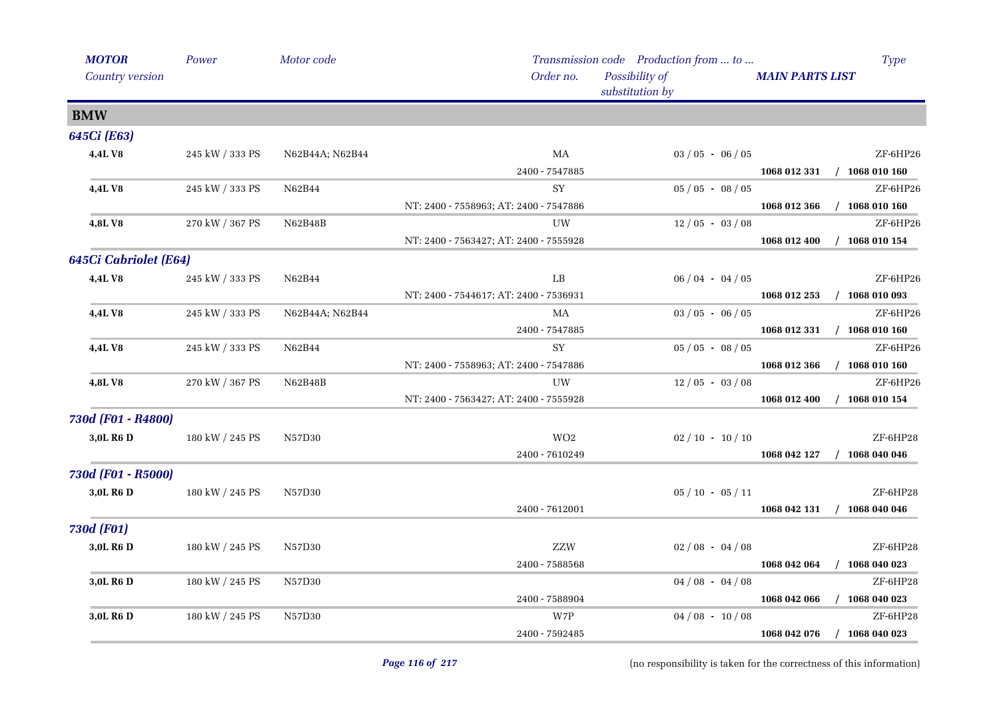| <b>MOTOR</b>          | Power           | Motor code      |                                        | Transmission code Production from  to | <b>Type</b>                      |
|-----------------------|-----------------|-----------------|----------------------------------------|---------------------------------------|----------------------------------|
| Country version       |                 |                 | Order no.                              | Possibility of<br>substitution by     | <b>MAIN PARTS LIST</b>           |
| <b>BMW</b>            |                 |                 |                                        |                                       |                                  |
| 645Ci (E63)           |                 |                 |                                        |                                       |                                  |
| 4,4LV8                | 245 kW / 333 PS | N62B44A; N62B44 | МA                                     | $03 / 05 - 06 / 05$                   | ZF-6HP26                         |
|                       |                 |                 | 2400 - 7547885                         |                                       | 1068 012 331<br>$/$ 1068 010 160 |
| 4,4L V8               | 245 kW / 333 PS | N62B44          | SY                                     | $05/05 - 08/05$                       | ZF-6HP26                         |
|                       |                 |                 | NT: 2400 - 7558963; AT: 2400 - 7547886 |                                       | $/$ 1068 010 160<br>1068 012 366 |
| 4,8LV8                | 270 kW / 367 PS | N62B48B         | UW                                     | $12/05 - 03/08$                       | ZF-6HP26                         |
|                       |                 |                 | NT: 2400 - 7563427; AT: 2400 - 7555928 |                                       | $/$ 1068 010 154<br>1068 012 400 |
| 645Ci Cabriolet (E64) |                 |                 |                                        |                                       |                                  |
| 4,4LV8                | 245 kW / 333 PS | N62B44          | LB                                     | $06/04 - 04/05$                       | ZF-6HP26                         |
|                       |                 |                 | NT: 2400 - 7544617; AT: 2400 - 7536931 |                                       | 1068 010 093<br>1068 012 253     |
| 4,4LV8                | 245 kW / 333 PS | N62B44A; N62B44 | MA                                     | $03 / 05 - 06 / 05$                   | ZF-6HP26                         |
|                       |                 |                 | 2400 - 7547885                         |                                       | 1068 012 331<br>$/$ 1068 010 160 |
| 4,4L V8               | 245 kW / 333 PS | N62B44          | SY                                     | $05/05 - 08/05$                       | ZF-6HP26                         |
|                       |                 |                 | NT: 2400 - 7558963; AT: 2400 - 7547886 |                                       | $/$ 1068 010 160<br>1068 012 366 |
| 4,8LV8                | 270 kW / 367 PS | N62B48B         | <b>UW</b>                              | $12/05 - 03/08$                       | ZF-6HP26                         |
|                       |                 |                 | NT: 2400 - 7563427; AT: 2400 - 7555928 |                                       | 1068 012 400<br>$/$ 1068 010 154 |
| 730d (F01 - R4800)    |                 |                 |                                        |                                       |                                  |
| 3,0L R6 D             | 180 kW / 245 PS | N57D30          | WO <sub>2</sub>                        | $02 / 10 - 10 / 10$                   | ZF-6HP28                         |
|                       |                 |                 | 2400 - 7610249                         |                                       | 1068 042 127<br>$/$ 1068 040 046 |
| 730d (F01 - R5000)    |                 |                 |                                        |                                       |                                  |
| 3,0L R6 D             | 180 kW / 245 PS | N57D30          |                                        | $05 / 10 - 05 / 11$                   | ZF-6HP28                         |
|                       |                 |                 | 2400 - 7612001                         |                                       | $/$ 1068 040 046<br>1068 042 131 |
| <b>730d (F01)</b>     |                 |                 |                                        |                                       |                                  |
| 3,0L R <sub>6</sub> D | 180 kW / 245 PS | N57D30          | ZZW                                    | $02/08 - 04/08$                       | ZF-6HP28                         |
|                       |                 |                 | 2400 - 7588568                         |                                       | $/$ 1068 040 023<br>1068 042 064 |
| 3,0L R <sub>6</sub> D | 180 kW / 245 PS | N57D30          |                                        | $04/08 - 04/08$                       | $ZF$ -6HP28                      |
|                       |                 |                 | 2400 - 7588904                         |                                       | 1068 042 066<br>1068 040 023     |
| 3,0L R6 D             | 180 kW / 245 PS | N57D30          | W7P                                    | $04/08 - 10/08$                       | ZF-6HP28                         |
|                       |                 |                 | 2400 - 7592485                         |                                       | $/$ 1068 040 023<br>1068 042 076 |
|                       |                 |                 |                                        |                                       |                                  |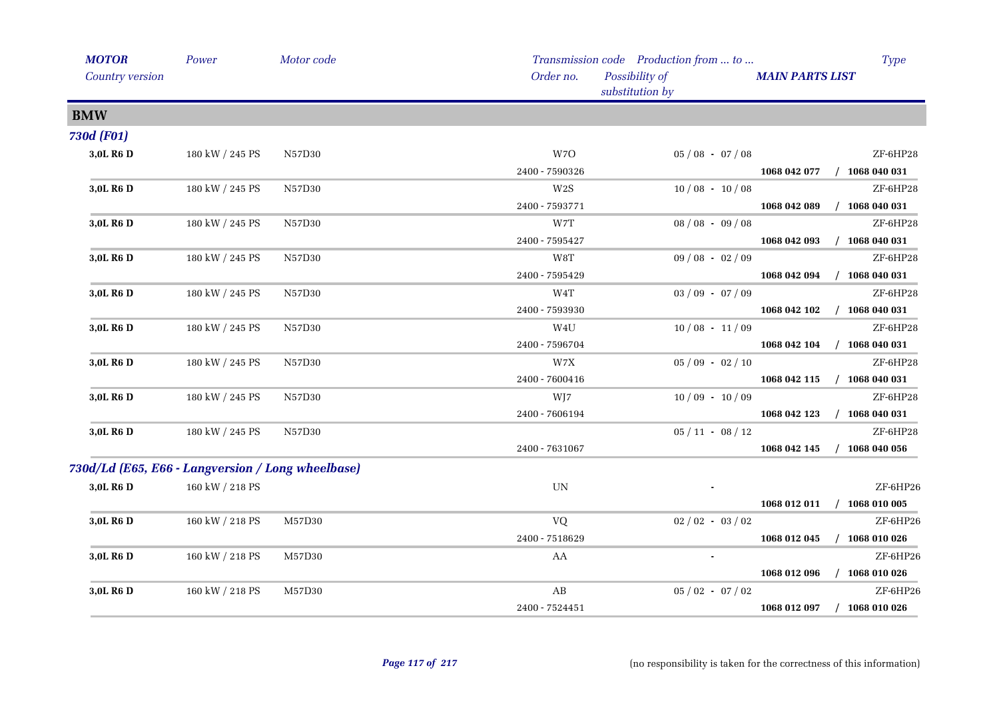| <b>MOTOR</b>          | Power                                             | Motor code |                          | Transmission code Production from  to |                     |                        | Type             |
|-----------------------|---------------------------------------------------|------------|--------------------------|---------------------------------------|---------------------|------------------------|------------------|
| Country version       |                                                   |            | Order no.                | Possibility of<br>substitution by     |                     | <b>MAIN PARTS LIST</b> |                  |
| <b>BMW</b>            |                                                   |            |                          |                                       |                     |                        |                  |
| <b>730d (F01)</b>     |                                                   |            |                          |                                       |                     |                        |                  |
| 3,0L R <sub>6</sub> D | 180 kW / 245 PS                                   | N57D30     | W7O                      |                                       | $05/08 - 07/08$     |                        | ZF-6HP28         |
|                       |                                                   |            | 2400 - 7590326           |                                       |                     | 1068 042 077           | $/$ 1068 040 031 |
| 3,0L R <sub>6</sub> D | 180 kW / 245 PS                                   | N57D30     | W2S                      |                                       | $10/08 - 10/08$     |                        | ZF-6HP28         |
|                       |                                                   |            | 2400 - 7593771           |                                       |                     | 1068 042 089           | $/$ 1068 040 031 |
| 3,0L R6 D             | 180 kW / 245 PS                                   | N57D30     | W7T                      |                                       | $08/08 - 09/08$     |                        | ZF-6HP28         |
|                       |                                                   |            | 2400 - 7595427           |                                       |                     | 1068 042 093           | $/$ 1068 040 031 |
| 3,0L R <sub>6</sub> D | 180 kW / 245 PS                                   | N57D30     | W8T                      |                                       | $09/08 - 02/09$     |                        | ZF-6HP28         |
|                       |                                                   |            | 2400 - 7595429           |                                       |                     | 1068 042 094           | $/$ 1068 040 031 |
| 3,0L R6 D             | 180 kW / 245 PS                                   | N57D30     | W4T                      |                                       | $03/09 - 07/09$     |                        | ZF-6HP28         |
|                       |                                                   |            | 2400 - 7593930           |                                       |                     | 1068 042 102           | $/$ 1068 040 031 |
| 3,0L R6 D             | 180 kW / 245 PS                                   | N57D30     | W4U                      |                                       | $10/08 - 11/09$     |                        | ZF-6HP28         |
|                       |                                                   |            | 2400 - 7596704           |                                       |                     | 1068 042 104           | $/$ 1068 040 031 |
| 3,0L R6 D             | 180 kW / 245 PS                                   | N57D30     | W7X                      |                                       | $05/09 - 02/10$     |                        | ZF-6HP28         |
|                       |                                                   |            | 2400 - 7600416           |                                       |                     | 1068 042 115           | $/$ 1068 040 031 |
| 3,0L R6 D             | 180 kW / 245 PS                                   | N57D30     | WJ7                      |                                       | $10/09 - 10/09$     |                        | ZF-6HP28         |
|                       |                                                   |            | 2400 - 7606194           |                                       |                     | 1068 042 123           | $/$ 1068 040 031 |
| 3,0L R <sub>6</sub> D | 180 kW / 245 PS                                   | N57D30     |                          |                                       | $05/11 - 08/12$     |                        | ZF-6HP28         |
|                       |                                                   |            | 2400 - 7631067           |                                       |                     | 1068 042 145           | $/$ 1068 040 056 |
|                       | 730d/Ld (E65, E66 - Langversion / Long wheelbase) |            |                          |                                       |                     |                        |                  |
| 3,0L R6 D             | 160 kW / 218 PS                                   |            | $\ensuremath{\text{UN}}$ |                                       |                     |                        | ZF-6HP26         |
|                       |                                                   |            |                          |                                       |                     | 1068 012 011           | $/$ 1068 010 005 |
| 3,0L R <sub>6</sub> D | 160 kW / 218 PS                                   | M57D30     | VQ                       |                                       | $02 / 02 - 03 / 02$ |                        | ZF-6HP26         |
|                       |                                                   |            | 2400 - 7518629           |                                       |                     | 1068 012 045           | $/$ 1068 010 026 |
| 3,0L R6 D             | 160 kW / 218 PS                                   | M57D30     | AA                       |                                       | $\blacksquare$      |                        | ZF-6HP26         |
|                       |                                                   |            |                          |                                       |                     | 1068 012 096           | $/$ 1068 010 026 |
| 3,0L R6 D             | 160 kW / 218 PS                                   | M57D30     | AB                       |                                       | $05/02 - 07/02$     |                        | ZF-6HP26         |
|                       |                                                   |            | 2400 - 7524451           |                                       |                     | 1068 012 097           | $/$ 1068 010 026 |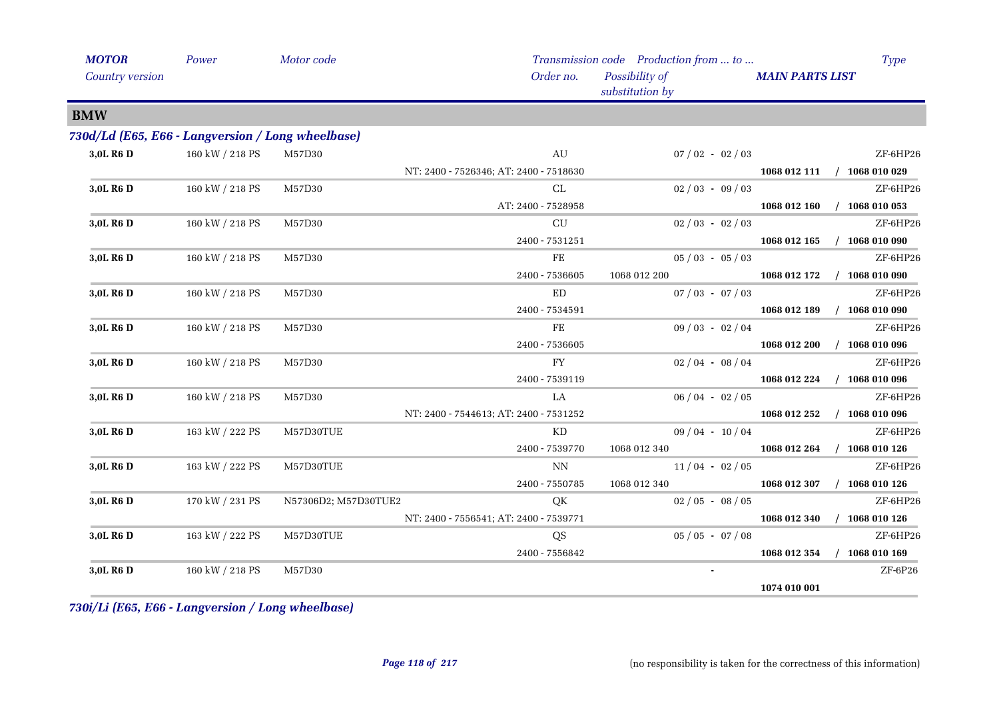| <b>MOTOR</b>          | Power                                             | Motor code           |                                        | Transmission code Production from  to |                             | <b>Type</b>      |
|-----------------------|---------------------------------------------------|----------------------|----------------------------------------|---------------------------------------|-----------------------------|------------------|
| Country version       |                                                   |                      | Order no.                              | Possibility of<br>substitution by     | <b>MAIN PARTS LIST</b>      |                  |
| <b>BMW</b>            |                                                   |                      |                                        |                                       |                             |                  |
|                       | 730d/Ld (E65, E66 - Langversion / Long wheelbase) |                      |                                        |                                       |                             |                  |
| 3,0L R6 D             | 160 kW / 218 PS                                   | M57D30               | AU                                     | $07/02 - 02/03$                       |                             | ZF-6HP26         |
|                       |                                                   |                      | NT: 2400 - 7526346; AT: 2400 - 7518630 |                                       | 1068 012 111 / 1068 010 029 |                  |
| 3,0L R6 D             | 160 kW / 218 PS                                   | M57D30               | CL                                     | $02/03 - 09/03$                       |                             | ZF-6HP26         |
|                       |                                                   |                      | AT: 2400 - 7528958                     |                                       | 1068 012 160                | $/$ 1068 010 053 |
| 3,0L R6 D             | 160 kW / 218 PS                                   | M57D30               | $\ensuremath{\mathrm{CU}}$             | $02/03 - 02/03$                       |                             | ZF-6HP26         |
|                       |                                                   |                      | 2400 - 7531251                         |                                       | 1068 012 165                | $/$ 1068 010 090 |
| 3,0L R <sub>6</sub> D | 160 kW / 218 PS                                   | M57D30               | $\rm FE$                               | $05/03 - 05/03$                       |                             | ZF-6HP26         |
|                       |                                                   |                      | 2400 - 7536605                         | 1068 012 200                          | 1068 012 172                | 1068 010 090     |
| 3,0L R6 D             | 160 kW / 218 PS                                   | M57D30               | ED                                     | $07 / 03 - 07 / 03$                   |                             | ZF-6HP26         |
|                       |                                                   |                      | 2400 - 7534591                         |                                       | 1068 012 189                | $/$ 1068 010 090 |
| 3,0L R6 D             | 160 kW / 218 PS                                   | M57D30               | FE                                     | $09/03 - 02/04$                       |                             | ZF-6HP26         |
|                       |                                                   |                      | 2400 - 7536605                         |                                       | 1068 012 200                | $/$ 1068 010 096 |
| 3,0L R6 D             | 160 kW / 218 PS                                   | M57D30               | FY                                     | $02/04 - 08/04$                       |                             | ZF-6HP26         |
|                       |                                                   |                      | 2400 - 7539119                         |                                       | 1068 012 224                | $/$ 1068 010 096 |
| 3,0L R <sub>6</sub> D | 160 kW / 218 PS                                   | M57D30               | LA                                     | $06/04 - 02/05$                       |                             | ZF-6HP26         |
|                       |                                                   |                      | NT: 2400 - 7544613; AT: 2400 - 7531252 |                                       | 1068 012 252                | $/$ 1068 010 096 |
| 3,0L R <sub>6</sub> D | 163 kW / 222 PS                                   | M57D30TUE            | KD                                     | $09/04 - 10/04$                       |                             | ZF-6HP26         |
|                       |                                                   |                      | 2400 - 7539770                         | 1068 012 340                          | 1068 012 264                | $/$ 1068 010 126 |
| 3,0L R <sub>6</sub> D | 163 kW / 222 PS                                   | M57D30TUE            | <b>NN</b>                              | $11/04 - 02/05$                       |                             | ZF-6HP26         |
|                       |                                                   |                      | 2400 - 7550785                         | 1068 012 340                          | 1068 012 307                | $/$ 1068 010 126 |
| 3,0L R6 D             | 170 kW / 231 PS                                   | N57306D2; M57D30TUE2 | QK                                     | $02/05 - 08/05$                       |                             | ZF-6HP26         |
|                       |                                                   |                      | NT: 2400 - 7556541; AT: 2400 - 7539771 |                                       | 1068 012 340                | $/$ 1068 010 126 |
| 3,0L R <sub>6</sub> D | 163 kW / 222 PS                                   | M57D30TUE            | QS                                     | $05/05 - 07/08$                       |                             | ZF-6HP26         |
|                       |                                                   |                      | 2400 - 7556842                         |                                       | 1068 012 354                | $/$ 1068 010 169 |
| 3,0L R6 D             | 160 kW / 218 PS                                   | M57D30               |                                        |                                       |                             | $ZF-6P26$        |
|                       |                                                   |                      |                                        |                                       | 1074 010 001                |                  |

*730i/Li (E65, E66 - Langversion / Long wheelbase)*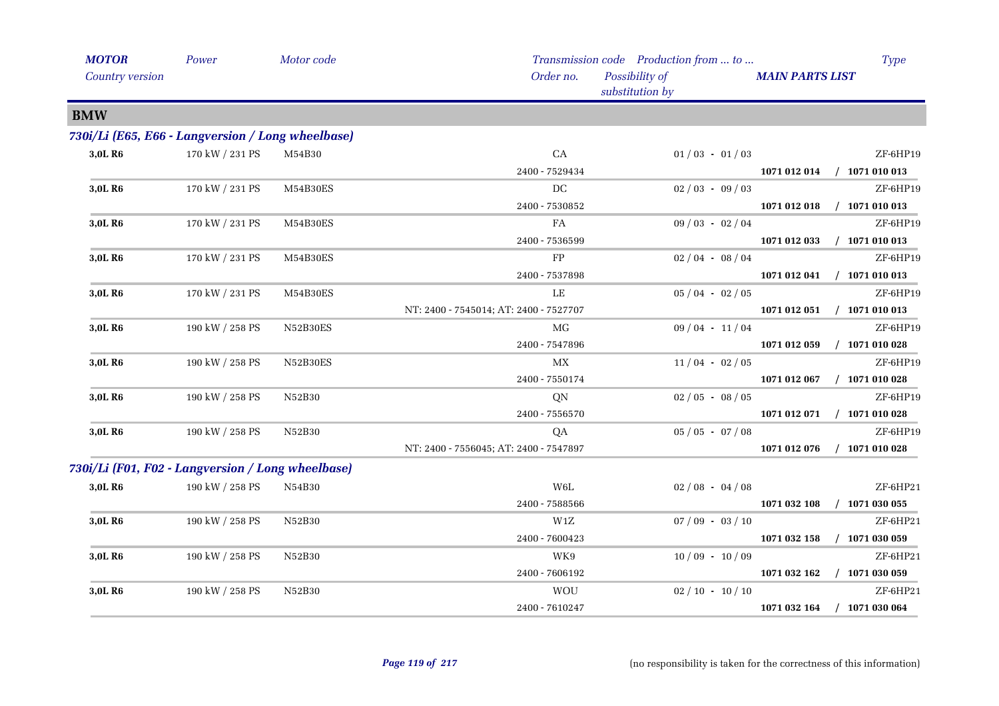| <b>MOTOR</b>                                      | Power           | Motor code |                                        | Transmission code Production from  to | <b>Type</b>                      |
|---------------------------------------------------|-----------------|------------|----------------------------------------|---------------------------------------|----------------------------------|
| <b>Country version</b>                            |                 |            | Order no.                              | Possibility of<br>substitution by     | <b>MAIN PARTS LIST</b>           |
| <b>BMW</b>                                        |                 |            |                                        |                                       |                                  |
| 730i/Li (E65, E66 - Langversion / Long wheelbase) |                 |            |                                        |                                       |                                  |
| 3,0L R <sub>6</sub>                               | 170 kW / 231 PS | M54B30     | CA                                     | $01/03 - 01/03$                       | ZF-6HP19                         |
|                                                   |                 |            | 2400 - 7529434                         |                                       | 1071 012 014 / 1071 010 013      |
| 3,0L R6                                           | 170 kW / 231 PS | M54B30ES   | DC                                     | $02/03 - 09/03$                       | ZF-6HP19                         |
|                                                   |                 |            | 2400 - 7530852                         |                                       | 1071 012 018<br>$/$ 1071 010 013 |
| 3,0L R6                                           | 170 kW / 231 PS | M54B30ES   | FA                                     | $09/03 - 02/04$                       | ZF-6HP19                         |
|                                                   |                 |            | 2400 - 7536599                         |                                       | 1071 012 033 / 1071 010 013      |
| 3,0L R6                                           | 170 kW / 231 PS | M54B30ES   | FP                                     | $02/04 - 08/04$                       | ZF-6HP19                         |
|                                                   |                 |            | 2400 - 7537898                         |                                       | 1071 012 041 / 1071 010 013      |
| 3,0L R6                                           | 170 kW / 231 PS | M54B30ES   | LE                                     | $05/04 - 02/05$                       | ZF-6HP19                         |
|                                                   |                 |            | NT: 2400 - 7545014; AT: 2400 - 7527707 |                                       | 1071 012 051<br>$/$ 1071 010 013 |
| 3,0L R6                                           | 190 kW / 258 PS | N52B30ES   | MG                                     | $09/04 - 11/04$                       | ZF-6HP19                         |
|                                                   |                 |            | 2400 - 7547896                         |                                       | 1071 012 059<br>$/$ 1071 010 028 |
| 3,0L R6                                           | 190 kW / 258 PS | N52B30ES   | МX                                     | $11/04 - 02/05$                       | ZF-6HP19                         |
|                                                   |                 |            | 2400 - 7550174                         |                                       | 1071 012 067<br>$/$ 1071 010 028 |
| 3,0L R6                                           | 190 kW / 258 PS | N52B30     | QN                                     | $02/05 - 08/05$                       | ZF-6HP19                         |
|                                                   |                 |            | 2400 - 7556570                         |                                       | 1071 012 071 / 1071 010 028      |
| 3,0L R <sub>6</sub>                               | 190 kW / 258 PS | N52B30     | QA                                     | $05/05 - 07/08$                       | ZF-6HP19                         |
|                                                   |                 |            | NT: 2400 - 7556045; AT: 2400 - 7547897 |                                       | $/$ 1071 010 028<br>1071 012 076 |
| 730i/Li (F01, F02 - Langversion / Long wheelbase) |                 |            |                                        |                                       |                                  |
| 3,0L R <sub>6</sub>                               | 190 kW / 258 PS | N54B30     | W6L                                    | $02/08 - 04/08$                       | ZF-6HP21                         |
|                                                   |                 |            | 2400 - 7588566                         |                                       | $/$ 1071 030 055<br>1071 032 108 |
| 3,0L R6                                           | 190 kW / 258 PS | N52B30     | W1Z                                    | $07/09 - 03/10$                       | ZF-6HP21                         |
|                                                   |                 |            | 2400 - 7600423                         |                                       | 1071 032 158<br>$/$ 1071 030 059 |
| 3,0L R6                                           | 190 kW / 258 PS | N52B30     | WK9                                    | $10/09 - 10/09$                       | ZF-6HP21                         |
|                                                   |                 |            | 2400 - 7606192                         |                                       | 1071 032 162<br>$/$ 1071 030 059 |
| 3,0L R6                                           | 190 kW / 258 PS | N52B30     | <b>WOU</b>                             | $02 / 10 - 10 / 10$                   | ZF-6HP21                         |
|                                                   |                 |            | 2400 - 7610247                         |                                       | 1071 032 164 / 1071 030 064      |
|                                                   |                 |            |                                        |                                       |                                  |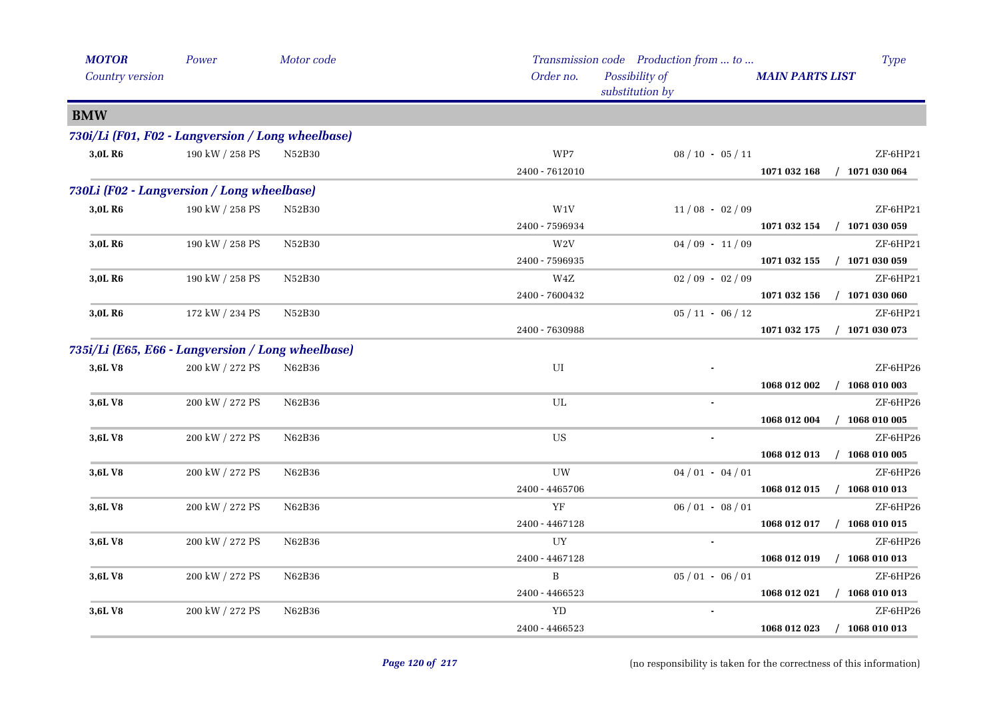| <b>MOTOR</b>                                      | Power           | Motor code     |                | Transmission code Production from  to |                        | <b>Type</b>      |
|---------------------------------------------------|-----------------|----------------|----------------|---------------------------------------|------------------------|------------------|
| <b>Country version</b>                            |                 |                | Order no.      | Possibility of<br>substitution by     | <b>MAIN PARTS LIST</b> |                  |
| <b>BMW</b>                                        |                 |                |                |                                       |                        |                  |
| 730i/Li (F01, F02 - Langversion / Long wheelbase) |                 |                |                |                                       |                        |                  |
| 3,0L R <sub>6</sub>                               | 190 kW / 258 PS | N52B30         | WP7            | $08 / 10 - 05 / 11$                   |                        | ZF-6HP21         |
|                                                   |                 |                | 2400 - 7612010 |                                       | 1071 032 168           | $/$ 1071 030 064 |
| 730Li (F02 - Langversion / Long wheelbase)        |                 |                |                |                                       |                        |                  |
| 3,0L R <sub>6</sub>                               | 190 kW / 258 PS | N52B30         | W1V            | $11/08 - 02/09$                       |                        | $ZF-6HP21$       |
|                                                   |                 |                | 2400 - 7596934 |                                       | 1071 032 154           | $/$ 1071 030 059 |
| 3,0L R6                                           | 190 kW / 258 PS | N52B30         | $\,$ W2V       | $04/09 - 11/09$                       |                        | ZF-6HP21         |
|                                                   |                 |                | 2400 - 7596935 |                                       | 1071 032 155           | $/$ 1071 030 059 |
| 3,0L R <sub>6</sub>                               | 190 kW / 258 PS | N52B30         | W4Z            | $02/09 - 02/09$                       |                        | ZF-6HP21         |
|                                                   |                 |                | 2400 - 7600432 |                                       | 1071 032 156           | $/$ 1071 030 060 |
| 3,0L R <sub>6</sub>                               | 172 kW / 234 PS | N52B30         |                | $05 / 11 - 06 / 12$                   |                        | ZF-6HP21         |
|                                                   |                 |                | 2400 - 7630988 |                                       | 1071 032 175           | $/$ 1071 030 073 |
| 735i/Li (E65, E66 - Langversion / Long wheelbase) |                 |                |                |                                       |                        |                  |
| 3,6L V8                                           | 200 kW / 272 PS | N62B36         | UI             |                                       |                        | ZF-6HP26         |
|                                                   |                 |                |                |                                       | 1068 012 002           | $/$ 1068 010 003 |
| 3,6LV8                                            | 200 kW / 272 PS | N62B36         | UL             | $\blacksquare$                        |                        | ZF-6HP26         |
|                                                   |                 |                |                |                                       | 1068 012 004           | $/$ 1068 010 005 |
| 3,6LV8                                            | 200 kW / 272 PS | N62B36         | US             |                                       |                        | ZF-6HP26         |
|                                                   |                 |                |                |                                       | 1068 012 013           | $/$ 1068 010 005 |
| 3,6LV8                                            | 200 kW / 272 PS | ${\tt N62B36}$ | UW             | $04/01 - 04/01$                       |                        | ZF-6HP26         |
|                                                   |                 |                | 2400 - 4465706 |                                       | 1068 012 015           | $/$ 1068 010 013 |
| 3,6L V8                                           | 200 kW / 272 PS | N62B36         | YF             | $06/01 - 08/01$                       |                        | $ZF-6HP26$       |
|                                                   |                 |                | 2400 - 4467128 |                                       | 1068 012 017           | $/$ 1068 010 015 |
| 3,6L V8                                           | 200 kW / 272 PS | N62B36         | UY             |                                       |                        | ZF-6HP26         |
|                                                   |                 |                | 2400 - 4467128 |                                       | 1068 012 019           | $/$ 1068 010 013 |
| 3,6LV8                                            | 200 kW / 272 PS | N62B36         | $\mathbf{B}$   | $05/01 - 06/01$                       |                        | $ZF$ -6HP26      |
|                                                   |                 |                | 2400 - 4466523 |                                       | 1068 012 021           | $/$ 1068 010 013 |
| 3,6LV8                                            | 200 kW / 272 PS | N62B36         | YD             |                                       |                        | ZF-6HP26         |
|                                                   |                 |                | 2400 - 4466523 |                                       | 1068 012 023           | $/$ 1068 010 013 |
|                                                   |                 |                |                |                                       |                        |                  |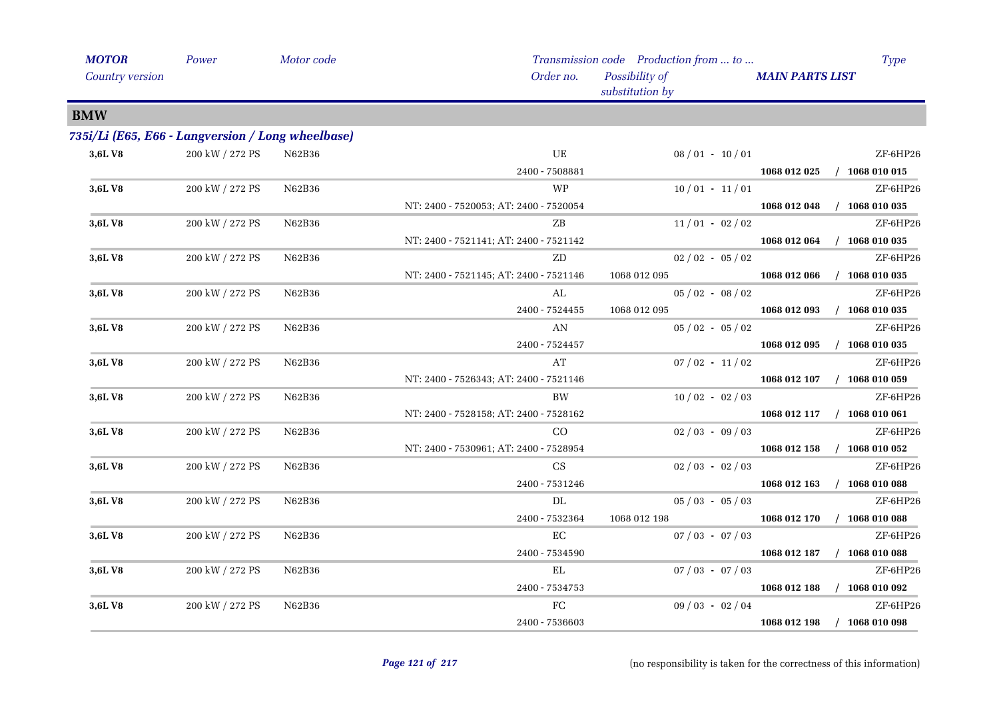| <b>MOTOR</b>                    | Power                                             | Motor code |                                        | Transmission code Production from  to |                        | <b>Type</b>      |
|---------------------------------|---------------------------------------------------|------------|----------------------------------------|---------------------------------------|------------------------|------------------|
| Country version                 |                                                   |            | Order no.                              | Possibility of<br>substitution by     | <b>MAIN PARTS LIST</b> |                  |
| <b>BMW</b>                      |                                                   |            |                                        |                                       |                        |                  |
|                                 | 735i/Li (E65, E66 - Langversion / Long wheelbase) |            |                                        |                                       |                        |                  |
| 3,6L V8                         | 200 kW / 272 PS                                   | N62B36     | $\rm{UE}$                              | $08/01 - 10/01$                       |                        | ZF-6HP26         |
|                                 |                                                   |            | 2400 - 7508881                         |                                       | 1068 012 025           | $/$ 1068 010 015 |
| 3,6L V8                         | 200 kW / 272 PS                                   | N62B36     | <b>WP</b>                              | $10/01 - 11/01$                       |                        | ZF-6HP26         |
|                                 |                                                   |            | NT: 2400 - 7520053; AT: 2400 - 7520054 |                                       | 1068 012 048           | $/$ 1068 010 035 |
| 3,6L V8                         | 200 kW / 272 PS                                   | N62B36     | ZΒ                                     | $11/01 - 02/02$                       |                        | ZF-6HP26         |
|                                 |                                                   |            | NT: 2400 - 7521141; AT: 2400 - 7521142 |                                       | 1068 012 064           | $/$ 1068 010 035 |
| 3,6L V8                         | 200 kW / 272 PS                                   | N62B36     | ${\rm ZD}$                             | $02/02 - 05/02$                       |                        | ZF-6HP26         |
|                                 |                                                   |            | NT: 2400 - 7521145; AT: 2400 - 7521146 | 1068 012 095                          | 1068 012 066           | $/$ 1068 010 035 |
| 3,6LV8                          | 200 kW / 272 PS                                   | N62B36     | AL                                     | $05/02 - 08/02$                       |                        | ZF-6HP26         |
|                                 |                                                   |            | 2400 - 7524455                         | 1068 012 095                          | 1068 012 093           | $/$ 1068 010 035 |
| 3,6L V8                         | 200 kW / 272 PS                                   | N62B36     | AN                                     | $05/02 - 05/02$                       |                        | ZF-6HP26         |
|                                 |                                                   |            | 2400 - 7524457                         |                                       | 1068 012 095           | $/$ 1068 010 035 |
| 3,6L V8                         | 200 kW / 272 PS                                   | N62B36     | AT                                     | $07/02 - 11/02$                       |                        | ZF-6HP26         |
|                                 |                                                   |            | NT: 2400 - 7526343; AT: 2400 - 7521146 |                                       | 1068 012 107           | $/$ 1068 010 059 |
| 3,6L V8                         | 200 kW / 272 PS                                   | N62B36     | BW                                     | $10/02 - 02/03$                       |                        | ZF-6HP26         |
|                                 |                                                   |            | NT: 2400 - 7528158; AT: 2400 - 7528162 |                                       | 1068 012 117           | $/$ 1068 010 061 |
| $3,\!6\mathrm{L}\, \mathrm{V}8$ | 200 kW / 272 PS                                   | N62B36     | CO                                     | $02/03 - 09/03$                       |                        | ZF-6HP26         |
|                                 |                                                   |            | NT: 2400 - 7530961; AT: 2400 - 7528954 |                                       | 1068 012 158           | $/$ 1068 010 052 |
| 3,6L V8                         | 200 kW / 272 PS                                   | N62B36     | CS                                     | $02/03 - 02/03$                       |                        | ZF-6HP26         |
|                                 |                                                   |            | 2400 - 7531246                         |                                       | 1068 012 163           | $/$ 1068 010 088 |
| 3,6LV8                          | 200 kW / 272 PS                                   | N62B36     | $\rm DL$                               | $05/03 - 05/03$                       |                        | ZF-6HP26         |
|                                 |                                                   |            | 2400 - 7532364                         | 1068 012 198                          | 1068 012 170           | $/$ 1068 010 088 |
| 3,6L V8                         | 200 kW / 272 PS                                   | N62B36     | EC                                     | $07/03 - 07/03$                       |                        | ZF-6HP26         |
|                                 |                                                   |            | 2400 - 7534590                         |                                       | 1068 012 187           | $/$ 1068 010 088 |
| 3,6L V8                         | 200 kW / 272 PS                                   | N62B36     | EL                                     | $07/03 - 07/03$                       |                        | ZF-6HP26         |
|                                 |                                                   |            | 2400 - 7534753                         |                                       | 1068 012 188           | $/$ 1068 010 092 |
| 3,6L V8                         | 200 kW / 272 PS                                   | N62B36     | ${\rm FC}$                             | $09/03 - 02/04$                       |                        | ZF-6HP26         |
|                                 |                                                   |            | 2400 - 7536603                         |                                       | 1068 012 198           | $/$ 1068 010 098 |
|                                 |                                                   |            |                                        |                                       |                        |                  |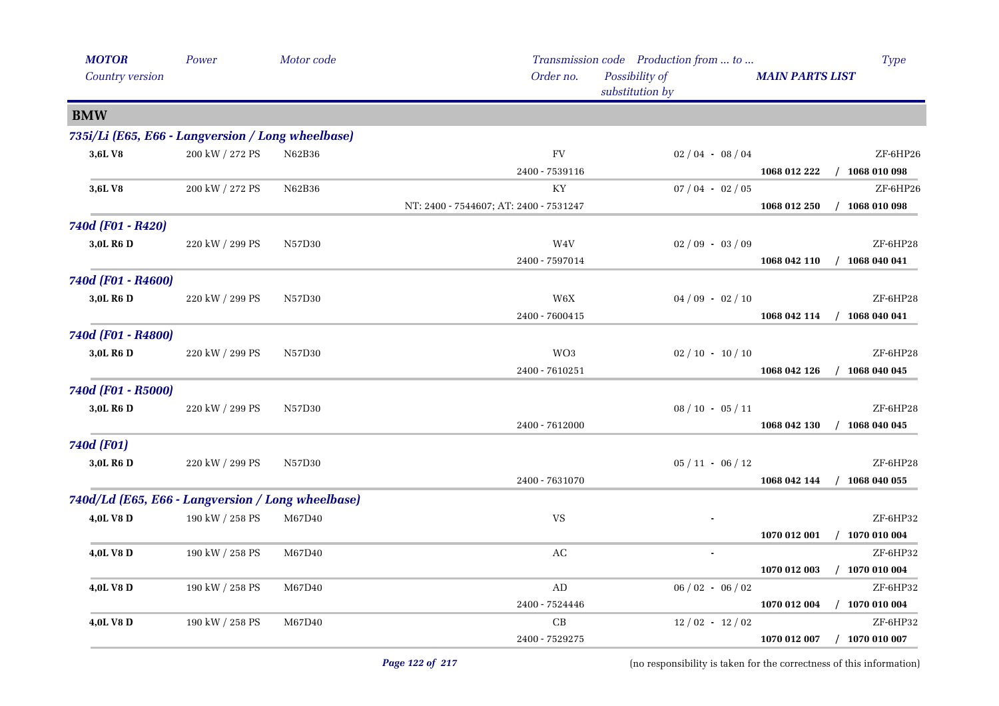| <b>MOTOR</b>                                      | Power           | Motor code |                                        | Transmission code Production from  to | Type                             |
|---------------------------------------------------|-----------------|------------|----------------------------------------|---------------------------------------|----------------------------------|
| Country version                                   |                 |            | Order no.                              | Possibility of<br>substitution by     | <b>MAIN PARTS LIST</b>           |
| <b>BMW</b>                                        |                 |            |                                        |                                       |                                  |
| 735i/Li (E65, E66 - Langversion / Long wheelbase) |                 |            |                                        |                                       |                                  |
| 3,6LV8                                            | 200 kW / 272 PS | N62B36     | <b>FV</b>                              | $02/04 - 08/04$                       | ZF-6HP26                         |
|                                                   |                 |            | 2400 - 7539116                         |                                       | 1068 012 222<br>$/$ 1068 010 098 |
| 3,6LV8                                            | 200 kW / 272 PS | N62B36     | KY                                     | $07/04 - 02/05$                       | ZF-6HP26                         |
|                                                   |                 |            | NT: 2400 - 7544607; AT: 2400 - 7531247 |                                       | 1068 012 250<br>$/$ 1068 010 098 |
| 740d (F01 - R420)                                 |                 |            |                                        |                                       |                                  |
| 3,0L R6 D                                         | 220 kW / 299 PS | N57D30     | W4V                                    | $02/09 - 03/09$                       | ZF-6HP28                         |
|                                                   |                 |            | 2400 - 7597014                         |                                       | 1068 042 110<br>$/$ 1068 040 041 |
| 740d (F01 - R4600)                                |                 |            |                                        |                                       |                                  |
| 3,0L R6 D                                         | 220 kW / 299 PS | N57D30     | $\,$ W6X                               | $04/09 - 02/10$                       | ZF-6HP28                         |
|                                                   |                 |            | 2400 - 7600415                         |                                       | $/$ 1068 040 041<br>1068 042 114 |
| 740d (F01 - R4800)                                |                 |            |                                        |                                       |                                  |
| 3,0L R6 D                                         | 220 kW / 299 PS | N57D30     | WO3                                    | $02 / 10 - 10 / 10$                   | ZF-6HP28                         |
|                                                   |                 |            | 2400 - 7610251                         |                                       | 1068 042 126<br>$/$ 1068 040 045 |
| 740d (F01 - R5000)                                |                 |            |                                        |                                       |                                  |
| 3,0L R6 D                                         | 220 kW / 299 PS | N57D30     |                                        | $08 / 10 - 05 / 11$                   | ZF-6HP28                         |
|                                                   |                 |            | 2400 - 7612000                         |                                       | $/$ 1068 040 045<br>1068 042 130 |
| 740d (F01)                                        |                 |            |                                        |                                       |                                  |
| 3,0L R6 D                                         | 220 kW / 299 PS | N57D30     |                                        | $05 / 11 - 06 / 12$                   | ZF-6HP28                         |
|                                                   |                 |            | 2400 - 7631070                         |                                       | 1068 042 144<br>$/$ 1068 040 055 |
| 740d/Ld (E65, E66 - Langversion / Long wheelbase) |                 |            |                                        |                                       |                                  |
| 4,0L V8 D                                         | 190 kW / 258 PS | M67D40     | $\ensuremath{\text{VS}}$               |                                       | ZF-6HP32                         |
|                                                   |                 |            |                                        |                                       | 1070 012 001<br>$/$ 1070 010 004 |
| 4,0L V8 D                                         | 190 kW / 258 PS | M67D40     | AC                                     | $\blacksquare$                        | ZF-6HP32                         |
|                                                   |                 |            |                                        |                                       | $/$ 1070 010 004<br>1070 012 003 |
| 4,0L V8 D                                         | 190 kW / 258 PS | M67D40     | $\mbox{\rm AD}$                        | $06/02 - 06/02$                       | ZF-6HP32                         |
|                                                   |                 |            | 2400 - 7524446                         |                                       | $/$ 1070 010 004<br>1070 012 004 |
| 4,0L V8 D                                         | 190 kW / 258 PS | M67D40     | $\operatorname{CB}$                    | $12/02 - 12/02$                       | ZF-6HP32                         |
|                                                   |                 |            | 2400 - 7529275                         |                                       | $/$ 1070 010 007<br>1070 012 007 |
|                                                   |                 |            |                                        |                                       |                                  |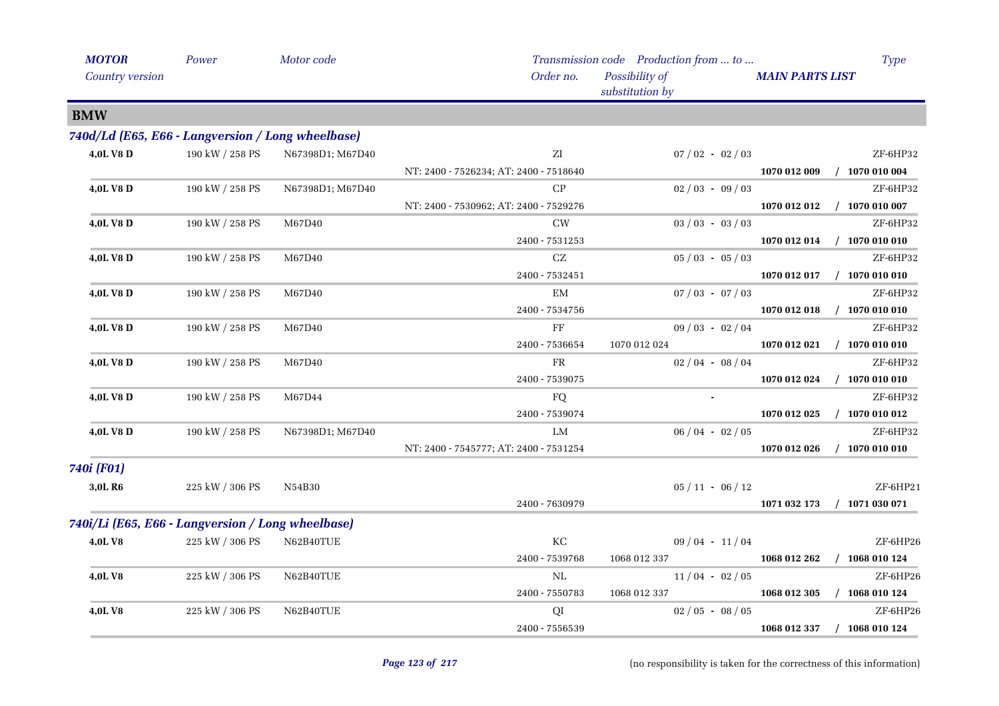| <b>MOTOR</b>                                      | Power           | Motor code       |                                        | Transmission code Production from  to | <b>Type</b>                      |
|---------------------------------------------------|-----------------|------------------|----------------------------------------|---------------------------------------|----------------------------------|
| Country version                                   |                 |                  | Order no.                              | Possibility of<br>substitution by     | <b>MAIN PARTS LIST</b>           |
| <b>BMW</b>                                        |                 |                  |                                        |                                       |                                  |
| 740d/Ld (E65, E66 - Langversion / Long wheelbase) |                 |                  |                                        |                                       |                                  |
| 4,0L V8 D                                         | 190 kW / 258 PS | N67398D1; M67D40 | ΖI                                     | $07/02 - 02/03$                       | ZF-6HP32                         |
|                                                   |                 |                  | NT: 2400 - 7526234; AT: 2400 - 7518640 |                                       | 1070 012 009<br>$/$ 1070 010 004 |
| 4,0L V8 D                                         | 190 kW / 258 PS | N67398D1; M67D40 | CP                                     | $02/03 - 09/03$                       | ZF-6HP32                         |
|                                                   |                 |                  | NT: 2400 - 7530962; AT: 2400 - 7529276 |                                       | $/$ 1070 010 007<br>1070 012 012 |
| 4,0L V8 D                                         | 190 kW / 258 PS | M67D40           | <b>CW</b>                              | $03 / 03 - 03 / 03$                   | ZF-6HP32                         |
|                                                   |                 |                  | 2400 - 7531253                         |                                       | 1070 012 014<br>$/$ 1070 010 010 |
| 4,0L V8 D                                         | 190 kW / 258 PS | M67D40           | CZ                                     | $05/03 - 05/03$                       | ZF-6HP32                         |
|                                                   |                 |                  | 2400 - 7532451                         |                                       | $/$ 1070 010 010<br>1070 012 017 |
| 4,0L V8 D                                         | 190 kW / 258 PS | M67D40           | EM                                     | $07/03 - 07/03$                       | ZF-6HP32                         |
|                                                   |                 |                  | 2400 - 7534756                         |                                       | 1070 012 018<br>$/$ 1070 010 010 |
| 4,0L V8 D                                         | 190 kW / 258 PS | M67D40           | FF                                     | $09/03 - 02/04$                       | ZF-6HP32                         |
|                                                   |                 |                  | 2400 - 7536654                         | 1070 012 024                          | 1070 012 021 / 1070 010 010      |
| 4,0L V8 D                                         | 190 kW / 258 PS | M67D40           | ${\rm FR}$                             | $02/04 - 08/04$                       | ZF-6HP32                         |
|                                                   |                 |                  | 2400 - 7539075                         |                                       | 1070 012 024<br>$/$ 1070 010 010 |
| 4,0L V8 D                                         | 190 kW / 258 PS | M67D44           | FQ                                     |                                       | ZF-6HP32                         |
|                                                   |                 |                  | 2400 - 7539074                         |                                       | $/$ 1070 010 012<br>1070 012 025 |
| 4,0L V8 D                                         | 190 kW / 258 PS | N67398D1; M67D40 | LM                                     | $06/04 - 02/05$                       | ZF-6HP32                         |
|                                                   |                 |                  | NT: 2400 - 7545777; AT: 2400 - 7531254 |                                       | 1070 012 026<br>$/$ 1070 010 010 |
| 740i (F01)                                        |                 |                  |                                        |                                       |                                  |
| 3,0L R6                                           | 225 kW / 306 PS | N54B30           |                                        | $05 / 11 - 06 / 12$                   | ZF-6HP21                         |
|                                                   |                 |                  | 2400 - 7630979                         |                                       | 1071 032 173<br>$/$ 1071 030 071 |
| 740i/Li (E65, E66 - Langversion / Long wheelbase) |                 |                  |                                        |                                       |                                  |
| <b>4,0LV8</b>                                     | 225 kW / 306 PS | N62B40TUE        | КC                                     | $09/04 - 11/04$                       | ZF-6HP26                         |
|                                                   |                 |                  | 2400 - 7539768                         | 1068 012 337                          | $/$ 1068 010 124<br>1068 012 262 |
| 4,0LV8                                            | 225 kW / 306 PS | N62B40TUE        | $\rm NL$                               | $11/04 - 02/05$                       | ZF-6HP26                         |
|                                                   |                 |                  | 2400 - 7550783                         | 1068 012 337                          | 1068 012 305<br>$/$ 1068 010 124 |
| 4,0LV8                                            | 225 kW / 306 PS | N62B40TUE        | QI                                     | $02/05 - 08/05$                       | ZF-6HP26                         |
|                                                   |                 |                  | 2400 - 7556539                         |                                       | $/$ 1068 010 124<br>1068 012 337 |
|                                                   |                 |                  |                                        |                                       |                                  |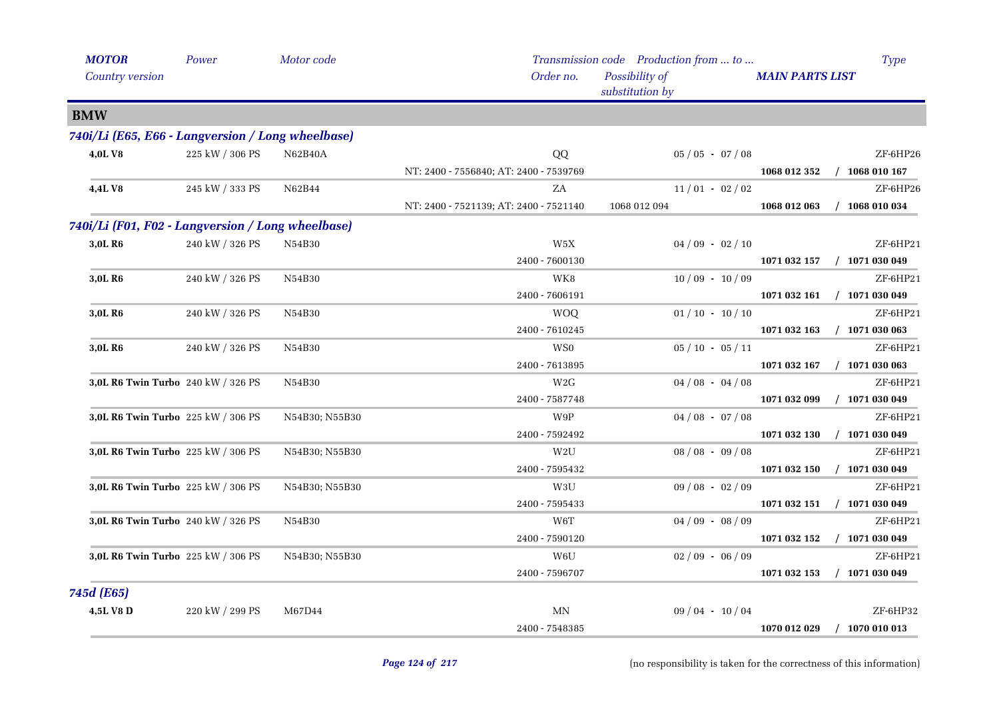| <b>MOTOR</b>                                      | Power           | Motor code     |                                        | Transmission code Production from  to |                        | <b>Type</b>      |
|---------------------------------------------------|-----------------|----------------|----------------------------------------|---------------------------------------|------------------------|------------------|
| Country version                                   |                 |                | Order no.                              | Possibility of<br>substitution by     | <b>MAIN PARTS LIST</b> |                  |
| <b>BMW</b>                                        |                 |                |                                        |                                       |                        |                  |
| 740i/Li (E65, E66 - Langversion / Long wheelbase) |                 |                |                                        |                                       |                        |                  |
| 4,0LV8                                            | 225 kW / 306 PS | <b>N62B40A</b> | QQ                                     | $05 / 05 - 07 / 08$                   |                        | ZF-6HP26         |
|                                                   |                 |                | NT: 2400 - 7556840; AT: 2400 - 7539769 |                                       | 1068 012 352           | $/$ 1068 010 167 |
| <b>4,4LV8</b>                                     | 245 kW / 333 PS | N62B44         | ZA                                     | $11/01 - 02/02$                       |                        | ZF-6HP26         |
|                                                   |                 |                | NT: 2400 - 7521139; AT: 2400 - 7521140 | 1068 012 094                          | 1068 012 063           | $/$ 1068 010 034 |
| 740i/Li (F01, F02 - Langversion / Long wheelbase) |                 |                |                                        |                                       |                        |                  |
| 3,0L R <sub>6</sub>                               | 240 kW / 326 PS | N54B30         | W5X                                    | $04/09 - 02/10$                       |                        | ZF-6HP21         |
|                                                   |                 |                | 2400 - 7600130                         |                                       | 1071 032 157           | $/$ 1071 030 049 |
| 3,0L R6                                           | 240 kW / 326 PS | N54B30         | WK8                                    | $10/09 - 10/09$                       |                        | ZF-6HP21         |
|                                                   |                 |                | 2400 - 7606191                         |                                       | 1071 032 161           | $/$ 1071 030 049 |
| 3,0L R <sub>6</sub>                               | 240 kW / 326 PS | N54B30         | <b>WOQ</b>                             | $01/10 - 10/10$                       |                        | ZF-6HP21         |
|                                                   |                 |                | 2400 - 7610245                         |                                       | 1071 032 163           | $/$ 1071 030 063 |
| 3,0L R <sub>6</sub>                               | 240 kW / 326 PS | N54B30         | WS <sub>0</sub>                        | $05/10 - 05/11$                       |                        | ZF-6HP21         |
|                                                   |                 |                | 2400 - 7613895                         |                                       | 1071 032 167           | $/$ 1071 030 063 |
| 3,0L R6 Twin Turbo 240 kW / 326 PS                |                 | N54B30         | W2G                                    | $04/08 - 04/08$                       |                        | ZF-6HP21         |
|                                                   |                 |                | 2400 - 7587748                         |                                       | 1071 032 099           | $/$ 1071 030 049 |
| 3,0L R6 Twin Turbo 225 kW / 306 PS                |                 | N54B30; N55B30 | W9P                                    | $04/08 - 07/08$                       |                        | ZF-6HP21         |
|                                                   |                 |                | 2400 - 7592492                         |                                       | 1071 032 130           | $/$ 1071 030 049 |
| $\bf 3,\!0L$ R6 Twin Turbo $\,$ 225 kW / 306 PS   |                 | N54B30; N55B30 | W <sub>2</sub> U                       | $08/08 - 09/08$                       |                        | ZF-6HP21         |
|                                                   |                 |                | 2400 - 7595432                         |                                       | 1071 032 150           | $/$ 1071 030 049 |
| 3,0L R6 Twin Turbo 225 kW / 306 PS                |                 | N54B30; N55B30 | W3U                                    | $09/08 - 02/09$                       |                        | ZF-6HP21         |
|                                                   |                 |                | 2400 - 7595433                         |                                       | 1071 032 151           | $/$ 1071 030 049 |
| 3,0L R6 Twin Turbo 240 kW / 326 PS                |                 | N54B30         | W6T                                    | $04/09 - 08/09$                       |                        | ZF-6HP21         |
|                                                   |                 |                | 2400 - 7590120                         |                                       | 1071 032 152           | $/$ 1071 030 049 |
| 3,0L R6 Twin Turbo 225 kW / 306 PS                |                 | N54B30; N55B30 | W6U                                    | $02/09 - 06/09$                       |                        | ZF-6HP21         |
|                                                   |                 |                | 2400 - 7596707                         |                                       | 1071 032 153           | $/$ 1071 030 049 |
| 745d (E65)                                        |                 |                |                                        |                                       |                        |                  |
| 4,5L V8 D                                         | 220 kW / 299 PS | M67D44         | MΝ                                     | $09/04 - 10/04$                       |                        | ZF-6HP32         |
|                                                   |                 |                | 2400 - 7548385                         |                                       | 1070 012 029           | $/$ 1070 010 013 |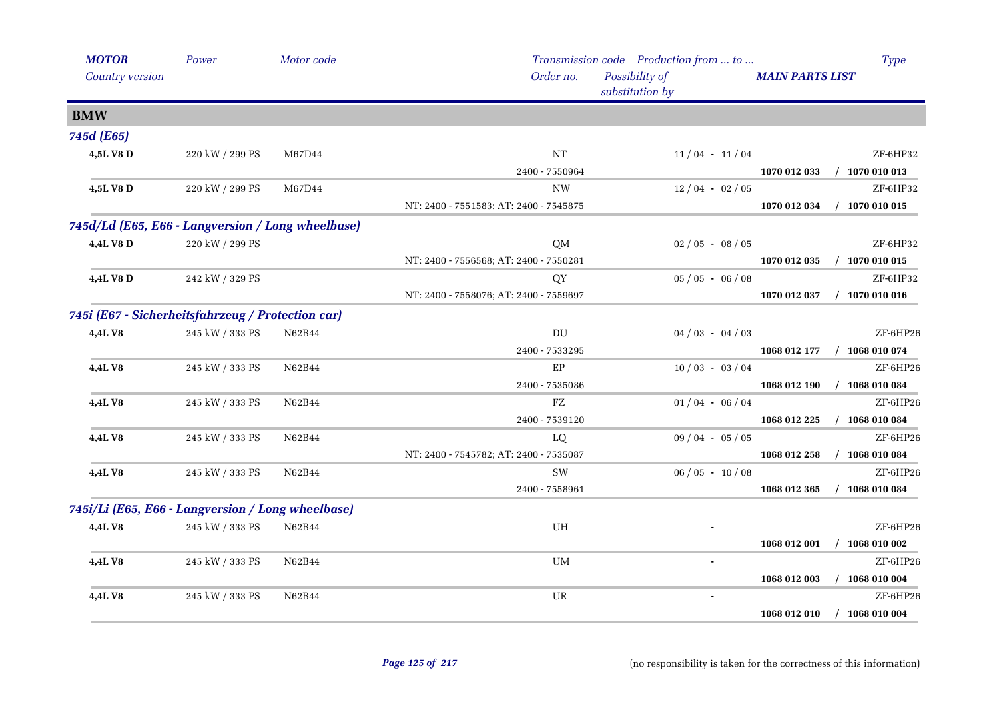| <b>MOTOR</b>                                      | Power           | Motor code |                                        | Transmission code Production from  to | <b>Type</b>                      |
|---------------------------------------------------|-----------------|------------|----------------------------------------|---------------------------------------|----------------------------------|
| Country version                                   |                 |            | Order no.                              | Possibility of<br>substitution by     | <b>MAIN PARTS LIST</b>           |
| <b>BMW</b>                                        |                 |            |                                        |                                       |                                  |
| 745d (E65)                                        |                 |            |                                        |                                       |                                  |
| 4,5L V8 D                                         | 220 kW / 299 PS | M67D44     | NT                                     | $11/04 - 11/04$                       | ZF-6HP32                         |
|                                                   |                 |            | 2400 - 7550964                         |                                       | 1070 012 033<br>$/$ 1070 010 013 |
| 4,5L V8 D                                         | 220 kW / 299 PS | M67D44     | <b>NW</b>                              | $12/04 - 02/05$                       | ZF-6HP32                         |
|                                                   |                 |            | NT: 2400 - 7551583; AT: 2400 - 7545875 |                                       | 1070 012 034<br>$/$ 1070 010 015 |
| 745d/Ld (E65, E66 - Langversion / Long wheelbase) |                 |            |                                        |                                       |                                  |
| 4,4L V8 D                                         | 220 kW / 299 PS |            | <b>QM</b>                              | $02/05 - 08/05$                       | ZF-6HP32                         |
|                                                   |                 |            | NT: 2400 - 7556568; AT: 2400 - 7550281 |                                       | 1070 012 035<br>1070 010 015     |
| 4,4L V8 D                                         | 242 kW / 329 PS |            | QY                                     | $05/05 - 06/08$                       | ZF-6HP32                         |
|                                                   |                 |            | NT: 2400 - 7558076; AT: 2400 - 7559697 |                                       | 1070 012 037<br>$/$ 1070 010 016 |
| 745i (E67 - Sicherheitsfahrzeug / Protection car) |                 |            |                                        |                                       |                                  |
| 4,4LV8                                            | 245 kW / 333 PS | N62B44     | $\mathop{\rm DU}\nolimits$             | $04/03 - 04/03$                       | ZF-6HP26                         |
|                                                   |                 |            | 2400 - 7533295                         |                                       | 1068 012 177<br>$/$ 1068 010 074 |
| 4,4L V8                                           | 245 kW / 333 PS | N62B44     | EP                                     | $10/03 - 03/04$                       | ZF-6HP26                         |
|                                                   |                 |            | 2400 - 7535086                         |                                       | 1068 012 190<br>$/$ 1068 010 084 |
| <b>4,4L V8</b>                                    | 245 kW / 333 PS | N62B44     | FZ                                     | $01/04 - 06/04$                       | ZF-6HP26                         |
|                                                   |                 |            | 2400 - 7539120                         |                                       | $/$ 1068 010 084<br>1068 012 225 |
| 4,4L V8                                           | 245 kW / 333 PS | N62B44     | LQ                                     | $09/04 - 05/05$                       | ZF-6HP26                         |
|                                                   |                 |            | NT: 2400 - 7545782; AT: 2400 - 7535087 |                                       | 1068 010 084<br>1068 012 258     |
| 4,4LV8                                            | 245 kW / 333 PS | N62B44     | SW                                     | $06/05 - 10/08$                       | ZF-6HP26                         |
|                                                   |                 |            | 2400 - 7558961                         |                                       | 1068 012 365<br>$/$ 1068 010 084 |
| 745i/Li (E65, E66 - Langversion / Long wheelbase) |                 |            |                                        |                                       |                                  |
| 4,4LV8                                            | 245 kW / 333 PS | N62B44     | UH                                     |                                       | ZF-6HP26                         |
|                                                   |                 |            |                                        |                                       | 1068 010 002<br>1068 012 001     |
| 4,4L V8                                           | 245 kW / 333 PS | N62B44     | UM                                     | $\blacksquare$                        | ZF-6HP26                         |
|                                                   |                 |            |                                        |                                       | 1068 012 003<br>1068 010 004     |
| 4,4LV8                                            | 245 kW / 333 PS | N62B44     | UR                                     |                                       | $ZF-6HP26$                       |
|                                                   |                 |            |                                        |                                       | 1068 012 010<br>$/$ 1068 010 004 |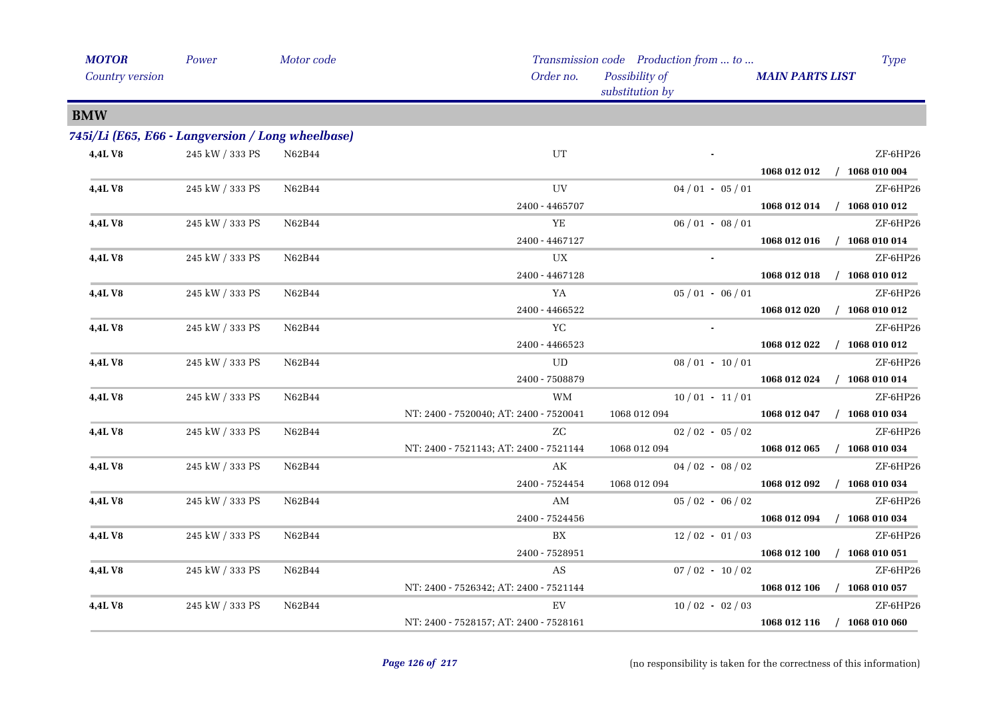| <b>MOTOR</b>                                      | Power                 | Motor code |                                        | Transmission code Production from  to | Type                             |
|---------------------------------------------------|-----------------------|------------|----------------------------------------|---------------------------------------|----------------------------------|
| <b>Country version</b>                            |                       |            | Order no.                              | Possibility of<br>substitution by     | <b>MAIN PARTS LIST</b>           |
| <b>BMW</b>                                        |                       |            |                                        |                                       |                                  |
| 745i/Li (E65, E66 - Langversion / Long wheelbase) |                       |            |                                        |                                       |                                  |
| 4,4L V8                                           | $245$ kW $\!/$ 333 PS | N62B44     | UT                                     |                                       | ZF-6HP26                         |
|                                                   |                       |            |                                        |                                       | 1068 012 012 / 1068 010 004      |
| 4,4L V8                                           | 245 kW / 333 PS       | N62B44     | UV                                     | $04/01 - 05/01$                       | ZF-6HP26                         |
|                                                   |                       |            | 2400 - 4465707                         |                                       | 1068 012 014 / 1068 010 012      |
| 4,4L V8                                           | 245 kW / 333 PS       | N62B44     | YE                                     | $06/01 - 08/01$                       | ZF-6HP26                         |
|                                                   |                       |            | 2400 - 4467127                         |                                       | 1068 012 016<br>$/$ 1068 010 014 |
| <b>4,4L V8</b>                                    | 245 kW / 333 PS       | N62B44     | UX                                     |                                       | ZF-6HP26                         |
|                                                   |                       |            | 2400 - 4467128                         |                                       | 1068 012 018 / 1068 010 012      |
| <b>4,4L V8</b>                                    | 245 kW / 333 PS       | N62B44     | YA                                     | $05/01 - 06/01$                       | $ZF$ -6HP26                      |
|                                                   |                       |            | 2400 - 4466522                         |                                       | 1068 012 020 / 1068 010 012      |
| <b>4,4L V8</b>                                    | 245 kW / 333 PS       | N62B44     | YC                                     | $\sim$                                | ZF-6HP26                         |
|                                                   |                       |            | 2400 - 4466523                         |                                       | 1068 012 022 / 1068 010 012      |
| 4,4L V8                                           | 245 kW / 333 PS       | N62B44     | UD                                     | $08/01 - 10/01$                       | ZF-6HP26                         |
|                                                   |                       |            | 2400 - 7508879                         |                                       | 1068 012 024 / 1068 010 014      |
| 4,4LV8                                            | 245 kW / 333 PS       | N62B44     | <b>WM</b>                              | $10/01 - 11/01$                       | ZF-6HP26                         |
|                                                   |                       |            | NT: 2400 - 7520040; AT: 2400 - 7520041 | 1068 012 094                          | 1068 012 047 / 1068 010 034      |
| <b>4,4L V8</b>                                    | 245 kW / 333 PS       | N62B44     | ZC                                     | $02/02 - 05/02$                       | ZF-6HP26                         |
|                                                   |                       |            | NT: 2400 - 7521143; AT: 2400 - 7521144 | 1068 012 094                          | 1068 012 065<br>$/$ 1068 010 034 |
| 4,4LV8                                            | 245 kW / 333 PS       | N62B44     | AK                                     | $04/02 - 08/02$                       | ZF-6HP26                         |
|                                                   |                       |            | 2400 - 7524454                         | 1068 012 094                          | 1068 012 092 / 1068 010 034      |
| 4,4LV8                                            | $245$ kW $\!/$ 333 PS | N62B44     | AM                                     | $05/02 - 06/02$                       | ZF-6HP26                         |
|                                                   |                       |            | 2400 - 7524456                         |                                       | 1068 012 094<br>$/$ 1068 010 034 |
| <b>4,4LV8</b>                                     | 245 kW / 333 PS       | N62B44     | BX                                     | $12/02 - 01/03$                       | ZF-6HP26                         |
|                                                   |                       |            | 2400 - 7528951                         |                                       | 1068 012 100<br>$/$ 1068 010 051 |
| <b>4,4L V8</b>                                    | 245 kW / 333 PS       | N62B44     | AS                                     | $07/02 - 10/02$                       | ZF-6HP26                         |
|                                                   |                       |            | NT: 2400 - 7526342; AT: 2400 - 7521144 |                                       | 1068 012 106<br>$/$ 1068 010 057 |
| 4,4L V8                                           | 245 kW / 333 PS       | N62B44     | EV                                     | $10/02 - 02/03$                       | ZF-6HP26                         |
|                                                   |                       |            | NT: 2400 - 7528157; AT: 2400 - 7528161 |                                       | $/$ 1068 010 060<br>1068 012 116 |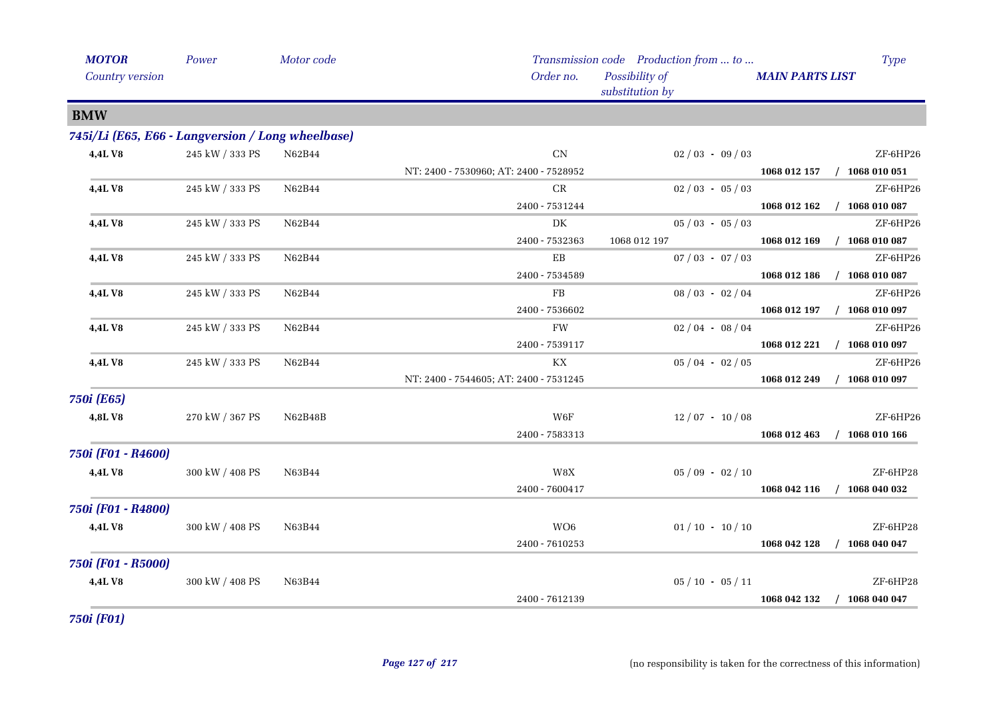| <b>MOTOR</b>                                      | Power                 | Motor code |                                        | Transmission code Production from  to | <b>Type</b>                      |
|---------------------------------------------------|-----------------------|------------|----------------------------------------|---------------------------------------|----------------------------------|
| Country version                                   |                       |            | Order no.                              | Possibility of<br>substitution by     | <b>MAIN PARTS LIST</b>           |
| <b>BMW</b>                                        |                       |            |                                        |                                       |                                  |
| 745i/Li (E65, E66 - Langversion / Long wheelbase) |                       |            |                                        |                                       |                                  |
| 4,4LV8                                            | 245 kW / 333 PS       | N62B44     | CN                                     | $02/03 - 09/03$                       | ZF-6HP26                         |
|                                                   |                       |            | NT: 2400 - 7530960; AT: 2400 - 7528952 |                                       | $/$ 1068 010 051<br>1068 012 157 |
| 4,4LV8                                            | 245 kW / 333 PS       | N62B44     | CR                                     | $02/03 - 05/03$                       | ZF-6HP26                         |
|                                                   |                       |            | 2400 - 7531244                         |                                       | $/$ 1068 010 087<br>1068 012 162 |
| 4,4LV8                                            | 245 kW / 333 PS       | N62B44     | DK                                     | $05/03 - 05/03$                       | ZF-6HP26                         |
|                                                   |                       |            | 2400 - 7532363                         | 1068 012 197                          | $/$ 1068 010 087<br>1068 012 169 |
| 4,4L V8                                           | 245 kW / 333 PS       | N62B44     | EB                                     | $07/03 - 07/03$                       | ZF-6HP26                         |
|                                                   |                       |            | 2400 - 7534589                         |                                       | $/$ 1068 010 087<br>1068 012 186 |
| 4,4L V8                                           | 245 kW / 333 PS       | N62B44     | FB                                     | $08/03 - 02/04$                       | ZF-6HP26                         |
|                                                   |                       |            | 2400 - 7536602                         |                                       | $/$ 1068 010 097<br>1068 012 197 |
| 4,4L V8                                           | 245 kW / 333 PS       | N62B44     | FW                                     | $02/04 - 08/04$                       | ZF-6HP26                         |
|                                                   |                       |            | 2400 - 7539117                         |                                       | $/$ 1068 010 097<br>1068 012 221 |
| 4,4LV8                                            | 245 kW / 333 PS       | N62B44     | КX                                     | $05/04 - 02/05$                       | ZF-6HP26                         |
|                                                   |                       |            | NT: 2400 - 7544605; AT: 2400 - 7531245 |                                       | 1068 012 249<br>$/$ 1068 010 097 |
| 750i (E65)                                        |                       |            |                                        |                                       |                                  |
| 4,8LV8                                            | 270 kW / 367 PS       | N62B48B    | W6F                                    | $12/07 - 10/08$                       | ZF-6HP26                         |
|                                                   |                       |            | 2400 - 7583313                         |                                       | $/$ 1068 010 166<br>1068 012 463 |
| 750i (F01 - R4600)                                |                       |            |                                        |                                       |                                  |
| <b>4,4LV8</b>                                     | $300$ kW $\!/$ 408 PS | N63B44     | W8X                                    | $05/09 - 02/10$                       | ZF-6HP28                         |
|                                                   |                       |            | 2400 - 7600417                         |                                       | $/$ 1068 040 032<br>1068 042 116 |
| 750i (F01 - R4800)                                |                       |            |                                        |                                       |                                  |
| <b>4,4LV8</b>                                     | 300 kW / 408 PS       | N63B44     | WO <sub>6</sub>                        | $01/10 - 10/10$                       | ZF-6HP28                         |
|                                                   |                       |            | 2400 - 7610253                         |                                       | 1068 042 128<br>$/$ 1068 040 047 |
| 750i (F01 - R5000)                                |                       |            |                                        |                                       |                                  |
| 4,4LV8                                            | 300 kW / 408 PS       | N63B44     |                                        | $05/10 - 05/11$                       | ZF-6HP28                         |
|                                                   |                       |            | 2400 - 7612139                         |                                       | 1068 042 132<br>1068 040 047     |
|                                                   |                       |            |                                        |                                       |                                  |

*750i (F01)*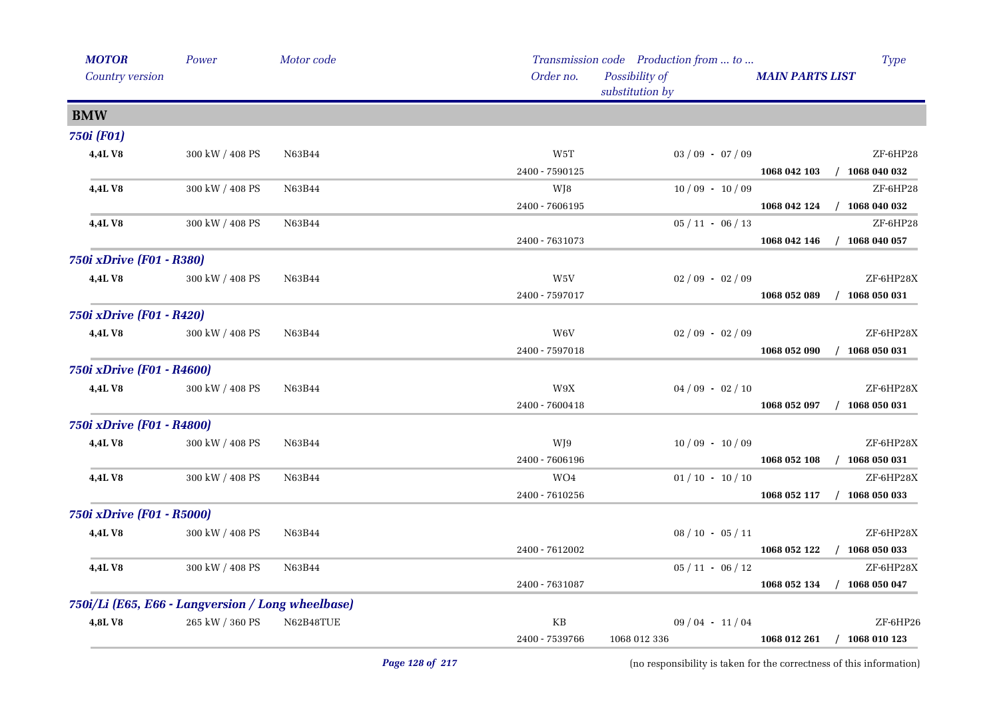| <b>MOTOR</b>                                      | Power           | Motor code |                | Transmission code Production from  to | <b>Type</b>                      |
|---------------------------------------------------|-----------------|------------|----------------|---------------------------------------|----------------------------------|
| Country version                                   |                 |            | Order no.      | Possibility of<br>substitution by     | <b>MAIN PARTS LIST</b>           |
| <b>BMW</b>                                        |                 |            |                |                                       |                                  |
| <b>750i</b> (F01)                                 |                 |            |                |                                       |                                  |
| 4,4LV8                                            | 300 kW / 408 PS | N63B44     | W5T            | $03 / 09 - 07 / 09$                   | ZF-6HP28                         |
|                                                   |                 |            | 2400 - 7590125 |                                       | $/$ 1068 040 032<br>1068 042 103 |
| 4,4LV8                                            | 300 kW / 408 PS | N63B44     | WJ8            | $10/09 - 10/09$                       | ZF-6HP28                         |
|                                                   |                 |            | 2400 - 7606195 |                                       | 1068 042 124<br>$/$ 1068 040 032 |
| 4,4L V8                                           | 300 kW / 408 PS | N63B44     |                | $05 / 11 - 06 / 13$                   | ZF-6HP28                         |
|                                                   |                 |            | 2400 - 7631073 |                                       | 1068 042 146<br>$/$ 1068 040 057 |
| 750i xDrive (F01 - R380)                          |                 |            |                |                                       |                                  |
| 4,4L V8                                           | 300 kW / 408 PS | N63B44     | W5V            | $02/09 - 02/09$                       | ZF-6HP28X                        |
|                                                   |                 |            | 2400 - 7597017 |                                       | 1068 052 089<br>$/$ 1068 050 031 |
| 750i xDrive (F01 - R420)                          |                 |            |                |                                       |                                  |
| 4,4LV8                                            | 300 kW / 408 PS | N63B44     | W6V            | $02/09 - 02/09$                       | ZF-6HP28X                        |
|                                                   |                 |            | 2400 - 7597018 |                                       | $/$ 1068 050 031<br>1068 052 090 |
| 750i xDrive (F01 - R4600)                         |                 |            |                |                                       |                                  |
| 4,4L V8                                           | 300 kW / 408 PS | N63B44     | W9X            | $04/09 - 02/10$                       | ZF-6HP28X                        |
|                                                   |                 |            | 2400 - 7600418 |                                       | 1068 052 097<br>$/$ 1068 050 031 |
| 750i xDrive (F01 - R4800)                         |                 |            |                |                                       |                                  |
| 4,4L V8                                           | 300 kW / 408 PS | N63B44     | WJ9            | $10/09 - 10/09$                       | ZF-6HP28X                        |
|                                                   |                 |            | 2400 - 7606196 |                                       | 1068 052 108<br>$/$ 1068 050 031 |
| 4,4LV8                                            | 300 kW / 408 PS | N63B44     | WO4            | $01/10 - 10/10$                       | ZF-6HP28X                        |
|                                                   |                 |            | 2400 - 7610256 |                                       | 1068 052 117<br>$/$ 1068 050 033 |
| 750i xDrive (F01 - R5000)                         |                 |            |                |                                       |                                  |
| 4,4LV8                                            | 300 kW / 408 PS | N63B44     |                | $08 / 10 - 05 / 11$                   | ZF-6HP28X                        |
|                                                   |                 |            | 2400 - 7612002 |                                       | 1068 052 122 / 1068 050 033      |
| 4,4L V8                                           | 300 kW / 408 PS | N63B44     |                | $05 / 11 - 06 / 12$                   | ZF-6HP28X                        |
|                                                   |                 |            | 2400 - 7631087 |                                       | 1068 052 134 / 1068 050 047      |
| 750i/Li (E65, E66 - Langversion / Long wheelbase) |                 |            |                |                                       |                                  |
| 4,8LV8                                            | 265 kW / 360 PS | N62B48TUE  | KB             | $09/04 - 11/04$                       | ZF-6HP26                         |
|                                                   |                 |            | 2400 - 7539766 | 1068 012 336                          | 1068 012 261 / 1068 010 123      |
|                                                   |                 |            |                |                                       |                                  |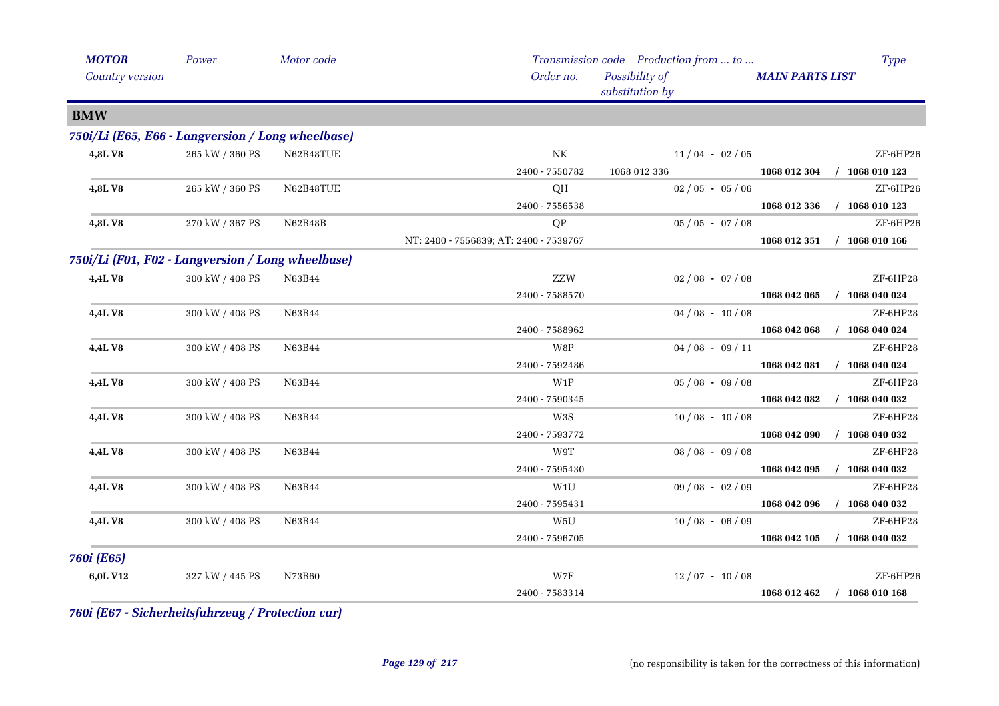| <b>MOTOR</b>                                      | Power           | Motor code |                                        | Transmission code Production from  to |                        | <b>Type</b>      |
|---------------------------------------------------|-----------------|------------|----------------------------------------|---------------------------------------|------------------------|------------------|
| Country version                                   |                 |            | Order no.                              | Possibility of<br>substitution by     | <b>MAIN PARTS LIST</b> |                  |
| <b>BMW</b>                                        |                 |            |                                        |                                       |                        |                  |
| 750i/Li (E65, E66 - Langversion / Long wheelbase) |                 |            |                                        |                                       |                        |                  |
| 4,8LV8                                            | 265 kW / 360 PS | N62B48TUE  | N <sub>K</sub>                         | $11/04 - 02/05$                       |                        | ZF-6HP26         |
|                                                   |                 |            | 2400 - 7550782                         | 1068 012 336                          | 1068 012 304           | $/$ 1068 010 123 |
| 4,8LV8                                            | 265 kW / 360 PS | N62B48TUE  | QH                                     | $02/05 - 05/06$                       |                        | ZF-6HP26         |
|                                                   |                 |            | 2400 - 7556538                         |                                       | 1068 012 336           | $/$ 1068 010 123 |
| 4,8LV8                                            | 270 kW / 367 PS | N62B48B    | QP                                     | $05/05 - 07/08$                       |                        | ZF-6HP26         |
|                                                   |                 |            | NT: 2400 - 7556839; AT: 2400 - 7539767 |                                       | 1068 012 351           | $/$ 1068 010 166 |
| 750i/Li (F01, F02 - Langversion / Long wheelbase) |                 |            |                                        |                                       |                        |                  |
| 4,4L V8                                           | 300 kW / 408 PS | N63B44     | ZZW                                    | $02/08 - 07/08$                       |                        | ZF-6HP28         |
|                                                   |                 |            | 2400 - 7588570                         |                                       | 1068 042 065           | $/$ 1068 040 024 |
| 4,4LV8                                            | 300 kW / 408 PS | N63B44     |                                        | $04/08 - 10/08$                       |                        | ZF-6HP28         |
|                                                   |                 |            | 2400 - 7588962                         |                                       | 1068 042 068           | $/$ 1068 040 024 |
| 4,4LV8                                            | 300 kW / 408 PS | N63B44     | W8P                                    | $04/08 - 09/11$                       |                        | ZF-6HP28         |
|                                                   |                 |            | 2400 - 7592486                         |                                       | 1068 042 081           | $/$ 1068 040 024 |
| 4,4LV8                                            | 300 kW / 408 PS | N63B44     | W1P                                    | $05/08 - 09/08$                       |                        | ZF-6HP28         |
|                                                   |                 |            | 2400 - 7590345                         |                                       | 1068 042 082           | $/$ 1068 040 032 |
| 4,4LV8                                            | 300 kW / 408 PS | N63B44     | W3S                                    | $10/08 - 10/08$                       |                        | ZF-6HP28         |
|                                                   |                 |            | 2400 - 7593772                         |                                       | 1068 042 090           | $/$ 1068 040 032 |
| 4,4LV8                                            | 300 kW / 408 PS | N63B44     | W9T                                    | $08/08 - 09/08$                       |                        | ZF-6HP28         |
|                                                   |                 |            | 2400 - 7595430                         |                                       | 1068 042 095           | $/$ 1068 040 032 |
| 4,4L V8                                           | 300 kW / 408 PS | N63B44     | W1U                                    | $09/08 - 02/09$                       |                        | ZF-6HP28         |
|                                                   |                 |            | 2400 - 7595431                         |                                       | 1068 042 096           | $/$ 1068 040 032 |
| 4,4L V8                                           | 300 kW / 408 PS | N63B44     | W5U                                    | $10/08 - 06/09$                       |                        | ZF-6HP28         |
|                                                   |                 |            | 2400 - 7596705                         |                                       | 1068 042 105           | $/$ 1068 040 032 |
| 760i (E65)                                        |                 |            |                                        |                                       |                        |                  |
| 6,0L V12                                          | 327 kW / 445 PS | N73B60     | W7F                                    | $12/07 - 10/08$                       |                        | ZF-6HP26         |
|                                                   |                 |            | 2400 - 7583314                         |                                       | 1068 012 462           | $/$ 1068 010 168 |

*760i (E67 - Sicherheitsfahrzeug / Protection car)*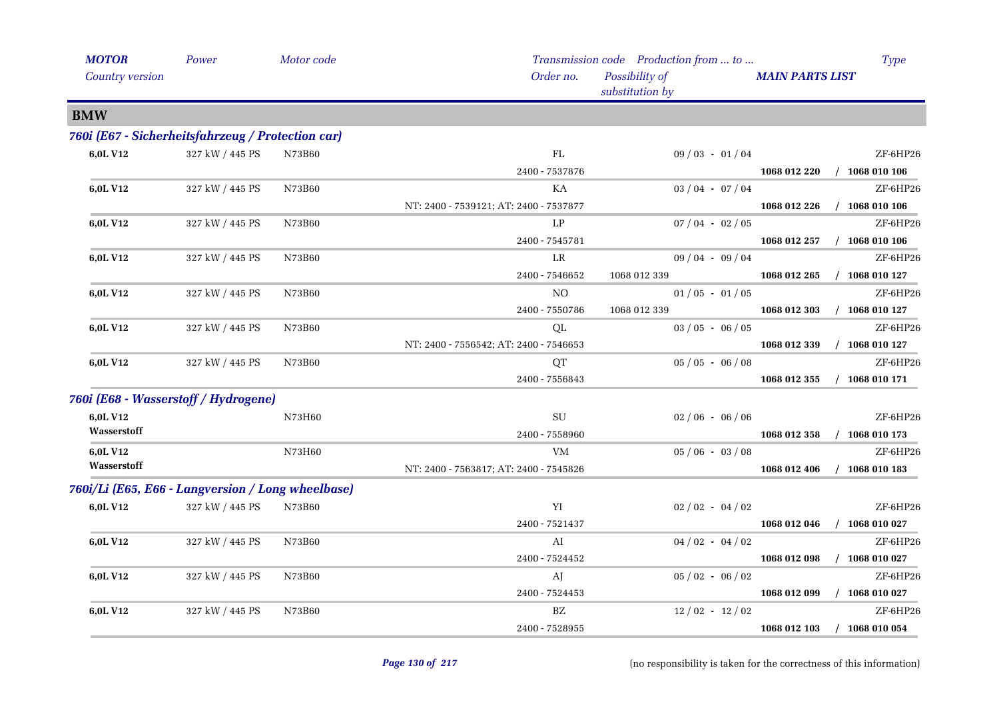| <b>MOTOR</b>                                      | Power           | Motor code |                                        | Transmission code Production from  to | <b>Type</b>                      |
|---------------------------------------------------|-----------------|------------|----------------------------------------|---------------------------------------|----------------------------------|
| Country version                                   |                 |            | Order no.                              | Possibility of<br>substitution by     | <b>MAIN PARTS LIST</b>           |
| <b>BMW</b>                                        |                 |            |                                        |                                       |                                  |
| 760i (E67 - Sicherheitsfahrzeug / Protection car) |                 |            |                                        |                                       |                                  |
| 6,0L V12                                          | 327 kW / 445 PS | N73B60     | FL                                     | $09/03 - 01/04$                       | ZF-6HP26                         |
|                                                   |                 |            | 2400 - 7537876                         |                                       | 1068 012 220<br>$/$ 1068 010 106 |
| 6,0L V12                                          | 327 kW / 445 PS | N73B60     | КA                                     | $03/04 - 07/04$                       | ZF-6HP26                         |
|                                                   |                 |            | NT: 2400 - 7539121; AT: 2400 - 7537877 |                                       | $/$ 1068 010 106<br>1068 012 226 |
| 6,0L V12                                          | 327 kW / 445 PS | N73B60     | LP                                     | $07/04 - 02/05$                       | ZF-6HP26                         |
|                                                   |                 |            | 2400 - 7545781                         |                                       | $/$ 1068 010 106<br>1068 012 257 |
| 6,0L V12                                          | 327 kW / 445 PS | N73B60     | LR                                     | $09/04 - 09/04$                       | ZF-6HP26                         |
|                                                   |                 |            | 2400 - 7546652                         | 1068 012 339                          | $/$ 1068 010 127<br>1068 012 265 |
| 6,0L V12                                          | 327 kW / 445 PS | N73B60     | NO.                                    | $01/05 - 01/05$                       | ZF-6HP26                         |
|                                                   |                 |            | 2400 - 7550786                         | 1068 012 339                          | 1068 012 303<br>$/$ 1068 010 127 |
| 6,0L V12                                          | 327 kW / 445 PS | N73B60     | QL                                     | $03/05 - 06/05$                       | ZF-6HP26                         |
|                                                   |                 |            | NT: 2400 - 7556542; AT: 2400 - 7546653 |                                       | 1068 012 339<br>$/$ 1068 010 127 |
| 6,0L V12                                          | 327 kW / 445 PS | N73B60     | <b>QT</b>                              | $05/05 - 06/08$                       | ZF-6HP26                         |
|                                                   |                 |            | 2400 - 7556843                         |                                       | 1068 012 355<br>$/$ 1068 010 171 |
| 760i (E68 - Wasserstoff / Hydrogene)              |                 |            |                                        |                                       |                                  |
| 6,0L V12                                          |                 | N73H60     | SU                                     | $02/06 - 06/06$                       | ZF-6HP26                         |
| Wasserstoff                                       |                 |            | 2400 - 7558960                         |                                       | 1068 010 173<br>1068 012 358     |
| 6,0L V12                                          |                 | N73H60     | VM                                     | $05/06 - 03/08$                       | ZF-6HP26                         |
| Wasserstoff                                       |                 |            | NT: 2400 - 7563817; AT: 2400 - 7545826 |                                       | $/$ 1068 010 183<br>1068 012 406 |
| 760i/Li (E65, E66 - Langversion / Long wheelbase) |                 |            |                                        |                                       |                                  |
| 6,0L V12                                          | 327 kW / 445 PS | N73B60     | YI                                     | $02/02 - 04/02$                       | ZF-6HP26                         |
|                                                   |                 |            | 2400 - 7521437                         |                                       | $/$ 1068 010 027<br>1068 012 046 |
| 6,0L V12                                          | 327 kW / 445 PS | N73B60     | AI                                     | $04/02 - 04/02$                       | ZF-6HP26                         |
|                                                   |                 |            | 2400 - 7524452                         |                                       | $/$ 1068 010 027<br>1068 012 098 |
| 6,0L V12                                          | 327 kW / 445 PS | N73B60     | AJ                                     | $05/02 - 06/02$                       | ZF-6HP26                         |
|                                                   |                 |            | 2400 - 7524453                         |                                       | 1068 012 099<br>$/$ 1068 010 027 |
| 6,0L V12                                          | 327 kW / 445 PS | N73B60     | BZ                                     | $12/02 - 12/02$                       | ZF-6HP26                         |
|                                                   |                 |            | 2400 - 7528955                         |                                       | 1068 012 103<br>$/$ 1068 010 054 |
|                                                   |                 |            |                                        |                                       |                                  |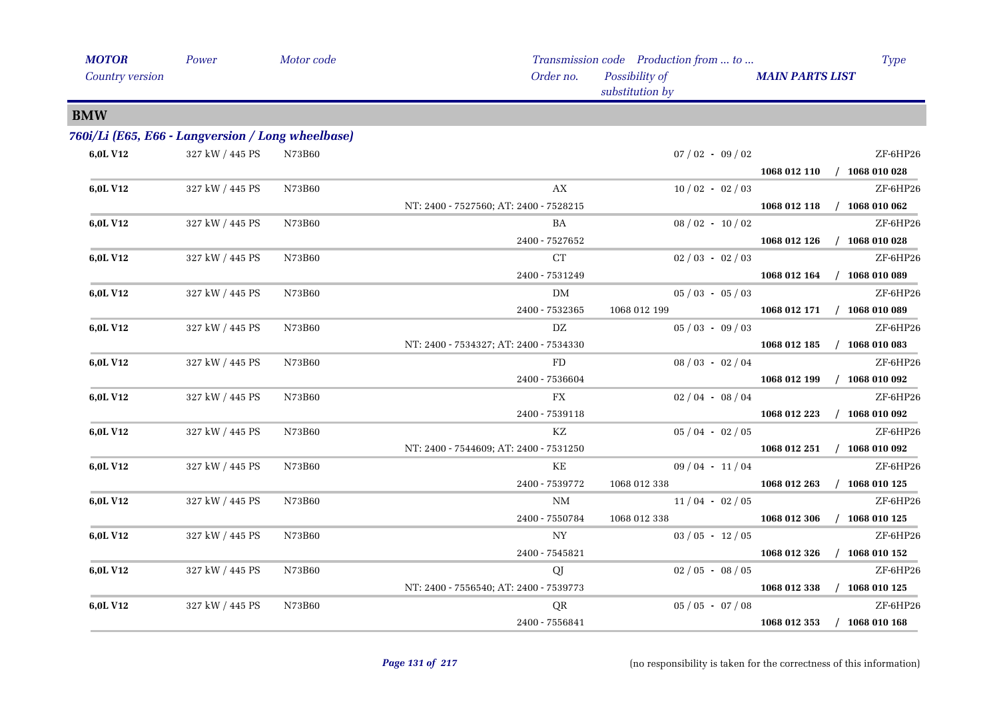| <b>MOTOR</b>    | Power                                             | Motor code |                                        | Transmission code Production from  to | <b>Type</b>                      |
|-----------------|---------------------------------------------------|------------|----------------------------------------|---------------------------------------|----------------------------------|
| Country version |                                                   |            | Order no.                              | Possibility of<br>substitution by     | <b>MAIN PARTS LIST</b>           |
| <b>BMW</b>      |                                                   |            |                                        |                                       |                                  |
|                 | 760i/Li (E65, E66 - Langversion / Long wheelbase) |            |                                        |                                       |                                  |
| 6,0L V12        | 327 kW / 445 PS                                   | N73B60     |                                        | $07/02 - 09/02$                       | ZF-6HP26                         |
|                 |                                                   |            |                                        |                                       | 1068 012 110 / 1068 010 028      |
| 6,0L V12        | 327 kW / 445 PS                                   | N73B60     | AX                                     | $10/02 - 02/03$                       | ZF-6HP26                         |
|                 |                                                   |            | NT: 2400 - 7527560; AT: 2400 - 7528215 |                                       | 1068 012 118 / 1068 010 062      |
| 6,0L V12        | 327 kW / 445 PS                                   | N73B60     | BA                                     | $08/02 - 10/02$                       | ZF-6HP26                         |
|                 |                                                   |            | 2400 - 7527652                         |                                       | $/$ 1068 010 028<br>1068 012 126 |
| 6,0L V12        | 327 kW / 445 PS                                   | N73B60     | ${\cal C}{\cal T}$                     | $02/03 - 02/03$                       | ZF-6HP26                         |
|                 |                                                   |            | 2400 - 7531249                         |                                       | 1068 012 164<br>$/$ 1068 010 089 |
| 6,0L V12        | 327 kW / 445 PS                                   | N73B60     | DM                                     | $05/03 - 05/03$                       | ZF-6HP26                         |
|                 |                                                   |            | 2400 - 7532365                         | 1068 012 199                          | 1068 012 171 / 1068 010 089      |
| 6,0L V12        | 327 kW / 445 PS                                   | N73B60     | $\mathbf{D}\mathbf{Z}$                 | $05/03 - 09/03$                       | ZF-6HP26                         |
|                 |                                                   |            | NT: 2400 - 7534327; AT: 2400 - 7534330 |                                       | $/$ 1068 010 083<br>1068 012 185 |
| 6,0L V12        | 327 kW / 445 PS                                   | N73B60     | FD                                     | $08/03 - 02/04$                       | ZF-6HP26                         |
|                 |                                                   |            | 2400 - 7536604                         |                                       | 1068 012 199<br>$/$ 1068 010 092 |
| 6,0L V12        | 327 kW / 445 PS                                   | N73B60     | FX                                     | $02/04 - 08/04$                       | ZF-6HP26                         |
|                 |                                                   |            | 2400 - 7539118                         |                                       | $/$ 1068 010 092<br>1068 012 223 |
| 6,0L V12        | 327 kW / 445 PS                                   | N73B60     | KZ                                     | $05/04 - 02/05$                       | ZF-6HP26                         |
|                 |                                                   |            | NT: 2400 - 7544609; AT: 2400 - 7531250 |                                       | $/$ 1068 010 092<br>1068 012 251 |
| 6,0L V12        | 327 kW / 445 PS                                   | N73B60     | KE                                     | $09/04 - 11/04$                       | ZF-6HP26                         |
|                 |                                                   |            | 2400 - 7539772                         | 1068 012 338                          | $/$ 1068 010 125<br>1068 012 263 |
| 6,0L V12        | 327 kW / 445 PS                                   | N73B60     | NΜ                                     | $11/04 - 02/05$                       | ZF-6HP26                         |
|                 |                                                   |            | 2400 - 7550784                         | 1068 012 338                          | 1068 012 306<br>$/$ 1068 010 125 |
| 6,0L V12        | 327 kW / 445 PS                                   | N73B60     | NY                                     | $03/05 - 12/05$                       | ZF-6HP26                         |
|                 |                                                   |            | 2400 - 7545821                         |                                       | 1068 012 326<br>$/$ 1068 010 152 |
| 6,0L V12        | 327 kW / 445 PS                                   | N73B60     | QJ                                     | $02/05 - 08/05$                       | ZF-6HP26                         |
|                 |                                                   |            | NT: 2400 - 7556540; AT: 2400 - 7539773 |                                       | $/$ 1068 010 125<br>1068 012 338 |
| 6,0L V12        | 327 kW / 445 PS                                   | N73B60     | QR                                     | $05 / 05 - 07 / 08$                   | ZF-6HP26                         |
|                 |                                                   |            | 2400 - 7556841                         |                                       | 1068 012 353<br>$/$ 1068 010 168 |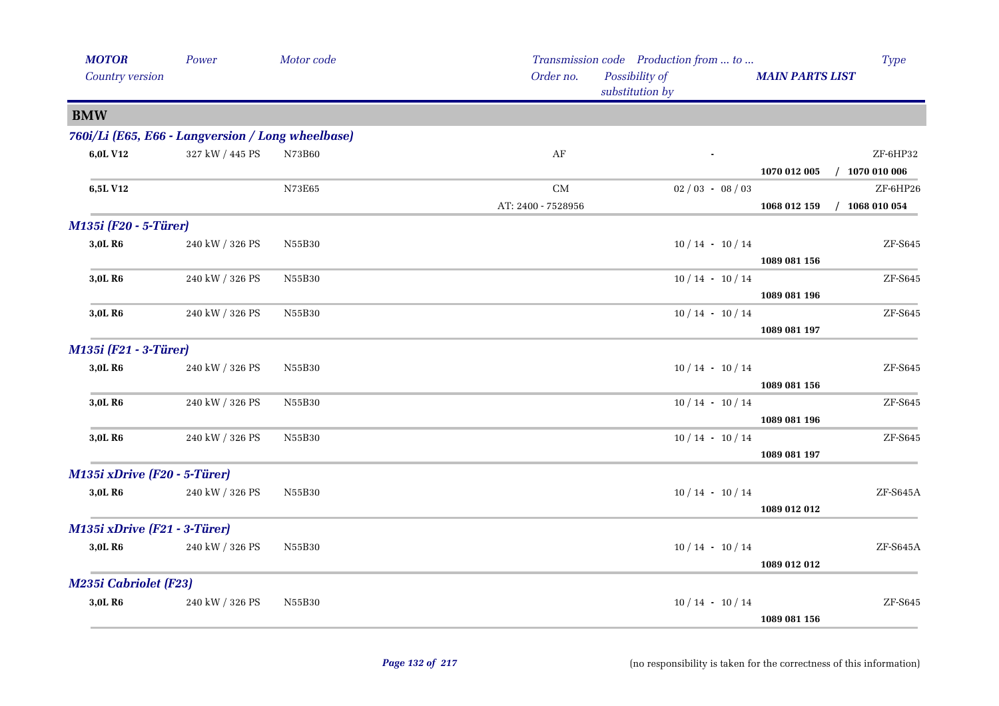| <b>MOTOR</b>                                      | Power           | Motor code |                    | Transmission code Production from  to |                        | <b>Type</b>                  |
|---------------------------------------------------|-----------------|------------|--------------------|---------------------------------------|------------------------|------------------------------|
| Country version                                   |                 |            | Order no.          | Possibility of<br>substitution by     | <b>MAIN PARTS LIST</b> |                              |
| <b>BMW</b>                                        |                 |            |                    |                                       |                        |                              |
| 760i/Li (E65, E66 - Langversion / Long wheelbase) |                 |            |                    |                                       |                        |                              |
| 6,0L V12                                          | 327 kW / 445 PS | N73B60     | $\rm AF$           |                                       |                        | ZF-6HP32                     |
|                                                   |                 |            |                    |                                       | 1070 012 005           | $/$ 1070 010 006             |
| 6,5L V12                                          |                 | N73E65     | $\rm CM$           | $02/03 - 08/03$                       |                        | ZF-6HP26                     |
|                                                   |                 |            | AT: 2400 - 7528956 |                                       | 1068 012 159           | $/$ 1068 010 054             |
| M135i (F20 - 5-Türer)                             |                 |            |                    |                                       |                        |                              |
| 3,0L R6                                           | 240 kW / 326 PS | N55B30     |                    | $10/14 - 10/14$                       |                        | ZF-S645                      |
|                                                   |                 |            |                    |                                       | 1089 081 156           |                              |
| 3,0L R6                                           | 240 kW / 326 PS | N55B30     |                    | $10/14 - 10/14$                       |                        | ZF-S645                      |
|                                                   |                 |            |                    |                                       | 1089 081 196           |                              |
| 3,0L R6                                           | 240 kW / 326 PS | N55B30     |                    | $10/14 - 10/14$                       |                        | $ZF-S645$                    |
|                                                   |                 |            |                    |                                       | 1089 081 197           |                              |
| M135i (F21 - 3-Türer)                             |                 |            |                    |                                       |                        |                              |
| 3,0L R6                                           | 240 kW / 326 PS | N55B30     |                    | $10/14 - 10/14$                       |                        | ${\rm ZF}\text{-}{\rm S645}$ |
|                                                   |                 |            |                    |                                       | 1089 081 156           |                              |
| 3,0L R6                                           | 240 kW / 326 PS | N55B30     |                    | $10/14 - 10/14$                       |                        | ZF-S645                      |
|                                                   |                 |            |                    |                                       | 1089 081 196           |                              |
| 3,0L R <sub>6</sub>                               | 240 kW / 326 PS | N55B30     |                    | $10/14 - 10/14$                       | 1089 081 197           | ZF-S645                      |
|                                                   |                 |            |                    |                                       |                        |                              |
| M135i xDrive (F20 - 5-Türer)                      |                 |            |                    |                                       |                        |                              |
| 3,0L R6                                           | 240 kW / 326 PS | N55B30     |                    | $10/14 - 10/14$                       | 1089 012 012           | $ZF- S645A$                  |
|                                                   |                 |            |                    |                                       |                        |                              |
| M135i xDrive (F21 - 3-Türer)                      |                 |            |                    |                                       |                        |                              |
| 3,0L R <sub>6</sub>                               | 240 kW / 326 PS | N55B30     |                    | $10/14 - 10/14$                       |                        | ZF-S645A                     |
|                                                   |                 |            |                    |                                       | 1089 012 012           |                              |
| <b>M235i Cabriolet (F23)</b>                      |                 |            |                    |                                       |                        |                              |
| 3,0L R6                                           | 240 kW / 326 PS | N55B30     |                    | $10/14 - 10/14$                       |                        | ZF-S645                      |
|                                                   |                 |            |                    |                                       | 1089 081 156           |                              |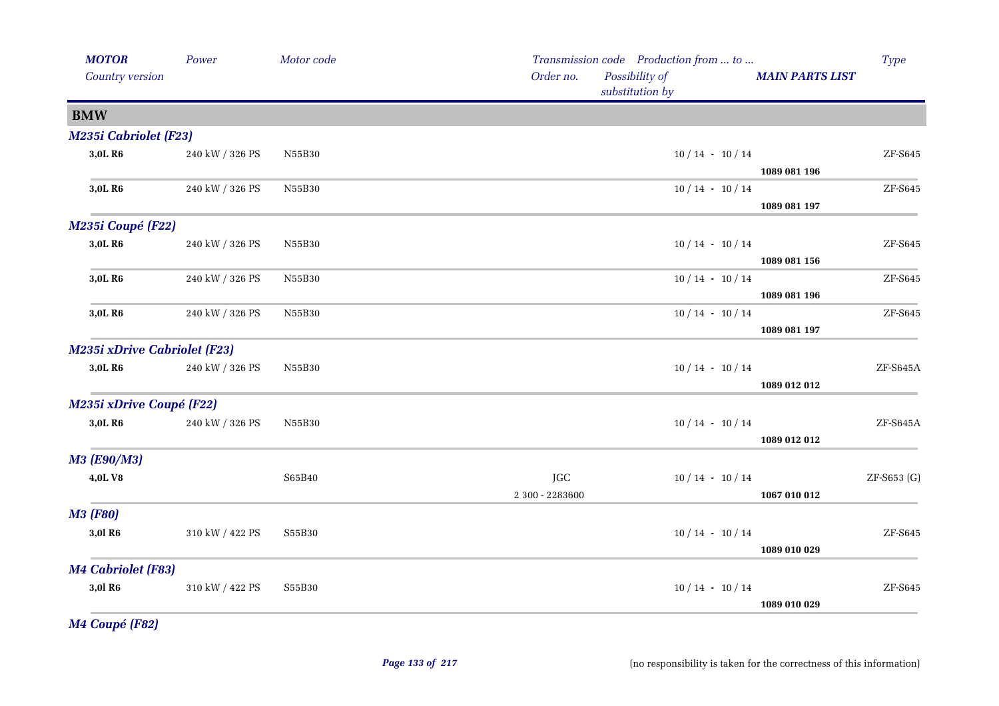| <b>MOTOR</b><br>Country version     | Power           | Motor code | Order no.       | Transmission code Production from  to<br>Possibility of<br>substitution by | <b>MAIN PARTS LIST</b> | <b>Type</b>                  |
|-------------------------------------|-----------------|------------|-----------------|----------------------------------------------------------------------------|------------------------|------------------------------|
| <b>BMW</b>                          |                 |            |                 |                                                                            |                        |                              |
| <b>M235i Cabriolet (F23)</b>        |                 |            |                 |                                                                            |                        |                              |
| 3,0L R6                             | 240 kW / 326 PS | N55B30     |                 | $10/14 - 10/14$                                                            |                        | ${\rm ZF}\text{-}{\rm S645}$ |
|                                     |                 |            |                 |                                                                            | 1089 081 196           |                              |
| 3,0L R6                             | 240 kW / 326 PS | N55B30     |                 | $10/14 - 10/14$                                                            |                        | ZF-S645                      |
|                                     |                 |            |                 |                                                                            | 1089 081 197           |                              |
| M235i Coupé (F22)                   |                 |            |                 |                                                                            |                        |                              |
| 3,0L R6                             | 240 kW / 326 PS | N55B30     |                 | $10/14 - 10/14$                                                            |                        | ${\rm ZF}\text{-}{\rm S645}$ |
|                                     |                 |            |                 |                                                                            | 1089 081 156           |                              |
| 3,0L R6                             | 240 kW / 326 PS | N55B30     |                 | $10/14 - 10/14$                                                            |                        | ZF-S645                      |
| 3,0L R6                             |                 |            |                 |                                                                            | 1089 081 196           | ZF-S645                      |
|                                     | 240 kW / 326 PS | N55B30     |                 | $10/14 - 10/14$                                                            | 1089 081 197           |                              |
| <b>M235i xDrive Cabriolet (F23)</b> |                 |            |                 |                                                                            |                        |                              |
| 3,0L R6                             | 240 kW / 326 PS | N55B30     |                 | $10/14 - 10/14$                                                            |                        | ZF-S645A                     |
|                                     |                 |            |                 |                                                                            | 1089 012 012           |                              |
| <b>M235i xDrive Coupé (F22)</b>     |                 |            |                 |                                                                            |                        |                              |
| 3,0L R6                             | 240 kW / 326 PS | N55B30     |                 | $10/14 - 10/14$                                                            |                        | ZF-S645A                     |
|                                     |                 |            |                 |                                                                            | 1089 012 012           |                              |
| <b>M3 (E90/M3)</b>                  |                 |            |                 |                                                                            |                        |                              |
| 4,0LV8                              |                 | S65B40     | JGC             | $10/14 - 10/14$                                                            |                        | ZF-S653 (G)                  |
|                                     |                 |            | 2 300 - 2283600 |                                                                            | 1067 010 012           |                              |
| <b>M3 (F80)</b>                     |                 |            |                 |                                                                            |                        |                              |
| 3,0l R <sub>6</sub>                 | 310 kW / 422 PS | S55B30     |                 | $10/14 - 10/14$                                                            |                        | ZF-S645                      |
|                                     |                 |            |                 |                                                                            | 1089 010 029           |                              |
| <b>M4 Cabriolet (F83)</b>           |                 |            |                 |                                                                            |                        |                              |
| 3,0l R <sub>6</sub>                 | 310 kW / 422 PS | S55B30     |                 | $10/14 - 10/14$                                                            |                        | ZF-S645                      |
|                                     |                 |            |                 |                                                                            | 1089 010 029           |                              |

*M4 Coupé (F82)*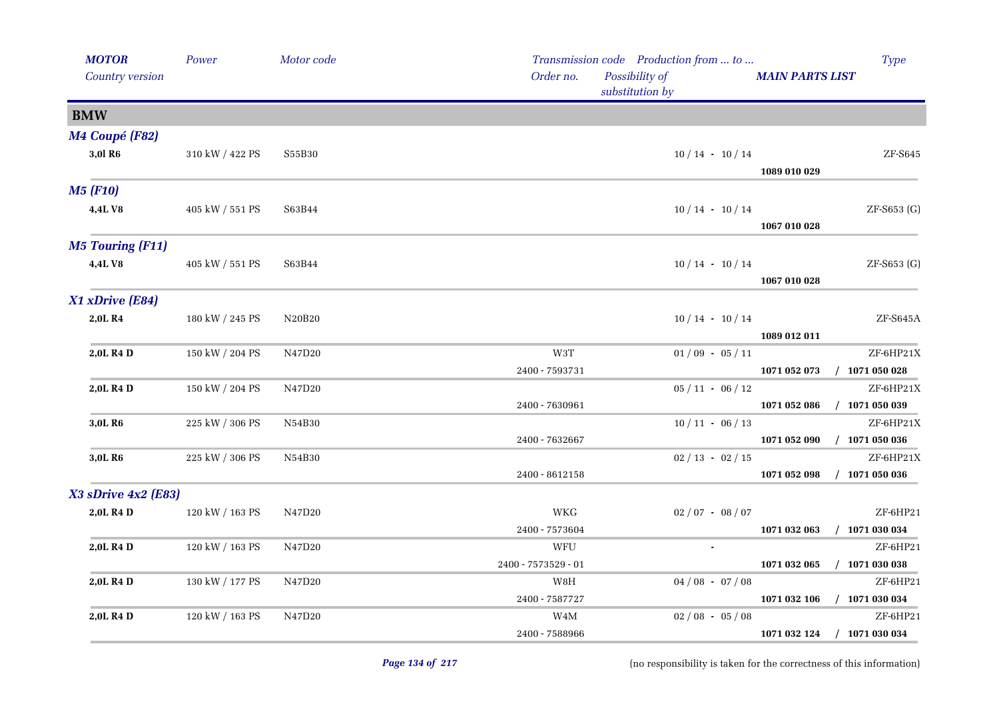|                 | <b>MOTOR</b><br>Country version | Power           | Motor code | Transmission code Production from  to<br>Order no.<br>Possibility of<br><b>MAIN PARTS LIST</b><br>substitution by | Type                         |
|-----------------|---------------------------------|-----------------|------------|-------------------------------------------------------------------------------------------------------------------|------------------------------|
| <b>BMW</b>      |                                 |                 |            |                                                                                                                   |                              |
|                 | M4 Coupé (F82)                  |                 |            |                                                                                                                   |                              |
|                 | 3,0l R <sub>6</sub>             | 310 kW / 422 PS | S55B30     | $10/14$ · $10/14$<br>1089 010 029                                                                                 | ZF-S645                      |
| <b>M5 (F10)</b> |                                 |                 |            |                                                                                                                   |                              |
|                 | 4,4LV8                          | 405 kW / 551 PS | S63B44     | $10/14 - 10/14$<br>1067 010 028                                                                                   | ZF-S653 (G)                  |
|                 | <b>M5 Touring (F11)</b>         |                 |            |                                                                                                                   |                              |
|                 | 4,4LV8                          | 405 kW / 551 PS | S63B44     | $10/14 - 10/14$<br>1067 010 028                                                                                   | ZF-S653 (G)                  |
|                 | X1 xDrive (E84)                 |                 |            |                                                                                                                   |                              |
|                 | 2,0L R4                         | 180 kW / 245 PS | N20B20     | $10/14 - 10/14$<br>1089 012 011                                                                                   | $\operatorname{ZF-S645A}$    |
|                 | 2,0L R4 D                       | 150 kW / 204 PS | N47D20     | W3T<br>$01/09 - 05/11$                                                                                            | ZF-6HP21X                    |
|                 |                                 |                 |            | 2400 - 7593731<br>1071 052 073                                                                                    | $/$ 1071 050 028             |
|                 | 2,0L R4 D                       | 150 kW / 204 PS | N47D20     | $05/11 - 06/12$                                                                                                   | ZF-6HP21X                    |
|                 |                                 |                 |            | 2400 - 7630961<br>1071 052 086                                                                                    | $/$ 1071 050 039             |
|                 | 3,0L R <sub>6</sub>             | 225 kW / 306 PS | N54B30     | $10/11 - 06/13$                                                                                                   | ZF-6HP21X                    |
|                 |                                 |                 |            | 2400 - 7632667<br>1071 052 090                                                                                    | $/$ 1071 050 036             |
|                 | 3,0L R <sub>6</sub>             | 225 kW / 306 PS | N54B30     | $02 / 13 - 02 / 15$                                                                                               | ZF-6HP21X                    |
|                 |                                 |                 |            | 2400 - 8612158<br>1071 052 098                                                                                    | $/$ 1071 050 036             |
|                 | $X3$ sDrive $4x2$ (E83)         |                 |            |                                                                                                                   |                              |
|                 | 2,0L R4 D                       | 120 kW / 163 PS | N47D20     | WKG<br>$02/07 - 08/07$                                                                                            | ZF-6HP21                     |
|                 | 2,0L R4 D                       |                 |            | 2400 - 7573604<br>1071 032 063<br>WFU<br>$\sim$                                                                   | $/$ 1071 030 034<br>ZF-6HP21 |
|                 |                                 | 120 kW / 163 PS | N47D20     | 2400 - 7573529 - 01<br>1071 032 065                                                                               | $/$ 1071 030 038             |
|                 | 2,0L R4 D                       | 130 kW / 177 PS | N47D20     | W8H<br>$04/08 - 07/08$                                                                                            | ZF-6HP21                     |
|                 |                                 |                 |            | 2400 - 7587727<br>1071 032 106                                                                                    | $/$ 1071 030 034             |
|                 | 2,0L R4 D                       | 120 kW / 163 PS | N47D20     | W4M<br>$02/08 - 05/08$                                                                                            | ZF-6HP21                     |
|                 |                                 |                 |            | 2400 - 7588966<br>1071 032 124                                                                                    | $/$ 1071 030 034             |
|                 |                                 |                 |            |                                                                                                                   |                              |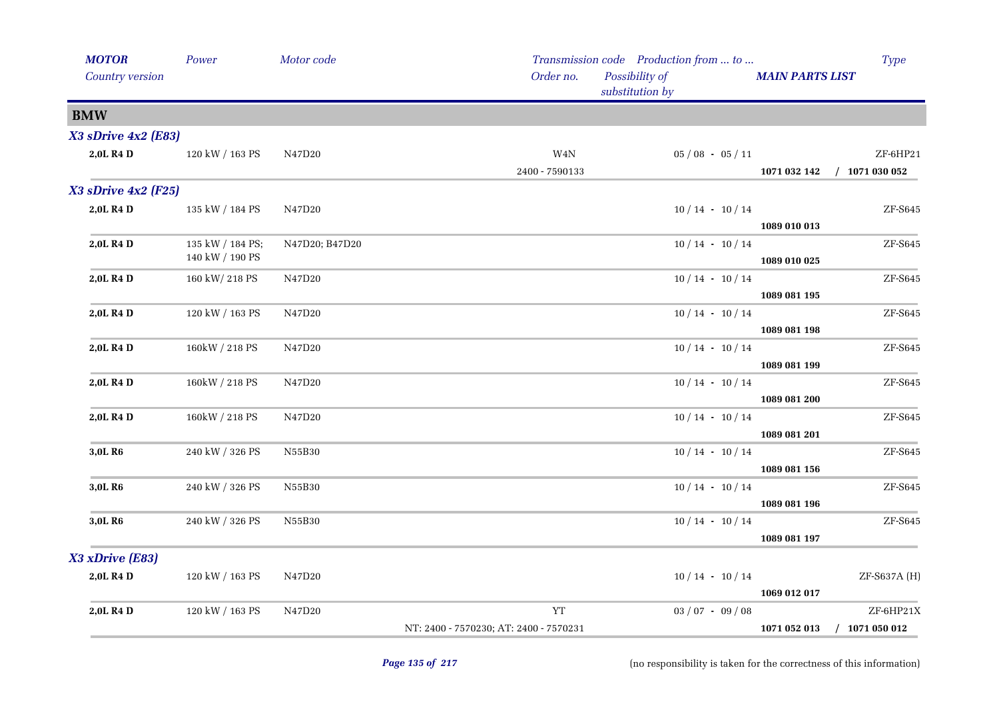|            | <b>MOTOR</b><br>Country version | Power            | Motor code     | Transmission code Production from  to<br>Order no.<br>Possibility of<br>substitution by | <b>MAIN PARTS LIST</b> | <b>Type</b>                  |
|------------|---------------------------------|------------------|----------------|-----------------------------------------------------------------------------------------|------------------------|------------------------------|
| <b>BMW</b> |                                 |                  |                |                                                                                         |                        |                              |
|            | X3 sDrive 4x2 (E83)             |                  |                |                                                                                         |                        |                              |
|            | 2,0L R4 D                       | 120 kW / 163 PS  | N47D20         | $\,$ W4N $\,$<br>$05/08 - 05/11$                                                        |                        | ZF-6HP21                     |
|            |                                 |                  |                | 2400 - 7590133                                                                          | 1071 032 142           | $/$ 1071 030 052             |
|            | $X3$ sDrive $4x2$ (F25)         |                  |                |                                                                                         |                        |                              |
|            | 2,0L R4 D                       | 135 kW / 184 PS  | N47D20         | $10/14 - 10/14$                                                                         |                        | ZF-S645                      |
|            |                                 |                  |                |                                                                                         | 1089 010 013           |                              |
|            | 2,0L R4 D                       | 135 kW / 184 PS; | N47D20; B47D20 | $10/14 - 10/14$                                                                         |                        | ZF-S645                      |
|            |                                 | 140 kW / 190 PS  |                |                                                                                         | 1089 010 025           |                              |
|            | 2,0L R4 D                       | 160 kW/ 218 PS   | N47D20         | $10/14 - 10/14$                                                                         |                        | ZF-S645                      |
|            |                                 |                  |                |                                                                                         | 1089 081 195           |                              |
|            | 2,0L R4 D                       | 120 kW / 163 PS  | N47D20         | $10/14 - 10/14$                                                                         |                        | $ZF-$ S645                   |
|            | 2,0L R4 D                       |                  | N47D20         | $10/14$ · $10/14$                                                                       | 1089 081 198           | $ZF-5645$                    |
|            |                                 | 160kW / 218 PS   |                |                                                                                         | 1089 081 199           |                              |
|            | 2,0L R4 D                       | 160kW / 218 PS   | N47D20         | $10/14 - 10/14$                                                                         |                        | ZF-S645                      |
|            |                                 |                  |                |                                                                                         | 1089 081 200           |                              |
|            | 2,0L R4 D                       | 160kW / 218 PS   | N47D20         | $10/14 - 10/14$                                                                         |                        | ZF-S645                      |
|            |                                 |                  |                |                                                                                         | 1089 081 201           |                              |
|            | 3,0L R6                         | 240 kW / 326 PS  | N55B30         | $10/14 - 10/14$                                                                         |                        | ZF-S645                      |
|            |                                 |                  |                |                                                                                         | 1089 081 156           |                              |
|            | 3,0L R6                         | 240 kW / 326 PS  | N55B30         | $10/14 - 10/14$                                                                         |                        | ${\rm ZF}\text{-}{\rm S645}$ |
|            |                                 |                  |                |                                                                                         | 1089 081 196           |                              |
|            | 3,0L R <sub>6</sub>             | 240 kW / 326 PS  | N55B30         | $10/14 - 10/14$                                                                         |                        | ZF-S645                      |
|            |                                 |                  |                |                                                                                         | 1089 081 197           |                              |
|            | X3 xDrive (E83)                 |                  |                |                                                                                         |                        |                              |
|            | 2,0L R4 D                       | 120 kW / 163 PS  | N47D20         | $10/14 - 10/14$                                                                         |                        | ZF-S637A (H)                 |
|            |                                 |                  |                |                                                                                         | 1069 012 017           |                              |
|            | 2,0L R4 D                       | 120 kW / 163 PS  | N47D20         | YT<br>$03 / 07 - 09 / 08$                                                               |                        | ZF-6HP21X                    |
|            |                                 |                  |                | NT: 2400 - 7570230; AT: 2400 - 7570231                                                  | 1071 052 013           | $/$ 1071 050 012             |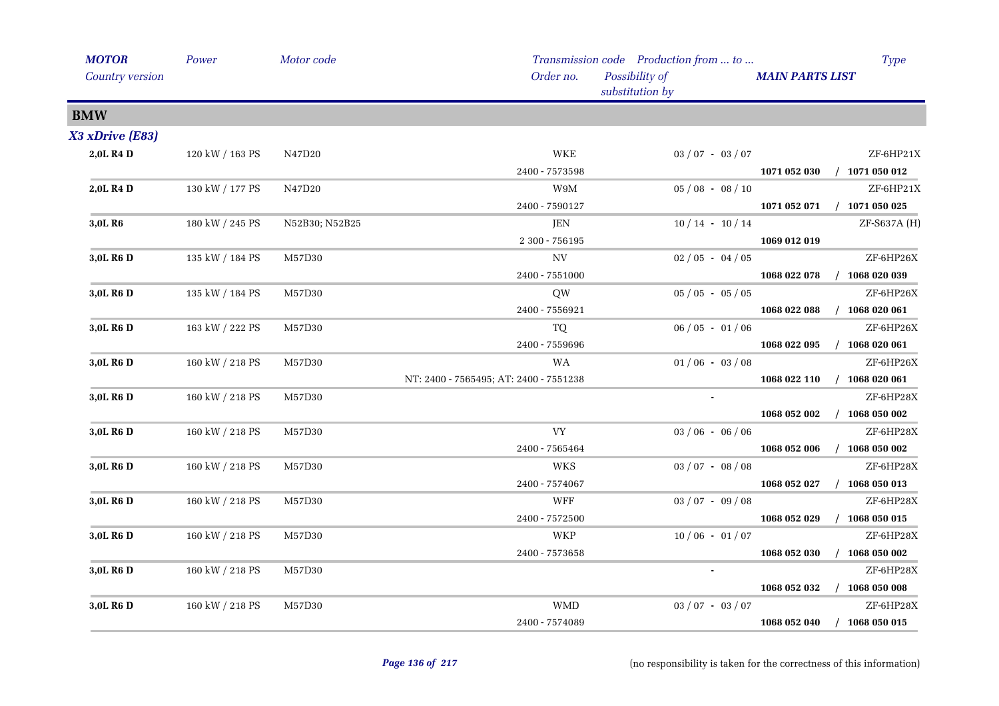| <b>MOTOR</b>          | Power           | Motor code     |                                        | Transmission code Production from  to |                        | Type                        |
|-----------------------|-----------------|----------------|----------------------------------------|---------------------------------------|------------------------|-----------------------------|
| Country version       |                 |                | Order no.                              | Possibility of<br>substitution by     | <b>MAIN PARTS LIST</b> |                             |
| <b>BMW</b>            |                 |                |                                        |                                       |                        |                             |
| X3 xDrive (E83)       |                 |                |                                        |                                       |                        |                             |
| 2,0L R4 D             | 120 kW / 163 PS | N47D20         | <b>WKE</b>                             | $03 / 07 - 03 / 07$                   |                        | ZF-6HP21X                   |
|                       |                 |                | 2400 - 7573598                         |                                       |                        | 1071 052 030 / 1071 050 012 |
| 2,0L R4 D             | 130 kW / 177 PS | N47D20         | W9M                                    | $05/08 - 08/10$                       |                        | ZF-6HP21X                   |
|                       |                 |                | 2400 - 7590127                         |                                       |                        | 1071 052 071 / 1071 050 025 |
| 3,0L R <sub>6</sub>   | 180 kW / 245 PS | N52B30; N52B25 | JEN                                    | $10/14 - 10/14$                       |                        | ZF-S637A (H)                |
|                       |                 |                | $2300 - 756195$                        |                                       | 1069 012 019           |                             |
| 3,0L R6 D             | 135 kW / 184 PS | M57D30         | $_{\mathrm{NV}}$                       | $02/05 - 04/05$                       |                        | ZF-6HP26X                   |
|                       |                 |                | 2400 - 7551000                         |                                       | 1068 022 078           | $/$ 1068 020 039            |
| 3,0L R6 D             | 135 kW / 184 PS | M57D30         | QW                                     | $05/05 - 05/05$                       |                        | ZF-6HP26X                   |
|                       |                 |                | 2400 - 7556921                         |                                       | 1068 022 088           | $/$ 1068 020 061            |
| 3,0L R <sub>6</sub> D | 163 kW / 222 PS | M57D30         | TQ                                     | $06/05 - 01/06$                       |                        | ZF-6HP26X                   |
|                       |                 |                | 2400 - 7559696                         |                                       | 1068 022 095           | $/$ 1068 020 061            |
| 3,0L R <sub>6</sub> D | 160 kW / 218 PS | M57D30         | WA                                     | $01/06 - 03/08$                       |                        | ZF-6HP26X                   |
|                       |                 |                | NT: 2400 - 7565495; AT: 2400 - 7551238 |                                       | 1068 022 110           | $/$ 1068 020 061            |
| 3,0L R6 D             | 160 kW / 218 PS | M57D30         |                                        | $\mathbf{r}$                          |                        | ZF-6HP28X                   |
|                       |                 |                |                                        |                                       | 1068 052 002           | $/$ 1068 050 002            |
| 3,0L R6 D             | 160 kW / 218 PS | M57D30         | <b>VY</b>                              | $03/06 - 06/06$                       |                        | ZF-6HP28X                   |
|                       |                 |                | 2400 - 7565464                         |                                       | 1068 052 006           | $/$ 1068 050 002            |
| 3,0L R <sub>6</sub> D | 160 kW / 218 PS | M57D30         | WKS                                    | $03 / 07 - 08 / 08$                   |                        | ZF-6HP28X                   |
|                       |                 |                | 2400 - 7574067                         |                                       | 1068 052 027           | $/$ 1068 050 013            |
| 3,0L R <sub>6</sub> D | 160 kW / 218 PS | M57D30         | WFF                                    | $03 / 07 - 09 / 08$                   |                        | ZF-6HP28X                   |
|                       |                 |                | $2400 - 7572500$                       |                                       | 1068 052 029           | $/$ 1068 050 015            |
| 3,0L R <sub>6</sub> D | 160 kW / 218 PS | M57D30         | WKP                                    | $10/06 - 01/07$                       |                        | ZF-6HP28X                   |
|                       |                 |                | 2400 - 7573658                         |                                       | 1068 052 030           | $/$ 1068 050 002            |
| 3,0L R <sub>6</sub> D | 160 kW / 218 PS | M57D30         |                                        |                                       |                        | ZF-6HP28X                   |
|                       |                 |                |                                        |                                       | 1068 052 032           | $/$ 1068 050 008            |
| 3,0L R6 D             | 160 kW / 218 PS | M57D30         | <b>WMD</b>                             | $03 / 07 - 03 / 07$                   |                        | ZF-6HP28X                   |
|                       |                 |                | 2400 - 7574089                         |                                       |                        | 1068 052 040 / 1068 050 015 |
|                       |                 |                |                                        |                                       |                        |                             |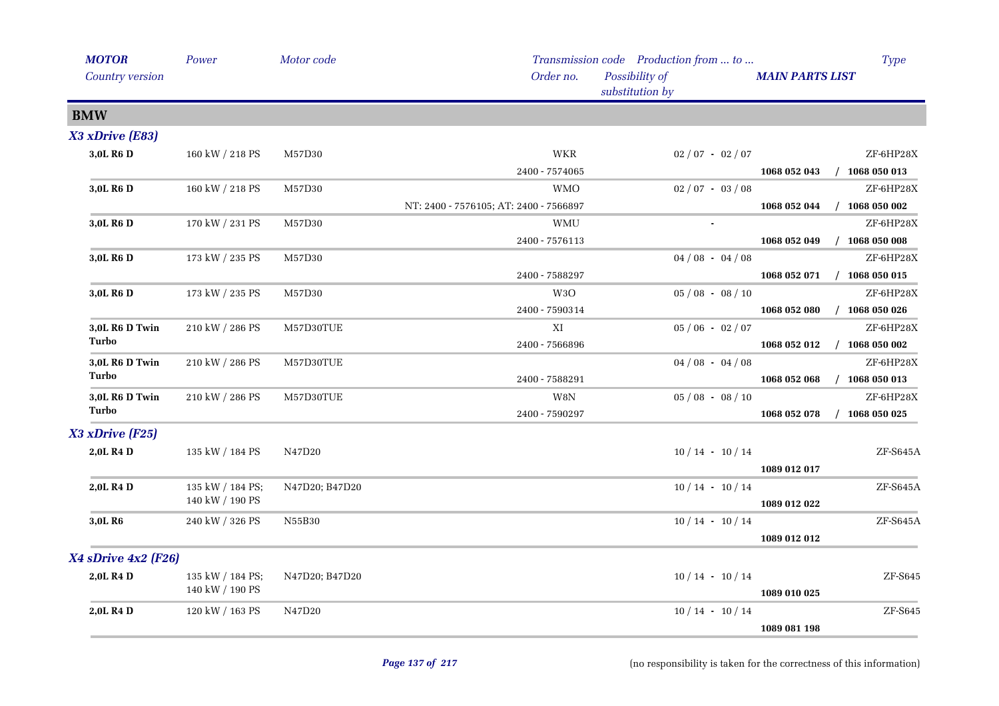| <b>MOTOR</b>          | Power            | Motor code     |                                        | Transmission code Production from  to |                        | <b>Type</b>      |
|-----------------------|------------------|----------------|----------------------------------------|---------------------------------------|------------------------|------------------|
| Country version       |                  |                | Order no.                              | Possibility of<br>substitution by     | <b>MAIN PARTS LIST</b> |                  |
| <b>BMW</b>            |                  |                |                                        |                                       |                        |                  |
| X3 xDrive (E83)       |                  |                |                                        |                                       |                        |                  |
| 3,0L R <sub>6</sub> D | 160 kW / 218 PS  | M57D30         | <b>WKR</b>                             | $02/07 - 02/07$                       |                        | ZF-6HP28X        |
|                       |                  |                | 2400 - 7574065                         |                                       | 1068 052 043           | $/$ 1068 050 013 |
| 3,0L R <sub>6</sub> D | 160 kW / 218 PS  | M57D30         | <b>WMO</b>                             | $02/07 - 03/08$                       |                        | ZF-6HP28X        |
|                       |                  |                | NT: 2400 - 7576105; AT: 2400 - 7566897 |                                       | 1068 052 044           | $/$ 1068 050 002 |
| 3,0L R <sub>6</sub> D | 170 kW / 231 PS  | M57D30         | <b>WMU</b>                             |                                       |                        | ZF-6HP28X        |
|                       |                  |                | 2400 - 7576113                         |                                       | 1068 052 049           | $/$ 1068 050 008 |
| 3,0L R6 D             | 173 kW / 235 PS  | M57D30         |                                        | $04/08 - 04/08$                       |                        | ZF-6HP28X        |
|                       |                  |                | 2400 - 7588297                         |                                       | 1068 052 071           | $/$ 1068 050 015 |
| 3,0L R <sub>6</sub> D | 173 kW / 235 PS  | M57D30         | W <sub>3</sub> O                       | $05/08 - 08/10$                       |                        | ZF-6HP28X        |
|                       |                  |                | 2400 - 7590314                         |                                       | 1068 052 080           | $/$ 1068 050 026 |
| 3,0L R6 D Twin        | 210 kW / 286 PS  | M57D30TUE      | XI                                     | $05/06 - 02/07$                       |                        | ZF-6HP28X        |
| Turbo                 |                  |                | 2400 - 7566896                         |                                       | 1068 052 012           | $/$ 1068 050 002 |
| 3,0L R6 D Twin        | 210 kW / 286 PS  | M57D30TUE      |                                        | $04/08 - 04/08$                       |                        | ZF-6HP28X        |
| Turbo                 |                  |                | 2400 - 7588291                         |                                       | 1068 052 068           | $/$ 1068 050 013 |
| 3,0L R6 D Twin        | 210 kW / 286 PS  | M57D30TUE      | W8N                                    | $05/08 - 08/10$                       |                        | ZF-6HP28X        |
| Turbo                 |                  |                | 2400 - 7590297                         |                                       | 1068 052 078           | $/$ 1068 050 025 |
| X3 xDrive (F25)       |                  |                |                                        |                                       |                        |                  |
| 2,0L R4 D             | 135 kW / 184 PS  | N47D20         |                                        | $10/14 - 10/14$                       |                        | ZF-S645A         |
|                       |                  |                |                                        |                                       | 1089 012 017           |                  |
| 2,0L R4 D             | 135 kW / 184 PS; | N47D20; B47D20 |                                        | $10/14 - 10/14$                       |                        | $ZF-S645A$       |
|                       | 140 kW / 190 PS  |                |                                        |                                       | 1089 012 022           |                  |
| 3,0L R <sub>6</sub>   | 240 kW / 326 PS  | N55B30         |                                        | $10/14 - 10/14$                       |                        | ZF-S645A         |
|                       |                  |                |                                        |                                       | 1089 012 012           |                  |
| X4 sDrive 4x2 (F26)   |                  |                |                                        |                                       |                        |                  |
| 2,0L R4 D             | 135 kW / 184 PS; | N47D20; B47D20 |                                        | $10/14 - 10/14$                       |                        | $ZF-$ S645       |
|                       | 140 kW / 190 PS  |                |                                        |                                       | 1089 010 025           |                  |
| 2,0L R4 D             | 120 kW / 163 PS  | N47D20         |                                        | $10/14 - 10/14$                       |                        | ZF-S645          |
|                       |                  |                |                                        |                                       | 1089 081 198           |                  |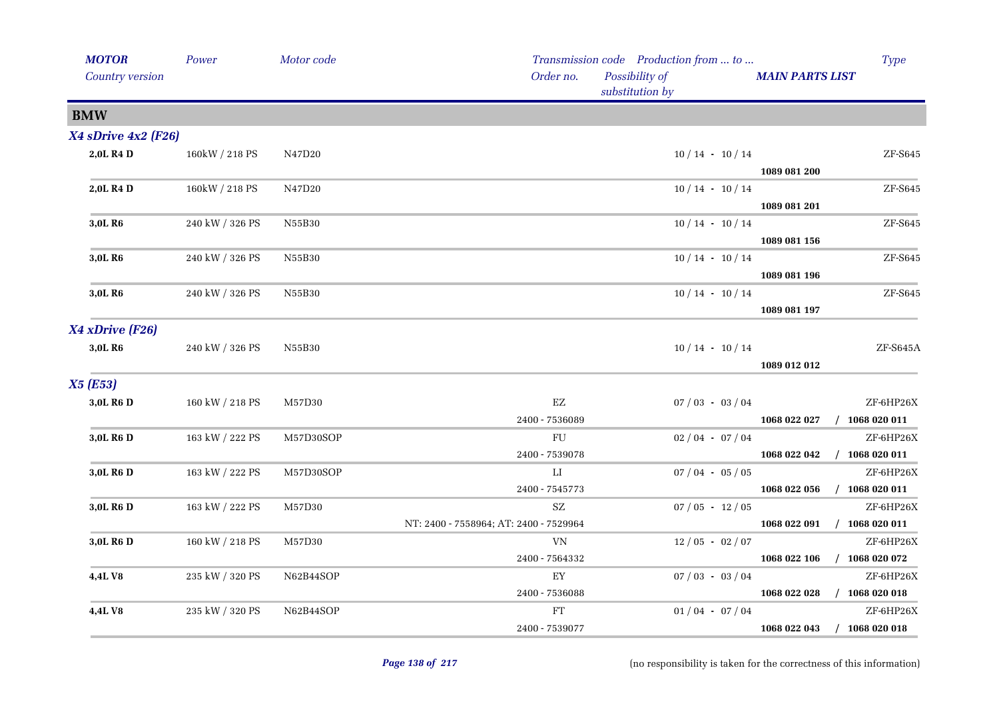| <b>MOTOR</b><br>Country version | Power                 | Motor code | Transmission code Production from  to<br>Order no.<br>Possibility of<br><b>MAIN PARTS LIST</b><br>substitution by | <b>Type</b>                   |
|---------------------------------|-----------------------|------------|-------------------------------------------------------------------------------------------------------------------|-------------------------------|
| <b>BMW</b>                      |                       |            |                                                                                                                   |                               |
| X4 sDrive 4x2 (F26)             |                       |            |                                                                                                                   |                               |
| 2,0L R4 D                       | 160kW / 218 PS        | N47D20     | $10/14 - 10/14$<br>1089 081 200                                                                                   | ZF-S645                       |
| 2,0L R4 D                       | 160kW / 218 PS        | N47D20     | $10/14 - 10/14$<br>1089 081 201                                                                                   | $ZF-$ S645                    |
| 3,0L R <sub>6</sub>             | 240 kW / 326 PS       | N55B30     | $10/14 - 10/14$<br>1089 081 156                                                                                   | ZF-S645                       |
| 3,0L R <sub>6</sub>             | 240 kW / 326 PS       | N55B30     | $10/14 - 10/14$<br>1089 081 196                                                                                   | ZF-S645                       |
| 3,0L R6                         | 240 kW / 326 PS       | N55B30     | $10/14 - 10/14$<br>1089 081 197                                                                                   | ZF-S645                       |
| X4 xDrive (F26)                 |                       |            |                                                                                                                   |                               |
| 3,0L R6                         | $240$ kW $\!/$ 326 PS | N55B30     | $10/14 - 10/14$<br>1089 012 012                                                                                   | ZF-S645A                      |
| <b>X5 (E53)</b>                 |                       |            |                                                                                                                   |                               |
| 3,0L R6 D                       | 160 kW / 218 PS       | M57D30     | $\mathop{\rm EZ}$<br>$07/03 - 03/04$<br>2400 - 7536089<br>1068 022 027                                            | ZF-6HP26X<br>$/$ 1068 020 011 |
| 3,0L R <sub>6</sub> D           | 163 kW / 222 PS       | M57D30SOP  | ${\rm FU}$<br>$02/04 - 07/04$                                                                                     | ZF-6HP26X                     |
|                                 |                       |            | 2400 - 7539078<br>1068 022 042                                                                                    | $/$ 1068 020 011              |
| 3,0L R6 D                       | 163 kW / 222 PS       | M57D30SOP  | $\rm LI$<br>$07/04 - 05/05$                                                                                       | ZF-6HP26X                     |
|                                 |                       |            | 2400 - 7545773<br>1068 022 056<br>$\mathbf{SZ}$                                                                   | $/$ 1068 020 011<br>ZF-6HP26X |
| 3,0L R6 D                       | 163 kW / 222 PS       | M57D30     | $07/05 - 12/05$<br>NT: 2400 - 7558964; AT: 2400 - 7529964<br>1068 022 091                                         | $/$ 1068 020 011              |
| 3,0L R <sub>6</sub> D           | 160 kW / 218 PS       | M57D30     | VN<br>$12/05 - 02/07$                                                                                             | ZF-6HP26X                     |
|                                 |                       |            | 1068 022 106<br>2400 - 7564332                                                                                    | $/$ 1068 020 072              |
| 4,4LV8                          | 235 kW / 320 PS       | N62B44SOP  | ${\rm EY}$<br>$07/03 - 03/04$                                                                                     | ZF-6HP26X                     |
|                                 |                       |            | 2400 - 7536088<br>1068 022 028                                                                                    | $/$ 1068 020 018              |
| 4,4LV8                          | 235 kW / 320 PS       | N62B44SOP  | FT<br>$01/04 - 07/04$                                                                                             | ZF-6HP26X                     |
|                                 |                       |            | 2400 - 7539077<br>1068 022 043                                                                                    | $/$ 1068 020 018              |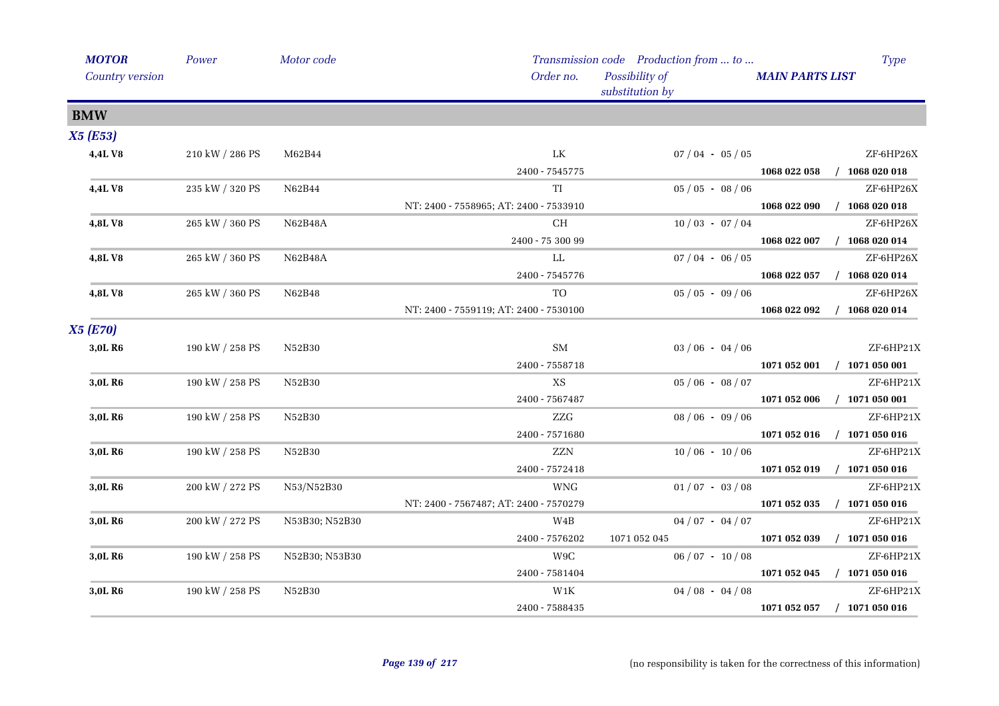| <b>MOTOR</b>        | Power           | Motor code     |                                        | Transmission code Production from  to | Type                             |
|---------------------|-----------------|----------------|----------------------------------------|---------------------------------------|----------------------------------|
| Country version     |                 |                | Order no.                              | Possibility of<br>substitution by     | <b>MAIN PARTS LIST</b>           |
| <b>BMW</b>          |                 |                |                                        |                                       |                                  |
| <b>X5 (E53)</b>     |                 |                |                                        |                                       |                                  |
| 4,4LV8              | 210 kW / 286 PS | M62B44         | LK                                     | $07/04 - 05/05$                       | ZF-6HP26X                        |
|                     |                 |                | 2400 - 7545775                         |                                       | $/$ 1068 020 018<br>1068 022 058 |
| 4,4LV8              | 235 kW / 320 PS | N62B44         | TI                                     | $05/05 - 08/06$                       | ZF-6HP26X                        |
|                     |                 |                | NT: 2400 - 7558965; AT: 2400 - 7533910 |                                       | $/$ 1068 020 018<br>1068 022 090 |
| 4,8LV8              | 265 kW / 360 PS | N62B48A        | CH                                     | $10/03 - 07/04$                       | ZF-6HP26X                        |
|                     |                 |                | 2400 - 75 300 99                       |                                       | 1068 022 007<br>$/$ 1068 020 014 |
| 4,8LV8              | 265 kW / 360 PS | N62B48A        | LL                                     | $07/04 - 06/05$                       | ZF-6HP26X                        |
|                     |                 |                | 2400 - 7545776                         |                                       | $/$ 1068 020 014<br>1068 022 057 |
| 4,8LV8              | 265 kW / 360 PS | N62B48         | TO                                     | $05 / 05 - 09 / 06$                   | ZF-6HP26X                        |
|                     |                 |                | NT: 2400 - 7559119; AT: 2400 - 7530100 |                                       | $/$ 1068 020 014<br>1068 022 092 |
| <b>X5 (E70)</b>     |                 |                |                                        |                                       |                                  |
| 3,0L R6             | 190 kW / 258 PS | N52B30         | <b>SM</b>                              | $03/06 - 04/06$                       | ZF-6HP21X                        |
|                     |                 |                | 2400 - 7558718                         |                                       | $/$ 1071 050 001<br>1071 052 001 |
| 3,0L R6             | 190 kW / 258 PS | N52B30         | $\mathbf{X}\mathbf{S}$                 | $05/06 - 08/07$                       | ZF-6HP21X                        |
|                     |                 |                | 2400 - 7567487                         |                                       | $/$ 1071 050 001<br>1071 052 006 |
| 3,0L R <sub>6</sub> | 190 kW / 258 PS | N52B30         | ZZG                                    | $08/06 - 09/06$                       | ZF-6HP21X                        |
|                     |                 |                | 2400 - 7571680                         |                                       | $/$ 1071 050 016<br>1071 052 016 |
| 3,0L R6             | 190 kW / 258 PS | N52B30         | ZZN                                    | $10/06 - 10/06$                       | ZF-6HP21X                        |
|                     |                 |                | 2400 - 7572418                         |                                       | 1071 052 019<br>$/$ 1071 050 016 |
| 3,0L R6             | 200 kW / 272 PS | N53/N52B30     | <b>WNG</b>                             | $01/07 - 03/08$                       | ZF-6HP21X                        |
|                     |                 |                | NT: 2400 - 7567487; AT: 2400 - 7570279 |                                       | 1071 052 035<br>$/$ 1071 050 016 |
| 3,0L R6             | 200 kW / 272 PS | N53B30; N52B30 | W4B                                    | $04/07 - 04/07$                       | ZF-6HP21X                        |
|                     |                 |                | 2400 - 7576202                         | 1071 052 045                          | $/$ 1071 050 016<br>1071 052 039 |
| 3,0L R6             | 190 kW / 258 PS | N52B30; N53B30 | W9C                                    | $06/07 - 10/08$                       | ZF-6HP21X                        |
|                     |                 |                | 2400 - 7581404                         |                                       | $/$ 1071 050 016<br>1071 052 045 |
| 3,0L R6             | 190 kW / 258 PS | N52B30         | $\ensuremath{\text{W1K}}\xspace$       | $04/08 - 04/08$                       | ZF-6HP21X                        |
|                     |                 |                | 2400 - 7588435                         |                                       | 1071 052 057<br>$/$ 1071 050 016 |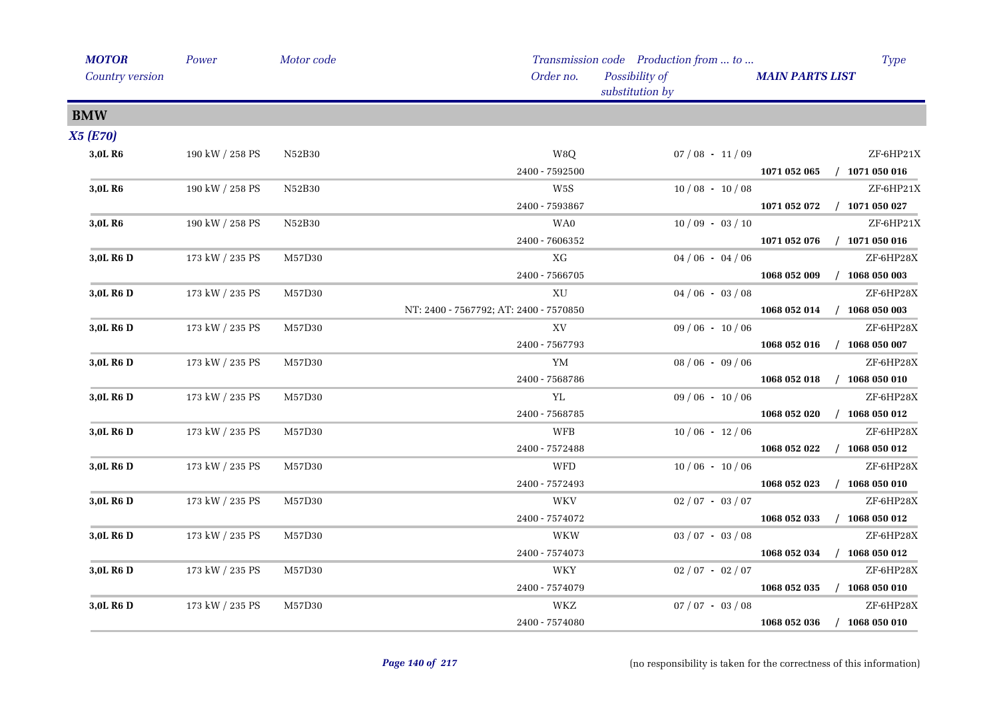| <b>MOTOR</b>          | Power                 | Motor code |                                        | Transmission code Production from  to |                        | <b>Type</b>                 |
|-----------------------|-----------------------|------------|----------------------------------------|---------------------------------------|------------------------|-----------------------------|
| Country version       |                       |            | Order no.                              | Possibility of<br>substitution by     | <b>MAIN PARTS LIST</b> |                             |
| <b>BMW</b>            |                       |            |                                        |                                       |                        |                             |
| <b>X5 (E70)</b>       |                       |            |                                        |                                       |                        |                             |
| 3,0L R6               | 190 kW / 258 PS       | N52B30     | W8Q                                    | $07/08 - 11/09$                       |                        | ZF-6HP21X                   |
|                       |                       |            | 2400 - 7592500                         |                                       |                        | 1071 052 065 / 1071 050 016 |
| 3,0L R <sub>6</sub>   | $190$ kW $\!/$ 258 PS | N52B30     | W5S                                    | $10/08 - 10/08$                       |                        | ZF-6HP21X                   |
|                       |                       |            | 2400 - 7593867                         |                                       |                        | 1071 052 072 / 1071 050 027 |
| 3,0L R <sub>6</sub>   | 190 kW / 258 PS       | N52B30     | WA0                                    | $10/09 - 03/10$                       |                        | ZF-6HP21X                   |
|                       |                       |            | 2400 - 7606352                         |                                       | 1071 052 076           | $/$ 1071 050 016            |
| 3,0L R <sub>6</sub> D | 173 kW / 235 PS       | M57D30     | XG                                     | $04/06 - 04/06$                       |                        | ZF-6HP28X                   |
|                       |                       |            | 2400 - 7566705                         |                                       | 1068 052 009           | $/$ 1068 050 003            |
| 3,0L R <sub>6</sub> D | 173 kW / 235 PS       | M57D30     | XU                                     | $04/06 - 03/08$                       |                        | ZF-6HP28X                   |
|                       |                       |            | NT: 2400 - 7567792; AT: 2400 - 7570850 |                                       |                        | 1068 052 014 / 1068 050 003 |
| 3,0L R <sub>6</sub> D | 173 kW / 235 PS       | M57D30     | XV                                     | $09/06 - 10/06$                       |                        | ZF-6HP28X                   |
|                       |                       |            | 2400 - 7567793                         |                                       |                        | 1068 052 016 / 1068 050 007 |
| 3,0L R <sub>6</sub> D | 173 kW / 235 PS       | M57D30     | YM                                     | $08/06 - 09/06$                       |                        | ZF-6HP28X                   |
|                       |                       |            | 2400 - 7568786                         |                                       |                        | 1068 052 018 / 1068 050 010 |
| 3,0L R <sub>6</sub> D | 173 kW / 235 PS       | M57D30     | YL                                     | $09/06 - 10/06$                       |                        | ZF-6HP28X                   |
|                       |                       |            | 2400 - 7568785                         |                                       | 1068 052 020           | $/$ 1068 050 012            |
| 3,0L R <sub>6</sub> D | 173 kW / 235 PS       | M57D30     | <b>WFB</b>                             | $10/06 - 12/06$                       |                        | ZF-6HP28X                   |
|                       |                       |            | 2400 - 7572488                         |                                       | 1068 052 022           | $/$ 1068 050 012            |
| 3,0L R6 D             | 173 kW / 235 PS       | M57D30     | WFD                                    | $10/06 - 10/06$                       |                        | ZF-6HP28X                   |
|                       |                       |            | 2400 - 7572493                         |                                       | 1068 052 023           | $/$ 1068 050 010            |
| 3,0L R <sub>6</sub> D | 173 kW / 235 PS       | M57D30     | <b>WKV</b>                             | $02/07 - 03/07$                       |                        | ZF-6HP28X                   |
|                       |                       |            | 2400 - 7574072                         |                                       | 1068 052 033           | $/$ 1068 050 012            |
| 3.0L R <sub>6</sub> D | 173 kW / 235 PS       | M57D30     | WKW                                    | $03 / 07 - 03 / 08$                   |                        | ZF-6HP28X                   |
|                       |                       |            | 2400 - 7574073                         |                                       |                        | 1068 052 034 / 1068 050 012 |
| 3,0L R <sub>6</sub> D | 173 kW / 235 PS       | M57D30     | WKY                                    | $02/07 - 02/07$                       |                        | ZF-6HP28X                   |
|                       |                       |            | 2400 - 7574079                         |                                       |                        | 1068 052 035 / 1068 050 010 |
| 3,0L R <sub>6</sub> D | 173 kW / 235 PS       | M57D30     | WKZ                                    | $07 / 07 - 03 / 08$                   |                        | ZF-6HP28X                   |
|                       |                       |            | 2400 - 7574080                         |                                       |                        | 1068 052 036 / 1068 050 010 |
|                       |                       |            |                                        |                                       |                        |                             |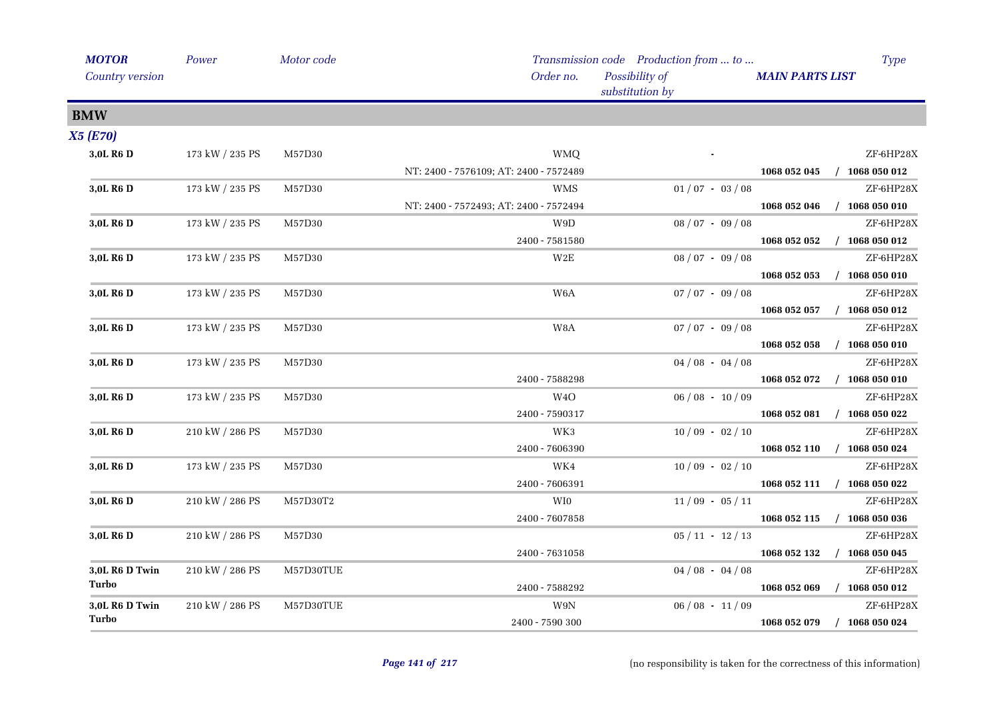| <b>MOTOR</b>          | Power                 | Motor code |                                        | Transmission code Production from  to |                        | <b>Type</b>      |
|-----------------------|-----------------------|------------|----------------------------------------|---------------------------------------|------------------------|------------------|
| Country version       |                       |            | Order no.                              | Possibility of<br>substitution by     | <b>MAIN PARTS LIST</b> |                  |
| <b>BMW</b>            |                       |            |                                        |                                       |                        |                  |
| <b>X5 (E70)</b>       |                       |            |                                        |                                       |                        |                  |
| 3,0L R <sub>6</sub> D | 173 kW / 235 PS       | M57D30     | <b>WMQ</b>                             |                                       |                        | ZF-6HP28X        |
|                       |                       |            | NT: 2400 - 7576109; AT: 2400 - 7572489 |                                       | 1068 052 045           | $/$ 1068 050 012 |
| 3,0L R6 D             | 173 kW / 235 PS       | M57D30     | <b>WMS</b>                             | $01/07 - 03/08$                       |                        | ZF-6HP28X        |
|                       |                       |            | NT: 2400 - 7572493; AT: 2400 - 7572494 |                                       | 1068 052 046           | $/$ 1068 050 010 |
| 3,0L R <sub>6</sub> D | 173 kW / 235 PS       | M57D30     | W9D                                    | $08/07 - 09/08$                       |                        | ZF-6HP28X        |
|                       |                       |            | 2400 - 7581580                         |                                       | 1068 052 052           | $/$ 1068 050 012 |
| 3,0L R6 D             | $173$ kW $\!/$ 235 PS | M57D30     | $_{\rm W2E}$                           | $08 / 07 - 09 / 08$                   |                        | ZF-6HP28X        |
|                       |                       |            |                                        |                                       | 1068 052 053           | $/$ 1068 050 010 |
| 3,0L R6 D             | 173 kW / 235 PS       | M57D30     | W <sub>6</sub> A                       | $07/07 - 09/08$                       |                        | ZF-6HP28X        |
|                       |                       |            |                                        |                                       | 1068 052 057           | $/$ 1068 050 012 |
| 3,0L R6 D             | 173 kW / 235 PS       | M57D30     | $_{\rm W8A}$                           | $07/07 - 09/08$                       |                        | ZF-6HP28X        |
|                       |                       |            |                                        |                                       | 1068 052 058           | $/$ 1068 050 010 |
| 3,0L R6 D             | 173 kW / 235 PS       | M57D30     |                                        | $04/08 - 04/08$                       |                        | ZF-6HP28X        |
|                       |                       |            | 2400 - 7588298                         |                                       | 1068 052 072           | $/$ 1068 050 010 |
| 3,0L R6 D             | 173 kW / 235 PS       | M57D30     | W <sub>4</sub> O                       | $06/08 - 10/09$                       |                        | ZF-6HP28X        |
|                       |                       |            | 2400 - 7590317                         |                                       | 1068 052 081           | $/$ 1068 050 022 |
| 3,0L R <sub>6</sub> D | 210 kW / 286 PS       | M57D30     | WK3                                    | $10/09 - 02/10$                       |                        | ZF-6HP28X        |
|                       |                       |            | 2400 - 7606390                         |                                       | 1068 052 110           | $/$ 1068 050 024 |
| 3,0L R6 D             | 173 kW / 235 PS       | M57D30     | WK4                                    | $10/09 - 02/10$                       |                        | ZF-6HP28X        |
|                       |                       |            | 2400 - 7606391                         |                                       | 1068 052 111           | $/$ 1068 050 022 |
| 3,0L R6 D             | 210 kW / 286 PS       | M57D30T2   | WI0                                    | $11/09 - 05/11$                       |                        | ZF-6HP28X        |
|                       |                       |            | 2400 - 7607858                         |                                       | 1068 052 115           | $/$ 1068 050 036 |
| 3,0L R <sub>6</sub> D | 210 kW / 286 PS       | M57D30     |                                        | $05/11 - 12/13$                       |                        | ZF-6HP28X        |
|                       |                       |            | 2400 - 7631058                         |                                       | 1068 052 132           | $/$ 1068 050 045 |
| 3,0L R6 D Twin        | 210 kW / 286 PS       | M57D30TUE  |                                        | $04/08 - 04/08$                       |                        | ZF-6HP28X        |
| Turbo                 |                       |            | 2400 - 7588292                         |                                       | 1068 052 069           | $/$ 1068 050 012 |
| 3,0L R6 D Twin        | 210 kW / 286 PS       | M57D30TUE  | W9N                                    | $06/08 - 11/09$                       |                        | ZF-6HP28X        |
| Turbo                 |                       |            | 2400 - 7590 300                        |                                       | 1068 052 079           | $/$ 1068 050 024 |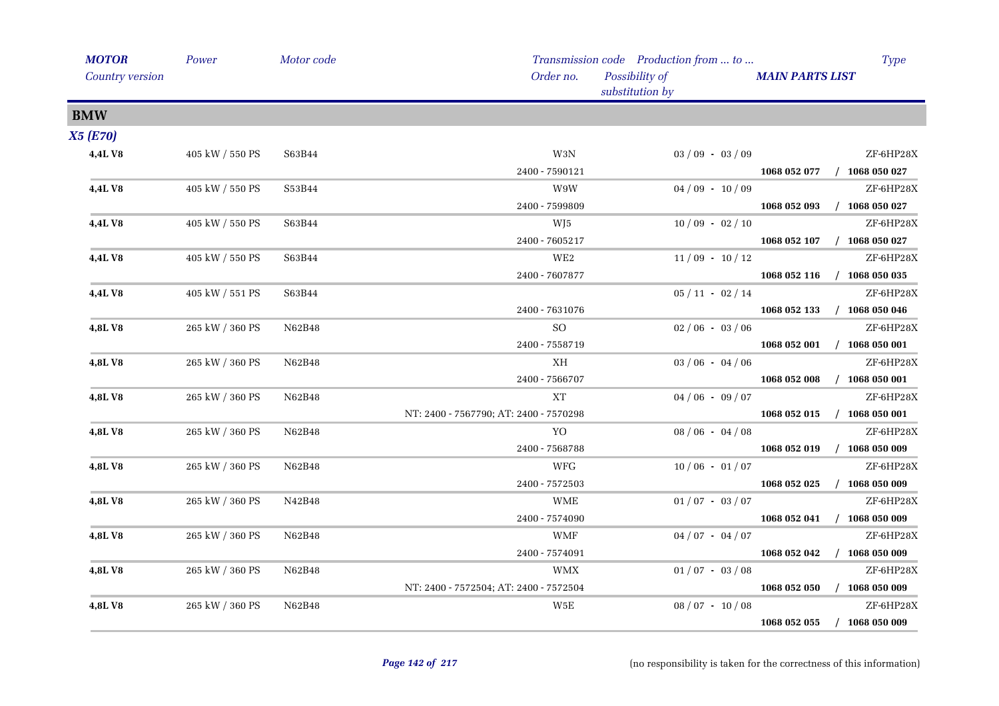| <b>MOTOR</b>    | Power           | Motor code |                                        | Transmission code Production from  to | <b>Type</b>                      |
|-----------------|-----------------|------------|----------------------------------------|---------------------------------------|----------------------------------|
| Country version |                 |            | Order no.                              | Possibility of<br>substitution by     | <b>MAIN PARTS LIST</b>           |
| <b>BMW</b>      |                 |            |                                        |                                       |                                  |
| <b>X5 (E70)</b> |                 |            |                                        |                                       |                                  |
| 4,4L V8         | 405 kW / 550 PS | S63B44     | $\rm W3N$                              | $03/09 - 03/09$                       | ZF-6HP28X                        |
|                 |                 |            | 2400 - 7590121                         |                                       | 1068 052 077 / 1068 050 027      |
| <b>4,4LV8</b>   | 405 kW / 550 PS | S53B44     | W9W                                    | $04/09 - 10/09$                       | ZF-6HP28X                        |
|                 |                 |            | 2400 - 7599809                         |                                       | $/$ 1068 050 027<br>1068 052 093 |
| <b>4,4LV8</b>   | 405 kW / 550 PS | S63B44     | WJ5                                    | $10/09 - 02/10$                       | ZF-6HP28X                        |
|                 |                 |            | 2400 - 7605217                         |                                       | $/$ 1068 050 027<br>1068 052 107 |
| <b>4,4L V8</b>  | 405 kW / 550 PS | S63B44     | $\rm{WE}2$                             | $11/09 - 10/12$                       | ZF-6HP28X                        |
|                 |                 |            | 2400 - 7607877                         |                                       | 1068 052 116<br>$/$ 1068 050 035 |
| 4,4L V8         | 405 kW / 551 PS | S63B44     |                                        | $05/11 - 02/14$                       | ZF-6HP28X                        |
|                 |                 |            | 2400 - 7631076                         |                                       | 1068 052 133<br>$/$ 1068 050 046 |
| 4,8LV8          | 265 kW / 360 PS | N62B48     | $\rm SO$                               | $02/06 - 03/06$                       | ZF-6HP28X                        |
|                 |                 |            | 2400 - 7558719                         |                                       | 1068 052 001 / 1068 050 001      |
| 4,8LV8          | 265 kW / 360 PS | N62B48     | ΧH                                     | $03/06 - 04/06$                       | ZF-6HP28X                        |
|                 |                 |            | 2400 - 7566707                         |                                       | 1068 052 008<br>$/$ 1068 050 001 |
| 4,8LV8          | 265 kW / 360 PS | N62B48     | XT                                     | $04/06 - 09/07$                       | ZF-6HP28X                        |
|                 |                 |            | NT: 2400 - 7567790; AT: 2400 - 7570298 |                                       | 1068 052 015<br>$/$ 1068 050 001 |
| 4,8LV8          | 265 kW / 360 PS | N62B48     | YO                                     | $08/06 - 04/08$                       | ZF-6HP28X                        |
|                 |                 |            | 2400 - 7568788                         |                                       | 1068 052 019 / 1068 050 009      |
| 4,8LV8          | 265 kW / 360 PS | N62B48     | WFG                                    | $10/06 - 01/07$                       | ZF-6HP28X                        |
|                 |                 |            | 2400 - 7572503                         |                                       | $/$ 1068 050 009<br>1068 052 025 |
| 4,8LV8          | 265 kW / 360 PS | N42B48     | <b>WME</b>                             | $01/07 - 03/07$                       | ZF-6HP28X                        |
|                 |                 |            | 2400 - 7574090                         |                                       | 1068 052 041 / 1068 050 009      |
| 4,8LV8          | 265 kW / 360 PS | N62B48     | WMF                                    | $04/07 - 04/07$                       | ZF-6HP28X                        |
|                 |                 |            | 2400 - 7574091                         |                                       | $/$ 1068 050 009<br>1068 052 042 |
| 4,8LV8          | 265 kW / 360 PS | N62B48     | WMX                                    | $01/07 - 03/08$                       | ZF-6HP28X                        |
|                 |                 |            | NT: 2400 - 7572504; AT: 2400 - 7572504 |                                       | $/$ 1068 050 009<br>1068 052 050 |
| 4,8LV8          | 265 kW / 360 PS | N62B48     | W5E                                    | $08/07 - 10/08$                       | ZF-6HP28X                        |
|                 |                 |            |                                        |                                       | $/$ 1068 050 009<br>1068 052 055 |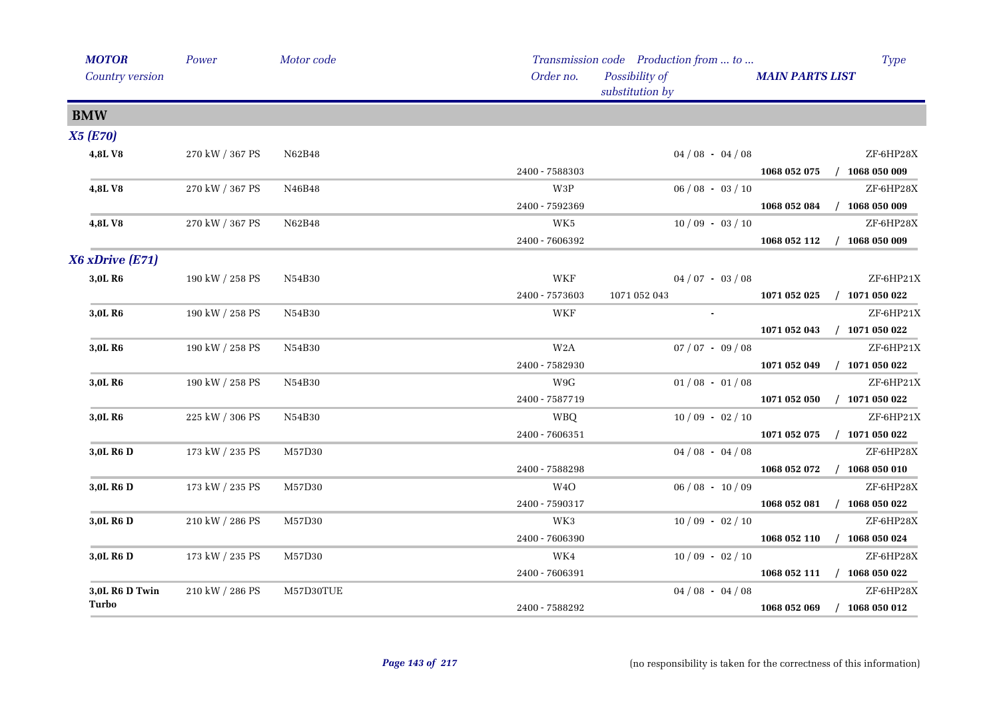| <b>MOTOR</b>          | Power           | Motor code |                  | Transmission code Production from  to | <b>Type</b>                      |
|-----------------------|-----------------|------------|------------------|---------------------------------------|----------------------------------|
| Country version       |                 |            | Order no.        | Possibility of<br>substitution by     | <b>MAIN PARTS LIST</b>           |
| <b>BMW</b>            |                 |            |                  |                                       |                                  |
| <b>X5 (E70)</b>       |                 |            |                  |                                       |                                  |
| 4,8LV8                | 270 kW / 367 PS | N62B48     |                  | $04/08 - 04/08$                       | ZF-6HP28X                        |
|                       |                 |            | 2400 - 7588303   |                                       | 1068 052 075 / 1068 050 009      |
| 4,8LV8                | 270 kW / 367 PS | N46B48     | W3P              | $06/08 - 03/10$                       | ZF-6HP28X                        |
|                       |                 |            | 2400 - 7592369   |                                       | 1068 052 084<br>$/$ 1068 050 009 |
| 4,8LV8                | 270 kW / 367 PS | N62B48     | WK5              | $10/09 - 03/10$                       | ZF-6HP28X                        |
|                       |                 |            | 2400 - 7606392   |                                       | 1068 052 112 / 1068 050 009      |
| X6 xDrive (E71)       |                 |            |                  |                                       |                                  |
| 3,0L R <sub>6</sub>   | 190 kW / 258 PS | N54B30     | WKF              | $04/07 - 03/08$                       | ZF-6HP21X                        |
|                       |                 |            | 2400 - 7573603   | 1071 052 043                          | $/$ 1071 050 022<br>1071 052 025 |
| 3,0L R6               | 190 kW / 258 PS | N54B30     | WKF              | $\sim$                                | ZF-6HP21X                        |
|                       |                 |            |                  |                                       | 1071 052 043<br>$/$ 1071 050 022 |
| 3,0L R <sub>6</sub>   | 190 kW / 258 PS | N54B30     | W <sub>2</sub> A | $07 / 07 - 09 / 08$                   | ZF-6HP21X                        |
|                       |                 |            | 2400 - 7582930   |                                       | 1071 052 049 / 1071 050 022      |
| 3,0L R6               | 190 kW / 258 PS | N54B30     | W9G              | $01/08 - 01/08$                       | ZF-6HP21X                        |
|                       |                 |            | 2400 - 7587719   |                                       | 1071 052 050 / 1071 050 022      |
| 3,0L R6               | 225 kW / 306 PS | N54B30     | <b>WBQ</b>       | $10/09 - 02/10$                       | ZF-6HP21X                        |
|                       |                 |            | 2400 - 7606351   |                                       | $/$ 1071 050 022<br>1071 052 075 |
| 3,0L R6 D             | 173 kW / 235 PS | M57D30     |                  | $04/08 - 04/08$                       | ZF-6HP28X                        |
|                       |                 |            | 2400 - 7588298   |                                       | $/$ 1068 050 010<br>1068 052 072 |
| 3,0L R6 D             | 173 kW / 235 PS | M57D30     | W4O              | $06/08 - 10/09$                       | ZF-6HP28X                        |
|                       |                 |            | 2400 - 7590317   |                                       | 1068 052 081 / 1068 050 022      |
| 3,0L R <sub>6</sub> D | 210 kW / 286 PS | M57D30     | WK3              | $10/09 - 02/10$                       | ZF-6HP28X                        |
|                       |                 |            | 2400 - 7606390   |                                       | 1068 052 110 / 1068 050 024      |
| 3,0L R6 D             | 173 kW / 235 PS | M57D30     | WK4              | $10/09 - 02/10$                       | ZF-6HP28X                        |
|                       |                 |            | 2400 - 7606391   |                                       | 1068 052 111 / 1068 050 022      |
| 3,0L R6 D Twin        | 210 kW / 286 PS | M57D30TUE  |                  | $04/08 - 04/08$                       | ZF-6HP28X                        |
| Turbo                 |                 |            | 2400 - 7588292   |                                       | 1068 052 069<br>$/$ 1068 050 012 |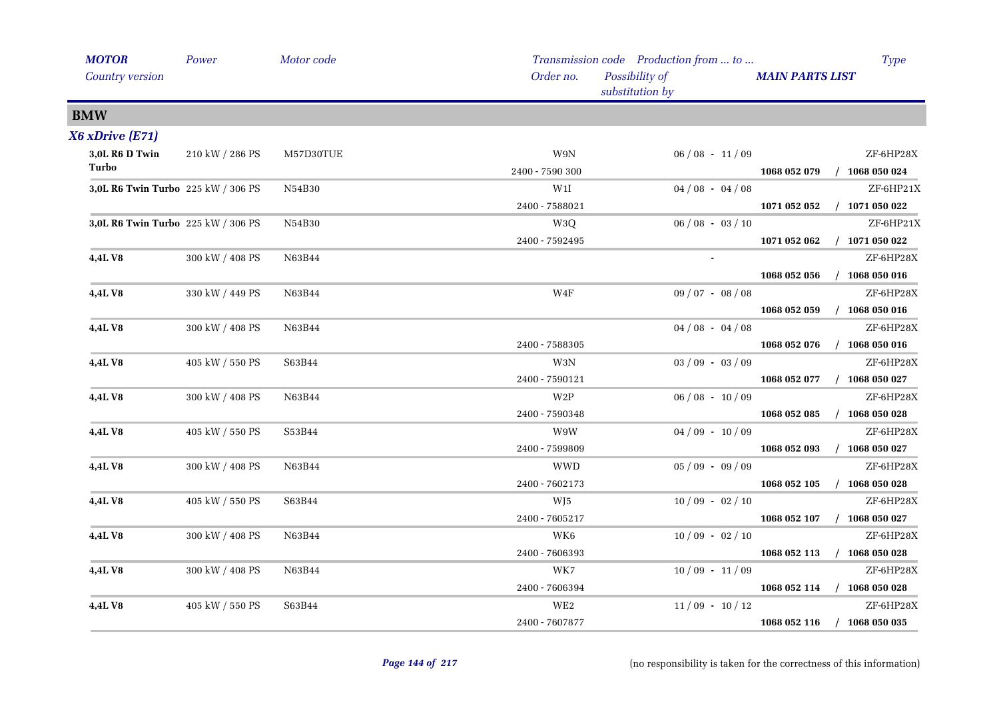| <b>MOTOR</b>                       | Power           | Motor code |                 | Transmission code Production from  to |                        | <b>Type</b>                 |
|------------------------------------|-----------------|------------|-----------------|---------------------------------------|------------------------|-----------------------------|
| Country version                    |                 |            | Order no.       | Possibility of<br>substitution by     | <b>MAIN PARTS LIST</b> |                             |
| <b>BMW</b>                         |                 |            |                 |                                       |                        |                             |
| $X6$ xDrive $(E71)$                |                 |            |                 |                                       |                        |                             |
| 3,0L R6 D Twin                     | 210 kW / 286 PS | M57D30TUE  | $W9N$           | $06/08 - 11/09$                       |                        | ZF-6HP28X                   |
| Turbo                              |                 |            | 2400 - 7590 300 |                                       |                        | 1068 052 079 / 1068 050 024 |
| 3,0L R6 Twin Turbo 225 kW / 306 PS |                 | N54B30     | W1I             | $04/08 - 04/08$                       |                        | ZF-6HP21X                   |
|                                    |                 |            | 2400 - 7588021  |                                       |                        | 1071 052 052 / 1071 050 022 |
| 3,0L R6 Twin Turbo 225 kW / 306 PS |                 | N54B30     | W3Q             | $06/08 - 03/10$                       |                        | ZF-6HP21X                   |
|                                    |                 |            | 2400 - 7592495  |                                       | 1071 052 062           | $/$ 1071 050 022            |
| 4,4L V8                            | 300 kW / 408 PS | N63B44     |                 | $\sim$                                |                        | ZF-6HP28X                   |
|                                    |                 |            |                 |                                       | 1068 052 056           | $/$ 1068 050 016            |
| <b>4,4LV8</b>                      | 330 kW / 449 PS | N63B44     | W4F             | $09/07 - 08/08$                       |                        | ZF-6HP28X                   |
|                                    |                 |            |                 |                                       |                        | 1068 052 059 / 1068 050 016 |
| 4,4LV8                             | 300 kW / 408 PS | N63B44     |                 | $04/08 - 04/08$                       |                        | ZF-6HP28X                   |
|                                    |                 |            | 2400 - 7588305  |                                       |                        | 1068 052 076 / 1068 050 016 |
| <b>4,4L V8</b>                     | 405 kW / 550 PS | S63B44     | W3N             | $03/09 - 03/09$                       |                        | ZF-6HP28X                   |
|                                    |                 |            | 2400 - 7590121  |                                       |                        | 1068 052 077 / 1068 050 027 |
| 4,4LV8                             | 300 kW / 408 PS | N63B44     | W2P             | $06/08 - 10/09$                       |                        | ZF-6HP28X                   |
|                                    |                 |            | 2400 - 7590348  |                                       | 1068 052 085           | $/$ 1068 050 028            |
| <b>4,4L V8</b>                     | 405 kW / 550 PS | S53B44     | W9W             | $04/09 - 10/09$                       |                        | ZF-6HP28X                   |
|                                    |                 |            | 2400 - 7599809  |                                       | 1068 052 093           | $/$ 1068 050 027            |
| 4,4LV8                             | 300 kW / 408 PS | N63B44     | WWD             | $05/09 - 09/09$                       |                        | ZF-6HP28X                   |
|                                    |                 |            | 2400 - 7602173  |                                       | 1068 052 105           | $/$ 1068 050 028            |
| <b>4,4L V8</b>                     | 405 kW / 550 PS | S63B44     | WJ5             | $10/09 - 02/10$                       |                        | ZF-6HP28X                   |
|                                    |                 |            | 2400 - 7605217  |                                       |                        | 1068 052 107 / 1068 050 027 |
| <b>4,4L V8</b>                     | 300 kW / 408 PS | N63B44     | WK6             | $10/09 - 02/10$                       |                        | ZF-6HP28X                   |
|                                    |                 |            | 2400 - 7606393  |                                       |                        | 1068 052 113 / 1068 050 028 |
| <b>4,4L V8</b>                     | 300 kW / 408 PS | N63B44     | WK7             | $10/09 - 11/09$                       |                        | ZF-6HP28X                   |
|                                    |                 |            | 2400 - 7606394  |                                       |                        | 1068 052 114 / 1068 050 028 |
| <b>4,4L V8</b>                     | 405 kW / 550 PS | S63B44     | WE <sub>2</sub> | $11/09 - 10/12$                       |                        | ZF-6HP28X                   |
|                                    |                 |            | 2400 - 7607877  |                                       |                        | 1068 052 116 / 1068 050 035 |
|                                    |                 |            |                 |                                       |                        |                             |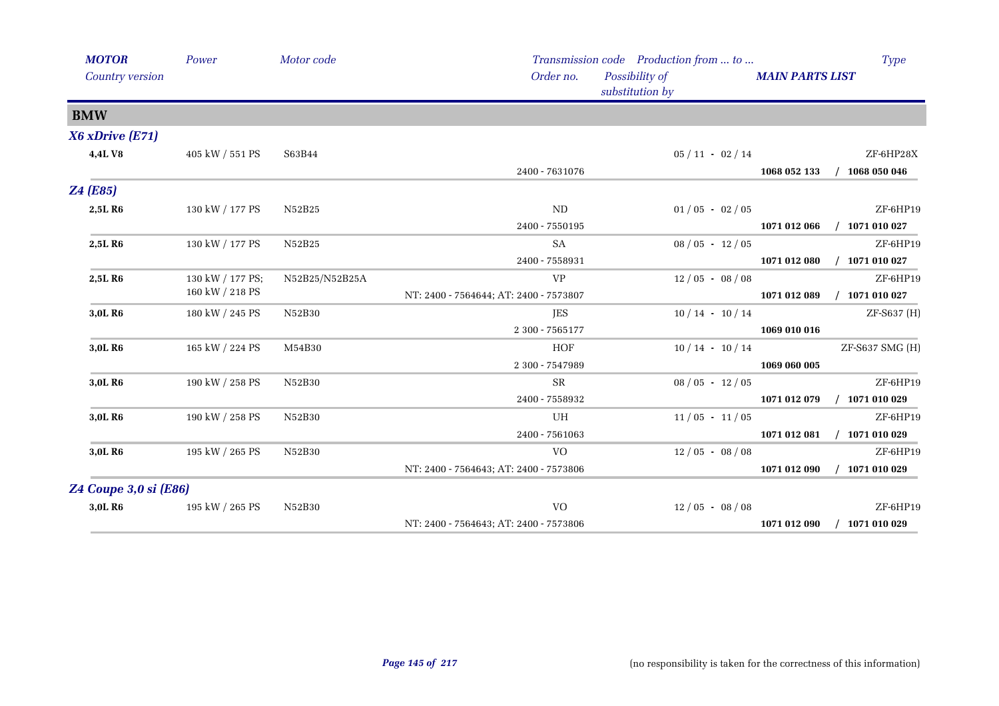| <b>MOTOR</b><br>Country version | Power                 | Motor code     | Order no.                              | Transmission code Production from  to<br>Possibility of | <b>MAIN PARTS LIST</b> | <b>Type</b>      |
|---------------------------------|-----------------------|----------------|----------------------------------------|---------------------------------------------------------|------------------------|------------------|
|                                 |                       |                |                                        | substitution by                                         |                        |                  |
| <b>BMW</b>                      |                       |                |                                        |                                                         |                        |                  |
| X6 xDrive (E71)                 |                       |                |                                        |                                                         |                        |                  |
| 4,4LV8                          | $405$ kW $\!/$ 551 PS | S63B44         |                                        | $05/11 - 02/14$                                         |                        | ZF-6HP28X        |
|                                 |                       |                | 2400 - 7631076                         |                                                         | 1068 052 133           | 1068 050 046     |
| <b>Z4 (E85)</b>                 |                       |                |                                        |                                                         |                        |                  |
| 2,5L R6                         | 130 kW / 177 PS       | N52B25         | ND                                     | $01/05 - 02/05$                                         |                        | ZF-6HP19         |
|                                 |                       |                | $2400 - 7550195$                       |                                                         | 1071 012 066           | $/$ 1071 010 027 |
| 2,5L R6                         | 130 kW / 177 PS       | N52B25         | SA                                     | $08/05 - 12/05$                                         |                        | ZF-6HP19         |
|                                 |                       |                | 2400 - 7558931                         |                                                         | 1071 012 080           | 1071 010 027     |
| 2,5L R6                         | 130 kW / 177 PS;      | N52B25/N52B25A | <b>VP</b>                              | $12/05 - 08/08$                                         |                        | ZF-6HP19         |
|                                 | 160 kW / 218 PS       |                | NT: 2400 - 7564644; AT: 2400 - 7573807 |                                                         | 1071 012 089           | $/$ 1071 010 027 |
| 3,0L R6                         | 180 kW / 245 PS       | N52B30         | <b>JES</b>                             | $10/14 - 10/14$                                         |                        | ZF-S637 (H)      |
|                                 |                       |                | 2 300 - 7565177                        |                                                         | 1069 010 016           |                  |
| 3,0L R6                         | 165 kW / 224 PS       | M54B30         | HOF                                    | $10/14 - 10/14$                                         |                        | ZF-S637 SMG (H)  |
|                                 |                       |                | 2 300 - 7547989                        |                                                         | 1069 060 005           |                  |
| 3,0L R6                         | 190 kW / 258 PS       | N52B30         | <b>SR</b>                              | $08/05 - 12/05$                                         |                        | ZF-6HP19         |
|                                 |                       |                | 2400 - 7558932                         |                                                         | 1071 012 079           | $/$ 1071 010 029 |
| 3,0L R6                         | 190 kW / 258 PS       | N52B30         | UH                                     | $11/05 - 11/05$                                         |                        | ZF-6HP19         |
|                                 |                       |                | 2400 - 7561063                         |                                                         | 1071 012 081           | $/$ 1071 010 029 |
| 3,0L R6                         | 195 kW / 265 PS       | N52B30         | <b>VO</b>                              | $12/05 - 08/08$                                         |                        | ZF-6HP19         |
|                                 |                       |                | NT: 2400 - 7564643; AT: 2400 - 7573806 |                                                         | 1071 012 090           | $/$ 1071 010 029 |
| Z4 Coupe 3,0 si (E86)           |                       |                |                                        |                                                         |                        |                  |
| 3,0L R6                         | 195 kW / 265 PS       | ${\rm N52B30}$ | <b>VO</b>                              | $12/05 - 08/08$                                         |                        | ZF-6HP19         |
|                                 |                       |                | NT: 2400 - 7564643; AT: 2400 - 7573806 |                                                         | 1071 012 090           | 1071 010 029     |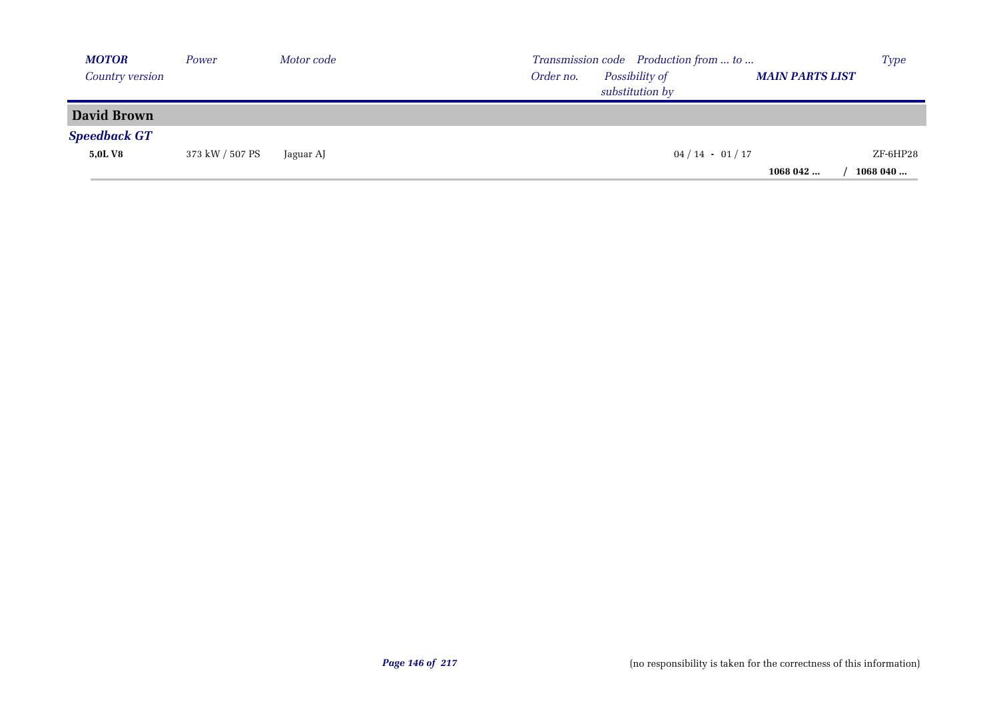| <b>MOTOR</b>        | Power           | Motor code |           | Transmission code Production from  to |                        | <b>Type</b> |
|---------------------|-----------------|------------|-----------|---------------------------------------|------------------------|-------------|
| Country version     |                 |            | Order no. | Possibility of<br>substitution by     | <b>MAIN PARTS LIST</b> |             |
| <b>David Brown</b>  |                 |            |           |                                       |                        |             |
| <b>Speedback GT</b> |                 |            |           |                                       |                        |             |
| 5,0L V8             | 373 kW / 507 PS | Jaguar AJ  |           | $04/14 - 01/17$                       |                        | ZF-6HP28    |
|                     |                 |            |           |                                       | 1068042                | 1068 040    |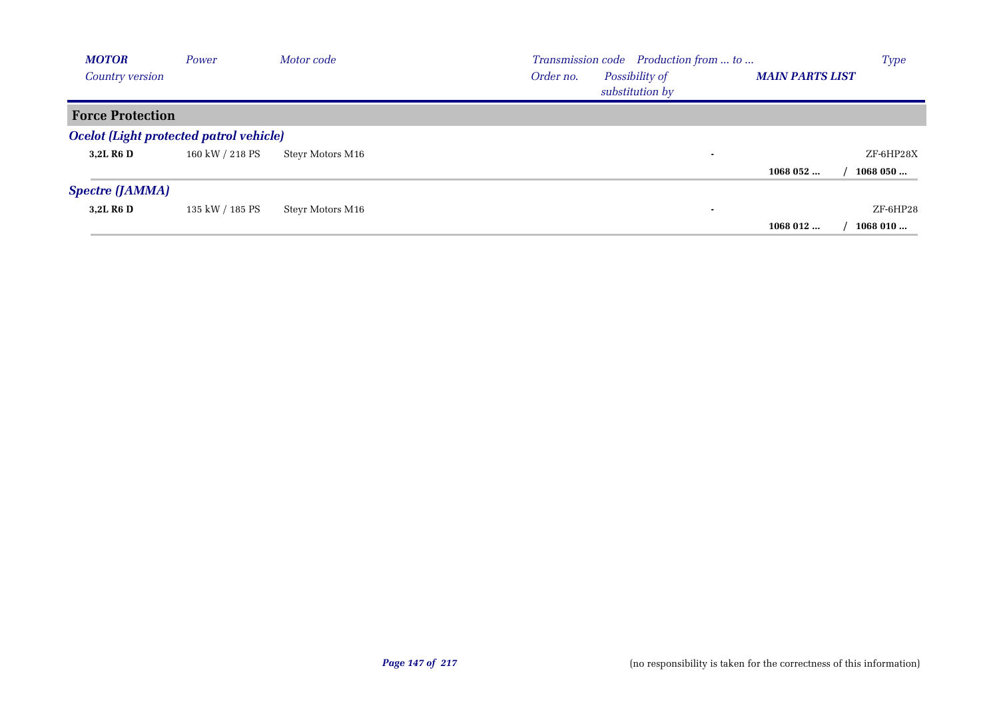| <b>MOTOR</b>                                   | Power           | Motor code       | Transmission code Production from  to                                    | <b>Type</b> |
|------------------------------------------------|-----------------|------------------|--------------------------------------------------------------------------|-------------|
| Country version                                |                 |                  | Possibility of<br>Order no.<br><b>MAIN PARTS LIST</b><br>substitution by |             |
| <b>Force Protection</b>                        |                 |                  |                                                                          |             |
| <b>Ocelot (Light protected patrol vehicle)</b> |                 |                  |                                                                          |             |
| 3,2L R <sub>6</sub> D                          | 160 kW / 218 PS | Steyr Motors M16 | ۰                                                                        | ZF-6HP28X   |
|                                                |                 |                  | 1068052                                                                  | 1068050     |
| <b>Spectre (JAMMA)</b>                         |                 |                  |                                                                          |             |
| 3.2L R <sub>6</sub> D                          | 135 kW / 185 PS | Steyr Motors M16 | ۰                                                                        | $ZF$ -6HP28 |
|                                                |                 |                  | 1068 012                                                                 | 1068010     |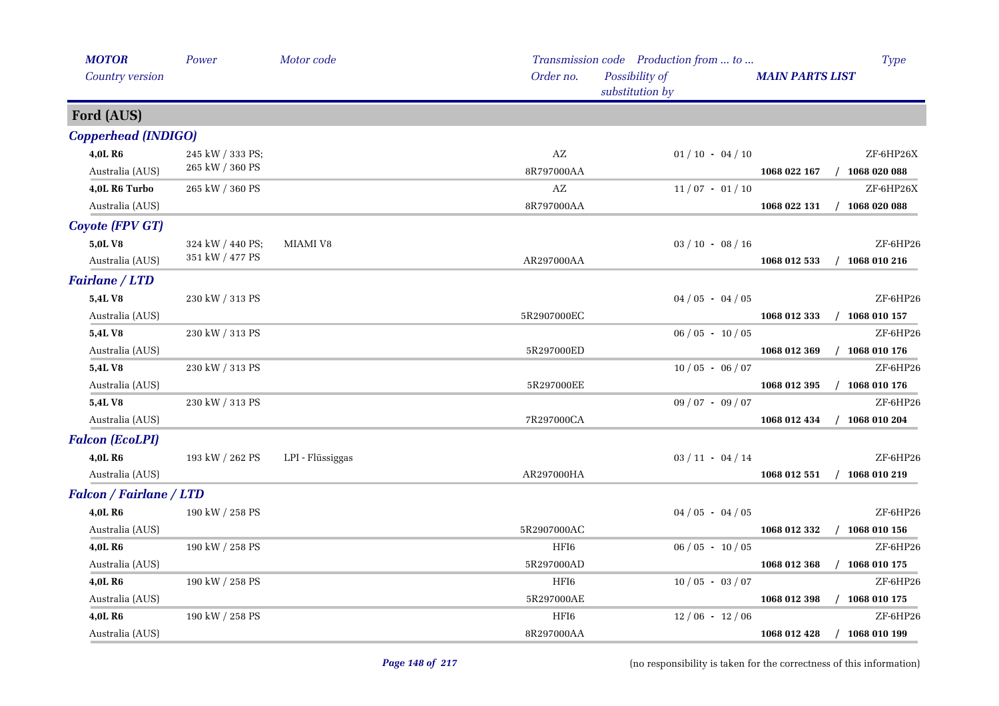| <b>MOTOR</b>                   | Power                 | Motor code       |             | Transmission code Production from  to |                        | <b>Type</b>      |
|--------------------------------|-----------------------|------------------|-------------|---------------------------------------|------------------------|------------------|
| Country version                |                       |                  | Order no.   | Possibility of<br>substitution by     | <b>MAIN PARTS LIST</b> |                  |
| Ford (AUS)                     |                       |                  |             |                                       |                        |                  |
| <b>Copperhead (INDIGO)</b>     |                       |                  |             |                                       |                        |                  |
| 4,0L R6                        | 245 kW / 333 PS;      |                  | AZ          | $01/10 - 04/10$                       |                        | ZF-6HP26X        |
| Australia (AUS)                | 265 kW / 360 PS       |                  | 8R797000AA  |                                       | 1068 022 167           | $/$ 1068 020 088 |
| 4,0L R6 Turbo                  | $265$ kW $\!/$ 360 PS |                  | AZ          | $11/07 - 01/10$                       |                        | ZF-6HP26X        |
| Australia (AUS)                |                       |                  | 8R797000AA  |                                       | 1068 022 131           | $/$ 1068 020 088 |
| <b>Coyote (FPV GT)</b>         |                       |                  |             |                                       |                        |                  |
| 5,0LV8                         | 324 kW / 440 PS;      | MIAMI V8         |             | $03 / 10 - 08 / 16$                   |                        | ZF-6HP26         |
| Australia (AUS)                | 351 kW / 477 PS       |                  | AR297000AA  |                                       | 1068 012 533           | $/$ 1068 010 216 |
| <b>Fairlane / LTD</b>          |                       |                  |             |                                       |                        |                  |
| 5,4LV8                         | 230 kW / 313 PS       |                  |             | $04/05 - 04/05$                       |                        | ZF-6HP26         |
| Australia (AUS)                |                       |                  | 5R2907000EC |                                       | 1068 012 333           | $/$ 1068 010 157 |
| 5,4LV8                         | 230 kW / 313 PS       |                  |             | $06/05 - 10/05$                       |                        | ZF-6HP26         |
| Australia (AUS)                |                       |                  | 5R297000ED  |                                       | 1068 012 369           | $/$ 1068 010 176 |
| 5,4L V8                        | 230 kW / 313 PS       |                  |             | $10/05 - 06/07$                       |                        | ZF-6HP26         |
| Australia (AUS)                |                       |                  | 5R297000EE  |                                       | 1068 012 395           | $/$ 1068 010 176 |
| 5,4LV8                         | 230 kW / 313 PS       |                  |             | $09/07 - 09/07$                       |                        | ZF-6HP26         |
| Australia (AUS)                |                       |                  | 7R297000CA  |                                       | 1068 012 434           | $/$ 1068 010 204 |
| <b>Falcon (EcoLPI)</b>         |                       |                  |             |                                       |                        |                  |
| <b>4.0L R6</b>                 | 193 kW / 262 PS       | LPI - Flüssiggas |             | $03 / 11 - 04 / 14$                   |                        | ZF-6HP26         |
| Australia (AUS)                |                       |                  | AR297000HA  |                                       | 1068 012 551           | $/$ 1068 010 219 |
| <b>Falcon / Fairlane / LTD</b> |                       |                  |             |                                       |                        |                  |
| 4,0L R6                        | 190 kW / 258 PS       |                  |             | $04/05 - 04/05$                       |                        | ZF-6HP26         |
| Australia (AUS)                |                       |                  | 5R2907000AC |                                       | 1068 012 332           | $/$ 1068 010 156 |
| 4,0L R6                        | 190 kW / 258 PS       |                  | HFI6        | $06/05 - 10/05$                       |                        | ZF-6HP26         |
| Australia (AUS)                |                       |                  | 5R297000AD  |                                       | 1068 012 368           | $/$ 1068 010 175 |
| 4,0L R6                        | 190 kW / 258 PS       |                  | HFI6        | $10/05 - 03/07$                       |                        | ZF-6HP26         |
| Australia (AUS)                |                       |                  | 5R297000AE  |                                       | 1068 012 398           | $/$ 1068 010 175 |
| 4,0L R6                        | 190 kW / 258 PS       |                  | HFI6        | $12/06 - 12/06$                       |                        | ZF-6HP26         |
| Australia (AUS)                |                       |                  | 8R297000AA  |                                       | 1068 012 428           | $/$ 1068 010 199 |

(no responsibility is taken for the correctness of this information)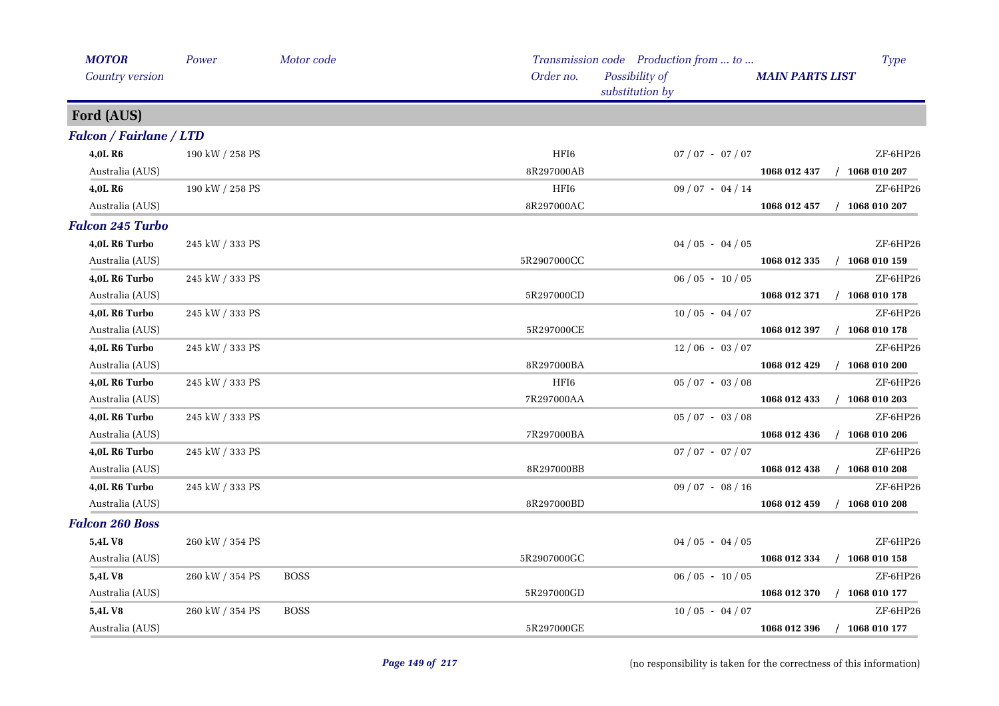| <b>MOTOR</b>                   | Power           | Motor code  |             | Transmission code Production from  to |                        | <b>Type</b>      |
|--------------------------------|-----------------|-------------|-------------|---------------------------------------|------------------------|------------------|
| Country version                |                 |             | Order no.   | Possibility of<br>substitution by     | <b>MAIN PARTS LIST</b> |                  |
| Ford (AUS)                     |                 |             |             |                                       |                        |                  |
| <b>Falcon / Fairlane / LTD</b> |                 |             |             |                                       |                        |                  |
| 4,0L R6                        | 190 kW / 258 PS |             | HFI6        | $07/07 - 07/07$                       |                        | ZF-6HP26         |
| Australia (AUS)                |                 |             | 8R297000AB  |                                       | 1068 012 437           | $/$ 1068 010 207 |
| 4,0L R6                        | 190 kW / 258 PS |             | HFI6        | $09/07 - 04/14$                       |                        | ZF-6HP26         |
| Australia (AUS)                |                 |             | 8R297000AC  |                                       | 1068 012 457           | $/$ 1068 010 207 |
| <b>Falcon 245 Turbo</b>        |                 |             |             |                                       |                        |                  |
| 4,0L R6 Turbo                  | 245 kW / 333 PS |             |             | $04/05 - 04/05$                       |                        | ZF-6HP26         |
| Australia (AUS)                |                 |             | 5R2907000CC |                                       | 1068 012 335           | $/$ 1068 010 159 |
| 4,0L R6 Turbo                  | 245 kW / 333 PS |             |             | $06/05 - 10/05$                       |                        | ZF-6HP26         |
| Australia (AUS)                |                 |             | 5R297000CD  |                                       | 1068 012 371           | $/$ 1068 010 178 |
| 4,0L R6 Turbo                  | 245 kW / 333 PS |             |             | $10/05 - 04/07$                       |                        | ZF-6HP26         |
| Australia (AUS)                |                 |             | 5R297000CE  |                                       | 1068 012 397           | $/$ 1068 010 178 |
| 4,0L R6 Turbo                  | 245 kW / 333 PS |             |             | $12/06 - 03/07$                       |                        | ZF-6HP26         |
| Australia (AUS)                |                 |             | 8R297000BA  |                                       | 1068 012 429           | $/$ 1068 010 200 |
| 4,0L R6 Turbo                  | 245 kW / 333 PS |             | HFI6        | $05/07 - 03/08$                       |                        | ZF-6HP26         |
| Australia (AUS)                |                 |             | 7R297000AA  |                                       | 1068 012 433           | $/$ 1068 010 203 |
| 4,0L R6 Turbo                  | 245 kW / 333 PS |             |             | $05/07 - 03/08$                       |                        | ZF-6HP26         |
| Australia (AUS)                |                 |             | 7R297000BA  |                                       | 1068 012 436           | $/$ 1068 010 206 |
| 4,0L R6 Turbo                  | 245 kW / 333 PS |             |             | $07 / 07 - 07 / 07$                   |                        | ZF-6HP26         |
| Australia (AUS)                |                 |             | 8R297000BB  |                                       | 1068 012 438           | $/$ 1068 010 208 |
| 4,0L R6 Turbo                  | 245 kW / 333 PS |             |             | $09/07 - 08/16$                       |                        | ZF-6HP26         |
| Australia (AUS)                |                 |             | 8R297000BD  |                                       | 1068 012 459           | $/$ 1068 010 208 |
| <b>Falcon 260 Boss</b>         |                 |             |             |                                       |                        |                  |
| 5,4L V8                        | 260 kW / 354 PS |             |             | $04/05 - 04/05$                       |                        | ZF-6HP26         |
| Australia (AUS)                |                 |             | 5R2907000GC |                                       | 1068 012 334           | 1068 010 158     |
| 5,4L V8                        | 260 kW / 354 PS | <b>BOSS</b> |             | $06/05 - 10/05$                       |                        | ZF-6HP26         |
| Australia (AUS)                |                 |             | 5R297000GD  |                                       | 1068 012 370           | $/$ 1068 010 177 |
| 5,4LV8                         | 260 kW / 354 PS | <b>BOSS</b> |             | $10/05 - 04/07$                       |                        | ZF-6HP26         |
| Australia (AUS)                |                 |             | 5R297000GE  |                                       | 1068 012 396           | $/$ 1068 010 177 |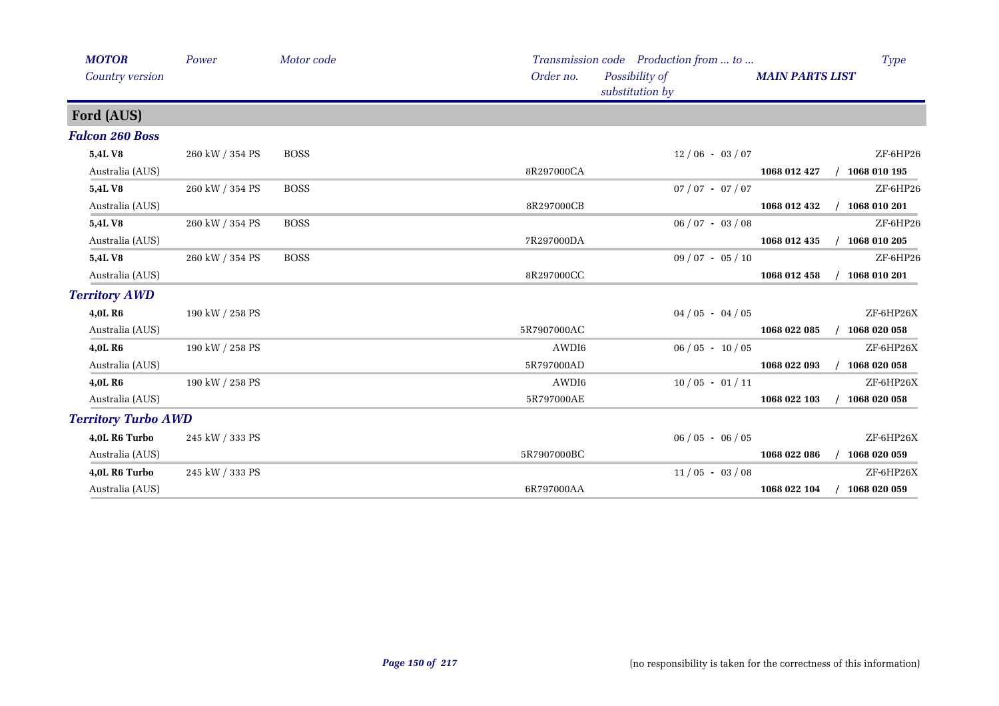| <b>MOTOR</b><br>Country version | Power           | Motor code  | Order no.   | Transmission code Production from  to<br>Possibility of<br>substitution by | <b>MAIN PARTS LIST</b> | <b>Type</b>  |
|---------------------------------|-----------------|-------------|-------------|----------------------------------------------------------------------------|------------------------|--------------|
| Ford (AUS)                      |                 |             |             |                                                                            |                        |              |
| <b>Falcon 260 Boss</b>          |                 |             |             |                                                                            |                        |              |
| 5,4LV8                          | 260 kW / 354 PS | <b>BOSS</b> |             | $12/06 - 03/07$                                                            |                        | ZF-6HP26     |
| Australia (AUS)                 |                 |             | 8R297000CA  |                                                                            | 1068 012 427           | 1068 010 195 |
| 5,4L V8                         | 260 kW / 354 PS | <b>BOSS</b> |             | $07 / 07 - 07 / 07$                                                        |                        | $ZF$ -6HP26  |
| Australia (AUS)                 |                 |             | 8R297000CB  |                                                                            | 1068 012 432           | 1068 010 201 |
| 5,4L V8                         | 260 kW / 354 PS | <b>BOSS</b> |             | $06 / 07 - 03 / 08$                                                        |                        | $ZF$ -6HP26  |
| Australia (AUS)                 |                 |             | 7R297000DA  |                                                                            | 1068 012 435           | 1068 010 205 |
| 5,4L V8                         | 260 kW / 354 PS | <b>BOSS</b> |             | $09/07 - 05/10$                                                            |                        | $ZF$ -6HP26  |
| Australia (AUS)                 |                 |             | 8R297000CC  |                                                                            | 1068 012 458           | 1068 010 201 |
| <b>Territory AWD</b>            |                 |             |             |                                                                            |                        |              |
| 4,0L R6                         | 190 kW / 258 PS |             |             | $04/05 - 04/05$                                                            |                        | ZF-6HP26X    |
| Australia (AUS)                 |                 |             | 5R7907000AC |                                                                            | 1068 022 085           | 1068 020 058 |
| 4,0L R6                         | 190 kW / 258 PS |             | AWDI6       | $06/05 - 10/05$                                                            |                        | ZF-6HP26X    |
| Australia (AUS)                 |                 |             | 5R797000AD  |                                                                            | 1068 022 093           | 1068 020 058 |
| 4,0L R6                         | 190 kW / 258 PS |             | AWDI6       | $10/05 - 01/11$                                                            |                        | ZF-6HP26X    |
| Australia (AUS)                 |                 |             | 5R797000AE  |                                                                            | 1068 022 103           | 1068 020 058 |
| <b>Territory Turbo AWD</b>      |                 |             |             |                                                                            |                        |              |
| 4,0L R6 Turbo                   | 245 kW / 333 PS |             |             | $06/05 - 06/05$                                                            |                        | ZF-6HP26X    |
| Australia (AUS)                 |                 |             | 5R7907000BC |                                                                            | 1068 022 086           | 1068 020 059 |
| 4,0L R6 Turbo                   | 245 kW / 333 PS |             |             | $11/05 - 03/08$                                                            |                        | ZF-6HP26X    |
| Australia (AUS)                 |                 |             | 6R797000AA  |                                                                            | 1068 022 104           | 1068 020 059 |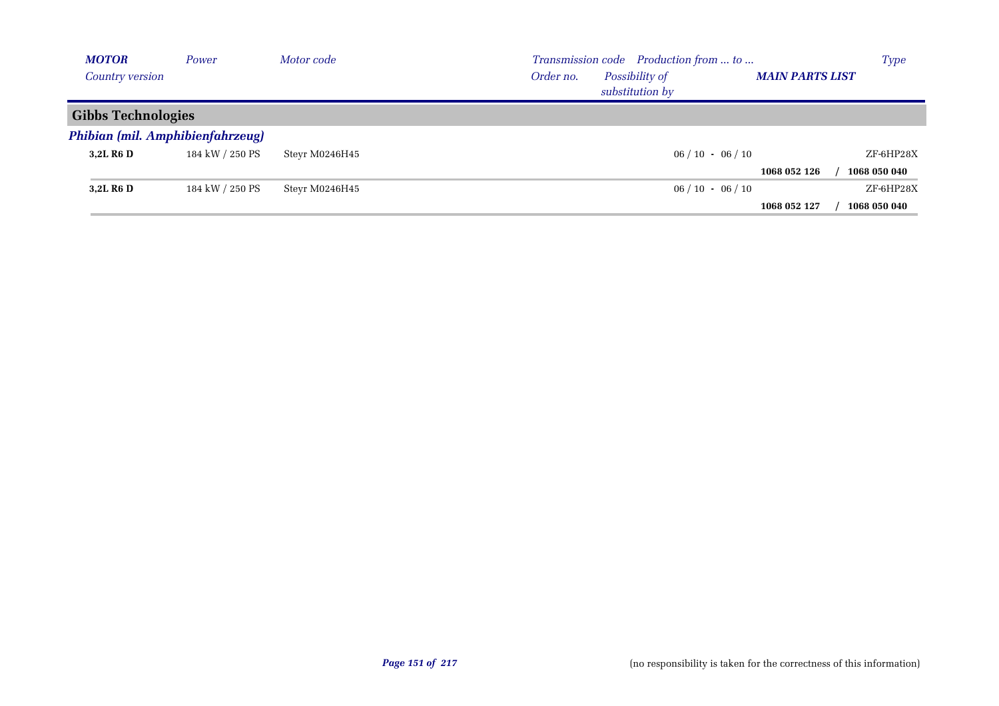| <b>MOTOR</b>                     | Power           | Motor code     |           | Transmission code Production from  to |                        | <b>Type</b>  |
|----------------------------------|-----------------|----------------|-----------|---------------------------------------|------------------------|--------------|
| Country version                  |                 |                | Order no. | Possibility of<br>substitution by     | <b>MAIN PARTS LIST</b> |              |
| <b>Gibbs Technologies</b>        |                 |                |           |                                       |                        |              |
| Phibian (mil. Amphibienfahrzeug) |                 |                |           |                                       |                        |              |
| 3,2L R <sub>6</sub> D            | 184 kW / 250 PS | Steyr M0246H45 |           | $06/10 - 06/10$                       |                        | ZF-6HP28X    |
|                                  |                 |                |           |                                       | 1068 052 126           | 1068 050 040 |
| 3,2L R <sub>6</sub> D            | 184 kW / 250 PS | Steyr M0246H45 |           | $06/10 - 06/10$                       |                        | ZF-6HP28X    |
|                                  |                 |                |           |                                       | 1068 052 127           | 1068 050 040 |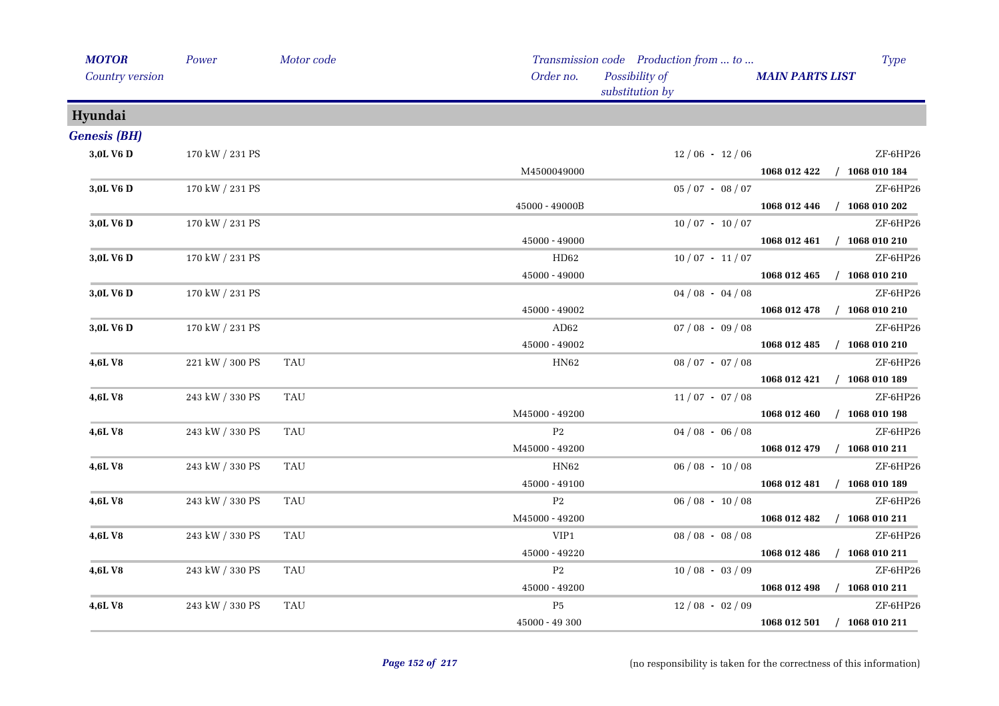| <b>MOTOR</b>           | Power           | Motor code |                | Transmission code Production from  to |                        | <b>Type</b>                 |
|------------------------|-----------------|------------|----------------|---------------------------------------|------------------------|-----------------------------|
| <b>Country version</b> |                 |            | Order no.      | Possibility of<br>substitution by     | <b>MAIN PARTS LIST</b> |                             |
| Hyundai                |                 |            |                |                                       |                        |                             |
| <b>Genesis (BH)</b>    |                 |            |                |                                       |                        |                             |
| 3,0L V6 D              | 170 kW / 231 PS |            |                | $12/06 - 12/06$                       |                        | ZF-6HP26                    |
|                        |                 |            | M4500049000    |                                       |                        | 1068 012 422 / 1068 010 184 |
| 3,0L V6 D              | 170 kW / 231 PS |            |                | $05/07 - 08/07$                       |                        | ZF-6HP26                    |
|                        |                 |            | 45000 - 49000B |                                       |                        | 1068 012 446 / 1068 010 202 |
| 3,0L V6 D              | 170 kW / 231 PS |            |                | $10/07 - 10/07$                       |                        | ZF-6HP26                    |
|                        |                 |            | 45000 - 49000  |                                       |                        | 1068 012 461 / 1068 010 210 |
| 3,0L V6 D              | 170 kW / 231 PS |            | HD62           | $10/07 - 11/07$                       |                        | ZF-6HP26                    |
|                        |                 |            | 45000 - 49000  |                                       | 1068 012 465           | $/$ 1068 010 210            |
| 3,0L V6 D              | 170 kW / 231 PS |            |                | $04/08 - 04/08$                       |                        | ZF-6HP26                    |
|                        |                 |            | 45000 - 49002  |                                       |                        | 1068 012 478 / 1068 010 210 |
| 3,0L V6 D              | 170 kW / 231 PS |            | AD62           | $07/08 - 09/08$                       |                        | ZF-6HP26                    |
|                        |                 |            | 45000 - 49002  |                                       |                        | 1068 012 485 / 1068 010 210 |
| 4,6L V8                | 221 kW / 300 PS | TAU        | HN62           | $08/07 - 07/08$                       |                        | ZF-6HP26                    |
|                        |                 |            |                |                                       |                        | 1068 012 421 / 1068 010 189 |
| 4,6LV8                 | 243 kW / 330 PS | TAU        |                | $11/07 - 07/08$                       |                        | ZF-6HP26                    |
|                        |                 |            | M45000 - 49200 |                                       | 1068 012 460           | $/$ 1068 010 198            |
| 4,6L V8                | 243 kW / 330 PS | <b>TAU</b> | P <sub>2</sub> | $04/08 - 06/08$                       |                        | ZF-6HP26                    |
|                        |                 |            | M45000 - 49200 |                                       |                        | 1068 012 479 / 1068 010 211 |
| 4,6LV8                 | 243 kW / 330 PS | <b>TAU</b> | HN62           | $06/08 - 10/08$                       |                        | ZF-6HP26                    |
|                        |                 |            | 45000 - 49100  |                                       |                        | 1068 012 481 / 1068 010 189 |
| 4,6L V8                | 243 kW / 330 PS | <b>TAU</b> | P <sub>2</sub> | $06/08 - 10/08$                       |                        | ZF-6HP26                    |
|                        |                 |            | M45000 - 49200 |                                       |                        | 1068 012 482 / 1068 010 211 |
| 4,6L V8                | 243 kW / 330 PS | TAU        | VIP1           | $08/08 - 08/08$                       |                        | ZF-6HP26                    |
|                        |                 |            | 45000 - 49220  |                                       |                        | 1068 012 486 / 1068 010 211 |
| 4,6L V8                | 243 kW / 330 PS | <b>TAU</b> | P <sub>2</sub> | $10/08 - 03/09$                       |                        | ZF-6HP26                    |
|                        |                 |            | 45000 - 49200  |                                       |                        | 1068 012 498 / 1068 010 211 |
| 4,6LV8                 | 243 kW / 330 PS | TAU        | P <sub>5</sub> | $12/08 - 02/09$                       |                        | ZF-6HP26                    |
|                        |                 |            | 45000 - 49 300 |                                       |                        | 1068 012 501 / 1068 010 211 |
|                        |                 |            |                |                                       |                        |                             |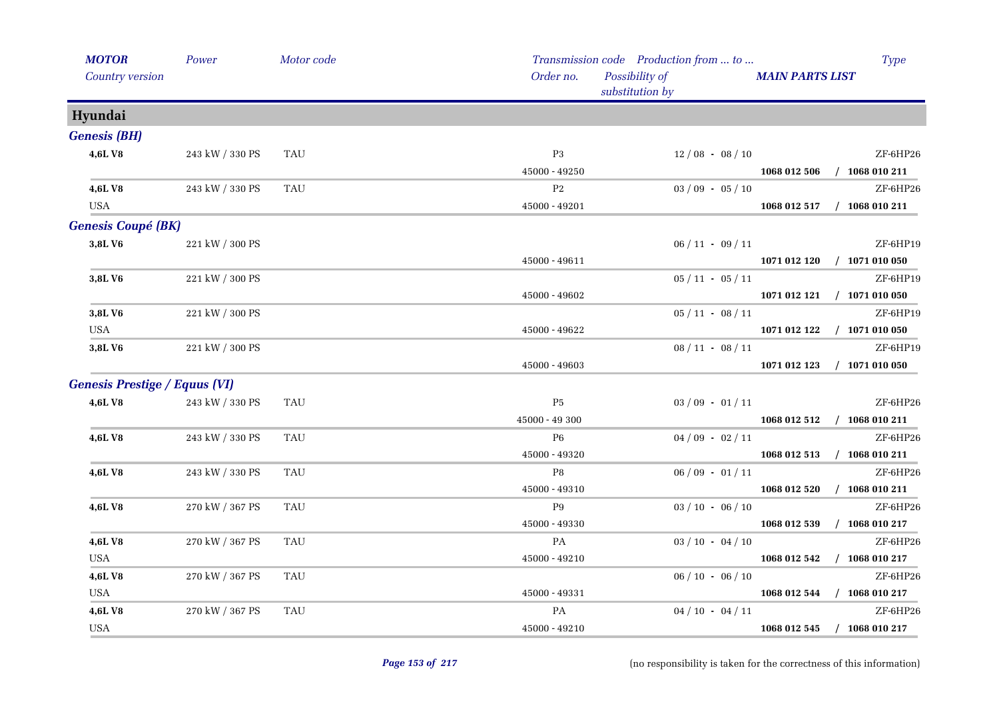| <b>MOTOR</b>                         | Power           | Motor code |                 | Transmission code Production from  to | Type                        |  |
|--------------------------------------|-----------------|------------|-----------------|---------------------------------------|-----------------------------|--|
| Country version                      |                 |            | Order no.       | Possibility of<br>substitution by     | <b>MAIN PARTS LIST</b>      |  |
| Hyundai                              |                 |            |                 |                                       |                             |  |
| <b>Genesis (BH)</b>                  |                 |            |                 |                                       |                             |  |
| 4,6LV8                               | 243 kW / 330 PS | TAU        | P <sub>3</sub>  | $12/08 - 08/10$                       | ZF-6HP26                    |  |
|                                      |                 |            | $45000 - 49250$ |                                       | 1068 012 506 / 1068 010 211 |  |
| 4,6LV8                               | 243 kW / 330 PS | TAU        | P <sub>2</sub>  | $03 / 09 - 05 / 10$                   | ZF-6HP26                    |  |
| <b>USA</b>                           |                 |            | 45000 - 49201   |                                       | 1068 012 517 / 1068 010 211 |  |
| <b>Genesis Coupé (BK)</b>            |                 |            |                 |                                       |                             |  |
| 3,8LV6                               | 221 kW / 300 PS |            |                 | $06 / 11 - 09 / 11$                   | ZF-6HP19                    |  |
|                                      |                 |            | 45000 - 49611   |                                       | 1071 012 120 / 1071 010 050 |  |
| 3,8LV6                               | 221 kW / 300 PS |            |                 | $05/11 - 05/11$                       | ZF-6HP19                    |  |
|                                      |                 |            | 45000 - 49602   |                                       | 1071 012 121 / 1071 010 050 |  |
| 3,8LV6                               | 221 kW / 300 PS |            |                 | $05/11 - 08/11$                       | ZF-6HP19                    |  |
| <b>USA</b>                           |                 |            | $45000 - 49622$ |                                       | 1071 012 122 / 1071 010 050 |  |
| 3,8LV6                               | 221 kW / 300 PS |            |                 | $08/11 - 08/11$                       | ZF-6HP19                    |  |
|                                      |                 |            | 45000 - 49603   |                                       | 1071 012 123 / 1071 010 050 |  |
| <b>Genesis Prestige / Equus (VI)</b> |                 |            |                 |                                       |                             |  |
| 4,6LV8                               | 243 kW / 330 PS | <b>TAU</b> | $\rm P5$        | $03/09 - 01/11$                       | ZF-6HP26                    |  |
|                                      |                 |            | 45000 - 49 300  |                                       | 1068 012 512 / 1068 010 211 |  |
| 4,6LV8                               | 243 kW / 330 PS | <b>TAU</b> | P6              | $04/09 - 02/11$                       | ZF-6HP26                    |  |
|                                      |                 |            | 45000 - 49320   |                                       | 1068 012 513 / 1068 010 211 |  |
| 4,6L V8                              | 243 kW / 330 PS | TAU        | P8              | $06/09 - 01/11$                       | ZF-6HP26                    |  |
|                                      |                 |            | $45000 - 49310$ |                                       | 1068 012 520 / 1068 010 211 |  |
| 4,6L V8                              | 270 kW / 367 PS | TAU        | P9              | $03 / 10 - 06 / 10$                   | ZF-6HP26                    |  |
|                                      |                 |            | $45000 - 49330$ |                                       | 1068 012 539 / 1068 010 217 |  |
| 4,6LV8                               | 270 kW / 367 PS | <b>TAU</b> | PA              | $03 / 10 - 04 / 10$                   | ZF-6HP26                    |  |
| <b>USA</b>                           |                 |            | 45000 - 49210   |                                       | 1068 012 542 / 1068 010 217 |  |
| 4,6LV8                               | 270 kW / 367 PS | <b>TAU</b> |                 | $06 / 10 - 06 / 10$                   | ZF-6HP26                    |  |
| <b>USA</b>                           |                 |            | 45000 - 49331   |                                       | 1068 012 544 / 1068 010 217 |  |
| 4,6LV8                               | 270 kW / 367 PS | <b>TAU</b> | PA              | $04/10 - 04/11$                       | ZF-6HP26                    |  |
| <b>USA</b>                           |                 |            | 45000 - 49210   |                                       | 1068 012 545 / 1068 010 217 |  |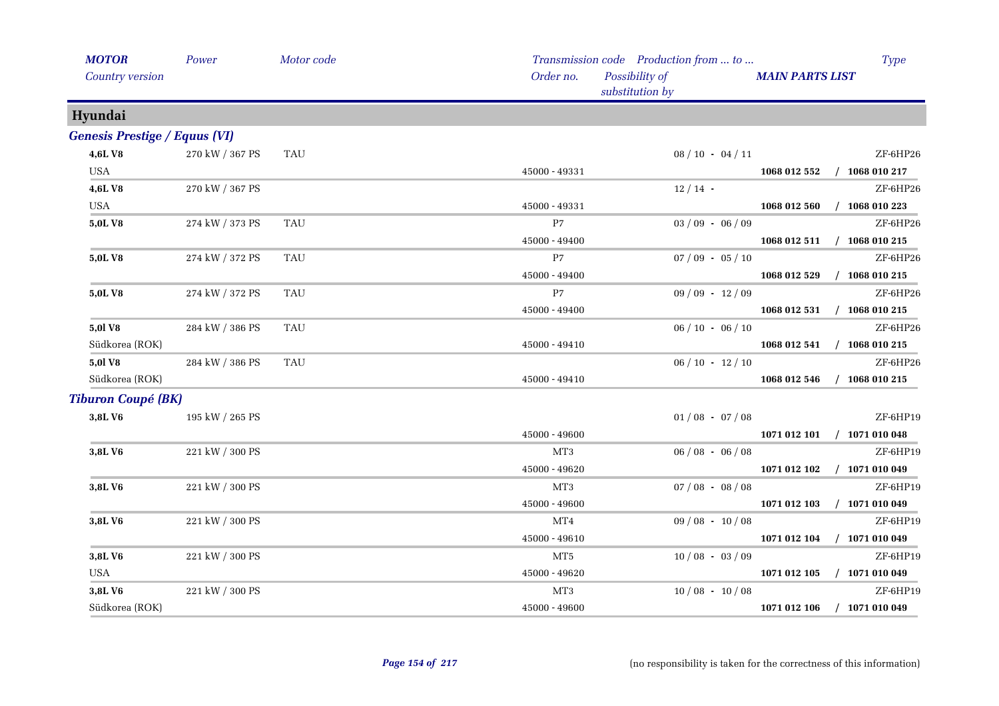| <b>MOTOR</b><br>Country version      | Power                 | Motor code | Order no.       | Transmission code Production from  to<br>Possibility of<br>substitution by | Type<br><b>MAIN PARTS LIST</b>   |  |
|--------------------------------------|-----------------------|------------|-----------------|----------------------------------------------------------------------------|----------------------------------|--|
| Hyundai                              |                       |            |                 |                                                                            |                                  |  |
| <b>Genesis Prestige / Equus (VI)</b> |                       |            |                 |                                                                            |                                  |  |
| 4,6LV8                               | 270 kW / 367 PS       | TAU        |                 | $08 / 10 - 04 / 11$                                                        | ZF-6HP26                         |  |
| <b>USA</b>                           |                       |            | 45000 - 49331   |                                                                            | 1068 012 552 / 1068 010 217      |  |
| 4,6LV8                               | 270 kW / 367 PS       |            |                 | $12/14$ -                                                                  | ZF-6HP26                         |  |
| <b>USA</b>                           |                       |            | 45000 - 49331   |                                                                            | $/$ 1068 010 223<br>1068 012 560 |  |
| 5,0LV8                               | 274 kW / 373 PS       | <b>TAU</b> | P7              | $03/09 - 06/09$                                                            | ZF-6HP26                         |  |
|                                      |                       |            | 45000 - 49400   |                                                                            | 1068 012 511 / 1068 010 215      |  |
| 5,0LV8                               | 274 kW / 372 PS       | <b>TAU</b> | P7              | $07/09 - 05/10$                                                            | $ZF$ -6HP26                      |  |
|                                      |                       |            | $45000 - 49400$ |                                                                            | 1068 012 529 / 1068 010 215      |  |
| 5,0L V8                              | 274 kW / 372 PS       | TAU        | P7              | $09/09 - 12/09$                                                            | ZF-6HP26                         |  |
|                                      |                       |            | 45000 - 49400   |                                                                            | 1068 012 531 / 1068 010 215      |  |
| <b>5,0l V8</b>                       | 284 kW / 386 PS       | <b>TAU</b> |                 | $06/10 - 06/10$                                                            | ZF-6HP26                         |  |
| Südkorea (ROK)                       |                       |            | $45000 - 49410$ |                                                                            | 1068 012 541 / 1068 010 215      |  |
| 5,0l V8                              | $284$ kW $\!/$ 386 PS | <b>TAU</b> |                 | $06/10 - 12/10$                                                            | ZF-6HP26                         |  |
| Südkorea (ROK)                       |                       |            | 45000 - 49410   |                                                                            | 1068 012 546<br>$/$ 1068 010 215 |  |
| <b>Tiburon Coupé (BK)</b>            |                       |            |                 |                                                                            |                                  |  |
| 3,8L V6                              | 195 kW / 265 PS       |            |                 | $01/08 - 07/08$                                                            | ZF-6HP19                         |  |
|                                      |                       |            | 45000 - 49600   |                                                                            | 1071 012 101 / 1071 010 048      |  |
| 3,8LV6                               | 221 kW / 300 PS       |            | MT3             | $06/08 - 06/08$                                                            | ZF-6HP19                         |  |
|                                      |                       |            | 45000 - 49620   |                                                                            | 1071 012 102 / 1071 010 049      |  |
| 3,8L V6                              | 221 kW / 300 PS       |            | MT3             | $07/08 - 08/08$                                                            | ZF-6HP19                         |  |
|                                      |                       |            | 45000 - 49600   |                                                                            | 1071 012 103 / 1071 010 049      |  |
| 3,8L V6                              | 221 kW / 300 PS       |            | MT4             | $09/08 - 10/08$                                                            | ZF-6HP19                         |  |
|                                      |                       |            | 45000 - 49610   |                                                                            | 1071 012 104 / 1071 010 049      |  |
| 3,8LV6                               | 221 kW / 300 PS       |            | MT5             | $10/08 - 03/09$                                                            | ZF-6HP19                         |  |
| <b>USA</b>                           |                       |            | $45000 - 49620$ |                                                                            | 1071 012 105 / 1071 010 049      |  |
| 3,8LV6                               | 221 kW / 300 PS       |            | MT3             | $10/08 - 10/08$                                                            | ZF-6HP19                         |  |
| Südkorea (ROK)                       |                       |            | 45000 - 49600   |                                                                            | 1071 012 106<br>$/$ 1071 010 049 |  |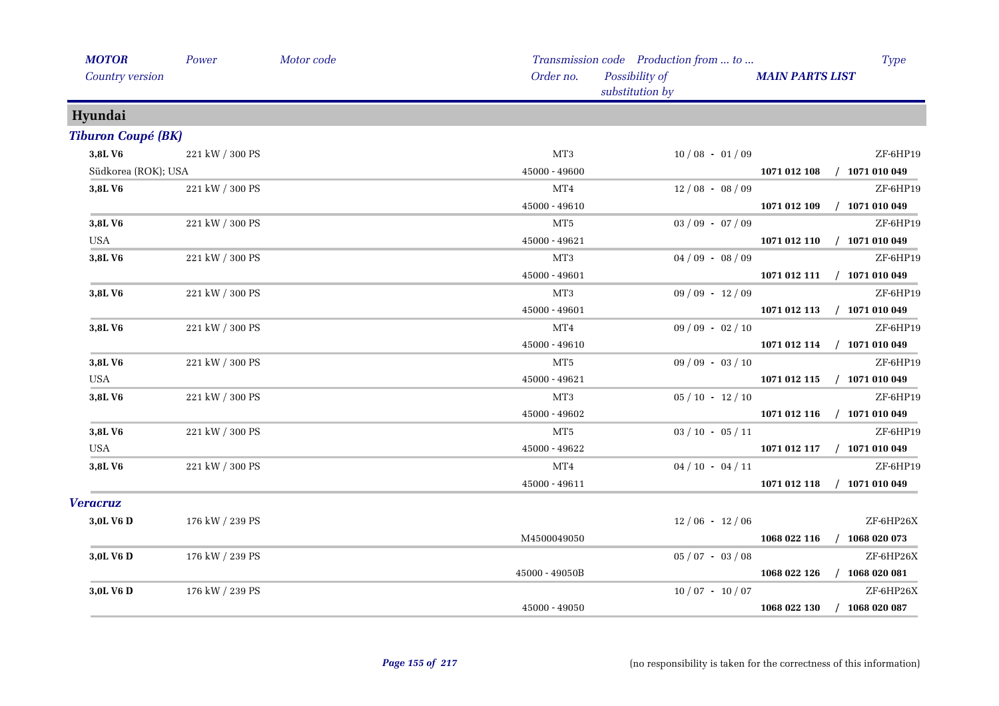| <b>MOTOR</b>              | Power           | Motor code |                 | Transmission code Production from  to | <b>Type</b>                 |
|---------------------------|-----------------|------------|-----------------|---------------------------------------|-----------------------------|
| Country version           |                 |            | Order no.       | Possibility of<br>substitution by     | <b>MAIN PARTS LIST</b>      |
| Hyundai                   |                 |            |                 |                                       |                             |
| <b>Tiburon Coupé (BK)</b> |                 |            |                 |                                       |                             |
| 3,8LV6                    | 221 kW / 300 PS |            | MT <sub>3</sub> | $10/08 - 01/09$                       | ZF-6HP19                    |
| Südkorea (ROK); USA       |                 |            | $45000 - 49600$ |                                       | 1071 012 108 / 1071 010 049 |
| 3,8LV6                    | 221 kW / 300 PS |            | MT4             | $12/08 - 08/09$                       | ZF-6HP19                    |
|                           |                 |            | 45000 - 49610   |                                       | 1071 012 109 / 1071 010 049 |
| 3,8LV6                    | 221 kW / 300 PS |            | MT5             | $03/09 - 07/09$                       | ZF-6HP19                    |
| <b>USA</b>                |                 |            | 45000 - 49621   |                                       | 1071 012 110 / 1071 010 049 |
| 3,8LV6                    | 221 kW / 300 PS |            | MT3             | $04/09 - 08/09$                       | ZF-6HP19                    |
|                           |                 |            | 45000 - 49601   |                                       | 1071 012 111 / 1071 010 049 |
| 3,8LV6                    | 221 kW / 300 PS |            | MT3             | $09/09 - 12/09$                       | ZF-6HP19                    |
|                           |                 |            | $45000 - 49601$ |                                       | 1071 012 113 / 1071 010 049 |
| 3,8LV6                    | 221 kW / 300 PS |            | MT4             | $09/09 - 02/10$                       | ZF-6HP19                    |
|                           |                 |            | 45000 - 49610   |                                       | 1071 012 114 / 1071 010 049 |
| 3,8LV6                    | 221 kW / 300 PS |            | MT <sub>5</sub> | $09/09 - 03/10$                       | ZF-6HP19                    |
| USA                       |                 |            | $45000 - 49621$ |                                       | 1071 012 115 / 1071 010 049 |
| 3,8LV6                    | 221 kW / 300 PS |            | MT3             | $05/10 - 12/10$                       | ZF-6HP19                    |
|                           |                 |            | $45000 - 49602$ |                                       | 1071 012 116 / 1071 010 049 |
| 3,8LV6                    | 221 kW / 300 PS |            | MT5             | $03 / 10 - 05 / 11$                   | ZF-6HP19                    |
| <b>USA</b>                |                 |            | 45000 - 49622   |                                       | 1071 012 117 / 1071 010 049 |
| 3,8LV6                    | 221 kW / 300 PS |            | MT4             | $04/10 - 04/11$                       | ZF-6HP19                    |
|                           |                 |            | 45000 - 49611   |                                       | 1071 012 118 / 1071 010 049 |
| <b>Veracruz</b>           |                 |            |                 |                                       |                             |
| 3,0L V6 D                 | 176 kW / 239 PS |            |                 | $12/06 - 12/06$                       | ZF-6HP26X                   |
|                           |                 |            | M4500049050     |                                       | 1068 022 116 / 1068 020 073 |
| 3,0L V6 D                 | 176 kW / 239 PS |            |                 | $05/07 - 03/08$                       | ZF-6HP26X                   |
|                           |                 |            | 45000 - 49050B  |                                       | 1068 022 126 / 1068 020 081 |
| 3,0L V6 D                 | 176 kW / 239 PS |            |                 | $10/07 - 10/07$                       | ZF-6HP26X                   |
|                           |                 |            | 45000 - 49050   |                                       | 1068 022 130 / 1068 020 087 |
|                           |                 |            |                 |                                       |                             |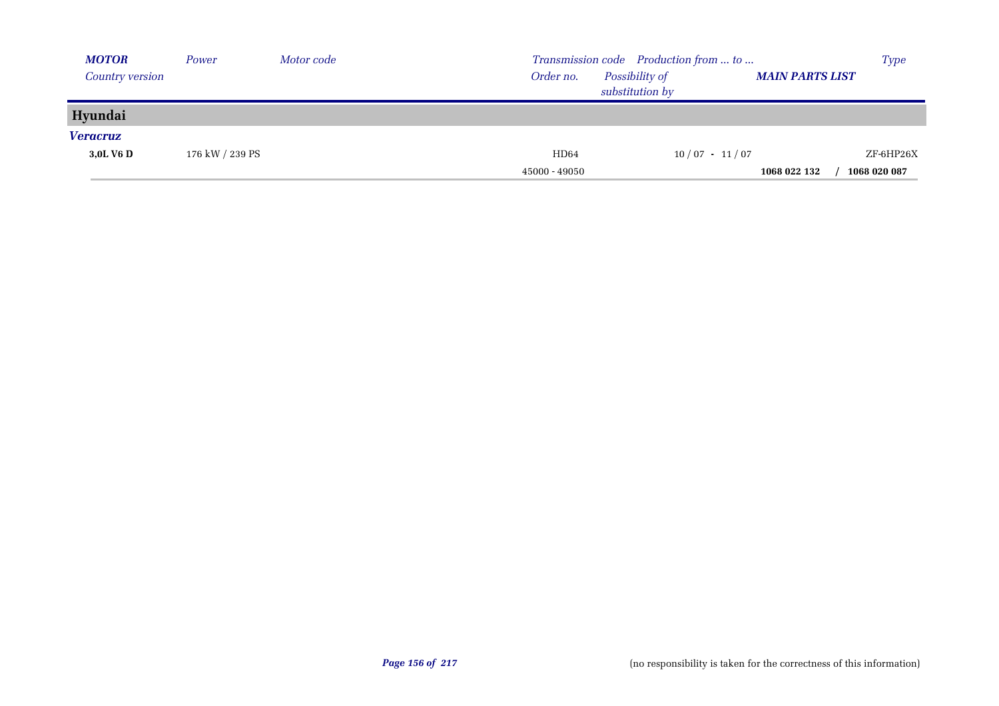| <b>MOTOR</b>    | Power           | Motor code |               | Transmission code Production from  to |                        | <b>Type</b>  |
|-----------------|-----------------|------------|---------------|---------------------------------------|------------------------|--------------|
| Country version |                 |            | Order no.     | Possibility of                        | <b>MAIN PARTS LIST</b> |              |
|                 |                 |            |               | substitution by                       |                        |              |
| Hyundai         |                 |            |               |                                       |                        |              |
| <b>Veracruz</b> |                 |            |               |                                       |                        |              |
| 3.0L V6 D       | 176 kW / 239 PS |            | HD64          | $10/07 - 11/07$                       |                        | ZF-6HP26X    |
|                 |                 |            | 45000 - 49050 |                                       | 1068 022 132           | 1068 020 087 |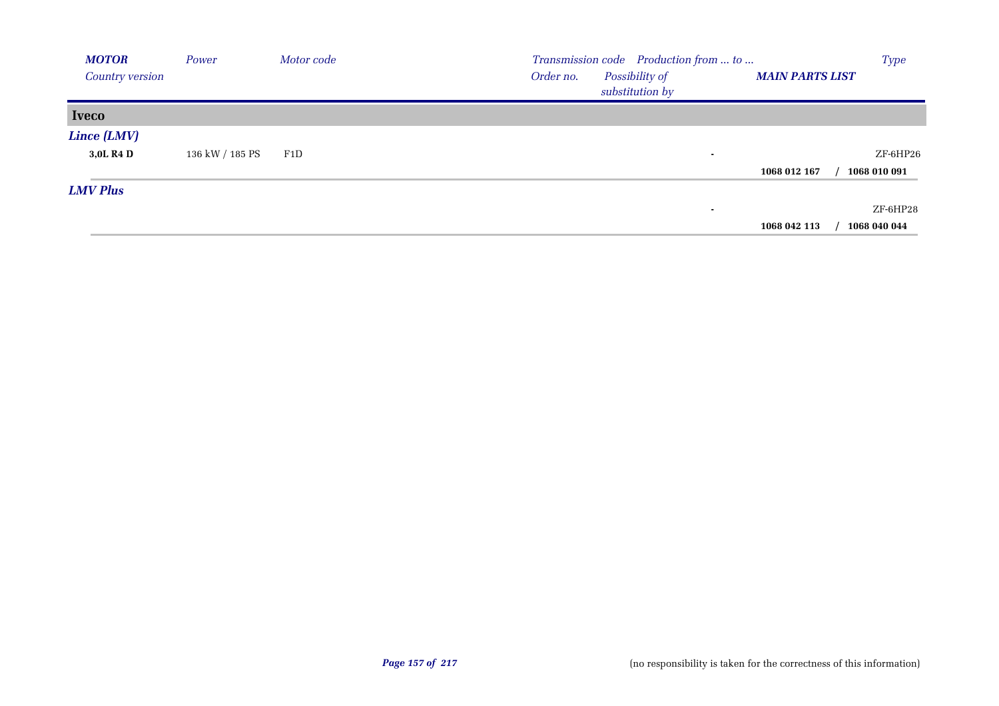| <b>MOTOR</b>           | Power           | Motor code | Transmission code Production from  to                                    | <b>Type</b>  |
|------------------------|-----------------|------------|--------------------------------------------------------------------------|--------------|
| <b>Country version</b> |                 |            | Possibility of<br>Order no.<br><b>MAIN PARTS LIST</b><br>substitution by |              |
| <b>Iveco</b>           |                 |            |                                                                          |              |
| Lince (LMV)            |                 |            |                                                                          |              |
| 3,0L R4 D              | 136 kW / 185 PS | F1D        | ٠                                                                        | $ZF$ -6HP26  |
|                        |                 |            | 1068 012 167                                                             | 1068 010 091 |
| <b>LMV Plus</b>        |                 |            |                                                                          |              |
|                        |                 |            | ٠                                                                        | ZF-6HP28     |
|                        |                 |            | 1068 042 113                                                             | 1068 040 044 |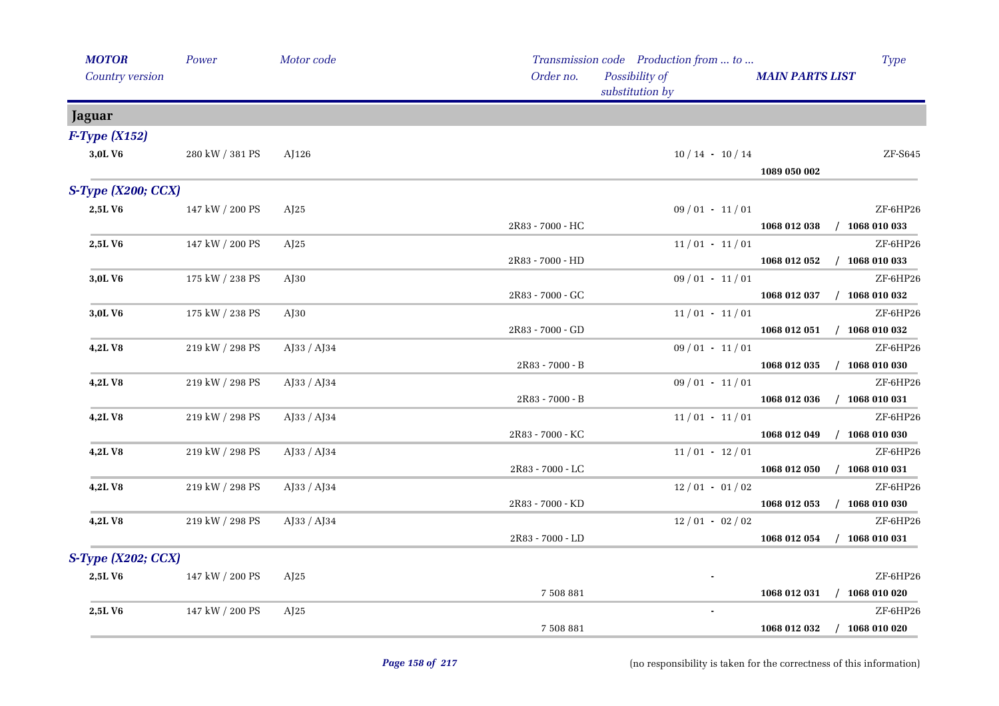| <b>MOTOR</b><br>Country version | Power           | Motor code     | Order no.        | Transmission code Production from  to<br>Possibility of<br>substitution by | <b>MAIN PARTS LIST</b>      | <b>Type</b>                 |
|---------------------------------|-----------------|----------------|------------------|----------------------------------------------------------------------------|-----------------------------|-----------------------------|
| <b>Jaguar</b>                   |                 |                |                  |                                                                            |                             |                             |
| $F$ -Type (X152)                |                 |                |                  |                                                                            |                             |                             |
| 3,0LV6                          | 280 kW / 381 PS | AJ126          |                  | $10/14$ · $10/14$                                                          | 1089 050 002                | ZF-S645                     |
| $S$ -Type (X200; CCX)           |                 |                |                  |                                                                            |                             |                             |
| 2,5LV6                          | 147 kW / 200 PS | AI25           | 2R83 - 7000 - HC | $09/01 - 11/01$                                                            | 1068 012 038 / 1068 010 033 | ZF-6HP26                    |
| 2,5LV6                          | 147 kW / 200 PS | AJ25           |                  | $11/01 - 11/01$                                                            |                             | ZF-6HP26                    |
|                                 |                 |                | 2R83 - 7000 - HD |                                                                            | 1068 012 052                | $/$ 1068 010 033            |
| 3,0LV6                          | 175 kW / 238 PS | AJ30           |                  | $09/01 - 11/01$                                                            |                             | ZF-6HP26                    |
|                                 |                 |                | 2R83 - 7000 - GC |                                                                            | 1068 012 037 / 1068 010 032 |                             |
| 3,0LV6                          | 175 kW / 238 PS | $A$ J $30$     |                  | $11/01 - 11/01$                                                            |                             | ZF-6HP26                    |
|                                 |                 |                | 2R83 - 7000 - GD |                                                                            |                             | 1068 012 051 / 1068 010 032 |
| <b>4,2LV8</b>                   | 219 kW / 298 PS | AJ33 / AJ34    |                  | $09/01 - 11/01$                                                            |                             | ZF-6HP26                    |
|                                 |                 |                | 2R83 - 7000 - B  |                                                                            |                             | 1068 012 035 / 1068 010 030 |
| <b>4,2LV8</b>                   | 219 kW / 298 PS | AJ33 / AJ34    |                  | $09/01 - 11/01$                                                            |                             | ZF-6HP26                    |
|                                 |                 |                | 2R83 - 7000 - B  |                                                                            |                             | 1068 012 036 / 1068 010 031 |
| 4,2LV8                          | 219 kW / 298 PS | $A$ [33 / A]34 |                  | $11/01 - 11/01$                                                            |                             | ZF-6HP26                    |
|                                 |                 |                | 2R83 - 7000 - KC |                                                                            |                             | 1068 012 049 / 1068 010 030 |
| 4,2LV8                          | 219 kW / 298 PS | AJ33 / AJ34    |                  | $11/01 - 12/01$                                                            |                             | ZF-6HP26                    |
|                                 |                 |                | 2R83 - 7000 - LC |                                                                            | 1068 012 050                | $/$ 1068 010 031            |
| 4,2LV8                          | 219 kW / 298 PS | AJ33 / AJ34    |                  | $12/01 - 01/02$                                                            |                             | ZF-6HP26                    |
|                                 |                 |                | 2R83 - 7000 - KD |                                                                            |                             | 1068 012 053 / 1068 010 030 |
| <b>4,2LV8</b>                   | 219 kW / 298 PS | AJ33 / AJ34    |                  | $12/01 - 02/02$                                                            |                             | ZF-6HP26                    |
|                                 |                 |                | 2R83 - 7000 - LD |                                                                            | 1068 012 054                | $/$ 1068 010 031            |
| S-Type (X202; CCX)              |                 |                |                  |                                                                            |                             |                             |
| 2,5LV6                          | 147 kW / 200 PS | AJ25           |                  |                                                                            |                             | ZF-6HP26                    |
|                                 |                 |                | 7 508 881        |                                                                            |                             | 1068 012 031 / 1068 010 020 |
| 2,5LV6                          | 147 kW / 200 PS | AJ25           |                  |                                                                            |                             | ZF-6HP26                    |
|                                 |                 |                | 7 508 881        |                                                                            | 1068 012 032 / 1068 010 020 |                             |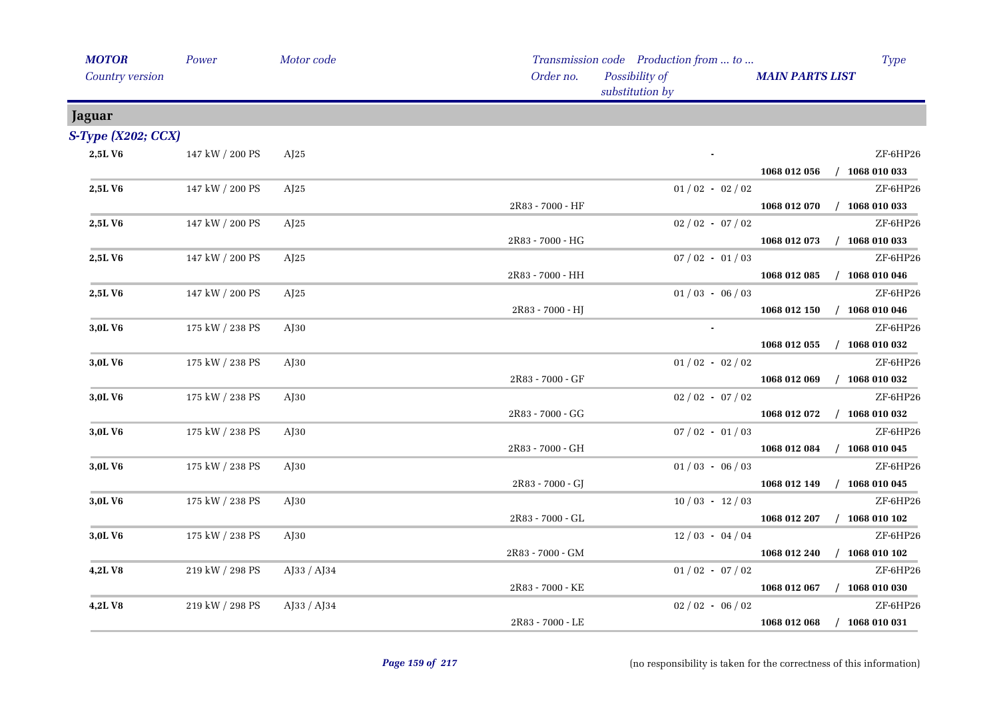| <b>MOTOR</b>          | Power           | Motor code  |                  | Transmission code Production from  to |                        | <b>Type</b>                 |
|-----------------------|-----------------|-------------|------------------|---------------------------------------|------------------------|-----------------------------|
| Country version       |                 |             | Order no.        | Possibility of<br>substitution by     | <b>MAIN PARTS LIST</b> |                             |
| Jaguar                |                 |             |                  |                                       |                        |                             |
| $S$ -Type (X202; CCX) |                 |             |                  |                                       |                        |                             |
| 2,5LV6                | 147 kW / 200 PS | AI25        |                  |                                       |                        | ZF-6HP26                    |
|                       |                 |             |                  |                                       | 1068 012 056           | $/$ 1068 010 033            |
| 2,5LV6                | 147 kW / 200 PS | AJ25        |                  | $01/02 - 02/02$                       |                        | ZF-6HP26                    |
|                       |                 |             | 2R83 - 7000 - HF |                                       | 1068 012 070           | $/$ 1068 010 033            |
| 2,5LV6                | 147 kW / 200 PS | AJ25        |                  | $02 / 02 - 07 / 02$                   |                        | ZF-6HP26                    |
|                       |                 |             | 2R83 - 7000 - HG |                                       | 1068 012 073           | $/$ 1068 010 033            |
| 2,5LV6                | 147 kW / 200 PS | AI25        |                  | $07/02 - 01/03$                       |                        | ZF-6HP26                    |
|                       |                 |             | 2R83 - 7000 - HH |                                       | 1068 012 085           | $/$ 1068 010 046            |
| 2,5LV6                | 147 kW / 200 PS | AJ25        |                  | $01/03 - 06/03$                       |                        | ZF-6HP26                    |
|                       |                 |             | 2R83 - 7000 - HJ |                                       | 1068 012 150           | $/$ 1068 010 046            |
| 3,0LV6                | 175 kW / 238 PS | $A$ J30     |                  | $\sim$                                |                        | ZF-6HP26                    |
|                       |                 |             |                  |                                       | 1068 012 055           | $/$ 1068 010 032            |
| 3,0L V6               | 175 kW / 238 PS | $A$ J $30$  |                  | $01/02 - 02/02$                       |                        | ZF-6HP26                    |
|                       |                 |             | 2R83 - 7000 - GF |                                       | 1068 012 069           | $/$ 1068 010 032            |
| 3,0LV6                | 175 kW / 238 PS | $A$ J $30$  |                  | $02 / 02 - 07 / 02$                   |                        | ZF-6HP26                    |
|                       |                 |             | 2R83 - 7000 - GG |                                       |                        | 1068 012 072 / 1068 010 032 |
| 3,0LV6                | 175 kW / 238 PS | $A$ J $30$  |                  | $07/02 - 01/03$                       |                        | ZF-6HP26                    |
|                       |                 |             | 2R83 - 7000 - GH |                                       |                        | 1068 012 084 / 1068 010 045 |
| 3,0LV6                | 175 kW / 238 PS | $A$ J $30$  |                  | $01/03 - 06/03$                       |                        | ZF-6HP26                    |
|                       |                 |             | 2R83 - 7000 - GJ |                                       | 1068 012 149           | $/$ 1068 010 045            |
| 3,0LV6                | 175 kW / 238 PS | $A$ J $30$  |                  | $10/03 - 12/03$                       |                        | ZF-6HP26                    |
|                       |                 |             | 2R83 - 7000 - GL |                                       | 1068 012 207           | $/$ 1068 010 102            |
| 3,0LV6                | 175 kW / 238 PS | $A$ [30     |                  | $12/03 - 04/04$                       |                        | ZF-6HP26                    |
|                       |                 |             | 2R83 - 7000 - GM |                                       | 1068 012 240           | $/$ 1068 010 102            |
| 4,2LV8                | 219 kW / 298 PS | AJ33 / AJ34 |                  | $01/02 - 07/02$                       |                        | ZF-6HP26                    |
|                       |                 |             | 2R83 - 7000 - KE |                                       | 1068 012 067           | $/$ 1068 010 030            |
| 4,2LV8                | 219 kW / 298 PS | AJ33 / AJ34 |                  | $02/02 - 06/02$                       |                        | ZF-6HP26                    |
|                       |                 |             | 2R83 - 7000 - LE |                                       | 1068 012 068           | $/$ 1068 010 031            |

 $\blacksquare$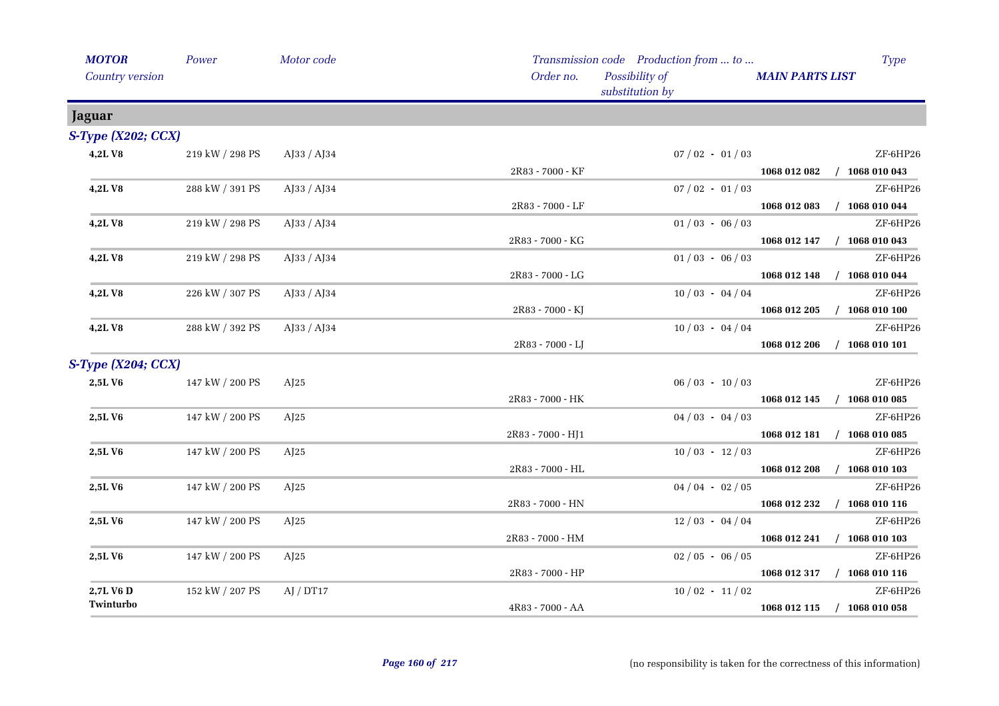| <b>MOTOR</b>       | Power           | Motor code                 |                   | Transmission code Production from  to | <b>Type</b>                      |
|--------------------|-----------------|----------------------------|-------------------|---------------------------------------|----------------------------------|
| Country version    |                 |                            | Order no.         | Possibility of<br>substitution by     | <b>MAIN PARTS LIST</b>           |
| Jaguar             |                 |                            |                   |                                       |                                  |
| S-Type (X202; CCX) |                 |                            |                   |                                       |                                  |
| 4,2LV8             | 219 kW / 298 PS | AJ33 / AJ34                |                   | $07/02 - 01/03$                       | ZF-6HP26                         |
|                    |                 |                            | 2R83 - 7000 - KF  |                                       | 1068 012 082 / 1068 010 043      |
| 4,2LV8             | 288 kW / 391 PS | AJ33 / AJ34                |                   | $07/02 - 01/03$                       | ZF-6HP26                         |
|                    |                 |                            | 2R83 - 7000 - LF  |                                       | 1068 012 083<br>$/$ 1068 010 044 |
| 4,2LV8             | 219 kW / 298 PS | AJ33 / AJ34                |                   | $01/03 - 06/03$                       | ZF-6HP26                         |
|                    |                 |                            | 2R83 - 7000 - KG  |                                       | 1068 012 147 / 1068 010 043      |
| 4,2LV8             | 219 kW / 298 PS | AJ33 / AJ34                |                   | $01/03 - 06/03$                       | ZF-6HP26                         |
|                    |                 |                            | 2R83 - 7000 - LG  |                                       | 1068 012 148 / 1068 010 044      |
| 4,2LV8             | 226 kW / 307 PS | AJ33 / AJ34                |                   | $10/03 - 04/04$                       | ZF-6HP26                         |
|                    |                 |                            | 2R83 - 7000 - KJ  |                                       | 1068 012 205<br>$/$ 1068 010 100 |
| 4,2LV8             | 288 kW / 392 PS | $A$ [33 / A] <sup>34</sup> |                   | $10/03 - 04/04$                       | ZF-6HP26                         |
|                    |                 |                            | 2R83 - 7000 - LJ  |                                       | $/$ 1068 010 101<br>1068 012 206 |
| S-Type (X204; CCX) |                 |                            |                   |                                       |                                  |
| 2,5LV6             | 147 kW / 200 PS | AI25                       |                   | $06/03 - 10/03$                       | ZF-6HP26                         |
|                    |                 |                            | 2R83 - 7000 - HK  |                                       | 1068 012 145 / 1068 010 085      |
| 2,5LV6             | 147 kW / 200 PS | AI25                       |                   | $04/03 - 04/03$                       | ZF-6HP26                         |
|                    |                 |                            | 2R83 - 7000 - HJ1 |                                       | 1068 012 181 / 1068 010 085      |
| 2,5LV6             | 147 kW / 200 PS | AI25                       |                   | $10/03 - 12/03$                       | ZF-6HP26                         |
|                    |                 |                            | 2R83 - 7000 - HL  |                                       | $/$ 1068 010 103<br>1068 012 208 |
| 2,5LV6             | 147 kW / 200 PS | AI25                       |                   | $04/04 - 02/05$                       | ZF-6HP26                         |
|                    |                 |                            | 2R83 - 7000 - HN  |                                       | $/$ 1068 010 116<br>1068 012 232 |
| 2,5LV6             | 147 kW / 200 PS | AI25                       |                   | $12/03 - 04/04$                       | ZF-6HP26                         |
|                    |                 |                            | 2R83 - 7000 - HM  |                                       | $/$ 1068 010 103<br>1068 012 241 |
| 2,5LV6             | 147 kW / 200 PS | AI25                       |                   | $02/05 - 06/05$                       | ZF-6HP26                         |
|                    |                 |                            | 2R83 - 7000 - HP  |                                       | 1068 012 317 / 1068 010 116      |
| 2,7L V6 D          | 152 kW / 207 PS | AJ / DT17                  |                   | $10/02 - 11/02$                       | ZF-6HP26                         |
| Twinturbo          |                 |                            | 4R83 - 7000 - AA  |                                       | 1068 012 115 / 1068 010 058      |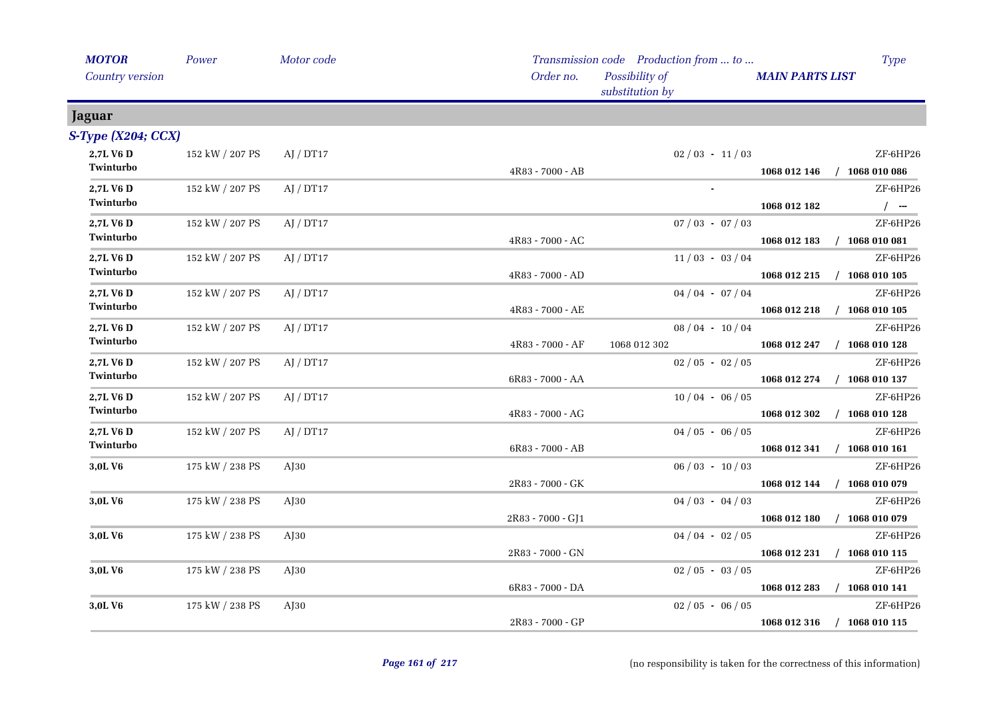| <b>MOTOR</b>       | Power           | Motor code |                   | Transmission code Production from  to |                        | <b>Type</b>                 |
|--------------------|-----------------|------------|-------------------|---------------------------------------|------------------------|-----------------------------|
| Country version    |                 |            | Order no.         | Possibility of<br>substitution by     | <b>MAIN PARTS LIST</b> |                             |
| Jaguar             |                 |            |                   |                                       |                        |                             |
| S-Type (X204; CCX) |                 |            |                   |                                       |                        |                             |
| 2,7L V6 D          | 152 kW / 207 PS | AJ / DT17  |                   | $02/03 - 11/03$                       |                        | ZF-6HP26                    |
| Twinturbo          |                 |            | 4R83 - 7000 - AB  |                                       |                        | 1068 012 146 / 1068 010 086 |
| 2,7L V6 D          | 152 kW / 207 PS | AI / DT17  |                   | $\sim$                                |                        | ZF-6HP26                    |
| Twinturbo          |                 |            |                   |                                       | 1068 012 182           | $/$ -                       |
| 2,7L V6 D          | 152 kW / 207 PS | AJ / DT17  |                   | $07/03 - 07/03$                       |                        | ZF-6HP26                    |
| Twinturbo          |                 |            | 4R83 - 7000 - AC  |                                       |                        | 1068 012 183 / 1068 010 081 |
| 2,7L V6 D          | 152 kW / 207 PS | AJ / DT17  |                   | $11/03 - 03/04$                       |                        | ZF-6HP26                    |
| Twinturbo          |                 |            | 4R83 - 7000 - AD  |                                       |                        | 1068 012 215 / 1068 010 105 |
| 2,7L V6 D          | 152 kW / 207 PS | AI / DT17  |                   | $04/04 - 07/04$                       |                        | ZF-6HP26                    |
| Twinturbo          |                 |            | 4R83 - 7000 - AE  |                                       |                        | 1068 012 218 / 1068 010 105 |
| 2,7L V6 D          | 152 kW / 207 PS | AJ / DT17  |                   | $08/04 - 10/04$                       |                        | ZF-6HP26                    |
| Twinturbo          |                 |            | 4R83 - 7000 - AF  | 1068 012 302                          |                        | 1068 012 247 / 1068 010 128 |
| 2,7L V6 D          | 152 kW / 207 PS | AJ / DT17  |                   | $02/05 - 02/05$                       |                        | ZF-6HP26                    |
| Twinturbo          |                 |            | 6R83 - 7000 - AA  |                                       |                        | 1068 012 274 / 1068 010 137 |
| 2,7L V6 D          | 152 kW / 207 PS | AJ / DT17  |                   | $10/04 - 06/05$                       |                        | ZF-6HP26                    |
| Twinturbo          |                 |            | 4R83 - 7000 - AG  |                                       | 1068 012 302           | $/$ 1068 010 128            |
| 2,7L V6 D          | 152 kW / 207 PS | AI / DT17  |                   | $04/05 - 06/05$                       |                        | ZF-6HP26                    |
| Twinturbo          |                 |            | 6R83 - 7000 - AB  |                                       |                        | 1068 012 341 / 1068 010 161 |
| 3,0L V6            | 175 kW / 238 PS | $A$ J $30$ |                   | $06/03 - 10/03$                       |                        | ZF-6HP26                    |
|                    |                 |            | 2R83 - 7000 - GK  |                                       |                        | 1068 012 144 / 1068 010 079 |
| 3,0L V6            | 175 kW / 238 PS | AJ30       |                   | $04/03 - 04/03$                       |                        | ZF-6HP26                    |
|                    |                 |            | 2R83 - 7000 - GJ1 |                                       | 1068 012 180           | $/$ 1068 010 079            |
| 3,0L V6            | 175 kW / 238 PS | $A$ [30    |                   | $04/04 - 02/05$                       |                        | ZF-6HP26                    |
|                    |                 |            | 2R83 - 7000 - GN  |                                       | 1068 012 231           | $/$ 1068 010 115            |
| 3,0L V6            | 175 kW / 238 PS | $A$ [30    |                   | $02/05 - 03/05$                       |                        | ZF-6HP26                    |
|                    |                 |            | 6R83 - 7000 - DA  |                                       | 1068 012 283           | $/$ 1068 010 141            |
| 3,0L V6            | 175 kW / 238 PS | $A$ [30    |                   | $02/05 - 06/05$                       |                        | ZF-6HP26                    |
|                    |                 |            | 2R83 - 7000 - GP  |                                       | 1068 012 316           | $/$ 1068 010 115            |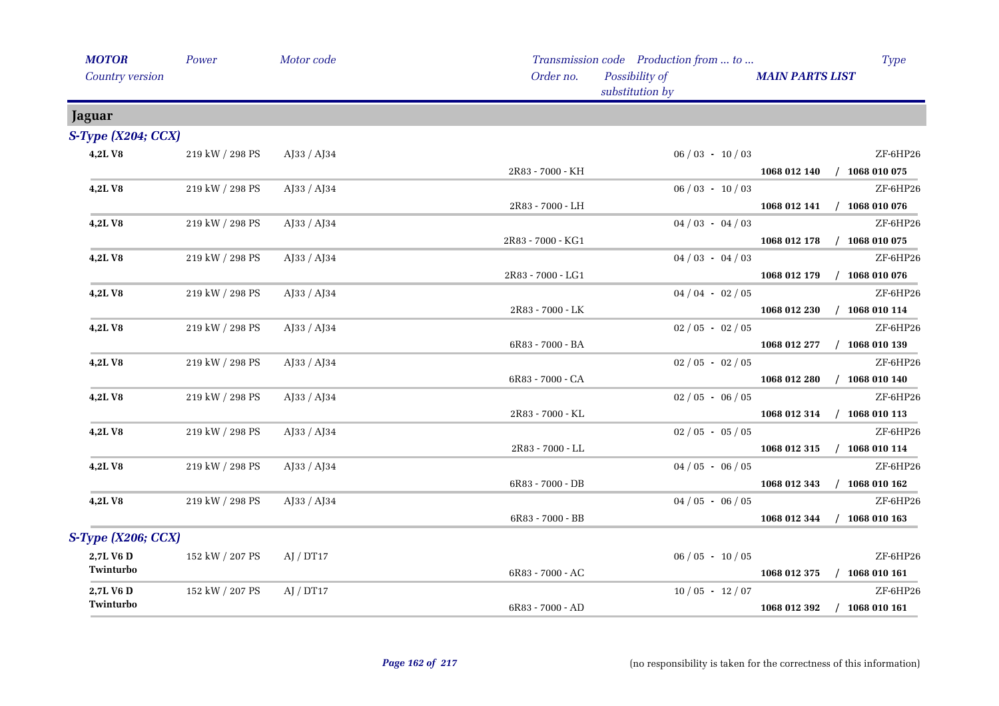| <b>MOTOR</b>           | Power           | Motor code  |                   | Transmission code Production from  to | <b>Type</b>                      |
|------------------------|-----------------|-------------|-------------------|---------------------------------------|----------------------------------|
| <b>Country version</b> |                 |             | Order no.         | Possibility of<br>substitution by     | <b>MAIN PARTS LIST</b>           |
| <b>Jaguar</b>          |                 |             |                   |                                       |                                  |
| S-Type (X204; CCX)     |                 |             |                   |                                       |                                  |
| 4,2LV8                 | 219 kW / 298 PS | AJ33 / AJ34 |                   | $06/03 - 10/03$                       | ZF-6HP26                         |
|                        |                 |             | 2R83 - 7000 - KH  |                                       | 1068 012 140 / 1068 010 075      |
| 4,2LV8                 | 219 kW / 298 PS | AJ33 / AJ34 |                   | $06/03 - 10/03$                       | ZF-6HP26                         |
|                        |                 |             | 2R83 - 7000 - LH  |                                       | 1068 012 141 / 1068 010 076      |
| 4,2LV8                 | 219 kW / 298 PS | AJ33 / AJ34 |                   | $04/03 - 04/03$                       | ZF-6HP26                         |
|                        |                 |             | 2R83 - 7000 - KG1 |                                       | 1068 012 178 / 1068 010 075      |
| 4,2LV8                 | 219 kW / 298 PS | AJ33 / AJ34 |                   | $04/03 - 04/03$                       | ZF-6HP26                         |
|                        |                 |             | 2R83 - 7000 - LG1 |                                       | 1068 012 179 / 1068 010 076      |
| 4,2LV8                 | 219 kW / 298 PS | AJ33 / AJ34 |                   | $04/04 - 02/05$                       | ZF-6HP26                         |
|                        |                 |             | 2R83 - 7000 - LK  |                                       | $/$ 1068 010 114<br>1068 012 230 |
| <b>4,2LV8</b>          | 219 kW / 298 PS | AJ33 / AJ34 |                   | $02/05 - 02/05$                       | ZF-6HP26                         |
|                        |                 |             | 6R83 - 7000 - BA  |                                       | 1068 012 277 / 1068 010 139      |
| 4,2LV8                 | 219 kW / 298 PS | AJ33 / AJ34 |                   | $02/05 - 02/05$                       | ZF-6HP26                         |
|                        |                 |             | 6R83 - 7000 - CA  |                                       | 1068 012 280 / 1068 010 140      |
| 4,2LV8                 | 219 kW / 298 PS | AJ33 / AJ34 |                   | $02/05 - 06/05$                       | ZF-6HP26                         |
|                        |                 |             | 2R83 - 7000 - KL  |                                       | 1068 012 314 / 1068 010 113      |
| 4,2LV8                 | 219 kW / 298 PS | AJ33 / AJ34 |                   | $02/05 - 05/05$                       | ZF-6HP26                         |
|                        |                 |             | 2R83 - 7000 - LL  |                                       | 1068 012 315 / 1068 010 114      |
| 4,2LV8                 | 219 kW / 298 PS | AJ33 / AJ34 |                   | $04/05 - 06/05$                       | ZF-6HP26                         |
|                        |                 |             | 6R83 - 7000 - DB  |                                       | 1068 012 343 / 1068 010 162      |
| 4,2LV8                 | 219 kW / 298 PS | AJ33 / AJ34 |                   | $04/05 - 06/05$                       | ZF-6HP26                         |
|                        |                 |             | 6R83 - 7000 - BB  |                                       | 1068 012 344<br>$/$ 1068 010 163 |
| S-Type (X206; CCX)     |                 |             |                   |                                       |                                  |
| 2,7L V6 D              | 152 kW / 207 PS | AJ / DT17   |                   | $06/05 - 10/05$                       | ZF-6HP26                         |
| Twinturbo              |                 |             | 6R83 - 7000 - AC  |                                       | 1068 012 375 / 1068 010 161      |
| 2,7L V6 D              | 152 kW / 207 PS | AJ / DT17   |                   | $10/05 - 12/07$                       | ZF-6HP26                         |
| Twinturbo              |                 |             | 6R83 - 7000 - AD  |                                       | 1068 012 392<br>$/$ 1068 010 161 |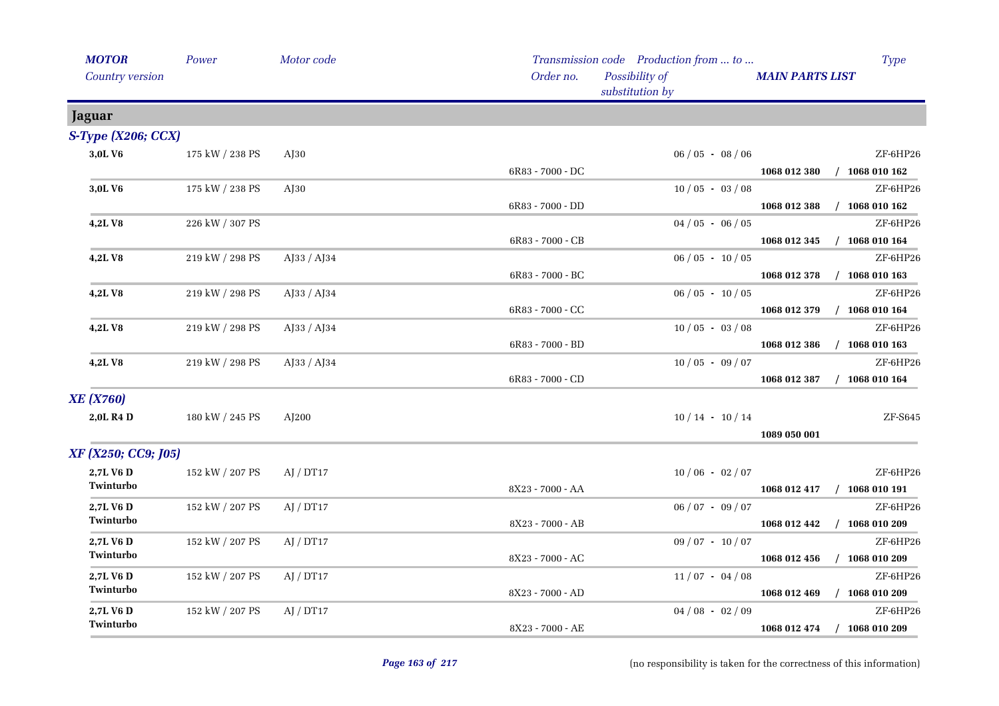| <b>MOTOR</b>              | Power           | Motor code                 |                  | Transmission code Production from  to |                        | <b>Type</b>                 |
|---------------------------|-----------------|----------------------------|------------------|---------------------------------------|------------------------|-----------------------------|
| Country version           |                 |                            | Order no.        | Possibility of<br>substitution by     | <b>MAIN PARTS LIST</b> |                             |
| Jaguar                    |                 |                            |                  |                                       |                        |                             |
| S-Type (X206; CCX)        |                 |                            |                  |                                       |                        |                             |
| 3,0LV6                    | 175 kW / 238 PS | AJ30                       |                  | $06/05 - 08/06$                       |                        | ZF-6HP26                    |
|                           |                 |                            | 6R83 - 7000 - DC |                                       | 1068 012 380           | $/$ 1068 010 162            |
| 3,0L V6                   | 175 kW / 238 PS | $A$ [30                    |                  | $10/05 - 03/08$                       |                        | ZF-6HP26                    |
|                           |                 |                            | 6R83 - 7000 - DD |                                       | 1068 012 388           | $/$ 1068 010 162            |
| 4,2LV8                    | 226 kW / 307 PS |                            |                  | $04/05 - 06/05$                       |                        | ZF-6HP26                    |
|                           |                 |                            | 6R83 - 7000 - CB |                                       | 1068 012 345           | $/$ 1068 010 164            |
| 4,2LV8                    | 219 kW / 298 PS | $A$ [33 / A] <sup>34</sup> |                  | $06/05 - 10/05$                       |                        | ZF-6HP26                    |
|                           |                 |                            | 6R83 - 7000 - BC |                                       | 1068 012 378           | $/$ 1068 010 163            |
| 4,2LV8                    | 219 kW / 298 PS | $A$ J33 / $A$ J34          |                  | $06/05 - 10/05$                       |                        | ZF-6HP26                    |
|                           |                 |                            | 6R83 - 7000 - CC |                                       | 1068 012 379           | $/$ 1068 010 164            |
| 4,2LV8                    | 219 kW / 298 PS | AJ33 / AJ34                |                  | $10/05 - 03/08$                       |                        | ZF-6HP26                    |
|                           |                 |                            | 6R83 - 7000 - BD |                                       | 1068 012 386           | $/$ 1068 010 163            |
| 4,2LV8                    | 219 kW / 298 PS | AJ33 / AJ34                |                  | $10/05 - 09/07$                       |                        | ZF-6HP26                    |
|                           |                 |                            | 6R83 - 7000 - CD |                                       | 1068 012 387           | $/$ 1068 010 164            |
| <b>XE</b> ( <b>X760</b> ) |                 |                            |                  |                                       |                        |                             |
| 2,0L R4 D                 | 180 kW / 245 PS | AJ200                      |                  | $10/14 - 10/14$                       |                        | $ZF-5645$                   |
|                           |                 |                            |                  |                                       | 1089 050 001           |                             |
| XF (X250; CC9; J05)       |                 |                            |                  |                                       |                        |                             |
| 2,7L V6 D                 | 152 kW / 207 PS | AJ / DT17                  |                  | $10/06 - 02/07$                       |                        | ZF-6HP26                    |
| Twinturbo                 |                 |                            | 8X23 - 7000 - AA |                                       |                        | 1068 012 417 / 1068 010 191 |
| 2,7L V6 D                 | 152 kW / 207 PS | AJ / DT17                  |                  | $06/07 - 09/07$                       |                        | ZF-6HP26                    |
| Twinturbo                 |                 |                            | 8X23 - 7000 - AB |                                       | 1068 012 442           | $/$ 1068 010 209            |
| 2,7L V6 D                 | 152 kW / 207 PS | AJ / DT17                  |                  | $09/07 - 10/07$                       |                        | ZF-6HP26                    |
| Twinturbo                 |                 |                            | 8X23 - 7000 - AC |                                       | 1068 012 456           | $/$ 1068 010 209            |
| 2,7L V6 D                 | 152 kW / 207 PS | AI / DT17                  |                  | $11/07 - 04/08$                       |                        | ZF-6HP26                    |
| Twinturbo                 |                 |                            | 8X23 - 7000 - AD |                                       | 1068 012 469           | $/$ 1068 010 209            |
| 2,7L V6 D                 | 152 kW / 207 PS | AJ / DT17                  |                  | $04/08 - 02/09$                       |                        | ZF-6HP26                    |
| Twinturbo                 |                 |                            | 8X23 - 7000 - AE |                                       | 1068 012 474           | $/$ 1068 010 209            |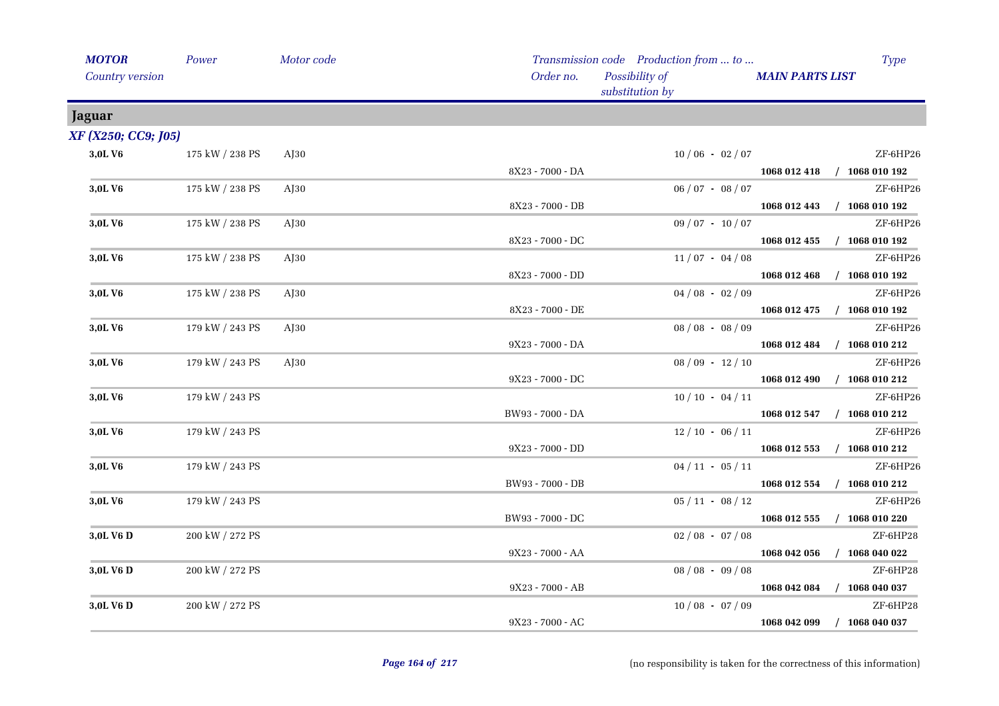| <b>MOTOR</b>        | Power           | Motor code |                    | Transmission code Production from  to |                        | <b>Type</b>                 |
|---------------------|-----------------|------------|--------------------|---------------------------------------|------------------------|-----------------------------|
| Country version     |                 |            | Order no.          | Possibility of<br>substitution by     | <b>MAIN PARTS LIST</b> |                             |
| <b>Jaguar</b>       |                 |            |                    |                                       |                        |                             |
| XF (X250; CC9; [05) |                 |            |                    |                                       |                        |                             |
| 3,0LV6              | 175 kW / 238 PS | $A$ [30    |                    | $10/06 - 02/07$                       |                        | ZF-6HP26                    |
|                     |                 |            | 8X23 - 7000 - DA   |                                       |                        | 1068 012 418 / 1068 010 192 |
| 3,0LV6              | 175 kW / 238 PS | $A$ [30    |                    | $06 / 07 - 08 / 07$                   |                        | ZF-6HP26                    |
|                     |                 |            | 8X23 - 7000 - DB   |                                       |                        | 1068 012 443 / 1068 010 192 |
| 3,0L V6             | 175 kW / 238 PS | $A$ J $30$ |                    | $09/07 - 10/07$                       |                        | ZF-6HP26                    |
|                     |                 |            | 8X23 - 7000 - DC   |                                       |                        | 1068 012 455 / 1068 010 192 |
| 3,0LV6              | 175 kW / 238 PS | $A$ [30    |                    | $11/07 - 04/08$                       |                        | ZF-6HP26                    |
|                     |                 |            | 8X23 - 7000 - DD   |                                       |                        | 1068 012 468 / 1068 010 192 |
| 3,0LV6              | 175 kW / 238 PS | $A$ J $30$ |                    | $04/08 - 02/09$                       |                        | ZF-6HP26                    |
|                     |                 |            | 8X23 - 7000 - DE   |                                       |                        | 1068 012 475 / 1068 010 192 |
| 3,0LV6              | 179 kW / 243 PS | $A$ J30    |                    | $08 / 08 - 08 / 09$                   |                        | ZF-6HP26                    |
|                     |                 |            | 9X23 - 7000 - DA   |                                       |                        | 1068 012 484 / 1068 010 212 |
| 3,0L V <sub>6</sub> | 179 kW / 243 PS | $A$ [30    |                    | $08/09 - 12/10$                       |                        | ZF-6HP26                    |
|                     |                 |            | 9X23 - 7000 - DC   |                                       |                        | 1068 012 490 / 1068 010 212 |
| 3,0L V6             | 179 kW / 243 PS |            |                    | $10/10 - 04/11$                       |                        | ZF-6HP26                    |
|                     |                 |            | BW93 - 7000 - DA   |                                       |                        | 1068 012 547 / 1068 010 212 |
| 3,0L V <sub>6</sub> | 179 kW / 243 PS |            |                    | $12/10 - 06/11$                       |                        | ZF-6HP26                    |
|                     |                 |            | 9X23 - 7000 - DD   |                                       | 1068 012 553           | $/$ 1068 010 212            |
| 3,0LV6              | 179 kW / 243 PS |            |                    | $04/11 - 05/11$                       |                        | ZF-6HP26                    |
|                     |                 |            | BW93 - 7000 - DB   |                                       |                        | 1068 012 554 / 1068 010 212 |
| 3,0L V6             | 179 kW / 243 PS |            |                    | $05/11 - 08/12$                       |                        | ZF-6HP26                    |
|                     |                 |            | BW93 - 7000 - DC   |                                       | 1068 012 555           | $/$ 1068 010 220            |
| 3,0L V6 D           | 200 kW / 272 PS |            |                    | $02/08 - 07/08$                       |                        | ZF-6HP28                    |
|                     |                 |            | 9X23 - 7000 - AA   |                                       | 1068 042 056           | $/$ 1068 040 022            |
| 3,0L V6 D           | 200 kW / 272 PS |            |                    | $08 / 08 - 09 / 08$                   |                        | ZF-6HP28                    |
|                     |                 |            | 9X23 - 7000 - AB   |                                       |                        | 1068 042 084 / 1068 040 037 |
| 3,0L V6 D           | 200 kW / 272 PS |            |                    | $10/08 - 07/09$                       |                        | ZF-6HP28                    |
|                     |                 |            | $9X23 - 7000 - AC$ |                                       | 1068 042 099           | $/$ 1068 040 037            |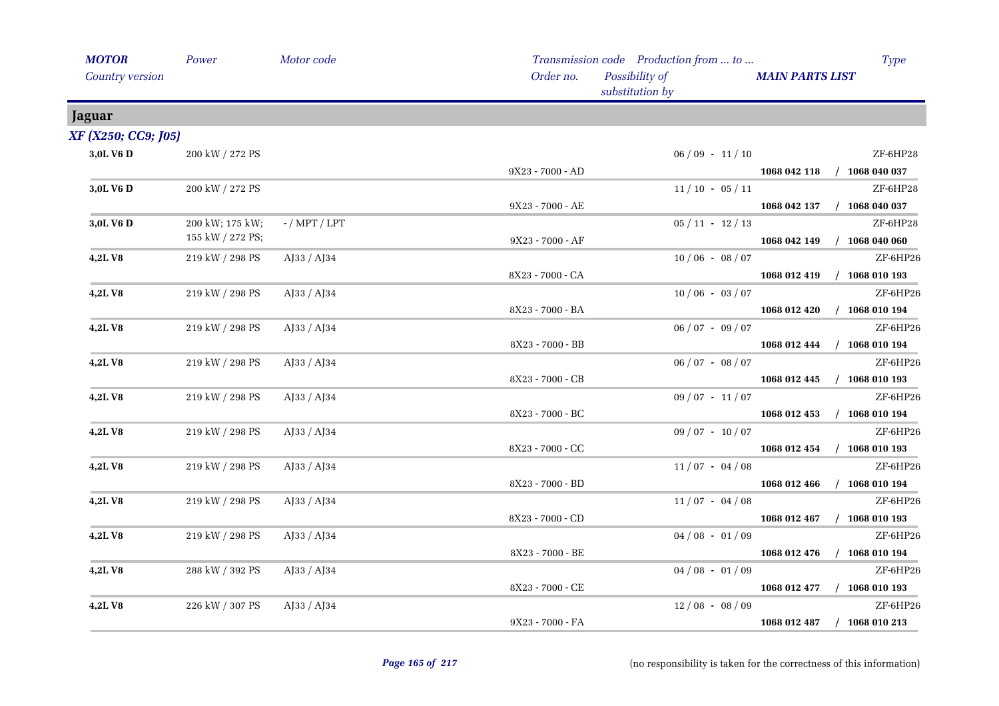| <b>MOTOR</b>           | Power            | Motor code      |                    | Transmission code Production from  to |                        | <b>Type</b>                 |
|------------------------|------------------|-----------------|--------------------|---------------------------------------|------------------------|-----------------------------|
| <b>Country version</b> |                  |                 | Order no.          | Possibility of<br>substitution by     | <b>MAIN PARTS LIST</b> |                             |
| Jaguar                 |                  |                 |                    |                                       |                        |                             |
| XF (X250; CC9; J05)    |                  |                 |                    |                                       |                        |                             |
| 3,0L V6 D              | 200 kW / 272 PS  |                 |                    | $06/09 - 11/10$                       |                        | ZF-6HP28                    |
|                        |                  |                 | $9X23 - 7000 - AD$ |                                       |                        | 1068 042 118 / 1068 040 037 |
| 3,0L V6 D              | 200 kW / 272 PS  |                 |                    | $11/10 - 05/11$                       |                        | ZF-6HP28                    |
|                        |                  |                 | 9X23 - 7000 - AE   |                                       |                        | 1068 042 137 / 1068 040 037 |
| 3,0L V6 D              | 200 kW; 175 kW;  | $-$ / MPT / LPT |                    | $05/11 - 12/13$                       |                        | ZF-6HP28                    |
|                        | 155 kW / 272 PS; |                 | 9X23 - 7000 - AF   |                                       |                        | 1068 042 149 / 1068 040 060 |
| 4,2LV8                 | 219 kW / 298 PS  | $A$ [33 / A]34  |                    | $10/06 - 08/07$                       |                        | ZF-6HP26                    |
|                        |                  |                 | 8X23 - 7000 - CA   |                                       |                        | 1068 012 419 / 1068 010 193 |
| 4,2LV8                 | 219 kW / 298 PS  | AJ33 / AJ34     |                    | $10/06 - 03/07$                       |                        | ZF-6HP26                    |
|                        |                  |                 | 8X23 - 7000 - BA   |                                       |                        | 1068 012 420 / 1068 010 194 |
| 4,2LV8                 | 219 kW / 298 PS  | AJ33 / AJ34     |                    | $06/07 - 09/07$                       |                        | ZF-6HP26                    |
|                        |                  |                 | 8X23 - 7000 - BB   |                                       |                        | 1068 012 444 / 1068 010 194 |
| 4,2LV8                 | 219 kW / 298 PS  | AJ33 / AJ34     |                    | $06 / 07 - 08 / 07$                   |                        | ZF-6HP26                    |
|                        |                  |                 | 8X23 - 7000 - CB   |                                       |                        | 1068 012 445 / 1068 010 193 |
| 4,2LV8                 | 219 kW / 298 PS  | AJ33 / AJ34     |                    | $09/07 - 11/07$                       |                        | ZF-6HP26                    |
|                        |                  |                 | 8X23 - 7000 - BC   |                                       |                        | 1068 012 453 / 1068 010 194 |
| 4,2LV8                 | 219 kW / 298 PS  | $A$ [33 / A]34  |                    | $09/07 - 10/07$                       |                        | ZF-6HP26                    |
|                        |                  |                 | 8X23 - 7000 - CC   |                                       |                        | 1068 012 454 / 1068 010 193 |
| <b>4,2LV8</b>          | 219 kW / 298 PS  | AJ33 / AJ34     |                    | $11/07 - 04/08$                       |                        | ZF-6HP26                    |
|                        |                  |                 | 8X23 - 7000 - BD   |                                       |                        | 1068 012 466 / 1068 010 194 |
| 4,2LV8                 | 219 kW / 298 PS  | $A$ [33 / A]34  |                    | $11/07 - 04/08$                       |                        | ZF-6HP26                    |
|                        |                  |                 | 8X23 - 7000 - CD   |                                       |                        | 1068 012 467 / 1068 010 193 |
| 4,2LV8                 | 219 kW / 298 PS  | AJ33 / AJ34     |                    | $04/08 - 01/09$                       |                        | ZF-6HP26                    |
|                        |                  |                 | 8X23 - 7000 - BE   |                                       | 1068 012 476           | $/$ 1068 010 194            |
| 4,2LV8                 | 288 kW / 392 PS  | AJ33 / AJ34     |                    | $04/08 - 01/09$                       |                        | ZF-6HP26                    |
|                        |                  |                 | 8X23 - 7000 - CE   |                                       |                        | 1068 012 477 / 1068 010 193 |
| 4,2LV8                 | 226 kW / 307 PS  | AJ33 / AJ34     |                    | $12/08 - 08/09$                       |                        | ZF-6HP26                    |
|                        |                  |                 | 9X23 - 7000 - FA   |                                       | 1068 012 487           | $/$ 1068 010 213            |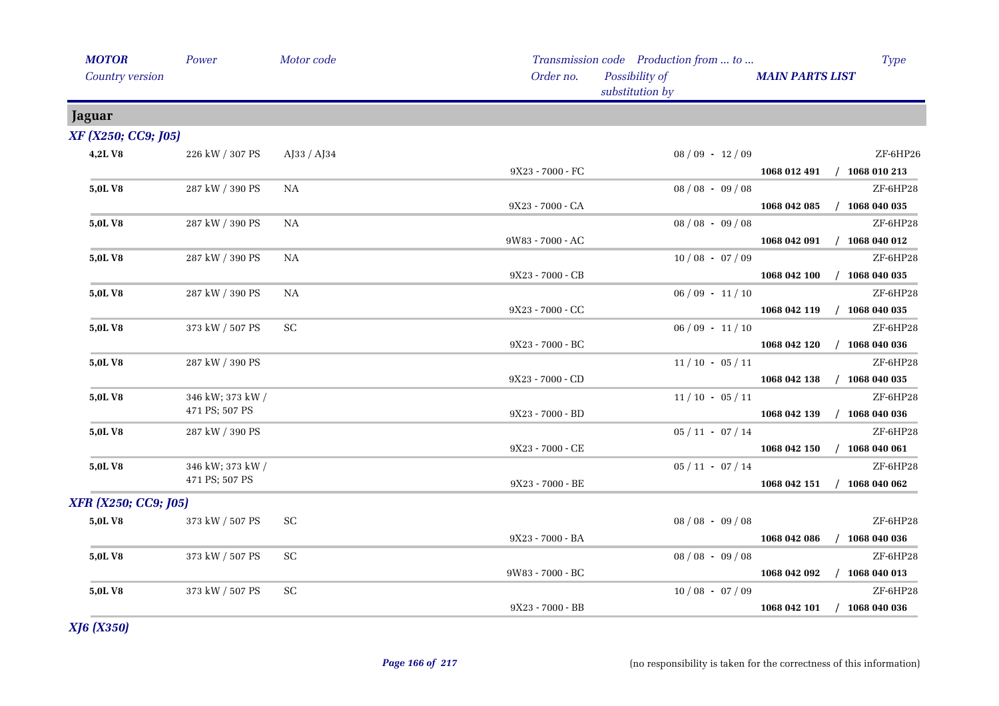| <b>MOTOR</b>         | Power                              | Motor code          |                  | Transmission code Production from  to |                        | <b>Type</b>                 |
|----------------------|------------------------------------|---------------------|------------------|---------------------------------------|------------------------|-----------------------------|
| Country version      |                                    |                     | Order no.        | Possibility of<br>substitution by     | <b>MAIN PARTS LIST</b> |                             |
| Jaguar               |                                    |                     |                  |                                       |                        |                             |
| XF (X250; CC9; J05)  |                                    |                     |                  |                                       |                        |                             |
| 4,2LV8               | 226 kW / 307 PS                    | AJ33 / AJ34         |                  | $08/09 - 12/09$                       |                        | ZF-6HP26                    |
|                      |                                    |                     | 9X23 - 7000 - FC |                                       |                        | 1068 012 491 / 1068 010 213 |
| 5,0L V8              | 287 kW / 390 PS                    | NA                  |                  | $08/08 - 09/08$                       |                        | ZF-6HP28                    |
|                      |                                    |                     | 9X23 - 7000 - CA |                                       |                        | 1068 042 085 / 1068 040 035 |
| 5,0LV8               | 287 kW / 390 PS                    | <b>NA</b>           |                  | $08/08 - 09/08$                       |                        | ZF-6HP28                    |
|                      |                                    |                     | 9W83 - 7000 - AC |                                       |                        | 1068 042 091 / 1068 040 012 |
| 5,0LV8               | 287 kW / 390 PS                    | NA                  |                  | $10/08 - 07/09$                       |                        | ZF-6HP28                    |
|                      |                                    |                     | 9X23 - 7000 - CB |                                       | 1068 042 100           | $/$ 1068 040 035            |
| 5,0L V8              | 287 kW / 390 PS                    | NA                  |                  | $06/09 - 11/10$                       |                        | ZF-6HP28                    |
|                      |                                    |                     | 9X23 - 7000 - CC |                                       |                        | 1068 042 119 / 1068 040 035 |
| 5,0L V8              | 373 kW / 507 PS                    | SC                  |                  | $06/09 - 11/10$                       |                        | ZF-6HP28                    |
|                      |                                    |                     | 9X23 - 7000 - BC |                                       | 1068 042 120           | $/$ 1068 040 036            |
| 5,0L V8              | 287 kW / 390 PS                    |                     |                  | $11/10 - 05/11$                       |                        | ZF-6HP28                    |
|                      |                                    |                     | 9X23 - 7000 - CD |                                       |                        | 1068 042 138 / 1068 040 035 |
| 5,0L V8              | 346 kW; 373 kW /<br>471 PS; 507 PS |                     |                  | $11/10 - 05/11$                       |                        | ZF-6HP28                    |
|                      |                                    |                     | 9X23 - 7000 - BD |                                       |                        | 1068 042 139 / 1068 040 036 |
| 5,0LV8               | 287 kW / 390 PS                    |                     |                  | $05 / 11 - 07 / 14$                   |                        | ZF-6HP28                    |
|                      |                                    |                     | 9X23 - 7000 - CE |                                       |                        | 1068 042 150 / 1068 040 061 |
| 5,0L V8              | 346 kW; 373 kW /<br>471 PS; 507 PS |                     |                  | $05/11 - 07/14$                       |                        | ZF-6HP28                    |
|                      |                                    |                     | 9X23 - 7000 - BE |                                       | 1068 042 151           | $/$ 1068 040 062            |
| XFR (X250; CC9; J05) |                                    |                     |                  |                                       |                        |                             |
| 5,0LV8               | 373 kW / 507 PS                    | $\operatorname{SC}$ |                  | $08/08 - 09/08$                       |                        | ZF-6HP28                    |
|                      |                                    |                     | 9X23 - 7000 - BA |                                       |                        | 1068 042 086 / 1068 040 036 |
| 5,0L V8              | 373 kW / 507 PS                    | SC                  |                  | $08/08 - 09/08$                       |                        | ZF-6HP28                    |
|                      |                                    |                     | 9W83 - 7000 - BC |                                       |                        | 1068 042 092 / 1068 040 013 |
| 5,0L V8              | 373 kW / 507 PS                    | <b>SC</b>           |                  | $10/08 - 07/09$                       |                        | ZF-6HP28                    |
|                      |                                    |                     | 9X23 - 7000 - BB |                                       |                        | 1068 042 101 / 1068 040 036 |

*XJ6 (X350)*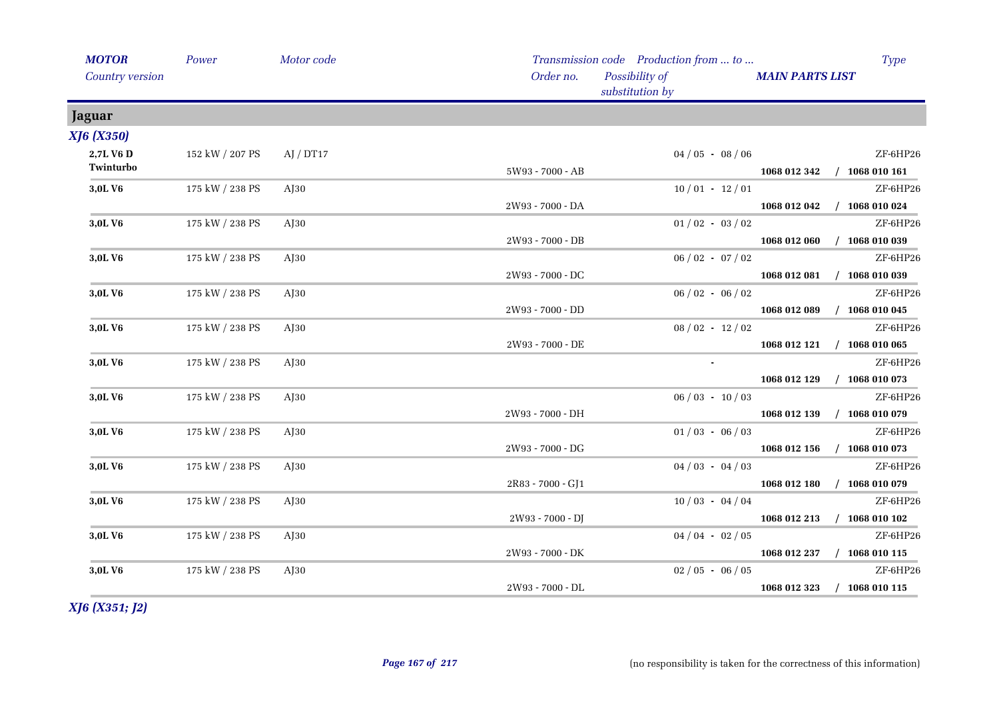| <b>MOTOR</b>           | Power           | Motor code |                   | Transmission code Production from  to | <b>Type</b>                             |  |
|------------------------|-----------------|------------|-------------------|---------------------------------------|-----------------------------------------|--|
| Country version        |                 |            | Order no.         | Possibility of<br>substitution by     | <b>MAIN PARTS LIST</b>                  |  |
| <b>Jaguar</b>          |                 |            |                   |                                       |                                         |  |
| <b>XJ6 (X350)</b>      |                 |            |                   |                                       |                                         |  |
| 2,7L V6 D<br>Twinturbo | 152 kW / 207 PS | AJ / DT17  | 5W93 - 7000 - AB  | $04/05 - 08/06$                       | ZF-6HP26<br>1068 012 342 / 1068 010 161 |  |
| 3,0LV6                 | 175 kW / 238 PS | $A$ [30    |                   | $10/01 - 12/01$                       | ZF-6HP26                                |  |
|                        |                 |            | 2W93 - 7000 - DA  |                                       | 1068 012 042 / 1068 010 024             |  |
| 3,0LV6                 | 175 kW / 238 PS | $A$ J $30$ |                   | $01/02 - 03/02$                       | ZF-6HP26                                |  |
|                        |                 |            | 2W93 - 7000 - DB  |                                       | $/$ 1068 010 039<br>1068 012 060        |  |
| 3,0LV6                 | 175 kW / 238 PS | $A$ [30    |                   | $06/02 - 07/02$                       | ZF-6HP26                                |  |
|                        |                 |            | 2W93 - 7000 - DC  |                                       | $/$ 1068 010 039<br>1068 012 081        |  |
| 3,0LV6                 | 175 kW / 238 PS | $A$ [30    |                   | $06/02 - 06/02$                       | ZF-6HP26                                |  |
|                        |                 |            | 2W93 - 7000 - DD  |                                       | 1068 012 089 / 1068 010 045             |  |
| 3,0LV6                 | 175 kW / 238 PS | $A$ [30    |                   | $08/02 - 12/02$                       | ZF-6HP26                                |  |
|                        |                 |            | 2W93 - 7000 - DE  |                                       | 1068 012 121 / 1068 010 065             |  |
| 3,0L V6                | 175 kW / 238 PS | $A$ J $30$ |                   | $\sim$                                | ZF-6HP26                                |  |
|                        |                 |            |                   |                                       | $/$ 1068 010 073<br>1068 012 129        |  |
| 3,0LV6                 | 175 kW / 238 PS | $A$ J $30$ |                   | $06/03 - 10/03$                       | ZF-6HP26                                |  |
|                        |                 |            | 2W93 - 7000 - DH  |                                       | 1068 012 139 / 1068 010 079             |  |
| 3,0LV6                 | 175 kW / 238 PS | $A$ J $30$ |                   | $01/03 - 06/03$                       | ZF-6HP26                                |  |
|                        |                 |            | 2W93 - 7000 - DG  |                                       | $/$ 1068 010 073<br>1068 012 156        |  |
| 3,0L V6                | 175 kW / 238 PS | $A$ J $30$ |                   | $04/03 - 04/03$                       | ZF-6HP26                                |  |
|                        |                 |            | 2R83 - 7000 - GJ1 |                                       | 1068 012 180<br>$/$ 1068 010 079        |  |
| 3,0L V6                | 175 kW / 238 PS | $A$ [30    |                   | $10/03 - 04/04$                       | ZF-6HP26                                |  |
|                        |                 |            | 2W93 - 7000 - DJ  |                                       | 1068 012 213 / 1068 010 102             |  |
| 3,0LV6                 | 175 kW / 238 PS | $A$ [30    |                   | $04/04 - 02/05$                       | ZF-6HP26                                |  |
|                        |                 |            | 2W93 - 7000 - DK  |                                       | 1068 012 237<br>$/$ 1068 010 115        |  |
| 3,0L V6                | 175 kW / 238 PS | $A$ [30    |                   | $02/05 - 06/05$                       | ZF-6HP26                                |  |
|                        |                 |            | 2W93 - 7000 - DL  |                                       | 1068 012 323<br>$/$ 1068 010 115        |  |

*XJ6 (X351; J2)*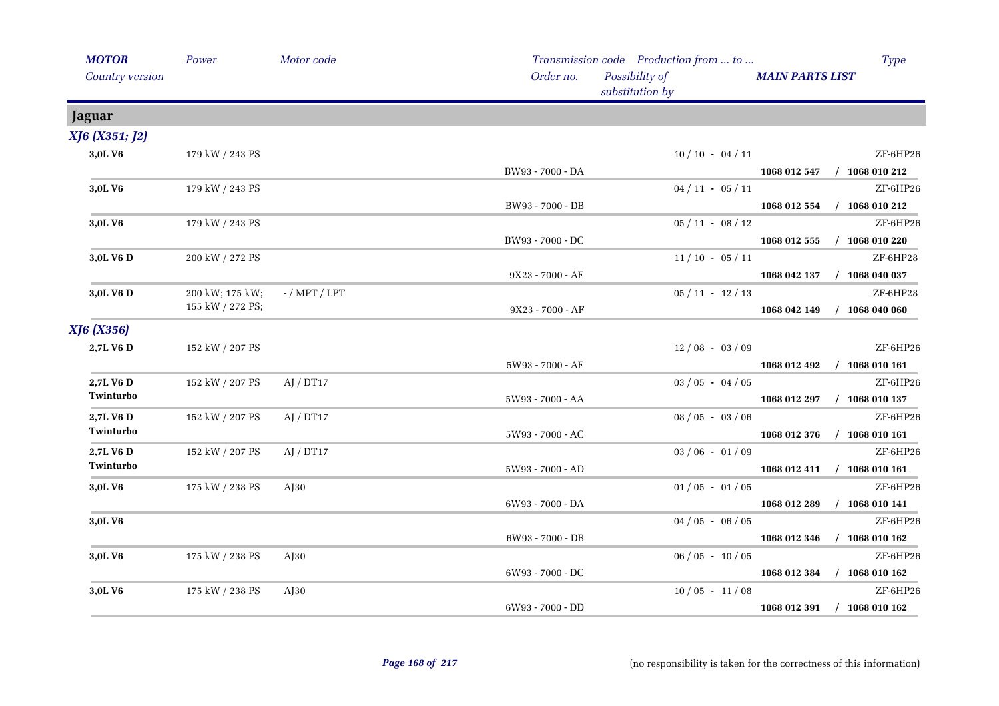| <b>MOTOR</b>      | Power            | Motor code      |                          | Transmission code Production from  to | <b>Type</b>                      |
|-------------------|------------------|-----------------|--------------------------|---------------------------------------|----------------------------------|
| Country version   |                  |                 | Order no.                | Possibility of<br>substitution by     | <b>MAIN PARTS LIST</b>           |
| Jaguar            |                  |                 |                          |                                       |                                  |
| XJ6 (X351; J2)    |                  |                 |                          |                                       |                                  |
| 3,0LV6            | 179 kW / 243 PS  |                 |                          | $10/10 - 04/11$                       | ZF-6HP26                         |
|                   |                  |                 | BW93 - 7000 - DA         |                                       | 1068 012 547 / 1068 010 212      |
| 3,0LV6            | 179 kW / 243 PS  |                 |                          | $04 / 11 - 05 / 11$                   | ZF-6HP26                         |
|                   |                  |                 | BW93 - 7000 - DB         |                                       | $/$ 1068 010 212<br>1068 012 554 |
| 3,0L V6           | 179 kW / 243 PS  |                 |                          | $05 / 11 - 08 / 12$                   | ZF-6HP26                         |
|                   |                  |                 | BW93 - 7000 - DC         |                                       | $/$ 1068 010 220<br>1068 012 555 |
| 3,0L V6 D         | 200 kW / 272 PS  |                 |                          | $11/10 - 05/11$                       | ZF-6HP28                         |
|                   |                  |                 | 9X23 - 7000 - AE         |                                       | 1068 042 137<br>$/$ 1068 040 037 |
| 3,0L V6 D         | 200 kW; 175 kW;  | $-$ / MPT / LPT |                          | $05 / 11 - 12 / 13$                   | ZF-6HP28                         |
|                   | 155 kW / 272 PS; |                 | 9X23 - 7000 - AF         |                                       | $/$ 1068 040 060<br>1068 042 149 |
| <b>XJ6</b> (X356) |                  |                 |                          |                                       |                                  |
| 2,7L V6 D         | 152 kW / 207 PS  |                 |                          | $12/08 - 03/09$                       | ZF-6HP26                         |
|                   |                  |                 | 5W93 - 7000 - AE         |                                       | 1068 012 492 / 1068 010 161      |
| 2,7L V6 D         | 152 kW / 207 PS  | AJ / DT17       |                          | $03 / 05 - 04 / 05$                   | ZF-6HP26                         |
| Twinturbo         |                  |                 | 5W93 - 7000 - AA         |                                       | $/$ 1068 010 137<br>1068 012 297 |
| 2,7L V6 D         | 152 kW / 207 PS  | AI / DT17       |                          | $08/05 - 03/06$                       | ZF-6HP26                         |
| Twinturbo         |                  |                 | 5W93 - 7000 - AC         |                                       | $/$ 1068 010 161<br>1068 012 376 |
| 2,7L V6 D         | 152 kW / 207 PS  | AI / DT17       |                          | $03/06 - 01/09$                       | ZF-6HP26                         |
| Twinturbo         |                  |                 | 5W93 - 7000 - AD         |                                       | 1068 012 411 / 1068 010 161      |
| 3,0LV6            | 175 kW / 238 PS  | $A$ J $30$      |                          | $01/05 - 01/05$                       | ZF-6HP26                         |
|                   |                  |                 | $6\rm W93$ - $7000$ - DA |                                       | $/$ 1068 010 141<br>1068 012 289 |
| 3,0LV6            |                  |                 |                          | $04/05 - 06/05$                       | ZF-6HP26                         |
|                   |                  |                 | 6W93 - 7000 - DB         |                                       | $/$ 1068 010 162<br>1068 012 346 |
| 3,0L V6           | 175 kW / 238 PS  | $A$ [30         |                          | $06/05 - 10/05$                       | ZF-6HP26                         |
|                   |                  |                 | 6W93 - 7000 - DC         |                                       | 1068 012 384<br>$/$ 1068 010 162 |
| 3,0LV6            | 175 kW / 238 PS  | $A$ J30         |                          | $10/05 - 11/08$                       | ZF-6HP26                         |
|                   |                  |                 | 6W93 - 7000 - DD         |                                       | $/$ 1068 010 162<br>1068 012 391 |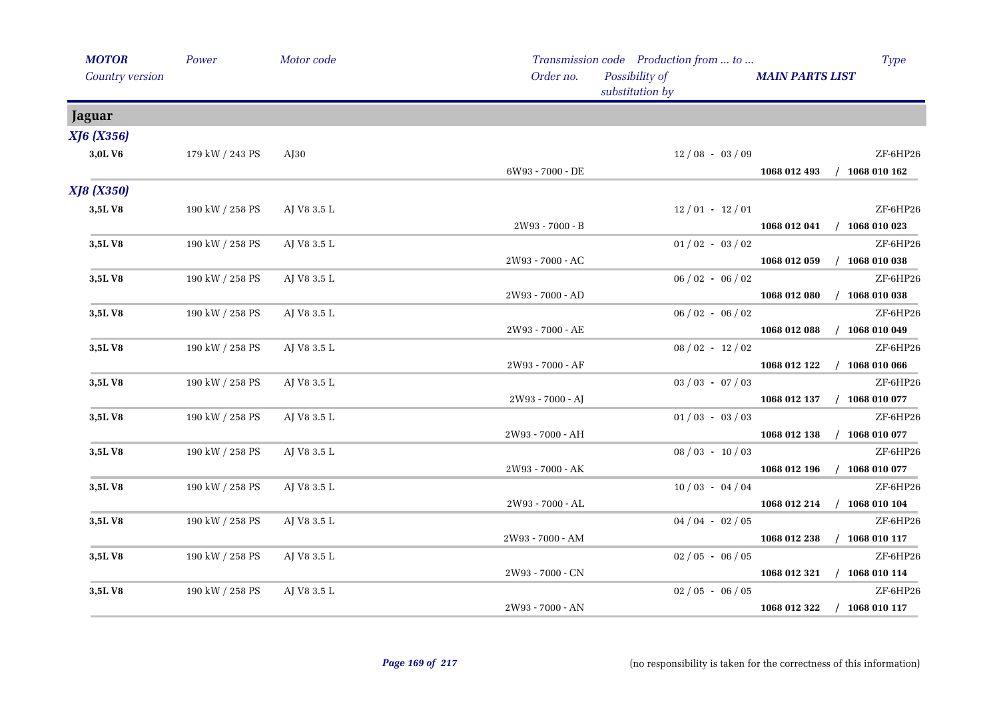| <b>MOTOR</b>      | Power           | Motor code  |                  | Transmission code Production from  to |                             | <b>Type</b>      |
|-------------------|-----------------|-------------|------------------|---------------------------------------|-----------------------------|------------------|
| Country version   |                 |             | Order no.        | Possibility of<br>substitution by     | <b>MAIN PARTS LIST</b>      |                  |
| Jaguar            |                 |             |                  |                                       |                             |                  |
| XJ6 (X356)        |                 |             |                  |                                       |                             |                  |
| 3,0LV6            | 179 kW / 243 PS | AJ30        |                  | $12/08 - 03/09$                       |                             | ZF-6HP26         |
|                   |                 |             | 6W93 - 7000 - DE |                                       | 1068 012 493 / 1068 010 162 |                  |
| <b>XJ8 (X350)</b> |                 |             |                  |                                       |                             |                  |
| 3,5LV8            | 190 kW / 258 PS | AJ V8 3.5 L |                  | $12/01 - 12/01$                       |                             | ZF-6HP26         |
|                   |                 |             | 2W93 - 7000 - B  |                                       | 1068 012 041                | $/$ 1068 010 023 |
| 3,5LV8            | 190 kW / 258 PS | AJ V8 3.5 L |                  | $01/02 - 03/02$                       |                             | ZF-6HP26         |
|                   |                 |             | 2W93 - 7000 - AC |                                       | 1068 012 059 / 1068 010 038 |                  |
| 3,5LV8            | 190 kW / 258 PS | AJ V8 3.5 L |                  | $06/02 - 06/02$                       |                             | ZF-6HP26         |
|                   |                 |             | 2W93 - 7000 - AD |                                       | 1068 012 080                | $/$ 1068 010 038 |
| 3,5LV8            | 190 kW / 258 PS | AJ V8 3.5 L |                  | $06 / 02 - 06 / 02$                   |                             | ZF-6HP26         |
|                   |                 |             | 2W93 - 7000 - AE |                                       | 1068 012 088                | $/$ 1068 010 049 |
| 3,5LV8            | 190 kW / 258 PS | AJ V8 3.5 L |                  | $08 / 02 - 12 / 02$                   |                             | ZF-6HP26         |
|                   |                 |             | 2W93 - 7000 - AF |                                       | 1068 012 122 / 1068 010 066 |                  |
| 3,5LV8            | 190 kW / 258 PS | AJ V8 3.5 L |                  | $03 / 03 - 07 / 03$                   |                             | ZF-6HP26         |
|                   |                 |             | 2W93 - 7000 - AJ |                                       | 1068 012 137 / 1068 010 077 |                  |
| 3,5LV8            | 190 kW / 258 PS | AJ V8 3.5 L |                  | $01/03 - 03/03$                       |                             | ZF-6HP26         |
|                   |                 |             | 2W93 - 7000 - AH |                                       | 1068 012 138 / 1068 010 077 |                  |
| 3,5LV8            | 190 kW / 258 PS | AJ V8 3.5 L |                  | $08 / 03 - 10 / 03$                   |                             | ZF-6HP26         |
|                   |                 |             | 2W93 - 7000 - AK |                                       | 1068 012 196 / 1068 010 077 |                  |
| 3,5LV8            | 190 kW / 258 PS | AJ V8 3.5 L |                  | $10/03 - 04/04$                       |                             | ZF-6HP26         |
|                   |                 |             | 2W93 - 7000 - AL |                                       | 1068 012 214 / 1068 010 104 |                  |
| 3,5LV8            | 190 kW / 258 PS | AJ V8 3.5 L |                  | $04/04 - 02/05$                       |                             | ZF-6HP26         |
|                   |                 |             | 2W93 - 7000 - AM |                                       | 1068 012 238                | $/$ 1068 010 117 |
| 3,5LV8            | 190 kW / 258 PS | AJ V8 3.5 L |                  | $02/05 - 06/05$                       |                             | ZF-6HP26         |
|                   |                 |             | 2W93 - 7000 - CN |                                       | 1068 012 321 / 1068 010 114 |                  |
| 3,5LV8            | 190 kW / 258 PS | AJ V8 3.5 L |                  | $02/05 - 06/05$                       |                             | ZF-6HP26         |
|                   |                 |             | 2W93 - 7000 - AN |                                       | 1068 012 322                | $/$ 1068 010 117 |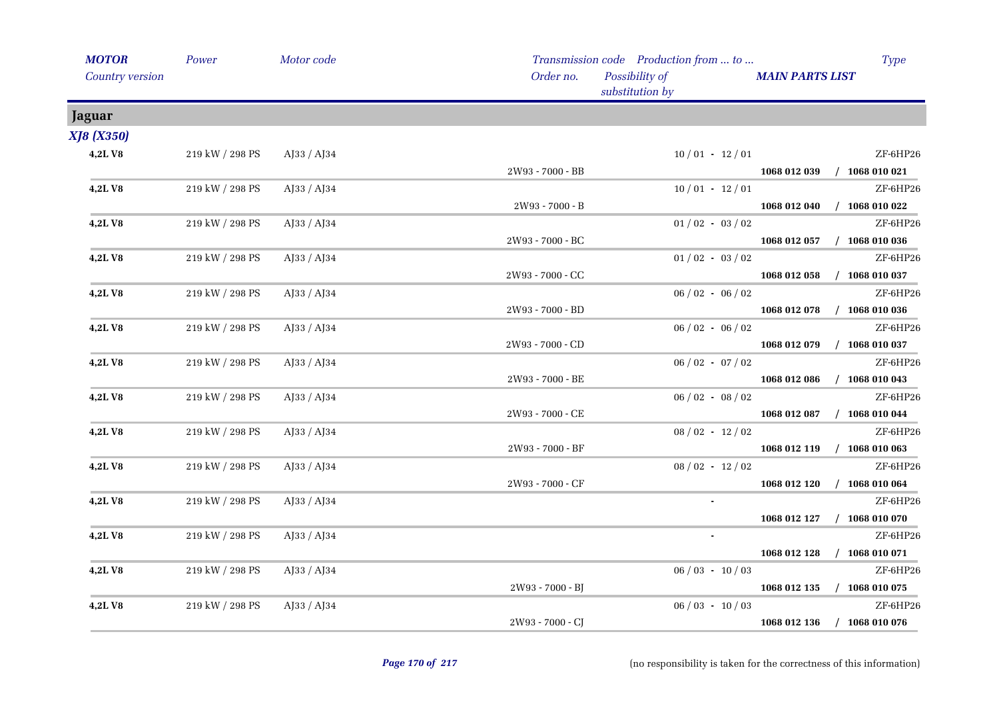| <b>MOTOR</b>      | Power                 | Motor code        |                  | Transmission code Production from  to | <b>Type</b>                      |
|-------------------|-----------------------|-------------------|------------------|---------------------------------------|----------------------------------|
| Country version   |                       |                   | Order no.        | Possibility of<br>substitution by     | <b>MAIN PARTS LIST</b>           |
| <b>Jaguar</b>     |                       |                   |                  |                                       |                                  |
| <b>XJ8 (X350)</b> |                       |                   |                  |                                       |                                  |
| 4,2LV8            | 219 kW / 298 PS       | AJ33 / AJ34       |                  | $10/01 - 12/01$                       | ZF-6HP26                         |
|                   |                       |                   | 2W93 - 7000 - BB |                                       | 1068 012 039 / 1068 010 021      |
| <b>4,2LV8</b>     | 219 kW / 298 PS       | AJ33 / AJ34       |                  | $10/01 - 12/01$                       | ZF-6HP26                         |
|                   |                       |                   | 2W93 - 7000 - B  |                                       | $/$ 1068 010 022<br>1068 012 040 |
| 4,2LV8            | 219 kW / 298 PS       | AJ33 / AJ34       |                  | $01/02 - 03/02$                       | ZF-6HP26                         |
|                   |                       |                   | 2W93 - 7000 - BC |                                       | $/$ 1068 010 036<br>1068 012 057 |
| 4,2LV8            | 219 kW / 298 PS       | $A$ J33 / $A$ J34 |                  | $01/02 - 03/02$                       | ZF-6HP26                         |
|                   |                       |                   | 2W93 - 7000 - CC |                                       | 1068 012 058<br>$/$ 1068 010 037 |
| 4,2LV8            | 219 kW / 298 PS       | AJ33 / AJ34       |                  | $06/02 - 06/02$                       | ZF-6HP26                         |
|                   |                       |                   | 2W93 - 7000 - BD |                                       | $/$ 1068 010 036<br>1068 012 078 |
| 4,2LV8            | 219 kW / 298 PS       | AJ33 / AJ34       |                  | $06/02 - 06/02$                       | ZF-6HP26                         |
|                   |                       |                   | 2W93 - 7000 - CD |                                       | $/$ 1068 010 037<br>1068 012 079 |
| 4,2LV8            | 219 kW / 298 PS       | AJ33 / AJ34       |                  | $06/02 - 07/02$                       | ZF-6HP26                         |
|                   |                       |                   | 2W93 - 7000 - BE |                                       | $/$ 1068 010 043<br>1068 012 086 |
| 4,2LV8            | 219 kW / 298 PS       | AJ33 / AJ34       |                  | $06/02 - 08/02$                       | ZF-6HP26                         |
|                   |                       |                   | 2W93 - 7000 - CE |                                       | $/$ 1068 010 044<br>1068 012 087 |
| 4,2LV8            | 219 kW / 298 PS       | $A$ [33 / A]34    |                  | $08/02 - 12/02$                       | ZF-6HP26                         |
|                   |                       |                   | 2W93 - 7000 - BF |                                       | $/$ 1068 010 063<br>1068 012 119 |
| 4,2LV8            | 219 kW / 298 PS       | AJ33 / AJ34       |                  | $08 / 02 - 12 / 02$                   | ZF-6HP26                         |
|                   |                       |                   | 2W93 - 7000 - CF |                                       | $/$ 1068 010 064<br>1068 012 120 |
| 4,2LV8            | 219 kW / 298 PS       | AJ33 / AJ34       |                  | $\mathbf{r}$                          | ZF-6HP26                         |
|                   |                       |                   |                  |                                       | 1068 012 127<br>$/$ 1068 010 070 |
| 4,2LV8            | 219 kW / 298 PS       | AJ33 / AJ34       |                  | $\sim$                                | ZF-6HP26                         |
|                   |                       |                   |                  |                                       | $/$ 1068 010 071<br>1068 012 128 |
| 4,2LV8            | 219 kW / 298 PS       | AJ33 / AJ34       |                  | $06/03 - 10/03$                       | ZF-6HP26                         |
|                   |                       |                   | 2W93 - 7000 - BJ |                                       | 1068 012 135 / 1068 010 075      |
| 4,2LV8            | $219$ kW $\!/$ 298 PS | AJ33 / AJ34       |                  | $06/03 - 10/03$                       | ZF-6HP26                         |
|                   |                       |                   | 2W93 - 7000 - CJ |                                       | 1068 012 136<br>$/$ 1068 010 076 |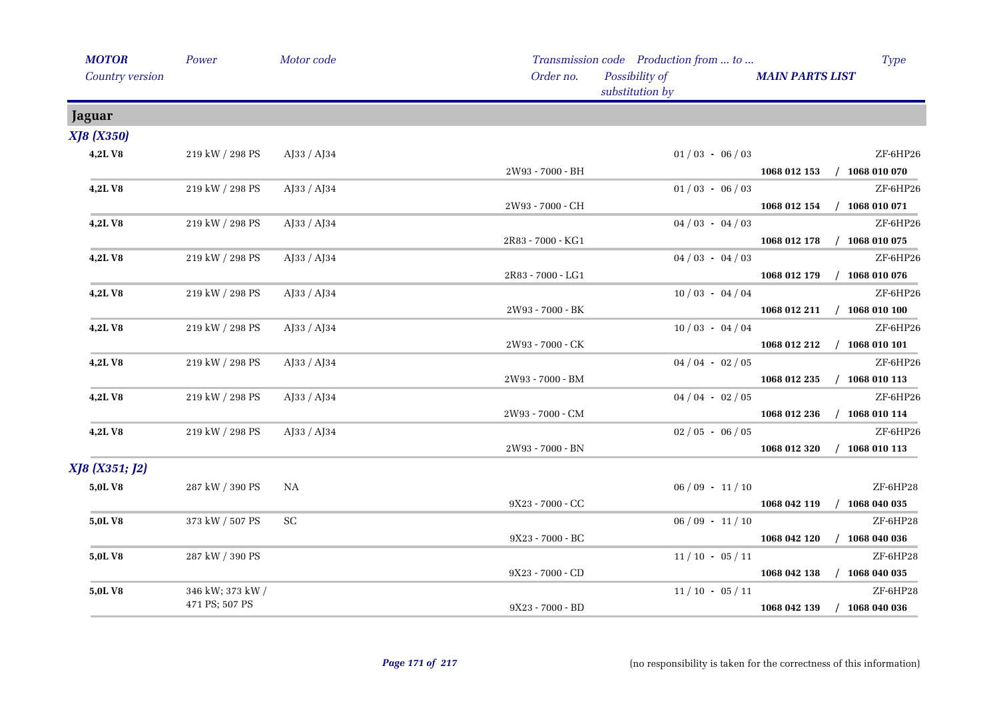| <b>MOTOR</b>      | Power                 | Motor code          |                                          | Transmission code Production from  to |                        | <b>Type</b>                 |
|-------------------|-----------------------|---------------------|------------------------------------------|---------------------------------------|------------------------|-----------------------------|
| Country version   |                       |                     | Order no.                                | Possibility of<br>substitution by     | <b>MAIN PARTS LIST</b> |                             |
| Jaguar            |                       |                     |                                          |                                       |                        |                             |
| <b>XJ8 (X350)</b> |                       |                     |                                          |                                       |                        |                             |
| 4,2LV8            | 219 kW / 298 PS       | AJ33 / AJ34         |                                          | $01/03 - 06/03$                       |                        | ZF-6HP26                    |
|                   |                       |                     | 2W93 - 7000 - BH                         |                                       |                        | 1068 012 153 / 1068 010 070 |
| 4,2LV8            | 219 kW / 298 PS       | AJ33 / AJ34         |                                          | $01/03 - 06/03$                       |                        | ZF-6HP26                    |
|                   |                       |                     | 2W93 - 7000 - CH                         |                                       |                        | 1068 012 154 / 1068 010 071 |
| 4,2LV8            | 219 kW / 298 PS       | AJ33 / AJ34         |                                          | $04/03 - 04/03$                       |                        | ZF-6HP26                    |
|                   |                       |                     | 2R83 - 7000 - KG1                        |                                       |                        | 1068 012 178 / 1068 010 075 |
| 4,2LV8            | 219 kW / 298 PS       | AJ33 / AJ34         |                                          | $04/03 - 04/03$                       |                        | ZF-6HP26                    |
|                   |                       |                     | 2R83 - 7000 - LG1                        |                                       |                        | 1068 012 179 / 1068 010 076 |
| 4,2LV8            | 219 kW / 298 PS       | AJ33 / AJ34         |                                          | $10/03 - 04/04$                       |                        | ZF-6HP26                    |
|                   |                       |                     | 2W93 - 7000 - BK                         |                                       |                        | 1068 012 211 / 1068 010 100 |
| 4,2LV8            | 219 kW / 298 PS       | AJ33 / AJ34         |                                          | $10/03 - 04/04$                       |                        | ZF-6HP26                    |
|                   |                       |                     | $2\mathrm{W}93$ - $7000$ - $\mathrm{CK}$ |                                       |                        | 1068 012 212 / 1068 010 101 |
| 4,2LV8            | 219 kW / 298 PS       | AJ33 / AJ34         |                                          | $04/04 - 02/05$                       |                        | ZF-6HP26                    |
|                   |                       |                     | 2W93 - 7000 - BM                         |                                       |                        | 1068 012 235 / 1068 010 113 |
| 4,2LV8            | 219 kW / 298 PS       | AJ33 / AJ34         |                                          | $04/04 - 02/05$                       |                        | ZF-6HP26                    |
|                   |                       |                     | 2W93 - 7000 - CM                         |                                       |                        | 1068 012 236 / 1068 010 114 |
| 4,2LV8            | 219 kW / 298 PS       | AJ33 / AJ34         |                                          | $02/05 - 06/05$                       |                        | ZF-6HP26                    |
|                   |                       |                     | 2W93 - 7000 - BN                         |                                       | 1068 012 320           | $/$ 1068 010 113            |
| XJ8 (X351; J2)    |                       |                     |                                          |                                       |                        |                             |
| 5,0L V8           | $287$ kW $\!/$ 390 PS | NA                  |                                          | $06/09 - 11/10$                       |                        | ZF-6HP28                    |
|                   |                       |                     | 9X23 - 7000 - CC                         |                                       |                        | 1068 042 119 / 1068 040 035 |
| 5,0L V8           | 373 kW / 507 PS       | $\operatorname{SC}$ |                                          | $06/09 - 11/10$                       |                        | ZF-6HP28                    |
|                   |                       |                     | 9X23 - 7000 - BC                         |                                       |                        | 1068 042 120 / 1068 040 036 |
| 5,0L V8           | 287 kW / 390 PS       |                     |                                          | $11/10 - 05/11$                       |                        | ZF-6HP28                    |
|                   |                       |                     | 9X23 - 7000 - CD                         |                                       |                        | 1068 042 138 / 1068 040 035 |
| 5,0L V8           | 346 kW; 373 kW /      |                     |                                          | $11/10 - 05/11$                       |                        | ZF-6HP28                    |
|                   | 471 PS; 507 PS        |                     | 9X23 - 7000 - BD                         |                                       |                        | 1068 042 139 / 1068 040 036 |
|                   |                       |                     |                                          |                                       |                        |                             |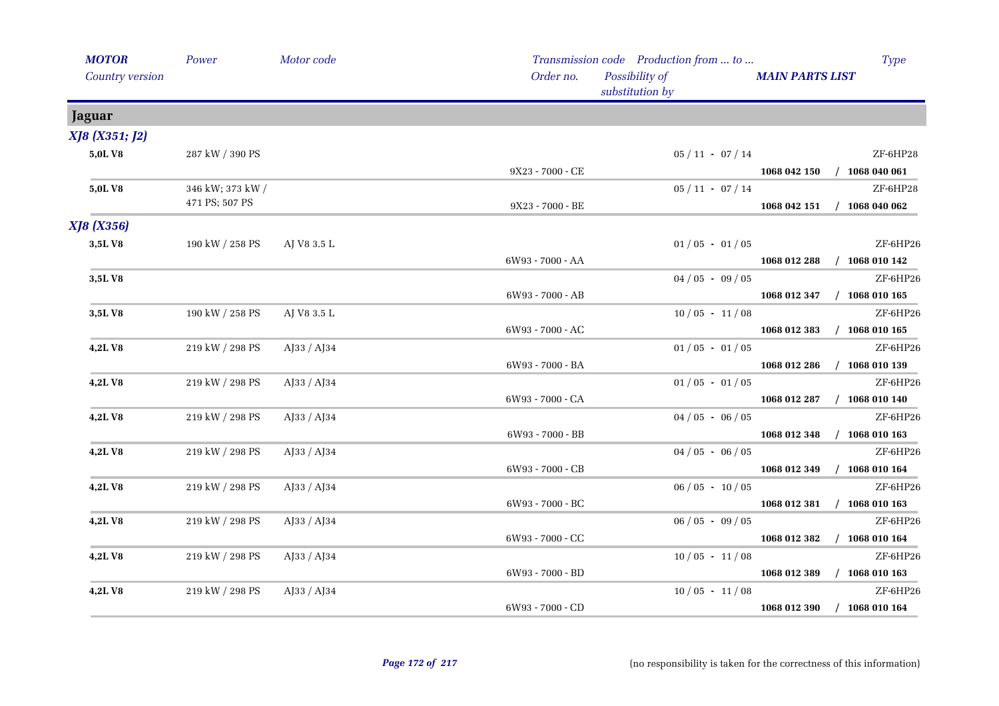| <b>MOTOR</b>      | Power            | Motor code     |                  | Transmission code Production from  to |                             | <b>Type</b>      |
|-------------------|------------------|----------------|------------------|---------------------------------------|-----------------------------|------------------|
| Country version   |                  |                | Order no.        | Possibility of<br>substitution by     | <b>MAIN PARTS LIST</b>      |                  |
| <b>Jaguar</b>     |                  |                |                  |                                       |                             |                  |
| XJ8 (X351; J2)    |                  |                |                  |                                       |                             |                  |
| 5,0LV8            | 287 kW / 390 PS  |                |                  | $05 / 11 - 07 / 14$                   |                             | ZF-6HP28         |
|                   |                  |                | 9X23 - 7000 - CE |                                       | 1068 042 150 / 1068 040 061 |                  |
| 5,0LV8            | 346 kW; 373 kW / |                |                  | $05 / 11 - 07 / 14$                   |                             | ZF-6HP28         |
|                   | 471 PS; 507 PS   |                | 9X23 - 7000 - BE |                                       | 1068 042 151                | $/$ 1068 040 062 |
| <b>XJ8</b> (X356) |                  |                |                  |                                       |                             |                  |
| 3,5LV8            | 190 kW / 258 PS  | AJ V8 3.5 L    |                  | $01/05 - 01/05$                       |                             | ZF-6HP26         |
|                   |                  |                | 6W93 - 7000 - AA |                                       | 1068 012 288                | $/$ 1068 010 142 |
| 3,5LV8            |                  |                |                  | $04/05 - 09/05$                       |                             | ZF-6HP26         |
|                   |                  |                | 6W93 - 7000 - AB |                                       | 1068 012 347                | $/$ 1068 010 165 |
| 3,5LV8            | 190 kW / 258 PS  | AJ V8 3.5 L    |                  | $10/05 - 11/08$                       |                             | ZF-6HP26         |
|                   |                  |                | 6W93 - 7000 - AC |                                       | 1068 012 383                | $/$ 1068 010 165 |
| 4,2LV8            | 219 kW / 298 PS  | AJ33 / AJ34    |                  | $01/05 - 01/05$                       |                             | ZF-6HP26         |
|                   |                  |                | 6W93 - 7000 - BA |                                       | 1068 012 286                | $/$ 1068 010 139 |
| 4,2LV8            | 219 kW / 298 PS  | AJ33 / AJ34    |                  | $01/05 - 01/05$                       |                             | ZF-6HP26         |
|                   |                  |                | 6W93 - 7000 - CA |                                       | 1068 012 287                | $/$ 1068 010 140 |
| 4,2LV8            | 219 kW / 298 PS  | $A$ [33 / A]34 |                  | $04/05 - 06/05$                       |                             | ZF-6HP26         |
|                   |                  |                | 6W93 - 7000 - BB |                                       | 1068 012 348                | $/$ 1068 010 163 |
| 4,2LV8            | 219 kW / 298 PS  | AJ33 / AJ34    |                  | $04/05 - 06/05$                       |                             | ZF-6HP26         |
|                   |                  |                | 6W93 - 7000 - CB |                                       | 1068 012 349                | $/$ 1068 010 164 |
| 4,2LV8            | 219 kW / 298 PS  | AJ33 / AJ34    |                  | $06/05 - 10/05$                       |                             | ZF-6HP26         |
|                   |                  |                | 6W93 - 7000 - BC |                                       | 1068 012 381                | $/$ 1068 010 163 |
| 4,2LV8            | 219 kW / 298 PS  | AJ33 / AJ34    |                  | $06/05 - 09/05$                       |                             | ZF-6HP26         |
|                   |                  |                | 6W93 - 7000 - CC |                                       | 1068 012 382                | $/$ 1068 010 164 |
| 4,2LV8            | 219 kW / 298 PS  | $A$ [33 / A]34 |                  | $10/05 - 11/08$                       |                             | ZF-6HP26         |
|                   |                  |                | 6W93 - 7000 - BD |                                       | 1068 012 389                | $/$ 1068 010 163 |
| 4,2LV8            | 219 kW / 298 PS  | AJ33 / AJ34    |                  | $10/05 - 11/08$                       |                             | ZF-6HP26         |
|                   |                  |                | 6W93 - 7000 - CD |                                       | 1068 012 390 / 1068 010 164 |                  |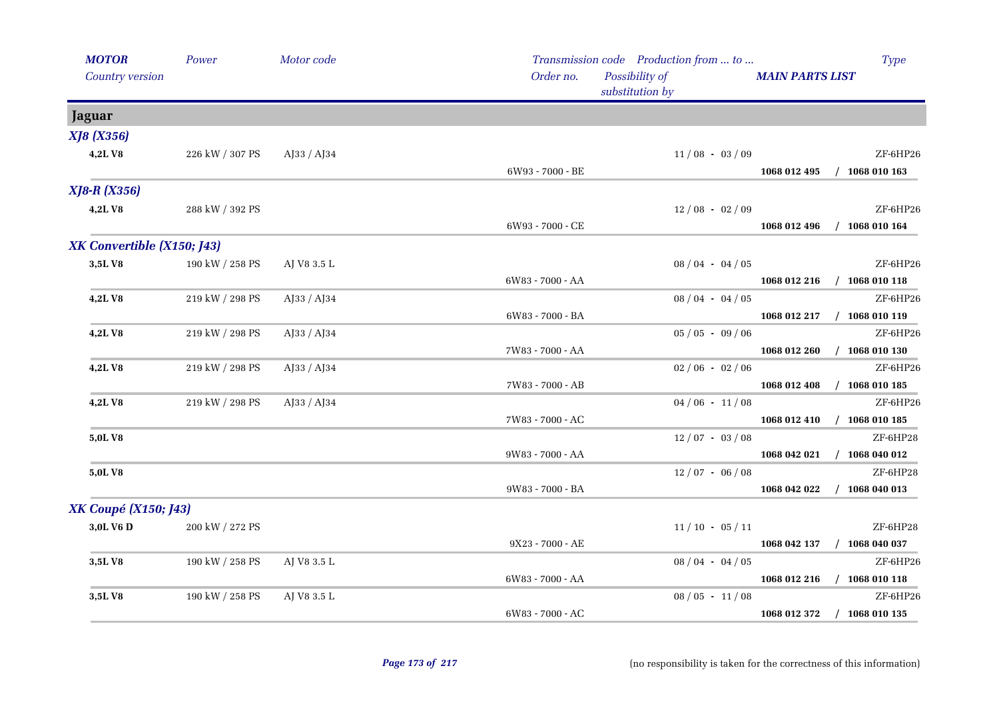| <b>MOTOR</b><br><b>Country version</b> | Power           | Motor code  | Order no.        | Transmission code Production from  to<br>Possibility of<br>substitution by | <b>MAIN PARTS LIST</b> | <b>Type</b>                             |
|----------------------------------------|-----------------|-------------|------------------|----------------------------------------------------------------------------|------------------------|-----------------------------------------|
| <b>Jaguar</b>                          |                 |             |                  |                                                                            |                        |                                         |
| <b>XJ8</b> (X356)                      |                 |             |                  |                                                                            |                        |                                         |
| 4,2LV8                                 | 226 kW / 307 PS | AJ33 / AJ34 |                  | $11/08 - 03/09$                                                            |                        | ZF-6HP26                                |
|                                        |                 |             | 6W93 - 7000 - BE |                                                                            |                        | 1068 012 495 / 1068 010 163             |
| <b>XJ8-R (X356)</b>                    |                 |             |                  |                                                                            |                        |                                         |
| 4,2LV8                                 | 288 kW / 392 PS |             |                  | $12/08 - 02/09$                                                            |                        | ZF-6HP26                                |
|                                        |                 |             | 6W93 - 7000 - CE |                                                                            | 1068 012 496           | $/$ 1068 010 164                        |
| XK Convertible (X150; J43)             |                 |             |                  |                                                                            |                        |                                         |
| 3,5LV8                                 | 190 kW / 258 PS | AJ V8 3.5 L |                  | $08/04 - 04/05$                                                            |                        | ZF-6HP26                                |
|                                        |                 |             | 6W83 - 7000 - AA |                                                                            |                        | 1068 012 216 / 1068 010 118             |
| 4,2LV8                                 | 219 kW / 298 PS | AJ33 / AJ34 |                  | $08/04 - 04/05$                                                            |                        | ZF-6HP26                                |
|                                        |                 |             | 6W83 - 7000 - BA |                                                                            |                        | 1068 012 217 / 1068 010 119             |
| 4,2LV8                                 | 219 kW / 298 PS | AJ33 / AJ34 |                  | $05/05 - 09/06$                                                            |                        | ZF-6HP26                                |
|                                        |                 |             | 7W83 - 7000 - AA |                                                                            | 1068 012 260           | $/$ 1068 010 130                        |
| 4,2LV8                                 | 219 kW / 298 PS | AJ33 / AJ34 |                  | $02/06 - 02/06$                                                            |                        | ZF-6HP26                                |
|                                        |                 |             | 7W83 - 7000 - AB |                                                                            |                        | 1068 012 408 / 1068 010 185             |
| 4,2LV8                                 | 219 kW / 298 PS | AJ33 / AJ34 |                  | $04/06 - 11/08$                                                            |                        | ZF-6HP26                                |
|                                        |                 |             | 7W83 - 7000 - AC |                                                                            |                        | 1068 012 410 / 1068 010 185             |
| 5,0LV8                                 |                 |             |                  | $12/07 - 03/08$                                                            |                        | ZF-6HP28                                |
|                                        |                 |             | 9W83 - 7000 - AA |                                                                            | 1068 042 021           | $/$ 1068 040 012                        |
| 5,0LV8                                 |                 |             |                  | $12/07 - 06/08$                                                            |                        | ZF-6HP28                                |
|                                        |                 |             | 9W83 - 7000 - BA |                                                                            | 1068 042 022           | $/$ 1068 040 013                        |
| <b>XK Coupé (X150; J43)</b>            |                 |             |                  |                                                                            |                        |                                         |
| 3,0L V6 D                              | 200 kW / 272 PS |             |                  | $11/10 - 05/11$                                                            |                        | ZF-6HP28                                |
|                                        |                 |             | 9X23 - 7000 - AE |                                                                            |                        | 1068 042 137 / 1068 040 037             |
| 3,5LV8                                 | 190 kW / 258 PS | AJ V8 3.5 L |                  | $08/04 - 04/05$                                                            |                        | ZF-6HP26                                |
| 3,5LV8                                 | 190 kW / 258 PS | AJ V8 3.5 L | 6W83 - 7000 - AA | $08/05 - 11/08$                                                            |                        | 1068 012 216 / 1068 010 118<br>ZF-6HP26 |
|                                        |                 |             | 6W83 - 7000 - AC |                                                                            | 1068 012 372           | $/$ 1068 010 135                        |
|                                        |                 |             |                  |                                                                            |                        |                                         |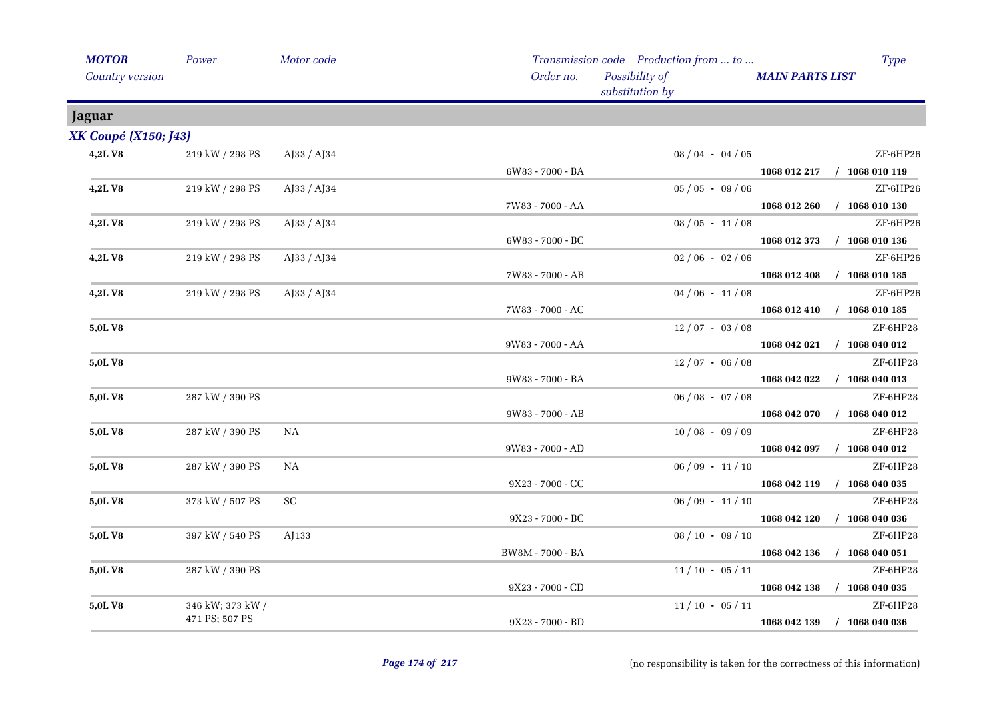| <b>MOTOR</b>                | Power            | Motor code        |                  | Transmission code Production from  to |                        | Type                        |
|-----------------------------|------------------|-------------------|------------------|---------------------------------------|------------------------|-----------------------------|
| Country version             |                  |                   | Order no.        | Possibility of<br>substitution by     | <b>MAIN PARTS LIST</b> |                             |
| <b>Jaguar</b>               |                  |                   |                  |                                       |                        |                             |
| <b>XK Coupé (X150; J43)</b> |                  |                   |                  |                                       |                        |                             |
| 4,2LV8                      | 219 kW / 298 PS  | AJ33 / AJ34       |                  | $08/04 - 04/05$                       |                        | ZF-6HP26                    |
|                             |                  |                   | 6W83 - 7000 - BA |                                       |                        | 1068 012 217 / 1068 010 119 |
| 4,2LV8                      | 219 kW / 298 PS  | AJ33 / AJ34       |                  | $05 / 05 - 09 / 06$                   |                        | ZF-6HP26                    |
|                             |                  |                   | 7W83 - 7000 - AA |                                       |                        | 1068 012 260 / 1068 010 130 |
| 4,2LV8                      | 219 kW / 298 PS  | AJ33 / AJ34       |                  | $08/05 - 11/08$                       |                        | ZF-6HP26                    |
|                             |                  |                   | 6W83 - 7000 - BC |                                       | 1068 012 373           | $/$ 1068 010 136            |
| 4,2LV8                      | 219 kW / 298 PS  | $A$ J33 / $A$ J34 |                  | $02/06 - 02/06$                       |                        | ZF-6HP26                    |
|                             |                  |                   | 7W83 - 7000 - AB |                                       |                        | 1068 012 408 / 1068 010 185 |
| 4,2LV8                      | 219 kW / 298 PS  | AJ33 / AJ34       |                  | $04/06 - 11/08$                       |                        | ZF-6HP26                    |
|                             |                  |                   | 7W83 - 7000 - AC |                                       |                        | 1068 012 410 / 1068 010 185 |
| 5,0LV8                      |                  |                   |                  | $12/07 - 03/08$                       |                        | ZF-6HP28                    |
|                             |                  |                   | 9W83 - 7000 - AA |                                       |                        | 1068 042 021 / 1068 040 012 |
| 5,0L V8                     |                  |                   |                  | $12/07 - 06/08$                       |                        | ZF-6HP28                    |
|                             |                  |                   | 9W83 - 7000 - BA |                                       | 1068 042 022           | $/$ 1068 040 013            |
| 5,0L V8                     | 287 kW / 390 PS  |                   |                  | $06/08 - 07/08$                       |                        | ZF-6HP28                    |
|                             |                  |                   | 9W83 - 7000 - AB |                                       | 1068 042 070           | $/$ 1068 040 012            |
| 5,0LV8                      | 287 kW / 390 PS  | <b>NA</b>         |                  | $10/08 - 09/09$                       |                        | ZF-6HP28                    |
|                             |                  |                   | 9W83 - 7000 - AD |                                       | 1068 042 097           | $/$ 1068 040 012            |
| 5,0LV8                      | 287 kW / 390 PS  | NA                |                  | $06/09 - 11/10$                       |                        | ZF-6HP28                    |
|                             |                  |                   | 9X23 - 7000 - CC |                                       | 1068 042 119           | $/$ 1068 040 035            |
| 5,0L V8                     | 373 kW / 507 PS  | SC                |                  | $06/09 - 11/10$                       |                        | ZF-6HP28                    |
|                             |                  |                   | 9X23 - 7000 - BC |                                       | 1068 042 120           | $/$ 1068 040 036            |
| 5,0L V8                     | 397 kW / 540 PS  | AJ133             |                  | $08 / 10 - 09 / 10$                   |                        | ZF-6HP28                    |
|                             |                  |                   | BW8M - 7000 - BA |                                       | 1068 042 136           | $/$ 1068 040 051            |
| 5,0L V8                     | 287 kW / 390 PS  |                   |                  | $11/10 - 05/11$                       |                        | ZF-6HP28                    |
|                             |                  |                   | 9X23 - 7000 - CD |                                       | 1068 042 138           | $/$ 1068 040 035            |
| 5,0LV8                      | 346 kW; 373 kW / |                   |                  | $11/10 - 05/11$                       |                        | ZF-6HP28                    |
|                             | 471 PS; 507 PS   |                   | 9X23 - 7000 - BD |                                       | 1068 042 139           | $/$ 1068 040 036            |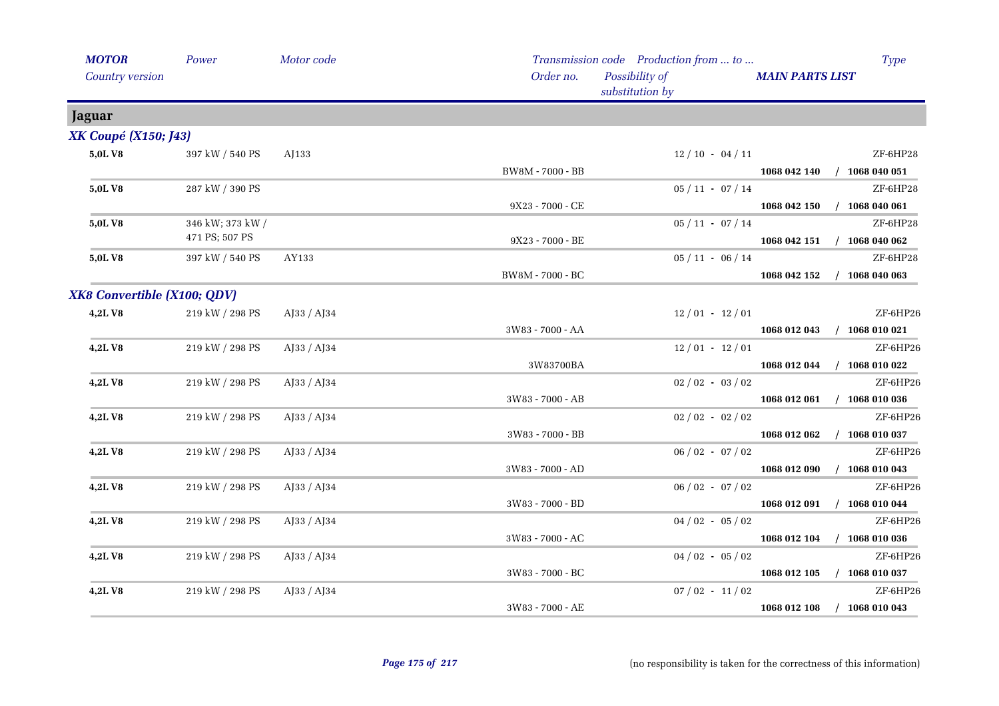| <b>MOTOR</b>                | Power            | Motor code  |                  | Transmission code Production from  to | <b>Type</b>                      |
|-----------------------------|------------------|-------------|------------------|---------------------------------------|----------------------------------|
| Country version             |                  |             | Order no.        | Possibility of<br>substitution by     | <b>MAIN PARTS LIST</b>           |
| <b>Jaguar</b>               |                  |             |                  |                                       |                                  |
| <b>XK Coupé (X150; J43)</b> |                  |             |                  |                                       |                                  |
| 5,0LV8                      | 397 kW / 540 PS  | AJ133       |                  | $12/10 - 04/11$                       | ZF-6HP28                         |
|                             |                  |             | BW8M - 7000 - BB |                                       | 1068 042 140 / 1068 040 051      |
| 5,0L V8                     | 287 kW / 390 PS  |             |                  | $05/11 - 07/14$                       | ZF-6HP28                         |
|                             |                  |             | 9X23 - 7000 - CE |                                       | 1068 042 150 / 1068 040 061      |
| 5,0L V8                     | 346 kW; 373 kW / |             |                  | $05/11 - 07/14$                       | ZF-6HP28                         |
|                             | 471 PS; 507 PS   |             | 9X23 - 7000 - BE |                                       | 1068 042 151 / 1068 040 062      |
| 5,0L V8                     | 397 kW / 540 PS  | AY133       |                  | $05/11 - 06/14$                       | ZF-6HP28                         |
|                             |                  |             | BW8M - 7000 - BC |                                       | 1068 042 152 / 1068 040 063      |
| XK8 Convertible (X100; QDV) |                  |             |                  |                                       |                                  |
| 4,2LV8                      | 219 kW / 298 PS  | AJ33 / AJ34 |                  | $12/01 - 12/01$                       | ZF-6HP26                         |
|                             |                  |             | 3W83 - 7000 - AA |                                       | 1068 012 043<br>$/$ 1068 010 021 |
| 4,2LV8                      | 219 kW / 298 PS  | AJ33 / AJ34 |                  | $12/01 - 12/01$                       | ZF-6HP26                         |
|                             |                  |             | 3W83700BA        |                                       | 1068 012 044 / 1068 010 022      |
| 4,2LV8                      | 219 kW / 298 PS  | AJ33 / AJ34 |                  | $02/02 - 03/02$                       | ZF-6HP26                         |
|                             |                  |             | 3W83 - 7000 - AB |                                       | 1068 012 061 / 1068 010 036      |
| 4,2LV8                      | 219 kW / 298 PS  | AJ33 / AJ34 |                  | $02/02 - 02/02$                       | ZF-6HP26                         |
|                             |                  |             | 3W83 - 7000 - BB |                                       | $/$ 1068 010 037<br>1068 012 062 |
| 4,2LV8                      | 219 kW / 298 PS  | AJ33 / AJ34 |                  | $06/02 - 07/02$                       | ZF-6HP26                         |
|                             |                  |             | 3W83 - 7000 - AD |                                       | 1068 012 090<br>$/$ 1068 010 043 |
| 4,2LV8                      | 219 kW / 298 PS  | AJ33 / AJ34 |                  | $06/02 - 07/02$                       | ZF-6HP26                         |
|                             |                  |             | 3W83 - 7000 - BD |                                       | 1068 012 091 / 1068 010 044      |
| 4,2LV8                      | 219 kW / 298 PS  | AJ33 / AJ34 |                  | $04/02 - 05/02$                       | ZF-6HP26                         |
|                             |                  |             | 3W83 - 7000 - AC |                                       | $/$ 1068 010 036<br>1068 012 104 |
| 4,2LV8                      | 219 kW / 298 PS  | AJ33 / AJ34 |                  | $04/02 - 05/02$                       | ZF-6HP26                         |
|                             |                  |             | 3W83 - 7000 - BC |                                       | 1068 012 105 / 1068 010 037      |
| 4,2LV8                      | 219 kW / 298 PS  | AJ33 / AJ34 |                  | $07/02 - 11/02$                       | ZF-6HP26                         |
|                             |                  |             | 3W83 - 7000 - AE |                                       | 1068 012 108 / 1068 010 043      |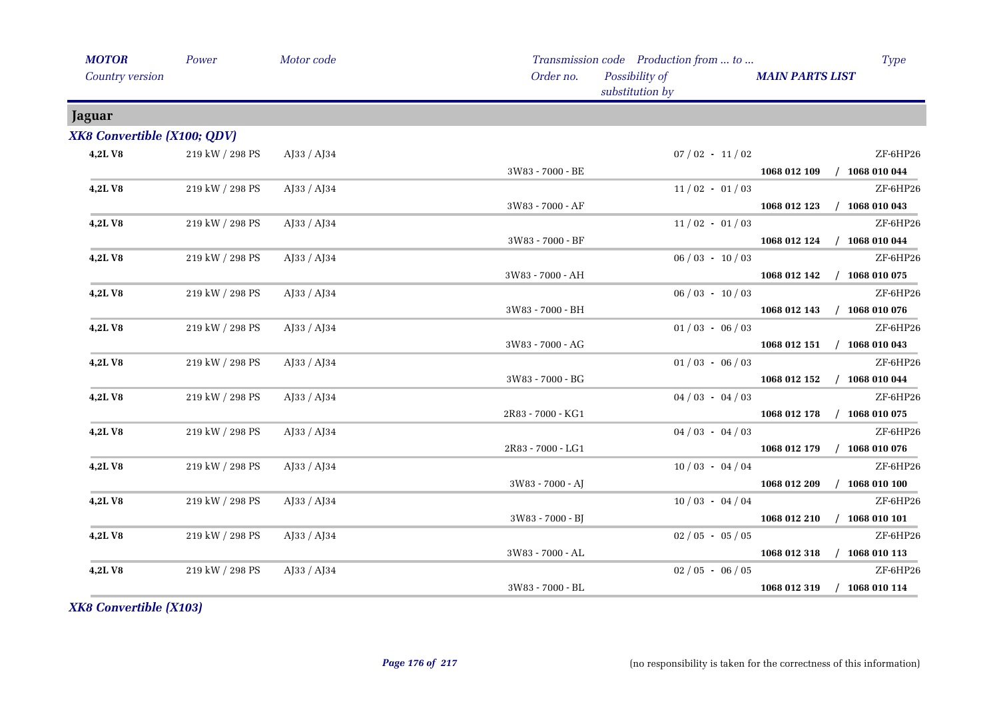| <b>MOTOR</b>                | Power           | Motor code                 |                    | Transmission code Production from  to |                        | <b>Type</b>                 |
|-----------------------------|-----------------|----------------------------|--------------------|---------------------------------------|------------------------|-----------------------------|
| Country version             |                 |                            | Order no.          | Possibility of<br>substitution by     | <b>MAIN PARTS LIST</b> |                             |
| Jaguar                      |                 |                            |                    |                                       |                        |                             |
| XK8 Convertible (X100; QDV) |                 |                            |                    |                                       |                        |                             |
| 4,2LV8                      | 219 kW / 298 PS | AJ33 / AJ34                |                    | $07/02 - 11/02$                       |                        | ZF-6HP26                    |
|                             |                 |                            | 3W83 - 7000 - BE   |                                       |                        | 1068 012 109 / 1068 010 044 |
| 4,2LV8                      | 219 kW / 298 PS | $A$ [33 / A]34             |                    | $11/02 - 01/03$                       |                        | ZF-6HP26                    |
|                             |                 |                            | 3W83 - 7000 - AF   |                                       |                        | 1068 012 123 / 1068 010 043 |
| 4,2LV8                      | 219 kW / 298 PS | AJ33 / AJ34                |                    | $11/02 - 01/03$                       |                        | ZF-6HP26                    |
|                             |                 |                            | 3W83 - 7000 - BF   |                                       |                        | 1068 012 124 / 1068 010 044 |
| 4,2LV8                      | 219 kW / 298 PS | $A$ [33 / A]34             |                    | $06/03 - 10/03$                       |                        | ZF-6HP26                    |
|                             |                 |                            | 3W83 - 7000 - AH   |                                       | 1068 012 142           | $/$ 1068 010 075            |
| 4,2LV8                      | 219 kW / 298 PS | AJ33 / AJ34                |                    | $06/03 - 10/03$                       |                        | ZF-6HP26                    |
|                             |                 |                            | 3W83 - 7000 - BH   |                                       |                        | 1068 012 143 / 1068 010 076 |
| 4,2LV8                      | 219 kW / 298 PS | AJ33 / AJ34                |                    | $01/03 - 06/03$                       |                        | ZF-6HP26                    |
|                             |                 |                            | 3W83 - 7000 - AG   |                                       |                        | 1068 012 151 / 1068 010 043 |
| 4,2LV8                      | 219 kW / 298 PS | $A$ [33 / A] <sup>34</sup> |                    | $01/03 - 06/03$                       |                        | ZF-6HP26                    |
|                             |                 |                            | 3W83 - 7000 - BG   |                                       |                        | 1068 012 152 / 1068 010 044 |
| 4,2LV8                      | 219 kW / 298 PS | AJ33 / AJ34                |                    | $04/03 - 04/03$                       |                        | ZF-6HP26                    |
|                             |                 |                            | 2R83 - 7000 - KG1  |                                       |                        | 1068 012 178 / 1068 010 075 |
| 4,2LV8                      | 219 kW / 298 PS | AJ33 / AJ34                |                    | $04/03 - 04/03$                       |                        | ZF-6HP26                    |
|                             |                 |                            | 2R83 - 7000 - LG1  |                                       | 1068 012 179           | $/$ 1068 010 076            |
| 4,2LV8                      | 219 kW / 298 PS | AJ33 / AJ34                |                    | $10/03 - 04/04$                       |                        | ZF-6HP26                    |
|                             |                 |                            | $3W83 - 7000 - AJ$ |                                       | 1068 012 209           | $/$ 1068 010 100            |
| 4,2LV8                      | 219 kW / 298 PS | $A$ [33 / A]34             |                    | $10/03 - 04/04$                       |                        | ZF-6HP26                    |
|                             |                 |                            | 3W83 - 7000 - BJ   |                                       |                        | 1068 012 210 / 1068 010 101 |
| 4,2LV8                      | 219 kW / 298 PS | AJ33 / AJ34                |                    | $02/05 - 05/05$                       |                        | ZF-6HP26                    |
|                             |                 |                            | 3W83 - 7000 - AL   |                                       |                        | 1068 012 318 / 1068 010 113 |
| 4,2LV8                      | 219 kW / 298 PS | AJ33 / AJ34                |                    | $02/05 - 06/05$                       |                        | ZF-6HP26                    |
|                             |                 |                            | 3W83 - 7000 - BL   |                                       |                        | 1068 012 319 / 1068 010 114 |

*XK8 Convertible (X103)*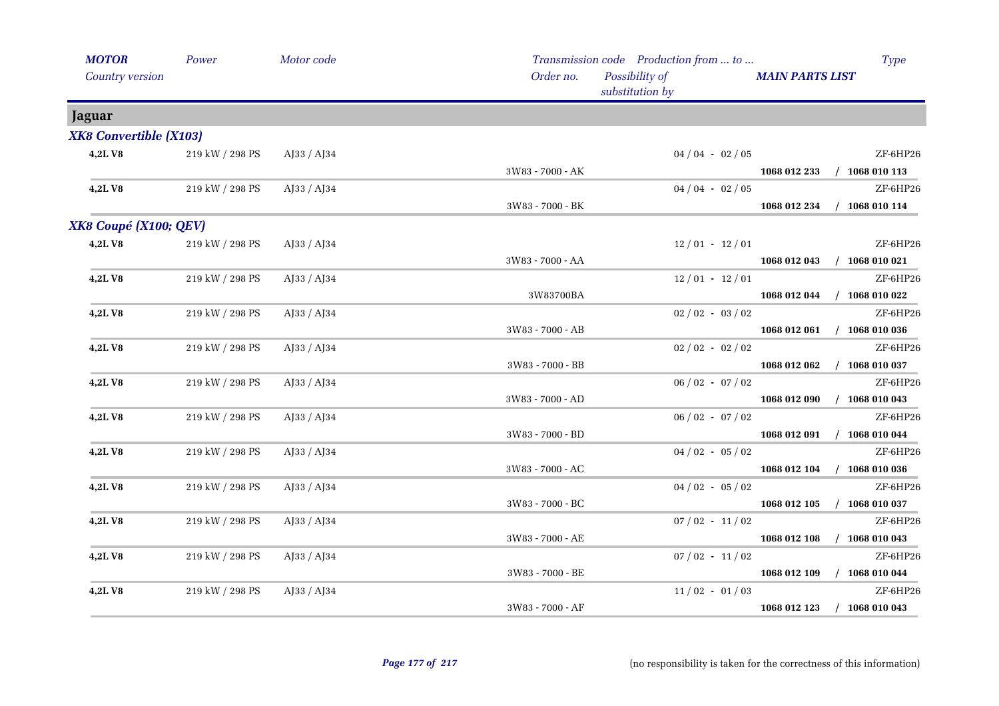| <b>MOTOR</b>                  | Power           | Motor code     |                    | Transmission code Production from  to | <b>Type</b>                                  |
|-------------------------------|-----------------|----------------|--------------------|---------------------------------------|----------------------------------------------|
| Country version               |                 |                | Order no.          | Possibility of<br>substitution by     | <b>MAIN PARTS LIST</b>                       |
| <b>Jaguar</b>                 |                 |                |                    |                                       |                                              |
| <b>XK8 Convertible (X103)</b> |                 |                |                    |                                       |                                              |
| 4,2LV8                        | 219 kW / 298 PS | AJ33 / AJ34    |                    | $04/04 - 02/05$                       | ZF-6HP26                                     |
|                               |                 |                | 3W83 - 7000 - AK   |                                       | 1068 012 233 / 1068 010 113                  |
| 4,2LV8                        | 219 kW / 298 PS | AJ33 / AJ34    |                    | $04/04 - 02/05$                       | ZF-6HP26                                     |
|                               |                 |                | 3W83 - 7000 - BK   |                                       | $/$ 1068 010 114<br>1068 012 234             |
| XK8 Coupé (X100; QEV)         |                 |                |                    |                                       |                                              |
| 4,2LV8                        | 219 kW / 298 PS | AJ33 / AJ34    |                    | $12/01 - 12/01$                       | ZF-6HP26                                     |
|                               |                 |                | $3W83 - 7000 - AA$ |                                       | 1068 012 043 / 1068 010 021                  |
| 4,2LV8                        | 219 kW / 298 PS | AJ33 / AJ34    |                    | $12/01 - 12/01$                       | ZF-6HP26                                     |
|                               |                 |                | 3W83700BA          |                                       | $/$ 1068 010 022<br>1068 012 044             |
| 4,2L V8                       | 219 kW / 298 PS | AJ33 / AJ34    |                    | $02/02 - 03/02$                       | ZF-6HP26                                     |
|                               |                 |                | 3W83 - 7000 - AB   |                                       | $/$ 1068 010 036<br>1068 012 061             |
| 4,2LV8                        | 219 kW / 298 PS | AJ33 / AJ34    |                    | $02/02 - 02/02$                       | ZF-6HP26                                     |
|                               |                 |                | 3W83 - 7000 - BB   |                                       | 1068 012 062<br>$/$ 1068 010 037             |
| 4,2LV8                        | 219 kW / 298 PS | AJ33 / AJ34    |                    | $06/02 - 07/02$                       | ZF-6HP26                                     |
|                               |                 |                | 3W83 - 7000 - AD   |                                       | 1068 012 090 / 1068 010 043                  |
| 4,2LV8                        | 219 kW / 298 PS | $A$ [33 / A]34 |                    | $06/02 - 07/02$                       | ZF-6HP26                                     |
|                               |                 |                | 3W83 - 7000 - BD   |                                       | 1068 012 091<br>$/$ 1068 010 044             |
| 4,2LV8                        | 219 kW / 298 PS | AJ33 / AJ34    |                    | $04/02 - 05/02$                       | ZF-6HP26                                     |
|                               |                 |                | 3W83 - 7000 - AC   |                                       | 1068 012 104 / 1068 010 036                  |
| 4,2LV8                        | 219 kW / 298 PS | AJ33 / AJ34    | 3W83 - 7000 - BC   | $04/02 - 05/02$                       | ZF-6HP26<br>$/$ 1068 010 037<br>1068 012 105 |
| 4,2LV8                        | 219 kW / 298 PS | AJ33 / AJ34    |                    | $07/02 - 11/02$                       | ZF-6HP26                                     |
|                               |                 |                | 3W83 - 7000 - AE   |                                       | $/$ 1068 010 043<br>1068 012 108             |
| 4,2LV8                        | 219 kW / 298 PS | AJ33 / AJ34    |                    | $07/02 - 11/02$                       | ZF-6HP26                                     |
|                               |                 |                | 3W83 - 7000 - BE   |                                       | 1068 012 109 / 1068 010 044                  |
| 4,2LV8                        | 219 kW / 298 PS | AJ33 / AJ34    |                    | $11/02 - 01/03$                       | ZF-6HP26                                     |
|                               |                 |                | 3W83 - 7000 - AF   |                                       | 1068 012 123 / 1068 010 043                  |
|                               |                 |                |                    |                                       |                                              |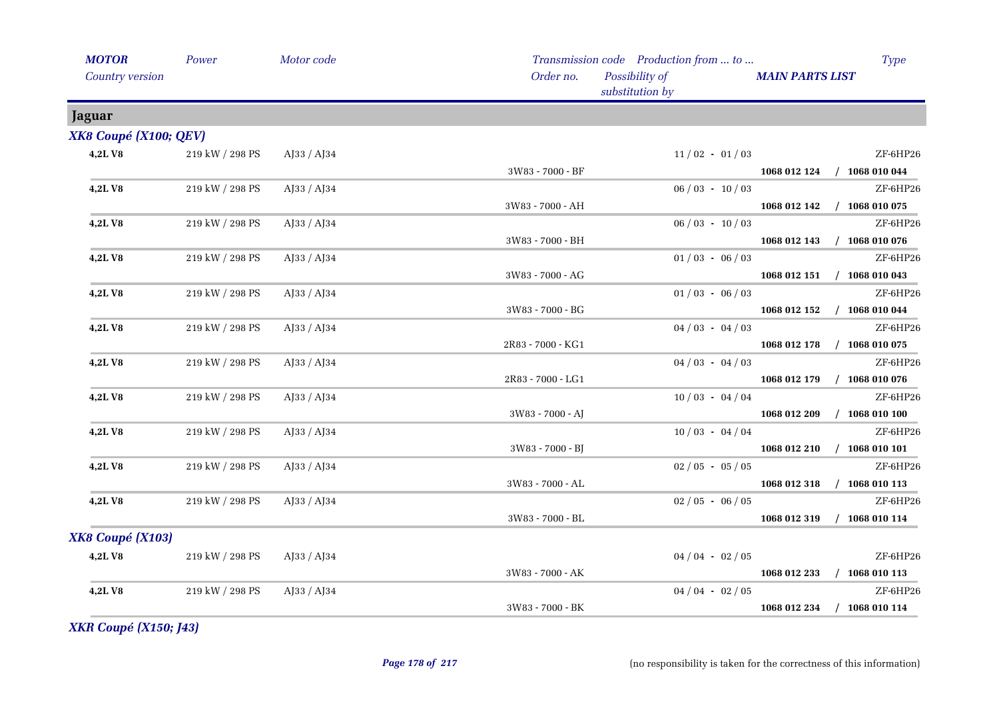| <b>MOTOR</b>           | Power                 | Motor code  |                   | Transmission code Production from  to | <b>Type</b>                      |
|------------------------|-----------------------|-------------|-------------------|---------------------------------------|----------------------------------|
| <b>Country version</b> |                       |             | Order no.         | Possibility of<br>substitution by     | <b>MAIN PARTS LIST</b>           |
| Jaguar                 |                       |             |                   |                                       |                                  |
| XK8 Coupé (X100; QEV)  |                       |             |                   |                                       |                                  |
| 4,2LV8                 | 219 kW / 298 PS       | AJ33 / AJ34 |                   | $11/02 - 01/03$                       | ZF-6HP26                         |
|                        |                       |             | 3W83 - 7000 - BF  |                                       | 1068 012 124 / 1068 010 044      |
| 4,2LV8                 | 219 kW / 298 PS       | AJ33 / AJ34 |                   | $06/03 - 10/03$                       | ZF-6HP26                         |
|                        |                       |             | 3W83 - 7000 - AH  |                                       | 1068 012 142 / 1068 010 075      |
| 4,2LV8                 | 219 kW / 298 PS       | AJ33 / AJ34 |                   | $06/03 - 10/03$                       | ZF-6HP26                         |
|                        |                       |             | 3W83 - 7000 - BH  |                                       | 1068 012 143 / 1068 010 076      |
| 4,2LV8                 | 219 kW / 298 PS       | AJ33 / AJ34 |                   | $01/03 - 06/03$                       | ZF-6HP26                         |
|                        |                       |             | 3W83 - 7000 - AG  |                                       | 1068 012 151 / 1068 010 043      |
| <b>4,2LV8</b>          | 219 kW / 298 PS       | AJ33 / AJ34 |                   | $01/03 - 06/03$                       | ZF-6HP26                         |
|                        |                       |             | 3W83 - 7000 - BG  |                                       | 1068 012 152 / 1068 010 044      |
| 4,2LV8                 | 219 kW / 298 PS       | AJ33 / AJ34 |                   | $04/03 - 04/03$                       | ZF-6HP26                         |
|                        |                       |             | 2R83 - 7000 - KG1 |                                       | 1068 012 178 / 1068 010 075      |
| 4,2LV8                 | 219 kW / 298 PS       | AJ33 / AJ34 |                   | $04/03 - 04/03$                       | ZF-6HP26                         |
|                        |                       |             | 2R83 - 7000 - LG1 |                                       | 1068 012 179 / 1068 010 076      |
| 4,2LV8                 | $219$ kW $\!/$ 298 PS | AJ33 / AJ34 |                   | $10/03 - 04/04$                       | ZF-6HP26                         |
|                        |                       |             | 3W83 - 7000 - AJ  |                                       | 1068 012 209 / 1068 010 100      |
| 4,2LV8                 | 219 kW / 298 PS       | AJ33 / AJ34 |                   | $10/03 - 04/04$                       | ZF-6HP26                         |
|                        |                       |             | 3W83 - 7000 - BJ  |                                       | 1068 012 210 / 1068 010 101      |
| 4,2LV8                 | 219 kW / 298 PS       | AJ33 / AJ34 |                   | $02/05 - 05/05$                       | ZF-6HP26                         |
|                        |                       |             | 3W83 - 7000 - AL  |                                       | 1068 012 318 / 1068 010 113      |
| 4,2LV8                 | 219 kW / 298 PS       | AJ33 / AJ34 |                   | $02/05 - 06/05$                       | ZF-6HP26                         |
|                        |                       |             | 3W83 - 7000 - BL  |                                       | 1068 012 319 / 1068 010 114      |
| XK8 Coupé (X103)       |                       |             |                   |                                       |                                  |
| 4,2LV8                 | 219 kW / 298 PS       | AJ33 / AJ34 |                   | $04/04 - 02/05$                       | ZF-6HP26                         |
|                        |                       |             | 3W83 - 7000 - AK  |                                       | 1068 012 233<br>$/$ 1068 010 113 |
| 4,2LV8                 | 219 kW / 298 PS       | AJ33 / AJ34 |                   | $04/04 - 02/05$                       | ZF-6HP26                         |
|                        |                       |             | 3W83 - 7000 - BK  |                                       | 1068 012 234 / 1068 010 114      |

*XKR Coupé (X150; J43)*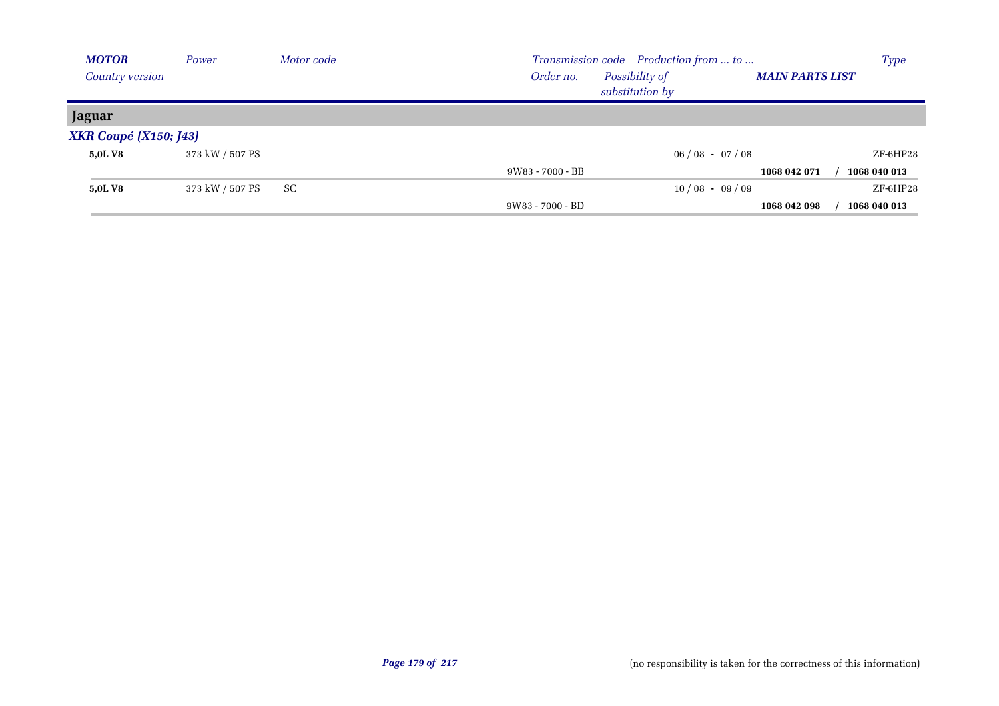| <b>MOTOR</b>                 | Power           | Motor code | Transmission code Production from  to |                                   |                        |              |
|------------------------------|-----------------|------------|---------------------------------------|-----------------------------------|------------------------|--------------|
| <b>Country version</b>       |                 |            | Order no.                             | Possibility of<br>substitution by | <b>MAIN PARTS LIST</b> |              |
| Jaguar                       |                 |            |                                       |                                   |                        |              |
| <b>XKR Coupé (X150; J43)</b> |                 |            |                                       |                                   |                        |              |
| 5.0L V8                      | 373 kW / 507 PS |            |                                       | $06/08 - 07/08$                   |                        | ZF-6HP28     |
|                              |                 |            | 9W83 - 7000 - BB                      |                                   | 1068 042 071           | 1068 040 013 |
| 5,0L V8                      | 373 kW / 507 PS | SC         |                                       | $10/08 - 09/09$                   |                        | ZF-6HP28     |
|                              |                 |            | 9W83 - 7000 - BD                      |                                   | 1068 042 098           | 1068 040 013 |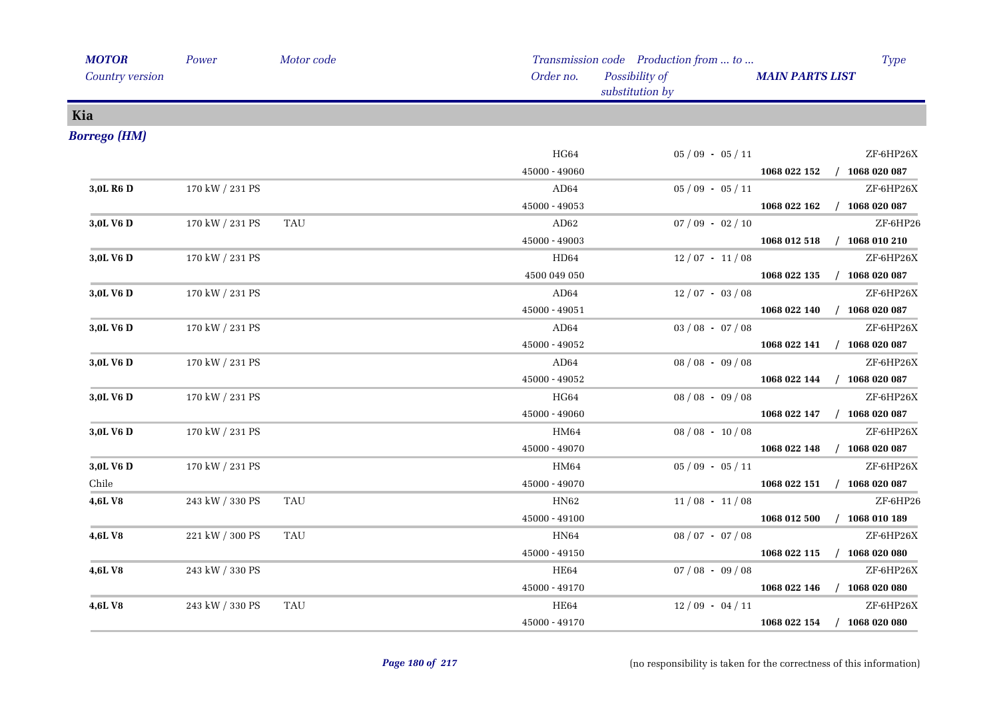| <b>MOTOR</b>          | Power           | Motor code |                 | Transmission code Production from  to |                             | <b>Type</b> |
|-----------------------|-----------------|------------|-----------------|---------------------------------------|-----------------------------|-------------|
| Country version       |                 |            | Order no.       | Possibility of<br>substitution by     | <b>MAIN PARTS LIST</b>      |             |
| Kia                   |                 |            |                 |                                       |                             |             |
| <b>Borrego</b> (HM)   |                 |            |                 |                                       |                             |             |
|                       |                 |            | HG64            | $05/09 - 05/11$                       |                             | ZF-6HP26X   |
|                       |                 |            | 45000 - 49060   |                                       | 1068 022 152 / 1068 020 087 |             |
| 3,0L R <sub>6</sub> D | 170 kW / 231 PS |            | AD64            | $05/09 - 05/11$                       |                             | ZF-6HP26X   |
|                       |                 |            | 45000 - 49053   |                                       | 1068 022 162 / 1068 020 087 |             |
| 3,0L V6 D             | 170 kW / 231 PS | TAU        | AD62            | $07/09 - 02/10$                       |                             | ZF-6HP26    |
|                       |                 |            | 45000 - 49003   |                                       | 1068 012 518 / 1068 010 210 |             |
| 3,0L V6 D             | 170 kW / 231 PS |            | HD64            | $12/07 - 11/08$                       |                             | ZF-6HP26X   |
|                       |                 |            | 4500 049 050    |                                       | 1068 022 135 / 1068 020 087 |             |
| 3,0L V6 D             | 170 kW / 231 PS |            | AD64            | $12/07 - 03/08$                       |                             | ZF-6HP26X   |
|                       |                 |            | 45000 - 49051   |                                       | 1068 022 140 / 1068 020 087 |             |
| 3,0L V6 D             | 170 kW / 231 PS |            | AD64            | $03/08 - 07/08$                       |                             | ZF-6HP26X   |
|                       |                 |            | $45000 - 49052$ |                                       | 1068 022 141 / 1068 020 087 |             |
| 3,0L V6 D             | 170 kW / 231 PS |            | AD64            | $08/08 - 09/08$                       |                             | ZF-6HP26X   |
|                       |                 |            | 45000 - 49052   |                                       | 1068 022 144 / 1068 020 087 |             |
| 3,0L V6 D             | 170 kW / 231 PS |            | HG64            | $08/08 - 09/08$                       |                             | ZF-6HP26X   |
|                       |                 |            | 45000 - 49060   |                                       | 1068 022 147 / 1068 020 087 |             |
| 3,0L V6 D             | 170 kW / 231 PS |            | HM64            | $08 / 08 - 10 / 08$                   |                             | ZF-6HP26X   |
|                       |                 |            | 45000 - 49070   |                                       | 1068 022 148 / 1068 020 087 |             |
| 3,0L V6 D             | 170 kW / 231 PS |            | HM64            | $05/09 - 05/11$                       |                             | ZF-6HP26X   |
| Chile                 |                 |            | 45000 - 49070   |                                       | 1068 022 151 / 1068 020 087 |             |
| 4,6LV8                | 243 kW / 330 PS | <b>TAU</b> | HN62            | $11/08 - 11/08$                       |                             | ZF-6HP26    |
|                       |                 |            | 45000 - 49100   |                                       | 1068 012 500 / 1068 010 189 |             |
| 4,6L V8               | 221 kW / 300 PS | <b>TAU</b> | HN64            | $08/07 - 07/08$                       |                             | ZF-6HP26X   |
|                       |                 |            | 45000 - 49150   |                                       | 1068 022 115 / 1068 020 080 |             |
| 4,6L V8               | 243 kW / 330 PS |            | HE64            | $07/08 - 09/08$                       |                             | ZF-6HP26X   |
|                       |                 |            | 45000 - 49170   |                                       | 1068 022 146 / 1068 020 080 |             |
| 4,6L V8               | 243 kW / 330 PS | <b>TAU</b> | HE64            | $12/09 - 04/11$                       |                             | ZF-6HP26X   |
|                       |                 |            | 45000 - 49170   |                                       | 1068 022 154 / 1068 020 080 |             |
|                       |                 |            |                 |                                       |                             |             |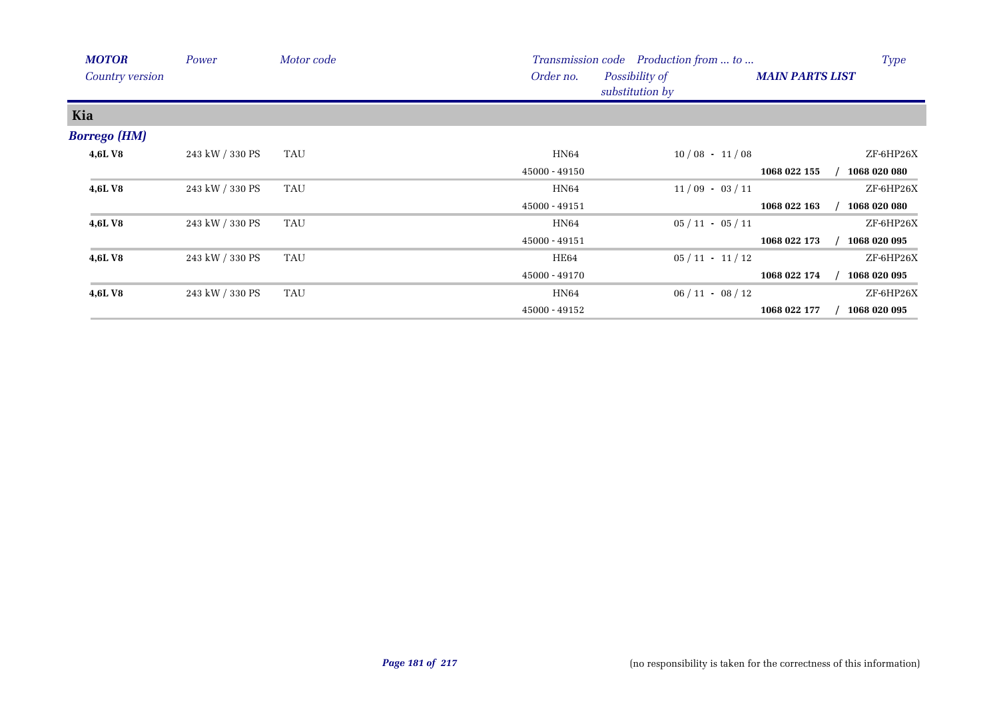| <b>MOTOR</b>           | Power           | Motor code |               | Transmission code Production from  to |                        | <b>Type</b>  |
|------------------------|-----------------|------------|---------------|---------------------------------------|------------------------|--------------|
| <b>Country version</b> |                 |            | Order no.     | Possibility of<br>substitution by     | <b>MAIN PARTS LIST</b> |              |
| Kia                    |                 |            |               |                                       |                        |              |
| <b>Borrego</b> (HM)    |                 |            |               |                                       |                        |              |
| <b>4,6LV8</b>          | 243 kW / 330 PS | TAU        | HN64          | $10/08 - 11/08$                       |                        | ZF-6HP26X    |
|                        |                 |            | 45000 - 49150 |                                       | 1068 022 155           | 1068 020 080 |
| 4,6LV8                 | 243 kW / 330 PS | <b>TAU</b> | HN64          | $11/09 - 03/11$                       |                        | ZF-6HP26X    |
|                        |                 |            | 45000 - 49151 |                                       | 1068 022 163           | 1068 020 080 |
| 4,6LV8                 | 243 kW / 330 PS | TAU        | HN64          | $05/11 - 05/11$                       |                        | ZF-6HP26X    |
|                        |                 |            | 45000 - 49151 |                                       | 1068 022 173           | 1068 020 095 |
| <b>4,6LV8</b>          | 243 kW / 330 PS | TAU        | HE64          | $05/11 - 11/12$                       |                        | ZF-6HP26X    |
|                        |                 |            | 45000 - 49170 |                                       | 1068 022 174           | 1068 020 095 |
| <b>4,6LV8</b>          | 243 kW / 330 PS | TAU        | HN64          | $06/11 - 08/12$                       |                        | ZF-6HP26X    |
|                        |                 |            | 45000 - 49152 |                                       | 1068 022 177           | 1068 020 095 |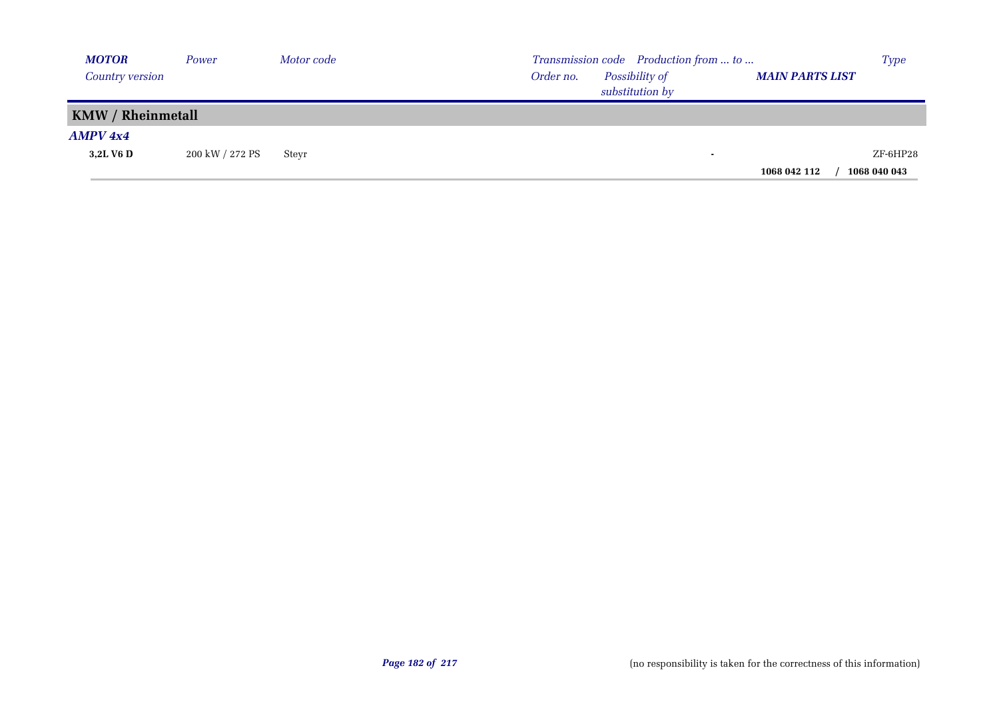| <b>MOTOR</b>             | Power           | Motor code |           | Transmission code Production from  to |                        | <b>Type</b>  |
|--------------------------|-----------------|------------|-----------|---------------------------------------|------------------------|--------------|
| Country version          |                 |            | Order no. | Possibility of<br>substitution by     | <b>MAIN PARTS LIST</b> |              |
| <b>KMW / Rheinmetall</b> |                 |            |           |                                       |                        |              |
| AMPV 4x4                 |                 |            |           |                                       |                        |              |
| 3,2L V6 D                | 200 kW / 272 PS | Stevr      |           | $\sim$                                |                        | ZF-6HP28     |
|                          |                 |            |           |                                       | 1068 042 112           | 1068 040 043 |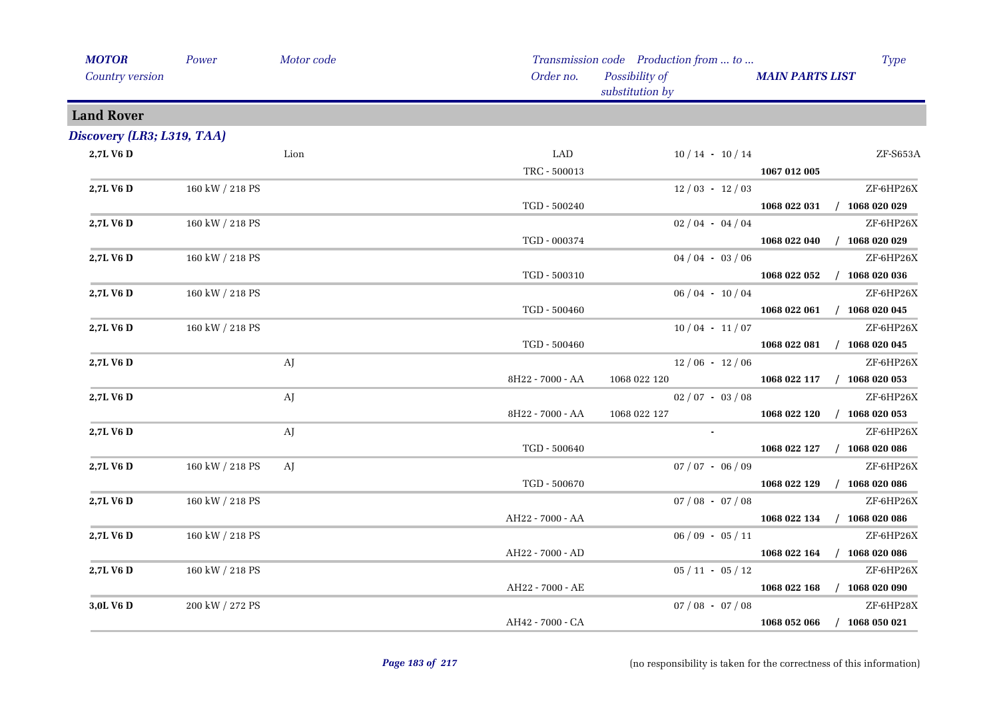| <b>MOTOR</b>               | Power           | Motor code |                  | Transmission code Production from  to |                        | <b>Type</b>                 |
|----------------------------|-----------------|------------|------------------|---------------------------------------|------------------------|-----------------------------|
| <b>Country version</b>     |                 |            | Order no.        | Possibility of<br>substitution by     | <b>MAIN PARTS LIST</b> |                             |
| <b>Land Rover</b>          |                 |            |                  |                                       |                        |                             |
| Discovery (LR3; L319, TAA) |                 |            |                  |                                       |                        |                             |
| 2,7L V6 D                  |                 | Lion       | LAD              | $10/14 - 10/14$                       |                        | ZF-S653A                    |
|                            |                 |            | TRC - 500013     |                                       | 1067 012 005           |                             |
| 2,7L V6 D                  | 160 kW / 218 PS |            |                  | $12/03 - 12/03$                       |                        | ZF-6HP26X                   |
|                            |                 |            | TGD - 500240     |                                       |                        | 1068 022 031 / 1068 020 029 |
| 2,7L V6 D                  | 160 kW / 218 PS |            |                  | $02/04 - 04/04$                       |                        | ZF-6HP26X                   |
|                            |                 |            | TGD - 000374     |                                       |                        | 1068 022 040 / 1068 020 029 |
| 2,7L V6 D                  | 160 kW / 218 PS |            |                  | $04/04 - 03/06$                       |                        | ZF-6HP26X                   |
|                            |                 |            | TGD - 500310     |                                       |                        | 1068 022 052 / 1068 020 036 |
| 2,7L V6 D                  | 160 kW / 218 PS |            |                  | $06/04 - 10/04$                       |                        | ZF-6HP26X                   |
|                            |                 |            | TGD - 500460     |                                       |                        | 1068 022 061 / 1068 020 045 |
| 2,7L V6 D                  | 160 kW / 218 PS |            |                  | $10/04 - 11/07$                       |                        | ZF-6HP26X                   |
|                            |                 |            | TGD - 500460     |                                       |                        | 1068 022 081 / 1068 020 045 |
| 2,7L V6 D                  |                 | AJ         |                  | $12/06 - 12/06$                       |                        | ZF-6HP26X                   |
|                            |                 |            | 8H22 - 7000 - AA | 1068 022 120                          |                        | 1068 022 117 / 1068 020 053 |
| 2,7L V6 D                  |                 | AJ         |                  | $02/07 - 03/08$                       |                        | ZF-6HP26X                   |
|                            |                 |            | 8H22 - 7000 - AA | 1068 022 127                          | 1068 022 120           | $/$ 1068 020 053            |
| 2,7L V6 D                  |                 | AJ         |                  |                                       |                        | ZF-6HP26X                   |
|                            |                 |            | TGD - 500640     |                                       |                        | 1068 022 127 / 1068 020 086 |
| 2,7L V6 D                  | 160 kW / 218 PS | AJ         |                  | $07 / 07 - 06 / 09$                   |                        | ZF-6HP26X                   |
|                            |                 |            | TGD - 500670     |                                       |                        | 1068 022 129 / 1068 020 086 |
| 2,7L V6 D                  | 160 kW / 218 PS |            |                  | $07/08 - 07/08$                       |                        | ZF-6HP26X                   |
|                            |                 |            | AH22 - 7000 - AA |                                       |                        | 1068 022 134 / 1068 020 086 |
| 2,7L V6 D                  | 160 kW / 218 PS |            |                  | $06/09 - 05/11$                       |                        | ZF-6HP26X                   |
|                            |                 |            | AH22 - 7000 - AD |                                       |                        | 1068 022 164 / 1068 020 086 |
| 2,7L V6 D                  | 160 kW / 218 PS |            |                  | $05/11 - 05/12$                       |                        | ZF-6HP26X                   |
|                            |                 |            | AH22 - 7000 - AE |                                       |                        | 1068 022 168 / 1068 020 090 |
| 3,0L V6 D                  | 200 kW / 272 PS |            |                  | $07 / 08 - 07 / 08$                   |                        | ZF-6HP28X                   |
|                            |                 |            | AH42 - 7000 - CA |                                       | 1068 052 066           | $/$ 1068 050 021            |
|                            |                 |            |                  |                                       |                        |                             |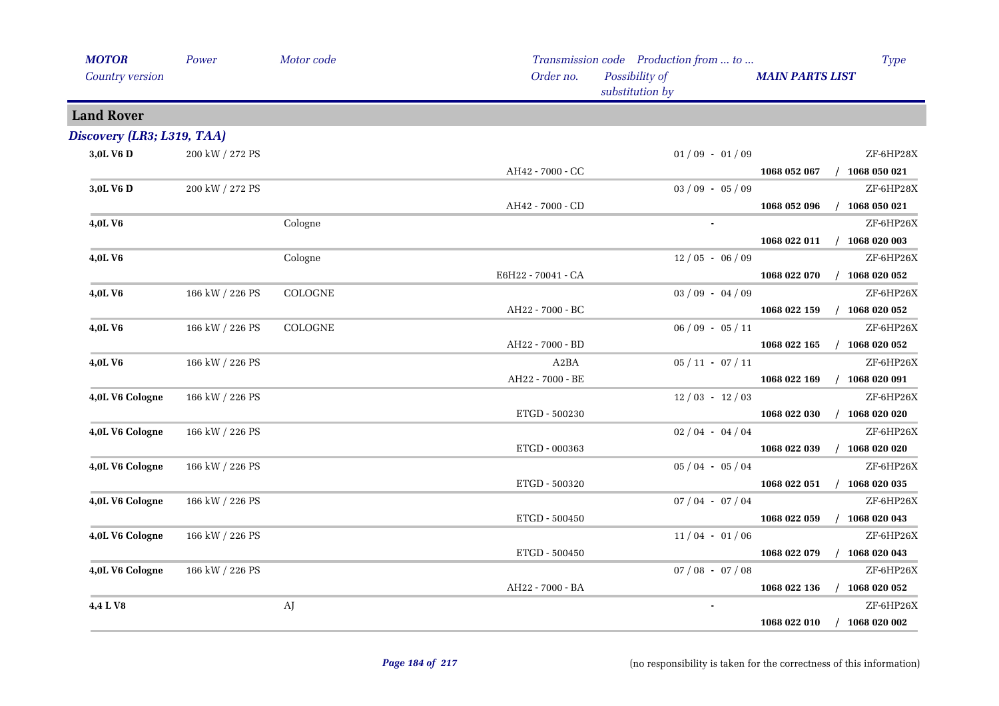| <b>MOTOR</b>               | Power           | Motor code     |                    | Transmission code Production from  to |                        | Type             |
|----------------------------|-----------------|----------------|--------------------|---------------------------------------|------------------------|------------------|
| Country version            |                 |                | Order no.          | Possibility of<br>substitution by     | <b>MAIN PARTS LIST</b> |                  |
| <b>Land Rover</b>          |                 |                |                    |                                       |                        |                  |
| Discovery (LR3; L319, TAA) |                 |                |                    |                                       |                        |                  |
| 3,0L V6 D                  | 200 kW / 272 PS |                |                    | $01/09 - 01/09$                       |                        | ZF-6HP28X        |
|                            |                 |                | AH42 - 7000 - CC   |                                       | 1068 052 067           | $/$ 1068 050 021 |
| 3,0L V6 D                  | 200 kW / 272 PS |                |                    | $03/09 - 05/09$                       |                        | ZF-6HP28X        |
|                            |                 |                | AH42 - 7000 - CD   |                                       | 1068 052 096           | $/$ 1068 050 021 |
| 4,0L V6                    |                 | Cologne        |                    | $\blacksquare$                        |                        | ZF-6HP26X        |
|                            |                 |                |                    |                                       | 1068 022 011           | $/$ 1068 020 003 |
| 4,0LV6                     |                 | Cologne        |                    | $12/05 - 06/09$                       |                        | ZF-6HP26X        |
|                            |                 |                | E6H22 - 70041 - CA |                                       | 1068 022 070           | $/$ 1068 020 052 |
| 4,0LV6                     | 166 kW / 226 PS | <b>COLOGNE</b> |                    | $03/09 - 04/09$                       |                        | ZF-6HP26X        |
|                            |                 |                | AH22 - 7000 - BC   |                                       | 1068 022 159           | $/$ 1068 020 052 |
| 4,0LV6                     | 166 kW / 226 PS | COLOGNE        |                    | $06/09 - 05/11$                       |                        | ZF-6HP26X        |
|                            |                 |                | AH22 - 7000 - BD   |                                       | 1068 022 165           | $/$ 1068 020 052 |
| 4,0LV6                     | 166 kW / 226 PS |                | A2BA               | $05/11 - 07/11$                       |                        | ZF-6HP26X        |
|                            |                 |                | AH22 - 7000 - BE   |                                       | 1068 022 169           | $/$ 1068 020 091 |
| 4,0L V6 Cologne            | 166 kW / 226 PS |                |                    | $12/03 - 12/03$                       |                        | ZF-6HP26X        |
|                            |                 |                | ETGD - 500230      |                                       | 1068 022 030           | $/$ 1068 020 020 |
| 4,0L V6 Cologne            | 166 kW / 226 PS |                |                    | $02/04 - 04/04$                       |                        | ZF-6HP26X        |
|                            |                 |                | ETGD - 000363      |                                       | 1068 022 039           | $/$ 1068 020 020 |
| 4,0L V6 Cologne            | 166 kW / 226 PS |                |                    | $05/04 - 05/04$                       |                        | ZF-6HP26X        |
|                            |                 |                | ETGD - 500320      |                                       | 1068 022 051           | $/$ 1068 020 035 |
| 4,0L V6 Cologne            | 166 kW / 226 PS |                |                    | $07/04 - 07/04$                       |                        | ZF-6HP26X        |
|                            |                 |                | ETGD - 500450      |                                       | 1068 022 059           | $/$ 1068 020 043 |
| 4,0L V6 Cologne            | 166 kW / 226 PS |                |                    | $11/04 - 01/06$                       |                        | ZF-6HP26X        |
|                            |                 |                | ETGD - 500450      |                                       | 1068 022 079           | $/$ 1068 020 043 |
| 4,0L V6 Cologne            | 166 kW / 226 PS |                |                    | $07/08 - 07/08$                       |                        | ZF-6HP26X        |
|                            |                 |                | AH22 - 7000 - BA   |                                       | 1068 022 136           | $/$ 1068 020 052 |
| 4,4 L V8                   |                 | AJ             |                    | $\blacksquare$                        |                        | ZF-6HP26X        |
|                            |                 |                |                    |                                       | 1068 022 010           | $/$ 1068 020 002 |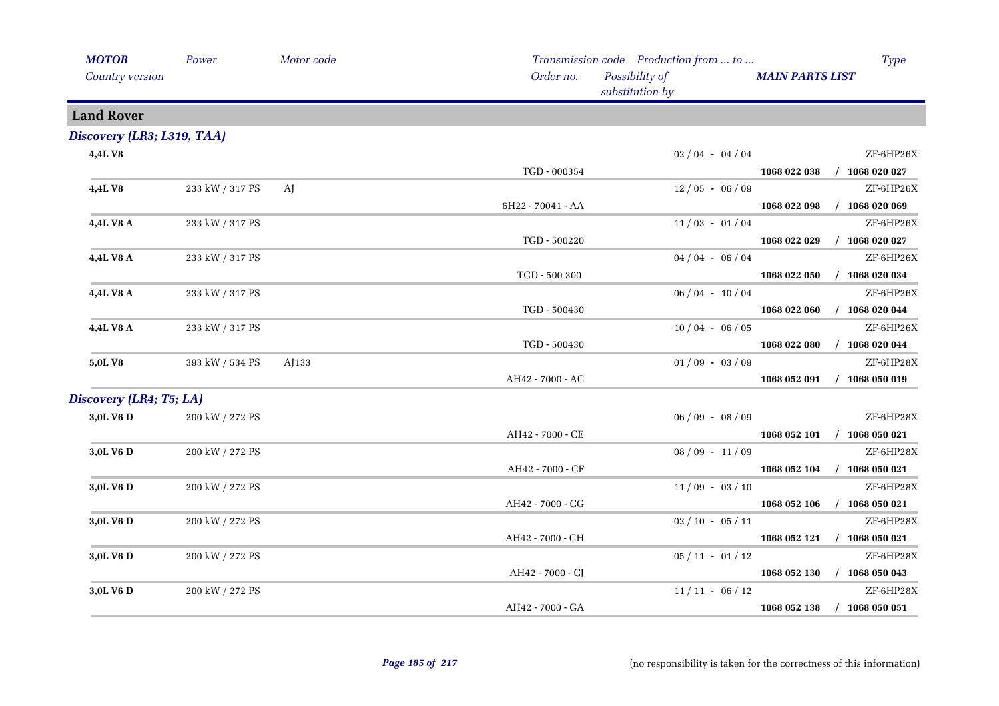| <b>MOTOR</b>               | Power           | Motor code |                   | Transmission code Production from  to | <b>Type</b>                      |
|----------------------------|-----------------|------------|-------------------|---------------------------------------|----------------------------------|
| Country version            |                 |            | Order no.         | Possibility of<br>substitution by     | <b>MAIN PARTS LIST</b>           |
| <b>Land Rover</b>          |                 |            |                   |                                       |                                  |
| Discovery (LR3; L319, TAA) |                 |            |                   |                                       |                                  |
| 4,4LV8                     |                 |            |                   | $02/04 - 04/04$                       | ZF-6HP26X                        |
|                            |                 |            | TGD - 000354      |                                       | 1068 022 038<br>$/$ 1068 020 027 |
| 4,4LV8                     | 233 kW / 317 PS | AJ         |                   | $12/05 - 06/09$                       | ZF-6HP26X                        |
|                            |                 |            | 6H22 - 70041 - AA |                                       | $/$ 1068 020 069<br>1068 022 098 |
| 4,4L V8 A                  | 233 kW / 317 PS |            |                   | $11/03 - 01/04$                       | ZF-6HP26X                        |
|                            |                 |            | TGD - 500220      |                                       | $/$ 1068 020 027<br>1068 022 029 |
| 4,4L V8 A                  | 233 kW / 317 PS |            |                   | $04/04 - 06/04$                       | ZF-6HP26X                        |
|                            |                 |            | TGD - 500 300     |                                       | 1068 022 050<br>$/$ 1068 020 034 |
| 4,4L V8 A                  | 233 kW / 317 PS |            |                   | $06/04 - 10/04$                       | ZF-6HP26X                        |
|                            |                 |            | TGD - 500430      |                                       | 1068 022 060<br>$/$ 1068 020 044 |
| 4,4L V8 A                  | 233 kW / 317 PS |            |                   | $10/04 - 06/05$                       | ZF-6HP26X                        |
|                            |                 |            | TGD - 500430      |                                       | 1068 022 080<br>$/$ 1068 020 044 |
| 5,0L V8                    | 393 kW / 534 PS | AJ133      |                   | $01/09 - 03/09$                       | ZF-6HP28X                        |
|                            |                 |            | AH42 - 7000 - AC  |                                       | 1068 052 091<br>$/$ 1068 050 019 |
| Discovery (LR4; T5; LA)    |                 |            |                   |                                       |                                  |
| 3,0L V6 D                  | 200 kW / 272 PS |            |                   | $06/09 - 08/09$                       | ZF-6HP28X                        |
|                            |                 |            | AH42 - 7000 - CE  |                                       | 1068 052 101 / 1068 050 021      |
| 3,0L V6 D                  | 200 kW / 272 PS |            |                   | $08/09 - 11/09$                       | ZF-6HP28X                        |
|                            |                 |            | AH42 - 7000 - CF  |                                       | 1068 052 104 / 1068 050 021      |
| 3,0L V6 D                  | 200 kW / 272 PS |            |                   | $11/09 - 03/10$                       | ZF-6HP28X                        |
|                            |                 |            | AH42 - 7000 - CG  |                                       | $/$ 1068 050 021<br>1068 052 106 |
| 3,0L V6 D                  | 200 kW / 272 PS |            |                   | $02 / 10 - 05 / 11$                   | ZF-6HP28X                        |
|                            |                 |            | AH42 - 7000 - CH  |                                       | 1068 052 121 / 1068 050 021      |
| 3,0L V6 D                  | 200 kW / 272 PS |            |                   | $05 / 11 - 01 / 12$                   | ZF-6HP28X                        |
|                            |                 |            | AH42 - 7000 - CJ  |                                       | 1068 052 130 / 1068 050 043      |
| 3,0L V6 D                  | 200 kW / 272 PS |            |                   | $11/11 - 06/12$                       | ZF-6HP28X                        |
|                            |                 |            | AH42 - 7000 - GA  |                                       | 1068 052 138<br>$/$ 1068 050 051 |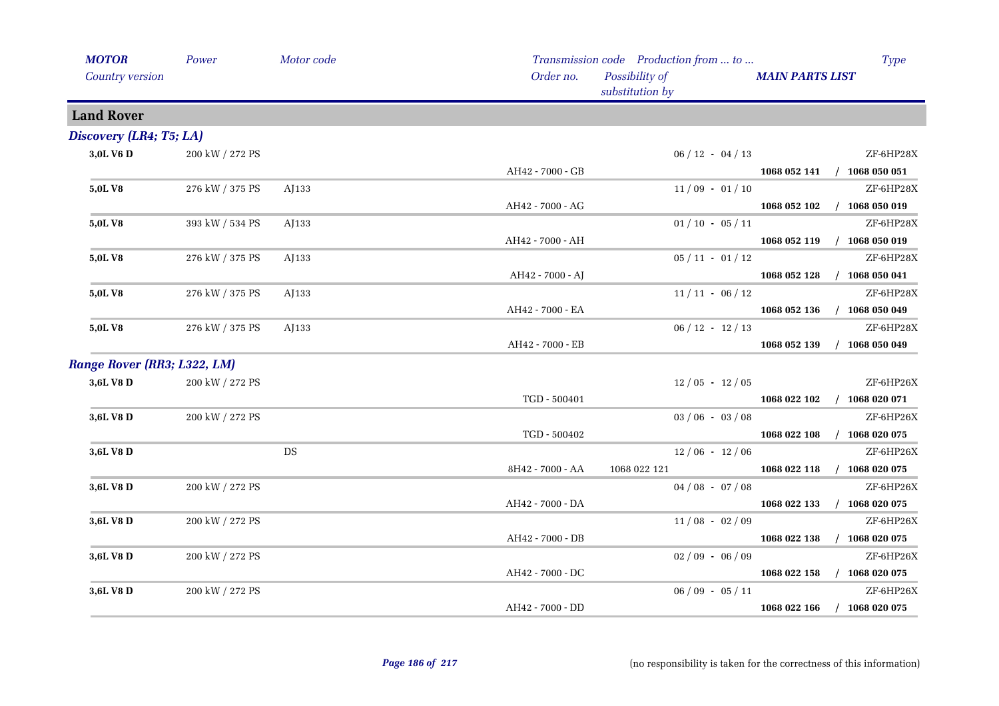| <b>MOTOR</b>                | Power           | Motor code |                  | Transmission code Production from  to |                        | Type                        |
|-----------------------------|-----------------|------------|------------------|---------------------------------------|------------------------|-----------------------------|
| Country version             |                 |            | Order no.        | Possibility of<br>substitution by     | <b>MAIN PARTS LIST</b> |                             |
| <b>Land Rover</b>           |                 |            |                  |                                       |                        |                             |
| Discovery (LR4; T5; LA)     |                 |            |                  |                                       |                        |                             |
| 3,0L V6 D                   | 200 kW / 272 PS |            |                  | $06 / 12 - 04 / 13$                   |                        | ZF-6HP28X                   |
|                             |                 |            | AH42 - 7000 - GB |                                       |                        | 1068 052 141 / 1068 050 051 |
| <b>5,0LV8</b>               | 276 kW / 375 PS | AJ133      |                  | $11/09 - 01/10$                       |                        | ZF-6HP28X                   |
|                             |                 |            | AH42 - 7000 - AG |                                       | 1068 052 102           | $/$ 1068 050 019            |
| 5,0LV8                      | 393 kW / 534 PS | AJ133      |                  | $01/10 - 05/11$                       |                        | ZF-6HP28X                   |
|                             |                 |            | AH42 - 7000 - AH |                                       |                        | 1068 052 119 / 1068 050 019 |
| 5,0LV8                      | 276 kW / 375 PS | AJ133      |                  | $05/11 - 01/12$                       |                        | ZF-6HP28X                   |
|                             |                 |            | AH42 - 7000 - AJ |                                       |                        | 1068 052 128 / 1068 050 041 |
| 5,0LV8                      | 276 kW / 375 PS | AJ133      |                  | $11/11 - 06/12$                       |                        | ZF-6HP28X                   |
|                             |                 |            | AH42 - 7000 - EA |                                       | 1068 052 136           | $/$ 1068 050 049            |
| 5,0LV8                      | 276 kW / 375 PS | AJ133      |                  | $06 / 12 - 12 / 13$                   |                        | ZF-6HP28X                   |
|                             |                 |            | AH42 - 7000 - EB |                                       | 1068 052 139           | $/$ 1068 050 049            |
| Range Rover (RR3; L322, LM) |                 |            |                  |                                       |                        |                             |
| 3,6L V8 D                   | 200 kW / 272 PS |            |                  | $12/05 - 12/05$                       |                        | ZF-6HP26X                   |
|                             |                 |            | TGD - 500401     |                                       |                        | 1068 022 102 / 1068 020 071 |
| 3,6L V8 D                   | 200 kW / 272 PS |            |                  | $03/06 - 03/08$                       |                        | ZF-6HP26X                   |
|                             |                 |            | TGD - 500402     |                                       | 1068 022 108           | $/$ 1068 020 075            |
| 3,6L V8 D                   |                 | <b>DS</b>  |                  | $12/06 - 12/06$                       |                        | ZF-6HP26X                   |
|                             |                 |            | 8H42 - 7000 - AA | 1068 022 121                          |                        | 1068 022 118 / 1068 020 075 |
| 3,6L V8 D                   | 200 kW / 272 PS |            |                  | $04/08 - 07/08$                       |                        | ZF-6HP26X                   |
|                             |                 |            | AH42 - 7000 - DA |                                       | 1068 022 133           | $/$ 1068 020 075            |
| 3,6L V8 D                   | 200 kW / 272 PS |            |                  | $11/08 - 02/09$                       |                        | ZF-6HP26X                   |
|                             |                 |            | AH42 - 7000 - DB |                                       | 1068 022 138           | $/$ 1068 020 075            |
| 3,6L V8 D                   | 200 kW / 272 PS |            |                  | $02/09 - 06/09$                       |                        | ZF-6HP26X                   |
|                             |                 |            | AH42 - 7000 - DC |                                       |                        | 1068 022 158 / 1068 020 075 |
| 3,6L V8 D                   | 200 kW / 272 PS |            |                  | $06/09 - 05/11$                       |                        | ZF-6HP26X                   |
|                             |                 |            | AH42 - 7000 - DD |                                       | 1068 022 166           | $/$ 1068 020 075            |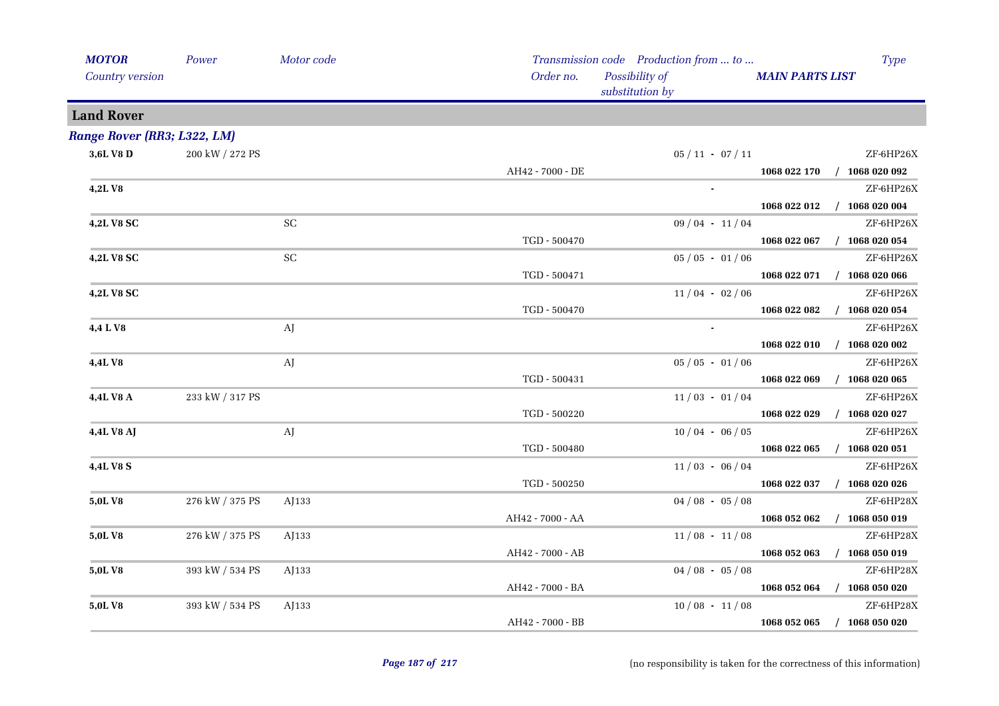| <b>MAIN PARTS LIST</b>           |
|----------------------------------|
|                                  |
|                                  |
|                                  |
| $05 / 11 - 07 / 11$<br>ZF-6HP26X |
| 1068 022 170 / 1068 020 092      |
| $ZF$ -6HP26X                     |
| 1068 022 012<br>$/$ 1068 020 004 |
| $09/04 - 11/04$<br>ZF-6HP26X     |
| $/$ 1068 020 054<br>1068 022 067 |
| ZF-6HP26X<br>$05/05 - 01/06$     |
| $/$ 1068 020 066<br>1068 022 071 |
| $11/04 - 02/06$<br>ZF-6HP26X     |
| $/$ 1068 020 054<br>1068 022 082 |
| $ZF$ -6HP26X                     |
| $/$ 1068 020 002<br>1068 022 010 |
| $05/05 - 01/06$<br>ZF-6HP26X     |
| $/$ 1068 020 065<br>1068 022 069 |
| ZF-6HP26X<br>$11/03 - 01/04$     |
| 1068 022 029<br>$/$ 1068 020 027 |
| ZF-6HP26X<br>$10/04 - 06/05$     |
| 1068 022 065<br>$/$ 1068 020 051 |
| $11/03 - 06/04$<br>ZF-6HP26X     |
| 1068 022 037<br>$/$ 1068 020 026 |
| $04/08 - 05/08$<br>ZF-6HP28X     |
| 1068 052 062<br>$/$ 1068 050 019 |
| ZF-6HP28X<br>$11/08 - 11/08$     |
| 1068 052 063<br>$/$ 1068 050 019 |
| $04/08 - 05/08$<br>ZF-6HP28X     |
| 1068 052 064<br>$/$ 1068 050 020 |
|                                  |
| $10/08 - 11/08$<br>ZF-6HP28X     |
|                                  |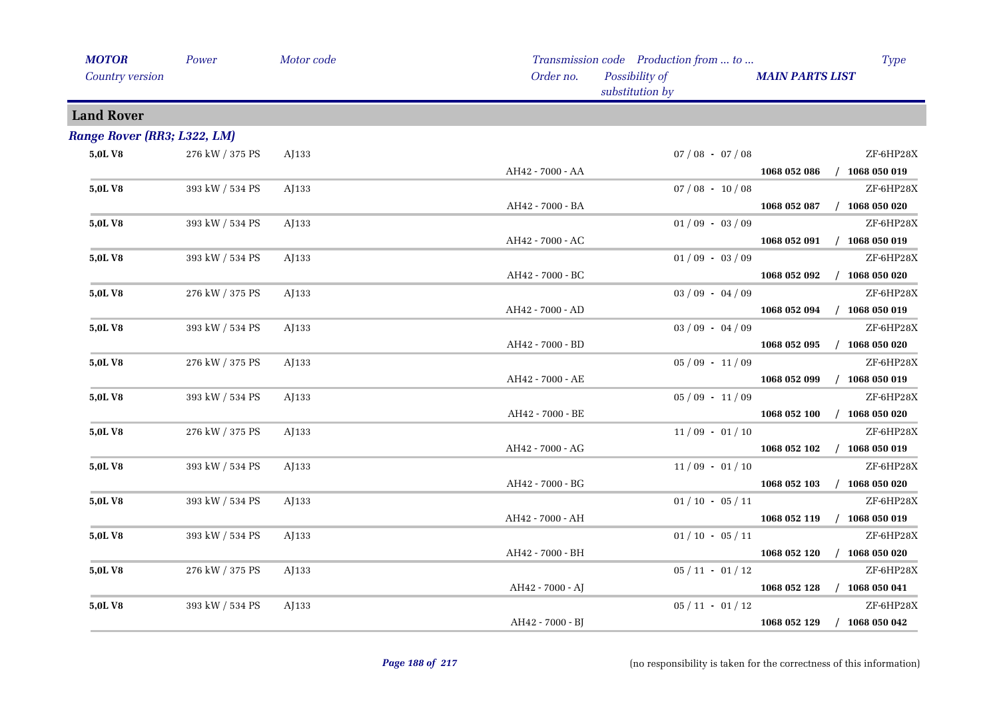| <b>MOTOR</b>                | Power           | Motor code |                  | Transmission code Production from  to |                        | <b>Type</b>      |
|-----------------------------|-----------------|------------|------------------|---------------------------------------|------------------------|------------------|
| Country version             |                 |            | Order no.        | Possibility of<br>substitution by     | <b>MAIN PARTS LIST</b> |                  |
| <b>Land Rover</b>           |                 |            |                  |                                       |                        |                  |
| Range Rover (RR3; L322, LM) |                 |            |                  |                                       |                        |                  |
| 5,0LV8                      | 276 kW / 375 PS | AJ133      |                  | $07/08 - 07/08$                       |                        | ZF-6HP28X        |
|                             |                 |            | AH42 - 7000 - AA |                                       | 1068 052 086           | $/$ 1068 050 019 |
| 5,0L V8                     | 393 kW / 534 PS | AJ133      |                  | $07/08 - 10/08$                       |                        | ZF-6HP28X        |
|                             |                 |            | AH42 - 7000 - BA |                                       | 1068 052 087           | $/$ 1068 050 020 |
| 5,0L V8                     | 393 kW / 534 PS | AJ133      |                  | $01/09 - 03/09$                       |                        | ZF-6HP28X        |
|                             |                 |            | AH42 - 7000 - AC |                                       | 1068 052 091           | $/$ 1068 050 019 |
| 5,0L V8                     | 393 kW / 534 PS | AJ133      |                  | $01/09 - 03/09$                       |                        | ZF-6HP28X        |
|                             |                 |            | AH42 - 7000 - BC |                                       | 1068 052 092           | $/$ 1068 050 020 |
| 5,0LV8                      | 276 kW / 375 PS | AJ133      |                  | $03/09 - 04/09$                       |                        | ZF-6HP28X        |
|                             |                 |            | AH42 - 7000 - AD |                                       | 1068 052 094           | $/$ 1068 050 019 |
| 5,0LV8                      | 393 kW / 534 PS | AJ133      |                  | $03/09 - 04/09$                       |                        | ZF-6HP28X        |
|                             |                 |            | AH42 - 7000 - BD |                                       | 1068 052 095           | $/$ 1068 050 020 |
| 5,0L V8                     | 276 kW / 375 PS | AJ133      |                  | $05/09 - 11/09$                       |                        | ZF-6HP28X        |
|                             |                 |            | AH42 - 7000 - AE |                                       | 1068 052 099           | $/$ 1068 050 019 |
| 5,0L V8                     | 393 kW / 534 PS | AJ133      |                  | $05/09 - 11/09$                       |                        | ZF-6HP28X        |
|                             |                 |            | AH42 - 7000 - BE |                                       | 1068 052 100           | $/$ 1068 050 020 |
| 5,0L V8                     | 276 kW / 375 PS | AJ133      |                  | $11/09 - 01/10$                       |                        | ZF-6HP28X        |
|                             |                 |            | AH42 - 7000 - AG |                                       | 1068 052 102           | $/$ 1068 050 019 |
| 5,0L V8                     | 393 kW / 534 PS | AJ133      |                  | $11/09 - 01/10$                       |                        | ZF-6HP28X        |
|                             |                 |            | AH42 - 7000 - BG |                                       | 1068 052 103           | $/$ 1068 050 020 |
| 5,0L V8                     | 393 kW / 534 PS | AJ133      |                  | $01/10 - 05/11$                       |                        | ZF-6HP28X        |
|                             |                 |            | AH42 - 7000 - AH |                                       | 1068 052 119           | $/$ 1068 050 019 |
| 5,0LV8                      | 393 kW / 534 PS | AJ133      |                  | $01/10 - 05/11$                       |                        | ZF-6HP28X        |
|                             |                 |            | AH42 - 7000 - BH |                                       | 1068 052 120           | $/$ 1068 050 020 |
| 5,0LV8                      | 276 kW / 375 PS | AJ133      |                  | $05/11 - 01/12$                       |                        | ZF-6HP28X        |
|                             |                 |            | AH42 - 7000 - AJ |                                       | 1068 052 128           | $/$ 1068 050 041 |
| 5,0LV8                      | 393 kW / 534 PS | AJ133      |                  | $05/11 - 01/12$                       |                        | ZF-6HP28X        |
|                             |                 |            | AH42 - 7000 - BJ |                                       | 1068 052 129           | $/$ 1068 050 042 |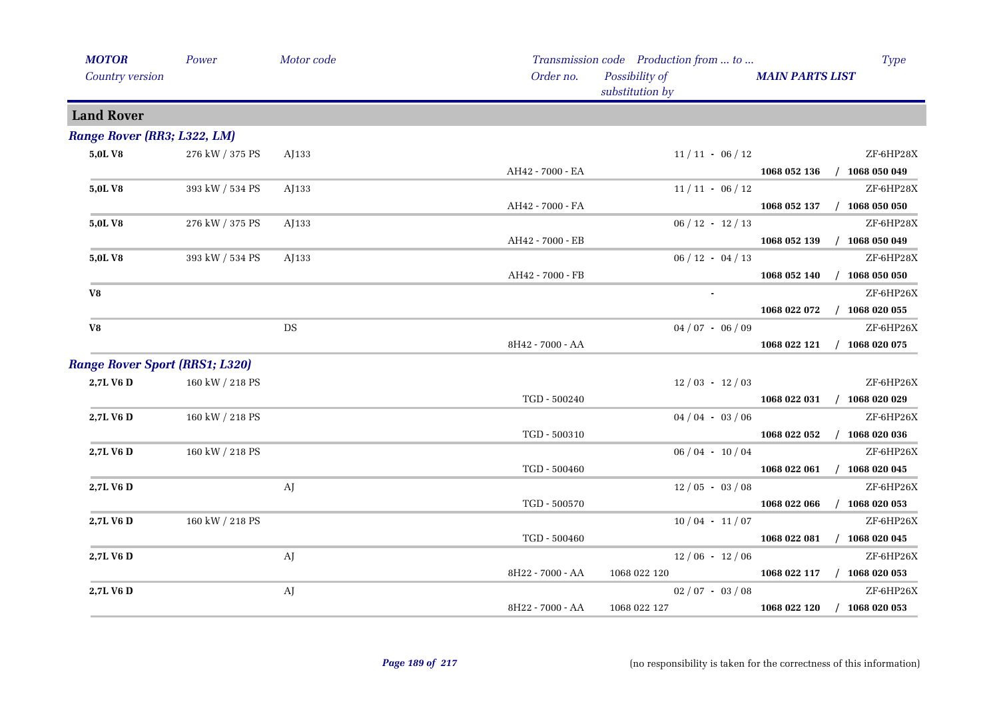| <b>MOTOR</b>                          | Power           | Motor code |                  | Transmission code Production from  to |                             | <b>Type</b>      |
|---------------------------------------|-----------------|------------|------------------|---------------------------------------|-----------------------------|------------------|
| Country version                       |                 |            | Order no.        | Possibility of<br>substitution by     | <b>MAIN PARTS LIST</b>      |                  |
| <b>Land Rover</b>                     |                 |            |                  |                                       |                             |                  |
| Range Rover (RR3; L322, LM)           |                 |            |                  |                                       |                             |                  |
| 5,0L V8                               | 276 kW / 375 PS | AJ133      |                  | $11/11 - 06/12$                       |                             | ZF-6HP28X        |
|                                       |                 |            | AH42 - 7000 - EA |                                       | 1068 052 136 / 1068 050 049 |                  |
| 5,0LV8                                | 393 kW / 534 PS | AJ133      |                  | $11/11 - 06/12$                       |                             | ZF-6HP28X        |
|                                       |                 |            | AH42 - 7000 - FA |                                       | 1068 052 137                | $/$ 1068 050 050 |
| 5,0LV8                                | 276 kW / 375 PS | AJ133      |                  | $06 / 12 - 12 / 13$                   |                             | ZF-6HP28X        |
|                                       |                 |            | AH42 - 7000 - EB |                                       | 1068 052 139                | $/$ 1068 050 049 |
| 5,0L V8                               | 393 kW / 534 PS | AJ133      |                  | $06/12 - 04/13$                       |                             | ZF-6HP28X        |
|                                       |                 |            | AH42 - 7000 - FB |                                       | 1068 052 140                | $/$ 1068 050 050 |
| V8                                    |                 |            |                  |                                       |                             | ZF-6HP26X        |
|                                       |                 |            |                  |                                       | 1068 022 072                | $/$ 1068 020 055 |
| V8                                    |                 | DS         |                  | $04/07 - 06/09$                       |                             | ZF-6HP26X        |
|                                       |                 |            | 8H42 - 7000 - AA |                                       | 1068 022 121                | $/$ 1068 020 075 |
| <b>Range Rover Sport (RRS1; L320)</b> |                 |            |                  |                                       |                             |                  |
| 2,7L V6 D                             | 160 kW / 218 PS |            |                  | $12/03 - 12/03$                       |                             | ZF-6HP26X        |
|                                       |                 |            | TGD - 500240     |                                       | 1068 022 031 / 1068 020 029 |                  |
| 2,7L V6 D                             | 160 kW / 218 PS |            |                  | $04/04 - 03/06$                       |                             | ZF-6HP26X        |
|                                       |                 |            | TGD - 500310     |                                       | 1068 022 052                | $/$ 1068 020 036 |
| 2,7L V6 D                             | 160 kW / 218 PS |            |                  | $06/04 - 10/04$                       |                             | ZF-6HP26X        |
|                                       |                 |            | TGD - 500460     |                                       | 1068 022 061                | $/$ 1068 020 045 |
| 2,7L V6 D                             |                 | AJ         |                  | $12/05 - 03/08$                       |                             | ZF-6HP26X        |
|                                       |                 |            | TGD - 500570     |                                       | 1068 022 066                | $/$ 1068 020 053 |
| 2,7L V6 D                             | 160 kW / 218 PS |            |                  | $10/04 - 11/07$                       |                             | ZF-6HP26X        |
|                                       |                 |            | TGD - 500460     |                                       | 1068 022 081                | $/$ 1068 020 045 |
| 2,7L V6 D                             |                 | AJ         |                  | $12/06 - 12/06$                       |                             | ZF-6HP26X        |
|                                       |                 |            | 8H22 - 7000 - AA | 1068 022 120                          | 1068 022 117 / 1068 020 053 |                  |
| 2,7L V6 D                             |                 | AJ         |                  | $02/07 - 03/08$                       |                             | ZF-6HP26X        |
|                                       |                 |            | 8H22 - 7000 - AA | 1068 022 127                          | 1068 022 120                | $/$ 1068 020 053 |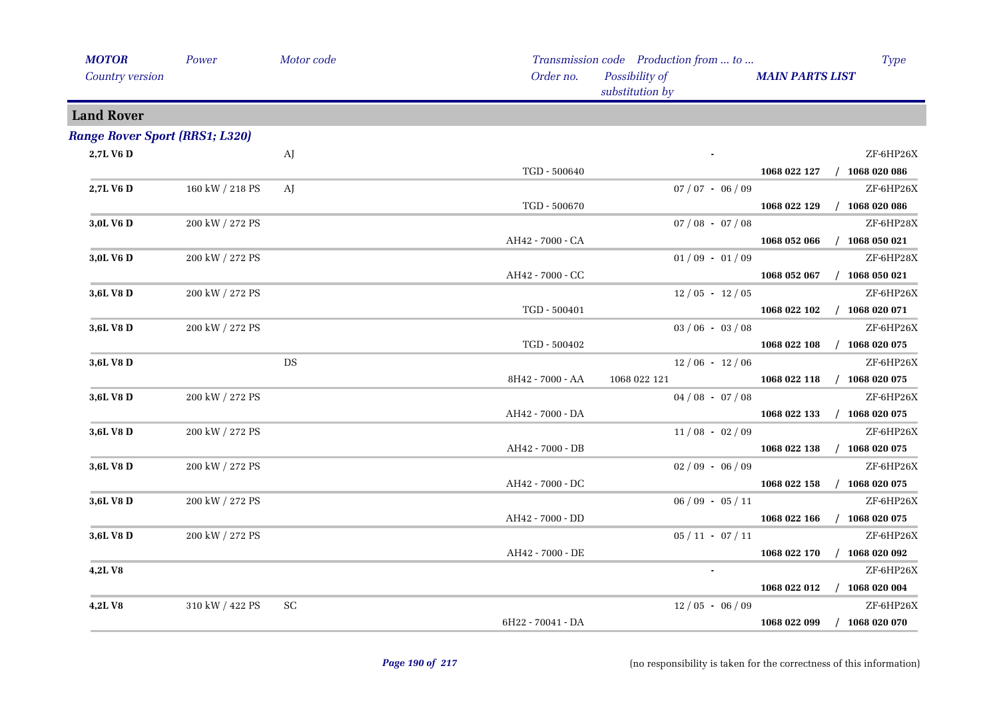| <b>MOTOR</b>                          | Power           | Motor code |                   | Transmission code Production from  to |                        | <b>Type</b>      |
|---------------------------------------|-----------------|------------|-------------------|---------------------------------------|------------------------|------------------|
| Country version                       |                 |            | Order no.         | Possibility of<br>substitution by     | <b>MAIN PARTS LIST</b> |                  |
| <b>Land Rover</b>                     |                 |            |                   |                                       |                        |                  |
| <b>Range Rover Sport (RRS1; L320)</b> |                 |            |                   |                                       |                        |                  |
| 2,7L V6 D                             |                 | AJ         |                   |                                       |                        | ZF-6HP26X        |
|                                       |                 |            | TGD - 500640      |                                       | 1068 022 127           | $/$ 1068 020 086 |
| 2,7L V6 D                             | 160 kW / 218 PS | AJ         |                   | $07 / 07 - 06 / 09$                   |                        | ZF-6HP26X        |
|                                       |                 |            | TGD - 500670      |                                       | 1068 022 129           | $/$ 1068 020 086 |
| 3,0L V6 D                             | 200 kW / 272 PS |            |                   | $07/08 - 07/08$                       |                        | ZF-6HP28X        |
|                                       |                 |            | AH42 - 7000 - CA  |                                       | 1068 052 066           | $/$ 1068 050 021 |
| 3,0L V6 D                             | 200 kW / 272 PS |            |                   | $01/09 - 01/09$                       |                        | ZF-6HP28X        |
|                                       |                 |            | AH42 - 7000 - CC  |                                       | 1068 052 067           | $/$ 1068 050 021 |
| 3,6L V8 D                             | 200 kW / 272 PS |            |                   | $12/05 - 12/05$                       |                        | ZF-6HP26X        |
|                                       |                 |            | TGD - 500401      |                                       | 1068 022 102           | $/$ 1068 020 071 |
| 3,6L V8 D                             | 200 kW / 272 PS |            |                   | $03/06 - 03/08$                       |                        | ZF-6HP26X        |
|                                       |                 |            | TGD - 500402      |                                       | 1068 022 108           | $/$ 1068 020 075 |
| 3,6L V8 D                             |                 | DS         |                   | $12/06 - 12/06$                       |                        | ZF-6HP26X        |
|                                       |                 |            | 8H42 - 7000 - AA  | 1068 022 121                          | 1068 022 118           | $/$ 1068 020 075 |
| 3,6L V8 D                             | 200 kW / 272 PS |            |                   | $04/08 - 07/08$                       |                        | ZF-6HP26X        |
|                                       |                 |            | AH42 - 7000 - DA  |                                       | 1068 022 133           | $/$ 1068 020 075 |
| 3,6L V8 D                             | 200 kW / 272 PS |            |                   | $11/08 - 02/09$                       |                        | ZF-6HP26X        |
|                                       |                 |            | AH42 - 7000 - DB  |                                       | 1068 022 138           | $/$ 1068 020 075 |
| 3,6L V8 D                             | 200 kW / 272 PS |            |                   | $02/09 - 06/09$                       |                        | ZF-6HP26X        |
|                                       |                 |            | AH42 - 7000 - DC  |                                       | 1068 022 158           | $/$ 1068 020 075 |
| 3,6L V8 D                             | 200 kW / 272 PS |            |                   | $06/09 - 05/11$                       |                        | ZF-6HP26X        |
|                                       |                 |            | AH42 - 7000 - DD  |                                       | 1068 022 166           | $/$ 1068 020 075 |
| 3,6L V8 D                             | 200 kW / 272 PS |            |                   | $05 / 11 - 07 / 11$                   |                        | ZF-6HP26X        |
|                                       |                 |            | AH42 - 7000 - DE  |                                       | 1068 022 170           | $/$ 1068 020 092 |
| 4,2LV8                                |                 |            |                   |                                       |                        | ZF-6HP26X        |
|                                       |                 |            |                   |                                       | 1068 022 012           | $/$ 1068 020 004 |
| 4,2LV8                                | 310 kW / 422 PS | SC         |                   | $12/05 - 06/09$                       |                        | ZF-6HP26X        |
|                                       |                 |            | 6H22 - 70041 - DA |                                       | 1068 022 099           | $/$ 1068 020 070 |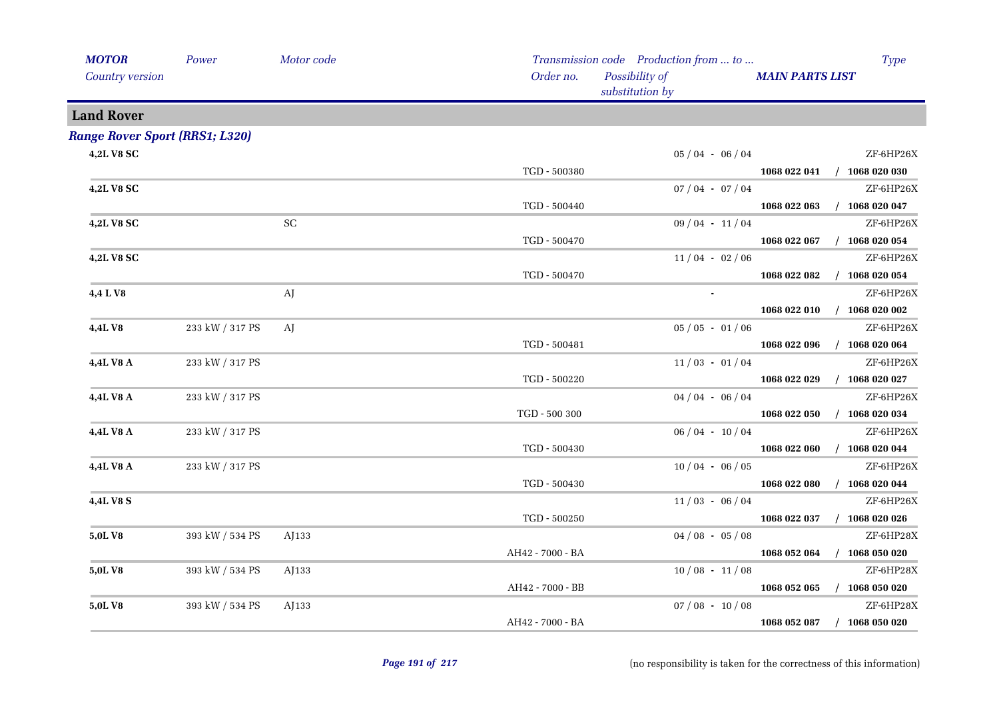| <b>MOTOR</b>                          | Power           | Motor code          |                                | Transmission code  Production from  to |                        | <b>Type</b>                 |
|---------------------------------------|-----------------|---------------------|--------------------------------|----------------------------------------|------------------------|-----------------------------|
| Country version                       |                 |                     | Order no.                      | Possibility of<br>substitution by      | <b>MAIN PARTS LIST</b> |                             |
| <b>Land Rover</b>                     |                 |                     |                                |                                        |                        |                             |
| <b>Range Rover Sport (RRS1; L320)</b> |                 |                     |                                |                                        |                        |                             |
| 4,2L V8 SC                            |                 |                     |                                | $05/04 - 06/04$                        |                        | ZF-6HP26X                   |
|                                       |                 |                     | TGD - 500380                   |                                        |                        | 1068 022 041 / 1068 020 030 |
| 4,2L V8 SC                            |                 |                     |                                | $07/04 - 07/04$                        |                        | ZF-6HP26X                   |
|                                       |                 |                     | TGD - 500440                   |                                        |                        | 1068 022 063 / 1068 020 047 |
| 4,2L V8 SC                            |                 | $\operatorname{SC}$ |                                | $09/04 - 11/04$                        |                        | ZF-6HP26X                   |
|                                       |                 |                     | TGD - 500470                   |                                        | 1068 022 067           | $/$ 1068 020 054            |
| 4,2L V8 SC                            |                 |                     |                                | $11/04 - 02/06$                        |                        | ZF-6HP26X                   |
|                                       |                 |                     | TGD - 500470                   |                                        | 1068 022 082           | $/$ 1068 020 054            |
| 4,4 L V8                              |                 | AJ                  |                                |                                        |                        | ZF-6HP26X                   |
|                                       |                 |                     |                                |                                        | 1068 022 010           | $/$ 1068 020 002            |
| 4,4L V8                               | 233 kW / 317 PS | AJ                  |                                | $05/05 - 01/06$                        |                        | ZF-6HP26X                   |
|                                       |                 |                     | TGD - 500481                   |                                        | 1068 022 096           | $/$ 1068 020 064            |
| 4,4L V8 A                             | 233 kW / 317 PS |                     |                                | $11/03 - 01/04$                        |                        | ZF-6HP26X                   |
|                                       |                 |                     | TGD - 500220                   |                                        | 1068 022 029           | $/$ 1068 020 027            |
| 4,4L V8 A                             | 233 kW / 317 PS |                     |                                | $04/04 - 06/04$                        |                        | ZF-6HP26X                   |
|                                       |                 |                     | $\operatorname{TGD}$ - 500 300 |                                        | 1068 022 050           | $/$ 1068 020 034            |
| 4,4L V8 A                             | 233 kW / 317 PS |                     |                                | $06/04 - 10/04$                        |                        | ZF-6HP26X                   |
|                                       |                 |                     | TGD - 500430                   |                                        | 1068 022 060           | $/$ 1068 020 044            |
| 4,4L V8 A                             | 233 kW / 317 PS |                     |                                | $10/04 - 06/05$                        |                        | ZF-6HP26X                   |
|                                       |                 |                     | TGD - 500430                   |                                        | 1068 022 080           | $/$ 1068 020 044            |
| 4,4L V8 S                             |                 |                     |                                | $11/03 - 06/04$                        |                        | ZF-6HP26X                   |
|                                       |                 |                     | TGD - 500250                   |                                        | 1068 022 037           | $/$ 1068 020 026            |
| 5,0LV8                                | 393 kW / 534 PS | AJ133               |                                | $04/08 - 05/08$                        |                        | ZF-6HP28X                   |
|                                       |                 |                     | AH42 - 7000 - BA               |                                        | 1068 052 064           | $/$ 1068 050 020            |
| 5,0L V8                               | 393 kW / 534 PS | AJ133               |                                | $10/08 - 11/08$                        |                        | ZF-6HP28X                   |
|                                       |                 |                     | AH42 - 7000 - BB               |                                        | 1068 052 065           | $/$ 1068 050 020            |
| 5,0L V8                               | 393 kW / 534 PS | AJ133               |                                | $07/08 - 10/08$                        |                        | ZF-6HP28X                   |
|                                       |                 |                     | AH42 - 7000 - BA               |                                        | 1068 052 087           | $/$ 1068 050 020            |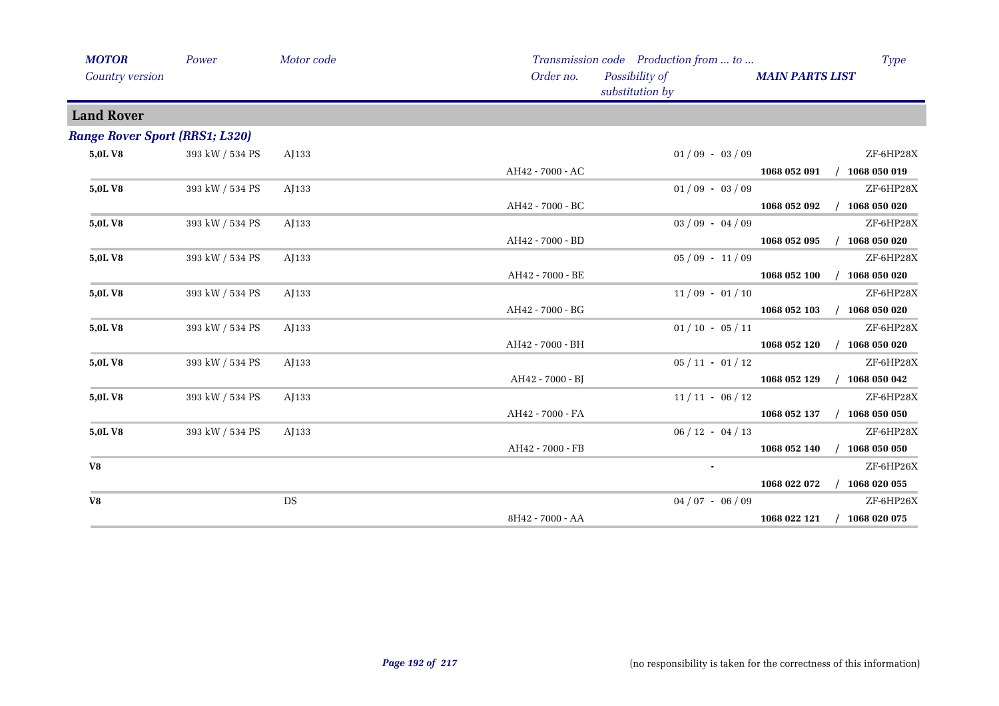| <b>MOTOR</b><br>Country version       | Power           | Motor code | Order no.        | Transmission code Production from  to<br>Possibility of<br>substitution by | <b>MAIN PARTS LIST</b> | <b>Type</b>      |
|---------------------------------------|-----------------|------------|------------------|----------------------------------------------------------------------------|------------------------|------------------|
| <b>Land Rover</b>                     |                 |            |                  |                                                                            |                        |                  |
| <b>Range Rover Sport (RRS1; L320)</b> |                 |            |                  |                                                                            |                        |                  |
| 5,0LV8                                | 393 kW / 534 PS | AJ133      |                  | $01/09 - 03/09$                                                            |                        | ZF-6HP28X        |
|                                       |                 |            | AH42 - 7000 - AC |                                                                            | 1068 052 091           | $/$ 1068 050 019 |
| 5,0LV8                                | 393 kW / 534 PS | AJ133      |                  | $01/09 - 03/09$                                                            |                        | ZF-6HP28X        |
|                                       |                 |            | AH42 - 7000 - BC |                                                                            | 1068 052 092           | 1068 050 020     |
| 5,0LV8                                | 393 kW / 534 PS | AJ133      |                  | $03/09 - 04/09$                                                            |                        | ZF-6HP28X        |
|                                       |                 |            | AH42 - 7000 - BD |                                                                            | 1068 052 095           | $/$ 1068 050 020 |
| 5,0LV8                                | 393 kW / 534 PS | AJ133      |                  | $05/09 - 11/09$                                                            |                        | ZF-6HP28X        |
|                                       |                 |            | AH42 - 7000 - BE |                                                                            | 1068 052 100           | 1068 050 020     |
| 5,0LV8                                | 393 kW / 534 PS | AJ133      |                  | $11/09 - 01/10$                                                            |                        | ZF-6HP28X        |
|                                       |                 |            | AH42 - 7000 - BG |                                                                            | 1068 052 103           | $/$ 1068 050 020 |
| 5,0LV8                                | 393 kW / 534 PS | AJ133      |                  | $01/10 - 05/11$                                                            |                        | ZF-6HP28X        |
|                                       |                 |            | AH42 - 7000 - BH |                                                                            | 1068 052 120           | $/$ 1068 050 020 |
| 5,0LV8                                | 393 kW / 534 PS | AJ133      |                  | $05/11 - 01/12$                                                            |                        | ZF-6HP28X        |
|                                       |                 |            | AH42 - 7000 - BJ |                                                                            | 1068 052 129           | $/$ 1068 050 042 |
| 5,0LV8                                | 393 kW / 534 PS | AJ133      |                  | $11/11 - 06/12$                                                            |                        | ZF-6HP28X        |
|                                       |                 |            | AH42 - 7000 - FA |                                                                            | 1068 052 137           | $/$ 1068 050 050 |
| 5,0LV8                                | 393 kW / 534 PS | AJ133      |                  | $06 / 12 - 04 / 13$                                                        |                        | ZF-6HP28X        |
|                                       |                 |            | AH42 - 7000 - FB |                                                                            | 1068 052 140           | $/$ 1068 050 050 |
| V8                                    |                 |            |                  | $\blacksquare$                                                             |                        | ZF-6HP26X        |
|                                       |                 |            |                  |                                                                            | 1068 022 072           | $/$ 1068 020 055 |
| V8                                    |                 | DS         |                  | $04/07 - 06/09$                                                            |                        | ZF-6HP26X        |
|                                       |                 |            | 8H42 - 7000 - AA |                                                                            | 1068 022 121           | $/$ 1068 020 075 |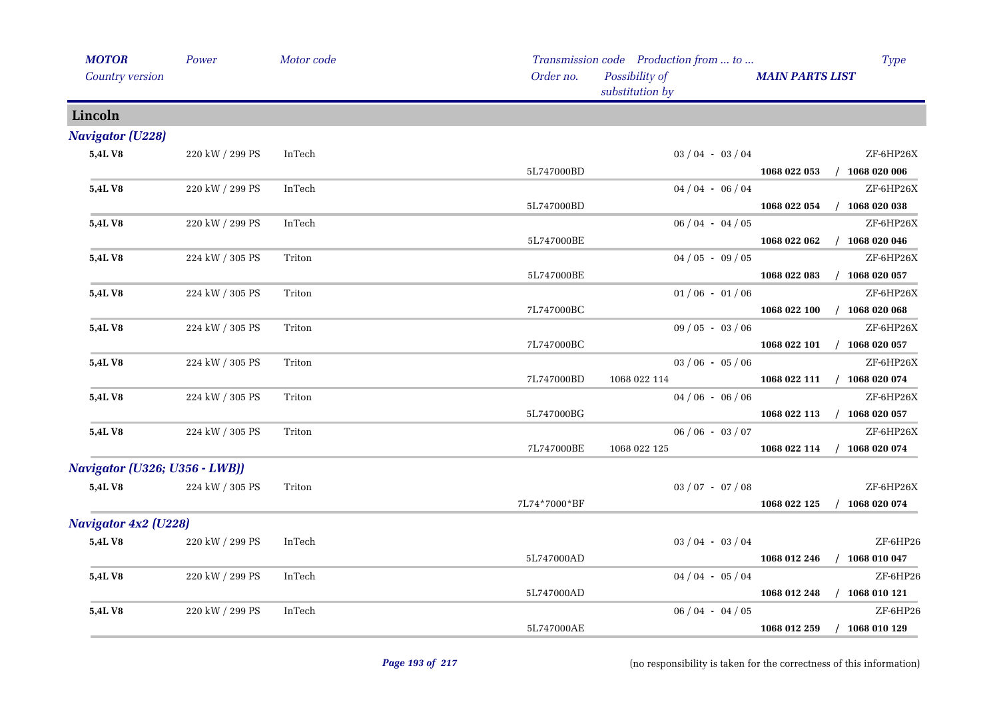| <b>MOTOR</b>                  | Power           | Motor code |              | Transmission code Production from  to | <b>Type</b>                      |
|-------------------------------|-----------------|------------|--------------|---------------------------------------|----------------------------------|
| Country version               |                 |            | Order no.    | Possibility of<br>substitution by     | <b>MAIN PARTS LIST</b>           |
| Lincoln                       |                 |            |              |                                       |                                  |
| <b>Navigator (U228)</b>       |                 |            |              |                                       |                                  |
| 5,4LV8                        | 220 kW / 299 PS | InTech     |              | $03/04 - 03/04$                       | ZF-6HP26X                        |
|                               |                 |            | 5L747000BD   |                                       | 1068 022 053<br>$/$ 1068 020 006 |
| 5,4L V8                       | 220 kW / 299 PS | InTech     |              | $04/04 - 06/04$                       | ZF-6HP26X                        |
|                               |                 |            | 5L747000BD   |                                       | $/$ 1068 020 038<br>1068 022 054 |
| <b>5,4LV8</b>                 | 220 kW / 299 PS | InTech     |              | $06/04 - 04/05$                       | ZF-6HP26X                        |
|                               |                 |            | 5L747000BE   |                                       | $/$ 1068 020 046<br>1068 022 062 |
| 5,4L V8                       | 224 kW / 305 PS | Triton     |              | $04/05 - 09/05$                       | ZF-6HP26X                        |
|                               |                 |            | 5L747000BE   |                                       | $/$ 1068 020 057<br>1068 022 083 |
| 5,4LV8                        | 224 kW / 305 PS | Triton     |              | $01/06 - 01/06$                       | ZF-6HP26X                        |
|                               |                 |            | 7L747000BC   |                                       | 1068 022 100<br>$/$ 1068 020 068 |
| 5,4LV8                        | 224 kW / 305 PS | Triton     |              | $09/05 - 03/06$                       | ZF-6HP26X                        |
|                               |                 |            | 7L747000BC   |                                       | 1068 022 101 / 1068 020 057      |
| 5,4LV8                        | 224 kW / 305 PS | Triton     |              | $03/06 - 05/06$                       | ZF-6HP26X                        |
|                               |                 |            | 7L747000BD   | 1068 022 114                          | 1068 022 111 / 1068 020 074      |
| 5,4L V8                       | 224 kW / 305 PS | Triton     |              | $04/06 - 06/06$                       | ZF-6HP26X                        |
|                               |                 |            | 5L747000BG   |                                       | 1068 022 113 / 1068 020 057      |
| 5,4L V8                       | 224 kW / 305 PS | Triton     |              | $06/06 - 03/07$                       | ZF-6HP26X                        |
|                               |                 |            | 7L747000BE   | 1068 022 125                          | $/$ 1068 020 074<br>1068 022 114 |
| Navigator (U326; U356 - LWB)) |                 |            |              |                                       |                                  |
| 5,4LV8                        | 224 kW / 305 PS | Triton     |              | $03 / 07 - 07 / 08$                   | ZF-6HP26X                        |
|                               |                 |            | 7L74*7000*BF |                                       | $/$ 1068 020 074<br>1068 022 125 |
| <b>Navigator 4x2 (U228)</b>   |                 |            |              |                                       |                                  |
| 5,4L V8                       | 220 kW / 299 PS | InTech     |              | $03/04 - 03/04$                       | ZF-6HP26                         |
|                               |                 |            | 5L747000AD   |                                       | $/$ 1068 010 047<br>1068 012 246 |
| 5,4LV8                        | 220 kW / 299 PS | InTech     |              | $04/04 - 05/04$                       | ZF-6HP26                         |
|                               |                 |            | 5L747000AD   |                                       | 1068 012 248<br>$/$ 1068 010 121 |
| 5,4LV8                        | 220 kW / 299 PS | InTech     |              | $06/04 - 04/05$                       | ZF-6HP26                         |
|                               |                 |            | 5L747000AE   |                                       | $/$ 1068 010 129<br>1068 012 259 |
|                               |                 |            |              |                                       |                                  |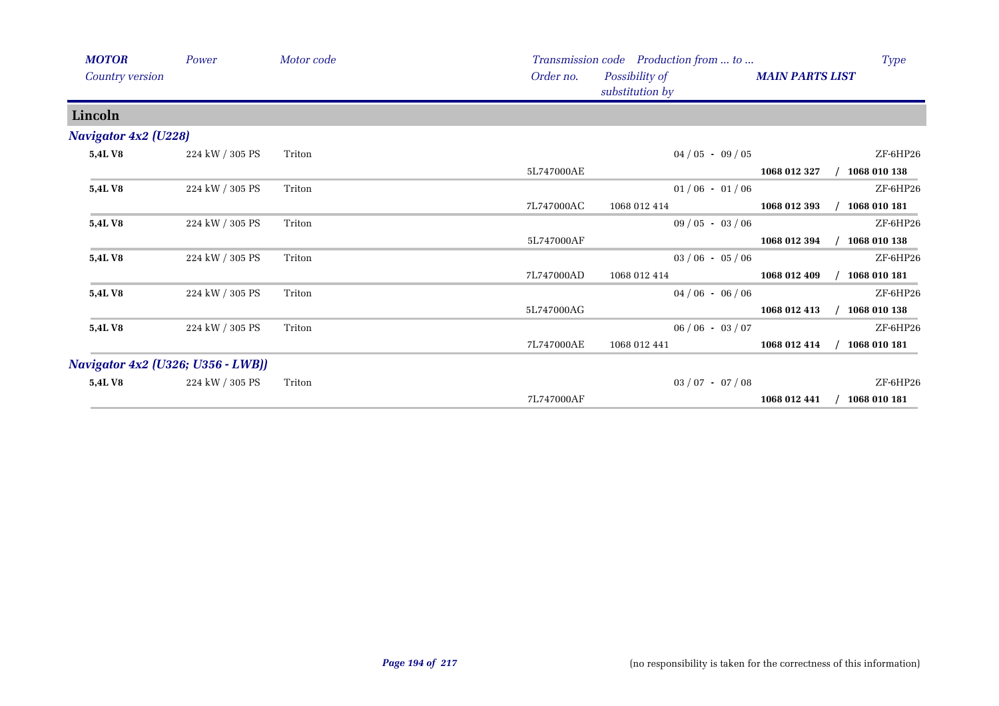| <b>MOTOR</b><br>Country version          | Power           | Motor code | Order no.  | Transmission code Production from  to<br>Possibility of<br>substitution by | <b>MAIN PARTS LIST</b> | <b>Type</b>  |
|------------------------------------------|-----------------|------------|------------|----------------------------------------------------------------------------|------------------------|--------------|
| Lincoln                                  |                 |            |            |                                                                            |                        |              |
| <b>Navigator 4x2 (U228)</b>              |                 |            |            |                                                                            |                        |              |
| <b>5,4LV8</b>                            | 224 kW / 305 PS | Triton     |            | $04/05 - 09/05$                                                            |                        | ZF-6HP26     |
|                                          |                 |            | 5L747000AE |                                                                            | 1068 012 327           | 1068 010 138 |
| 5,4LV8                                   | 224 kW / 305 PS | Triton     |            | $01/06 - 01/06$                                                            |                        | ZF-6HP26     |
|                                          |                 |            | 7L747000AC | 1068 012 414                                                               | 1068 012 393           | 1068 010 181 |
| 5,4L V8                                  | 224 kW / 305 PS | Triton     |            | $09/05 - 03/06$                                                            |                        | ZF-6HP26     |
|                                          |                 |            | 5L747000AF |                                                                            | 1068 012 394           | 1068 010 138 |
| 5,4L V8                                  | 224 kW / 305 PS | Triton     |            | $03/06 - 05/06$                                                            |                        | ZF-6HP26     |
|                                          |                 |            | 7L747000AD | 1068 012 414                                                               | 1068 012 409           | 1068 010 181 |
| 5,4LV8                                   | 224 kW / 305 PS | Triton     |            | $04/06 - 06/06$                                                            |                        | ZF-6HP26     |
|                                          |                 |            | 5L747000AG |                                                                            | 1068 012 413           | 1068 010 138 |
| <b>5,4LV8</b>                            | 224 kW / 305 PS | Triton     |            | $06/06 - 03/07$                                                            |                        | ZF-6HP26     |
|                                          |                 |            | 7L747000AE | 1068 012 441                                                               | 1068 012 414           | 1068 010 181 |
| <b>Navigator 4x2 (U326; U356 - LWB))</b> |                 |            |            |                                                                            |                        |              |
| <b>5,4LV8</b>                            | 224 kW / 305 PS | Triton     |            | $03 / 07 - 07 / 08$                                                        |                        | ZF-6HP26     |
|                                          |                 |            | 7L747000AF |                                                                            | 1068 012 441           | 1068 010 181 |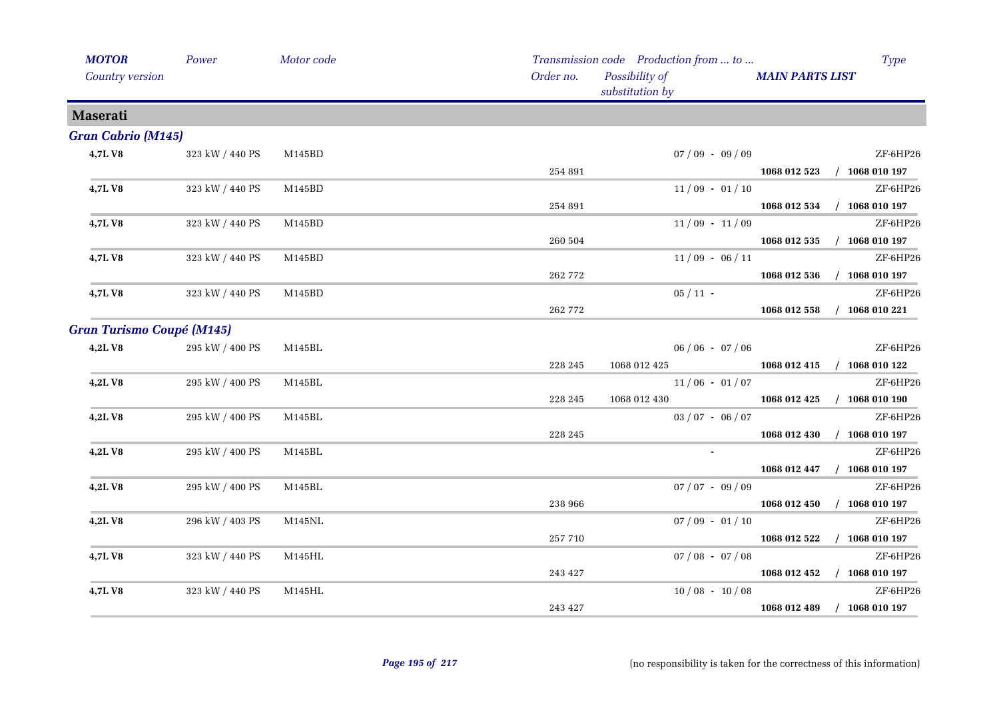| <b>MOTOR</b>                     | Power           | Motor code |           | Transmission code Production from  to | <b>Type</b>                      |
|----------------------------------|-----------------|------------|-----------|---------------------------------------|----------------------------------|
| Country version                  |                 |            | Order no. | Possibility of<br>substitution by     | <b>MAIN PARTS LIST</b>           |
| <b>Maserati</b>                  |                 |            |           |                                       |                                  |
| <b>Gran Cabrio (M145)</b>        |                 |            |           |                                       |                                  |
| 4,7LV8                           | 323 kW / 440 PS | M145BD     |           | $07/09 - 09/09$                       | ZF-6HP26                         |
|                                  |                 |            | 254 891   |                                       | 1068 012 523 / 1068 010 197      |
| 4,7LV8                           | 323 kW / 440 PS | M145BD     |           | $11/09 - 01/10$                       | ZF-6HP26                         |
|                                  |                 |            | 254 891   |                                       | 1068 012 534 / 1068 010 197      |
| 4,7LV8                           | 323 kW / 440 PS | M145BD     |           | $11/09 - 11/09$                       | ZF-6HP26                         |
|                                  |                 |            | 260 504   |                                       | $/$ 1068 010 197<br>1068 012 535 |
| 4,7L V8                          | 323 kW / 440 PS | M145BD     |           | $11/09 - 06/11$                       | ZF-6HP26                         |
|                                  |                 |            | 262 772   |                                       | 1068 012 536 / 1068 010 197      |
| 4,7LV8                           | 323 kW / 440 PS | M145BD     |           | $05/11$ -                             | ZF-6HP26                         |
|                                  |                 |            | 262 772   |                                       | 1068 012 558 / 1068 010 221      |
| <b>Gran Turismo Coupé (M145)</b> |                 |            |           |                                       |                                  |
| 4,2LV8                           | 295 kW / 400 PS | M145BL     |           | $06/06 - 07/06$                       | ZF-6HP26                         |
|                                  |                 |            | 228 245   | 1068 012 425                          | 1068 012 415 / 1068 010 122      |
| 4,2LV8                           | 295 kW / 400 PS | M145BL     |           | $11/06 - 01/07$                       | ZF-6HP26                         |
|                                  |                 |            | 228 245   | 1068 012 430                          | 1068 012 425 / 1068 010 190      |
| 4,2LV8                           | 295 kW / 400 PS | M145BL     |           | $03/07 - 06/07$                       | ZF-6HP26                         |
|                                  |                 |            | 228 245   |                                       | 1068 012 430<br>$/$ 1068 010 197 |
| 4,2LV8                           | 295 kW / 400 PS | M145BL     |           | $\mathbf{r}$ .                        | ZF-6HP26                         |
|                                  |                 |            |           |                                       | 1068 012 447 / 1068 010 197      |
| 4,2LV8                           | 295 kW / 400 PS | M145BL     |           | $07/07 - 09/09$                       | ZF-6HP26                         |
|                                  |                 |            | 238 966   |                                       | 1068 012 450 / 1068 010 197      |
| 4,2LV8                           | 296 kW / 403 PS | M145NL     |           | $07/09 - 01/10$                       | ZF-6HP26                         |
|                                  |                 |            | 257 710   |                                       | 1068 012 522 / 1068 010 197      |
| 4,7L V8                          | 323 kW / 440 PS | M145HL     |           | $07/08 - 07/08$                       | ZF-6HP26                         |
|                                  |                 |            | 243 427   |                                       | 1068 012 452 / 1068 010 197      |
| 4,7LV8                           | 323 kW / 440 PS | M145HL     |           | $10/08 - 10/08$                       | ZF-6HP26                         |
|                                  |                 |            | 243 427   |                                       | 1068 012 489 / 1068 010 197      |
|                                  |                 |            |           |                                       |                                  |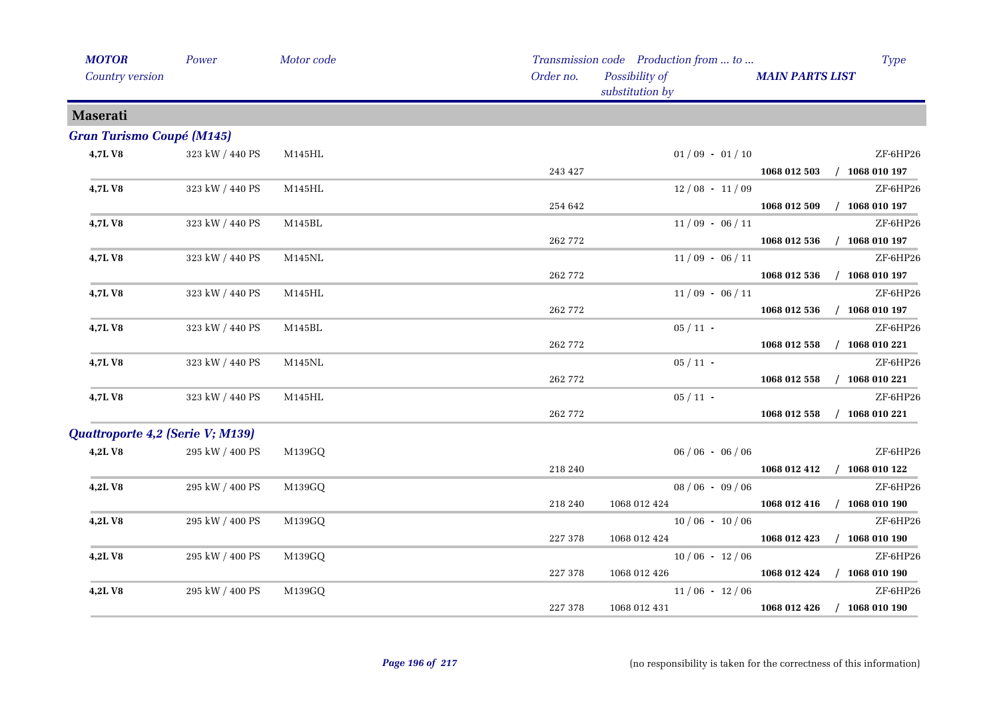| <b>MOTOR</b>                     | Power                 | Motor code    |           | Transmission code Production from  to | Type                             |
|----------------------------------|-----------------------|---------------|-----------|---------------------------------------|----------------------------------|
| Country version                  |                       |               | Order no. | Possibility of<br>substitution by     | <b>MAIN PARTS LIST</b>           |
| <b>Maserati</b>                  |                       |               |           |                                       |                                  |
| <b>Gran Turismo Coupé (M145)</b> |                       |               |           |                                       |                                  |
| 4,7LV8                           | 323 kW / 440 PS       | M145HL        |           | $01/09 - 01/10$                       | ZF-6HP26                         |
|                                  |                       |               | 243 427   |                                       | 1068 012 503 / 1068 010 197      |
| 4,7L V8                          | 323 kW / 440 PS       | M145HL        |           | $12/08 - 11/09$                       | ZF-6HP26                         |
|                                  |                       |               | 254 642   |                                       | $/$ 1068 010 197<br>1068 012 509 |
| 4,7LV8                           | 323 kW / 440 PS       | M145BL        |           | $11/09 - 06/11$                       | ZF-6HP26                         |
|                                  |                       |               | 262 772   |                                       | 1068 012 536<br>$/$ 1068 010 197 |
| 4,7LV8                           | 323 kW / 440 PS       | <b>M145NL</b> |           | $11/09 - 06/11$                       | ZF-6HP26                         |
|                                  |                       |               | 262 772   |                                       | 1068 012 536<br>$/$ 1068 010 197 |
| 4,7LV8                           | 323 kW / 440 PS       | M145HL        |           | $11/09 - 06/11$                       | ZF-6HP26                         |
|                                  |                       |               | 262 772   |                                       | $/$ 1068 010 197<br>1068 012 536 |
| 4,7LV8                           | 323 kW / 440 PS       | M145BL        |           | $05/11$ -                             | ZF-6HP26                         |
|                                  |                       |               | 262 772   |                                       | 1068 012 558<br>$/$ 1068 010 221 |
| 4,7LV8                           | 323 kW / 440 PS       | M145NL        |           | $05/11$ -                             | ZF-6HP26                         |
|                                  |                       |               | 262 772   |                                       | 1068 012 558<br>$/$ 1068 010 221 |
| 4,7LV8                           | 323 kW / 440 PS       | M145HL        |           | $05/11$ -                             | ZF-6HP26                         |
|                                  |                       |               | 262 772   |                                       | 1068 012 558<br>$/$ 1068 010 221 |
| Quattroporte 4,2 (Serie V; M139) |                       |               |           |                                       |                                  |
| 4,2LV8                           | $295$ kW $\!/$ 400 PS | M139GQ        |           | $06/06 - 06/06$                       | ZF-6HP26                         |
|                                  |                       |               | 218 240   |                                       | 1068 012 412 / 1068 010 122      |
| 4,2LV8                           | 295 kW / 400 PS       | M139GQ        |           | $08/06 - 09/06$                       | ZF-6HP26                         |
|                                  |                       |               | 218 240   | 1068 012 424                          | 1068 012 416 / 1068 010 190      |
| 4,2LV8                           | 295 kW / 400 PS       | M139GQ        |           | $10/06 - 10/06$                       | ZF-6HP26                         |
|                                  |                       |               | 227 378   | 1068 012 424                          | $1068012423$ / $1068010190$      |
| 4,2LV8                           | 295 kW / 400 PS       | M139GQ        |           | $10/06 - 12/06$                       | ZF-6HP26                         |
|                                  |                       |               | 227 378   | 1068 012 426                          | 1068 012 424 / 1068 010 190      |
| 4,2LV8                           | 295 kW / 400 PS       | M139GQ        |           | $11/06 - 12/06$                       | ZF-6HP26                         |
|                                  |                       |               | 227 378   | 1068 012 431                          | 1068 012 426 / 1068 010 190      |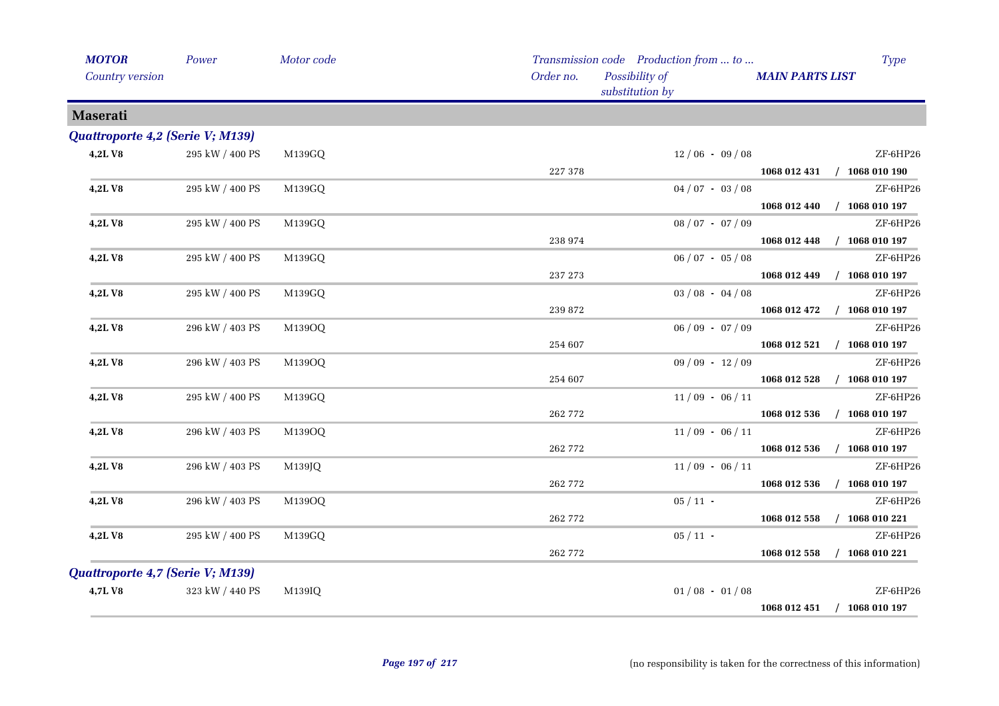| <b>MOTOR</b>                     | Power           | Motor code |           | Transmission code Production from  to | <b>Type</b>                      |
|----------------------------------|-----------------|------------|-----------|---------------------------------------|----------------------------------|
| <b>Country version</b>           |                 |            | Order no. | Possibility of<br>substitution by     | <b>MAIN PARTS LIST</b>           |
| <b>Maserati</b>                  |                 |            |           |                                       |                                  |
| Quattroporte 4,2 (Serie V; M139) |                 |            |           |                                       |                                  |
| 4,2LV8                           | 295 kW / 400 PS | M139GQ     |           | $12/06 - 09/08$                       | ZF-6HP26                         |
|                                  |                 |            | 227 378   |                                       | $1068012431$ / $1068010190$      |
| 4,2LV8                           | 295 kW / 400 PS | M139GQ     |           | $04/07 - 03/08$                       | ZF-6HP26                         |
|                                  |                 |            |           |                                       | $/$ 1068 010 197<br>1068 012 440 |
| 4,2LV8                           | 295 kW / 400 PS | M139GQ     |           | $08 / 07 - 07 / 09$                   | ZF-6HP26                         |
|                                  |                 |            | 238 974   |                                       | $/$ 1068 010 197<br>1068 012 448 |
| 4,2LV8                           | 295 kW / 400 PS | M139GQ     |           | $06/07 - 05/08$                       | ZF-6HP26                         |
|                                  |                 |            | 237 273   |                                       | 1068 012 449<br>$/$ 1068 010 197 |
| 4,2LV8                           | 295 kW / 400 PS | M139GQ     |           | $03 / 08 - 04 / 08$                   | ZF-6HP26                         |
|                                  |                 |            | 239 872   |                                       | 1068 012 472<br>$/$ 1068 010 197 |
| 4,2LV8                           | 296 kW / 403 PS | M139OQ     |           | $06/09 - 07/09$                       | ZF-6HP26                         |
|                                  |                 |            | 254 607   |                                       | 1068 012 521<br>$/$ 1068 010 197 |
| 4,2LV8                           | 296 kW / 403 PS | M139OQ     |           | $09/09 - 12/09$                       | ZF-6HP26                         |
|                                  |                 |            | 254 607   |                                       | $/$ 1068 010 197<br>1068 012 528 |
| 4,2LV8                           | 295 kW / 400 PS | M139GQ     |           | $11/09 - 06/11$                       | ZF-6HP26                         |
|                                  |                 |            | 262 772   |                                       | 1068 012 536<br>$/$ 1068 010 197 |
| 4,2LV8                           | 296 kW / 403 PS | M139OQ     |           | $11/09 - 06/11$                       | ZF-6HP26                         |
|                                  |                 |            | 262 772   |                                       | 1068 012 536<br>$/$ 1068 010 197 |
| 4,2LV8                           | 296 kW / 403 PS | M139JQ     | 262 772   | $11/09 - 06/11$                       | ZF-6HP26<br>$/$ 1068 010 197     |
| 4,2LV8                           | 296 kW / 403 PS | M139OQ     |           | $05/11$ -                             | 1068 012 536<br>ZF-6HP26         |
|                                  |                 |            | 262 772   |                                       | $/$ 1068 010 221<br>1068 012 558 |
| 4,2LV8                           | 295 kW / 400 PS | M139GQ     |           | $05/11$ -                             | ZF-6HP26                         |
|                                  |                 |            | 262 772   |                                       | 1068 012 558<br>$/$ 1068 010 221 |
| Quattroporte 4,7 (Serie V; M139) |                 |            |           |                                       |                                  |
| 4,7LV8                           | 323 kW / 440 PS | M139IQ     |           | $01/08 - 01/08$                       | ZF-6HP26                         |
|                                  |                 |            |           |                                       | $/$ 1068 010 197<br>1068 012 451 |
|                                  |                 |            |           |                                       |                                  |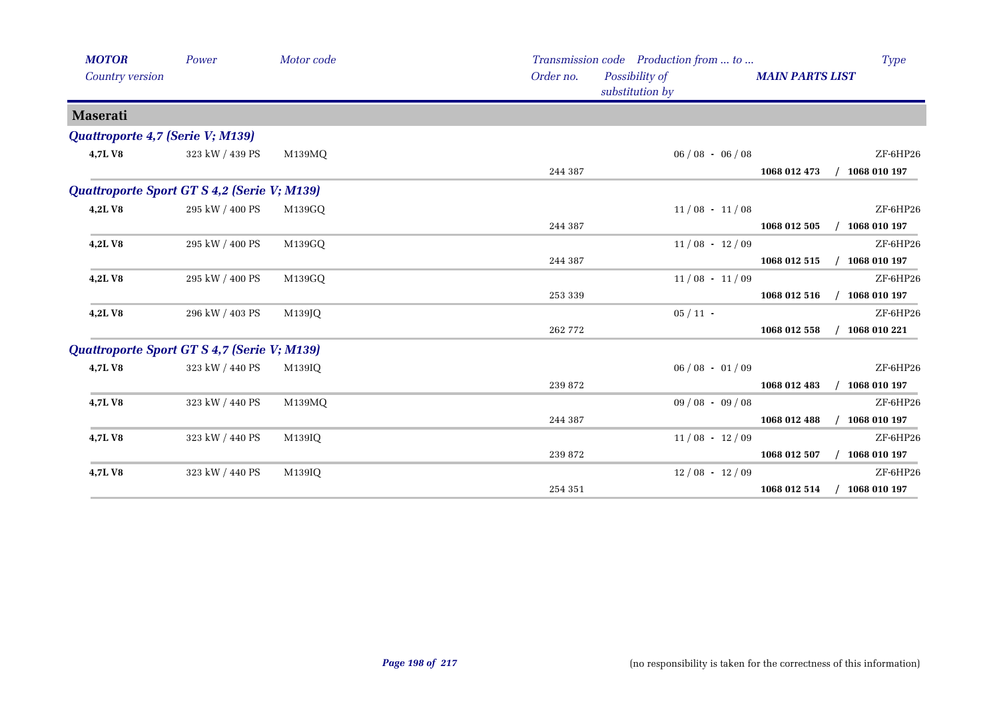| <b>MOTOR</b><br>Country version             | Power           | Motor code | Order no. | Transmission code Production from  to<br>Possibility of<br>substitution by | Type<br><b>MAIN PARTS LIST</b> |
|---------------------------------------------|-----------------|------------|-----------|----------------------------------------------------------------------------|--------------------------------|
| <b>Maserati</b>                             |                 |            |           |                                                                            |                                |
| Quattroporte 4,7 (Serie V; M139)            |                 |            |           |                                                                            |                                |
| 4,7LV8                                      | 323 kW / 439 PS | M139MQ     |           | $06/08 - 06/08$                                                            | ZF-6HP26                       |
|                                             |                 |            | 244 387   |                                                                            | 1068 012 473<br>1068 010 197   |
| Quattroporte Sport GT S 4,2 (Serie V; M139) |                 |            |           |                                                                            |                                |
| 4,2LV8                                      | 295 kW / 400 PS | M139GQ     |           | $11/08 - 11/08$                                                            | ZF-6HP26                       |
|                                             |                 |            | 244 387   |                                                                            | 1068 012 505<br>1068 010 197   |
| 4,2LV8                                      | 295 kW / 400 PS | M139GQ     |           | $11/08 - 12/09$                                                            | ZF-6HP26                       |
|                                             |                 |            | 244 387   |                                                                            | 1068 012 515<br>1068 010 197   |
| 4,2LV8                                      | 295 kW / 400 PS | M139GQ     |           | $11/08 - 11/09$                                                            | ZF-6HP26                       |
|                                             |                 |            | 253 339   |                                                                            | 1068 012 516<br>1068 010 197   |
| 4,2LV8                                      | 296 kW / 403 PS | M139JQ     |           | $05/11$ -                                                                  | ZF-6HP26                       |
|                                             |                 |            | 262 772   |                                                                            | 1068 010 221<br>1068 012 558   |
| Quattroporte Sport GT S 4,7 (Serie V; M139) |                 |            |           |                                                                            |                                |
| 4,7LV8                                      | 323 kW / 440 PS | M139IQ     |           | $06/08 - 01/09$                                                            | ZF-6HP26                       |
|                                             |                 |            | 239 872   |                                                                            | 1068 012 483<br>1068 010 197   |
| 4,7LV8                                      | 323 kW / 440 PS | M139MQ     |           | $09/08 - 09/08$                                                            | ZF-6HP26                       |
|                                             |                 |            | 244 387   |                                                                            | 1068 012 488<br>1068 010 197   |
| 4,7LV8                                      | 323 kW / 440 PS | M139IQ     |           | $11/08 - 12/09$                                                            | ZF-6HP26                       |
|                                             |                 |            | 239 872   |                                                                            | 1068 012 507<br>1068 010 197   |
| 4,7LV8                                      | 323 kW / 440 PS | M139IQ     |           | $12/08 - 12/09$                                                            | ZF-6HP26                       |
|                                             |                 |            | 254 351   |                                                                            | 1068 010 197<br>1068 012 514   |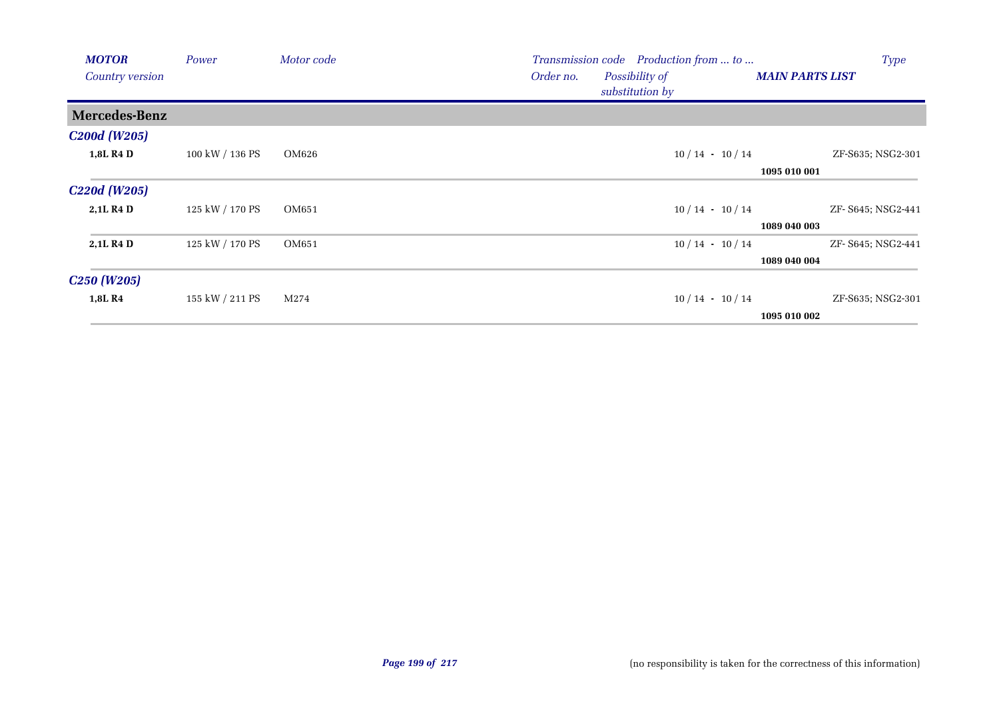| <b>MOTOR</b>                           | Power           | Motor code | <b>Type</b><br>Transmission code Production from  to                     |  |
|----------------------------------------|-----------------|------------|--------------------------------------------------------------------------|--|
| <b>Country version</b>                 |                 |            | Order no.<br>Possibility of<br><b>MAIN PARTS LIST</b><br>substitution by |  |
| Mercedes-Benz                          |                 |            |                                                                          |  |
| <b>C200d</b> (W205)                    |                 |            |                                                                          |  |
| 1,8L R4 D                              | 100 kW / 136 PS | OM626      | $10/14 - 10/14$<br>ZF-S635; NSG2-301                                     |  |
|                                        |                 |            | 1095 010 001                                                             |  |
| C <sub>220</sub> d (W <sub>205</sub> ) |                 |            |                                                                          |  |
| 2,1L R4 D                              | 125 kW / 170 PS | OM651      | $10/14 - 10/14$<br>ZF- S645; NSG2-441                                    |  |
|                                        |                 |            | 1089 040 003                                                             |  |
| 2,1L R4 D                              | 125 kW / 170 PS | OM651      | $10/14 - 10/14$<br>ZF- S645; NSG2-441                                    |  |
|                                        |                 |            | 1089 040 004                                                             |  |
| C <sub>250</sub> (W <sub>205</sub> )   |                 |            |                                                                          |  |
| 1,8L R4                                | 155 kW / 211 PS | M274       | $10/14 - 10/14$<br>ZF-S635; NSG2-301                                     |  |
|                                        |                 |            | 1095 010 002                                                             |  |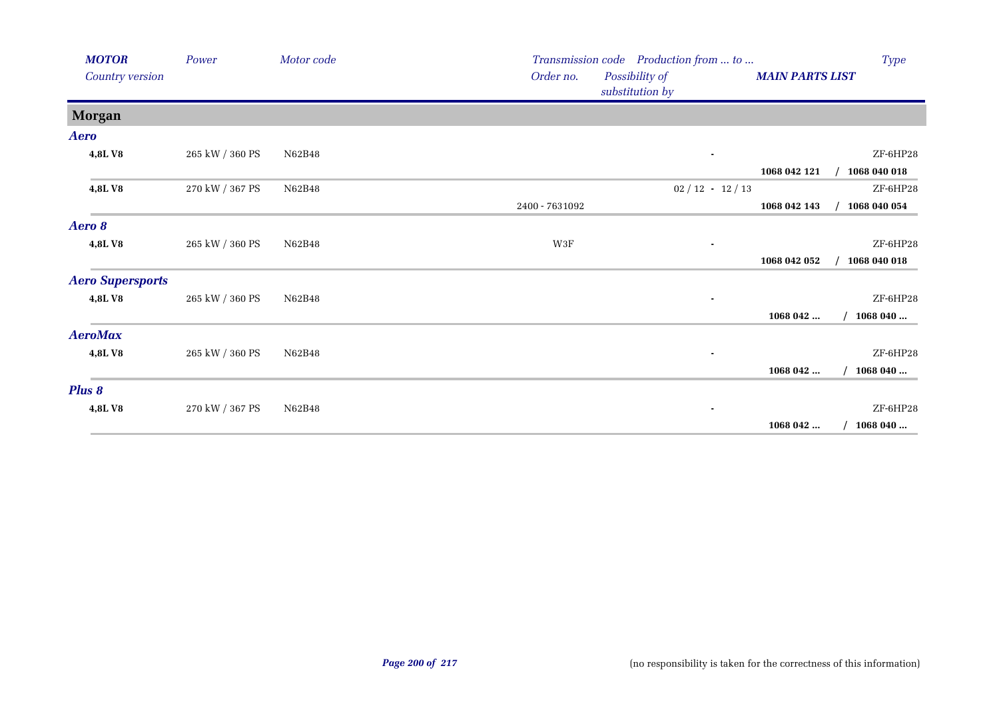| <b>MOTOR</b>             | Power           | Motor code | Transmission code Production from  to          |                        | Type         |
|--------------------------|-----------------|------------|------------------------------------------------|------------------------|--------------|
| Country version          |                 |            | Order no.<br>Possibility of<br>substitution by | <b>MAIN PARTS LIST</b> |              |
| <b>Morgan</b>            |                 |            |                                                |                        |              |
| Aero                     |                 |            |                                                |                        |              |
| 4,8LV8                   | 265 kW / 360 PS | N62B48     | ٠                                              |                        | ZF-6HP28     |
|                          |                 |            |                                                | 1068 042 121           | 1068 040 018 |
| 4,8LV8                   | 270 kW / 367 PS | N62B48     | $02 / 12 - 12 / 13$                            |                        | ZF-6HP28     |
|                          |                 |            | 2400 - 7631092                                 | 1068 042 143           | 1068 040 054 |
| Aero 8                   |                 |            |                                                |                        |              |
| 4,8LV8                   | 265 kW / 360 PS | N62B48     | W3F                                            |                        | ZF-6HP28     |
|                          |                 |            |                                                | 1068 042 052           | 1068 040 018 |
| <b>Aero Supersports</b>  |                 |            |                                                |                        |              |
| 4,8LV8                   | 265 kW / 360 PS | N62B48     |                                                |                        | ZF-6HP28     |
|                          |                 |            |                                                | 1068 042               | 1068 040     |
| <b>AeroMax</b>           |                 |            |                                                |                        |              |
| 4,8LV8                   | 265 kW / 360 PS | N62B48     | ٠                                              |                        | ZF-6HP28     |
|                          |                 |            |                                                | 1068 042               | 1068 040     |
| Plus 8                   |                 |            |                                                |                        |              |
| 4,8LV8                   | 270 kW / 367 PS | N62B48     | ٠                                              |                        | ZF-6HP28     |
| <b>Contract Contract</b> |                 |            |                                                | 1068 042               | 1068 040     |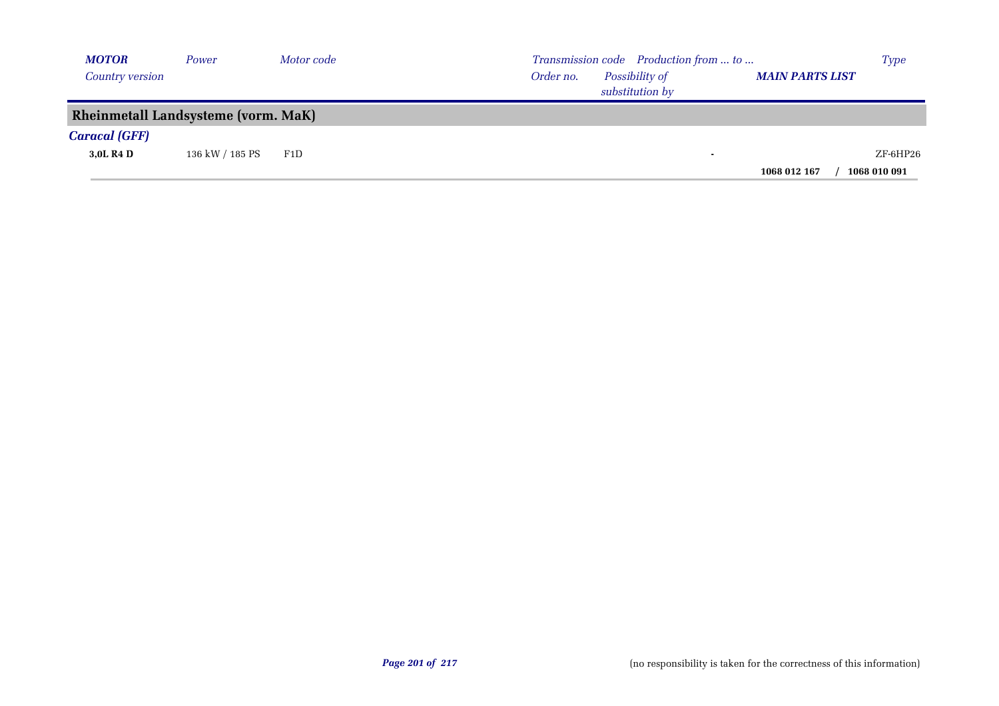| <b>MOTOR</b>         | Power                                      | Motor code | Transmission code Production from  to                                    | <b>Type</b>  |
|----------------------|--------------------------------------------|------------|--------------------------------------------------------------------------|--------------|
| Country version      |                                            |            | Possibility of<br><b>MAIN PARTS LIST</b><br>Order no.<br>substitution by |              |
|                      | <b>Rheinmetall Landsysteme (vorm. MaK)</b> |            |                                                                          |              |
| <b>Caracal (GFF)</b> |                                            |            |                                                                          |              |
| 3,0L R4 D            | 136 kW / 185 PS                            | F1D        |                                                                          | $ZF$ -6HP26  |
|                      |                                            |            | 1068 012 167                                                             | 1068 010 091 |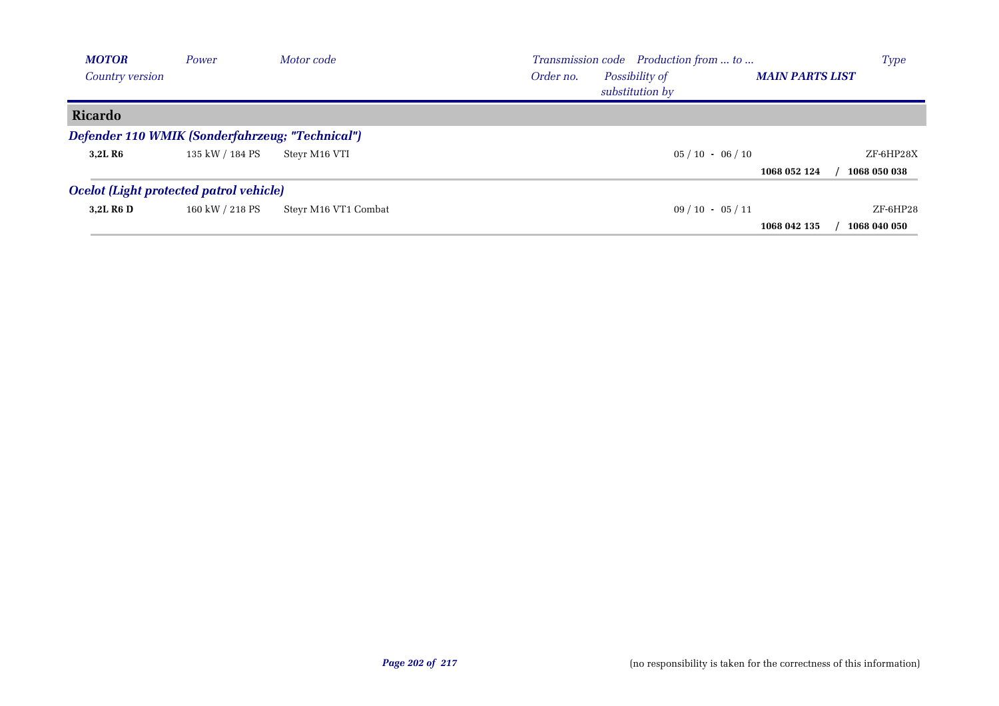| <b>MOTOR</b>                                    | Power           | Motor code           | Transmission code Production from  to                                    | <b>Type</b>  |
|-------------------------------------------------|-----------------|----------------------|--------------------------------------------------------------------------|--------------|
| Country version                                 |                 |                      | Possibility of<br>Order no.<br><b>MAIN PARTS LIST</b><br>substitution by |              |
| Ricardo                                         |                 |                      |                                                                          |              |
| Defender 110 WMIK (Sonderfahrzeug; "Technical") |                 |                      |                                                                          |              |
| 3.2L R6                                         | 135 kW / 184 PS | Steyr M16 VTI        | $05/10 - 06/10$                                                          | ZF-6HP28X    |
|                                                 |                 |                      | 1068 052 124                                                             | 1068 050 038 |
| Ocelot (Light protected patrol vehicle)         |                 |                      |                                                                          |              |
| 3.2L R <sub>6</sub> D                           | 160 kW / 218 PS | Steyr M16 VT1 Combat | $09/10 - 05/11$                                                          | $ZF$ -6HP28  |
|                                                 |                 |                      | 1068 042 135                                                             | 1068 040 050 |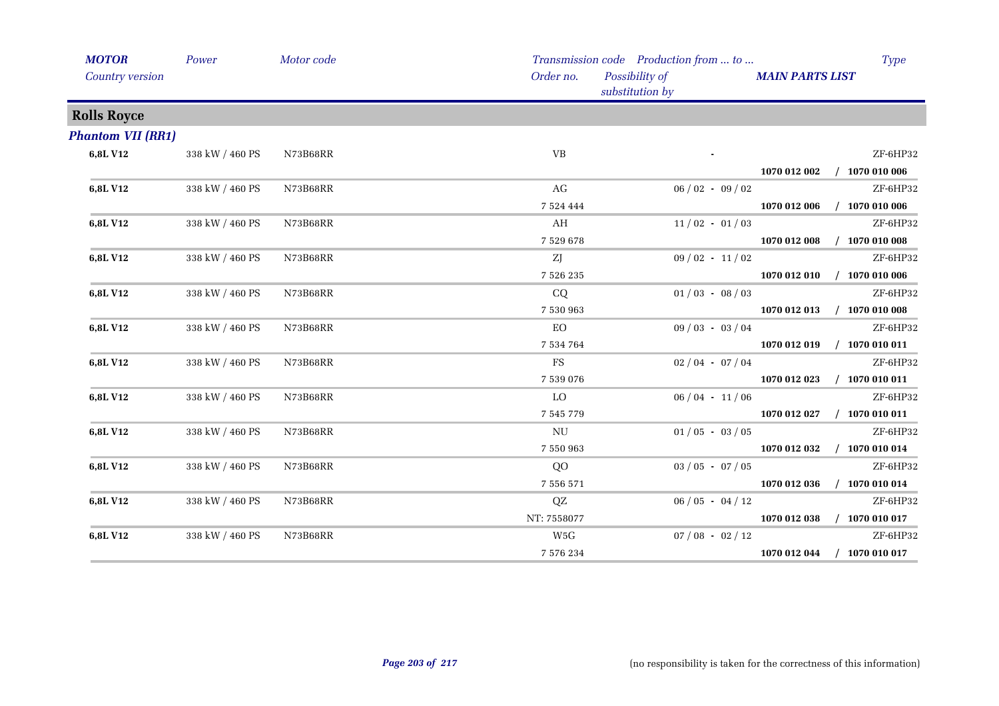| <b>MOTOR</b><br><b>Country version</b> | Power           | Motor code | Order no.     | Transmission code Production from  to<br>Possibility of<br>substitution by | <b>MAIN PARTS LIST</b> | <b>Type</b>      |
|----------------------------------------|-----------------|------------|---------------|----------------------------------------------------------------------------|------------------------|------------------|
| <b>Rolls Royce</b>                     |                 |            |               |                                                                            |                        |                  |
| <b>Phantom VII (RR1)</b>               |                 |            |               |                                                                            |                        |                  |
| 6,8L V12                               | 338 kW / 460 PS | N73B68RR   | VB            |                                                                            |                        | ZF-6HP32         |
|                                        |                 |            |               |                                                                            | 1070 012 002           | 1070 010 006     |
| 6,8L V12                               | 338 kW / 460 PS | N73B68RR   | AG            | $06/02 - 09/02$                                                            |                        | ZF-6HP32         |
|                                        |                 |            | 7 5 2 4 4 4 4 |                                                                            | 1070 012 006           | 1070 010 006     |
| 6,8L V12                               | 338 kW / 460 PS | N73B68RR   | AH            | $11/02 - 01/03$                                                            |                        | ZF-6HP32         |
|                                        |                 |            | 7 5 2 9 6 7 8 |                                                                            | 1070 012 008           | $/$ 1070 010 008 |
| 6,8L V12                               | 338 kW / 460 PS | N73B68RR   | ZJ            | $09/02 - 11/02$                                                            |                        | ZF-6HP32         |
|                                        |                 |            | 7 526 235     |                                                                            | 1070 012 010           | $/$ 1070 010 006 |
| 6,8L V12                               | 338 kW / 460 PS | N73B68RR   | CQ            | $01/03 - 08/03$                                                            |                        | ZF-6HP32         |
|                                        |                 |            | 7 530 963     |                                                                            | 1070 012 013           | $/$ 1070 010 008 |
| 6,8L V12                               | 338 kW / 460 PS | N73B68RR   | EO            | $09/03 - 03/04$                                                            |                        | ZF-6HP32         |
|                                        |                 |            | 7 5 3 4 7 6 4 |                                                                            | 1070 012 019           | $/$ 1070 010 011 |
| 6,8L V12                               | 338 kW / 460 PS | N73B68RR   | FS            | $02/04 - 07/04$                                                            |                        | ZF-6HP32         |
|                                        |                 |            | 7 539 076     |                                                                            | 1070 012 023           | $/$ 1070 010 011 |
| 6,8L V12                               | 338 kW / 460 PS | N73B68RR   | LO            | $06/04 - 11/06$                                                            |                        | ZF-6HP32         |
|                                        |                 |            | 7 545 779     |                                                                            | 1070 012 027           | $/$ 1070 010 011 |
| 6,8L V12                               | 338 kW / 460 PS | N73B68RR   | NU            | $01/05 - 03/05$                                                            |                        | ZF-6HP32         |
|                                        |                 |            | 7 550 963     |                                                                            | 1070 012 032           | $/$ 1070 010 014 |
| 6,8L V12                               | 338 kW / 460 PS | N73B68RR   | QO            | $03 / 05 - 07 / 05$                                                        |                        | ZF-6HP32         |
|                                        |                 |            | 7 556 571     |                                                                            | 1070 012 036           | $/$ 1070 010 014 |
| 6,8L V12                               | 338 kW / 460 PS | N73B68RR   | QZ            | $06/05 - 04/12$                                                            |                        | ZF-6HP32         |
|                                        |                 |            | NT: 7558077   |                                                                            | 1070 012 038           | $/$ 1070 010 017 |
| 6,8L V12                               | 338 kW / 460 PS | N73B68RR   | W5G           | $07/08 - 02/12$                                                            |                        | ZF-6HP32         |
|                                        |                 |            | 7 576 234     |                                                                            | 1070 012 044           | $/$ 1070 010 017 |
|                                        |                 |            |               |                                                                            |                        |                  |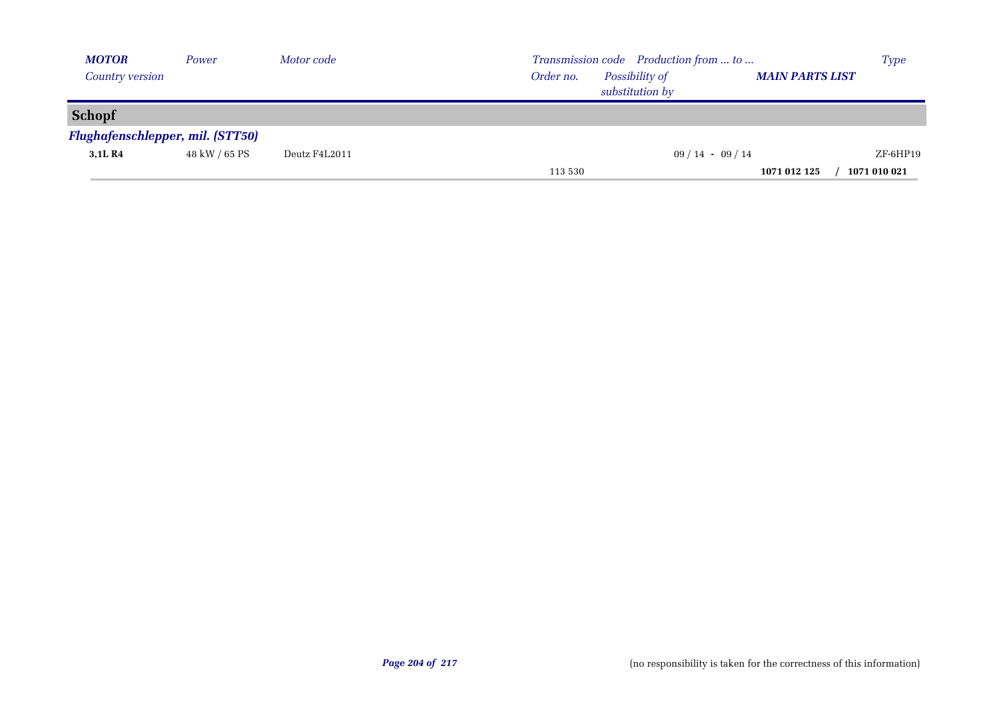| <b>MOTOR</b>                            | Power         | Motor code    | Transmission code Production from  to                                    | <b>Type</b>  |
|-----------------------------------------|---------------|---------------|--------------------------------------------------------------------------|--------------|
| Country version                         |               |               | Possibility of<br><b>MAIN PARTS LIST</b><br>Order no.<br>substitution by |              |
| <b>Schopf</b>                           |               |               |                                                                          |              |
| <b>Flughafenschlepper, mil. (STT50)</b> |               |               |                                                                          |              |
| 3,1L R4                                 | 48 kW / 65 PS | Deutz F4L2011 | $09/14 - 09/14$                                                          | ZF-6HP19     |
|                                         |               |               | 1071 012 125<br>113 530                                                  | 1071 010 021 |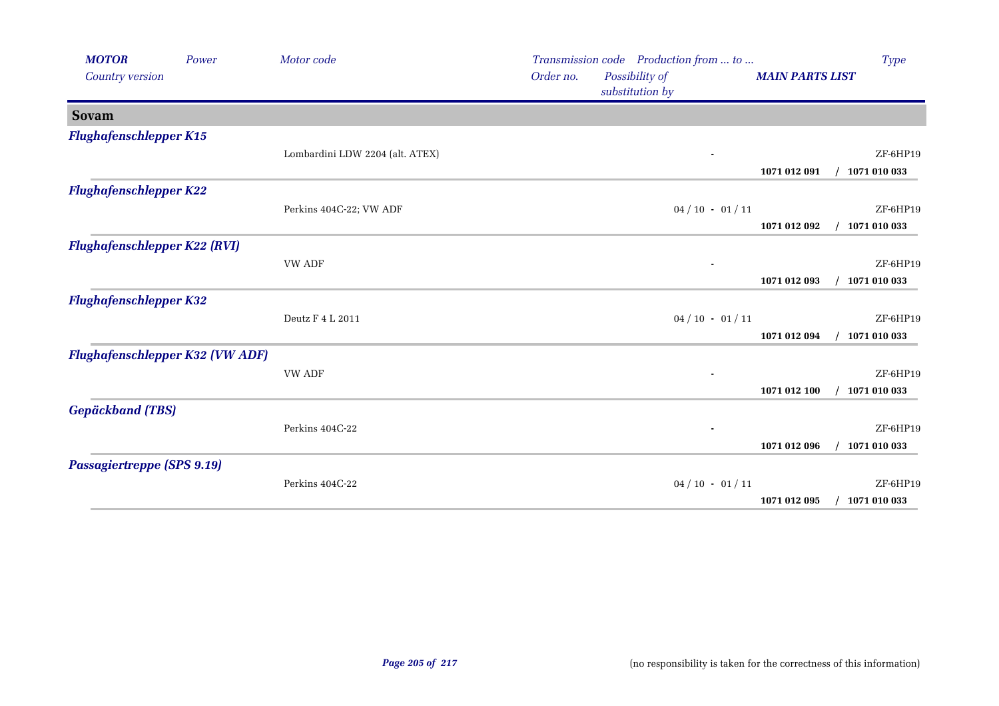| <b>MOTOR</b><br>Country version        | Power | Motor code                      | Order no. | Transmission code Production from  to<br>Possibility of<br>substitution by | <b>MAIN PARTS LIST</b> | Type                     |
|----------------------------------------|-------|---------------------------------|-----------|----------------------------------------------------------------------------|------------------------|--------------------------|
| <b>Sovam</b>                           |       |                                 |           |                                                                            |                        |                          |
| <b>Flughafenschlepper K15</b>          |       | Lombardini LDW 2204 (alt. ATEX) |           |                                                                            | 1071 012 091           | ZF-6HP19<br>1071 010 033 |
| <b>Flughafenschlepper K22</b>          |       | Perkins 404C-22; VW ADF         |           | $04/10 - 01/11$                                                            | 1071 012 092           | ZF-6HP19<br>1071 010 033 |
| <b>Flughafenschlepper K22 (RVI)</b>    |       | <b>VW ADF</b>                   |           |                                                                            | 1071 012 093           | ZF-6HP19<br>1071 010 033 |
| <b>Flughafenschlepper K32</b>          |       | Deutz F 4 L 2011                |           | $04/10 - 01/11$                                                            | 1071 012 094           | ZF-6HP19<br>1071 010 033 |
| <b>Flughafenschlepper K32 (VW ADF)</b> |       | <b>VW ADF</b>                   |           |                                                                            | 1071 012 100           | ZF-6HP19<br>1071 010 033 |
| <b>Gepäckband (TBS)</b>                |       | Perkins 404C-22                 |           |                                                                            | 1071 012 096           | ZF-6HP19<br>1071 010 033 |
| <b>Passagiertreppe (SPS 9.19)</b>      |       | Perkins 404C-22                 |           | $04/10 - 01/11$                                                            | 1071 012 095           | ZF-6HP19<br>1071 010 033 |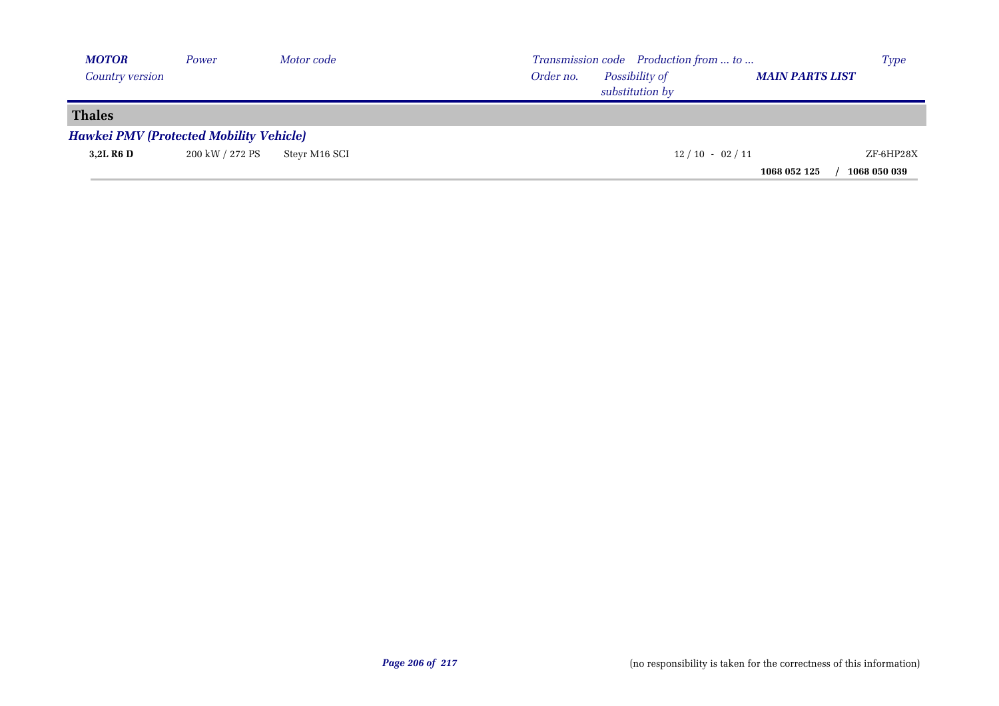| <b>MOTOR</b>    | Power                                          | Motor code    | Transmission code Production from  to                                    | Type         |
|-----------------|------------------------------------------------|---------------|--------------------------------------------------------------------------|--------------|
| Country version |                                                |               | Possibility of<br><b>MAIN PARTS LIST</b><br>Order no.<br>substitution by |              |
| <b>Thales</b>   |                                                |               |                                                                          |              |
|                 | <b>Hawkei PMV (Protected Mobility Vehicle)</b> |               |                                                                          |              |
| 3,2L R6 D       | 200 kW / 272 PS                                | Stevr M16 SCI | $12/10 - 02/11$                                                          | ZF-6HP28X    |
|                 |                                                |               | 1068 052 125                                                             | 1068 050 039 |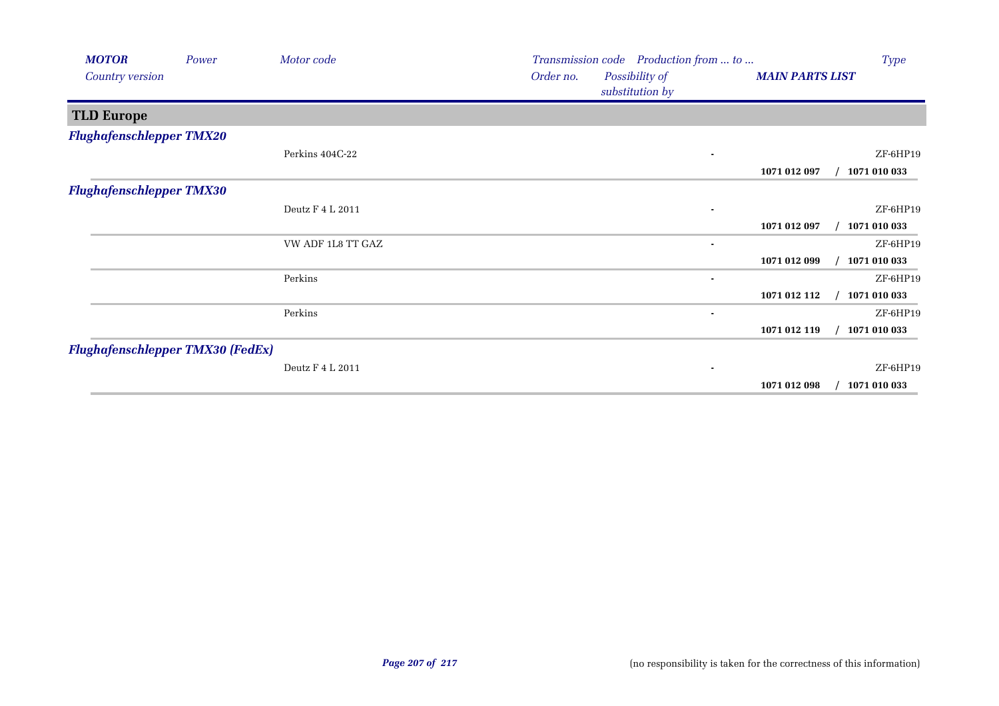| <b>MOTOR</b>                    | Power                                   | Motor code        |           | Transmission code Production from  to |                        | Type         |
|---------------------------------|-----------------------------------------|-------------------|-----------|---------------------------------------|------------------------|--------------|
| Country version                 |                                         |                   | Order no. | Possibility of<br>substitution by     | <b>MAIN PARTS LIST</b> |              |
| <b>TLD Europe</b>               |                                         |                   |           |                                       |                        |              |
| <b>Flughafenschlepper TMX20</b> |                                         |                   |           |                                       |                        |              |
|                                 |                                         | Perkins 404C-22   |           |                                       |                        | ZF-6HP19     |
|                                 |                                         |                   |           |                                       | 1071 012 097           | 1071 010 033 |
| <b>Flughafenschlepper TMX30</b> |                                         |                   |           |                                       |                        |              |
|                                 |                                         | Deutz F 4 L 2011  |           |                                       |                        | ZF-6HP19     |
|                                 |                                         |                   |           |                                       | 1071 012 097           | 1071 010 033 |
|                                 |                                         | VW ADF 1L8 TT GAZ |           | ٠                                     |                        | ZF-6HP19     |
|                                 |                                         |                   |           |                                       | 1071 012 099           | 1071 010 033 |
|                                 |                                         | Perkins           |           | ٠                                     |                        | ZF-6HP19     |
|                                 |                                         |                   |           |                                       | 1071 012 112           | 1071 010 033 |
|                                 |                                         | Perkins           |           | $\blacksquare$                        |                        | ZF-6HP19     |
|                                 |                                         |                   |           |                                       | 1071 012 119           | 1071 010 033 |
|                                 | <b>Flughafenschlepper TMX30 (FedEx)</b> |                   |           |                                       |                        |              |
|                                 |                                         | Deutz F 4 L 2011  |           | $\blacksquare$                        |                        | ZF-6HP19     |
|                                 |                                         |                   |           |                                       | 1071 012 098           | 1071 010 033 |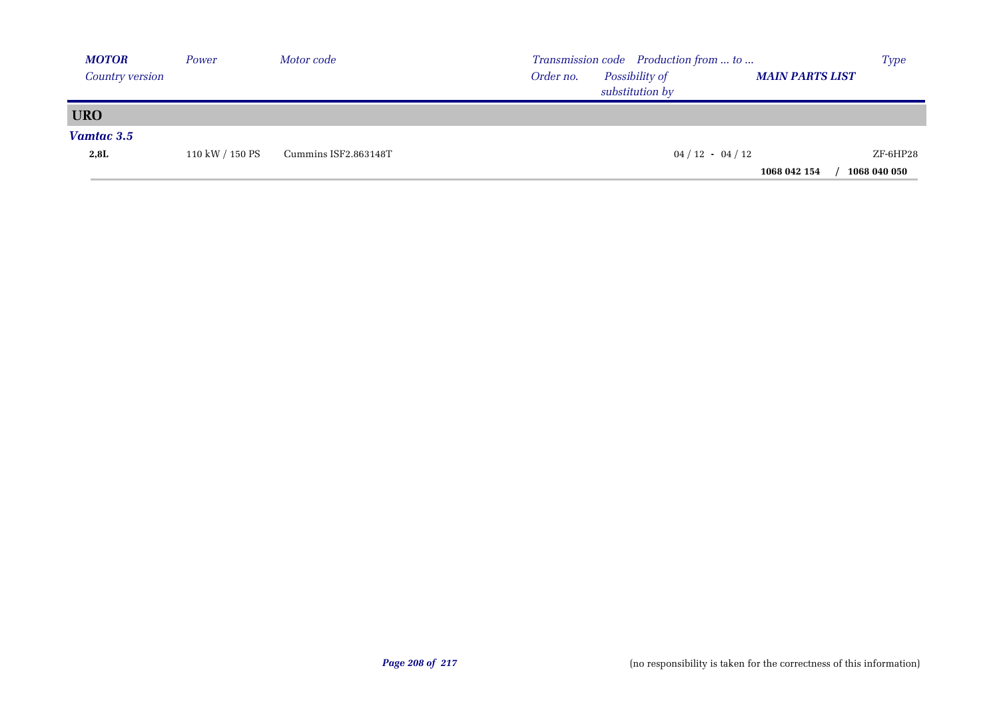| <b>MOTOR</b>    | Power           | Motor code           | Transmission code Production from  to                                    | <b>Type</b>  |
|-----------------|-----------------|----------------------|--------------------------------------------------------------------------|--------------|
| Country version |                 |                      | Possibility of<br>Order no.<br><b>MAIN PARTS LIST</b><br>substitution by |              |
| <b>URO</b>      |                 |                      |                                                                          |              |
| Vamtac 3.5      |                 |                      |                                                                          |              |
| 2,8L            | 110 kW / 150 PS | Cummins ISF2.863148T | $04 / 12 - 04 / 12$                                                      | ZF-6HP28     |
|                 |                 |                      | 1068 042 154                                                             | 1068 040 050 |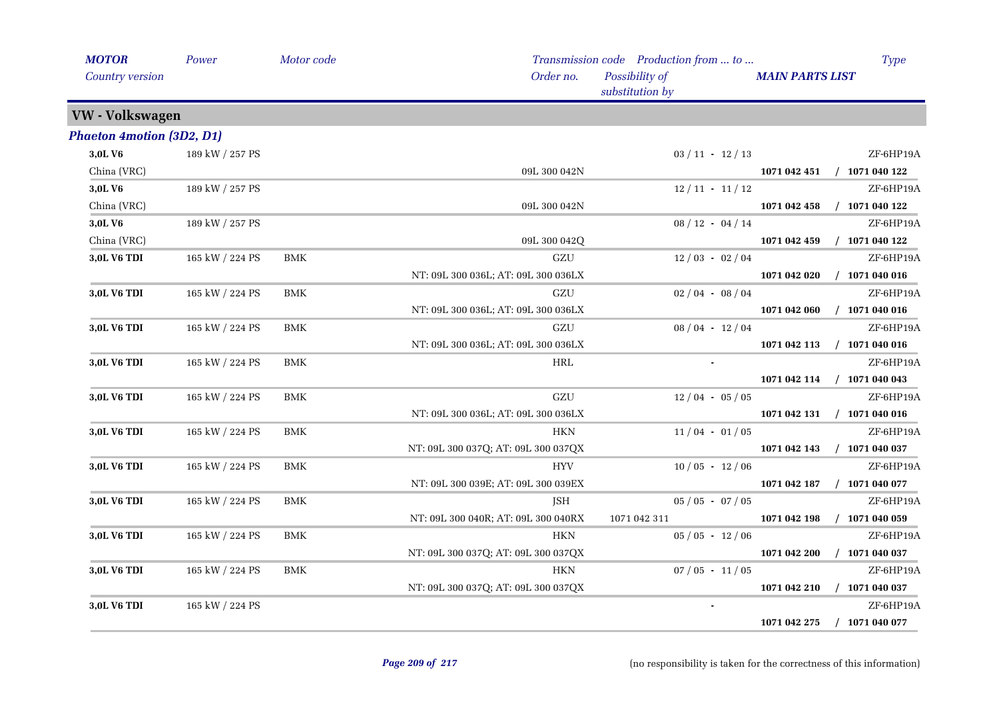| <b>MOTOR</b>                     | Power           | Motor code |                                     | Transmission code Production from  to | Type                             |
|----------------------------------|-----------------|------------|-------------------------------------|---------------------------------------|----------------------------------|
| Country version                  |                 |            | Order no.                           | Possibility of<br>substitution by     | <b>MAIN PARTS LIST</b>           |
| VW - Volkswagen                  |                 |            |                                     |                                       |                                  |
| <b>Phaeton 4motion (3D2, D1)</b> |                 |            |                                     |                                       |                                  |
| 3,0LV6                           | 189 kW / 257 PS |            |                                     | $03 / 11 - 12 / 13$                   | ZF-6HP19A                        |
| China (VRC)                      |                 |            | 09L 300 042N                        |                                       | 1071 042 451<br>$/$ 1071 040 122 |
| 3,0LV6                           | 189 kW / 257 PS |            |                                     | $12/11 - 11/12$                       | ZF-6HP19A                        |
| China (VRC)                      |                 |            | 09L 300 042N                        |                                       | $/$ 1071 040 122<br>1071 042 458 |
| 3,0LV6                           | 189 kW / 257 PS |            |                                     | $08/12 - 04/14$                       | ZF-6HP19A                        |
| China (VRC)                      |                 |            | 09L 300 042Q                        |                                       | $/$ 1071 040 122<br>1071 042 459 |
| 3,0L V6 TDI                      | 165 kW / 224 PS | BMK        | GZU                                 | $12/03 - 02/04$                       | ZF-6HP19A                        |
|                                  |                 |            | NT: 09L 300 036L; AT: 09L 300 036LX |                                       | $/$ 1071 040 016<br>1071 042 020 |
| 3,0L V6 TDI                      | 165 kW / 224 PS | <b>BMK</b> | GZU                                 | $02/04 - 08/04$                       | ZF-6HP19A                        |
|                                  |                 |            | NT: 09L 300 036L; AT: 09L 300 036LX |                                       | $/$ 1071 040 016<br>1071 042 060 |
| 3,0L V6 TDI                      | 165 kW / 224 PS | <b>BMK</b> | GZU                                 | $08/04 - 12/04$                       | ZF-6HP19A                        |
|                                  |                 |            | NT: 09L 300 036L; AT: 09L 300 036LX |                                       | $/$ 1071 040 016<br>1071 042 113 |
| 3,0L V6 TDI                      | 165 kW / 224 PS | BMK        | HRL                                 |                                       | ZF-6HP19A                        |
|                                  |                 |            |                                     |                                       | 1071 042 114<br>$/$ 1071 040 043 |
| 3,0L V6 TDI                      | 165 kW / 224 PS | <b>BMK</b> | GZU                                 | $12/04 - 05/05$                       | ZF-6HP19A                        |
|                                  |                 |            | NT: 09L 300 036L; AT: 09L 300 036LX |                                       | 1071 042 131 / 1071 040 016      |
| 3,0L V6 TDI                      | 165 kW / 224 PS | <b>BMK</b> | <b>HKN</b>                          | $11/04 - 01/05$                       | ZF-6HP19A                        |
|                                  |                 |            | NT: 09L 300 037Q; AT: 09L 300 037QX |                                       | 1071 042 143 / 1071 040 037      |
| 3,0L V6 TDI                      | 165 kW / 224 PS | <b>BMK</b> | <b>HYV</b>                          | $10/05 - 12/06$                       | ZF-6HP19A                        |
|                                  |                 |            | NT: 09L 300 039E; AT: 09L 300 039EX |                                       | $/$ 1071 040 077<br>1071 042 187 |
| 3,0L V6 TDI                      | 165 kW / 224 PS | BMK        | JSH                                 | $05 / 05 - 07 / 05$                   | ZF-6HP19A                        |
|                                  |                 |            | NT: 09L 300 040R; AT: 09L 300 040RX | 1071 042 311                          | $/$ 1071 040 059<br>1071 042 198 |
| 3,0L V6 TDI                      | 165 kW / 224 PS | <b>BMK</b> | <b>HKN</b>                          | $05/05 - 12/06$                       | ZF-6HP19A                        |
|                                  |                 |            | NT: 09L 300 037Q; AT: 09L 300 037QX |                                       | 1071 042 200<br>$/$ 1071 040 037 |
| 3,0L V6 TDI                      | 165 kW / 224 PS | <b>BMK</b> | <b>HKN</b>                          | $07/05 - 11/05$                       | ZF-6HP19A                        |
|                                  |                 |            | NT: 09L 300 037Q; AT: 09L 300 037QX |                                       | $/$ 1071 040 037<br>1071 042 210 |
| 3,0L V6 TDI                      | 165 kW / 224 PS |            |                                     | $\blacksquare$                        | ZF-6HP19A                        |
|                                  |                 |            |                                     |                                       | $/$ 1071 040 077<br>1071 042 275 |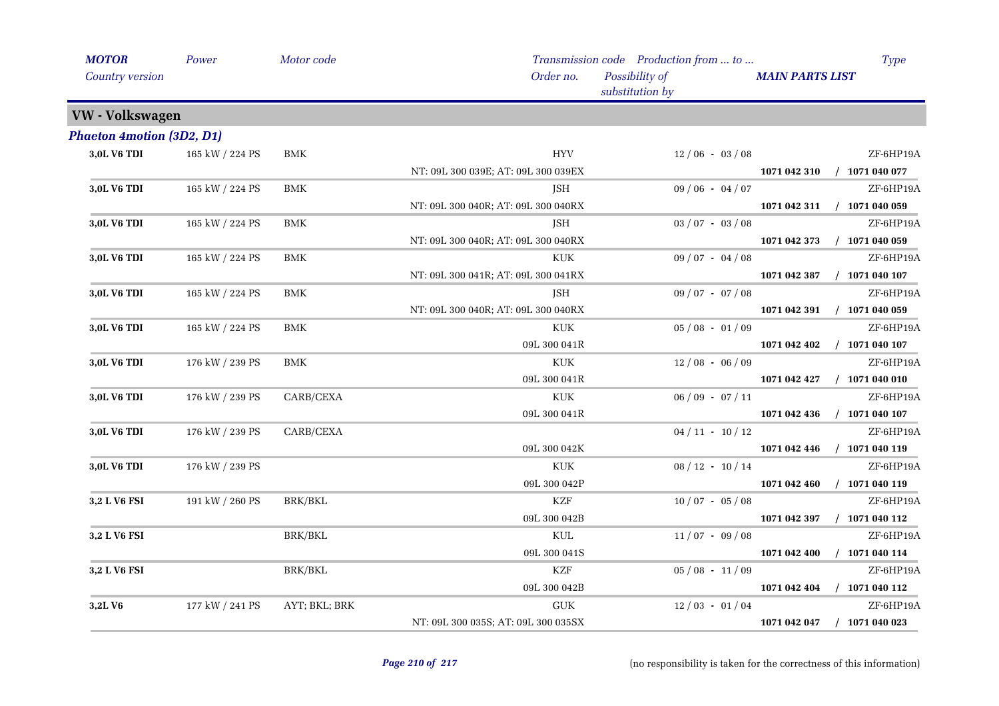| <b>MOTOR</b>                     | Power           | Motor code           |                                     | Transmission code Production from  to |                        | <b>Type</b>                 |
|----------------------------------|-----------------|----------------------|-------------------------------------|---------------------------------------|------------------------|-----------------------------|
| Country version                  |                 |                      | Order no.                           | Possibility of<br>substitution by     | <b>MAIN PARTS LIST</b> |                             |
| VW - Volkswagen                  |                 |                      |                                     |                                       |                        |                             |
| <b>Phaeton 4motion (3D2, D1)</b> |                 |                      |                                     |                                       |                        |                             |
| 3,0L V6 TDI                      | 165 kW / 224 PS | <b>BMK</b>           | <b>HYV</b>                          | $12/06 - 03/08$                       |                        | ZF-6HP19A                   |
|                                  |                 |                      | NT: 09L 300 039E; AT: 09L 300 039EX |                                       |                        | 1071 042 310 / 1071 040 077 |
| 3,0L V6 TDI                      | 165 kW / 224 PS | <b>BMK</b>           | JSH                                 | $09/06 - 04/07$                       |                        | ZF-6HP19A                   |
|                                  |                 |                      | NT: 09L 300 040R; AT: 09L 300 040RX |                                       |                        | 1071 042 311 / 1071 040 059 |
| 3,0L V6 TDI                      | 165 kW / 224 PS | <b>BMK</b>           | JSH                                 | $03/07 - 03/08$                       |                        | ZF-6HP19A                   |
|                                  |                 |                      | NT: 09L 300 040R; AT: 09L 300 040RX |                                       | 1071 042 373           | $/$ 1071 040 059            |
| 3,0L V6 TDI                      | 165 kW / 224 PS | <b>BMK</b>           | $\ensuremath{\text{KUK}}\xspace$    | $09/07 - 04/08$                       |                        | ZF-6HP19A                   |
|                                  |                 |                      | NT: 09L 300 041R; AT: 09L 300 041RX |                                       | 1071 042 387           | $/$ 1071 040 107            |
| 3,0L V6 TDI                      | 165 kW / 224 PS | <b>BMK</b>           | ISH                                 | $09/07 - 07/08$                       |                        | ZF-6HP19A                   |
|                                  |                 |                      | NT: 09L 300 040R; AT: 09L 300 040RX |                                       |                        | 1071 042 391 / 1071 040 059 |
| 3,0L V6 TDI                      | 165 kW / 224 PS | $\operatorname{BMK}$ | <b>KUK</b>                          | $05/08 - 01/09$                       |                        | ZF-6HP19A                   |
|                                  |                 |                      | 09L 300 041R                        |                                       | 1071 042 402           | $/$ 1071 040 107            |
| 3,0L V6 TDI                      | 176 kW / 239 PS | BMK                  | KUK                                 | $12/08 - 06/09$                       |                        | ZF-6HP19A                   |
|                                  |                 |                      | 09L 300 041R                        |                                       | 1071 042 427           | $/$ 1071 040 010            |
| 3,0L V6 TDI                      | 176 kW / 239 PS | CARB/CEXA            | <b>KUK</b>                          | $06/09 - 07/11$                       |                        | ZF-6HP19A                   |
|                                  |                 |                      | 09L 300 041R                        |                                       | 1071 042 436           | $/$ 1071 040 107            |
| 3,0L V6 TDI                      | 176 kW / 239 PS | CARB/CEXA            |                                     | $04 / 11 - 10 / 12$                   |                        | ZF-6HP19A                   |
|                                  |                 |                      | 09L 300 042K                        |                                       | 1071 042 446           | $/$ 1071 040 119            |
| 3,0L V6 TDI                      | 176 kW / 239 PS |                      | <b>KUK</b>                          | $08 / 12 - 10 / 14$                   |                        | ZF-6HP19A                   |
|                                  |                 |                      | 09L 300 042P                        |                                       | 1071 042 460           | $/$ 1071 040 119            |
| 3,2 L V6 FSI                     | 191 kW / 260 PS | <b>BRK/BKL</b>       | <b>KZF</b>                          | $10/07 - 05/08$                       |                        | ZF-6HP19A                   |
|                                  |                 |                      | 09L 300 042B                        |                                       | 1071 042 397           | $/$ 1071 040 112            |
| 3,2 L V6 FSI                     |                 | BRK/BKL              | KUL                                 | $11/07 - 09/08$                       |                        | ZF-6HP19A                   |
|                                  |                 |                      | 09L 300 041S                        |                                       | 1071 042 400           | $/$ 1071 040 114            |
| 3,2 L V6 FSI                     |                 | <b>BRK/BKL</b>       | <b>KZF</b>                          | $05/08 - 11/09$                       |                        | ZF-6HP19A                   |
|                                  |                 |                      | 09L 300 042B                        |                                       | 1071 042 404           | $/$ 1071 040 112            |
| 3,2LV6                           | 177 kW / 241 PS | AYT; BKL; BRK        | <b>GUK</b>                          | $12/03 - 01/04$                       |                        | ZF-6HP19A                   |
|                                  |                 |                      | NT: 09L 300 035S; AT: 09L 300 035SX |                                       | 1071 042 047           | $/$ 1071 040 023            |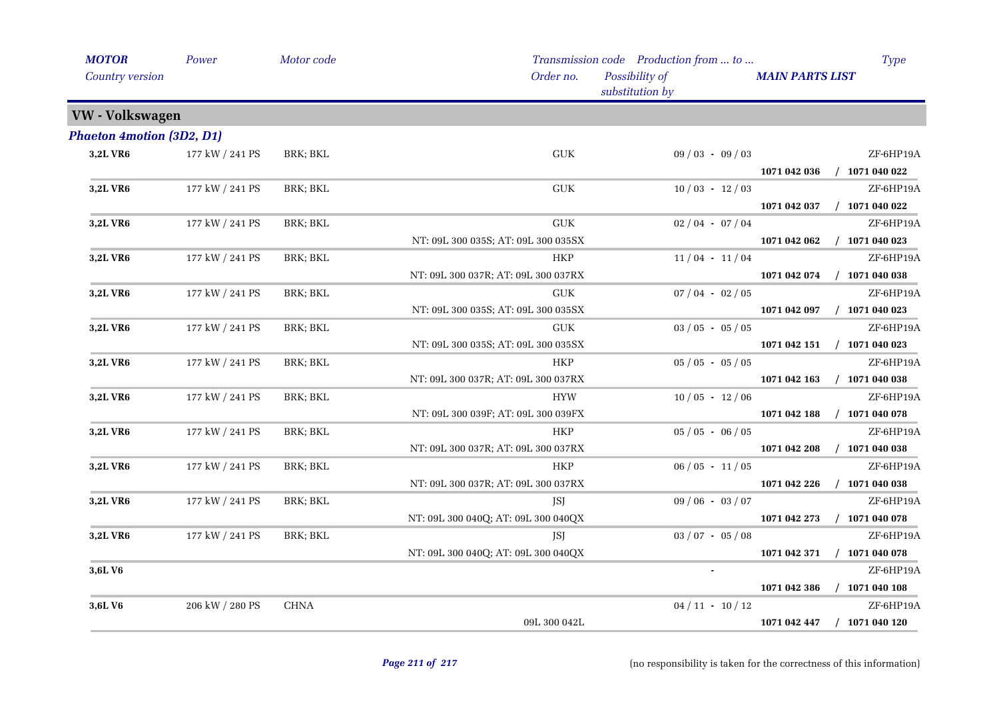| <b>MOTOR</b>                     | Power           | Motor code  |                                     | Transmission code Production from  to |                        | Type             |
|----------------------------------|-----------------|-------------|-------------------------------------|---------------------------------------|------------------------|------------------|
| Country version                  |                 |             | Order no.                           | Possibility of<br>substitution by     | <b>MAIN PARTS LIST</b> |                  |
| VW - Volkswagen                  |                 |             |                                     |                                       |                        |                  |
| <b>Phaeton 4motion (3D2, D1)</b> |                 |             |                                     |                                       |                        |                  |
| 3,2L VR6                         | 177 kW / 241 PS | BRK; BKL    | ${\rm GUK}$                         | $09/03 - 09/03$                       |                        | ZF-6HP19A        |
|                                  |                 |             |                                     |                                       | 1071 042 036           | $/$ 1071 040 022 |
| <b>3,2L VR6</b>                  | 177 kW / 241 PS | BRK; BKL    | GUK                                 | $10/03 - 12/03$                       |                        | ZF-6HP19A        |
|                                  |                 |             |                                     |                                       | 1071 042 037           | $/$ 1071 040 022 |
| 3,2L VR6                         | 177 kW / 241 PS | BRK; BKL    | ${\rm GUK}$                         | $02/04 - 07/04$                       |                        | ZF-6HP19A        |
|                                  |                 |             | NT: 09L 300 035S; AT: 09L 300 035SX |                                       | 1071 042 062           | $/$ 1071 040 023 |
| 3,2L VR6                         | 177 kW / 241 PS | BRK; BKL    | HKP                                 | $11/04 - 11/04$                       |                        | ZF-6HP19A        |
|                                  |                 |             | NT: 09L 300 037R; AT: 09L 300 037RX |                                       | 1071 042 074           | $/$ 1071 040 038 |
| 3,2L VR6                         | 177 kW / 241 PS | BRK; BKL    | <b>GUK</b>                          | $07/04 - 02/05$                       |                        | ZF-6HP19A        |
|                                  |                 |             | NT: 09L 300 035S; AT: 09L 300 035SX |                                       | 1071 042 097           | $/$ 1071 040 023 |
| 3,2L VR6                         | 177 kW / 241 PS | BRK; BKL    | <b>GUK</b>                          | $03 / 05 - 05 / 05$                   |                        | ZF-6HP19A        |
|                                  |                 |             | NT: 09L 300 035S; AT: 09L 300 035SX |                                       | 1071 042 151           | $/$ 1071 040 023 |
| 3,2L VR6                         | 177 kW / 241 PS | BRK; BKL    | <b>HKP</b>                          | $05/05 - 05/05$                       |                        | ZF-6HP19A        |
|                                  |                 |             | NT: 09L 300 037R; AT: 09L 300 037RX |                                       | 1071 042 163           | $/$ 1071 040 038 |
| 3,2L VR6                         | 177 kW / 241 PS | BRK; BKL    | <b>HYW</b>                          | $10/05 - 12/06$                       |                        | ZF-6HP19A        |
|                                  |                 |             | NT: 09L 300 039F; AT: 09L 300 039FX |                                       | 1071 042 188           | $/$ 1071 040 078 |
| 3,2L VR6                         | 177 kW / 241 PS | BRK; BKL    | <b>HKP</b>                          | $05 / 05 - 06 / 05$                   |                        | ZF-6HP19A        |
|                                  |                 |             | NT: 09L 300 037R; AT: 09L 300 037RX |                                       | 1071 042 208           | $/$ 1071 040 038 |
| <b>3,2L VR6</b>                  | 177 kW / 241 PS | BRK; BKL    | <b>HKP</b>                          | $06/05 - 11/05$                       |                        | ZF-6HP19A        |
|                                  |                 |             | NT: 09L 300 037R; AT: 09L 300 037RX |                                       | 1071 042 226           | $/$ 1071 040 038 |
| 3,2L VR6                         | 177 kW / 241 PS | BRK; BKL    | JSJ                                 | $09/06 - 03/07$                       |                        | ZF-6HP19A        |
|                                  |                 |             | NT: 09L 300 040Q; AT: 09L 300 040QX |                                       | 1071 042 273           | $/$ 1071 040 078 |
| <b>3,2L VR6</b>                  | 177 kW / 241 PS | BRK; BKL    | JSJ                                 | $03 / 07 - 05 / 08$                   |                        | ZF-6HP19A        |
|                                  |                 |             | NT: 09L 300 040Q; AT: 09L 300 040QX |                                       | 1071 042 371           | $/$ 1071 040 078 |
| 3,6L V <sub>6</sub>              |                 |             |                                     |                                       |                        | ZF-6HP19A        |
|                                  |                 |             |                                     |                                       | 1071 042 386           | $/$ 1071 040 108 |
| 3,6LV6                           | 206 kW / 280 PS | <b>CHNA</b> |                                     | $04 / 11 - 10 / 12$                   |                        | ZF-6HP19A        |
|                                  |                 |             | 09L 300 042L                        |                                       | 1071 042 447           | $/$ 1071 040 120 |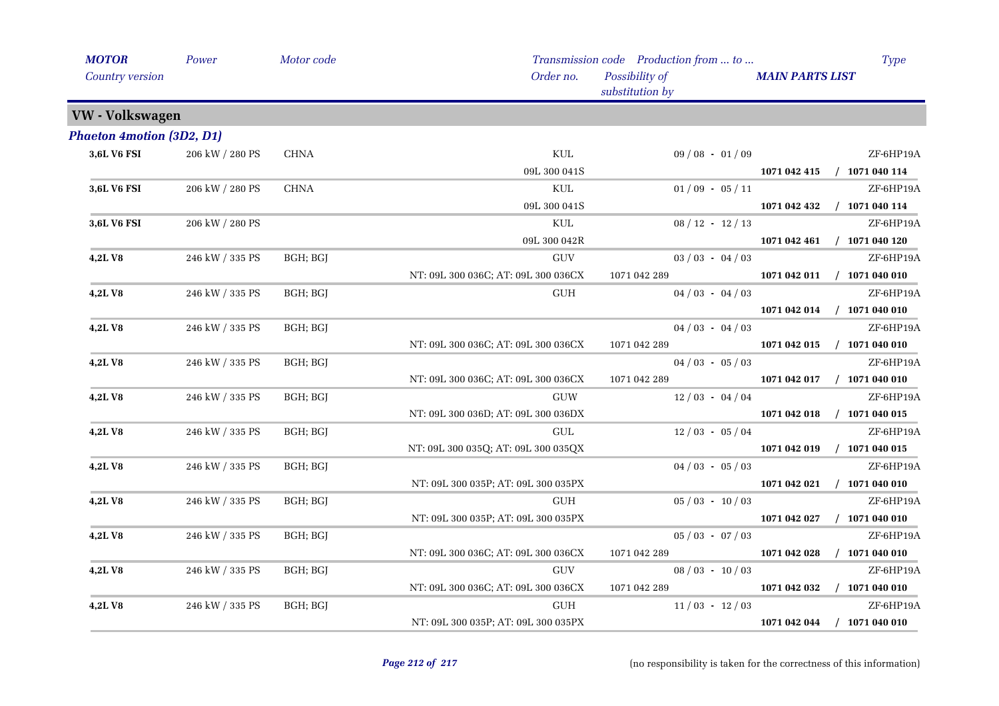| <b>MOTOR</b>                     | Power           | Motor code  |                                     | Transmission code Production from  to |                        | <b>Type</b>                 |
|----------------------------------|-----------------|-------------|-------------------------------------|---------------------------------------|------------------------|-----------------------------|
| Country version                  |                 |             | Order no.                           | Possibility of<br>substitution by     | <b>MAIN PARTS LIST</b> |                             |
| VW - Volkswagen                  |                 |             |                                     |                                       |                        |                             |
| <b>Phaeton 4motion (3D2, D1)</b> |                 |             |                                     |                                       |                        |                             |
| 3,6L V6 FSI                      | 206 kW / 280 PS | <b>CHNA</b> | $\mbox{KUL}$                        | $09/08 - 01/09$                       |                        | ZF-6HP19A                   |
|                                  |                 |             | 09L 300 041S                        |                                       |                        | 1071 042 415 / 1071 040 114 |
| 3,6L V6 FSI                      | 206 kW / 280 PS | <b>CHNA</b> | KUL                                 | $01/09 - 05/11$                       |                        | ZF-6HP19A                   |
|                                  |                 |             | 09L 300 041S                        |                                       | 1071 042 432           | $/$ 1071 040 114            |
| 3,6L V6 FSI                      | 206 kW / 280 PS |             | KUL                                 | $08 / 12 - 12 / 13$                   |                        | ZF-6HP19A                   |
|                                  |                 |             | 09L 300 042R                        |                                       |                        | 1071 042 461 / 1071 040 120 |
| 4,2LV8                           | 246 kW / 335 PS | BGH; BGJ    | $\operatorname{GUV}$                | $03 / 03 - 04 / 03$                   |                        | ZF-6HP19A                   |
|                                  |                 |             | NT: 09L 300 036C; AT: 09L 300 036CX | 1071 042 289                          |                        | 1071 042 011 / 1071 040 010 |
| 4,2LV8                           | 246 kW / 335 PS | BGH; BGJ    | <b>GUH</b>                          | $04/03 - 04/03$                       |                        | ZF-6HP19A                   |
|                                  |                 |             |                                     |                                       |                        | 1071 042 014 / 1071 040 010 |
| <b>4,2LV8</b>                    | 246 kW / 335 PS | BGH; BGJ    |                                     | $04/03 - 04/03$                       |                        | ZF-6HP19A                   |
|                                  |                 |             | NT: 09L 300 036C; AT: 09L 300 036CX | 1071 042 289                          |                        | 1071 042 015 / 1071 040 010 |
| 4,2LV8                           | 246 kW / 335 PS | BGH; BGJ    |                                     | $04/03 - 05/03$                       |                        | ZF-6HP19A                   |
|                                  |                 |             | NT: 09L 300 036C; AT: 09L 300 036CX | 1071 042 289                          | 1071 042 017           | $/$ 1071 040 010            |
| 4,2LV8                           | 246 kW / 335 PS | BGH; BGJ    | GUW                                 | $12/03 - 04/04$                       |                        | ZF-6HP19A                   |
|                                  |                 |             | NT: 09L 300 036D; AT: 09L 300 036DX |                                       | 1071 042 018           | $/$ 1071 040 015            |
| 4,2LV8                           | 246 kW / 335 PS | BGH; BGJ    | GUL                                 | $12/03 - 05/04$                       |                        | ZF-6HP19A                   |
|                                  |                 |             | NT: 09L 300 035Q; AT: 09L 300 035QX |                                       | 1071 042 019           | $/$ 1071 040 015            |
| 4,2LV8                           | 246 kW / 335 PS | BGH; BGJ    |                                     | $04/03 - 05/03$                       |                        | ZF-6HP19A                   |
|                                  |                 |             | NT: 09L 300 035P; AT: 09L 300 035PX |                                       | 1071 042 021           | $/$ 1071 040 010            |
| 4,2LV8                           | 246 kW / 335 PS | BGH; BGJ    | <b>GUH</b>                          | $05/03 - 10/03$                       |                        | ZF-6HP19A                   |
|                                  |                 |             | NT: 09L 300 035P; AT: 09L 300 035PX |                                       | 1071 042 027           | $/$ 1071 040 010            |
| 4,2LV8                           | 246 kW / 335 PS | BGH; BGJ    |                                     | $05/03 - 07/03$                       |                        | ZF-6HP19A                   |
|                                  |                 |             | NT: 09L 300 036C; AT: 09L 300 036CX | 1071 042 289                          | 1071 042 028           | $/$ 1071 040 010            |
| 4,2LV8                           | 246 kW / 335 PS | BGH; BGJ    | <b>GUV</b>                          | $08/03 - 10/03$                       |                        | ZF-6HP19A                   |
|                                  |                 |             | NT: 09L 300 036C; AT: 09L 300 036CX | 1071 042 289                          | 1071 042 032           | $/$ 1071 040 010            |
| 4,2LV8                           | 246 kW / 335 PS | BGH; BGJ    | <b>GUH</b>                          | $11/03 - 12/03$                       |                        | ZF-6HP19A                   |
|                                  |                 |             | NT: 09L 300 035P; AT: 09L 300 035PX |                                       | 1071 042 044           | $/$ 1071 040 010            |
|                                  |                 |             |                                     |                                       |                        |                             |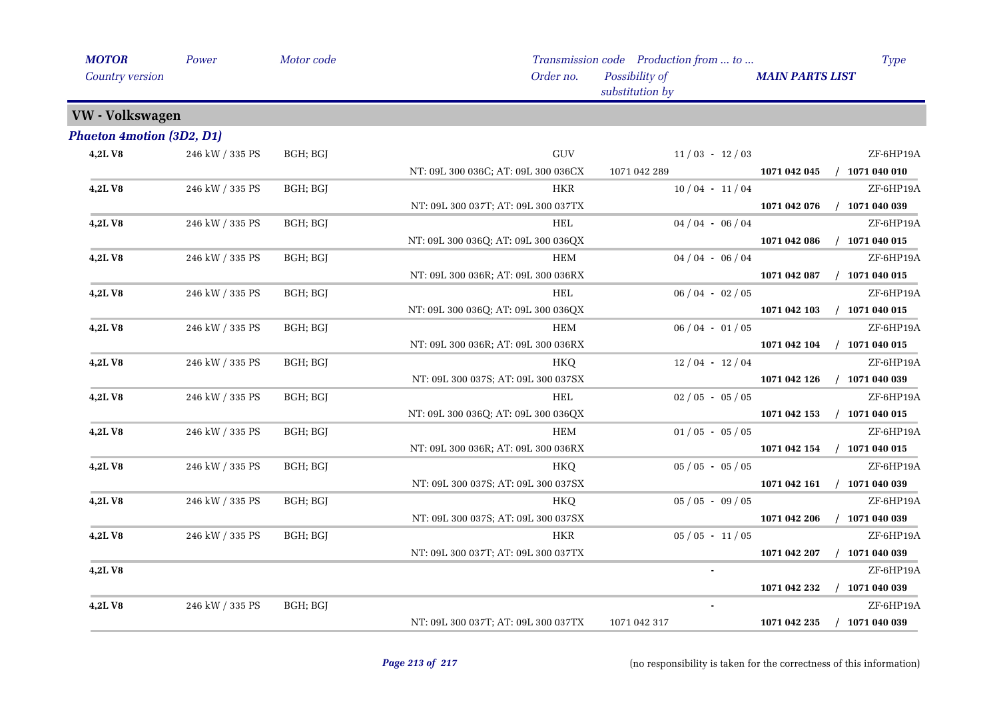| <b>MOTOR</b>                     | Power           | Motor code |                                     | Transmission code Production from  to | Type                             |
|----------------------------------|-----------------|------------|-------------------------------------|---------------------------------------|----------------------------------|
| Country version                  |                 |            | Order no.                           | Possibility of<br>substitution by     | <b>MAIN PARTS LIST</b>           |
| <b>VW</b> - Volkswagen           |                 |            |                                     |                                       |                                  |
| <b>Phaeton 4motion (3D2, D1)</b> |                 |            |                                     |                                       |                                  |
| 4,2LV8                           | 246 kW / 335 PS | BGH; BGJ   | $\operatorname{GUV}$                | $11/03 - 12/03$                       | ZF-6HP19A                        |
|                                  |                 |            | NT: 09L 300 036C; AT: 09L 300 036CX | 1071 042 289                          | 1071 042 045<br>$/$ 1071 040 010 |
| <b>4,2L V8</b>                   | 246 kW / 335 PS | BGH; BGJ   | <b>HKR</b>                          | $10/04 - 11/04$                       | ZF-6HP19A                        |
|                                  |                 |            | NT: 09L 300 037T; AT: 09L 300 037TX |                                       | 1071 042 076<br>$/$ 1071 040 039 |
| 4,2LV8                           | 246 kW / 335 PS | BGH; BGJ   | HEL                                 | $04/04 - 06/04$                       | ZF-6HP19A                        |
|                                  |                 |            | NT: 09L 300 036Q; AT: 09L 300 036QX |                                       | 1071 042 086<br>$/$ 1071 040 015 |
| 4,2LV8                           | 246 kW / 335 PS | BGH; BGJ   | <b>HEM</b>                          | $04/04 - 06/04$                       | ZF-6HP19A                        |
|                                  |                 |            | NT: 09L 300 036R; AT: 09L 300 036RX |                                       | 1071 042 087<br>$/$ 1071 040 015 |
| <b>4,2L V8</b>                   | 246 kW / 335 PS | BGH; BGJ   | <b>HEL</b>                          | $06/04 - 02/05$                       | ZF-6HP19A                        |
|                                  |                 |            | NT: 09L 300 036Q; AT: 09L 300 036QX |                                       | $/$ 1071 040 015<br>1071 042 103 |
| <b>4,2LV8</b>                    | 246 kW / 335 PS | BGH; BGJ   | <b>HEM</b>                          | $06/04 - 01/05$                       | ZF-6HP19A                        |
|                                  |                 |            | NT: 09L 300 036R; AT: 09L 300 036RX |                                       | $/$ 1071 040 015<br>1071 042 104 |
| 4,2LV8                           | 246 kW / 335 PS | BGH; BGJ   | HKQ                                 | $12/04 - 12/04$                       | ZF-6HP19A                        |
|                                  |                 |            | NT: 09L 300 037S; AT: 09L 300 037SX |                                       | $/$ 1071 040 039<br>1071 042 126 |
| 4,2LV8                           | 246 kW / 335 PS | BGH; BGJ   | <b>HEL</b>                          | $02/05 - 05/05$                       | ZF-6HP19A                        |
|                                  |                 |            | NT: 09L 300 036Q; AT: 09L 300 036QX |                                       | 1071 042 153<br>$/$ 1071 040 015 |
| 4,2LV8                           | 246 kW / 335 PS | BGH; BGJ   | <b>HEM</b>                          | $01/05 - 05/05$                       | ZF-6HP19A                        |
|                                  |                 |            | NT: 09L 300 036R; AT: 09L 300 036RX |                                       | $/$ 1071 040 015<br>1071 042 154 |
| 4,2LV8                           | 246 kW / 335 PS | BGH; BGJ   | HKQ                                 | $05 / 05 - 05 / 05$                   | ZF-6HP19A                        |
|                                  |                 |            | NT: 09L 300 037S; AT: 09L 300 037SX |                                       | 1071 042 161<br>$/$ 1071 040 039 |
| 4,2LV8                           | 246 kW / 335 PS | BGH; BGJ   | HKQ                                 | $05/05 - 09/05$                       | ZF-6HP19A                        |
|                                  |                 |            | NT: 09L 300 037S; AT: 09L 300 037SX |                                       | 1071 042 206<br>$/$ 1071 040 039 |
| 4,2LV8                           | 246 kW / 335 PS | BGH; BGJ   | <b>HKR</b>                          | $05/05 - 11/05$                       | ZF-6HP19A                        |
|                                  |                 |            | NT: 09L 300 037T; AT: 09L 300 037TX |                                       | 1071 042 207<br>$/$ 1071 040 039 |
| 4,2LV8                           |                 |            |                                     |                                       | ZF-6HP19A                        |
|                                  |                 |            |                                     |                                       | $/$ 1071 040 039<br>1071 042 232 |
| 4,2LV8                           | 246 kW / 335 PS | BGH; BGJ   |                                     | $\blacksquare$                        | ZF-6HP19A                        |
|                                  |                 |            | NT: 09L 300 037T; AT: 09L 300 037TX | 1071 042 317                          | 1071 042 235<br>$/$ 1071 040 039 |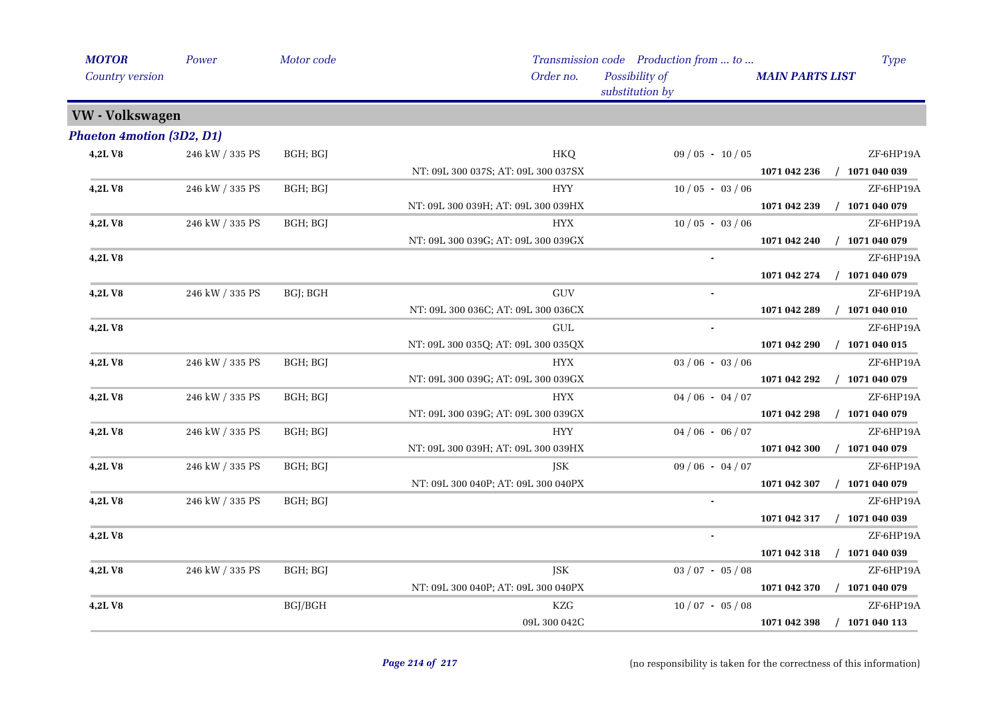| <b>MOTOR</b>                     | Power                 | Motor code |                                     | Transmission code Production from  to | <b>Type</b>                      |
|----------------------------------|-----------------------|------------|-------------------------------------|---------------------------------------|----------------------------------|
| <b>Country version</b>           |                       |            | Order no.                           | Possibility of<br>substitution by     | <b>MAIN PARTS LIST</b>           |
| <b>VW</b> - Volkswagen           |                       |            |                                     |                                       |                                  |
| <b>Phaeton 4motion (3D2, D1)</b> |                       |            |                                     |                                       |                                  |
| 4,2LV8                           | $246$ kW $\!/$ 335 PS | BGH; BGJ   | HKQ                                 | $09/05 - 10/05$                       | ZF-6HP19A                        |
|                                  |                       |            | NT: 09L 300 037S; AT: 09L 300 037SX |                                       | $/$ 1071 040 039<br>1071 042 236 |
| 4,2LV8                           | 246 kW / 335 PS       | BGH; BGJ   | <b>HYY</b>                          | $10/05 - 03/06$                       | ZF-6HP19A                        |
|                                  |                       |            | NT: 09L 300 039H; AT: 09L 300 039HX |                                       | $/$ 1071 040 079<br>1071 042 239 |
| <b>4,2LV8</b>                    | 246 kW / 335 PS       | BGH; BGJ   | <b>HYX</b>                          | $10/05 - 03/06$                       | ZF-6HP19A                        |
|                                  |                       |            | NT: 09L 300 039G; AT: 09L 300 039GX |                                       | $/$ 1071 040 079<br>1071 042 240 |
| 4,2LV8                           |                       |            |                                     |                                       | ZF-6HP19A                        |
|                                  |                       |            |                                     |                                       | 1071 042 274<br>$/$ 1071 040 079 |
| 4,2LV8                           | 246 kW / 335 PS       | BGJ; BGH   | <b>GUV</b>                          |                                       | ZF-6HP19A                        |
|                                  |                       |            | NT: 09L 300 036C; AT: 09L 300 036CX |                                       | $/$ 1071 040 010<br>1071 042 289 |
| 4,2LV8                           |                       |            | GUL                                 |                                       | ZF-6HP19A                        |
|                                  |                       |            | NT: 09L 300 035Q; AT: 09L 300 035QX |                                       | 1071 042 290<br>$/$ 1071 040 015 |
| <b>4,2LV8</b>                    | 246 kW / 335 PS       | BGH; BGJ   | <b>HYX</b>                          | $03/06 - 03/06$                       | ZF-6HP19A                        |
|                                  |                       |            | NT: 09L 300 039G; AT: 09L 300 039GX |                                       | $/$ 1071 040 079<br>1071 042 292 |
| 4,2LV8                           | 246 kW / 335 PS       | BGH; BGJ   | <b>HYX</b>                          | $04/06 - 04/07$                       | ZF-6HP19A                        |
|                                  |                       |            | NT: 09L 300 039G; AT: 09L 300 039GX |                                       | 1071 042 298<br>$/$ 1071 040 079 |
| <b>4,2LV8</b>                    | 246 kW / 335 PS       | BGH; BGJ   | <b>HYY</b>                          | $04/06 - 06/07$                       | ZF-6HP19A                        |
|                                  |                       |            | NT: 09L 300 039H; AT: 09L 300 039HX |                                       | $/$ 1071 040 079<br>1071 042 300 |
| <b>4,2LV8</b>                    | 246 kW / 335 PS       | BGH; BGJ   | JSK                                 | $09/06 - 04/07$                       | ZF-6HP19A                        |
|                                  |                       |            | NT: 09L 300 040P; AT: 09L 300 040PX |                                       | $/$ 1071 040 079<br>1071 042 307 |
| 4,2LV8                           | 246 kW / 335 PS       | BGH; BGJ   |                                     |                                       | ZF-6HP19A                        |
|                                  |                       |            |                                     |                                       | $/$ 1071 040 039<br>1071 042 317 |
| 4,2LV8                           |                       |            |                                     |                                       | ZF-6HP19A                        |
|                                  |                       |            |                                     |                                       | 1071 042 318<br>$/$ 1071 040 039 |
| <b>4,2LV8</b>                    | 246 kW / 335 PS       | BGH; BGJ   | JSK                                 | $03 / 07 - 05 / 08$                   | ZF-6HP19A                        |
|                                  |                       |            | NT: 09L 300 040P; AT: 09L 300 040PX |                                       | 1071 042 370<br>$/$ 1071 040 079 |
| 4,2LV8                           |                       | BGJ/BGH    | KZG                                 | $10/07 - 05/08$                       | ZF-6HP19A                        |
|                                  |                       |            | 09L 300 042C                        |                                       | $/$ 1071 040 113<br>1071 042 398 |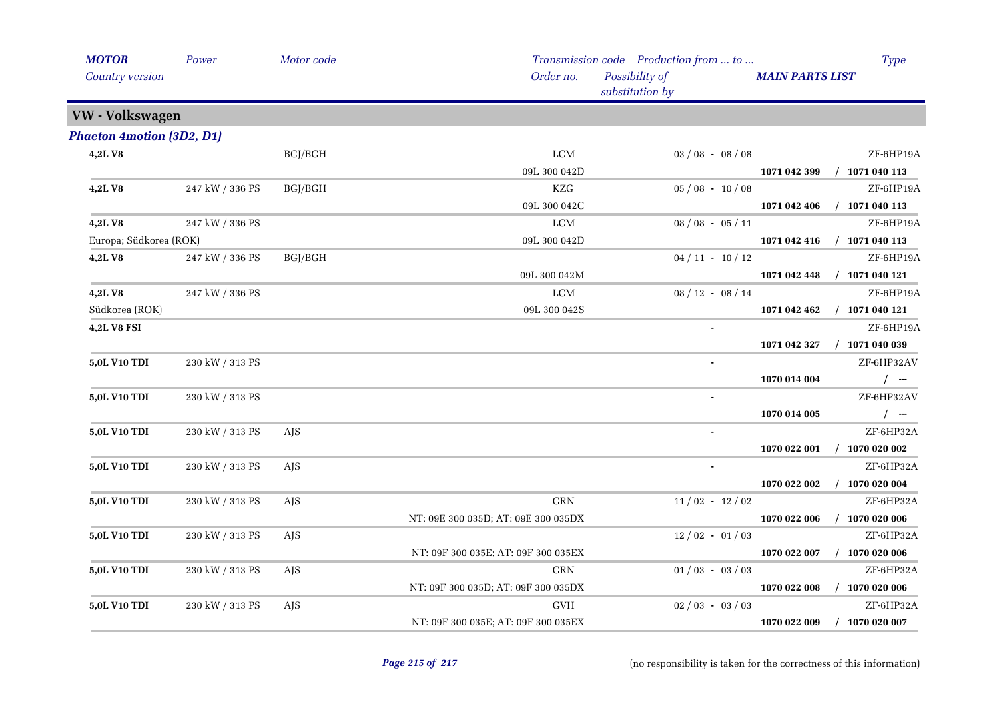| <b>MOTOR</b>                     | Power           | Motor code |                                     | Transmission code Production from  to |                        | <b>Type</b>      |
|----------------------------------|-----------------|------------|-------------------------------------|---------------------------------------|------------------------|------------------|
| Country version                  |                 |            | Order no.                           | Possibility of<br>substitution by     | <b>MAIN PARTS LIST</b> |                  |
| VW - Volkswagen                  |                 |            |                                     |                                       |                        |                  |
| <b>Phaeton 4motion (3D2, D1)</b> |                 |            |                                     |                                       |                        |                  |
| 4,2LV8                           |                 | BGJ/BGH    | LCM                                 | $03/08 - 08/08$                       |                        | ZF-6HP19A        |
|                                  |                 |            | 09L 300 042D                        |                                       | 1071 042 399           | $/$ 1071 040 113 |
| 4,2LV8                           | 247 kW / 336 PS | BGJ/BGH    | KZG                                 | $05/08 - 10/08$                       |                        | ZF-6HP19A        |
|                                  |                 |            | 09L 300 042C                        |                                       | 1071 042 406           | / 1071 040 113   |
| <b>4,2LV8</b>                    | 247 kW / 336 PS |            | LCM                                 | $08/08 - 05/11$                       |                        | ZF-6HP19A        |
| Europa; Südkorea (ROK)           |                 |            | 09L 300 042D                        |                                       | 1071 042 416           | $/$ 1071 040 113 |
| 4,2LV8                           | 247 kW / 336 PS | BGJ/BGH    |                                     | $04 / 11 - 10 / 12$                   |                        | ZF-6HP19A        |
|                                  |                 |            | 09L 300 042M                        |                                       | 1071 042 448           | $/$ 1071 040 121 |
| <b>4,2LV8</b>                    | 247 kW / 336 PS |            | <b>LCM</b>                          | $08/12 - 08/14$                       |                        | ZF-6HP19A        |
| Südkorea (ROK)                   |                 |            | 09L 300 042S                        |                                       | 1071 042 462           | $/$ 1071 040 121 |
| 4,2L V8 FSI                      |                 |            |                                     |                                       |                        | ZF-6HP19A        |
|                                  |                 |            |                                     |                                       | 1071 042 327           | $/$ 1071 040 039 |
| 5,0L V10 TDI                     | 230 kW / 313 PS |            |                                     |                                       |                        | ZF-6HP32AV       |
|                                  |                 |            |                                     |                                       | 1070 014 004           | $/$ -            |
| 5,0L V10 TDI                     | 230 kW / 313 PS |            |                                     | $\blacksquare$                        |                        | ZF-6HP32AV       |
|                                  |                 |            |                                     |                                       | 1070 014 005           | $/$ --           |
| 5,0L V10 TDI                     | 230 kW / 313 PS | <b>AJS</b> |                                     |                                       |                        | ZF-6HP32A        |
|                                  |                 |            |                                     |                                       | 1070 022 001           | $/$ 1070 020 002 |
| 5,0L V10 TDI                     | 230 kW / 313 PS | <b>AIS</b> |                                     | $\sim$                                |                        | ZF-6HP32A        |
|                                  |                 |            |                                     |                                       | 1070 022 002           | $/$ 1070 020 004 |
| 5,0L V10 TDI                     | 230 kW / 313 PS | AJS        | <b>GRN</b>                          | $11/02 - 12/02$                       |                        | ZF-6HP32A        |
|                                  |                 |            | NT: 09E 300 035D; AT: 09E 300 035DX |                                       | 1070 022 006           | $/$ 1070 020 006 |
| 5,0L V10 TDI                     | 230 kW / 313 PS | AJS.       |                                     | $12/02 - 01/03$                       |                        | ZF-6HP32A        |
|                                  |                 |            | NT: 09F 300 035E; AT: 09F 300 035EX |                                       | 1070 022 007           | $/$ 1070 020 006 |
| 5,0L V10 TDI                     | 230 kW / 313 PS | AJS.       | <b>GRN</b>                          | $01/03 - 03/03$                       |                        | ZF-6HP32A        |
|                                  |                 |            | NT: 09F 300 035D; AT: 09F 300 035DX |                                       | 1070 022 008           | $/$ 1070 020 006 |
| 5,0L V10 TDI                     | 230 kW / 313 PS | AJS        | <b>GVH</b>                          | $02/03 - 03/03$                       |                        | ZF-6HP32A        |
|                                  |                 |            | NT: 09F 300 035E; AT: 09F 300 035EX |                                       | 1070 022 009           | $/$ 1070 020 007 |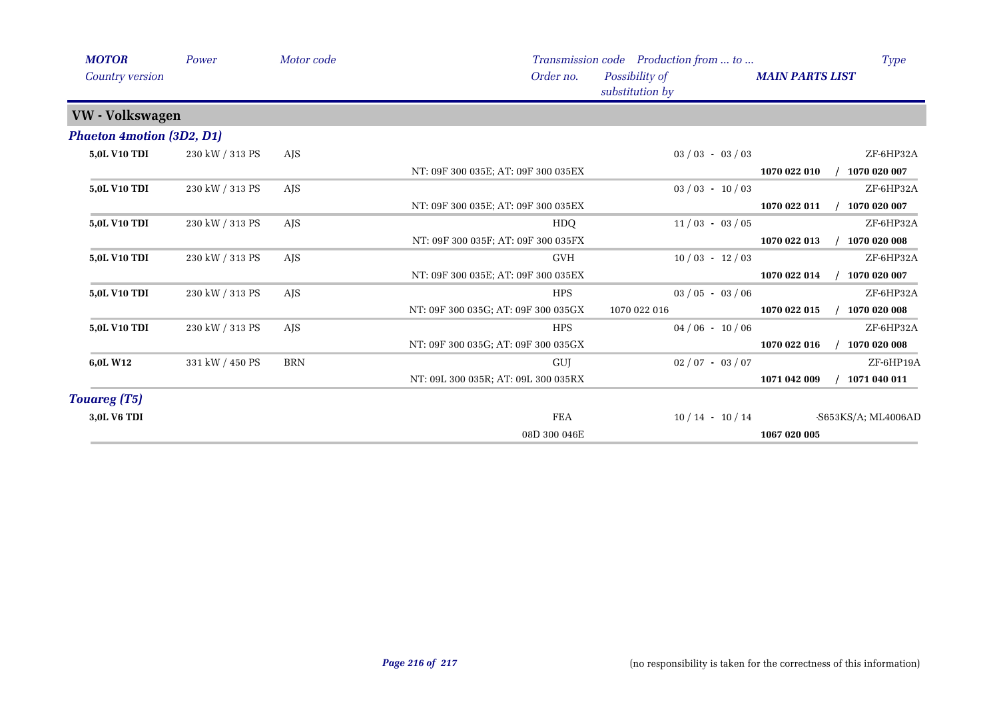| <b>MOTOR</b>                     | Power           | Motor code |                                     | Transmission code Production from  to | <b>Type</b>                  |
|----------------------------------|-----------------|------------|-------------------------------------|---------------------------------------|------------------------------|
| Country version                  |                 |            | Order no.                           | Possibility of<br>substitution by     | <b>MAIN PARTS LIST</b>       |
| VW - Volkswagen                  |                 |            |                                     |                                       |                              |
| <b>Phaeton 4motion (3D2, D1)</b> |                 |            |                                     |                                       |                              |
| 5,0L V10 TDI                     | 230 kW / 313 PS | <b>AJS</b> |                                     | $03 / 03 - 03 / 03$                   | ZF-6HP32A                    |
|                                  |                 |            | NT: 09F 300 035E; AT: 09F 300 035EX |                                       | 1070 022 010<br>1070 020 007 |
| 5,0L V10 TDI                     | 230 kW / 313 PS | <b>AJS</b> |                                     | $03 / 03 - 10 / 03$                   | ZF-6HP32A                    |
|                                  |                 |            | NT: 09F 300 035E; AT: 09F 300 035EX |                                       | 1070 020 007<br>1070 022 011 |
| 5,0L V10 TDI                     | 230 kW / 313 PS | <b>AJS</b> | HDQ                                 | $11/03 - 03/05$                       | ZF-6HP32A                    |
|                                  |                 |            | NT: 09F 300 035F; AT: 09F 300 035FX |                                       | 1070 020 008<br>1070 022 013 |
| 5,0L V10 TDI                     | 230 kW / 313 PS | <b>AJS</b> | <b>GVH</b>                          | $10/03 - 12/03$                       | ZF-6HP32A                    |
|                                  |                 |            | NT: 09F 300 035E; AT: 09F 300 035EX |                                       | 1070 022 014<br>1070 020 007 |
| <b>5,0L V10 TDI</b>              | 230 kW / 313 PS | <b>AJS</b> | <b>HPS</b>                          | $03 / 05 - 03 / 06$                   | ZF-6HP32A                    |
|                                  |                 |            | NT: 09F 300 035G; AT: 09F 300 035GX | 1070 022 016                          | 1070 020 008<br>1070 022 015 |
| 5,0L V10 TDI                     | 230 kW / 313 PS | <b>AJS</b> | <b>HPS</b>                          | $04/06 - 10/06$                       | ZF-6HP32A                    |
|                                  |                 |            | NT: 09F 300 035G; AT: 09F 300 035GX |                                       | 1070 020 008<br>1070 022 016 |
| 6,0L W12                         | 331 kW / 450 PS | <b>BRN</b> | GUJ                                 | $02/07 - 03/07$                       | ZF-6HP19A                    |
|                                  |                 |            | NT: 09L 300 035R; AT: 09L 300 035RX |                                       | 1071 040 011<br>1071 042 009 |
| <b>Touareg (T5)</b>              |                 |            |                                     |                                       |                              |
| 3,0L V6 TDI                      |                 |            | <b>FEA</b>                          | $10/14 - 10/14$                       | -S653KS/A; ML4006AD          |
|                                  |                 |            | 08D 300 046E                        |                                       | 1067 020 005                 |